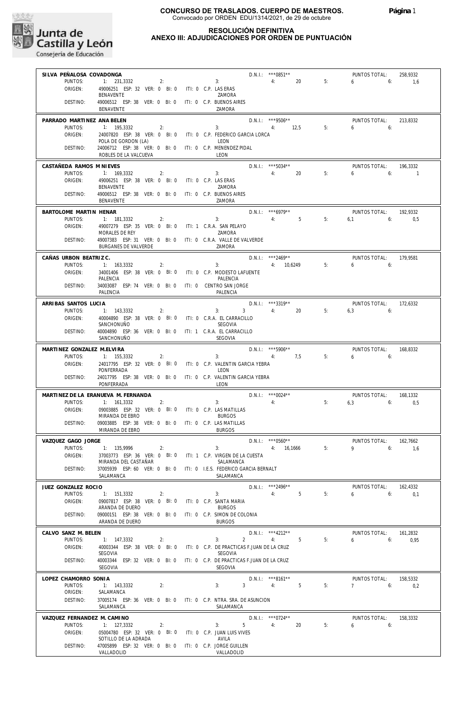

#### **RESOLUCIÓN DEFINITIVA ANEXO III: ADJUDICACIONES POR ORDEN DE PUNTUACIÓN**

| SILVA PEÑALOSA COVADONGA              |                                                                                       |                          |                                                                    | D.N.I.: *** 0851**              |    | PUNTOS TOTAL:                        | 258,9332                   |
|---------------------------------------|---------------------------------------------------------------------------------------|--------------------------|--------------------------------------------------------------------|---------------------------------|----|--------------------------------------|----------------------------|
| PUNTOS:                               | 1: 231,3332<br>2:                                                                     |                          | 3:                                                                 | 4:<br>20                        | 5: | 6<br>6:                              | 1,6                        |
| ORIGEN:                               | 49006251 ESP: 32 VER: 0 BI: 0<br>BENAVENTE                                            | ITI: 0 C.P. LAS ERAS     | ZAMORA                                                             |                                 |    |                                      |                            |
| DESTINO:                              | 49006512 ESP: 38 VER: 0 BI: 0 ITI: 0 C.P. BUENOS AIRES<br>BENAVENTE                   |                          | ZAMORA                                                             |                                 |    |                                      |                            |
| PARRADO MARTINEZ ANA BELEN<br>PUNTOS: | 1: 195,3332                                                                           |                          | 3:                                                                 | D.N.I.: ***9506**<br>12,5       | 5: | PUNTOS TOTAL:<br>6<br>6:             | 213,8332                   |
| ORIGEN:                               | 2:<br>24007820 ESP: 38 VER: 0 BI: 0                                                   |                          | ITI: 0 C.P. FEDERICO GARCIA LORCA                                  | 4:                              |    |                                      |                            |
| DESTINO:                              | POLA DE GORDON (LA)<br>24006712 ESP: 38 VER: 0 BI: 0                                  |                          | LEON<br>ITI: 0 C.P. MENENDEZ PIDAL                                 |                                 |    |                                      |                            |
|                                       | ROBLES DE LA VALCUEVA                                                                 |                          | LEON                                                               |                                 |    |                                      |                            |
| CASTAÑEDA RAMOS M NIEVES<br>PUNTOS:   | 1: 169,3332<br>2:                                                                     |                          | 3:                                                                 | $D.N.1::$ ***5034**<br>20<br>4: | 5: | PUNTOS TOTAL:<br>6<br>6:             | 196.3332<br>$\overline{1}$ |
| ORIGEN:                               | 49006251 ESP: 38 VER: 0 BI: 0                                                         | ITI: 0 C.P. LAS ERAS     |                                                                    |                                 |    |                                      |                            |
| DESTINO:                              | BENAVENTE<br>49006512 ESP: 38 VER: 0 BI: 0 ITI: 0 C.P. BUENOS AIRES                   |                          | ZAMORA                                                             |                                 |    |                                      |                            |
| BARTOLOME MARTIN HENAR                | BENAVENTE                                                                             |                          | ZAMORA                                                             | $D.N.1::$ *** 6979**            |    | PUNTOS TOTAL:                        | 192,9332                   |
| PUNTOS:                               | 1: 181,3332<br>2:                                                                     |                          | 3:                                                                 | 5<br>4:                         | 5: | 6.1<br>6:                            | 0,5                        |
| ORIGEN:                               | 49007279 ESP: 35 VER: 0 BI: 0<br>MORALES DE REY                                       |                          | ITI: 1 C.R.A. SAN PELAYO<br>ZAMORA                                 |                                 |    |                                      |                            |
| DESTINO:                              | 49007383 ESP: 31 VER: 0 BI: 0 ITI: 0 C.R.A. VALLE DE VALVERDE<br>BURGANES DE VALVERDE |                          | ZAMORA                                                             |                                 |    |                                      |                            |
| CAÑAS URBON BEATRIZ C.                |                                                                                       |                          |                                                                    | $D.N.1::$ ***2469**             |    | PUNTOS TOTAL:                        | 179,9581                   |
| PUNTOS:                               | 1: 163,3332<br>2:                                                                     |                          | 3:                                                                 | 4: 10,6249                      | 5: | 6<br>6:                              |                            |
| ORIGEN:                               | 34001406 ESP: 38 VER: 0 BI: 0<br>PALENCIA                                             |                          | ITI: 0 C.P. MODESTO LAFUENTE<br>PALENCIA                           |                                 |    |                                      |                            |
| DESTINO:                              | 34003087 ESP: 74 VER: 0 BI: 0<br>PALENCIA                                             |                          | ITI: 0 CENTRO SAN JORGE<br>PALENCIA                                |                                 |    |                                      |                            |
| ARRIBAS SANTOS LUCIA                  |                                                                                       |                          |                                                                    | D.N.I.: ***3319**               |    | PUNTOS TOTAL:                        | 172,6332                   |
| PUNTOS:<br>ORIGEN:                    | 1: 143,3332<br>2:<br>40004890 ESP: 38 VER: 0 BI: 0                                    |                          | 3 <sup>1</sup><br>3:<br>ITI: 0 C.R.A. EL CARRACILLO                | 4:<br>20                        | 5: | 6,3<br>6:                            |                            |
|                                       | SANCHONUÑO                                                                            |                          | <b>SEGOVIA</b>                                                     |                                 |    |                                      |                            |
| DESTINO:                              | 40004890 ESP: 36 VER: 0 BI: 0<br>SANCHONUÑO                                           |                          | ITI: 1 C.R.A. EL CARRACILLO<br>SEGOVIA                             |                                 |    |                                      |                            |
| MARTINEZ GONZALEZ M.ELVIRA            |                                                                                       |                          |                                                                    | D.N.I.: *** 5906**              |    | PUNTOS TOTAL:                        | 168,8332                   |
| PUNTOS:<br>ORIGEN:                    | 1: 155,3332<br>2:<br>24017795 ESP: 32 VER: 0 BI: 0                                    |                          | 3:<br>ITI: 0 C.P. VALENTIN GARCIA YEBRA                            | 7,5<br>4:                       | 5: | 6<br>6:                              |                            |
|                                       | PONFERRADA                                                                            |                          | LEON                                                               |                                 |    |                                      |                            |
| DESTINO:                              | 24017795 ESP: 38 VER: 0 BI: 0<br>PONFERRADA                                           |                          | ITI: 0 C.P. VALENTIN GARCIA YEBRA<br>LEON                          |                                 |    |                                      |                            |
|                                       | MARTINEZ DE LA ERANUEVA M. FERNANDA                                                   |                          |                                                                    | $D.N.1::$ *** 0024**            |    | PUNTOS TOTAL:                        | 168,1332                   |
| PUNTOS:<br>ORIGEN:                    | 1: 161,3332<br>2:<br>09003885 ESP: 32 VER: 0 BI: 0                                    | ITI: 0 C.P. LAS MATILLAS | 3:                                                                 | 4:                              | 5: | 6,3<br>6:                            | 0,5                        |
|                                       | MIRANDA DE EBRO                                                                       |                          | <b>BURGOS</b>                                                      |                                 |    |                                      |                            |
| DESTINO:                              | 09003885 ESP: 38 VER: 0 BI: 0<br>MIRANDA DE EBRO                                      | ITI: 0 C.P. LAS MATILLAS | <b>BURGOS</b>                                                      |                                 |    |                                      |                            |
| VAZQUEZ GAGO JORGE                    |                                                                                       |                          |                                                                    | $D.N.1::$ *** 0560**            |    | PUNTOS TOTAL:                        | 162,7662                   |
| PUNTOS:<br>ORIGEN:                    | 1: 135,9996<br>2:<br>37003773 ESP: 36 VER: 0 Bl: 0                                    |                          | 3:<br>ITI: 1 C.P. VIRGEN DE LA CUESTA                              | 4: 16,1666                      | 5: | $9 \left( \frac{1}{2} \right)$<br>6: | 1,6                        |
|                                       | MIRANDA DEL CASTAÑAR                                                                  |                          | SALAMANCA                                                          |                                 |    |                                      |                            |
| DESTINO:                              | 37005939 ESP: 60 VER: 0 BI: 0<br>SALAMANCA                                            |                          | ITI: 0 I.E.S. FEDERICO GARCIA BERNALT<br>SALAMANCA                 |                                 |    |                                      |                            |
| JUEZ GONZALEZ ROCIO                   |                                                                                       |                          |                                                                    | D.N.I.: ***2496**               |    | PUNTOS TOTAL:                        | 162,4332                   |
| PUNTOS:<br>ORIGEN:                    | 1: 151,3332<br>2:<br>09007817 ESP: 38 VER: 0 BI: 0                                    |                          | 3:<br>ITI: 0 C.P. SANTA MARIA                                      | 4:<br>5                         | 5: | 6<br>6:                              | 0,1                        |
|                                       | ARANDA DE DUERO                                                                       |                          | <b>BURGOS</b><br>ITI: 0 C.P. SIMON DE COLONIA                      |                                 |    |                                      |                            |
| DESTINO:                              | 09000151 ESP: 38 VER: 0 BI: 0<br>ARANDA DE DUERO                                      |                          | <b>BURGOS</b>                                                      |                                 |    |                                      |                            |
| CALVO SANZ M. BELEN                   |                                                                                       |                          |                                                                    | D.N.I.: *** 4212**              |    | PUNTOS TOTAL:                        | 161,2832                   |
| PUNTOS:<br>ORIGEN:                    | 1: 147,3332<br>2:<br>40003344 ESP: 38 VER: 0 BI: 0                                    |                          | $\overline{2}$<br>3:<br>ITI: 0 C.P. DE PRACTICAS F.JUAN DE LA CRUZ | 5<br>4:                         | 5: | 6:<br>6                              | 0,95                       |
|                                       | SEGOVIA                                                                               |                          | <b>SEGOVIA</b>                                                     |                                 |    |                                      |                            |
| DESTINO:                              | 40003344 ESP: 32 VER: 0 BI: 0<br>SEGOVIA                                              |                          | ITI: 0 C.P. DE PRACTICAS F.JUAN DE LA CRUZ<br>SEGOVIA              |                                 |    |                                      |                            |
| LOPEZ CHAMORRO SONIA                  |                                                                                       |                          |                                                                    | D.N.I.: ***8161**               |    | PUNTOS TOTAL:                        | 158,5332                   |
| PUNTOS:<br>ORIGEN:                    | 1: 143,3332<br>2:<br>SALAMANCA                                                        |                          | $\overline{3}$<br>3:                                               | 4:<br>5                         | 5: | $7^{\circ}$<br>6:                    | 0,2                        |
| DESTINO:                              | 37005174 ESP: 36 VER: 0 BI: 0 ITI: 0 C.P. NTRA. SRA. DE ASUNCION<br>SALAMANCA         |                          | SALAMANCA                                                          |                                 |    |                                      |                            |
| VAZQUEZ FERNANDEZ M. CAMINO           |                                                                                       |                          |                                                                    | D.N.I.: *** 0724**              |    | PUNTOS TOTAL:                        | 158,3332                   |
| PUNTOS:                               | 1: 127,3332<br>2:                                                                     |                          | 5<br>3:                                                            | 4:<br>20                        | 5: | 6<br>6:                              |                            |
| ORIGEN:                               | 05004780 ESP: 32 VER: 0 BI: 0<br>SOTILLO DE LA ADRADA                                 |                          | ITI: 0 C.P. JUAN LUIS VIVES<br>AVILA                               |                                 |    |                                      |                            |
| DESTINO:                              | 47005899 ESP: 32 VER: 0 BI: 0<br>VALLADOLID                                           |                          | ITI: 0 C.P. JORGE GUILLEN<br>VALLADOLID                            |                                 |    |                                      |                            |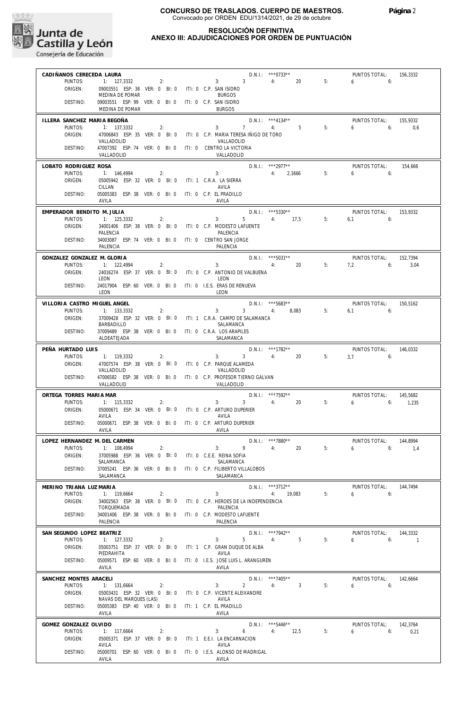

**RESOLUCIÓN DEFINITIVA**

### **ANEXO III: ADJUDICACIONES POR ORDEN DE PUNTUACIÓN**

| CADIÑANOS CERECEDA LAURA      |                                                                         |                                                                      | D.N.I.: ***0733**                               |    | PUNTOS TOTAL:          | 156,3332 |
|-------------------------------|-------------------------------------------------------------------------|----------------------------------------------------------------------|-------------------------------------------------|----|------------------------|----------|
| PUNTOS:                       | 1: 127,3332                                                             | 2: 3: 3: 4:                                                          | 20                                              | 5: | $6\qquad 6$            |          |
| ORIGEN:                       | 09003551 ESP: 38 VER: 0 BI: 0 ITI: 0 C.P. SAN ISIDRO                    |                                                                      |                                                 |    |                        |          |
| DESTINO:                      | MEDINA DE POMAR<br>09003551 ESP: 99 VER: 0 BI: 0 ITI: 0 C.P. SAN ISIDRO | <b>BURGOS</b>                                                        |                                                 |    |                        |          |
|                               | MEDINA DE POMAR                                                         | <b>BURGOS</b>                                                        |                                                 |    |                        |          |
| ILLERA SANCHEZ MARIA BEGOÑA   |                                                                         |                                                                      | $D.N.1.:$ *** 4134**                            |    | PUNTOS TOTAL:          | 155,9332 |
| PUNTOS:                       | 1: 137.3332<br>2:                                                       | $3: 7 \t 4: 5$                                                       |                                                 | 5: | $6\qquad 6:$           | 0,6      |
| ORIGEN:                       |                                                                         | 47006843 ESP: 35 VER: 0 BI: 0 ITI: 0 C.P. MARIA TERESA IÑIGO DE TORO |                                                 |    |                        |          |
| DESTINO:                      | VALLADOLID<br>47007392 ESP: 74 VER: 0 BI: 0 ITI: 0 CENTRO LA VICTORIA   | VALLADOLID                                                           |                                                 |    |                        |          |
|                               | VALLADOLID                                                              | VALLADOLID                                                           |                                                 |    |                        |          |
| LOBATO RODRIGUEZ ROSA         |                                                                         |                                                                      |                                                 |    | PUNTOS TOTAL:          | 154,666  |
| PUNTOS:                       | 1: 146,4994<br>2:                                                       | 3:                                                                   | D.N.I.: $***2917$ <sup>--</sup><br>4: 2,1666 5: |    | $6\qquad 6$            |          |
| ORIGEN:                       | 05005942 ESP: 32 VER: 0 BI: 0 ITI: 1 C.R.A. LA SIERRA                   |                                                                      |                                                 |    |                        |          |
| DESTINO:                      | CILLAN<br>05005383 ESP: 38 VER: 0 BI: 0 ITI: 0 C.P. EL PRADILLO         | AVILA                                                                |                                                 |    |                        |          |
|                               | AVILA                                                                   | AVILA                                                                |                                                 |    |                        |          |
| EMPERADOR BENDITO M. JULIA    |                                                                         |                                                                      | $D.N.1.:$ ***5330**                             |    | PUNTOS TOTAL:          | 153,9332 |
| PUNTOS:                       | 1: 125,3332<br>2:                                                       | 3:                                                                   | 5 4: 17.5 5:                                    |    | $6.1$ $6:$             |          |
| ORIGEN:                       |                                                                         | 34001406 ESP: 38 VER: 0 BI: 0 ITI: 0 C.P. MODESTO LAFUENTE           |                                                 |    |                        |          |
| DESTINO:                      | PALENCIA<br>34003087 ESP: 74 VER: 0 BI: 0 ITI: 0 CENTRO SAN JORGE       | PALENCIA                                                             |                                                 |    |                        |          |
|                               | PAI FNCIA                                                               | PALENCIA                                                             |                                                 |    |                        |          |
| GONZALEZ GONZALEZ M. GLORIA   |                                                                         |                                                                      | $D.N.1.:$ ***5031**                             |    | <b>PUNTOS TOTAL:</b>   | 152,7394 |
| PUNTOS:                       | 1: 122,4994<br>2:                                                       | 3:                                                                   | 4: 20 5:                                        |    | $7.2$ 6:               | 3.04     |
| ORIGEN:                       |                                                                         | 24016274 ESP: 37 VER: 0 BI: 0 ITI: 0 C.P. ANTONIO DE VALBUENA        |                                                 |    |                        |          |
| DESTINO:                      | LEON<br>24017904 ESP: 60 VER: 0 BI: 0 ITI: 0 I.E.S. ERAS DE RENUEVA     | LEON                                                                 |                                                 |    |                        |          |
|                               | LEON                                                                    | LEON                                                                 |                                                 |    |                        |          |
| VILLORIA CASTRO MIGUEL ANGEL  |                                                                         |                                                                      | $D.N.1.:$ ***5683**                             |    | PUNTOS TOTAL:          | 150.5162 |
| PUNTOS:                       | $\frac{1}{2}$<br>1: 133.3332                                            | 3: 3 4: 8,083 5:                                                     |                                                 |    | $6,1$ 6:               |          |
| ORIGEN:                       |                                                                         | 37009428 ESP: 32 VER: 0 BI: 0 ITI: 1 C.R.A. CAMPO DE SALAMANCA       |                                                 |    |                        |          |
| DESTINO:                      | BARBADILLO<br>37009489 ESP: 38 VER: 0 BI: 0 ITI: 0 C.R.A. LOS ARAPILES  | SALAMANCA                                                            |                                                 |    |                        |          |
|                               | ALDEATEJADA                                                             | SALAMANCA                                                            |                                                 |    |                        |          |
| PEÑA HURTADO LUIS             |                                                                         |                                                                      | D.N.I.: ***1782**                               |    | PUNTOS TOTAL:          | 146,0332 |
| PUNTOS:                       | 1: 119,3332<br>2:                                                       | 3: 3: 4: 20                                                          |                                                 | 5: | $3.7$ 6:               |          |
| ORIGEN:                       | 47007574 ESP: 38 VER: 0 BI: 0 ITI: 0 C.P. PARQUE ALAMEDA<br>VALLADOLID  | VALLADOLID                                                           |                                                 |    |                        |          |
| DESTINO:                      |                                                                         | 47006582 ESP: 38 VER: 0 BI: 0 ITI: 0 C.P. PROFESOR TIERNO GALVAN     |                                                 |    |                        |          |
|                               | VALLADOLID                                                              | VALLADOLID                                                           |                                                 |    |                        |          |
| ORTEGA TORRES MARIA MAR       |                                                                         |                                                                      | D.N.I.: ***7592**                               |    | PUNTOS TOTAL: 145,5682 |          |
| PUNTOS:                       | 1: 115,3332<br>2:                                                       | $3: 3 \t 4: 20$                                                      |                                                 | 5: | $6 \t\t 6: \t\t 1.235$ |          |
| ORIGEN:                       | 05000671 ESP: 34 VER: 0 BI: 0 ITI: 0 C.P. ARTURO DUPERIER<br>AVILA      | AVILA                                                                |                                                 |    |                        |          |
| DESTINO:                      | 05000671 ESP: 38 VER: 0 BI: 0 ITI: 0 C.P. ARTURO DUPERIER               |                                                                      |                                                 |    |                        |          |
|                               | <b>AVILA</b>                                                            | AVILA                                                                |                                                 |    |                        |          |
| LOPEZ HERNANDEZ M. DEL CARMEN |                                                                         |                                                                      | D.N.I.: ***7880**                               |    | PUNTOS TOTAL: 144,8994 |          |
|                               | PUNTOS: 1: 108,4994<br>2:                                               | $9 \t 4$<br>3:                                                       | 20                                              | 5: | $6 \t\t 6: \t\t 1.4$   |          |
| ORIGEN:                       | 37005988 ESP: 36 VER: 0 BI: 0<br>SALAMANCA                              | ITI: 0 C.E.E. REINA SOFIA<br>SALAMANCA                               |                                                 |    |                        |          |
| DESTINO:                      | 37005241 ESP: 36 VER: 0 BI: 0                                           | ITI: 0 C.P. FILIBERTO VILLALOBOS                                     |                                                 |    |                        |          |
|                               | SALAMANCA                                                               | SALAMANCA                                                            |                                                 |    |                        |          |
| MERINO TRIANA LUZ MARIA       |                                                                         |                                                                      | $D.N.1::$ ***3712**                             |    | PUNTOS TOTAL:          | 144,7494 |
| PUNTOS:                       | 1: 119,6664<br>2:                                                       | 3:                                                                   | 4:<br>19,083                                    | 5: | 6<br>6:                |          |
| ORIGEN:                       | 34002563 ESP: 38 VER: 0 BI: 0<br>TORQUEMADA                             | ITI: 0 C.P. HEROES DE LA INDEPENDENCIA<br>PALENCIA                   |                                                 |    |                        |          |
| DESTINO:                      | 34001406 ESP: 38 VER: 0 BI: 0                                           | ITI: 0 C.P. MODESTO LAFUENTE                                         |                                                 |    |                        |          |
|                               | PALENCIA                                                                | PAI FNCIA                                                            |                                                 |    |                        |          |
| SAN SEGUNDO LOPEZ BEATRIZ     |                                                                         |                                                                      | D.N.I.: ***7942**                               |    | PUNTOS TOTAL:          | 144,3332 |
| PUNTOS:<br>ORIGEN:            | 1: 127,3332<br>2:<br>05003751 ESP: 37 VER: 0 BI: 0                      | 5<br>3:<br>ITI: 1 C.P. GRAN DUQUE DE ALBA                            | 5<br>4:                                         | 5: | 6<br>6:                | $-1$     |
|                               | PIEDRAHITA                                                              | AVILA                                                                |                                                 |    |                        |          |
| DESTINO:                      |                                                                         | 05009571 ESP: 60 VER: 0 BI: 0 ITI: 0 I.E.S. JOSE LUIS L. ARANGUREN   |                                                 |    |                        |          |
|                               | AVILA                                                                   | AVILA                                                                |                                                 |    |                        |          |
| SANCHEZ MONTES ARACELI        |                                                                         |                                                                      | D.N.I.: ***7405**                               |    | PUNTOS TOTAL:          | 142,6664 |
| PUNTOS:<br>ORIGEN:            | 1: 131,6664<br>2:<br>05003431 ESP: 32 VER: 0 BI: 0                      | $\overline{2}$<br>3:<br>ITI: 0 C.P. VICENTE ALEIXANDRE               | 4:<br>$\overline{3}$                            | 5: | 6<br>6:                |          |
|                               | NAVAS DEL MARQUES (LAS)                                                 | AVILA                                                                |                                                 |    |                        |          |
| DESTINO:                      | 05005383 ESP: 40 VER: 0 BI: 0                                           | ITI: 1 C.P. EL PRADILLO                                              |                                                 |    |                        |          |
|                               | AVILA                                                                   | AVILA                                                                |                                                 |    |                        |          |
| GOMEZ GONZALEZ OLVIDO         |                                                                         |                                                                      | D.N.I.: ***5446**                               |    | PUNTOS TOTAL:          | 142,3764 |
| PUNTOS:<br>ORIGEN:            | 1: 117,6664<br>2:<br>05005371 ESP: 37 VER: 0 BI: 0                      | 3:<br>6<br>ITI: 1 E.E.I. LA ENCARNACION                              | 4:<br>12,5                                      | 5: | 6<br>6:                | 0,21     |
|                               | AVILA                                                                   | AVILA                                                                |                                                 |    |                        |          |
| DESTINO:                      | 05000701 ESP: 60 VER: 0 BI: 0                                           | ITI: 0 I.E.S. ALONSO DE MADRIGAL                                     |                                                 |    |                        |          |
|                               | AVILA                                                                   | AVILA                                                                |                                                 |    |                        |          |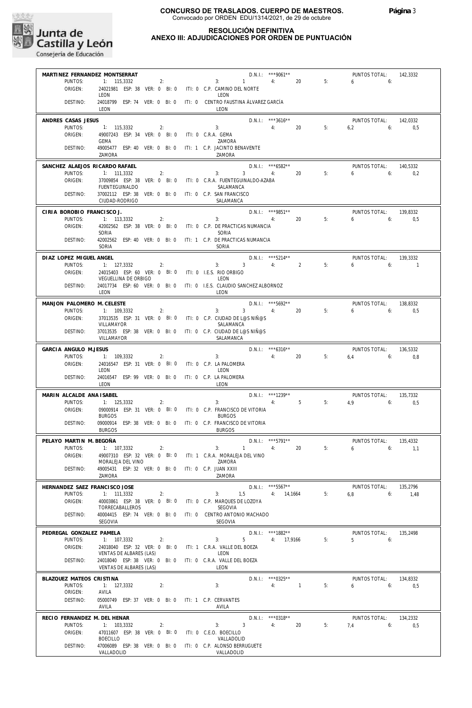

#### **RESOLUCIÓN DEFINITIVA ANEXO III: ADJUDICACIONES POR ORDEN DE PUNTUACIÓN**

| MARTINEZ FERNANDEZ MONTSERRAT                                                                            | D.N.I.: *** 9061**                                                                                 | PUNTOS TOTAL:<br>142,3332       |
|----------------------------------------------------------------------------------------------------------|----------------------------------------------------------------------------------------------------|---------------------------------|
| PUNTOS:<br>1: 115,3332<br>2:<br>ORIGEN:<br>24021981 ESP: 38 VER: 0 BI: 0 ITI: 0 C.P. CAMINO DEL NORTE    | 4:<br>20<br>3:<br>$\overline{1}$                                                                   | 5:<br>6<br>6:                   |
| LEON                                                                                                     | LEON                                                                                               |                                 |
| DESTINO:<br>LEON                                                                                         | 24018799 ESP: 74 VER: 0 BI: 0 ITI: 0 CENTRO FAUSTINA ÁLVAREZ GARCÍA<br>LEON                        |                                 |
| ANDRES CASAS JESUS                                                                                       | $D.N.1::$ ***3616**                                                                                | PUNTOS TOTAL:<br>142,0332       |
| PUNTOS:<br>1: 115,3332<br>2:                                                                             | 3:<br>4:<br>20                                                                                     | 5:<br>$6.2$ 6:<br>0.5           |
| ORIGEN:<br>49007243 ESP: 34 VER: 0 BI: 0 ITI: 0 C.R.A. GEMA<br><b>GEMA</b>                               | ZAMORA                                                                                             |                                 |
| 49005477 ESP: 40 VER: 0 BI: 0<br>DESTINO:<br>ZAMORA                                                      | ITI: 1 C.P. JACINTO BENAVENTE<br>ZAMORA                                                            |                                 |
| SANCHEZ ALAEJOS RICARDO RAFAEL                                                                           | $D.N.1.:$ *** 6582**                                                                               | PUNTOS TOTAL:<br>140.5332       |
| PUNTOS:<br>1: 111,3332<br>2:<br>ORIGEN:                                                                  | 20<br>3:<br>$3 \sim 3$<br>4:<br>37009854 ESP: 38 VER: 0 BI: 0 ITI: 0 C.R.A. FUENTEGUINALDO-AZABA   | 5:<br>$6 \qquad$<br>6:<br>0,2   |
| FUENTEGUINALDO                                                                                           | SALAMANCA                                                                                          |                                 |
| 37002112 ESP: 38 VER: 0 BI: 0 ITI: 0 C.P. SAN FRANCISCO<br>DESTINO:<br>CIUDAD-RODRIGO                    | SALAMANCA                                                                                          |                                 |
| CIRIA BOROBIO FRANCISCO J.                                                                               | D.N.I.: ***9851**                                                                                  | PUNTOS TOTAL:<br>139,8332       |
| PUNTOS:<br>1: 113,3332<br>2:                                                                             | 3:<br>4:<br>20                                                                                     | 5:<br>6<br>6:<br>0,5            |
| ORIGEN:<br>SORIA                                                                                         | 42002562 ESP: 38 VER: 0 BI: 0 ITI: 0 C.P. DE PRACTICAS NUMANCIA<br>SORIA                           |                                 |
| 42002562 ESP: 40 VER: 0 BI: 0<br>DESTINO:<br>SORIA                                                       | ITI: 1 C.P. DE PRACTICAS NUMANCIA<br>SORIA                                                         |                                 |
| DIAZ LOPEZ MIGUEL ANGEL                                                                                  | $D.N.1::$ ***5214**                                                                                | PUNTOS TOTAL:<br>139.3332       |
| PUNTOS:<br>1: 127,3332<br>2:                                                                             | 3: 3: 4:<br>$\overline{\phantom{a}}$                                                               | 5:<br>6<br>6:<br>$\overline{1}$ |
| ORIGEN:<br>24015403 ESP: 60 VER: 0 BI: 0<br>VEGUELLINA DE ORBIGO                                         | ITI: 0 I.E.S. RIO ORBIGO<br>LEON                                                                   |                                 |
| DESTINO:<br>LEON                                                                                         | 24017734 ESP: 60 VER: 0 BI: 0 ITI: 0 I.E.S. CLAUDIO SANCHEZ ALBORNOZ<br>LEON                       |                                 |
| MANJON PALOMERO M. CELESTE                                                                               | $D.N.1::$ ***5692**                                                                                | PUNTOS TOTAL:<br>138,8332       |
| PUNTOS:<br>1: 109,3332<br>2:<br>ORIGEN:                                                                  | $3 \qquad \qquad 4$ :<br>20<br>3:<br>37013535 ESP: 31 VER: 0 BI: 0 ITI: 0 C.P. CIUDAD DE L@S NIÑ@S | 5:<br>6<br>6:<br>0,5            |
| VILLAMAYOR                                                                                               | SALAMANCA                                                                                          |                                 |
| 37013535 ESP: 38 VER: 0 BI: 0<br>DESTINO:<br>VILLAMAYOR                                                  | ITI: 0 C.P. CIUDAD DE L@S NIÑ@S<br>SALAMANCA                                                       |                                 |
| GARCIA ANGULO M.JESUS                                                                                    | $D.N.1::$ ***6316**                                                                                | PUNTOS TOTAL:<br>136,5332       |
| PUNTOS:<br>1: 109,3332<br>2:                                                                             | 4: 20<br>3:                                                                                        | 5:<br>6.4<br>6:<br>0.8          |
| ORIGEN:<br>24016547 ESP: 31 VER: 0 BI: 0 ITI: 0 C.P. LA PALOMERA<br>LEON                                 | LEON                                                                                               |                                 |
| DESTINO:<br>24016547 ESP: 99 VER: 0 BI: 0 ITI: 0 C.P. LA PALOMERA<br>LEON                                | LEON                                                                                               |                                 |
| MARIN ALCALDE ANA ISABEL                                                                                 | D.N.I.: ***1239**                                                                                  | PUNTOS TOTAL:<br>135,7332       |
| PUNTOS:<br>1: 125.3332<br>2:<br>ORIGEN:<br>09000914 ESP: 31 VER: 0 BI: 0                                 | 4:<br>5 <sub>5</sub><br>3:<br>ITI: 0 C.P. FRANCISCO DE VITORIA                                     | 5:<br>4.9<br>6:<br>0,5          |
| <b>BURGOS</b>                                                                                            | <b>BURGOS</b>                                                                                      |                                 |
| DESTINO:<br>09000914 ESP: 38 VER: 0 BI: 0<br><b>BURGOS</b>                                               | ITI: 0 C.P. FRANCISCO DE VITORIA<br><b>BURGOS</b>                                                  |                                 |
| PELAYO MARTIN M. BEGOÑA                                                                                  | D.N.I.: *** 5791**                                                                                 | PUNTOS TOTAL:<br>135.4332       |
| PUNTOS:<br>1: 107,3332<br>2:<br>49007310 ESP: 32 VER: 0 BI: 0 ITI: 1 C.R.A. MORALEJA DEL VINO<br>ORIGEN: | 3:<br>20<br>1<br>4:                                                                                | 5:<br>6:<br>6<br>1.1            |
| MORALEJA DEL VINO                                                                                        | ZAMORA                                                                                             |                                 |
| 49005431 ESP: 32 VER: 0 BI: 0 ITI: 0 C.P. JUAN XXIII<br>DESTINO:<br>ZAMORA                               | ZAMORA                                                                                             |                                 |
| HERNANDEZ SAEZ FRANCISCO JOSE                                                                            | $D.N.1::$ ***5567**                                                                                | PUNTOS TOTAL:<br>135,2796       |
| PUNTOS:<br>1: 111.3332<br>2:<br>ORIGEN:<br>40003861 ESP: 38 VER: 0 BI: 0                                 | 4: 14,1664<br>3:<br>1,5<br>ITI: 0 C.P. MARQUES DE LOZOYA                                           | 5:<br>6,8<br>6:<br>1,48         |
| TORRECABALLEROS                                                                                          | SEGOVIA                                                                                            |                                 |
| DESTINO:<br>40004415 ESP: 74 VER: 0 BI: 0<br>SEGOVIA                                                     | ITI: 0 CENTRO ANTONIO MACHADO<br><b>SEGOVIA</b>                                                    |                                 |
| PEDREGAL GONZALEZ PAMELA                                                                                 | D.N.I.: ***1882**                                                                                  | PUNTOS TOTAL:<br>135.2498       |
| PUNTOS:<br>1: 107,3332<br>2:                                                                             | 5<br>3:<br>4: 17,9166<br>ITI: 1 C.R.A. VALLE DEL BOEZA                                             | 5:<br>$5-1$<br>6:               |
| ORIGEN:<br>24018040 ESP: 32 VER: 0 BI: 0<br>VENTAS DE ALBARES (LAS)                                      | LEON                                                                                               |                                 |
| DESTINO:<br>24018040 ESP: 38 VER: 0 BI: 0 ITI: 0 C.R.A. VALLE DEL BOEZA<br>VENTAS DE ALBARES (LAS)       | LEON                                                                                               |                                 |
| BLAZQUEZ MATEOS CRISTINA                                                                                 | D.N.I.: *** 0325**                                                                                 | PUNTOS TOTAL:<br>134,8332       |
| PUNTOS:<br>1: 127,3332<br>2:                                                                             | 3:<br>4:<br>$\sim$ 1                                                                               | 5:<br>6<br>6:<br>0.5            |
| ORIGEN:<br>AVILA<br>DESTINO:<br>05000749 ESP: 37 VER: 0 BI: 0 ITI: 1 C.P. CERVANTES                      |                                                                                                    |                                 |
| AVILA                                                                                                    | AVILA                                                                                              |                                 |
| RECIO FERNANDEZ M. DEL HENAR                                                                             | $D.N.I.:$ *** 0318**                                                                               | PUNTOS TOTAL:<br>134,2332       |
| PUNTOS:<br>1: 103,3332<br>2:<br>ORIGEN:<br>47011607 ESP: 38 VER: 0 BI: 0                                 | 3 <sup>7</sup><br>4:<br>20<br>3:<br>ITI: 0 C.E.O. BOECILLO                                         | 5:<br>7,4<br>6:<br>0,5          |
| BOECILLO<br>47006089 ESP: 38 VER: 0 BI: 0 ITI: 0 C.P. ALONSO BERRUGUETE<br>DESTINO:                      | VALLADOLID                                                                                         |                                 |
| VALLADOLID                                                                                               | VALLADOLID                                                                                         |                                 |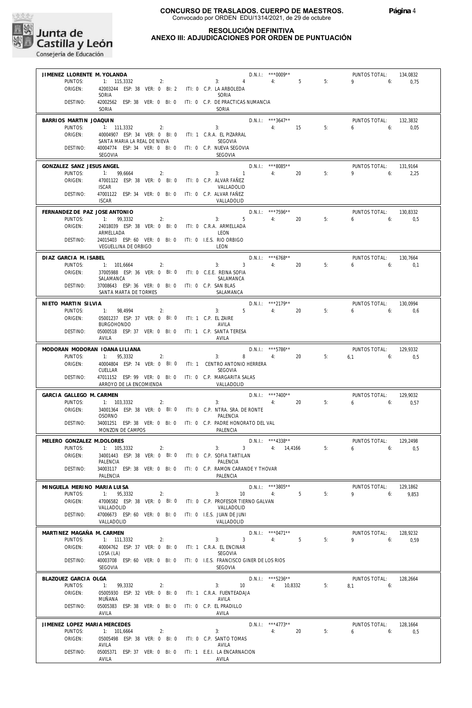

**RESOLUCIÓN DEFINITIVA**

#### **ANEXO III: ADJUDICACIONES POR ORDEN DE PUNTUACIÓN**

| JIMENEZ LLORENTE M. YOLANDA          |                                                                         |                                           | $D.N.1::$ *** 0009**                |                      | PUNTOS TOTAL:                        | 134,0832        |
|--------------------------------------|-------------------------------------------------------------------------|-------------------------------------------|-------------------------------------|----------------------|--------------------------------------|-----------------|
| PUNTOS:                              | 1: 115,3332<br>2:                                                       |                                           | 3: 4: 4:                            | 5 <sup>5</sup><br>5: | $9 \t\t 6$                           | 0,75            |
| ORIGEN:                              | 42003244 ESP: 38 VER: 0 BI: 2 ITI: 0 C.P. LA ARBOLEDA                   |                                           |                                     |                      |                                      |                 |
|                                      | SORIA                                                                   | SORIA                                     |                                     |                      |                                      |                 |
| DESTINO:                             | 42002562 ESP: 38 VER: 0 BI: 0 ITI: 0 C.P. DE PRACTICAS NUMANCIA         |                                           |                                     |                      |                                      |                 |
|                                      | SORIA                                                                   | SORIA                                     |                                     |                      |                                      |                 |
| BARRIOS MARTIN JOAQUIN               |                                                                         |                                           | D.N.I.: *** 3647**                  |                      | PUNTOS TOTAL:                        | 132,3832        |
| PUNTOS:                              | 1: 111,3332<br>2:                                                       |                                           | 3: 4: 15                            | 5:                   | 6:<br>6                              | 0,05            |
| ORIGEN:                              | 40004907 ESP: 34 VER: 0 BI: 0 ITI: 1 C.R.A. EL PIZARRAL                 |                                           |                                     |                      |                                      |                 |
|                                      | SANTA MARIA LA REAL DE NIEVA                                            | SEGOVIA                                   |                                     |                      |                                      |                 |
| DESTINO:                             | 40004774 ESP: 34 VER: 0 BI: 0 ITI: 0 C.P. NUEVA SEGOVIA                 |                                           |                                     |                      |                                      |                 |
|                                      | SEGOVIA                                                                 | SEGOVIA                                   |                                     |                      |                                      |                 |
|                                      |                                                                         |                                           |                                     |                      |                                      |                 |
| GONZALEZ SANZ JESUS ANGEL<br>PUNTOS: | 1: 99.6664                                                              |                                           | D.N.I.: ***8085**<br>$3: 1$ 4:      | 20<br>5:             | PUNTOS TOTAL:<br>$9 \t\t 6$          | 131,9164        |
| ORIGEN:                              | 2:                                                                      |                                           |                                     |                      |                                      | 2,25            |
|                                      | 47001122 ESP: 38 VER: 0 BI: 0 ITI: 0 C.P. ALVAR FAÑEZ<br><b>ISCAR</b>   | VALLADOLID                                |                                     |                      |                                      |                 |
| DESTINO:                             | 47001122 ESP: 34 VER: 0 BI: 0 ITI: 0 C.P. ALVAR FAÑEZ                   |                                           |                                     |                      |                                      |                 |
|                                      | <b>ISCAR</b>                                                            | VALLADOLID                                |                                     |                      |                                      |                 |
|                                      |                                                                         |                                           |                                     |                      |                                      |                 |
| FERNANDEZ DE PAZ JOSE ANTONIO        |                                                                         |                                           | $D.N.1.:$ ***7596**<br>3: 5 4:      |                      | PUNTOS TOTAL:                        | 130,8332        |
| PUNTOS:                              | 1: 99,3332<br>2:                                                        |                                           |                                     | 20<br>5:             | 6 <sub>6</sub>                       | 0.5             |
| ORIGEN:                              | 24018039 ESP: 38 VER: 0 BI: 0 ITI: 0 C.R.A. ARMELLADA                   |                                           |                                     |                      |                                      |                 |
|                                      | ARMELLADA                                                               | LEON                                      |                                     |                      |                                      |                 |
| DESTINO:                             | 24015403 ESP: 60 VER: 0 BI: 0 ITI: 0 I.E.S. RIO ORBIGO                  |                                           |                                     |                      |                                      |                 |
|                                      | VEGUELLINA DE ORBIGO                                                    | LEON                                      |                                     |                      |                                      |                 |
| DIAZ GARCIA M. ISABEL                |                                                                         |                                           | $D.N.1::$ ***6768**                 |                      | PUNTOS TOTAL:                        | 130,7664        |
| PUNTOS:                              | 1: 101,6664<br>2:                                                       | 3:                                        | $3 \t 4$                            | 20<br>5:             | 6.6                                  | 0,1             |
| ORIGEN:                              | 37005988 ESP: 36 VER: 0 BI: 0 ITI: 0 C.E.E. REINA SOFIA                 |                                           |                                     |                      |                                      |                 |
|                                      | SALAMANCA                                                               | SALAMANCA                                 |                                     |                      |                                      |                 |
| DESTINO:                             | 37008643 ESP: 36 VER: 0 BI: 0 ITI: 0 C.P. SAN BLAS                      |                                           |                                     |                      |                                      |                 |
|                                      | SANTA MARTA DE TORMES                                                   | SALAMANCA                                 |                                     |                      |                                      |                 |
|                                      |                                                                         |                                           |                                     |                      |                                      |                 |
| NIETO MARTIN SILVIA<br>PUNTOS:       | 1: 98,4994<br>2:                                                        |                                           | $D.N.1.:$ ***2179**<br>$3: 5 \t 4:$ | 20<br>5:             | PUNTOS TOTAL: 130,0994<br>$6 \t\t 6$ | 0.6             |
| ORIGEN:                              |                                                                         |                                           |                                     |                      |                                      |                 |
|                                      | 05001237 ESP: 37 VER: 0 BI: 0 ITI: 1 C.P. EL ZAIRE<br><b>BURGOHONDO</b> | AVILA                                     |                                     |                      |                                      |                 |
| DESTINO:                             | 05000518 ESP: 37 VER: 0 BI: 0 ITI: 1 C.P. SANTA TERESA                  |                                           |                                     |                      |                                      |                 |
|                                      | AVILA                                                                   | AVILA                                     |                                     |                      |                                      |                 |
|                                      |                                                                         |                                           |                                     |                      |                                      |                 |
|                                      | MODORAN MODORAN IOANA LILIANA                                           |                                           | $D.N.1.:$ ***5786**                 |                      | PUNTOS TOTAL:                        | 129.9332        |
| PUNTOS:                              | 1: 95,3332<br>2:                                                        | 3:                                        | 8 4:                                | 20<br>5:             | $6.1$ $6:$                           | 0,5             |
| ORIGEN:                              | 40004804 ESP: 74 VER: 0 BI: 0 ITI: 1 CENTRO ANTONIO HERRERA             |                                           |                                     |                      |                                      |                 |
|                                      | CUELLAR                                                                 | <b>SEGOVIA</b>                            |                                     |                      |                                      |                 |
|                                      |                                                                         |                                           |                                     |                      |                                      |                 |
| DESTINO:                             | 47011152 ESP: 99 VER: 0 BI: 0 ITI: 0 C.P. MARGARITA SALAS               |                                           |                                     |                      |                                      |                 |
|                                      | ARROYO DE LA ENCOMIENDA                                                 | VALLADOLID                                |                                     |                      |                                      |                 |
| GARCIA GALLEGO M. CARMEN             |                                                                         |                                           | D.N.I.: ***7400**                   |                      | PUNTOS TOTAL:                        | 129,9032        |
| PUNTOS:                              | 1: 103,3332<br>2:                                                       | 3:                                        | 4:20                                | 5:                   | $6 \t\t 6$                           | 0,57            |
| ORIGEN:                              | 34001364 ESP: 38 VER: 0 BI: 0 ITI: 0 C.P. NTRA. SRA. DE RONTE           |                                           |                                     |                      |                                      |                 |
|                                      | OSORNO                                                                  | PALENCIA                                  |                                     |                      |                                      |                 |
| DESTINO:                             | 34001251 ESP: 38 VER: 0 BI: 0 ITI: 0 C.P. PADRE HONORATO DEL VAL        |                                           |                                     |                      |                                      |                 |
|                                      | MONZON DE CAMPOS                                                        | PALENCIA                                  |                                     |                      |                                      |                 |
|                                      |                                                                         |                                           |                                     |                      |                                      |                 |
| MELERO GONZALEZ M.DOLORES<br>PUNTOS: | 1: 105,3332<br>2:                                                       | 3:                                        | D.N.I.: ***4338**<br>3 4: 14,4166   | 5:                   | PUNTOS TOTAL:<br>$6\qquad 6:$        | 129,2498<br>0.5 |
|                                      |                                                                         |                                           |                                     |                      |                                      |                 |
| ORIGEN:                              | 34001443 ESP: 38 VER: 0 BI: 0<br>PALENCIA                               | ITI: 0 C.P. SOFIA TARTILAN<br>PALENCIA    |                                     |                      |                                      |                 |
| DESTINO:                             | 34003117 ESP: 38 VER: 0 BI: 0                                           | ITI: 0 C.P. RAMON CARANDE Y THOVAR        |                                     |                      |                                      |                 |
|                                      | PALENCIA                                                                | PALENCIA                                  |                                     |                      |                                      |                 |
|                                      |                                                                         |                                           |                                     |                      |                                      |                 |
| MINGUELA MERINO MARIA LUISA          |                                                                         |                                           | D.N.I.: ***3805**                   |                      | PUNTOS TOTAL:                        | 129,1862        |
| PUNTOS:                              | 95,3332<br>1:<br>2:                                                     | 3:                                        | 10<br>4:                            | 5<br>5:              | 9<br>6:                              | 9,853           |
| ORIGEN:                              | 47006582 ESP: 38 VER: 0 BI: 0                                           | ITI: 0 C.P. PROFESOR TIERNO GALVAN        |                                     |                      |                                      |                 |
|                                      | VALLADOLID                                                              | VALLADOLID                                |                                     |                      |                                      |                 |
| DESTINO:                             | 47006673 ESP: 60 VER: 0 BI: 0                                           | ITI: 0 I.E.S. JUAN DE JUNI                |                                     |                      |                                      |                 |
|                                      | VALLADOLID                                                              | VALLADOLID                                |                                     |                      |                                      |                 |
| MARTINEZ MAGAÑA M. CARMEN            |                                                                         |                                           | $D.N.1::$ *** 0471**                |                      | PUNTOS TOTAL:                        | 128,9232        |
| PUNTOS:                              | 1: 111,3332<br>2:                                                       | 3:                                        | $\overline{3}$<br>4:                | 5<br>5:              | 9<br>6:                              | 0,59            |
| ORIGEN:                              | 40004762 ESP: 37 VER: 0 BI: 0                                           | ITI: 1 C.R.A. EL ENCINAR                  |                                     |                      |                                      |                 |
|                                      | LOSA (LA)                                                               | SEGOVIA                                   |                                     |                      |                                      |                 |
| DESTINO:                             | 40003708 ESP: 60 VER: 0 BI: 0                                           | ITI: 0 I.E.S. FRANCISCO GINER DE LOS RIOS |                                     |                      |                                      |                 |
|                                      | SEGOVIA                                                                 | SEGOVIA                                   |                                     |                      |                                      |                 |
| BLAZQUEZ GARCIA OLGA                 |                                                                         |                                           | D.N.I.: ***5236**                   |                      | PUNTOS TOTAL:                        | 128,2664        |
| PUNTOS:                              | 1:<br>99,3332<br>2:                                                     | 3:                                        | 10<br>4: 10,8332                    | 5:                   | 8,1<br>6:                            |                 |
| ORIGEN:                              | 05005930 ESP: 32 VER: 0 BI: 0                                           | ITI: 1 C.R.A. FUENTEADAJA                 |                                     |                      |                                      |                 |
|                                      | MUÑANA                                                                  | AVILA                                     |                                     |                      |                                      |                 |
| DESTINO:                             | 05005383 ESP: 38 VER: 0 BI: 0                                           | ITI: 0 C.P. EL PRADILLO                   |                                     |                      |                                      |                 |
|                                      | AVILA                                                                   | AVILA                                     |                                     |                      |                                      |                 |
| JIMENEZ LOPEZ MARIA MERCEDES         |                                                                         |                                           | D.N.I.: *** 4773**                  |                      | PUNTOS TOTAL:                        | 128,1664        |
| PUNTOS:                              | 1: 101,6664<br>2:                                                       | 3:                                        | 4:                                  | 20<br>5:             | 6<br>6:                              | 0,5             |
| ORIGEN:                              | 05005498 ESP: 38 VER: 0 BI: 0                                           | ITI: 0 C.P. SANTO TOMAS                   |                                     |                      |                                      |                 |
|                                      | AVILA                                                                   | AVILA                                     |                                     |                      |                                      |                 |
| DESTINO:                             | 05005371 ESP: 37 VER: 0 BI: 0<br>AVILA                                  | ITI: 1 E.E.I. LA ENCARNACION<br>AVILA     |                                     |                      |                                      |                 |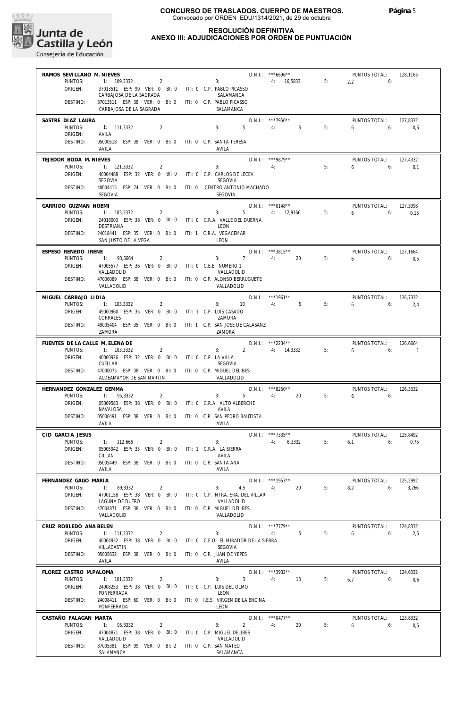

#### **RESOLUCIÓN DEFINITIVA ANEXO III: ADJUDICACIONES POR ORDEN DE PUNTUACIÓN**

| RAMOS SEVILLANO M. NIEVES         |                                                                                     |  |                                    |                                      |             |                              |                 |
|-----------------------------------|-------------------------------------------------------------------------------------|--|------------------------------------|--------------------------------------|-------------|------------------------------|-----------------|
|                                   |                                                                                     |  |                                    | $D.N.1::$ ***6696**                  |             | PUNTOS TOTAL:                | 128.1165        |
| PUNTOS:                           | 1: 109,3332<br>2:                                                                   |  | 3: 4: 16,5833                      |                                      |             | 5:<br>$2,2$ 6:               |                 |
| ORIGEN:                           | 37013511 ESP: 99 VER: 0 BI: 0 ITI: 0 C.P. PABLO PICASSO<br>CARBAJOSA DE LA SAGRADA  |  | SALAMANCA                          |                                      |             |                              |                 |
| DESTINO:                          | 37013511 ESP: 38 VER: 0 BI: 0 ITI: 0 C.P. PABLO PICASSO                             |  |                                    |                                      |             |                              |                 |
|                                   | CARBAJOSA DE LA SAGRADA                                                             |  | SALAMANCA                          |                                      |             |                              |                 |
| SASTRE DIAZ LAURA                 |                                                                                     |  |                                    | D.N.I.: ***7950**                    |             | PUNTOS TOTAL:                | 127,8332        |
| PUNTOS:<br>ORIGEN:                | 1: 111,3332<br>2:<br>AVILA                                                          |  | 3:<br>$5 \qquad \qquad 4:$         |                                      | $5 -$<br>5: | $6\qquad 6:$                 | 0,5             |
| DESTINO:                          | 05000518 ESP: 38 VER: 0 BI: 0 ITI: 0 C.P. SANTA TERESA                              |  |                                    |                                      |             |                              |                 |
|                                   | AVILA                                                                               |  | AVILA                              |                                      |             |                              |                 |
| TEJEDOR BODA M. NIEVES            |                                                                                     |  |                                    | $D.N.1::$ ***9879**                  |             | PUNTOS TOTAL:                | 127,4332        |
| PUNTOS:                           | 1: 121,3332<br>2:                                                                   |  | 4:<br>3:                           |                                      | 5:          | $6 \t\t 6$                   | 0.1             |
| ORIGEN:                           | 40004488 ESP: 32 VER: 0 BI: 0 ITI: 0 C.P. CARLOS DE LECEA<br>SEGOVIA                |  | SEGOVIA                            |                                      |             |                              |                 |
| DESTINO:                          | 40004415 ESP: 74 VER: 0 BI: 0 ITI: 0 CENTRO ANTONIO MACHADO                         |  |                                    |                                      |             |                              |                 |
|                                   | SEGOVIA                                                                             |  | SEGOVIA                            |                                      |             |                              |                 |
| GARRIDO GUZMAN NOEMI              |                                                                                     |  |                                    | $D.N.1.:$ ***0148**                  |             | PUNTOS TOTAL:                | 127.3998        |
| PUNTOS:<br>ORIGEN:                | 1: 103,3332<br>2:<br>24018003 ESP: 38 VER: 0 BI: 0 ITI: 0 C.R.A. VALLE DEL DUERNA   |  | 3:                                 | 5 4: 12,9166 5:                      |             | $6\qquad 6:$                 | 0,15            |
|                                   | <b>DESTRIANA</b>                                                                    |  | LEON                               |                                      |             |                              |                 |
| DESTINO:                          | 24018441 ESP: 35 VER: 0 BI: 0 ITI: 1 C.R.A. VEGACEMAR                               |  |                                    |                                      |             |                              |                 |
|                                   | SAN JUSTO DE LA VEGA                                                                |  | LEON                               |                                      |             |                              |                 |
| ESPESO RENEDO IRENE               |                                                                                     |  | $3: 7 \t 4: 20$                    | D.N.I.: ***3815**                    |             | PUNTOS TOTAL:                | 127.1664        |
| PUNTOS:<br>ORIGEN:                | 1: 93,6664<br>2:<br>47005577 ESP: 36 VER: 0 BI: 0 ITI: 0 C.E.E. NUMERO 1            |  |                                    |                                      | 5:          | $6\qquad 6$                  | 0,5             |
|                                   | VALLADOLID                                                                          |  | VALLADOLID                         |                                      |             |                              |                 |
| DESTINO:                          | 47006089 ESP: 38 VER: 0 BI: 0 ITI: 0 C.P. ALONSO BERRUGUETE<br>VALLADOLID           |  |                                    |                                      |             |                              |                 |
|                                   |                                                                                     |  | VALLADOLID                         |                                      |             |                              |                 |
| MIGUEL CARBAJO LIDIA<br>PUNTOS:   | 1: 103,3332<br>2:                                                                   |  | $3: 10$ 4:                         | $D.N.1::***1961**$<br>5 <sub>5</sub> | 5:          | PUNTOS TOTAL:<br>$6 -$<br>6: | 126,7332<br>2,4 |
| ORIGEN:                           | 49000960 ESP: 35 VER: 0 BI: 0 ITI: 1 C.P. LUIS CASADO                               |  |                                    |                                      |             |                              |                 |
|                                   | CORRALES                                                                            |  | ZAMORA                             |                                      |             |                              |                 |
| DESTINO:                          | 49005404 ESP: 35 VER: 0 BI: 0 ITI: 1 C.P. SAN JOSE DE CALASANZ<br>ZAMORA            |  | ZAMORA                             |                                      |             |                              |                 |
| FUENTES DE LA CALLE M. ELENA DE   |                                                                                     |  |                                    | D.N.I.: *** 2234**                   |             | PUNTOS TOTAL:                | 126,6664        |
| PUNTOS:                           | 1: 103,3332<br>2:                                                                   |  | $3: 2 \t 4: 14,3332$               |                                      | 5:          | 6<br>6:                      | $\sim$ 1        |
| ORIGEN:                           | 40000926 ESP: 32 VER: 0 BI: 0 ITI: 0 C.P. LA VILLA<br>CUELLAR                       |  | SEGOVIA                            |                                      |             |                              |                 |
| DESTINO:                          | 47000075 ESP: 38 VER: 0 BI: 0 ITI: 0 C.P. MIGUEL DELIBES                            |  |                                    |                                      |             |                              |                 |
|                                   | ALDEAMAYOR DE SAN MARTIN                                                            |  | VALLADOLID                         |                                      |             |                              |                 |
| HERNANDEZ GONZALEZ GEMMA          |                                                                                     |  |                                    | D.N.I.: ***8250**                    |             | PUNTOS TOTAL:                | 126,3332        |
| PUNTOS:<br>ORIGEN:                | 1: 95,3332<br>2:<br>05009583 ESP: 38 VER: 0 BI: 0 ITI: 0 C.R.A. ALTO ALBERCHE       |  | 3:                                 | 5 4: 20                              | 5:          | $6\qquad 6$                  |                 |
|                                   | NAVALOSA                                                                            |  | AVILA                              |                                      |             |                              |                 |
| DESTINO:                          | 05000491 ESP: 38 VER: 0 BI: 0 ITI: 0 C.P. SAN PEDRO BAUTISTA                        |  |                                    |                                      |             |                              |                 |
|                                   | AVILA                                                                               |  | AVILA                              |                                      |             |                              |                 |
| CID GARCIA JESUS                  |                                                                                     |  |                                    |                                      |             |                              |                 |
| PUNTOS:                           |                                                                                     |  |                                    | $D.N.1::$ ***7335**                  |             | PUNTOS TOTAL:                | 125,8492        |
|                                   | 1: 112,666<br>2:                                                                    |  | 3:                                 | 4: 6,3332                            | 5:          | $6.1$ 6:                     | 0,75            |
| ORIGEN:                           | 05005942 ESP: 35 VER: 0 BI: 0 ITI: 1 C.R.A. LA SIERRA<br>CILLAN                     |  | AVILA                              |                                      |             |                              |                 |
| DESTINO:                          | 05005449 ESP: 38 VER: 0 BI: 0 ITI: 0 C.P. SANTA ANA                                 |  |                                    |                                      |             |                              |                 |
|                                   | AVILA                                                                               |  | AVILA                              |                                      |             |                              |                 |
| FERNANDEZ GAGO MARIA              |                                                                                     |  |                                    | $D.N.1.:$ ***1953**                  |             | PUNTOS TOTAL:                | 125,2992        |
| PUNTOS:<br>ORIGEN:                | 1: 89,3332<br>2:<br>47001158 ESP: 38 VER: 0 BI: 0 ITI: 0 C.P. NTRA. SRA. DEL VILLAR |  | 3:<br>$4,5$ $4:$                   |                                      | 5:<br>20    | 8,2<br>6:                    | 3,266           |
|                                   | LAGUNA DE DUERO                                                                     |  | VALLADOLID                         |                                      |             |                              |                 |
| DESTINO:                          | 47004871 ESP: 38 VER: 0 BI: 0 ITI: 0 C.P. MIGUEL DELIBES                            |  |                                    |                                      |             |                              |                 |
|                                   | VALLADOLID                                                                          |  | VALLADOLID                         |                                      |             |                              |                 |
| CRUZ ROBLEDO ANA BELEN<br>PUNTOS: | 1: 111,3332<br>2:                                                                   |  | 3:                                 | D.N.I.: ***7779**<br>4:              | 5<br>5:     | PUNTOS TOTAL:<br>$6 \t\t 6$  | 124,8332<br>2.5 |
| ORIGEN:                           | 40004932 ESP: 38 VER: 0 BI: 0 ITI: 0 C.E.O. EL MIRADOR DE LA SIERRA                 |  |                                    |                                      |             |                              |                 |
|                                   | VILLACASTIN                                                                         |  | SEGOVIA                            |                                      |             |                              |                 |
| DESTINO:                          | 05005632 ESP: 38 VER: 0 BI: 0<br>AVILA                                              |  | ITI: 0 C.P. JUAN DE YEPES<br>AVILA |                                      |             |                              |                 |
| FLOREZ CASTRO M.PALOMA            |                                                                                     |  |                                    | D.N.I.: ***3932**                    |             | PUNTOS TOTAL:                | 124,6332        |
| PUNTOS:                           | 1: 101,3332<br>2:                                                                   |  | 3 <sup>7</sup><br>3:               | 4:<br>13                             | 5:          | $6.7$ 6:                     | 0,6             |
| ORIGEN:                           | 24008253 ESP: 38 VER: 0 BI: 0<br>PONFERRADA                                         |  | ITI: 0 C.P. LUIS DEL OLMO<br>LEON  |                                      |             |                              |                 |
| DESTINO:                          | 24008411 ESP: 60 VER: 0 BI: 0 ITI: 0 I.E.S. VIRGEN DE LA ENCINA                     |  |                                    |                                      |             |                              |                 |
|                                   | PONFERRADA                                                                          |  | LEON                               |                                      |             |                              |                 |
| CASTAÑO FALAGAN MARTA             |                                                                                     |  | 3:                                 | $D.N.1::$ *** 0477**                 |             | PUNTOS TOTAL:                | 123,8332        |
| PUNTOS:<br>ORIGEN:                | 1: 95,3332<br>2:<br>47004871 ESP: 38 VER: 0 BI: 0 ITI: 0 C.P. MIGUEL DELIBES        |  | $2^{\circ}$                        | 4:                                   | 20<br>5:    | $6 \t\t 6$                   | 0.5             |
| DESTINO:                          | VALLADOLID<br>37005381 ESP: 99 VER: 0 BI: 2 ITI: 0 C.P. SAN MATEO                   |  | VALLADOLID                         |                                      |             |                              |                 |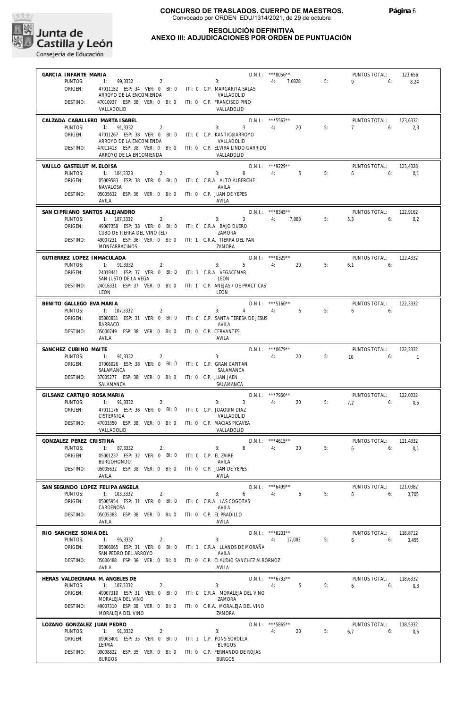

#### **RESOLUCIÓN DEFINITIVA ANEXO III: ADJUDICACIONES POR ORDEN DE PUNTUACIÓN**

| GARCIA INFANTE MARIA                  |                                                                                        |                                                                                    | $D.N.1::$ ***8056**                |    | PUNTOS TOTAL:                          | 123,656                    |
|---------------------------------------|----------------------------------------------------------------------------------------|------------------------------------------------------------------------------------|------------------------------------|----|----------------------------------------|----------------------------|
| PUNTOS:                               | 1: 99.3332<br>2:                                                                       | 3:                                                                                 | 4:7.0828                           | 5: | 9<br>6:                                | 8,24                       |
| ORIGEN:                               | 47011152 ESP: 34 VER: 0 BI: 0 ITI: 0 C.P. MARGARITA SALAS<br>ARROYO DE LA ENCOMIENDA   | VALLADOLID                                                                         |                                    |    |                                        |                            |
| DESTINO:                              | 47010937 ESP: 38 VER: 0 BI: 0 ITI: 0 C.P. FRANCISCO PINO                               |                                                                                    |                                    |    |                                        |                            |
|                                       | VALLADOLID                                                                             | VALLADOLID                                                                         |                                    |    |                                        |                            |
|                                       | CALZADA CABALLERO MARTA ISABEL                                                         |                                                                                    | D.N.I.: ***5562**                  |    | PUNTOS TOTAL:                          | 123.6332                   |
| PUNTOS:<br>ORIGEN:                    | 1: 91,3332<br>2:<br>47011267 ESP: 38 VER: 0 BI: 0 ITI: 0 C.P. KANTIC@ARROYO            | 3:<br>$3^{\circ}$                                                                  | 4:<br>20                           | 5: | 7<br>6:                                | 2,3                        |
|                                       | ARROYO DE LA ENCOMIENDA                                                                | VALLADOLID                                                                         |                                    |    |                                        |                            |
| DESTINO:                              | ARROYO DE LA ENCOMIENDA                                                                | 47011413 ESP: 38 VER: 0 BI: 0 ITI: 0 C.P. ELVIRA LINDO GARRIDO                     |                                    |    |                                        |                            |
|                                       |                                                                                        | VALLADOLID                                                                         |                                    |    |                                        |                            |
| VAILLO GASTELUT M. ELOISA<br>PUNTOS:  | 1: 104,3328<br>2:                                                                      | 8<br>3:                                                                            | D.N.I.: ***9229**<br>$5 - 5$<br>4: | 5: | PUNTOS TOTAL:<br>6:<br>6               | 123,4328<br>0,1            |
| ORIGEN:                               | 05009583 ESP: 38 VER: 0 BI: 0                                                          | ITI: 0 C.R.A. ALTO ALBERCHE                                                        |                                    |    |                                        |                            |
|                                       | NAVALOSA                                                                               | AVILA                                                                              |                                    |    |                                        |                            |
| DESTINO:                              | 05005632 ESP: 36 VER: 0 BI: 0 ITI: 0 C.P. JUAN DE YEPES<br>AVILA                       | AVILA                                                                              |                                    |    |                                        |                            |
| SAN CIPRIANO SANTOS ALEJANDRO         |                                                                                        |                                                                                    | D.N.I.: ***8345**                  |    | PUNTOS TOTAL:                          | 122.9162                   |
| PUNTOS:                               | 1: 107,3332<br>2:                                                                      | 3:                                                                                 | 3 4: 7,083                         | 5: | 5.3<br>6:                              | 0.2                        |
| ORIGEN:                               | 49007358 ESP: 38 VER: 0 BI: 0 ITI: 0 C.R.A. BAJO DUERO<br>CUBO DE TIERRA DEL VINO (EL) |                                                                                    |                                    |    |                                        |                            |
| DESTINO:                              | 49007231 ESP: 36 VER: 0 BI: 0 ITI: 1 C.R.A. TIERRA DEL PAN                             | ZAMORA                                                                             |                                    |    |                                        |                            |
|                                       | MONFARRACINOS                                                                          | ZAMORA                                                                             |                                    |    |                                        |                            |
| GUTIERREZ LOPEZ INMACULADA            |                                                                                        |                                                                                    | D.N.I.: *** 0329**                 |    | PUNTOS TOTAL:                          | 122,4332                   |
| PUNTOS:                               | 1: 91,3332<br>2:                                                                       | 3:5                                                                                | 4:<br>20                           | 5: | 6,1<br>6:                              |                            |
| ORIGEN:                               | 24018441 ESP: 37 VER: 0 BI: 0 ITI: 1 C.R.A. VEGACEMAR<br>SAN JUSTO DE LA VEGA          | LEON                                                                               |                                    |    |                                        |                            |
| DESTINO:                              |                                                                                        | 24016331 ESP: 37 VER: 0 BI: 0 ITI: 1 C.P. ANEJAS / DE PRACTICAS                    |                                    |    |                                        |                            |
|                                       | LEON                                                                                   | LEON                                                                               |                                    |    |                                        |                            |
| BENITO GALLEGO EVA MARIA              |                                                                                        |                                                                                    | $D.N.1.:$ ***5160**                |    | PUNTOS TOTAL:                          | 122,3332                   |
| PUNTOS:<br>ORIGEN:                    | 1: 107,3332<br>2:                                                                      | 3:<br>$4 \quad$<br>05000831 ESP: 31 VER: 0 BI: 0 ITI: 0 C.P. SANTA TERESA DE JESUS | 4:5                                | 5: | 6<br>6:                                |                            |
|                                       | <b>BARRACO</b>                                                                         | AVILA                                                                              |                                    |    |                                        |                            |
| DESTINO:                              | 05000749 ESP: 38 VER: 0 BI: 0<br>AVILA                                                 | ITI: 0 C.P. CERVANTES<br>AVILA                                                     |                                    |    |                                        |                            |
|                                       |                                                                                        |                                                                                    |                                    |    |                                        |                            |
| SANCHEZ CUBINO MAITE<br>PUNTOS:       | 1: 91,3332<br>2:                                                                       | 3:                                                                                 | $D.N.1::$ *** 0679**<br>4:<br>20   | 5: | PUNTOS TOTAL:<br>10 <sup>°</sup><br>6: | 122,3332<br>$\overline{1}$ |
| ORIGEN:                               | 37006026 ESP: 38 VER: 0 BI: 0 ITI: 0 C.P. GRAN CAPITAN                                 |                                                                                    |                                    |    |                                        |                            |
| DESTINO:                              | SALAMANCA<br>37005277 ESP: 38 VER: 0 BI: 0 ITI: 0 C.P. JUAN JAEN                       | SALAMANCA                                                                          |                                    |    |                                        |                            |
|                                       | SALAMANCA                                                                              | SALAMANCA                                                                          |                                    |    |                                        |                            |
| GILSANZ CARTUJO ROSA MARIA            |                                                                                        |                                                                                    | D.N.I.: ***7950**                  |    | PUNTOS TOTAL:                          | 122,0332                   |
| PUNTOS:                               | 1: 91,3332<br>2:                                                                       | 3:<br>$\overline{3}$                                                               | 4:<br>20                           | 5: | $7.2$ 6:                               | 0,5                        |
| ORIGEN:                               | 47011176 ESP: 36 VER: 0 BI: 0 ITI: 0 C.P. JOAQUIN DIAZ<br><b>CISTERNIGA</b>            | VALLADOLID                                                                         |                                    |    |                                        |                            |
| DESTINO:                              | 47003350 ESP: 38 VER: 0 BI: 0 ITI: 0 C.P. MACIAS PICAVEA                               |                                                                                    |                                    |    |                                        |                            |
|                                       | VALLADOLID                                                                             | VALLADOLID                                                                         |                                    |    |                                        |                            |
| GONZALEZ PEREZ CRISTINA               |                                                                                        |                                                                                    | $D.N.1::$ ***4615**                |    | PUNTOS TOTAL:                          | 121,4332                   |
| PUNTOS:<br>ORIGEN:                    | 1: 87,3332<br>2:<br>05001237 ESP: 32 VER: 0 BI: 0                                      | 8<br>3:<br>ITI: 0 C.P. EL ZAIRE                                                    | 20<br>4:                           | 5: | $6\overline{a}$<br>6:                  | 0.1                        |
|                                       | <b>BURGOHONDO</b>                                                                      | AVILA                                                                              |                                    |    |                                        |                            |
| DESTINO:                              | 05005632 ESP: 38 VER: 0 BI: 0                                                          | ITI: 0 C.P. JUAN DE YEPES                                                          |                                    |    |                                        |                            |
|                                       | AVILA                                                                                  | AVILA                                                                              |                                    |    |                                        |                            |
| PUNTOS:                               | SAN SEGUNDO LOPEZ FELIPA ANGELA<br>1: 103,3332<br>2:                                   | 3:<br>6                                                                            | D.N.I.: *** 6499**<br>5<br>4:      | 5: | PUNTOS TOTAL:<br>6<br>6:               | 121,0382<br>0,705          |
| ORIGEN:                               | 05005954 ESP: 31 VER: 0 BI: 0                                                          | ITI: 0 C.R.A. LAS COGOTAS                                                          |                                    |    |                                        |                            |
|                                       | CARDEÑOSA                                                                              | AVILA                                                                              |                                    |    |                                        |                            |
| DESTINO:                              | 05005383 ESP: 38 VER: 0 BI: 0<br>AVILA                                                 | ITI: 0 C.P. EL PRADILLO<br>AVILA                                                   |                                    |    |                                        |                            |
| RIO SANCHEZ SONIA DEL                 |                                                                                        |                                                                                    | D.N.I.: ***8201**                  |    | PUNTOS TOTAL:                          | 118,8712                   |
| PUNTOS:                               | 1:<br>95,3332<br>2:                                                                    | 3:                                                                                 | 17,083<br>4:                       | 5: | 6<br>6:                                | 0,455                      |
| ORIGEN:                               | 05006065 ESP: 31 VER: 0 BI: 0<br>SAN PEDRO DEL ARROYO                                  | ITI: 1 C.R.A. LLANOS DE MORAÑA<br>AVILA                                            |                                    |    |                                        |                            |
| DESTINO:                              | 05000488 ESP: 38 VER: 0 BI: 0                                                          | ITI: 0 C.P. CLAUDIO SANCHEZ ALBORNOZ                                               |                                    |    |                                        |                            |
|                                       | AVILA                                                                                  | AVILA                                                                              |                                    |    |                                        |                            |
| HERAS VALDEGRAMA M. ANGELES DE        |                                                                                        |                                                                                    | D.N.I.: *** 6733**                 |    | PUNTOS TOTAL:                          | 118,6332                   |
| PUNTOS:<br>ORIGEN:                    | 1: 107,3332<br>2:<br>49007310 ESP: 31 VER: 0 BI: 0                                     | 3:<br>ITI: 0 C.R.A. MORALEJA DEL VINO                                              | 5<br>4:                            | 5: | 6<br>6:                                | 0,3                        |
|                                       | MORALEJA DEL VINO                                                                      | ZAMORA                                                                             |                                    |    |                                        |                            |
| DESTINO:                              | 49007310 ESP: 38 VER: 0 BI: 0                                                          | ITI: 0 C.R.A. MORALEJA DEL VINO                                                    |                                    |    |                                        |                            |
|                                       | MORALEJA DEL VINO                                                                      | ZAMORA                                                                             |                                    |    |                                        |                            |
| LOZANO GONZALEZ JUAN PEDRO<br>PUNTOS: | 1: 91,3332<br>2:                                                                       | 3:                                                                                 | D.N.I.: *** 5865**<br>4:<br>20     | 5: | PUNTOS TOTAL:<br>6:<br>6,7             | 118,5332<br>0,5            |
| ORIGEN:                               | 09003401 ESP: 35 VER: 0 BI: 0                                                          | ITI: 1 C.P. PONS SOROLLA                                                           |                                    |    |                                        |                            |
|                                       | LERMA                                                                                  | <b>BURGOS</b>                                                                      |                                    |    |                                        |                            |
| DESTINO:                              | 09008822 ESP: 35 VER: 0 BI: 0<br><b>BURGOS</b>                                         | ITI: 0 C.P. FERNANDO DE ROJAS<br><b>BURGOS</b>                                     |                                    |    |                                        |                            |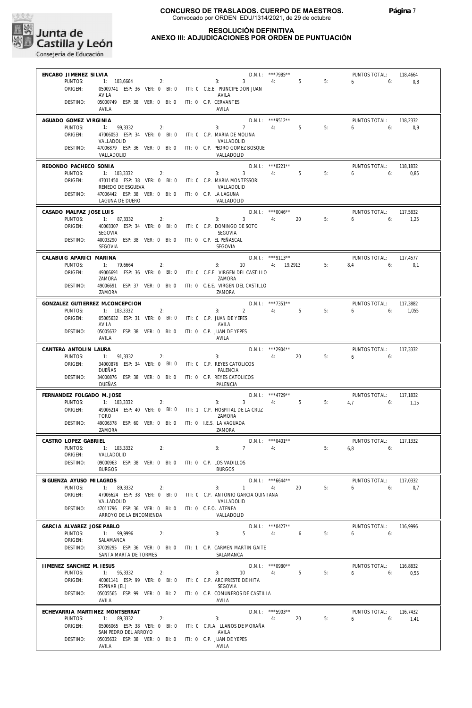

#### **RESOLUCIÓN DEFINITIVA ANEXO III: ADJUDICACIONES POR ORDEN DE PUNTUACIÓN**

**CONSEJERIA DE CONSEJERIA DE EDUCACIÓN**<br>Consejería de Educación

| ENCABO JIMENEZ SILVIA              |                                                                               |                                                                                                                                       |                                  |    | PUNTOS TOTAL:                | 118,4664        |
|------------------------------------|-------------------------------------------------------------------------------|---------------------------------------------------------------------------------------------------------------------------------------|----------------------------------|----|------------------------------|-----------------|
| PUNTOS:<br>ORIGEN:                 | 1: 103,6664<br>2:                                                             | D.N.I.: ***7985**<br>3: 3 4: 5 5:<br>ITI: 0 C.E.E. PRINCIPE DOM: HAM<br>05009741 ESP: 36 VER: 0 BI: 0 ITI: 0 C.E.E. PRINCIPE DON JUAN |                                  | 5: | $6\qquad 6$                  | 0,8             |
| DESTINO:                           | AVILA<br>05000749 ESP: 38 VER: 0 BI: 0                                        | AVILA<br>ITI: 0 C.P. CERVANTES                                                                                                        |                                  |    |                              |                 |
|                                    | AVILA                                                                         | AVILA                                                                                                                                 |                                  |    |                              |                 |
| AGUADO GOMEZ VIRGINIA<br>PUNTOS:   |                                                                               | $3: 7 \t 4: 5$                                                                                                                        | D.N.I.: ***9512**                |    | PUNTOS TOTAL:<br>$6\qquad 6$ | 118,2332        |
| ORIGEN:                            | 1: 99,3332<br>2:<br>47006053 ESP: 34 VER: 0 BI: 0 ITI: 0 C.P. MARIA DE MOLINA |                                                                                                                                       |                                  | 5: |                              | 0.9             |
| DESTINO:                           | VALLADOLID                                                                    | VALLADOLID<br>47006879 ESP: 36 VER: 0 BI: 0 ITI: 0 C.P. PEDRO GOMEZ BOSQUE                                                            |                                  |    |                              |                 |
|                                    | VALLADOLID                                                                    | VALLADOLID                                                                                                                            |                                  |    |                              |                 |
| REDONDO PACHECO SONIA              |                                                                               |                                                                                                                                       | D.N.I.: *** 0221**               |    | PUNTOS TOTAL:                | 118,1832        |
| PUNTOS:<br>ORIGEN:                 | 1: 103.3332<br>2:                                                             | 3: 3: 4: 5<br>47011450 ESP: 38 VER: 0 BI: 0 ITI: 0 C.P. MARIA MONTESSORI                                                              |                                  | 5: | $6\qquad 6$                  | 0,85            |
|                                    | RENEDO DE ESGUEVA                                                             | VALLADOLID                                                                                                                            |                                  |    |                              |                 |
| DESTINO:                           | 47006442 ESP: 38 VER: 0 BI: 0 ITI: 0 C.P. LA LAGUNA<br>LAGUNA DE DUERO        | VALLADOLID                                                                                                                            |                                  |    |                              |                 |
| CASADO MALFAZ JOSE LUIS            |                                                                               |                                                                                                                                       | $D.N.1.:$ ***0046**              |    | PUNTOS TOTAL:                | 117,5832        |
| PUNTOS:<br>ORIGEN:                 | 1: 87,3332<br>2:                                                              | $3 + 4$ : 20<br>3:<br>40003307 ESP: 34 VER: 0 BI: 0 ITI: 0 C.P. DOMINGO DE SOTO                                                       |                                  | 5: | $6\qquad 6:$                 | 1,25            |
|                                    | SEGOVIA                                                                       | SEGOVIA                                                                                                                               |                                  |    |                              |                 |
| DESTINO:                           | 40003290 ESP: 38 VER: 0 BI: 0 ITI: 0 C.P. EL PEÑASCAL<br>SEGOVIA              | <b>SEGOVIA</b>                                                                                                                        |                                  |    |                              |                 |
| CALABUIG APARICI MARINA            |                                                                               |                                                                                                                                       | $D.N.1.:$ ***9113**              |    | PUNTOS TOTAL:                | 117.4577        |
| PUNTOS:                            | 1: 79,6664<br>2:                                                              | 3:                                                                                                                                    | 10 4: 19,2913 5:                 |    | $8.4$ 6:                     | 0,1             |
| ORIGEN:                            | ZAMORA                                                                        | 49006691 ESP: 36 VER: 0 BI: 0 ITI: 0 C.E.E. VIRGEN DEL CASTILLO<br>ZAMORA                                                             |                                  |    |                              |                 |
| DESTINO:                           | ZAMORA                                                                        | 49006691 ESP: 37 VER: 0 BI: 0 ITI: 0 C.E.E. VIRGEN DEL CASTILLO<br>ZAMORA                                                             |                                  |    |                              |                 |
|                                    | GONZALEZ GUTIERREZ M.CONCEPCION                                               |                                                                                                                                       | $D.N.1.:$ ***7351**              |    | PUNTOS TOTAL: 117,3882       |                 |
| PUNTOS:                            | 1: 103,3332<br>2:                                                             | $3: 2 \t 4: 5$                                                                                                                        |                                  | 5: | $6\qquad 6$                  | 1,055           |
| ORIGEN:                            | 05005632 ESP: 31 VER: 0 BI: 0 ITI: 0 C.P. JUAN DE YEPES<br>AVILA              | AVILA                                                                                                                                 |                                  |    |                              |                 |
| DESTINO:                           | 05005632 ESP: 38 VER: 0 BI: 0<br>AVILA                                        | ITI: 0 C.P. JUAN DE YEPES<br>AVILA                                                                                                    |                                  |    |                              |                 |
| CANTERA ANTOLIN LAURA              |                                                                               |                                                                                                                                       | D.N.I.: ***2904**                |    | PUNTOS TOTAL:                | 117.3332        |
| PUNTOS:                            | 1: 91,3332<br>2:                                                              | 4:20<br>3:                                                                                                                            |                                  | 5: | 6.6                          |                 |
| ORIGEN:                            | 34000876 ESP: 34 VER: 0 BI: 0 ITI: 0 C.P. REYES CATOLICOS<br>DUEÑAS           | PALENCIA                                                                                                                              |                                  |    |                              |                 |
| DESTINO:                           | 34000876 ESP: 38 VER: 0 BI: 0 ITI: 0 C.P. REYES CATOLICOS<br>DUEÑAS           | PALENCIA                                                                                                                              |                                  |    |                              |                 |
| FERNANDEZ FOLGADO M. JOSE          |                                                                               |                                                                                                                                       | D.N.I.: ***4729**                |    | PUNTOS TOTAL: 117,1832       |                 |
| PUNTOS:                            | 1: 103,3332<br>2:                                                             | 3:                                                                                                                                    | $3 \qquad 4: \qquad 5$           | 5: | $4.7$ 6:                     | 1,15            |
| ORIGEN:                            | <b>TORO</b>                                                                   | 49006214 ESP: 40 VER: 0 BI: 0 ITI: 1 C.P. HOSPITAL DE LA CRUZ<br>7AMORA                                                               |                                  |    |                              |                 |
| DESTINO:                           | 49006378 ESP: 60 VER: 0 BI: 0 ITI: 0 I.E.S. LA VAGUADA<br>ZAMORA              | ZAMORA                                                                                                                                |                                  |    |                              |                 |
| CASTRO LOPEZ GABRIEL               |                                                                               |                                                                                                                                       | $D.N.1::$ *** 0401**             |    | PUNTOS TOTAL:                | 117,1332        |
|                                    | PUNTOS: 1: 103,3332<br>2:                                                     | $7 \t\t 4$<br>3:                                                                                                                      |                                  | 5: | $6,8$ 6:                     |                 |
| ORIGEN:<br>DESTINO:                | VALLADOLID<br>09000963 ESP: 38 VER: 0 BI: 0 ITI: 0 C.P. LOS VADILLOS          |                                                                                                                                       |                                  |    |                              |                 |
|                                    | <b>BURGOS</b>                                                                 | <b>BURGOS</b>                                                                                                                         |                                  |    |                              |                 |
| SIGUENZA AYUSO MILAGROS<br>PUNTOS: | 1: 89,3332<br>2:                                                              | 3:<br>$\overline{1}$                                                                                                                  | $D.N.1::$ *** 6644**<br>4:<br>20 | 5: | PUNTOS TOTAL:<br>6<br>6:     | 117.0332<br>0,7 |
| ORIGEN:                            | 47006624 ESP: 38 VER: 0 BI: 0                                                 | ITI: 0 C.P. ANTONIO GARCIA QUINTANA                                                                                                   |                                  |    |                              |                 |
| DESTINO:                           | VALLADOLID<br>47011796 ESP: 36 VER: 0 BI: 0                                   | VALLADOLID<br>ITI: 0 C.E.O. ATENEA                                                                                                    |                                  |    |                              |                 |
|                                    | ARROYO DE LA ENCOMIENDA                                                       | VALLADOLID                                                                                                                            |                                  |    |                              |                 |
| GARCIA ALVAREZ JOSE PABLO          |                                                                               |                                                                                                                                       | $D.N.1::$ *** 0427**             |    | PUNTOS TOTAL:                | 116,9996        |
| PUNTOS:<br>ORIGEN:                 | 1: 99,9996<br>2:<br>SALAMANCA                                                 | $5-1$<br>3:                                                                                                                           | 4:<br>6                          | 5: | 6:<br>6                      |                 |
| DESTINO:                           | SANTA MARTA DE TORMES                                                         | 37009295 ESP: 36 VER: 0 BI: 0 ITI: 1 C.P. CARMEN MARTIN GAITE<br>SALAMANCA                                                            |                                  |    |                              |                 |
| JIMENEZ SANCHEZ M. JESUS           |                                                                               |                                                                                                                                       | $D.N.1::$ *** 0980**             |    | PUNTOS TOTAL:                | 116,8832        |
| PUNTOS:                            | 1: 95,3332<br>2:                                                              | 3:<br>10                                                                                                                              | 4:<br>5                          | 5: | 6<br>6:                      | 0,55            |
| ORIGEN:                            | ESPINAR (EL)                                                                  | 40001141 ESP: 99 VER: 0 BI: 0 ITI: 0 C.P. ARCIPRESTE DE HITA<br>SEGOVIA                                                               |                                  |    |                              |                 |
| DESTINO:                           | AVILA                                                                         | 05005565 ESP: 99 VER: 0 BI: 2 ITI: 0 C.P. COMUNEROS DE CASTILLA<br>AVILA                                                              |                                  |    |                              |                 |
|                                    | ECHEVARRIA MARTINEZ MONTSERRAT                                                |                                                                                                                                       | D.N.I.: *** 5903**               |    | PUNTOS TOTAL:                | 116,7432        |
| PUNTOS:                            | 1: 89,3332<br>2:                                                              | 3:                                                                                                                                    | 4:<br>20                         | 5: | 6<br>6:                      | 1,41            |
| ORIGEN:                            | 05006065 ESP: 38 VER: 0 BI: 0<br>SAN PEDRO DEL ARROYO                         | ITI: 0 C.R.A. LLANOS DE MORAÑA<br>AVILA                                                                                               |                                  |    |                              |                 |
| DESTINO:                           | 05005632 ESP: 38 VER: 0 BI: 0 ITI: 0 C.P. JUAN DE YEPES<br>AVILA              | AVILA                                                                                                                                 |                                  |    |                              |                 |

**Página** 7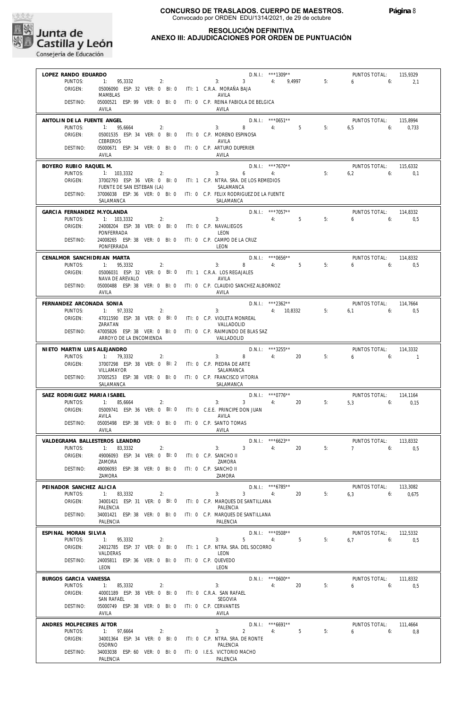

**RESOLUCIÓN DEFINITIVA**

#### **ANEXO III: ADJUDICACIONES POR ORDEN DE PUNTUACIÓN**

| LOPEZ RANDO EDUARDO         |                                                                        |                                            | D.N.I.: ***1309**    |    | PUNTOS TOTAL:          | 115.9329 |
|-----------------------------|------------------------------------------------------------------------|--------------------------------------------|----------------------|----|------------------------|----------|
| PUNTOS:                     | 1: 95,3332<br>2:                                                       | 3:3:4:9,4997                               |                      | 5: | $6\qquad 6$            | 2,1      |
| ORIGEN:                     | 05006090 ESP: 32 VER: 0 BI: 0 ITI: 1 C.R.A. MORAÑA BAJA                |                                            |                      |    |                        |          |
|                             | MAMBLAS                                                                | AVILA                                      |                      |    |                        |          |
| DESTINO:                    | 05000521 ESP: 99 VER: 0 BI: 0 ITI: 0 C.P. REINA FABIOLA DE BELGICA     |                                            |                      |    |                        |          |
|                             |                                                                        |                                            |                      |    |                        |          |
|                             | AVILA                                                                  | AVILA                                      |                      |    |                        |          |
| ANTOLIN DE LA FUENTE ANGEL  |                                                                        |                                            | $D.N.1.:$ ***0651**  |    | PUNTOS TOTAL:          | 115,8994 |
| PUNTOS:                     | 1: 95.6664<br>2:                                                       | 3:                                         | 8 4: 5               | 5: | $6.5$ 6:               |          |
|                             |                                                                        |                                            |                      |    |                        | 0,733    |
| ORIGEN:                     | 05001535 ESP: 34 VER: 0 BI: 0 ITI: 0 C.P. MORENO ESPINOSA              |                                            |                      |    |                        |          |
|                             | <b>CEBREROS</b>                                                        | AVILA                                      |                      |    |                        |          |
| DESTINO:                    | 05000671 ESP: 34 VER: 0 BI: 0 ITI: 0 C.P. ARTURO DUPERIER              |                                            |                      |    |                        |          |
|                             | AVILA                                                                  | AVILA                                      |                      |    |                        |          |
|                             |                                                                        |                                            |                      |    |                        |          |
| BOYERO RUBIO RAQUEL M.      |                                                                        |                                            | D.N.I.: ***7670**    |    | PUNTOS TOTAL:          | 115,6332 |
| PUNTOS:                     | $1: 103,3332$ 2:                                                       | $3: 6 \t 4:$                               |                      | 5: | $6,2$ 6:               | 0,1      |
| ORIGEN:                     | 37002793 ESP: 36 VER: 0 BI: 0 ITI: 1 C.P. NTRA. SRA. DE LOS REMEDIOS   |                                            |                      |    |                        |          |
|                             | FUENTE DE SAN ESTEBAN (LA)                                             | SALAMANCA                                  |                      |    |                        |          |
| DESTINO:                    | 37006038 ESP: 36 VER: 0 BI: 0 ITI: 0 C.P. FELIX RODRIGUEZ DE LA FUENTE |                                            |                      |    |                        |          |
|                             | SALAMANCA                                                              | SALAMANCA                                  |                      |    |                        |          |
|                             |                                                                        |                                            |                      |    |                        |          |
| GARCIA FERNANDEZ M.YOLANDA  |                                                                        |                                            | D.N.I.: ***7057**    |    | PUNTOS TOTAL:          | 114,8332 |
| PUNTOS:                     | 1: 103,3332<br>2:                                                      | 3:                                         | $-$ 4: 5             | 5: | $6\qquad 6$            | 0.5      |
| ORIGEN:                     | 24008204 ESP: 38 VER: 0 BI: 0 ITI: 0 C.P. NAVALIEGOS                   |                                            |                      |    |                        |          |
|                             | PONFERRADA                                                             | LEON                                       |                      |    |                        |          |
| DESTINO:                    | 24008265 ESP: 38 VER: 0 BI: 0 ITI: 0 C.P. CAMPO DE LA CRUZ             |                                            |                      |    |                        |          |
|                             | PONFERRADA                                                             | LEON                                       |                      |    |                        |          |
|                             |                                                                        |                                            |                      |    |                        |          |
| CENALMOR SANCHIDRIAN MARTA  |                                                                        |                                            | $D.N.1::$ ***0656**  |    | PUNTOS TOTAL:          | 114,8332 |
| PUNTOS:                     | 1: 95,3332<br>2:                                                       | 3:                                         | 8 4: 5               | 5: | 6.6                    | 0,5      |
| ORIGEN:                     | 05006031 ESP: 32 VER: 0 BI: 0 ITI: 1 C.R.A. LOS REGAJALES              |                                            |                      |    |                        |          |
|                             | NAVA DE AREVALO                                                        | AVILA                                      |                      |    |                        |          |
|                             |                                                                        |                                            |                      |    |                        |          |
| DESTINO:                    | 05000488 ESP: 38 VER: 0 BI: 0 ITI: 0 C.P. CLAUDIO SANCHEZ ALBORNOZ     |                                            |                      |    |                        |          |
|                             | AVILA                                                                  | AVILA                                      |                      |    |                        |          |
| FERNANDEZ ARCONADA SONIA    |                                                                        |                                            | $D.N.1::$ ***2362**  |    | PUNTOS TOTAL: 114,7664 |          |
| PUNTOS:                     | 1: 97,3332<br>2:                                                       | 3:                                         | 4: 10,8332           | 5: | $6.1$ $6:$             | 0,5      |
| ORIGEN:                     | 47011590 ESP: 38 VER: 0 BI: 0 ITI: 0 C.P. VIOLETA MONREAL              |                                            |                      |    |                        |          |
|                             | ZARATAN                                                                | VALLADOLID                                 |                      |    |                        |          |
|                             |                                                                        |                                            |                      |    |                        |          |
| DESTINO:                    | 47005826 ESP: 38 VER: 0 BI: 0 ITI: 0 C.P. RAIMUNDO DE BLAS SAZ         |                                            |                      |    |                        |          |
|                             | ARROYO DE LA ENCOMIENDA                                                | VALLADOLID                                 |                      |    |                        |          |
| NIETO MARTIN LUIS ALEJANDRO |                                                                        |                                            | $D.N.1::$ ***3255**  |    | PUNTOS TOTAL:          | 114,3332 |
| PUNTOS:                     | 1: 79,3332<br>2:                                                       |                                            | 3: 8 4: 20           | 5: | 6.6.1                  |          |
| ORIGEN:                     | 37007298 ESP: 38 VER: 0 BI: 2 ITI: 0 C.P. PIEDRA DE ARTE               |                                            |                      |    |                        |          |
|                             | VILLAMAYOR                                                             | SALAMANCA                                  |                      |    |                        |          |
| DESTINO:                    | 37005253 ESP: 38 VER: 0 BI: 0 ITI: 0 C.P. FRANCISCO VITORIA            |                                            |                      |    |                        |          |
|                             |                                                                        |                                            |                      |    |                        |          |
|                             |                                                                        |                                            |                      |    |                        |          |
|                             | SALAMANCA                                                              | SALAMANCA                                  |                      |    |                        |          |
|                             |                                                                        |                                            |                      |    |                        |          |
| SAEZ RODRIGUEZ MARIA ISABEL |                                                                        |                                            | $D.N.1.:$ ***0776**  |    | PUNTOS TOTAL:          | 114,1164 |
| PUNTOS:                     | 1: 85,6664<br>2:                                                       | 3:                                         | $3 \qquad \qquad 4$  | 5: | $5.3$ 6:               | 0,15     |
| ORIGEN:                     | 05009741 ESP: 36 VER: 0 BI: 0 ITI: 0 C.E.E. PRINCIPE DON JUAN          |                                            |                      |    |                        |          |
|                             | AVILA                                                                  | AVILA                                      |                      |    |                        |          |
| DESTINO:                    | 05005498 ESP: 38 VER: 0 BI: 0 ITI: 0 C.P. SANTO TOMAS                  |                                            |                      |    |                        |          |
|                             | AVILA                                                                  | AVILA                                      |                      |    |                        |          |
|                             | VALDEGRAMA BALLESTEROS LEANDRO                                         |                                            | $D.N.1::***6623**$   |    | PUNTOS TOTAL:          | 113.8332 |
|                             |                                                                        |                                            |                      |    |                        |          |
|                             | PUNTOS: 1: 83,3332<br>2:                                               | 3:                                         | $3 \t 4: \t 20$      | 5: | $7 \t\t\t 6$           | 0,5      |
| ORIGEN:                     | 49006093 ESP: 34 VER: 0 BI: 0                                          | ITI: 0 C.P. SANCHO II                      |                      |    |                        |          |
|                             | ZAMORA                                                                 | ZAMORA                                     |                      |    |                        |          |
| DESTINO:                    | 49006093 ESP: 38 VER: 0 BI: 0                                          | ITI: 0 C.P. SANCHO II                      |                      |    |                        |          |
|                             | ZAMORA                                                                 | ZAMORA                                     |                      |    |                        |          |
| PEINADOR SANCHEZ ALICIA     |                                                                        |                                            | $D.N.1::$ ***6785**  |    | PUNTOS TOTAL:          | 113,3082 |
| PUNTOS:                     | 1: 83,3332<br>2:                                                       | 3<br>3:                                    | 4:<br>20             | 5: | 6:                     |          |
|                             |                                                                        |                                            |                      |    | 6,3                    | 0,675    |
| ORIGEN:                     | 34001421 ESP: 31 VER: 0 BI: 0                                          | ITI: 0 C.P. MARQUES DE SANTILLANA          |                      |    |                        |          |
|                             | PALENCIA                                                               | PALENCIA                                   |                      |    |                        |          |
| DESTINO:                    | 34001421 ESP: 38 VER: 0 BI: 0                                          | ITI: 0 C.P. MARQUES DE SANTILLANA          |                      |    |                        |          |
|                             | PALENCIA                                                               | PALENCIA                                   |                      |    |                        |          |
| ESPINAL MORAN SILVIA        |                                                                        |                                            | D.N.I.: *** 0508**   |    | PUNTOS TOTAL:          | 112,5332 |
| PUNTOS:                     | 1: 95,3332<br>2:                                                       | 5<br>3:                                    | 4:<br>$5 -$          | 5: | 6:<br>6,7              | 0,5      |
|                             |                                                                        |                                            |                      |    |                        |          |
| ORIGEN:                     | 24012785 ESP: 37 VER: 0 BI: 0<br>VALDERAS                              | ITI: 1 C.P. NTRA. SRA. DEL SOCORRO<br>LEON |                      |    |                        |          |
|                             |                                                                        |                                            |                      |    |                        |          |
| DESTINO:                    | 24005811 ESP: 36 VER: 0 BI: 0                                          | ITI: 0 C.P. QUEVEDO                        |                      |    |                        |          |
|                             | LEON                                                                   | LEON                                       |                      |    |                        |          |
| BURGOS GARCIA VANESSA       |                                                                        |                                            | $D.N.1::$ *** 0600** |    | PUNTOS TOTAL:          | 111,8332 |
| PUNTOS:                     | 1: 85,3332<br>2:                                                       | 3:                                         | 4:<br>20             | 5: | 6<br>6:                | 0,5      |
| ORIGEN:                     | 40001189 ESP: 38 VER: 0 BI: 0                                          | ITI: 0 C.R.A. SAN RAFAEL                   |                      |    |                        |          |
|                             | SAN RAFAEL                                                             | SEGOVIA                                    |                      |    |                        |          |
|                             |                                                                        |                                            |                      |    |                        |          |
| DESTINO:                    | 05000749 ESP: 38 VER: 0 BI: 0                                          | ITI: 0 C.P. CERVANTES                      |                      |    |                        |          |
|                             | AVILA                                                                  | AVILA                                      |                      |    |                        |          |
| ANDRES MOLPECERES AITOR     |                                                                        |                                            | D.N.I.: *** 6691**   |    | PUNTOS TOTAL:          | 111,4664 |
| PUNTOS:                     | 1: 97,6664<br>2:                                                       | $\overline{2}$<br>3:                       | 5<br>4:              | 5: | 6<br>6:                | 0,8      |
| ORIGEN:                     | 34001364 ESP: 34 VER: 0 BI: 0                                          | ITI: 0 C.P. NTRA. SRA. DE RONTE            |                      |    |                        |          |
|                             | <b>OSORNO</b>                                                          | PALENCIA                                   |                      |    |                        |          |
| DESTINO:                    | 34003038 ESP: 60 VER: 0 BI: 0                                          | ITI: 0 I.E.S. VICTORIO MACHO               |                      |    |                        |          |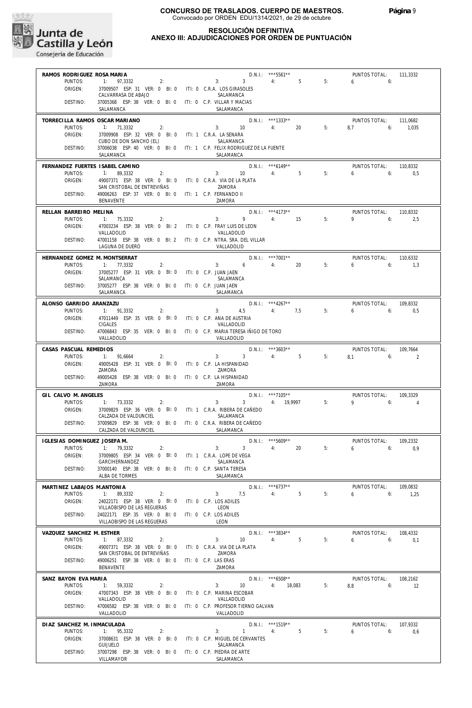

#### **RESOLUCIÓN DEFINITIVA ANEXO III: ADJUDICACIONES POR ORDEN DE PUNTUACIÓN**

| RAMOS RODRIGUEZ ROSA MARIA               |                                                                                       |                                                  | D.N.I.: *** 5561**            |    | PUNTOS TOTAL:                        | 111,3332        |
|------------------------------------------|---------------------------------------------------------------------------------------|--------------------------------------------------|-------------------------------|----|--------------------------------------|-----------------|
| PUNTOS:                                  | 1: $97,3332$ 2: 3: 3 4: 5                                                             |                                                  |                               | 5: | $6 \t\t 6$                           |                 |
| ORIGEN:                                  | 37009507 ESP: 31 VER: 0 BI: 0 ITI: 0 C.R.A. LOS GIRASOLES<br>CALVARRASA DE ABAJO      | SALAMANCA                                        |                               |    |                                      |                 |
| DESTINO:                                 | 37005368 ESP: 38 VER: 0 BI: 0 ITI: 0 C.P. VILLAR Y MACIAS                             |                                                  |                               |    |                                      |                 |
|                                          | SALAMANCA                                                                             | SALAMANCA                                        |                               |    |                                      |                 |
|                                          | TORRECILLA RAMOS OSCAR MARIANO                                                        | $D.N.1.:$ ***1333**                              |                               |    | PUNTOS TOTAL: 111,0682               |                 |
| PUNTOS:                                  | 1: 71,3332<br>2:                                                                      | $3: 10 \t 4: 20$                                 |                               | 5: | $8.7$ 6:                             | 1.035           |
| ORIGEN:                                  | 37009908 ESP: 32 VER: 0 BI: 0 ITI: 1 C.R.A. LA SENARA<br>CUBO DE DON SANCHO (EL)      | SALAMANCA                                        |                               |    |                                      |                 |
| DESTINO:                                 | 37006038 ESP: 40 VER: 0 BI: 0 ITI: 1 C.P. FELIX RODRIGUEZ DE LA FUENTE                |                                                  |                               |    |                                      |                 |
|                                          | SALAMANCA                                                                             | SALAMANCA                                        |                               |    |                                      |                 |
|                                          | FERNANDEZ FUERTES ISABEL CAMINO                                                       |                                                  | $D.N.1.:$ ***6149**           |    | PUNTOS TOTAL:                        | 110.8332        |
| PUNTOS:                                  | 2:<br>1: 89,3332                                                                      | $3: 10 \t 4: 5$                                  |                               | 5: | $6 \t\t 6$                           | 0,5             |
| ORIGEN:                                  | 49007371 ESP: 38 VER: 0 BI: 0 ITI: 0 C.R.A. VIA DE LA PLATA                           |                                                  |                               |    |                                      |                 |
| DESTINO:                                 | SAN CRISTOBAL DE ENTREVIÑAS<br>49006263 ESP: 37 VER: 0 BI: 0 ITI: 1 C.P. FERNANDO II  | ZAMORA                                           |                               |    |                                      |                 |
|                                          | BENAVENTE                                                                             | ZAMORA                                           |                               |    |                                      |                 |
| RELLAN BARREIRO MELINA                   |                                                                                       |                                                  | $D.N.1.:$ ***4173**           |    | PUNTOS TOTAL:                        | 110,8332        |
| PUNTOS:                                  | 1: 75,3332<br>2:                                                                      | $3: 9 \t 4: 15$                                  |                               | 5: | $9 \t\t 6$                           | 2,5             |
| ORIGEN:                                  | 47003234 ESP: 38 VER: 0 BI: 2 ITI: 0 C.P. FRAY LUIS DE LEON                           |                                                  |                               |    |                                      |                 |
|                                          | VALLADOLID                                                                            | VALLADOLID                                       |                               |    |                                      |                 |
| DESTINO:                                 | 47001158 ESP: 38 VER: 0 BI: 2 ITI: 0 C.P. NTRA. SRA. DEL VILLAR<br>LAGUNA DE DUERO    |                                                  |                               |    |                                      |                 |
|                                          |                                                                                       | VALLADOLID                                       |                               |    |                                      |                 |
| HERNANDEZ GOMEZ M. MONTSERRAT<br>PUNTOS: |                                                                                       | 3: 6                                             | $D.N.1:$ ***7001**            |    | PUNTOS TOTAL:<br>6.6                 | 110,6332        |
| ORIGEN:                                  | 1: 77,3332<br>2:<br>37005277 ESP: 31 VER: 0 BI: 0 ITI: 0 C.P. JUAN JAEN               |                                                  | 4: 20                         | 5: |                                      | 1,3             |
|                                          | SALAMANCA                                                                             | SALAMANCA                                        |                               |    |                                      |                 |
| DESTINO:                                 | 37005277 ESP: 38 VER: 0 BI: 0 ITI: 0 C.P. JUAN JAEN                                   |                                                  |                               |    |                                      |                 |
|                                          | SALAMANCA                                                                             | SALAMANCA                                        |                               |    |                                      |                 |
| ALONSO GARRIDO ARANZAZU                  |                                                                                       |                                                  | $D.N.1.:$ ***4267**           |    | PUNTOS TOTAL:                        | 109.8332        |
| PUNTOS:                                  | 1: 91,3332<br>2:                                                                      | 3: $4,5$ 4: 7,5                                  |                               | 5: | $6 \qquad 6$                         | 0,5             |
| ORIGEN:                                  | 47011449 ESP: 35 VER: 0 BI: 0 ITI: 0 C.P. ANA DE AUSTRIA<br><b>CIGALES</b>            | VALLADOLID                                       |                               |    |                                      |                 |
| DESTINO:                                 | 47006843 ESP: 35 VER: 0 BI: 0 ITI: 0 C.P. MARIA TERESA IÑIGO DE TORO                  |                                                  |                               |    |                                      |                 |
|                                          | VALLADOLID                                                                            | VALLADOLID                                       |                               |    |                                      |                 |
| CASAS PASCUAL REMEDIOS                   |                                                                                       |                                                  | $D.N.1::$ ***3603**           |    | PUNTOS TOTAL:                        | 109,7664        |
| PUNTOS:                                  | 1: 91,6664<br>2:                                                                      | 3: 3: 4: 5                                       |                               | 5: | 8.1 6: 2                             |                 |
|                                          |                                                                                       |                                                  |                               |    |                                      |                 |
| ORIGEN:                                  | 49005428 ESP: 31 VER: 0 BI: 0 ITI: 0 C.P. LA HISPANIDAD                               |                                                  |                               |    |                                      |                 |
| DESTINO:                                 | ZAMORA                                                                                | ZAMORA                                           |                               |    |                                      |                 |
|                                          | 49005428 ESP: 38 VER: 0 BI: 0 ITI: 0 C.P. LA HISPANIDAD<br>ZAMORA                     | ZAMORA                                           |                               |    |                                      |                 |
|                                          |                                                                                       |                                                  |                               |    |                                      |                 |
| GIL CALVO M. ANGELES<br>PUNTOS:          | 1: 73.3332<br>2:                                                                      | 3: 3 4: 19,9997 5:                               | D.N.I.: ***7105**             |    | PUNTOS TOTAL: 109,3329<br>$9 \t\t 6$ | $\overline{4}$  |
| ORIGEN:                                  | 37009829 ESP: 36 VER: 0 BI: 0 ITI: 1 C.R.A. RIBERA DE CAÑEDO                          |                                                  |                               |    |                                      |                 |
|                                          | CALZADA DE VALDUNCIEL                                                                 | SALAMANCA                                        |                               |    |                                      |                 |
| DESTINO:                                 | 37009829 ESP: 38 VER: 0 BI: 0 ITI: 0 C.R.A. RIBERA DE CAÑEDO<br>CALZADA DE VALDUNCIEL | SALAMANCA                                        |                               |    |                                      |                 |
|                                          |                                                                                       |                                                  |                               |    |                                      |                 |
| IGLESIAS DOMINGUEZ JOSEFA M.<br>PUNTOS:  | 1: 79.3332<br>2:                                                                      | 3:<br>$3 \t 4$                                   | $D.N.1::$ ***5609**<br>20     | 5: | PUNTOS TOTAL:<br>$6\qquad 6:$        | 109,2332<br>0.9 |
| ORIGEN:                                  | 37009805 ESP: 34 VER: 0 BI: 0                                                         | ITI: 1 C.R.A. LOPE DE VEGA                       |                               |    |                                      |                 |
|                                          | GARCIHERNANDEZ                                                                        | SALAMANCA                                        |                               |    |                                      |                 |
| DESTINO:                                 | 37000140 ESP: 38 VER: 0 BI: 0<br>ALBA DE TORMES                                       | ITI: 0 C.P. SANTA TERESA<br>SALAMANCA            |                               |    |                                      |                 |
|                                          |                                                                                       |                                                  |                               |    |                                      |                 |
| MARTINEZ LABAJOS M.ANTONIA<br>PUNTOS:    | 1:<br>89.3332<br>2:                                                                   | 3:<br>7,5                                        | D.N.I.: *** 6737**<br>4:<br>5 | 5: | PUNTOS TOTAL:<br>6<br>6:             | 109,0832        |
| ORIGEN:                                  | 24022171 ESP: 38 VER: 0 BI: 0                                                         | ITI: 0 C.P. LOS ADILES                           |                               |    |                                      | 1,25            |
|                                          | VILLAOBISPO DE LAS REGUERAS                                                           | LEON                                             |                               |    |                                      |                 |
| DESTINO:                                 | 24022171 ESP: 35 VER: 0 BI: 0                                                         | ITI: 0 C.P. LOS ADILES                           |                               |    |                                      |                 |
|                                          | VILLAOBISPO DE LAS REGUERAS                                                           | LEON                                             |                               |    |                                      |                 |
| VAZQUEZ SANCHEZ M. ESTHER                |                                                                                       |                                                  | $D.N.1::$ ***3834**           |    | PUNTOS TOTAL:                        | 108,4332        |
| PUNTOS:<br>ORIGEN:                       | 1:<br>87,3332<br>2:                                                                   | 3:<br>10                                         | 4:<br>5                       | 5: | 6<br>6:                              | 0,1             |
|                                          | 49007371 ESP: 38 VER: 0 BI: 0<br>SAN CRISTOBAL DE ENTREVIÑAS                          | ITI: 0 C.R.A. VIA DE LA PLATA<br>ZAMORA          |                               |    |                                      |                 |
| DESTINO:                                 | 49006251 ESP: 38 VER: 0 BI: 0                                                         | ITI: 0 C.P. LAS ERAS                             |                               |    |                                      |                 |
|                                          | BENAVENTE                                                                             | ZAMORA                                           |                               |    |                                      |                 |
| SANZ BAYON EVA MARIA                     |                                                                                       |                                                  | $D.N.1.:$ ***6508**           |    | PUNTOS TOTAL:                        | 108,2162        |
| PUNTOS:                                  | 1:<br>59,3332<br>2:                                                                   | 10<br>3:                                         | 4:<br>18,083                  | 5: | 8.8<br>6:                            | 12              |
| ORIGEN:                                  | 47007343 ESP: 38 VER: 0 BI: 0                                                         | ITI: 0 C.P. MARINA ESCOBAR                       |                               |    |                                      |                 |
| DESTINO:                                 | VALLADOLID<br>47006582 ESP: 38 VER: 0 BI: 0                                           | VALLADOLID<br>ITI: 0 C.P. PROFESOR TIERNO GALVAN |                               |    |                                      |                 |
|                                          | VALLADOLID                                                                            | VALLADOLID                                       |                               |    |                                      |                 |
| DIAZ SANCHEZ M. INMACULADA               |                                                                                       |                                                  | D.N.I.: *** 1519**            |    | PUNTOS TOTAL:                        | 107,9332        |
| PUNTOS:                                  | 95,3332<br>1:<br>2:                                                                   | $\mathbf{1}$<br>3:                               | 5<br>4:                       | 5: | 6<br>6:                              | 0,6             |
| ORIGEN:                                  | 37008631 ESP: 38 VER: 0 BI: 0                                                         | ITI: 0 C.P. MIGUEL DE CERVANTES                  |                               |    |                                      |                 |
| DESTINO:                                 | GUIJUELO<br>37007298 ESP: 38 VER: 0 BI: 0                                             | SALAMANCA<br>ITI: 0 C.P. PIEDRA DE ARTE          |                               |    |                                      |                 |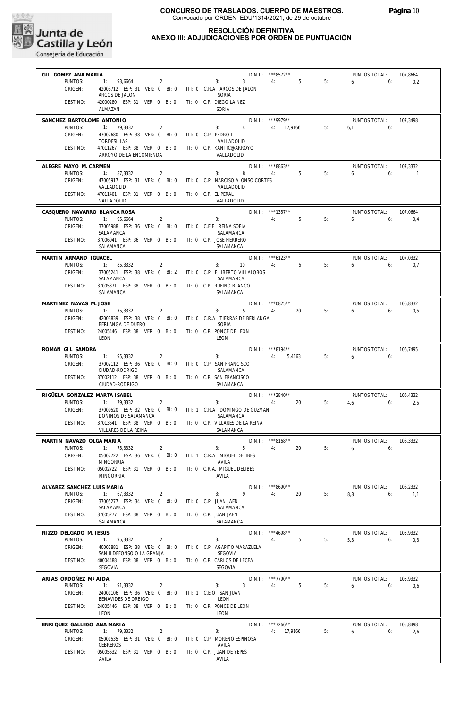

**RESOLUCIÓN DEFINITIVA**

#### **ANEXO III: ADJUDICACIONES POR ORDEN DE PUNTUACIÓN**

| GIL GOMEZ ANA MARIA               |                                                                                   |                                          | D.N.I.: ***8572**                 |                      | PUNTOS TOTAL:            | 107,8664        |
|-----------------------------------|-----------------------------------------------------------------------------------|------------------------------------------|-----------------------------------|----------------------|--------------------------|-----------------|
| PUNTOS:                           | 1: 93,6664                                                                        | 2:<br>3:                                 | $3 \sim 3$<br>$4:$ $\blacksquare$ | $5 -$<br>5:          | 6<br>6:                  | 0,2             |
| ORIGEN:                           | 42003712 ESP: 31 VER: 0 BI: 0 ITI: 0 C.R.A. ARCOS DE JALON                        | SORIA                                    |                                   |                      |                          |                 |
| DESTINO:                          | ARCOS DE JALON<br>42000280 ESP: 31 VER: 0 BI: 0 ITI: 0 C.P. DIEGO LAINEZ          |                                          |                                   |                      |                          |                 |
|                                   | ALMAZAN                                                                           | SORIA                                    |                                   |                      |                          |                 |
| SANCHEZ BARTOLOME ANTONIO         |                                                                                   |                                          | D.N.I.: ***9979**                 |                      | PUNTOS TOTAL:            | 107,3498        |
| PUNTOS:                           | 1: 79,3332<br>2:                                                                  | 3:                                       | 4 <sup>1</sup><br>4: 17,9166      | 5:                   | 6.1<br>6:                |                 |
| ORIGEN:                           | 47002680 ESP: 38 VER: 0 BI: 0 ITI: 0 C.P. PEDRO I                                 |                                          |                                   |                      |                          |                 |
| DESTINO:                          | <b>TORDESILLAS</b><br>47011267 ESP: 38 VER: 0 BI: 0 ITI: 0 C.P. KANTIC@ARROYO     |                                          | VALLADOLID                        |                      |                          |                 |
|                                   | ARROYO DE LA ENCOMIENDA                                                           | VALLADOLID                               |                                   |                      |                          |                 |
| ALEGRE MAYO M. CARMEN             |                                                                                   |                                          | $D.N.1::$ ***8863**               |                      | PUNTOS TOTAL:            | 107.3332        |
| PUNTOS:                           | 1: 87,3332<br>2:                                                                  | 3:                                       | 8                                 | 4: 5<br>5:           | 6<br>6:                  | $\overline{1}$  |
| ORIGEN:                           | 47005917 ESP: 31 VER: 0 BI: 0 ITI: 0 C.P. NARCISO ALONSO CORTES                   |                                          |                                   |                      |                          |                 |
|                                   | VALLADOLID<br>47011401 ESP: 31 VER: 0 BI: 0 ITI: 0 C.P. EL PERAL                  | VALLADOLID                               |                                   |                      |                          |                 |
| DESTINO:                          | VALLADOLID                                                                        | VALLADOLID                               |                                   |                      |                          |                 |
| CASQUERO NAVARRO BLANCA ROSA      |                                                                                   |                                          | D.N.I.: ***1357**                 |                      | PUNTOS TOTAL:            | 107,0664        |
| PUNTOS:                           | 1: 95,6664<br>2:                                                                  | 3:                                       | 4:                                | $5^{\circ}$<br>5:    | 6<br>6:                  | 0.4             |
| ORIGEN:                           | 37005988 ESP: 36 VER: 0 BI: 0 ITI: 0 C.E.E. REINA SOFIA                           |                                          |                                   |                      |                          |                 |
|                                   | SALAMANCA                                                                         | SALAMANCA                                |                                   |                      |                          |                 |
| DESTINO:                          | 37006041 ESP: 36 VER: 0 BI: 0 ITI: 0 C.P. JOSE HERRERO<br>SALAMANCA               | SALAMANCA                                |                                   |                      |                          |                 |
|                                   |                                                                                   |                                          |                                   |                      |                          |                 |
| MARTIN ARMAND IGUACEL<br>PUNTOS:  | 1: 85,3332<br>2:                                                                  | 3:                                       | $D.N.1::$ *** 6123**<br>10<br>4:  | 5 <sup>5</sup><br>5: | PUNTOS TOTAL:<br>6<br>6: | 107.0332<br>0,7 |
| ORIGEN:                           | 37005241 ESP: 38 VER: 0 BI: 2 ITI: 0 C.P. FILIBERTO VILLALOBOS                    |                                          |                                   |                      |                          |                 |
|                                   | SALAMANCA                                                                         | SALAMANCA                                |                                   |                      |                          |                 |
| DESTINO:                          | 37005371 ESP: 38 VER: 0 BI: 0 ITI: 0 C.P. RUFINO BLANCO                           |                                          |                                   |                      |                          |                 |
|                                   | SALAMANCA                                                                         | SALAMANCA                                |                                   |                      |                          |                 |
| MARTINEZ NAVAS M. JOSE<br>PUNTOS: | 1: 75.3332                                                                        |                                          | D.N.I.: ***0825**<br>4: 20        | 5:                   | PUNTOS TOTAL:<br>6:      | 106,8332        |
| ORIGEN:                           | 2:<br>42003839 ESP: 38 VER: 0 BI: 0 ITI: 0 C.R.A. TIERRAS DE BERLANGA             | 3:                                       | $5 -$                             |                      | 6                        | 0,5             |
|                                   | BERLANGA DE DUERO                                                                 | SORIA                                    |                                   |                      |                          |                 |
| DESTINO:                          | 24005446 ESP: 38 VER: 0 BI: 0 ITI: 0 C.P. PONCE DE LEON                           |                                          |                                   |                      |                          |                 |
|                                   | LEON                                                                              | LEON                                     |                                   |                      |                          |                 |
| ROMAN GIL SANDRA                  |                                                                                   |                                          | $D.N.1.:$ ***8194**               |                      | PUNTOS TOTAL:            | 106,7495        |
| PUNTOS:<br>ORIGEN:                | 1: 95,3332<br>2:<br>37002112 ESP: 36 VER: 0 BI: 0 ITI: 0 C.P. SAN FRANCISCO       | 3:                                       | 4:                                | 5:<br>5,4163         | 6<br>6:                  |                 |
|                                   | CIUDAD-RODRIGO                                                                    | SALAMANCA                                |                                   |                      |                          |                 |
| DESTINO:                          | 37002112 ESP: 38 VER: 0 BI: 0 ITI: 0 C.P. SAN FRANCISCO                           |                                          |                                   |                      |                          |                 |
|                                   | CIUDAD-RODRIGO                                                                    | SALAMANCA                                |                                   |                      |                          |                 |
| RIGÜELA GONZALEZ MARTA ISABEL     |                                                                                   |                                          | $D.N.1.:$ ***2840**               |                      | PUNTOS TOTAL:            | 106,4332        |
| PUNTOS:<br>ORIGEN:                | 1: 79,3332<br>2:<br>37009520 ESP: 32 VER: 0 BI: 0 ITI: 1 C.R.A. DOMINGO DE GUZMAN | 3:                                       | 4:                                | 20<br>5:             | $4,6$ 6:                 | 2,5             |
|                                   | DOÑINOS DE SALAMANCA                                                              | SALAMANCA                                |                                   |                      |                          |                 |
| DESTINO:                          | 37013641 ESP: 38 VER: 0 BI: 0 ITI: 0 C.P. VILLARES DE LA REINA                    |                                          |                                   |                      |                          |                 |
|                                   | VILLARES DE LA REINA                                                              | SALAMANCA                                |                                   |                      |                          |                 |
| MARTIN NAVAZO OLGA MARIA          |                                                                                   |                                          | D.N.I.: ***8168**                 |                      | PUNTOS TOTAL:            | 106,3332        |
| PUNTOS:                           | 1: 75,3332<br>2:                                                                  | 3:                                       | 5<br>4:                           | 20<br>5:             | $6\qquad 6:$             |                 |
| ORIGEN:                           | 05002722 ESP: 36 VER: 0 BI: 0<br><b>MINGORRIA</b>                                 | ITI: 1 C.R.A. MIGUEL DELIBES<br>AVILA    |                                   |                      |                          |                 |
| DESTINO:                          | 05002722 ESP: 31 VER: 0 BI: 0                                                     | ITI: 0 C.R.A. MIGUEL DELIBES             |                                   |                      |                          |                 |
|                                   | <b>MINGORRIA</b>                                                                  | AVILA                                    |                                   |                      |                          |                 |
| ALVAREZ SANCHEZ LUIS MARIA        |                                                                                   |                                          | D.N.I.: ***8690**                 |                      | PUNTOS TOTAL:            | 106,2332        |
| PUNTOS:                           | 1: 67,3332<br>2:                                                                  | 3:                                       | 9<br>4:                           | 20<br>5:             | 8,8<br>6:                | 1,1             |
| ORIGEN:                           | 37005277 ESP: 34 VER: 0 BI: 0<br>SALAMANCA                                        | ITI: 0 C.P. JUAN JAEN<br>SALAMANCA       |                                   |                      |                          |                 |
| DESTINO:                          | 37005277 ESP: 38 VER: 0 BI: 0                                                     | ITI: 0 C.P. JUAN JAEN                    |                                   |                      |                          |                 |
|                                   | SALAMANCA                                                                         | SALAMANCA                                |                                   |                      |                          |                 |
| RIZZO DELGADO M. JESUS            |                                                                                   |                                          | D.N.I.: *** 4698**                |                      | PUNTOS TOTAL:            | 105,9332        |
| PUNTOS:                           | 1:<br>95,3332<br>2:                                                               | 3:                                       | 4:                                | 5<br>5:              | 5,3<br>6:                | 0,3             |
| ORIGEN:                           | 40002881 ESP: 38 VER: 0 BI: 0<br>SAN ILDEFONSO O LA GRANJA                        | ITI: 0 C.P. AGAPITO MARAZUELA<br>SEGOVIA |                                   |                      |                          |                 |
| DESTINO:                          | 40004488 ESP: 38 VER: 0 BI: 0 ITI: 0 C.P. CARLOS DE LECEA                         |                                          |                                   |                      |                          |                 |
|                                   | SEGOVIA                                                                           | SEGOVIA                                  |                                   |                      |                          |                 |
| ARIAS ORDOÑEZ Mª AIDA             |                                                                                   |                                          | $D.N.1::$ ***7790**               |                      | PUNTOS TOTAL:            | 105,9332        |
| PUNTOS:                           | 1:<br>91,3332<br>2:                                                               | 3:                                       | 3 <sup>1</sup><br>4:              | 5 <sup>5</sup><br>5: | 6<br>6:                  | 0,6             |
| ORIGEN:                           | 24001106 ESP: 36 VER: 0 BI: 0                                                     | ITI: 1 C.E.O. SAN JUAN                   |                                   |                      |                          |                 |
| DESTINO:                          | BENAVIDES DE ORBIGO<br>24005446 ESP: 38 VER: 0 BI: 0                              | LEON<br>ITI: 0 C.P. PONCE DE LEON        |                                   |                      |                          |                 |
|                                   | LEON                                                                              | LEON                                     |                                   |                      |                          |                 |
| ENRIQUEZ GALLEGO ANA MARIA        |                                                                                   |                                          | $D.N.1::$ ***7266**               |                      | PUNTOS TOTAL:            | 105,8498        |
| PUNTOS:                           | 1: 79,3332<br>2:                                                                  | 3:                                       | 4: 17,9166                        | 5:                   | 6<br>6:                  | 2,6             |
| ORIGEN:                           | 05001535 ESP: 31 VER: 0 BI: 0                                                     | ITI: 0 C.P. MORENO ESPINOSA              |                                   |                      |                          |                 |
| DESTINO:                          | CEBREROS<br>05005632 ESP: 31 VER: 0 BI: 0                                         | AVILA<br>ITI: 0 C.P. JUAN DE YEPES       |                                   |                      |                          |                 |
|                                   | AVILA                                                                             | AVILA                                    |                                   |                      |                          |                 |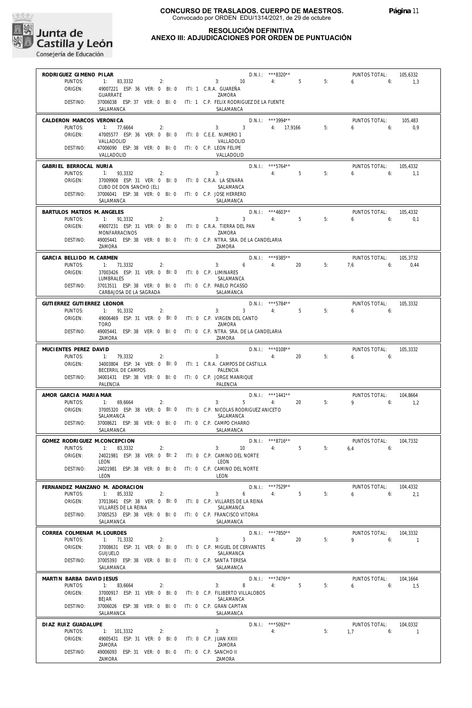

#### **RESOLUCIÓN DEFINITIVA ANEXO III: ADJUDICACIONES POR ORDEN DE PUNTUACIÓN**

| RODRIGUEZ GIMENO PILAR         |                                                                                     |                                               |                      |                   |                     |                  |
|--------------------------------|-------------------------------------------------------------------------------------|-----------------------------------------------|----------------------|-------------------|---------------------|------------------|
|                                |                                                                                     |                                               | $D.N.1::$ ***8320**  |                   | PUNTOS TOTAL:       | 105,6332         |
| PUNTOS:                        | $1: 83,3332$ 2:                                                                     | 3: 10                                         | 4:                   | $5 - 1$<br>5:     | 6<br>6:             | 1,3              |
| ORIGEN:                        | 49007221 ESP: 36 VER: 0 BI: 0 ITI: 1 C.R.A. GUAREÑA                                 |                                               |                      |                   |                     |                  |
|                                | GUARRATE                                                                            | 7AMORA                                        |                      |                   |                     |                  |
| DESTINO:                       | 37006038 ESP: 37 VER: 0 BI: 0 ITI: 1 C.P. FELIX RODRIGUEZ DE LA FUENTE<br>SALAMANCA | SALAMANCA                                     |                      |                   |                     |                  |
|                                |                                                                                     |                                               |                      |                   |                     |                  |
| CALDERON MARCOS VERONICA       |                                                                                     |                                               | $D.N.1::$ ***3994**  |                   | PUNTOS TOTAL:       | 105,483          |
| PUNTOS:                        | 1: 77,6664<br>2:                                                                    |                                               | 3: 3: 4: 17,9166     | 5:                | 6.6                 | 0.9              |
| ORIGEN:                        | 47005577 ESP: 36 VER: 0 BI: 0 ITI: 0 C.E.E. NUMERO 1                                |                                               |                      |                   |                     |                  |
|                                | VALLADOLID                                                                          | VALLADOLID                                    |                      |                   |                     |                  |
| DESTINO:                       | 47006090 ESP: 38 VER: 0 BI: 0 ITI: 0 C.P. LEON FELIPE<br>VALLADOLID                 | VALLADOLID                                    |                      |                   |                     |                  |
|                                |                                                                                     |                                               |                      |                   |                     |                  |
| GABRIEL BERROCAL NURIA         |                                                                                     |                                               | $D.N.1::$ ***5764**  |                   | PUNTOS TOTAL:       | 105.4332         |
| PUNTOS:                        | 1: 93,3332<br>2:                                                                    | 3:                                            | 4:                   | 5<br>5:           | 6<br>6:             | 1,1              |
| ORIGEN:                        | 37009908 ESP: 31 VER: 0 BI: 0 ITI: 0 C.R.A. LA SENARA                               |                                               |                      |                   |                     |                  |
|                                | CUBO DE DON SANCHO (EL)                                                             | SALAMANCA                                     |                      |                   |                     |                  |
| DESTINO:                       | 37006041 ESP: 38 VER: 0 BI: 0 ITI: 0 C.P. JOSE HERRERO<br>SALAMANCA                 | SALAMANCA                                     |                      |                   |                     |                  |
|                                |                                                                                     |                                               |                      |                   |                     |                  |
| BARTULOS MATEOS M. ANGELES     |                                                                                     |                                               | $D.N.1::$ ***4603**  |                   | PUNTOS TOTAL:       | 105,4332         |
| PUNTOS:                        | 1: 91,3332<br>2:                                                                    | 3:                                            | 4:5<br>$3^{\circ}$   | 5:                | $6\qquad 6$         | 0.1              |
| ORIGEN:                        | 49007231 ESP: 31 VER: 0 BI: 0 ITI: 0 C.R.A. TIERRA DEL PAN                          |                                               |                      |                   |                     |                  |
|                                | MONFARRACINOS                                                                       | ZAMORA                                        |                      |                   |                     |                  |
| DESTINO:                       | 49005441 ESP: 38 VER: 0 BI: 0 ITI: 0 C.P. NTRA. SRA. DE LA CANDELARIA<br>ZAMORA     | ZAMORA                                        |                      |                   |                     |                  |
|                                |                                                                                     |                                               |                      |                   |                     |                  |
| GARCIA BELLIDO M. CARMEN       |                                                                                     |                                               | D.N.I.: ***9385**    |                   | PUNTOS TOTAL:       | 105,3732         |
| PUNTOS:                        | 1: 71,3332<br>2:                                                                    | 3:                                            | $\overline{6}$<br>4: | 20<br>5:          | $7.6$ 6:            | 0,44             |
| ORIGEN:                        | 37003426 ESP: 31 VER: 0 BI: 0 ITI: 0 C.P. LIMINARES                                 |                                               |                      |                   |                     |                  |
|                                | LUMBRALES                                                                           | SALAMANCA                                     |                      |                   |                     |                  |
| DESTINO:                       | 37013511 ESP: 38 VER: 0 BI: 0 ITI: 0 C.P. PABLO PICASSO<br>CARBAJOSA DE LA SAGRADA  | SALAMANCA                                     |                      |                   |                     |                  |
|                                |                                                                                     |                                               |                      |                   |                     |                  |
| GUTIERREZ GUTIERREZ LEONOR     |                                                                                     |                                               | $D.N.1.:$ ***5784**  |                   | PUNTOS TOTAL:       | 105,3332         |
| PUNTOS:                        | 1: 91,3332<br>2:                                                                    | 3:                                            | 4:5<br>$3^{\circ}$   | 5:                | $6 \t\t\t 6$        |                  |
| ORIGEN:                        | 49006469 ESP: 31 VER: 0 BI: 0 ITI: 0 C.P. VIRGEN DEL CANTO                          |                                               |                      |                   |                     |                  |
|                                | <b>TORO</b>                                                                         | ZAMORA                                        |                      |                   |                     |                  |
| DESTINO:                       | 49005441 ESP: 38 VER: 0 BI: 0 ITI: 0 C.P. NTRA. SRA. DE LA CANDELARIA<br>ZAMORA     | ZAMORA                                        |                      |                   |                     |                  |
|                                |                                                                                     |                                               |                      |                   |                     |                  |
| MUCIENTES PEREZ DAVID          |                                                                                     |                                               | $D.N.1.:$ ***0108**  |                   | PUNTOS TOTAL:       | 105,3332         |
| PUNTOS:                        | 1: 79,3332<br>2:                                                                    | 3:                                            | 4:                   | 20<br>5:          | 6.6                 |                  |
| ORIGEN:                        | 34003804 ESP: 34 VER: 0 BI: 0 ITI: 1 C.R.A. CAMPOS DE CASTILLA                      |                                               |                      |                   |                     |                  |
|                                |                                                                                     |                                               |                      |                   |                     |                  |
|                                | BECERRIL DE CAMPOS                                                                  | PALENCIA                                      |                      |                   |                     |                  |
| DESTINO:                       | 34001431 ESP: 38 VER: 0 BI: 0 ITI: 0 C.P. JORGE MANRIQUE                            |                                               |                      |                   |                     |                  |
|                                | PALENCIA                                                                            | PALENCIA                                      |                      |                   |                     |                  |
| AMOR GARCIA MARIA MAR          |                                                                                     |                                               | $D.N.1::$ ***1441**  |                   | PUNTOS TOTAL:       | 104.8664         |
| PUNTOS:                        | 1: 69,6664<br>2:                                                                    | 3:                                            | $5^{\circ}$<br>4: 20 | 5:                | $9 \t\t 6$          | 1,2              |
| ORIGEN:                        | 37005320 ESP: 38 VER: 0 BI: 0 ITI: 0 C.P. NICOLAS RODRIGUEZ ANICETO                 |                                               |                      |                   |                     |                  |
|                                | SALAMANCA                                                                           | SALAMANCA                                     |                      |                   |                     |                  |
| DESTINO:                       | 37008621 ESP: 38 VER: 0 BI: 0 ITI: 0 C.P. CAMPO CHARRO                              |                                               |                      |                   |                     |                  |
|                                | SALAMANCA                                                                           | SALAMANCA                                     |                      |                   |                     |                  |
| GOMEZ RODRIGUEZ M.CONCEPCION   |                                                                                     |                                               | D.N.I.: ***8716**    |                   | PUNTOS TOTAL:       | 104,7332         |
| PUNTOS:                        | 1: 83.3332<br>2:                                                                    | 3:                                            | 4:<br>10             | $5^{\circ}$<br>5: | 6,4<br>6:           |                  |
| ORIGEN:                        | 24021981 ESP: 38 VER: 0 BI: 2                                                       | ITI: 0 C.P. CAMINO DEL NORTE                  |                      |                   |                     |                  |
|                                | LEON                                                                                | LEON                                          |                      |                   |                     |                  |
| DESTINO:                       | 24021981 ESP: 38 VER: 0 BI: 0<br>LEON                                               | ITI: 0 C.P. CAMINO DEL NORTE<br>LEON          |                      |                   |                     |                  |
|                                |                                                                                     |                                               |                      |                   |                     |                  |
|                                | FERNANDEZ MANZANO M. ADORACION                                                      |                                               | D.N.I.: ***7529**    |                   | PUNTOS TOTAL:       | 104,4332         |
| PUNTOS:                        | 1: 85,3332<br>2:                                                                    | 3:                                            | 6<br>4:              | $5^{\circ}$<br>5: | 6<br>6:             | 2,1              |
| ORIGEN:                        | 37013641 ESP: 38 VER: 0 BI: 0                                                       | ITI: 0 C.P. VILLARES DE LA REINA<br>SALAMANCA |                      |                   |                     |                  |
| DESTINO:                       | VILLARES DE LA REINA<br>37005253 ESP: 38 VER: 0 BI: 0                               | ITI: 0 C.P. FRANCISCO VITORIA                 |                      |                   |                     |                  |
|                                | SALAMANCA                                                                           | SALAMANCA                                     |                      |                   |                     |                  |
|                                |                                                                                     |                                               |                      |                   |                     |                  |
| CORREA COLMENAR M. LOURDES     |                                                                                     |                                               | D.N.I.: ***7850**    |                   | PUNTOS TOTAL:       | 104,3332         |
| PUNTOS:                        | 1: 71,3332<br>2:                                                                    | 3:                                            | 3 <sup>1</sup><br>4: | 20<br>5:          | 9<br>6:             | $\blacksquare$ 1 |
| ORIGEN:                        | 37008631 ESP: 31 VER: 0 BI: 0<br><b>GUIJUELO</b>                                    | ITI: 0 C.P. MIGUEL DE CERVANTES<br>SALAMANCA  |                      |                   |                     |                  |
| DESTINO:                       | 37005393 ESP: 38 VER: 0 BI: 0                                                       | ITI: 0 C.P. SANTA TERESA                      |                      |                   |                     |                  |
|                                | SALAMANCA                                                                           | SALAMANCA                                     |                      |                   |                     |                  |
|                                |                                                                                     |                                               |                      |                   |                     |                  |
| MARTIN BARBA DAVID JESUS       |                                                                                     |                                               | D.N.I.: ***7476**    |                   | PUNTOS TOTAL:       | 104,1664         |
| PUNTOS:                        | 1: 83,6664<br>2:                                                                    | 3:                                            | 8<br>4:              | 5<br>5:           | 6<br>6:             | 1,5              |
| ORIGEN:                        | 37000917 ESP: 31 VER: 0 BI: 0<br><b>BEJAR</b>                                       | ITI: 0 C.P. FILIBERTO VILLALOBOS<br>SALAMANCA |                      |                   |                     |                  |
| DESTINO:                       | 37006026 ESP: 38 VER: 0 BI: 0                                                       | ITI: 0 C.P. GRAN CAPITAN                      |                      |                   |                     |                  |
|                                | SALAMANCA                                                                           | SALAMANCA                                     |                      |                   |                     |                  |
|                                |                                                                                     |                                               |                      |                   |                     |                  |
| DIAZ RUIZ GUADALUPE<br>PUNTOS: | 2:                                                                                  | 3:                                            | $D.N.1::$ ***5092**  | 5:                | PUNTOS TOTAL:<br>6: | 104,0332         |
| ORIGEN:                        | 1: 101,3332<br>49005431 ESP: 31 VER: 0 BI: 0                                        | ITI: 0 C.P. JUAN XXIII                        | 4:                   |                   | 1,7                 | $-1$             |
|                                | ZAMORA                                                                              | ZAMORA                                        |                      |                   |                     |                  |
| DESTINO:                       | 49006093 ESP: 31 VER: 0 BI: 0                                                       | ITI: 0 C.P. SANCHO II                         |                      |                   |                     |                  |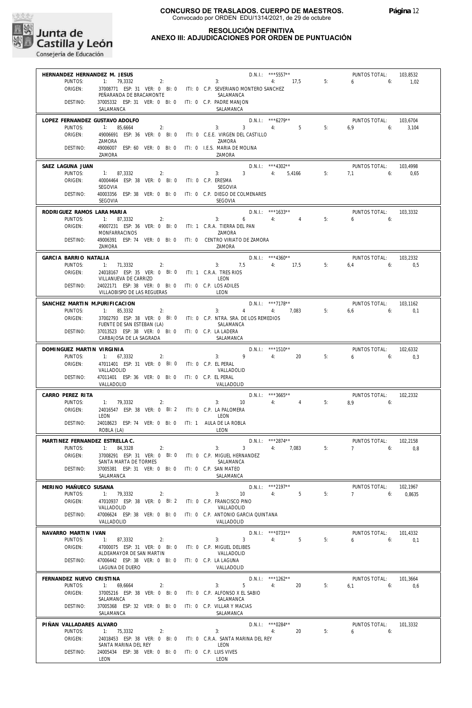

#### **RESOLUCIÓN DEFINITIVA ANEXO III: ADJUDICACIONES POR ORDEN DE PUNTUACIÓN**

| HERNANDEZ HERNANDEZ M. JESUS          |                                                                                                |                                                      | $D.N.1.:$ ***5557**                                            |    | PUNTOS TOTAL:                | 103,8532 |
|---------------------------------------|------------------------------------------------------------------------------------------------|------------------------------------------------------|----------------------------------------------------------------|----|------------------------------|----------|
| PUNTOS:                               | 2:<br>1: 79.3332                                                                               | 3:                                                   | 4: 17.5                                                        | 5: | $6 \qquad$<br>6:             | 1,02     |
| ORIGEN:                               | 37008771 ESP: 31 VER: 0 BI: 0 ITI: 0 C.P. SEVERIANO MONTERO SANCHEZ<br>PEÑARANDA DE BRACAMONTE | SALAMANCA                                            |                                                                |    |                              |          |
| DESTINO:                              | 37005332 ESP: 31 VER: 0 BI: 0 ITI: 0 C.P. PADRE MANJON<br>SALAMANCA                            | SALAMANCA                                            |                                                                |    |                              |          |
| LOPEZ FERNANDEZ GUSTAVO ADOLFO        |                                                                                                |                                                      | D.N.I.: ***6279**                                              |    | PUNTOS TOTAL:                | 103,6704 |
| PUNTOS:                               | 1: 85,6664<br>2:                                                                               | 3:                                                   | $3 \qquad \qquad 4: \qquad \qquad 5$                           | 5: | 6.9<br>6:                    | 3,104    |
| ORIGEN:                               | 49006691 ESP: 36 VER: 0 BI: 0<br>ZAMORA                                                        | ITI: 0 C.E.E. VIRGEN DEL CASTILLO<br>ZAMORA          |                                                                |    |                              |          |
| DESTINO:                              | 49006007 ESP: 60 VER: 0 BI: 0<br>ZAMORA                                                        | ITI: 0 I.E.S. MARIA DE MOLINA<br>ZAMORA              |                                                                |    |                              |          |
| SAEZ LAGUNA JUAN                      |                                                                                                |                                                      | $D.N.1.:$ ***4302**                                            |    | PUNTOS TOTAL:                | 103,4998 |
| PUNTOS:                               | 1: 87,3332<br>2:                                                                               | 3: 3                                                 | 4: 5,4166 5:                                                   |    | $7.1$ 6:                     | 0,65     |
| ORIGEN:                               | 40004464 ESP: 38 VER: 0 BI: 0                                                                  | ITI: 0 C.P. ERESMA                                   |                                                                |    |                              |          |
| DESTINO:                              | SEGOVIA<br>40003356 ESP: 38 VER: 0 BI: 0 ITI: 0 C.P. DIEGO DE COLMENARES<br>SEGOVIA            | SEGOVIA<br>SEGOVIA                                   |                                                                |    |                              |          |
|                                       |                                                                                                |                                                      |                                                                |    |                              |          |
| RODRIGUEZ RAMOS LARA MARIA<br>PUNTOS: | 1: 87,3332<br>2:                                                                               | 3:                                                   | $D.N.1::$ ***1633**<br>$6 \qquad \qquad 4:$<br>$4\overline{4}$ | 5: | PUNTOS TOTAL:<br>$6\qquad 6$ | 103,3332 |
| ORIGEN:                               | 49007231 ESP: 36 VER: 0 BI: 0                                                                  | ITI: 1 C.R.A. TIERRA DEL PAN                         |                                                                |    |                              |          |
|                                       | MONFARRACINOS<br>49006391 ESP: 74 VER: 0 BI: 0                                                 | ZAMORA<br>ITI: 0 CENTRO VIRIATO DE ZAMORA            |                                                                |    |                              |          |
| DESTINO:                              | ZAMORA                                                                                         | ZAMORA                                               |                                                                |    |                              |          |
| GARCIA BARRIO NATALIA                 |                                                                                                |                                                      | $D.N.1.:$ ***4360**                                            |    | PUNTOS TOTAL:                | 103,2332 |
| PUNTOS:                               | 1: 71,3332<br>2:                                                                               |                                                      | 3: 7,5 4: 17,5                                                 | 5: | 6,4<br>6:                    | 0,5      |
| ORIGEN:                               | 24018167 ESP: 35 VER: 0 BI: 0<br>VILLANUEVA DE CARRIZO                                         | ITI: 1 C.R.A. TRES RIOS<br>LEON                      |                                                                |    |                              |          |
| DESTINO:                              | 24022171 ESP: 38 VER: 0 BI: 0 ITI: 0 C.P. LOS ADILES                                           |                                                      |                                                                |    |                              |          |
|                                       | VILLAOBISPO DE LAS REGUERAS                                                                    | LEON                                                 |                                                                |    |                              |          |
| SANCHEZ MARTIN M.PURIFICACION         |                                                                                                |                                                      | $D.N.1.:$ ***7178**                                            |    | <b>PUNTOS TOTAL:</b>         | 103,1162 |
| PUNTOS:<br>ORIGEN:                    | 1: 85,3332<br>2:<br>37002793 ESP: 38 VER: 0 BI: 0 ITI: 0 C.P. NTRA. SRA. DE LOS REMEDIOS       | 3:<br>$4 \quad$                                      | 4: 7,083                                                       | 5: | $6.6$ 6:                     | 0,1      |
|                                       | FUENTE DE SAN ESTEBAN (LA)                                                                     | SALAMANCA                                            |                                                                |    |                              |          |
| DESTINO:                              | 37013523 ESP: 38 VER: 0 BI: 0 ITI: 0 C.P. LA LADERA                                            |                                                      |                                                                |    |                              |          |
|                                       | CARBAJOSA DE LA SAGRADA                                                                        | SALAMANCA                                            |                                                                |    |                              |          |
| DOMINGUEZ MARTIN VIRGINIA             |                                                                                                |                                                      | $D.N.1::$ ***1510**                                            |    | PUNTOS TOTAL:                | 102,6332 |
| PUNTOS:<br>ORIGEN:                    | 1: 67,3332<br>2:<br>47011401 ESP: 31 VER: 0 BI: 0                                              | 9<br>3:<br>ITI: 0 C.P. EL PERAL                      | 4:<br>20                                                       | 5: | 6<br>6:                      | 0,3      |
|                                       | VALLADOLID                                                                                     | VALLADOLID                                           |                                                                |    |                              |          |
| DESTINO:                              | 47011401 ESP: 36 VER: 0 BI: 0<br>VALLADOLID                                                    | ITI: 0 C.P. EL PERAL<br>VALLADOLID                   |                                                                |    |                              |          |
| CARRO PEREZ RITA                      |                                                                                                |                                                      | $D.N.1::$ ***3665**                                            |    | PUNTOS TOTAL:                | 102,2332 |
| PUNTOS:                               | 1: 79,3332<br>2:                                                                               | 3:<br>10                                             | 4: 4                                                           | 5: | $8.9$ 6:                     |          |
| ORIGEN:                               | 24016547 ESP: 38 VER: 0 BI: 2 ITI: 0 C.P. LA PALOMERA<br>LEON                                  | LEON                                                 |                                                                |    |                              |          |
| DESTINO:                              | 24018623 ESP: 74 VER: 0 BI: 0 ITI: 1 AULA DE LA ROBLA                                          |                                                      |                                                                |    |                              |          |
|                                       | ROBLA (LA)                                                                                     | LEON                                                 |                                                                |    |                              |          |
| MARTINEZ FERNANDEZ ESTRELLA C.        |                                                                                                |                                                      | D.N.I.: ***2874**                                              |    | PUNTOS TOTAL:                | 102,2158 |
| PUNTOS:<br>ORIGEN:                    | 1: 84,3328<br>2:<br>37008291 ESP: 31 VER: 0 BI: 0                                              | 3 <sup>1</sup><br>3:<br>ITI: 0 C.P. MIGUEL HERNANDEZ | 4: 7,083                                                       | 5: | $7$ 6:                       | 0.8      |
|                                       | SANTA MARTA DE TORMES                                                                          | SALAMANCA                                            |                                                                |    |                              |          |
| DESTINO:                              | 37005381 ESP: 31 VER: 0 BI: 0<br>SALAMANCA                                                     | ITI: 0 C.P. SAN MATEO<br>SALAMANCA                   |                                                                |    |                              |          |
| MERINO MAÑUECO SUSANA                 |                                                                                                |                                                      | D.N.I.: ***2197**                                              |    | PUNTOS TOTAL:                | 102,1967 |
| PUNTOS:                               | 1: 79.3332<br>2:                                                                               | 3:<br>10                                             | 5<br>4:                                                        | 5: | 7<br>6:                      | 0,8635   |
| ORIGEN:                               | 47010937 ESP: 38 VER: 0 Bl: 2<br>VALLADOLID                                                    | ITI: 0 C.P. FRANCISCO PINO<br>VALLADOLID             |                                                                |    |                              |          |
| DESTINO:                              | 47006624 ESP: 38 VER: 0 BI: 0                                                                  | ITI: 0 C.P. ANTONIO GARCIA QUINTANA                  |                                                                |    |                              |          |
|                                       | VALLADOLID                                                                                     | VALLADOLID                                           |                                                                |    |                              |          |
| NAVARRO MARTIN IVAN                   |                                                                                                |                                                      | D.N.I.: *** 0731**                                             |    | PUNTOS TOTAL:                | 101,4332 |
| PUNTOS:                               | 1:<br>87,3332<br>2:                                                                            | 3 <sup>1</sup><br>3:                                 | 4:<br>5                                                        | 5: | 6<br>6:                      | 0,1      |
| ORIGEN:                               | 47000075 ESP: 31 VER: 0 BI: 0<br>ALDEAMAYOR DE SAN MARTIN                                      | ITI: 0 C.P. MIGUEL DELIBES<br>VALLADOLID             |                                                                |    |                              |          |
| DESTINO:                              | 47006442 ESP: 38 VER: 0 BI: 0                                                                  | ITI: 0 C.P. LA LAGUNA                                |                                                                |    |                              |          |
|                                       | LAGUNA DE DUERO                                                                                | VALLADOLID                                           |                                                                |    |                              |          |
| FERNANDEZ NUEVO CRISTINA              |                                                                                                |                                                      | D.N.I.: ***1262**                                              |    | PUNTOS TOTAL:                | 101,3664 |
| PUNTOS:<br>ORIGEN:                    | 1: 69,6664<br>2:<br>37005216 ESP: 38 VER: 0 BI: 0                                              | 3:<br>5<br>ITI: 0 C.P. ALFONSO X EL SABIO            | 20<br>4:                                                       | 5: | 6:<br>6,1                    | 0,6      |
|                                       | SALAMANCA                                                                                      | SALAMANCA                                            |                                                                |    |                              |          |
| DESTINO:                              | 37005368 ESP: 32 VER: 0 BI: 0<br>SALAMANCA                                                     | ITI: 0 C.P. VILLAR Y MACIAS<br>SALAMANCA             |                                                                |    |                              |          |
| PIÑAN VALLADARES ALVARO               |                                                                                                |                                                      | D.N.I.: *** 0284**                                             |    | PUNTOS TOTAL:                | 101,3332 |
| PUNTOS:                               | 1: 75,3332<br>2:                                                                               | 3:                                                   | 4:<br>20                                                       | 5: | 6<br>6:                      |          |
| ORIGEN:                               | 24018453 ESP: 38 VER: 0 BI: 0<br>SANTA MARINA DEL REY                                          | ITI: 0 C.R.A. SANTA MARINA DEL REY<br>LEON           |                                                                |    |                              |          |
| DESTINO:                              | 24005434 ESP: 38 VER: 0 BI: 0                                                                  | ITI: 0 C.P. LUIS VIVES                               |                                                                |    |                              |          |
|                                       | LEON                                                                                           | LEON                                                 |                                                                |    |                              |          |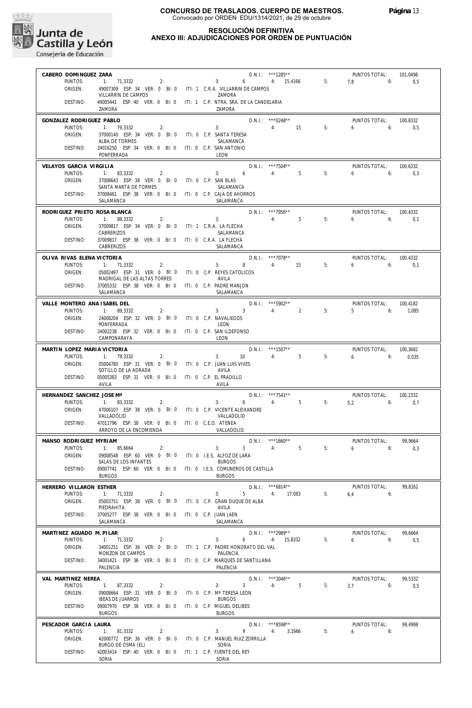

**RESOLUCIÓN DEFINITIVA**

### **ANEXO III: ADJUDICACIONES POR ORDEN DE PUNTUACIÓN**

| CABERO DOMINGUEZ ZARA                 |                                                                            | $D.N.1::$ ***1285**<br>PUNTOS TOTAL:                                            | 101,0498        |
|---------------------------------------|----------------------------------------------------------------------------|---------------------------------------------------------------------------------|-----------------|
| PUNTOS:                               | 1: 71,3332                                                                 | 2: 3: 6 4: 15,4166 5: 7,8 6:                                                    | 0,5             |
| ORIGEN:                               |                                                                            | 49007309 ESP: 34 VER: 0 BI: 0 ITI: 1 C.R.A. VILLARRIN DE CAMPOS                 |                 |
| DESTINO:                              | VILLARRIN DE CAMPOS                                                        | ZAMORA<br>49005441 ESP: 40 VER: 0 BI: 0 ITI: 1 C.P. NTRA. SRA. DE LA CANDELARIA |                 |
|                                       | ZAMORA                                                                     | ZAMORA                                                                          |                 |
| GONZALEZ RODRIGUEZ PABLO              |                                                                            | $D.N.1.:$ ***0248**<br>PUNTOS TOTAL:                                            | 100.8332        |
| PUNTOS:                               | 1: 79.3332<br>2:                                                           | 3:<br>4: 15<br>5:<br>$6 \t\t 6$                                                 | 0,5             |
| ORIGEN:                               | 37000140 ESP: 34 VER: 0 BI: 0 ITI: 0 C.P. SANTA TERESA                     |                                                                                 |                 |
|                                       | ALBA DE TORMES                                                             | SALAMANCA                                                                       |                 |
| DESTINO:                              | 24016250 ESP: 34 VER: 0 BI: 0 ITI: 0 C.P. SAN ANTONIO                      |                                                                                 |                 |
|                                       | PONFERRADA                                                                 | LEON                                                                            |                 |
| VELAYOS GARCIA VIRGILIA               |                                                                            | D.N.I.: ***7504**<br>PUNTOS TOTAL:                                              | 100,6332        |
| PUNTOS:<br>ORIGEN:                    | 1: 83,3332<br>2:<br>37008643 ESP: 38 VER: 0 BI: 0 ITI: 0 C.P. SAN BLAS     | $3: 6 \t 4:$<br>$5 -$<br>5:<br>$6 \t\t 6$                                       | 0,3             |
|                                       | SANTA MARTA DE TORMES                                                      | SALAMANCA                                                                       |                 |
| DESTINO:                              | 37008461 ESP: 38 VER: 0 BI: 0 ITI: 0 C.P. CAJA DE AHORROS                  |                                                                                 |                 |
|                                       | SALAMANCA                                                                  | SALAMANCA                                                                       |                 |
| RODRIGUEZ PRIETO ROSA BLANCA          |                                                                            | D.N.I.: ***7956**<br>PUNTOS TOTAL:                                              | 100,4332        |
| PUNTOS:                               | 1: 89,3332<br>2:                                                           | $6\qquad 6$<br>4:5<br>5:<br>3:                                                  | 0.1             |
| ORIGEN:                               | 37009817 ESP: 34 VER: 0 BI: 0 ITI: 1 C.R.A. LA FLECHA                      |                                                                                 |                 |
| DESTINO:                              | <b>CABRERIZOS</b><br>37009817 ESP: 38 VER: 0 BI: 0 ITI: 0 C.R.A. LA FLECHA | SALAMANCA                                                                       |                 |
|                                       | CABRERIZOS                                                                 | SALAMANCA                                                                       |                 |
|                                       |                                                                            |                                                                                 |                 |
| OLIVA RIVAS ELENA VICTORIA<br>PUNTOS: | 1: 71,3332<br>2:                                                           | D.N.I.: ***7078**<br>PUNTOS TOTAL:<br>4: 15<br>5:<br>6.6<br>3:                  | 100.4332<br>0,1 |
| ORIGEN:                               | 05002497 ESP: 31 VER: 0 BI: 0 ITI: 0 C.P. REYES CATOLICOS                  |                                                                                 |                 |
|                                       | MADRIGAL DE LAS ALTAS TORRES                                               | AVILA                                                                           |                 |
| DESTINO:                              | 37005332 ESP: 38 VER: 0 BI: 0 ITI: 0 C.P. PADRE MANJON                     |                                                                                 |                 |
|                                       | SALAMANCA                                                                  | SALAMANCA                                                                       |                 |
| VALLE MONTERO ANA ISABEL DEL          |                                                                            | $D.N.1.:$ ***5902**<br>PUNTOS TOTAL:                                            | 100.4182        |
| PUNTOS:                               | 1: 89,3332<br>2:                                                           | $\overline{\mathbf{3}}$<br>4:2<br>5:<br>$5 \t\t 6$<br>3:                        | 1,085           |
| ORIGEN:                               | 24008204 ESP: 32 VER: 0 BI: 0 ITI: 0 C.P. NAVALIEGOS<br>PONFERRADA         | LEON                                                                            |                 |
| DESTINO:                              | 24002238 ESP: 32 VER: 0 BI: 0 ITI: 0 C.P. SAN ILDEFONSO                    |                                                                                 |                 |
|                                       | CAMPONARAYA                                                                | LEON                                                                            |                 |
| MARTIN LOPEZ MARIA VICTORIA           |                                                                            | $D.N.1.:$ ***1507**<br>PUNTOS TOTAL:                                            | 100,3682        |
| PUNTOS:                               | 1: 79,3332<br>2:                                                           | $10 \t\t 4: \t\t 5$<br>5:<br>$6\qquad 6$<br>3:                                  | 0,035           |
| ORIGEN:                               | 05004780 ESP: 31 VER: 0 BI: 0 ITI: 0 C.P. JUAN LUIS VIVES                  |                                                                                 |                 |
|                                       | SOTILLO DE LA ADRADA                                                       | AVILA                                                                           |                 |
| DESTINO:                              | 05005383 ESP: 31 VER: 0 BI: 0 ITI: 0 C.P. EL PRADILLO<br>AVILA             | AVILA                                                                           |                 |
|                                       |                                                                            |                                                                                 |                 |
| HERNANDEZ SANCHEZ JOSE Mª             | 2:                                                                         | D.N.I.: ***7541**<br>PUNTOS TOTAL:<br>$6 \qquad \qquad 4: \qquad \qquad 5$      | 100,2332        |
| PUNTOS:<br>ORIGEN:                    | 1: 83.3332<br>47006107 ESP: 38 VER: 0 BI: 0 ITI: 0 C.P. VICENTE ALEIXANDRE | $3:$ $\sim$ $\sim$<br>5:<br>$5.2$ 6:                                            | 0,7             |
|                                       | VALLADOLID                                                                 | VALLADOLID                                                                      |                 |
| DESTINO:                              | 47011796 ESP: 38 VER: 0 BI: 0 ITI: 0 C.E.O. ATENEA                         |                                                                                 |                 |
|                                       | ARROYO DE LA ENCOMIENDA                                                    | VALLADOLID                                                                      |                 |
| MANSO RODRIGUEZ MYRIAM                |                                                                            | $D.N.1::$ ***1660**<br>PUNTOS TOTAL:                                            | 99,9664         |
| PUNTOS:                               | 1: 85,6664<br>2:                                                           | $3 \qquad \qquad 4: \qquad \qquad 5$<br>$6\qquad 6$<br>3:<br>5:                 | 0.3             |
| ORIGEN:                               | 09008548 ESP: 60 VER: 0 BI: 0<br>SALAS DE LOS INFANTES                     | ITI: 0 I.E.S. ALFOZ DE LARA<br><b>BURGOS</b>                                    |                 |
| DESTINO:                              | 09007741 ESP: 60 VER: 0 BI: 0                                              | ITI: 0 I.E.S. COMUNEROS DE CASTILLA                                             |                 |
|                                       | <b>BURGOS</b>                                                              | <b>BURGOS</b>                                                                   |                 |
| HERRERO VILLARON ESTHER               |                                                                            | $D.N.1::$ ***6814**<br>PUNTOS TOTAL:                                            | 99.8162         |
| PUNTOS:                               | 1: 71,3332<br>2:                                                           | 5<br>5:<br>3:<br>4:<br>17,083<br>6,4<br>6:                                      |                 |
| ORIGEN:                               | 05003751 ESP: 38 VER: 0 BI: 0                                              | ITI: 0 C.P. GRAN DUQUE DE ALBA                                                  |                 |
|                                       | PIEDRAHITA                                                                 | AVILA                                                                           |                 |
| DESTINO:                              | 37005277 ESP: 38 VER: 0 BI: 0                                              | ITI: 0 C.P. JUAN JAEN                                                           |                 |
|                                       | SALAMANCA                                                                  | SALAMANCA                                                                       |                 |
| MARTINEZ AGUADO M. PILAR              |                                                                            | D.N.I.: ***2989**<br>PUNTOS TOTAL:                                              | 99,6664         |
| PUNTOS:<br>ORIGEN:                    | 1: 71,3332<br>2:<br>34001251 ESP: 36 VER: 0 BI: 0                          | 5:<br>6<br>4: 15,8332<br>6<br>6:<br>3:<br>ITI: 1 C.P. PADRE HONORATO DEL VAL    | 0,5             |
|                                       | MONZON DE CAMPOS                                                           | PALENCIA                                                                        |                 |
| DESTINO:                              | 34001421 ESP: 36 VER: 0 BI: 0                                              | ITI: 0 C.P. MARQUES DE SANTILLANA                                               |                 |
|                                       | PALENCIA                                                                   | PALENCIA                                                                        |                 |
| VAL MARTINEZ NEREA                    |                                                                            | D.N.I.: ***3046**<br>PUNTOS TOTAL:                                              | 99,5332         |
| PUNTOS:                               | 1:<br>2:<br>87,3332                                                        | $\overline{3}$<br>4:<br>5<br>5:<br>3:<br>3,7<br>6:                              | 0,5             |
| ORIGEN:                               | 09008664 ESP: 31 VER: 0 BI: 0                                              | ITI: 0 C.P. Mª TERESA LEON<br><b>BURGOS</b>                                     |                 |
| DESTINO:                              | <b>IBEAS DE JUARROS</b><br>09007970 ESP: 38 VER: 0 BI: 0                   | ITI: 0 C.P. MIGUEL DELIBES                                                      |                 |
|                                       | <b>BURGOS</b>                                                              | <b>BURGOS</b>                                                                   |                 |
|                                       |                                                                            | D.N.I.: ***8598**                                                               |                 |
| PESCADOR GARCIA LAURA                 |                                                                            | PUNTOS TOTAL:                                                                   | 99,4998         |
| PUNTOS:                               |                                                                            | 9<br>5:                                                                         |                 |
| ORIGEN:                               | 1: 81,3332<br>2:<br>42000772 ESP: 36 VER: 0 BI: 0                          | 3:<br>4:<br>3,1666<br>6<br>6:<br>ITI: 0 C.P. MANUEL RUIZ ZORRILLA               |                 |
|                                       | BURGO DE OSMA (EL)                                                         | SORIA                                                                           |                 |
| DESTINO:                              | 42003414 ESP: 40 VER: 0 BI: 0 ITI: 1 C.P. FUENTE DEL REY<br>SORIA          | SORIA                                                                           |                 |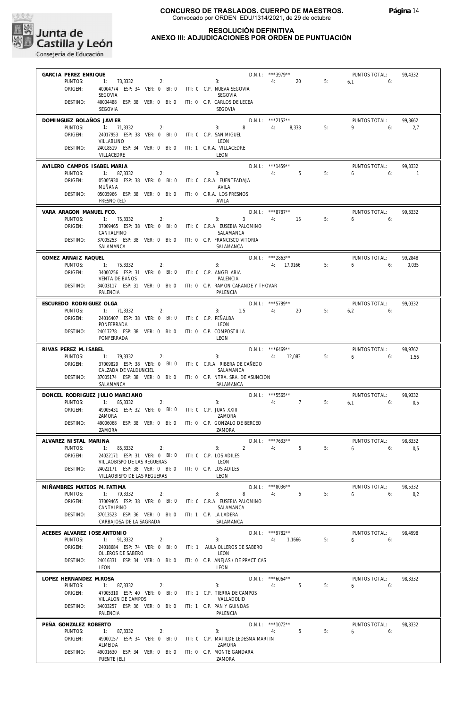

#### **RESOLUCIÓN DEFINITIVA ANEXO III: ADJUDICACIONES POR ORDEN DE PUNTUACIÓN**

| GARCIA PEREZ ENRIQUE               |                                                                               |                                                | D.N.I.: ***3979**                          |    | PUNTOS TOTAL:               | 99,4332         |
|------------------------------------|-------------------------------------------------------------------------------|------------------------------------------------|--------------------------------------------|----|-----------------------------|-----------------|
| PUNTOS:                            | 1: 73,3332<br>2:                                                              | 3:                                             | 20<br>4:                                   | 5: | 6.1<br>6:                   |                 |
| ORIGEN:                            | 40004774 ESP: 34 VER: 0 BI: 0<br>SEGOVIA                                      | ITI: 0 C.P. NUEVA SEGOVIA<br>SEGOVIA           |                                            |    |                             |                 |
| DESTINO:                           | 40004488 ESP: 38 VER: 0 BI: 0                                                 | ITI: 0 C.P. CARLOS DE LECEA                    |                                            |    |                             |                 |
|                                    | SEGOVIA                                                                       | SEGOVIA                                        |                                            |    |                             |                 |
| DOMINGUEZ BOLAÑOS JAVIER           |                                                                               |                                                | $D.N.1::$ ***2152**                        |    | PUNTOS TOTAL:               | 99,3662         |
| PUNTOS:                            | 1: 71.3332<br>2:                                                              | 3:                                             | 8<br>4: 8.333                              | 5: | 9<br>6:                     | 2,7             |
| ORIGEN:                            | 24017953 ESP: 38 VER: 0 BI: 0                                                 | ITI: 0 C.P. SAN MIGUEL                         |                                            |    |                             |                 |
| DESTINO:                           | VILLABLINO<br>24018519 ESP: 34 VER: 0 BI: 0                                   | LEON<br>ITI: 1 C.R.A. VILLACEDRE               |                                            |    |                             |                 |
|                                    | VILLACEDRE                                                                    | LEON                                           |                                            |    |                             |                 |
| AVILERO CAMPOS ISABEL MARIA        |                                                                               |                                                | $D.N.1::$ ***1459**                        |    | PUNTOS TOTAL:               | 99,3332         |
| PUNTOS:                            | 1:<br>87,3332<br>2:                                                           | 3:                                             | $5^{\circ}$<br>4:                          | 5: | 6<br>6:                     | $\mathbf{1}$    |
| ORIGEN:                            | 05005930 ESP: 38 VER: 0 BI: 0                                                 | ITI: 0 C.R.A. FUENTEADAJA                      |                                            |    |                             |                 |
| DESTINO:                           | MUÑANA<br>05005966 ESP: 38 VER: 0 BI: 0 ITI: 0 C.R.A. LOS FRESNOS             | AVILA                                          |                                            |    |                             |                 |
|                                    | FRESNO (EL)                                                                   | AVILA                                          |                                            |    |                             |                 |
| VARA ARAGON MANUEL FCO.            |                                                                               |                                                | D.N.I.: ***8787**                          |    | PUNTOS TOTAL:               | 99,3332         |
| PUNTOS:                            | 1: 75,3332<br>2:                                                              | 3:                                             | $3^{\circ}$<br>4:<br>15                    | 5: | 6<br>6:                     |                 |
| ORIGEN:                            | 37009465 ESP: 38 VER: 0 BI: 0                                                 | ITI: 0 C.R.A. EUSEBIA PALOMINO                 |                                            |    |                             |                 |
| DESTINO:                           | CANTALPINO<br>37005253 ESP: 38 VER: 0 BI: 0                                   | SALAMANCA<br>ITI: 0 C.P. FRANCISCO VITORIA     |                                            |    |                             |                 |
|                                    | SALAMANCA                                                                     | SALAMANCA                                      |                                            |    |                             |                 |
| GOMEZ ARNAIZ RAQUEL                |                                                                               |                                                | $D.N.I.:$ ***2863**                        |    | PUNTOS TOTAL:               | 99,2848         |
| PUNTOS:                            | 1: 75,3332<br>2:                                                              | 3:                                             | 4: 17,9166                                 | 5: | 6<br>6:                     | 0,035           |
| ORIGEN:                            | 34000256 ESP: 31 VER: 0 BI: 0                                                 | ITI: 0 C.P. ANGEL ABIA                         |                                            |    |                             |                 |
|                                    | <b>VENTA DE BAÑOS</b>                                                         | PALENCIA                                       |                                            |    |                             |                 |
| DESTINO:                           | 34003117 ESP: 31 VER: 0 BI: 0<br>PALENCIA                                     | ITI: 0 C.P. RAMON CARANDE Y THOVAR<br>PALENCIA |                                            |    |                             |                 |
|                                    |                                                                               |                                                |                                            |    |                             |                 |
| ESCUREDO RODRIGUEZ OLGA<br>PUNTOS: | 1: 71,3332<br>2:                                                              | 1,5<br>3:                                      | D.N.I.: *** 5789**<br>4:<br>20             | 5: | PUNTOS TOTAL:<br>6,2<br>6:  | 99,0332         |
| ORIGEN:                            | 24016407 ESP: 38 VER: 0 BI: 0                                                 | ITI: 0 C.P. PEÑALBA                            |                                            |    |                             |                 |
|                                    | PONFERRADA                                                                    | LEON                                           |                                            |    |                             |                 |
| DESTINO:                           | 24017278 ESP: 38 VER: 0 BI: 0<br>PONFERRADA                                   | ITI: 0 C.P. COMPOSTILLA<br>LEON                |                                            |    |                             |                 |
|                                    |                                                                               |                                                |                                            |    |                             |                 |
| RIVAS PEREZ M. ISABEL<br>PUNTOS:   | 1: 79,3332<br>2:                                                              | 3:                                             | $D.N.1::$ *** 6469**<br>4: 12,083          | 5: | PUNTOS TOTAL:<br>6<br>6:    | 98,9762<br>1,56 |
| ORIGEN:                            | 37009829 ESP: 38 VER: 0 BI: 0                                                 | ITI: 0 C.R.A. RIBERA DE CAÑEDO                 |                                            |    |                             |                 |
|                                    | CALZADA DE VALDUNCIEL                                                         | SALAMANCA                                      |                                            |    |                             |                 |
| DESTINO:                           | 37005174 ESP: 38 VER: 0 BI: 0 ITI: 0 C.P. NTRA. SRA. DE ASUNCION<br>SALAMANCA |                                                |                                            |    |                             |                 |
|                                    |                                                                               | SALAMANCA                                      |                                            |    |                             |                 |
| PUNTOS:                            | DONCEL RODRIGUEZ JULIO MARCIANO<br>1:<br>85,3332<br>2:                        | 3:                                             | D.N.I.: *** 5565**<br>$\overline{7}$<br>4: | 5: | PUNTOS TOTAL:<br>$6.1$ $6:$ | 98,9332<br>0,5  |
| ORIGEN:                            | 49005431 ESP: 32 VER: 0 BI: 0                                                 | ITI: 0 C.P. JUAN XXIII                         |                                            |    |                             |                 |
|                                    | ZAMORA                                                                        | 7AMORA                                         |                                            |    |                             |                 |
| DESTINO:                           | 49006068 ESP: 38 VER: 0 BI: 0<br>ZAMORA                                       | ITI: 0 C.P. GONZALO DE BERCEO<br>ZAMORA        |                                            |    |                             |                 |
|                                    |                                                                               |                                                |                                            |    |                             |                 |
| ALVAREZ NISTAL MARINA<br>PUNTOS:   | $-1:$<br>85,3332                                                              |                                                | D.N.I.: ***7633**<br>$\overline{2}$<br>5   | 5: | PUNTOS TOTAL:               | 98,8332         |
| ORIGEN:                            | 2:<br>24022171 ESP: 31 VER: 0 BI: 0                                           | 3:<br>ITI: 0 C.P. LOS ADILES                   | 4:                                         |    | 6<br>6:                     | 0,5             |
|                                    | VILLAOBISPO DE LAS REGUERAS                                                   | LEON                                           |                                            |    |                             |                 |
| DESTINO:                           | 24022171 ESP: 38 VER: 0 BI: 0                                                 | ITI: 0 C.P. LOS ADILES                         |                                            |    |                             |                 |
|                                    | VILLAOBISPO DE LAS REGUERAS                                                   | LEON                                           |                                            |    |                             |                 |
| MIÑAMBRES MATEOS M. FATIMA         | 1: 79.3332                                                                    | 3:                                             | D.N.I.: ***8036**                          |    | PUNTOS TOTAL:               | 98,5332         |
| PUNTOS:<br>ORIGEN:                 | 2:<br>37009465 ESP: 38 VER: 0 BI: 0                                           | ITI: 0 C.R.A. EUSEBIA PALOMINO                 | 5<br>8<br>4:                               | 5: | 6<br>6:                     | 0,2             |
|                                    | CANTALPINO                                                                    | SALAMANCA                                      |                                            |    |                             |                 |
| DESTINO:                           | 37013523 ESP: 36 VER: 0 BI: 0                                                 | ITI: 1 C.P. LA LADERA                          |                                            |    |                             |                 |
|                                    | CARBAJOSA DE LA SAGRADA                                                       | SALAMANCA                                      |                                            |    |                             |                 |
| ACEBES ALVAREZ JOSE ANTONIO        |                                                                               |                                                | D.N.I.: ***9782**                          |    | PUNTOS TOTAL:               | 98,4998         |
| PUNTOS:<br>ORIGEN:                 | 1:<br>91,3332<br>2:<br>24018684 ESP: 74 VER: 0 BI: 0                          | 3:<br>ITI: 1 AULA OLLEROS DE SABERO            | 4: 1,1666                                  | 5: | 6<br>6:                     |                 |
|                                    | OLLEROS DE SABERO                                                             | LEON                                           |                                            |    |                             |                 |
| DESTINO:                           | 24016331 ESP: 34 VER: 0 BI: 0                                                 | ITI: 0 C.P. ANEJAS / DE PRACTICAS              |                                            |    |                             |                 |
|                                    | LEON                                                                          | LEON                                           |                                            |    |                             |                 |
| LOPEZ HERNANDEZ M.ROSA             |                                                                               |                                                | $D.N.1.:$ ***6064**                        |    | PUNTOS TOTAL:               | 98,3332         |
| PUNTOS:<br>ORIGEN:                 | 1:<br>87,3332<br>2:<br>47005310 ESP: 40 VER: 0 BI: 0                          | 3:<br>ITI: 1 C.P. TIERRA DE CAMPOS             | 5<br>4:                                    | 5: | 6<br>6:                     |                 |
|                                    | VILLALON DE CAMPOS                                                            | VALLADOLID                                     |                                            |    |                             |                 |
| DESTINO:                           | 34003257 ESP: 36 VER: 0 BI: 0                                                 | ITI: 1 C.P. PAN Y GUINDAS                      |                                            |    |                             |                 |
|                                    | PALENCIA                                                                      | PALENCIA                                       |                                            |    |                             |                 |
| PEÑA GONZALEZ ROBERTO              |                                                                               |                                                | D.N.I.: ***1072**                          |    | PUNTOS TOTAL:               | 98,3332         |
| PUNTOS:                            | 1: 87,3332<br>2:                                                              | 3:                                             | 5<br>4:                                    | 5: | 6<br>6:                     |                 |
| ORIGEN:                            | 49000157 ESP: 34 VER: 0 BI: 0<br>ALMEIDA                                      | ITI: 0 C.P. MATILDE LEDESMA MARTIN<br>ZAMORA   |                                            |    |                             |                 |
|                                    |                                                                               |                                                |                                            |    |                             |                 |
| DESTINO:                           | 49001630 ESP: 34 VER: 0 BI: 0                                                 | ITI: 0 C.P. MONTE GANDARA                      |                                            |    |                             |                 |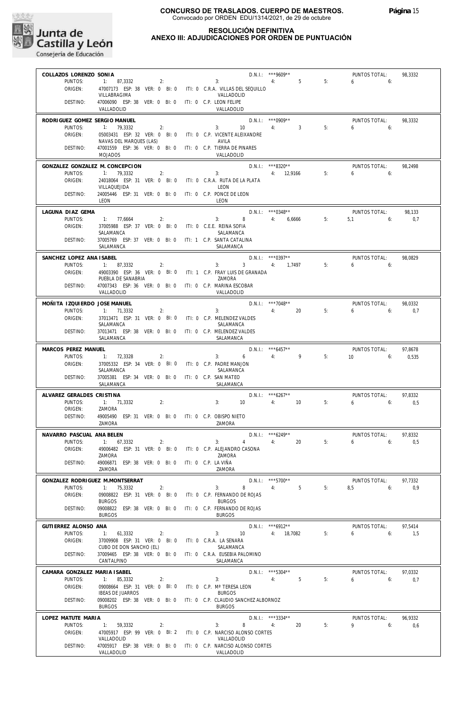

#### **RESOLUCIÓN DEFINITIVA ANEXO III: ADJUDICACIONES POR ORDEN DE PUNTUACIÓN**

| COLLAZOS LORENZO SONIA                  |                                                                                         | $D.N.1::$ ***9609**                                                                   |                                   |    | PUNTOS TOTAL:            | 98,3332        |
|-----------------------------------------|-----------------------------------------------------------------------------------------|---------------------------------------------------------------------------------------|-----------------------------------|----|--------------------------|----------------|
| PUNTOS:<br>ORIGEN:                      | 1: 87,3332<br>2:                                                                        | 3:<br>47007173 ESP: 38 VER: 0 BI: 0 ITI: 0 C.R.A. VILLAS DEL SEQUILLO                 | 4:5                               | 5: | 6<br>6:                  |                |
|                                         | VILLABRAGIMA                                                                            | VALLADOLID                                                                            |                                   |    |                          |                |
| DESTINO:                                | 47006090 ESP: 38 VER: 0 BI: 0 ITI: 0 C.P. LEON FELIPE<br>VALLADOLID                     | VALLADOLID                                                                            |                                   |    |                          |                |
| RODRIGUEZ GOMEZ SERGIO MANUEL           |                                                                                         | D.N.I.: *** 0909**                                                                    |                                   |    | PUNTOS TOTAL:            | 98,3332        |
| PUNTOS:<br>ORIGEN:                      | 1: 79,3332<br>2:                                                                        | 3:<br>10 <sup>°</sup><br>05003431 ESP: 32 VER: 0 BI: 0 ITI: 0 C.P. VICENTE ALEIXANDRE | $\overline{\mathbf{3}}$<br>4:     | 5: | 6<br>6:                  |                |
| DESTINO:                                | NAVAS DEL MARQUES (LAS)<br>47001559 ESP: 36 VER: 0 BI: 0 ITI: 0 C.P. TIERRA DE PINARES  | AVILA                                                                                 |                                   |    |                          |                |
|                                         | <b>MOJADOS</b>                                                                          | VALLADOLID                                                                            |                                   |    |                          |                |
| PUNTOS:                                 | GONZALEZ GONZALEZ M. CONCEPCION<br>1: 79,3332<br>2:                                     | 3:                                                                                    | $D.N.1::$ ***8320**<br>4: 12,9166 | 5: | PUNTOS TOTAL:<br>6<br>6: | 98,2498        |
| ORIGEN:                                 |                                                                                         | 24018064 ESP: 31 VER: 0 BI: 0 ITI: 0 C.R.A. RUTA DE LA PLATA                          |                                   |    |                          |                |
| DESTINO:                                | VILLAQUEJIDA<br>24005446 ESP: 31 VER: 0 BI: 0 ITI: 0 C.P. PONCE DE LEON<br>LEON         | LEON                                                                                  |                                   |    |                          |                |
| LAGUNA DIAZ GEMA                        |                                                                                         | LEON                                                                                  | $D.N.1::$ ***0348**               |    | PUNTOS TOTAL:            | 98,133         |
| PUNTOS:                                 | 1: 77,6664<br>2:                                                                        | 3:                                                                                    | 8 4: 6,6666                       | 5: | $5.1$ 6:                 | 0,7            |
| ORIGEN:                                 | 37005988 ESP: 37 VER: 0 BI: 0<br>SALAMANCA                                              | ITI: 0 C.E.E. REINA SOFIA<br>SALAMANCA                                                |                                   |    |                          |                |
| DESTINO:                                | 37005769 ESP: 37 VER: 0 BI: 0 ITI: 1 C.P. SANTA CATALINA<br>SALAMANCA                   | SALAMANCA                                                                             |                                   |    |                          |                |
| SANCHEZ LOPEZ ANA ISABEL                |                                                                                         | $D.N.1::$ *** 0397**                                                                  |                                   |    | PUNTOS TOTAL:            | 98.0829        |
| PUNTOS:                                 | 1: 87,3332<br>2:                                                                        | 3 <sup>7</sup><br>3:                                                                  | 4: 1,7497                         | 5: | 6<br>6:                  |                |
| ORIGEN:                                 | PUEBLA DE SANABRIA                                                                      | 49003390 ESP: 36 VER: 0 BI: 0 ITI: 1 C.P. FRAY LUIS DE GRANADA<br>ZAMORA              |                                   |    |                          |                |
| DESTINO:                                | 47007343 ESP: 36 VER: 0 BI: 0 ITI: 0 C.P. MARINA ESCOBAR<br>VALLADOLID                  | VALLADOLID                                                                            |                                   |    |                          |                |
| MOÑITA IZQUIERDO JOSE MANUEL            |                                                                                         | $D.N.1::$ ***7048**                                                                   |                                   |    | PUNTOS TOTAL:            | 98,0332        |
| PUNTOS:<br>ORIGEN:                      | 1: 71,3332<br>2:<br>37013471 ESP: 31 VER: 0 BI: 0 ITI: 0 C.P. MELENDEZ VALDES           | 3:                                                                                    | 4:<br>20                          | 5: | $6 \t\t\t 6$             | 0,7            |
|                                         | SALAMANCA                                                                               | SALAMANCA                                                                             |                                   |    |                          |                |
| DESTINO:                                | 37013471 ESP: 38 VER: 0 BI: 0<br>SALAMANCA                                              | ITI: 0 C.P. MELENDEZ VALDES<br>SALAMANCA                                              |                                   |    |                          |                |
| MARCOS PEREZ MANUEL                     |                                                                                         | $D.N.1::$ *** 6457**                                                                  |                                   |    | PUNTOS TOTAL:            | 97,8678        |
| PUNTOS:<br>ORIGEN:                      | 1: 72,3328<br>2:<br>37005332 ESP: 34 VER: 0 BI: 0 ITI: 0 C.P. PADRE MANJON              | 3:<br>6                                                                               | 4:<br>9                           | 5: | 10 <sup>10</sup><br>6:   | 0,535          |
|                                         | SALAMANCA                                                                               | SALAMANCA                                                                             |                                   |    |                          |                |
| DESTINO:                                | 37005381 ESP: 34 VER: 0 BI: 0<br>SALAMANCA                                              | ITI: 0 C.P. SAN MATEO<br>SALAMANCA                                                    |                                   |    |                          |                |
| ALVAREZ GERALDES CRISTINA               |                                                                                         | $D.N.1::$ *** 6267**                                                                  |                                   |    | PUNTOS TOTAL:            | 97,8332        |
| PUNTOS:<br>ORIGEN:                      | 1: 71,3332<br>2:<br>ZAMORA                                                              | 3:<br>10                                                                              | 4: 10                             | 5: | $6\qquad 6$              | 0,5            |
| DESTINO:                                | 49005490 ESP: 31 VER: 0 BI: 0 ITI: 0 C.P. OBISPO NIETO<br>ZAMORA                        | ZAMORA                                                                                |                                   |    |                          |                |
| NAVARRO PASCUAL ANA BELEN               |                                                                                         | $D.N.1::$ *** 6249**                                                                  |                                   |    | PUNTOS TOTAL:            | 97,8332        |
| PUNTOS:<br>ORIGEN:                      | 1: 67,3332<br>2:                                                                        | 3:<br>4<br>49006482 ESP: 31 VER: 0 BI: 0 ITI: 0 C.P. ALEJANDRO CASONA                 | 4:<br>20                          | 5: | 6<br>6:                  | 0,5            |
|                                         | ZAMORA                                                                                  | ZAMORA                                                                                |                                   |    |                          |                |
| DESTINO:                                | 49006871 ESP: 38 VER: 0 BI: 0 ITI: 0 C.P. LA VIÑA<br>ZAMORA                             | ZAMORA                                                                                |                                   |    |                          |                |
|                                         | GONZALEZ RODRIGUEZ M.MONTSERRAT                                                         | D.N.I.: *** 5700**                                                                    |                                   |    | PUNTOS TOTAL:            | 97,7332        |
| PUNTOS:<br>ORIGEN:                      | 1: 75,3332<br>2:<br>09008822 ESP: 31 VER: 0 BI: 0                                       | 8<br>3:<br>ITI: 0 C.P. FERNANDO DE ROJAS                                              | $-5$<br>4:                        | 5: | 8.5<br>6:                | 0,9            |
|                                         | <b>BURGOS</b>                                                                           | <b>BURGOS</b>                                                                         |                                   |    |                          |                |
| DESTINO:                                | 09008822 ESP: 38 VER: 0 BI: 0<br><b>BURGOS</b>                                          | ITI: 0 C.P. FERNANDO DE ROJAS<br><b>BURGOS</b>                                        |                                   |    |                          |                |
| GUTIERREZ ALONSO ANA                    |                                                                                         | D.N.I.: ***6912**                                                                     |                                   |    | PUNTOS TOTAL:            | 97,5414        |
| PUNTOS:<br>ORIGEN:                      | 1: 61,3332<br>2:<br>37009908 ESP: 31 VER: 0 BI: 0                                       | 3:<br>10<br>ITI: 0 C.R.A. LA SENARA                                                   | 4: 18.7082                        | 5: | 6<br>6:                  | 1,5            |
| DESTINO:                                | CUBO DE DON SANCHO (EL)<br>37009465 ESP: 38 VER: 0 BI: 0 ITI: 0 C.R.A. EUSEBIA PALOMINO | SALAMANCA                                                                             |                                   |    |                          |                |
|                                         | CANTALPINO                                                                              | SALAMANCA                                                                             |                                   |    |                          |                |
| CAMARA GONZALEZ MARIA ISABEL<br>PUNTOS: |                                                                                         | $D.N.1::$ *** 5304**                                                                  |                                   |    | PUNTOS TOTAL:            | 97,0332        |
| ORIGEN:                                 | 1: 85,3332<br>2:<br>09008664 ESP: 31 VER: 0 BI: 0                                       | 3:<br>ITI: 0 C.P. Mª TERESA LEON                                                      | 5<br>4:                           | 5: | 6<br>6:                  | 0,7            |
| DESTINO:                                | <b>IBEAS DE JUARROS</b><br>09008202 ESP: 38 VER: 0 BI: 0                                | <b>BURGOS</b><br>ITI: 0 C.P. CLAUDIO SANCHEZ ALBORNOZ                                 |                                   |    |                          |                |
|                                         | <b>BURGOS</b>                                                                           | <b>BURGOS</b>                                                                         |                                   |    |                          |                |
| LOPEZ MATUTE MARIA<br>PUNTOS:           | 1: 59,3332<br>2:                                                                        | D.N.I.: ***3334**<br>8<br>3:                                                          | 20<br>4:                          | 5: | PUNTOS TOTAL:<br>9<br>6: | 96,9332<br>0,6 |
| ORIGEN:                                 | 47005917 ESP: 99 VER: 0 BI: 2                                                           | ITI: 0 C.P. NARCISO ALONSO CORTES                                                     |                                   |    |                          |                |
| DESTINO:                                | VALLADOLID<br>47005917 ESP: 38 VER: 0 BI: 0                                             | VALLADOLID<br>ITI: 0 C.P. NARCISO ALONSO CORTES                                       |                                   |    |                          |                |
|                                         | VALLADOLID                                                                              | VALLADOLID                                                                            |                                   |    |                          |                |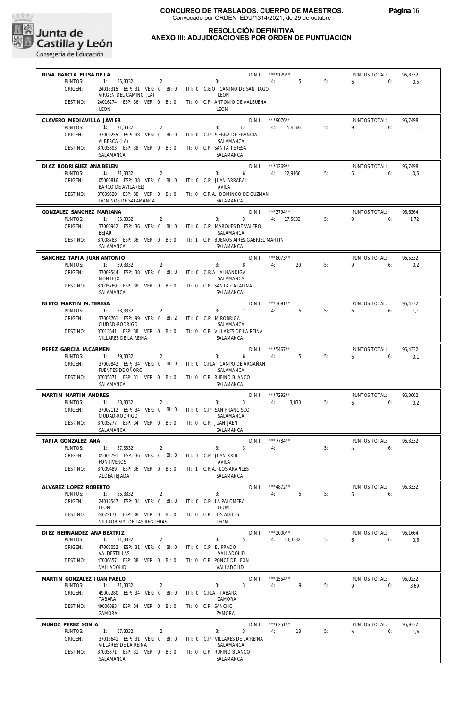

#### **RESOLUCIÓN DEFINITIVA ANEXO III: ADJUDICACIONES POR ORDEN DE PUNTUACIÓN**

| $D.N.1::$ ***9129**<br>RIVA GARCIA ELISA DE LA<br>5<br>PUNTOS:<br>1: 85.3332<br>$\overline{4}$ :<br>5:<br>2:<br>3:<br>24013315 ESP: 31 VER: 0 BI: 0 ITI: 0 C.E.O. CAMINO DE SANTIAGO<br>ORIGEN: |                             |                 |
|-------------------------------------------------------------------------------------------------------------------------------------------------------------------------------------------------|-----------------------------|-----------------|
|                                                                                                                                                                                                 | PUNTOS TOTAL:               | 96,8332         |
|                                                                                                                                                                                                 | 6<br>6:                     | 0,5             |
| LEON                                                                                                                                                                                            |                             |                 |
| VIRGEN DEL CAMINO (LA)<br>24016274 ESP: 36 VER: 0 BI: 0 ITI: 0 C.P. ANTONIO DE VALBUENA<br>DESTINO:                                                                                             |                             |                 |
| LEON<br>LEON                                                                                                                                                                                    |                             |                 |
| $D.N.1.:$ ***9076**<br>CLAVERO MEDIAVILLA JAVIER                                                                                                                                                | PUNTOS TOTAL:               | 96.7498         |
| PUNTOS:<br>1: 71,3332<br>2:<br>10 4: 5,4166<br>5:<br>3:                                                                                                                                         | 9<br>6:                     | $\blacksquare$  |
| ORIGEN:<br>37000255 ESP: 38 VER: 0 BI: 0 ITI: 0 C.P. SIERRA DE FRANCIA                                                                                                                          |                             |                 |
| ALBERCA (LA)<br>SALAMANCA<br>DESTINO:<br>37005393 ESP: 38 VER: 0 BI: 0 ITI: 0 C.P. SANTA TERESA                                                                                                 |                             |                 |
| SAI AMANCA<br>SALAMANCA                                                                                                                                                                         |                             |                 |
| $D.N.I.:$ ***1269**<br>DIAZ RODRIGUEZ ANA BELEN                                                                                                                                                 | PUNTOS TOTAL:               |                 |
| $3: 6 \t 4: 12,9166$<br>PUNTOS:<br>5:<br>1: 71,3332<br>2:                                                                                                                                       | $6 \t\t\t 6$                | 96,7498<br>0,5  |
| ORIGEN:<br>05000816 ESP: 38 VER: 0 BI: 0 ITI: 0 C.P. JUAN ARRABAL                                                                                                                               |                             |                 |
| BARCO DE AVILA (EL)<br>AVILA                                                                                                                                                                    |                             |                 |
| DESTINO:<br>37009520 ESP: 38 VER: 0 BI: 0 ITI: 0 C.R.A. DOMINGO DE GUZMAN<br>DOÑINOS DE SALAMANCA<br>SALAMANCA                                                                                  |                             |                 |
|                                                                                                                                                                                                 |                             |                 |
| $D.N.1.:$ ***3794**<br>GONZALEZ SANCHEZ MARIANA<br>3 4: 17,5832<br>PUNTOS:<br>5:<br>1: 65,3332<br>2:<br>3:                                                                                      | PUNTOS TOTAL:<br>$9 \t\t 6$ | 96,6364<br>1,72 |
| 37000942 ESP: 36 VER: 0 BI: 0 ITI: 0 C.P. MARQUES DE VALERO<br>ORIGEN:                                                                                                                          |                             |                 |
| <b>BEJAR</b><br>SALAMANCA                                                                                                                                                                       |                             |                 |
| 37008783 ESP: 36 VER: 0 BI: 0 ITI: 1 C.P. BUENOS AIRES.GABRIEL MARTIN<br>DESTINO:                                                                                                               |                             |                 |
| SALAMANCA<br>SALAMANCA                                                                                                                                                                          |                             |                 |
| $D.N.1::$ ***8073**<br>SANCHEZ TAPIA JUAN ANTONIO                                                                                                                                               | PUNTOS TOTAL:               | 96,5332         |
| PUNTOS:<br>1: 59.3332<br>$8 - 1$<br>4:<br>20<br>5:<br>3:<br>2:<br>ORIGEN:<br>37009544 ESP: 38 VER: 0 BI: 0 ITI: 0 C.R.A. ALHANDIGA                                                              | $9 \t\t 6$                  | 0,2             |
| <b>MONTEJO</b><br>SALAMANCA                                                                                                                                                                     |                             |                 |
| DESTINO:<br>37005769 ESP: 38 VER: 0 BI: 0 ITI: 0 C.P. SANTA CATALINA                                                                                                                            |                             |                 |
| SALAMANCA<br>SALAMANCA                                                                                                                                                                          |                             |                 |
| $D.N.1.:$ ***3691**<br>NIETO MARTIN M. TERESA                                                                                                                                                   | PUNTOS TOTAL:               | 96.4332         |
| $\sim$ $\sim$ 1<br>4:5<br>PUNTOS:<br>5:<br>1: 83,3332<br>2:<br>3:                                                                                                                               | $6\qquad 6$                 | 1,1             |
| ORIGEN:<br>37008761 ESP: 99 VER: 0 BI: 2 ITI: 0 C.P. MIROBRIGA                                                                                                                                  |                             |                 |
| CIUDAD-RODRIGO<br>SALAMANCA<br>37013641 ESP: 38 VER: 0 BI: 0 ITI: 0 C.P. VILLARES DE LA REINA<br>DESTINO:                                                                                       |                             |                 |
| VILLARES DE LA REINA<br>SALAMANCA                                                                                                                                                               |                             |                 |
| $D.N.1::$ ***5467**<br>PEREZ GARCIA M.CARMEN                                                                                                                                                    | PUNTOS TOTAL:               | 96,4332         |
| PUNTOS:<br>$6\qquad \qquad$<br>4:<br>5<br>5:<br>1: 79,3332<br>2:<br>3:                                                                                                                          | $6 \t\t\t 6$                | 0,1             |
| ORIGEN:<br>37009842 ESP: 34 VER: 0 BI: 0 ITI: 0 C.R.A. CAMPO DE ARGAÑAN                                                                                                                         |                             |                 |
| FUENTES DE OÑORO<br>SALAMANCA                                                                                                                                                                   |                             |                 |
| DESTINO:<br>37005371 ESP: 31 VER: 0 BI: 0 ITI: 0 C.P. RUFINO BLANCO<br>SALAMANCA<br>SALAMANCA                                                                                                   |                             |                 |
| D.N.I.: ***7292**<br>MARTIN MARTIN ANDRES                                                                                                                                                       | PUNTOS TOTAL:               | 96,3662         |
| $3: 3 \t 4: 3,833$<br>PUNTOS:<br>5:<br>1: 83,3332<br>2:                                                                                                                                         | $6 \qquad$<br>6:            | 0,2             |
| ORIGEN:<br>37002112 ESP: 34 VER: 0 BI: 0 ITI: 0 C.P. SAN FRANCISCO                                                                                                                              |                             |                 |
| CIUDAD-RODRIGO<br>SALAMANCA                                                                                                                                                                     |                             |                 |
|                                                                                                                                                                                                 |                             |                 |
| 37005277 ESP: 34 VER: 0 BI: 0 ITI: 0 C.P. JUAN JAEN<br>DESTINO:                                                                                                                                 |                             |                 |
| SALAMANCA<br>SALAMANCA                                                                                                                                                                          |                             |                 |
| D.N.I.: ***7784**<br>TAPIA GONZALEZ ANA                                                                                                                                                         | PUNTOS TOTAL:               | 96,3332         |
| PUNTOS:<br>1: 87,3332<br>3:<br>$3^{\circ}$<br>5:<br>2:<br>4:                                                                                                                                    | 6<br>6:                     |                 |
| ORIGEN:<br>05001791 ESP: 36 VER: 0 BI: 0<br>ITI: 1 C.P. JUAN XXIII<br><b>FONTIVEROS</b><br>AVILA                                                                                                |                             |                 |
| ITI: 1 C.R.A. LOS ARAPILES<br>DESTINO:<br>37009489 ESP: 36 VER: 0 BI: 0                                                                                                                         |                             |                 |
| ALDEATEJADA<br>SALAMANCA                                                                                                                                                                        |                             |                 |
| D.N.I.: *** 4872**<br>ALVAREZ LOPEZ ROBERTO                                                                                                                                                     | PUNTOS TOTAL:               | 96,3332         |
| PUNTOS:<br>5<br>5:<br>1:<br>85,3332<br>2:<br>3:<br>4:                                                                                                                                           | 6<br>6:                     |                 |
| ORIGEN:<br>24016547 ESP: 34 VER: 0 BI: 0<br>ITI: 0 C.P. LA PALOMERA<br>LEON<br>LEON                                                                                                             |                             |                 |
| DESTINO:<br>24022171 ESP: 38 VER: 0 BI: 0<br>ITI: 0 C.P. LOS ADILES                                                                                                                             |                             |                 |
| VILLAOBISPO DE LAS REGUERAS<br>LEON                                                                                                                                                             |                             |                 |
| D.N.I.: ***2000**<br>DIEZ HERNANDEZ ANA BEATRIZ                                                                                                                                                 | PUNTOS TOTAL:               | 96,1664         |
| PUNTOS:<br>5<br>5:<br>1:<br>71,3332<br>2:<br>4: 13,3332<br>3:                                                                                                                                   | 6<br>6:                     | 0,5             |
| ORIGEN:<br>47003052 ESP: 31 VER: 0 BI: 0<br>ITI: 0 C.P. EL PRADO                                                                                                                                |                             |                 |
| VALDESTILLAS<br>VALLADOLID<br>47006557 ESP: 38 VER: 0 BI: 0<br>DESTINO:<br>ITI: 0 C.P. PONCE DE LEON                                                                                            |                             |                 |
| VALLADOLID<br>VALLADOLID                                                                                                                                                                        |                             |                 |
| D.N.I.: *** 1554**<br>MARTIN GONZALEZ JUAN PABLO                                                                                                                                                | PUNTOS TOTAL:               | 96,0232         |
| PUNTOS:<br>3:<br>3<br>4:<br>9<br>5:<br>1:<br>71,3332<br>2:                                                                                                                                      | 9<br>6:                     | 3,69            |
| ORIGEN:<br>49007280 ESP: 34 VER: 0 BI: 0<br>ITI: 0 C.R.A. TABARA                                                                                                                                |                             |                 |
| TABARA<br>ZAMORA                                                                                                                                                                                |                             |                 |
| DESTINO:<br>49006093 ESP: 34 VER: 0 BI: 0<br>ITI: 0 C.P. SANCHO II<br>ZAMORA<br>ZAMORA                                                                                                          |                             |                 |
|                                                                                                                                                                                                 |                             |                 |
| MUÑOZ PEREZ SONIA<br>D.N.I.: *** 6251**<br>PUNTOS:<br>3<br>5:<br>1: 67,3332<br>2:<br>3:<br>4:<br>18                                                                                             | PUNTOS TOTAL:<br>6<br>6:    | 95,9332<br>1,6  |
| ORIGEN:<br>37013641 ESP: 31 VER: 0 BI: 0<br>ITI: 0 C.P. VILLARES DE LA REINA                                                                                                                    |                             |                 |
| VILLARES DE LA REINA<br>SALAMANCA<br>DESTINO:<br>ITI: 0 C.P. RUFINO BLANCO<br>37005371 ESP: 31 VER: 0 BI: 0                                                                                     |                             |                 |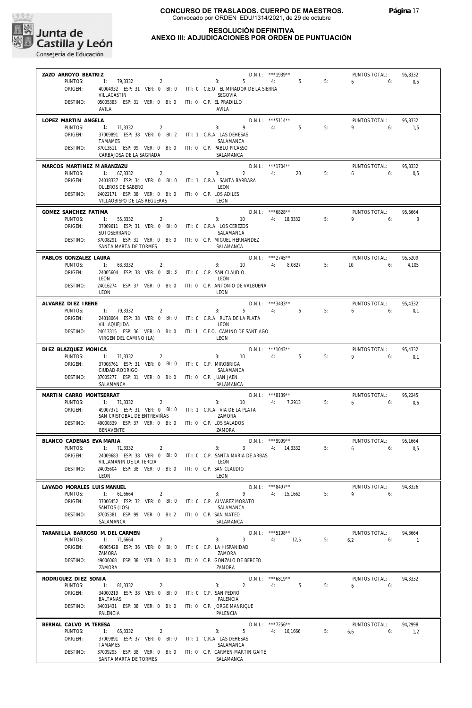

**RESOLUCIÓN DEFINITIVA**

#### **ANEXO III: ADJUDICACIONES POR ORDEN DE PUNTUACIÓN**

| ZAZO ARROYO BEATRIZ                        |                                                                                    |                                         |                                         |    |                             |                           |
|--------------------------------------------|------------------------------------------------------------------------------------|-----------------------------------------|-----------------------------------------|----|-----------------------------|---------------------------|
|                                            |                                                                                    |                                         | D.N.I.: ***1939**                       |    | PUNTOS TOTAL:               | 95,8332                   |
| PUNTOS:                                    | $1: 79.3332$ 2:                                                                    | 3:<br>5 <sub>5</sub>                    | 4: 5                                    | 5: | $6 \t\t 6$                  | 0,5                       |
| ORIGEN:                                    | 40004932 ESP: 31 VER: 0 BI: 0 ITI: 0 C.E.O. EL MIRADOR DE LA SIERRA<br>VILLACASTIN | SEGOVIA                                 |                                         |    |                             |                           |
| DESTINO:                                   | 05005383 ESP: 31 VER: 0 BI: 0 ITI: 0 C.P. EL PRADILLO                              |                                         |                                         |    |                             |                           |
|                                            | AVILA                                                                              | AVILA                                   |                                         |    |                             |                           |
| LOPEZ MARTIN ANGELA                        |                                                                                    |                                         | D.N.I.: ***5114**                       |    | PUNTOS TOTAL:               | 95,8332                   |
| PUNTOS:<br>ORIGEN:                         | 1: 71,3332<br>2:<br>37009891 ESP: 38 VER: 0 BI: 2 ITI: 1 C.R.A. LAS DEHESAS        | $3:$ $3:$                               | $9 \qquad \qquad 4: \qquad \qquad 5$    | 5: | 6:<br>9                     | 1.5                       |
|                                            | <b>TAMAMES</b>                                                                     | SALAMANCA                               |                                         |    |                             |                           |
| DESTINO:                                   | 37013511 ESP: 99 VER: 0 BI: 0 ITI: 0 C.P. PABLO PICASSO                            |                                         |                                         |    |                             |                           |
|                                            | CARBAJOSA DE LA SAGRADA                                                            | SALAMANCA                               |                                         |    |                             |                           |
| MARCOS MARTINEZ M ARANZAZU                 |                                                                                    |                                         | $D.N.1::$ ***1704**                     |    | PUNTOS TOTAL:               | 95.8332                   |
| PUNTOS:<br>ORIGEN:                         | 1: 67.3332<br>2:<br>24018337 ESP: 34 VER: 0 BI: 0 ITI: 1 C.R.A. SANTA BARBARA      | $3: 2 \t 4:$                            | 20                                      | 5: | 6:<br>6                     | 0,5                       |
|                                            | OLLEROS DE SABERO                                                                  | LEON                                    |                                         |    |                             |                           |
| DESTINO:                                   | 24022171 ESP: 38 VER: 0 BI: 0 ITI: 0 C.P. LOS ADILES                               |                                         |                                         |    |                             |                           |
|                                            | VILLAOBISPO DE LAS REGUERAS                                                        | LEON                                    |                                         |    |                             |                           |
| GOMEZ SANCHEZ FATIMA                       |                                                                                    |                                         | D.N.I.: ***6828**                       |    | PUNTOS TOTAL:               | 95,6664                   |
| PUNTOS:<br>ORIGEN:                         | 1: 55,3332<br>2:<br>37009611 ESP: 31 VER: 0 BI: 0 ITI: 0 C.R.A. LOS CEREZOS        | $3: 10 \t 4: 18.3332$                   |                                         | 5: | $9 \t\t 6$                  | 3                         |
|                                            | SOTOSERRANO                                                                        | SALAMANCA                               |                                         |    |                             |                           |
| DESTINO:                                   | 37008291 ESP: 31 VER: 0 BI: 0 ITI: 0 C.P. MIGUEL HERNANDEZ                         |                                         |                                         |    |                             |                           |
|                                            | SANTA MARTA DE TORMES                                                              | SALAMANCA                               |                                         |    |                             |                           |
| PABLOS GONZALEZ LAURA                      |                                                                                    | $3: 10 \t 4: 8.0827$                    | $D.N.1.:$ ***2745**                     |    | PUNTOS TOTAL:               | 95,5209                   |
| PUNTOS:<br>ORIGEN:                         | 1: 63,3332<br>2:<br>24005604 ESP: 38 VER: 0 BI: 3 ITI: 0 C.P. SAN CLAUDIO          |                                         |                                         | 5: | $10 \t\t\t 6$               | 4,105                     |
|                                            | LEON                                                                               | <b>IFON</b>                             |                                         |    |                             |                           |
| DESTINO:                                   | 24016274 ESP: 37 VER: 0 BI: 0 ITI: 0 C.P. ANTONIO DE VALBUENA                      |                                         |                                         |    |                             |                           |
|                                            | LEON                                                                               | LEON                                    |                                         |    |                             |                           |
| ALVAREZ DIEZ IRENE<br>PUNTOS:              |                                                                                    |                                         | $D.N.1::$ ***3433**                     | 5: | PUNTOS TOTAL:               | 95.4332                   |
| ORIGEN:                                    | 1: 79,3332<br>2:<br>24018064 ESP: 38 VER: 0 BI: 0 ITI: 0 C.R.A. RUTA DE LA PLATA   | 3:                                      | $5 \qquad \qquad 4: \qquad \qquad 5$    |    | $6\qquad 6:$                | 0,1                       |
|                                            | VILLAQUEJIDA                                                                       | LEON                                    |                                         |    |                             |                           |
| DESTINO:                                   | 24013315 ESP: 36 VER: 0 BI: 0 ITI: 1 C.E.O. CAMINO DE SANTIAGO                     |                                         |                                         |    |                             |                           |
|                                            | VIRGEN DEL CAMINO (LA)                                                             | LEON                                    |                                         |    |                             |                           |
| DIEZ BLAZQUEZ MONICA                       |                                                                                    | $10 \t 4: \t 5$                         | $D.N.1.:$ ***1043**                     |    | PUNTOS TOTAL:               | 95,4332                   |
| PUNTOS:<br>ORIGEN:                         | 1: 71,3332<br>2:<br>37008761 ESP: 31 VER: 0 BI: 0 ITI: 0 C.P. MIROBRIGA            | 3:                                      |                                         | 5: | $9^{\circ}$<br>6:           | 0.1                       |
|                                            | CIUDAD-RODRIGO                                                                     | SALAMANCA                               |                                         |    |                             |                           |
| DESTINO:                                   | 37005277 ESP: 31 VER: 0 BI: 0 ITI: 0 C.P. JUAN JAEN<br>SALAMANCA                   | SALAMANCA                               |                                         |    |                             |                           |
|                                            |                                                                                    |                                         |                                         |    |                             |                           |
| MARTIN CARRO MONTSERRAT<br>PUNTOS:         | 1: 71,3332<br>2:                                                                   | 10 4: 7,2913<br>3:                      | $D.N.1.:$ ***8139**                     | 5: | PUNTOS TOTAL:<br>$6 \t\t 6$ | 95,2245<br>0,6            |
| ORIGEN:                                    | 49007371 ESP: 31 VER: 0 BI: 0 ITI: 1 C.R.A. VIA DE LA PLATA                        |                                         |                                         |    |                             |                           |
|                                            |                                                                                    |                                         |                                         |    |                             |                           |
|                                            | SAN CRISTOBAL DE ENTREVIÑAS                                                        | ZAMORA                                  |                                         |    |                             |                           |
| DESTINO:                                   | 49000339 ESP: 37 VER: 0 BI: 0 ITI: 0 C.P. LOS SALADOS                              |                                         |                                         |    |                             |                           |
|                                            | BENAVENTE                                                                          | ZAMORA                                  |                                         |    |                             |                           |
| BLANCO CADENAS EVA MARIA                   |                                                                                    |                                         | D.N.I.: *** 9999**                      |    | PUNTOS TOTAL:               | 95,1664                   |
| PUNTOS:<br>ORIGEN:                         | 1: 71.3332<br>2:<br>24009683 ESP: 38 VER: 0 BI: 0                                  | 3:<br>ITI: 0 C.P. SANTA MARIA DE ARBAS  | 3 4: 14.3332                            | 5: | 6 <sub>6</sub>              | 0.5                       |
|                                            | VILLAMANIN DE LA TERCIA                                                            | LEON                                    |                                         |    |                             |                           |
| DESTINO:                                   | 24005604 ESP: 38 VER: 0 BI: 0<br>LEON                                              | ITI: 0 C.P. SAN CLAUDIO<br>LEON         |                                         |    |                             |                           |
|                                            |                                                                                    |                                         |                                         |    |                             |                           |
| LAVADO MORALES LUIS MANUEL<br>PUNTOS:      | 1: 61,6664<br>2:                                                                   | 9<br>3:                                 | D.N.I.: ***8497**<br>4: 15,1662         | 5: | PUNTOS TOTAL:<br>9<br>6:    | 94,8326                   |
| ORIGEN:                                    | 37006452 ESP: 32 VER: 0 BI: 0                                                      | ITI: 0 C.P. ALVAREZ MORATO              |                                         |    |                             |                           |
|                                            | SANTOS (LOS)                                                                       | SALAMANCA                               |                                         |    |                             |                           |
| DESTINO:                                   | 37005381 ESP: 99 VER: 0 BI: 2 ITI: 0 C.P. SAN MATEO<br>SALAMANCA                   | SALAMANCA                               |                                         |    |                             |                           |
|                                            |                                                                                    |                                         |                                         |    |                             |                           |
| TARANILLA BARROSO M. DEL CARMEN<br>PUNTOS: | 1: 71,6664<br>2:                                                                   | $\overline{3}$<br>3:                    | $D.N.1::$ ***5198**<br>4:<br>12,5       | 5: | PUNTOS TOTAL:<br>6,2<br>6:  | 94,3664<br>$\overline{1}$ |
| ORIGEN:                                    | 49005428 ESP: 36 VER: 0 BI: 0                                                      | ITI: 0 C.P. LA HISPANIDAD               |                                         |    |                             |                           |
|                                            | ZAMORA                                                                             | ZAMORA                                  |                                         |    |                             |                           |
| DESTINO:                                   | 49006068 ESP: 38 VER: 0 BI: 0<br>ZAMORA                                            | ITI: 0 C.P. GONZALO DE BERCEO<br>ZAMORA |                                         |    |                             |                           |
|                                            |                                                                                    |                                         |                                         |    |                             |                           |
| RODRIGUEZ DIEZ SONIA<br>PUNTOS:            | 1: 81,3332<br>2:                                                                   | $\overline{2}$<br>3:                    | D.N.I.: *** 6819**<br>4:<br>$5^{\circ}$ | 5: | PUNTOS TOTAL:<br>6<br>6:    | 94,3332                   |
| ORIGEN:                                    | 34000219 ESP: 38 VER: 0 BI: 0                                                      | ITI: 0 C.P. SAN PEDRO                   |                                         |    |                             |                           |
|                                            | <b>BALTANAS</b>                                                                    | PALENCIA                                |                                         |    |                             |                           |
| DESTINO:                                   | 34001431 ESP: 38 VER: 0 BI: 0<br>PALENCIA                                          | ITI: 0 C.P. JORGE MANRIQUE<br>PALENCIA  |                                         |    |                             |                           |
|                                            |                                                                                    |                                         |                                         |    |                             |                           |
| BERNAL CALVO M. TERESA<br>PUNTOS:          | 1: 65,3332<br>2:                                                                   | $5 -$<br>3:                             | D.N.I.: ***7256**<br>4: 16,1666         | 5: | PUNTOS TOTAL:<br>6:<br>6,6  | 94.2998<br>1,2            |
| ORIGEN:                                    | 37009891 ESP: 37 VER: 0 BI: 0                                                      | ITI: 1 C.R.A. LAS DEHESAS               |                                         |    |                             |                           |
| DESTINO:                                   | TAMAMES<br>37009295 ESP: 38 VER: 0 BI: 0 ITI: 0 C.P. CARMEN MARTIN GAITE           | SALAMANCA                               |                                         |    |                             |                           |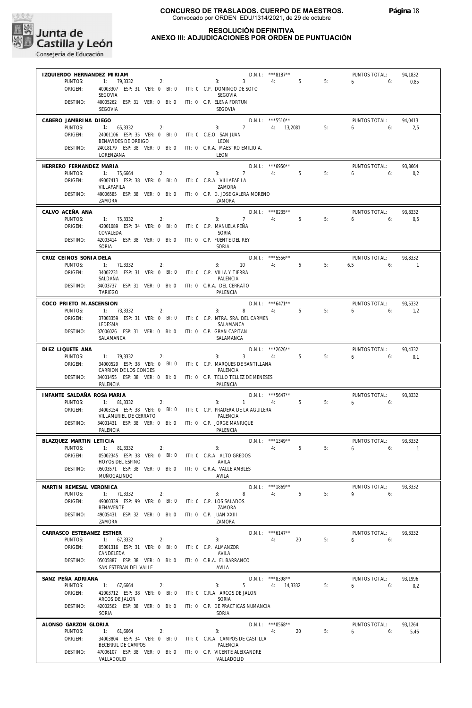

#### **RESOLUCIÓN DEFINITIVA**

# **ANEXO III: ADJUDICACIONES POR ORDEN DE PUNTUACIÓN**

| IZQUIERDO HERNANDEZ MIRIAM            |                                                                                            |                                                                                                                                                                                                                                                                                                       | D.N.I.: ***8187**                                            |    | PUNTOS TOTAL:                | 94,1832                   |
|---------------------------------------|--------------------------------------------------------------------------------------------|-------------------------------------------------------------------------------------------------------------------------------------------------------------------------------------------------------------------------------------------------------------------------------------------------------|--------------------------------------------------------------|----|------------------------------|---------------------------|
| PUNTOS:<br>ORIGEN:                    | 1: 79,3332<br>2:<br>40003307 ESP: 31 VER: 0 BI: 0 ITI: 0 C.P. DOMINGO DE SOTO              | 3: 3: 4: 5                                                                                                                                                                                                                                                                                            |                                                              | 5: | $6\qquad 6:$                 | 0,85                      |
| DESTINO:                              | SEGOVIA<br>40005262 ESP: 31 VER: 0 BI: 0 ITI: 0 C.P. ELENA FORTUN                          | SEGOVIA                                                                                                                                                                                                                                                                                               |                                                              |    |                              |                           |
|                                       | SEGOVIA                                                                                    | SEGOVIA                                                                                                                                                                                                                                                                                               |                                                              |    |                              |                           |
| CABERO JAMBRINA DIEGO                 |                                                                                            | $\frac{5.18111}{2}$ = $\frac{1}{2}$ = $\frac{1}{2}$ = $\frac{1}{2}$ = $\frac{1}{2}$ = $\frac{1}{2}$ = $\frac{1}{2}$ = $\frac{1}{2}$ = $\frac{1}{2}$ = $\frac{1}{2}$ = $\frac{1}{2}$ = $\frac{1}{2}$ = $\frac{1}{2}$ = $\frac{1}{2}$ = $\frac{1}{2}$ = $\frac{1}{2}$ = $\frac{1}{2}$ = $\frac{1}{2}$ = | $D.N.I.:$ ***5510**                                          |    | PUNTOS TOTAL:                | 94,0413                   |
| PUNTOS:<br>ORIGEN:                    | 1: 65,3332<br>2:<br>24001106 ESP: 35 VER: 0 BI: 0 ITI: 0 C.E.O. SAN JUAN                   |                                                                                                                                                                                                                                                                                                       |                                                              | 5: | $6\qquad 6$                  | 2,5                       |
| DESTINO:                              | BENAVIDES DE ORBIGO<br>24018179 ESP: 38 VER: 0 BI: 0 ITI: 0 C.R.A. MAESTRO EMILIO A.       | LEON                                                                                                                                                                                                                                                                                                  |                                                              |    |                              |                           |
|                                       | LORENZANA                                                                                  | LEON                                                                                                                                                                                                                                                                                                  |                                                              |    |                              |                           |
| HERRERO FERNANDEZ MARIA<br>PUNTOS:    | 1: 75,6664                                                                                 | $3: 7 \t 4: 5$                                                                                                                                                                                                                                                                                        | $D.N.1::$ *** 6950**                                         | 5: | PUNTOS TOTAL:<br>$6\qquad 6$ | 93,8664                   |
| ORIGEN:                               | 2:<br>49007413 ESP: 38 VER: 0 BI: 0 ITI: 0 C.R.A. VILLAFAFILA                              |                                                                                                                                                                                                                                                                                                       |                                                              |    |                              | 0,2                       |
| DESTINO:                              | VILLAFAFILA<br>49006585 ESP: 38 VER: 0 BI: 0 ITI: 0 C.P. D. JOSE GALERA MORENO             | ZAMORA                                                                                                                                                                                                                                                                                                |                                                              |    |                              |                           |
|                                       | ZAMORA                                                                                     | ZAMORA                                                                                                                                                                                                                                                                                                |                                                              |    |                              |                           |
| CALVO ACEÑA ANA<br>PUNTOS:            | 1: 75,3332<br>2:                                                                           | 3: 7                                                                                                                                                                                                                                                                                                  | $D.N.1.:$ ***8235**<br>4:5                                   | 5: | PUNTOS TOTAL:<br>$6\qquad 6$ | 93,8332<br>0,5            |
| ORIGEN:                               | 42001089 ESP: 34 VER: 0 BI: 0 ITI: 0 C.P. MANUELA PEÑA                                     |                                                                                                                                                                                                                                                                                                       |                                                              |    |                              |                           |
| DESTINO:                              | COVALEDA<br>42003414 ESP: 38 VER: 0 BI: 0 ITI: 0 C.P. FUENTE DEL REY                       | SORIA                                                                                                                                                                                                                                                                                                 |                                                              |    |                              |                           |
|                                       | SORIA                                                                                      | SORIA                                                                                                                                                                                                                                                                                                 |                                                              |    |                              |                           |
| CRUZ CEINOS SONIA DELA<br>PUNTOS:     | 1: 71,3332<br>2:                                                                           | 3:                                                                                                                                                                                                                                                                                                    | $D.N.1.:$ ***5556**<br>$10 \qquad \qquad 4: \qquad \qquad 5$ | 5: | PUNTOS TOTAL:<br>$6,5$ 6:    | 93,8332<br>$\sim$ 1       |
| ORIGEN:                               | 34002231 ESP: 31 VER: 0 BI: 0 ITI: 0 C.P. VILLA Y TIERRA                                   |                                                                                                                                                                                                                                                                                                       |                                                              |    |                              |                           |
| DESTINO:                              | SALDAÑA<br>34003737 ESP: 31 VER: 0 BI: 0 ITI: 0 C.R.A. DEL CERRATO                         | PALENCIA                                                                                                                                                                                                                                                                                              |                                                              |    |                              |                           |
|                                       | TARIEGO                                                                                    | PALENCIA                                                                                                                                                                                                                                                                                              |                                                              |    |                              |                           |
| COCO PRIETO M. ASCENSION<br>PUNTOS:   | 1: 73,3332<br>2:                                                                           | 3:                                                                                                                                                                                                                                                                                                    | $D.N.1.:$ ***6471**<br>8 4: 5                                | 5: | PUNTOS TOTAL:<br>6.6         | 93,5332<br>1,2            |
| ORIGEN:                               |                                                                                            | 37003359 ESP: 31 VER: 0 BI: 0 ITI: 0 C.P. NTRA. SRA. DEL CARMEN                                                                                                                                                                                                                                       |                                                              |    |                              |                           |
| DESTINO:                              | LEDESMA<br>37006026 ESP: 31 VER: 0 BI: 0 ITI: 0 C.P. GRAN CAPITAN                          | SALAMANCA                                                                                                                                                                                                                                                                                             |                                                              |    |                              |                           |
|                                       | SALAMANCA                                                                                  | SALAMANCA                                                                                                                                                                                                                                                                                             |                                                              |    |                              |                           |
| DIEZ LIQUETE ANA<br>PUNTOS:           | 1: 79,3332<br>2:                                                                           | 3: 3: 4:                                                                                                                                                                                                                                                                                              | $D.N.I.:$ ***2626**<br>$5^{\circ}$                           | 5: | PUNTOS TOTAL:<br>$6\qquad 6$ | 93,4332<br>0,1            |
| ORIGEN:                               |                                                                                            | 34000529 ESP: 38 VER: 0 BI: 0 ITI: 0 C.P. MARQUES DE SANTILLANA                                                                                                                                                                                                                                       |                                                              |    |                              |                           |
| DESTINO:                              | CARRION DE LOS CONDES<br>34001455 ESP: 38 VER: 0 BI: 0 ITI: 0 C.P. TELLO TELLEZ DE MENESES | PALENCIA                                                                                                                                                                                                                                                                                              |                                                              |    |                              |                           |
|                                       | PALENCIA                                                                                   | PALENCIA                                                                                                                                                                                                                                                                                              |                                                              |    |                              |                           |
| INFANTE SALDAÑA ROSA MARIA<br>PUNTOS: | 2:<br>1: 81,3332                                                                           | $3: 1 \t 4: 5$                                                                                                                                                                                                                                                                                        | $D.N.1.:$ ***5647**                                          | 5: | PUNTOS TOTAL:<br>$6\qquad 6$ | 93,3332                   |
| ORIGEN:                               | VILLAMURIEL DE CERRATO                                                                     | 34003154 ESP: 38 VER: 0 BI: 0 ITI: 0 C.P. PRADERA DE LA AGUILERA                                                                                                                                                                                                                                      |                                                              |    |                              |                           |
| DESTINO:                              | 34001431 ESP: 38 VER: 0 BI: 0 ITI: 0 C.P. JORGE MANRIQUE                                   | PALENCIA                                                                                                                                                                                                                                                                                              |                                                              |    |                              |                           |
|                                       | PALENCIA                                                                                   | PALENCIA                                                                                                                                                                                                                                                                                              |                                                              |    |                              |                           |
| BLAZQUEZ MARTIN LETICIA<br>PUNTOS:    | 1: 81,3332<br>2:                                                                           | 3:                                                                                                                                                                                                                                                                                                    | $D.N.I.:$ ***1349**<br>4:<br>5                               | 5: | PUNTOS TOTAL:<br>$6\qquad 6$ | 93,3332<br>$\overline{1}$ |
| ORIGEN:                               | 05002345 ESP: 38 VER: 0 BI: 0<br>HOYOS DEL ESPINO                                          | ITI: 0 C.R.A. ALTO GREDOS<br>AVILA                                                                                                                                                                                                                                                                    |                                                              |    |                              |                           |
| DESTINO:                              | 05003571 ESP: 38 VER: 0 BI: 0                                                              | ITI: 0 C.R.A. VALLE AMBLES                                                                                                                                                                                                                                                                            |                                                              |    |                              |                           |
|                                       | MUÑOGALINDO                                                                                | AVILA                                                                                                                                                                                                                                                                                                 |                                                              |    |                              |                           |
| MARTIN REMESAL VERONICA<br>PUNTOS:    | 1: 71,3332<br>2:                                                                           | 8<br>3:                                                                                                                                                                                                                                                                                               | D.N.I.: ***1869**<br>5<br>4:                                 | 5: | PUNTOS TOTAL:<br>9<br>6:     | 93.3332                   |
| ORIGEN:                               | 49000339 ESP: 99 VER: 0 BI: 0<br>BENAVENTE                                                 | ITI: 0 C.P. LOS SALADOS<br>ZAMORA                                                                                                                                                                                                                                                                     |                                                              |    |                              |                           |
| DESTINO:                              | 49005431 ESP: 32 VER: 0 BI: 0                                                              | ITI: 0 C.P. JUAN XXIII                                                                                                                                                                                                                                                                                |                                                              |    |                              |                           |
|                                       | ZAMORA                                                                                     | ZAMORA                                                                                                                                                                                                                                                                                                | $D.N.1::$ *** 6147**                                         |    |                              |                           |
| CARRASCO ESTEBANEZ ESTHER<br>PUNTOS:  | 1: 67,3332<br>2:                                                                           | 3:                                                                                                                                                                                                                                                                                                    | 20<br>4:                                                     | 5: | PUNTOS TOTAL:<br>6<br>6:     | 93,3332                   |
| ORIGEN:                               | 05001316 ESP: 31 VER: 0 BI: 0<br>CANDELEDA                                                 | ITI: 0 C.P. ALMANZOR<br>AVILA                                                                                                                                                                                                                                                                         |                                                              |    |                              |                           |
| DESTINO:                              | 05005887 ESP: 38 VER: 0 BI: 0                                                              | ITI: 0 C.R.A. EL BARRANCO                                                                                                                                                                                                                                                                             |                                                              |    |                              |                           |
| SANZ PEÑA ADRIANA                     | SAN ESTEBAN DEL VALLE                                                                      | AVILA                                                                                                                                                                                                                                                                                                 | D.N.I.: ***8398**                                            |    | PUNTOS TOTAL:                | 93,1996                   |
| PUNTOS:                               | 1: 67,6664<br>2:                                                                           | 5<br>3:                                                                                                                                                                                                                                                                                               | 4: 14,3332                                                   | 5: | 6<br>6:                      | 0,2                       |
| ORIGEN:                               | 42003712 ESP: 38 VER: 0 BI: 0<br>ARCOS DE JALON                                            | ITI: 0 C.R.A. ARCOS DE JALON<br>SORIA                                                                                                                                                                                                                                                                 |                                                              |    |                              |                           |
| DESTINO:                              | 42002562 ESP: 38 VER: 0 BI: 0<br>SORIA                                                     | ITI: 0 C.P. DE PRACTICAS NUMANCIA<br>SORIA                                                                                                                                                                                                                                                            |                                                              |    |                              |                           |
| ALONSO GARZON GLORIA                  |                                                                                            |                                                                                                                                                                                                                                                                                                       | $D.N.1::$ *** 0568**                                         |    | PUNTOS TOTAL:                | 93,1264                   |
| PUNTOS:                               | 1: 61,6664<br>2:                                                                           | 3:                                                                                                                                                                                                                                                                                                    | 20<br>4:                                                     | 5: | 6<br>6:                      | 5,46                      |
| ORIGEN:                               | 34003804 ESP: 34 VER: 0 BI: 0<br>BECERRIL DE CAMPOS                                        | ITI: 0 C.R.A. CAMPOS DE CASTILLA<br>PALENCIA                                                                                                                                                                                                                                                          |                                                              |    |                              |                           |
| DESTINO:                              | 47006107 ESP: 38 VER: 0 BI: 0 ITI: 0 C.P. VICENTE ALEIXANDRE<br>VALLADOLID                 | VALLADOLID                                                                                                                                                                                                                                                                                            |                                                              |    |                              |                           |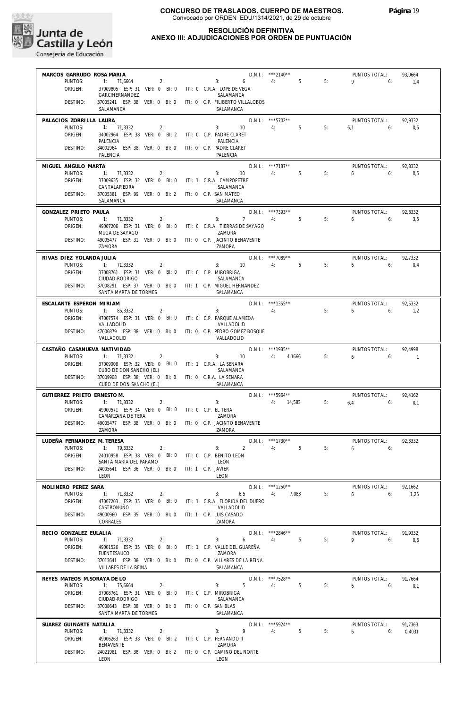

#### **RESOLUCIÓN DEFINITIVA ANEXO III: ADJUDICACIONES POR ORDEN DE PUNTUACIÓN**

| MARCOS GARRUDO ROSA MARIA           |                                                                                     |                                                                | $D.N.1::$ ***2140** |    | PUNTOS TOTAL:                | 93.0664        |
|-------------------------------------|-------------------------------------------------------------------------------------|----------------------------------------------------------------|---------------------|----|------------------------------|----------------|
| PUNTOS:                             | $1: 71,6664$ 2:                                                                     | $3: 6 \t 4: 5$                                                 |                     | 5: | 9<br>6:                      | 1,4            |
| ORIGEN:                             | 37009805 ESP: 31 VER: 0 BI: 0 ITI: 0 C.R.A. LOPE DE VEGA<br>GARCIHERNANDEZ          | SALAMANCA                                                      |                     |    |                              |                |
| DESTINO:                            |                                                                                     | 37005241 ESP: 38 VER: 0 BI: 0 ITI: 0 C.P. FILIBERTO VILLALOBOS |                     |    |                              |                |
|                                     | SALAMANCA                                                                           | SALAMANCA                                                      |                     |    |                              |                |
| PALACIOS ZORRILLA LAURA             |                                                                                     |                                                                | $D.N.1::$ ***5702** |    | <b>PUNTOS TOTAL:</b>         | 92.9332        |
| PUNTOS:                             | 1: 71,3332<br>2:                                                                    | 3: 10                                                          | 4:<br>$5^{\circ}$   | 5: | 6,1<br>6:                    | 0,5            |
| ORIGEN:                             | 34002964 ESP: 38 VER: 0 BI: 2                                                       | ITI: 0 C.P. PADRE CLARET                                       |                     |    |                              |                |
| DESTINO:                            | PALENCIA<br>34002964 ESP: 38 VER: 0 BI: 0                                           | PALENCIA<br>ITI: 0 C.P. PADRE CLARET                           |                     |    |                              |                |
|                                     | PALENCIA                                                                            | PAI FNCIA                                                      |                     |    |                              |                |
| MIGUEL ANGULO MARTA                 |                                                                                     |                                                                | $D.N.I.:$ ***7187** |    | PUNTOS TOTAL:                | 92,8332        |
| PUNTOS:                             | 1: 71,3332<br>2:                                                                    | 3: 10                                                          | 4:<br>$5 - 5$       | 5: | 6<br>6:                      | 0,5            |
| ORIGEN:                             | 37009635 ESP: 32 VER: 0 BI: 0                                                       | ITI: 1 C.R.A. CAMPOPETRE                                       |                     |    |                              |                |
| DESTINO:                            | CANTALAPIEDRA<br>37005381 ESP: 99 VER: 0 BI: 2 ITI: 0 C.P. SAN MATEO                | SALAMANCA                                                      |                     |    |                              |                |
|                                     | SALAMANCA                                                                           | SALAMANCA                                                      |                     |    |                              |                |
| GONZALEZ PRIETO PAULA               |                                                                                     |                                                                | D.N.I.: ***7393**   |    | PUNTOS TOTAL:                | 92,8332        |
| PUNTOS:                             | 1: 71,3332<br>2:                                                                    | 3:                                                             | $7 \t 4 \t 5$       | 5: | 6:<br>6                      | 3.5            |
| ORIGEN:                             |                                                                                     | 49007206 ESP: 31 VER: 0 BI: 0 ITI: 0 C.R.A. TIERRAS DE SAYAGO  |                     |    |                              |                |
|                                     | MUGA DE SAYAGO<br>49005477 ESP: 31 VER: 0 BI: 0 ITI: 0 C.P. JACINTO BENAVENTE       | ZAMORA                                                         |                     |    |                              |                |
| DESTINO:                            | ZAMORA                                                                              | ZAMORA                                                         |                     |    |                              |                |
|                                     |                                                                                     |                                                                | D.N.I.: ***7089**   |    |                              |                |
| RIVAS DIEZ YOLANDA JULIA<br>PUNTOS: | 1: 71,3332<br>2:                                                                    | 3: 10                                                          | 4:<br>$5 -$         | 5: | PUNTOS TOTAL:<br>6<br>6:     | 92,7332<br>0,4 |
| ORIGEN:                             | 37008761 ESP: 31 VER: 0 BI: 0 ITI: 0 C.P. MIROBRIGA                                 |                                                                |                     |    |                              |                |
|                                     | CIUDAD-RODRIGO                                                                      | SALAMANCA                                                      |                     |    |                              |                |
| DESTINO:                            | 37008291 ESP: 37 VER: 0 BI: 0 ITI: 1 C.P. MIGUEL HERNANDEZ<br>SANTA MARTA DE TORMES | SALAMANCA                                                      |                     |    |                              |                |
|                                     |                                                                                     |                                                                |                     |    |                              |                |
| ESCALANTE ESPERON MIRIAM<br>PUNTOS: | 1: 85,3332<br>2:                                                                    | 4:<br>3:                                                       | $D.N.1::$ ***1355** | 5: | PUNTOS TOTAL:<br>$6\qquad 6$ | 92,5332<br>1,2 |
| ORIGEN:                             | 47007574 ESP: 31 VER: 0 BI: 0 ITI: 0 C.P. PARQUE ALAMEDA                            |                                                                |                     |    |                              |                |
|                                     | VALLADOLID                                                                          | VALLADOLID                                                     |                     |    |                              |                |
| DESTINO:                            |                                                                                     | 47006879 ESP: 38 VER: 0 BI: 0 ITI: 0 C.P. PEDRO GOMEZ BOSQUE   |                     |    |                              |                |
|                                     | VALLADOLID                                                                          | VALLADOLID                                                     |                     |    |                              |                |
| CASTAÑO CASANUEVA NATIVIDAD         |                                                                                     | 10                                                             | $D.N.1.:$ ***1985** |    | PUNTOS TOTAL:                | 92.4998        |
| PUNTOS:<br>ORIGEN:                  | 1: 71,3332<br>2:<br>37009908 ESP: 32 VER: 0 BI: 0 ITI: 1 C.R.A. LA SENARA           | 3:                                                             | 4: 4,1666           | 5: | 6<br>6:                      | $\overline{1}$ |
|                                     | CUBO DE DON SANCHO (EL)                                                             | SALAMANCA                                                      |                     |    |                              |                |
| DESTINO:                            | 37009908 ESP: 38 VER: 0 BI: 0 ITI: 0 C.R.A. LA SENARA                               |                                                                |                     |    |                              |                |
|                                     | CUBO DE DON SANCHO (EL)                                                             | SALAMANCA                                                      |                     |    |                              |                |
| GUTIERREZ PRIETO ERNESTO M.         |                                                                                     |                                                                | $D.N.1::$ ***5964** |    | PUNTOS TOTAL:                | 92,4162        |
| PUNTOS:<br>ORIGEN:                  | 1: 71.3332<br>2:<br>49000571 ESP: 34 VER: 0 BI: 0 ITI: 0 C.P. EL TERA               | 3:                                                             | 4: 14,583           | 5: | $6.4$ 6:                     | 0,1            |
|                                     | CAMARZANA DE TERA                                                                   | ZAMORA                                                         |                     |    |                              |                |
| DESTINO:                            | 49005477 ESP: 38 VER: 0 BI: 0 ITI: 0 C.P. JACINTO BENAVENTE                         |                                                                |                     |    |                              |                |
|                                     | ZAMORA                                                                              | 7AMORA                                                         |                     |    |                              |                |
| LUDEÑA FERNANDEZ M. TERESA          |                                                                                     |                                                                | D.N.I.: ***1730**   |    | PUNTOS TOTAL:                | 92,3332        |
| PUNTOS:                             | 1: 79.3332<br>2:                                                                    | $\overline{2}$<br>3:                                           | 5<br>4:             | 5: |                              |                |
| ORIGEN:                             | 24010958 ESP: 38 VER: 0 BI: 0<br>SANTA MARIA DEL PARAMO                             | ITI: 0 C.P. BENITO LEON<br>LEON                                |                     |    |                              |                |
| DESTINO:                            | 24005641 ESP: 36 VER: 0 BI: 0                                                       | ITI: 1 C.P. JAVIER                                             |                     |    |                              |                |
|                                     | LEON                                                                                | LEON                                                           |                     |    |                              |                |
| MOLINERO PEREZ SARA                 |                                                                                     |                                                                | D.N.I.: ***1250**   |    | PUNTOS TOTAL:                | 92,1662        |
| PUNTOS:                             | 1: 71.3332<br>2:                                                                    | 3:<br>6,5                                                      | 7,083<br>4:         | 5: | 6<br>6:                      | 1,25           |
| ORIGEN:                             | 47007203 ESP: 35 VER: 0 BI: 0<br>CASTRONUÑO                                         | ITI: 1 C.R.A. FLORIDA DEL DUERO<br>VALLADOLID                  |                     |    |                              |                |
| DESTINO:                            | 49000960 ESP: 35 VER: 0 BI: 0                                                       | ITI: 1 C.P. LUIS CASADO                                        |                     |    |                              |                |
|                                     | CORRALES                                                                            | ZAMORA                                                         |                     |    |                              |                |
| RECIO GONZALEZ EULALIA              |                                                                                     |                                                                | $D.N.1::$ ***2846** |    | PUNTOS TOTAL:                | 91,9332        |
| PUNTOS:                             | 1: 71.3332<br>2:                                                                    | 3:<br>6                                                        | 4:<br>5             | 5: | 9<br>6:                      | 0,6            |
| ORIGEN:                             | 49001526 ESP: 35 VER: 0 BI: 0<br><b>FUENTESAUCO</b>                                 | ITI: 1 C.P. VALLE DEL GUAREÑA<br>ZAMORA                        |                     |    |                              |                |
| DESTINO:                            | 37013641 ESP: 38 VER: 0 BI: 0                                                       | ITI: 0 C.P. VILLARES DE LA REINA                               |                     |    |                              |                |
|                                     | VILLARES DE LA REINA                                                                | SALAMANCA                                                      |                     |    |                              |                |
| REYES MATEOS M.SORAYA DE LO         |                                                                                     |                                                                | D.N.I.: ***7528**   |    | PUNTOS TOTAL:                | 91,7664        |
| PUNTOS:                             | 1: 75,6664<br>2:                                                                    | 3:<br>5                                                        | 4:<br>5             | 5: | 6<br>6:                      | 0,1            |
| ORIGEN:                             | 37008761 ESP: 31 VER: 0 BI: 0<br>CIUDAD-RODRIGO                                     | ITI: 0 C.P. MIROBRIGA<br>SALAMANCA                             |                     |    |                              |                |
| DESTINO:                            | 37008643 ESP: 38 VER: 0 BI: 0                                                       | ITI: 0 C.P. SAN BLAS                                           |                     |    |                              |                |
|                                     | SANTA MARTA DE TORMES                                                               | SALAMANCA                                                      |                     |    |                              |                |
| SUAREZ GUINARTE NATALIA             |                                                                                     |                                                                | D.N.I.: *** 5924**  |    | PUNTOS TOTAL:                | 91,7363        |
| PUNTOS:                             | 1: 71,3332<br>2:                                                                    | 9<br>3:                                                        | 4:<br>5             | 5: | 6<br>6:                      | 0,4031         |
|                                     |                                                                                     |                                                                |                     |    |                              |                |
| ORIGEN:                             | 49006263 ESP: 38 VER: 0 BI: 2                                                       | ITI: 0 C.P. FERNANDO II                                        |                     |    |                              |                |
| DESTINO:                            | BENAVENTE<br>24021981 ESP: 38 VER: 0 BI: 2                                          | ZAMORA<br>ITI: 0 C.P. CAMINO DEL NORTE                         |                     |    |                              |                |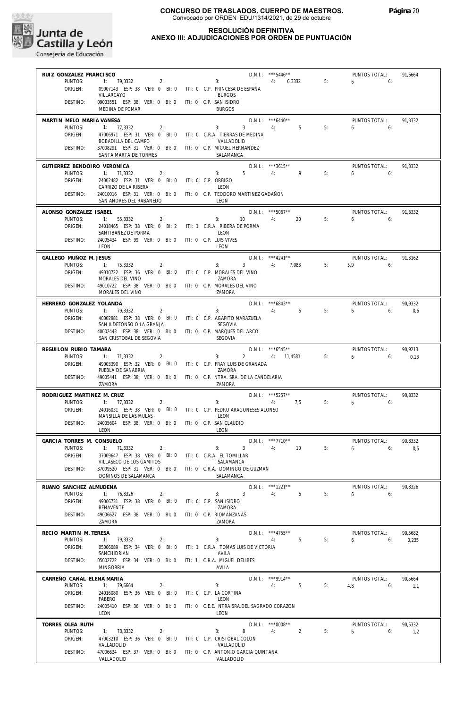

#### **RESOLUCIÓN DEFINITIVA ANEXO III: ADJUDICACIONES POR ORDEN DE PUNTUACIÓN**

|                             | RUIZ GONZALEZ FRANCISCO                                            |                                                                       | $D.N.1.:$ ***5446**          |    | PUNTOS TOTAL:         | 91,6664 |
|-----------------------------|--------------------------------------------------------------------|-----------------------------------------------------------------------|------------------------------|----|-----------------------|---------|
| PUNTOS:                     | 1: 79,3332<br>2:                                                   | 3:                                                                    | 4: 6.3332 5:                 |    | $6\qquad 6:$          |         |
| ORIGEN:                     | 09007143 ESP: 38 VER: 0 BI: 0 ITI: 0 C.P. PRINCESA DE ESPAÑA       |                                                                       |                              |    |                       |         |
|                             | VILLARCAYO                                                         | <b>BURGOS</b>                                                         |                              |    |                       |         |
| DESTINO:                    | 09003551 ESP: 38 VER: 0 BI: 0 ITI: 0 C.P. SAN ISIDRO               |                                                                       |                              |    |                       |         |
|                             | MEDINA DE POMAR                                                    | <b>BURGOS</b>                                                         |                              |    |                       |         |
|                             |                                                                    |                                                                       |                              |    |                       |         |
| MARTIN MELO MARIA VANESA    |                                                                    |                                                                       | $D.N.1.:$ ***6440**          |    | PUNTOS TOTAL:         | 91,3332 |
| PUNTOS:                     | 1: 77,3332<br>2:                                                   | 3: 3: 4: 5                                                            |                              | 5: | $6\qquad 6$           |         |
| ORIGEN:                     |                                                                    | 47006971 ESP: 31 VER: 0 BI: 0 ITI: 0 C.R.A. TIERRAS DE MEDINA         |                              |    |                       |         |
|                             | BOBADILLA DEL CAMPO                                                | VALLADOLID                                                            |                              |    |                       |         |
| DESTINO:                    | 37008291 ESP: 31 VER: 0 BI: 0 ITI: 0 C.P. MIGUEL HERNANDEZ         |                                                                       |                              |    |                       |         |
|                             | SANTA MARTA DE TORMES                                              | SALAMANCA                                                             |                              |    |                       |         |
| GUTIERREZ BENDOIRO VERONICA |                                                                    |                                                                       | D.N.I.: ***3615**            |    | PUNTOS TOTAL:         | 91,3332 |
| PUNTOS:                     | $\overline{2}$ :<br>1: 71,3332                                     | 3:                                                                    | $5 \qquad \qquad 4$ :<br>9   | 5: | 650                   |         |
| ORIGEN:                     | 24002482 ESP: 31 VER: 0 BI: 0 ITI: 0 C.P. ORBIGO                   |                                                                       |                              |    |                       |         |
|                             | CARRIZO DE LA RIBERA                                               | LEON                                                                  |                              |    |                       |         |
| DESTINO:                    | 24010016 ESP: 31 VER: 0 BI: 0 ITI: 0 C.P. TEODORO MARTINEZ GADAÑON |                                                                       |                              |    |                       |         |
|                             | SAN ANDRES DEL RABANEDO                                            | LEON                                                                  |                              |    |                       |         |
|                             |                                                                    |                                                                       |                              |    |                       |         |
| ALONSO GONZALEZ ISABEL      |                                                                    |                                                                       | $D.N.1.:$ ***5067**          |    | PUNTOS TOTAL:         | 91.3332 |
| PUNTOS:                     | 1: 55,3332<br>2:                                                   | 3:                                                                    | 10 4: 20                     | 5: | $6\qquad 6$           |         |
| ORIGEN:                     | 24018465 ESP: 38 VER: 0 BI: 2 ITI: 1 C.R.A. RIBERA DE PORMA        |                                                                       |                              |    |                       |         |
|                             | SANTIBAÑEZ DE PORMA                                                | LEON                                                                  |                              |    |                       |         |
| DESTINO:                    | 24005434 ESP: 99 VER: 0 BI: 0 ITI: 0 C.P. LUIS VIVES               |                                                                       |                              |    |                       |         |
|                             | LEON                                                               | LEON                                                                  |                              |    |                       |         |
| GALLEGO MUÑOZ M. JESUS      |                                                                    |                                                                       | $D.N.1.:$ ***4241**          |    | PUNTOS TOTAL:         | 91,3162 |
| PUNTOS:                     | 1: 75,3332<br>2:                                                   | 3:                                                                    | 3 4: 7,083 5:                |    | $5.9$ 6:              |         |
| ORIGEN:                     | 49010722 ESP: 36 VER: 0 BI: 0 ITI: 0 C.P. MORALES DEL VINO         |                                                                       |                              |    |                       |         |
|                             | MORALES DEL VINO                                                   | ZAMORA                                                                |                              |    |                       |         |
| DESTINO:                    | 49010722 ESP: 38 VER: 0 BI: 0 ITI: 0 C.P. MORALES DEL VINO         |                                                                       |                              |    |                       |         |
|                             | MORALES DEL VINO                                                   | ZAMORA                                                                |                              |    |                       |         |
|                             |                                                                    |                                                                       |                              |    |                       |         |
| HERRERO GONZALEZ YOLANDA    |                                                                    |                                                                       | $D.N.1::$ ***6843**          |    | PUNTOS TOTAL:         | 90.9332 |
| PUNTOS:                     | 1: 79,3332<br>2:                                                   | 3:                                                                    | 4: 5                         | 5: | 6.6                   | 0,6     |
| ORIGEN:                     |                                                                    | 40002881 ESP: 38 VER: 0 BI: 0 ITI: 0 C.P. AGAPITO MARAZUELA           |                              |    |                       |         |
|                             | SAN ILDEFONSO O LA GRANJA                                          | SEGOVIA                                                               |                              |    |                       |         |
| DESTINO:                    | 40002443 ESP: 38 VER: 0 BI: 0 ITI: 0 C.P. MARQUES DEL ARCO         |                                                                       |                              |    |                       |         |
|                             | SAN CRISTOBAL DE SEGOVIA                                           | SEGOVIA                                                               |                              |    |                       |         |
| REGUILON RUBIO TAMARA       |                                                                    |                                                                       | $D.N.1.:$ ***6545**          |    | PUNTOS TOTAL:         | 90,9213 |
| PUNTOS:                     | 1: 71,3332<br>2:                                                   | $3: 2 \t 4: 11,4581 \t 5:$                                            |                              |    | $6\qquad 6$           | 0,13    |
| ORIGEN:                     |                                                                    | 49003390 ESP: 32 VER: 0 BI: 0 ITI: 0 C.P. FRAY LUIS DE GRANADA        |                              |    |                       |         |
|                             | PUEBLA DE SANABRIA                                                 | ZAMORA                                                                |                              |    |                       |         |
|                             |                                                                    | 49005441 ESP: 38 VER: 0 BI: 0 ITI: 0 C.P. NTRA. SRA. DE LA CANDELARIA |                              |    |                       |         |
| DESTINO:                    |                                                                    |                                                                       |                              |    |                       |         |
|                             | ZAMORA                                                             | ZAMORA                                                                |                              |    |                       |         |
|                             |                                                                    |                                                                       |                              |    |                       |         |
| RODRIGUEZ MARTINEZ M. CRUZ  |                                                                    |                                                                       | $D.N.1.:$ ***5257**          |    | PUNTOS TOTAL:         | 90,8332 |
| PUNTOS:                     | 1: 77,3332<br>2:                                                   | 3:                                                                    | 4: 7.5                       | 5: | $6\qquad 6$           |         |
| ORIGEN:                     |                                                                    | 24016031 ESP: 38 VER: 0 BI: 0 ITI: 0 C.P. PEDRO ARAGONESES ALONSO     |                              |    |                       |         |
|                             | MANSILLA DE LAS MULAS                                              | LEON                                                                  |                              |    |                       |         |
| DESTINO:                    | 24005604 ESP: 38 VER: 0 BI: 0 ITI: 0 C.P. SAN CLAUDIO              |                                                                       |                              |    |                       |         |
|                             | LEON                                                               | LEON                                                                  |                              |    |                       |         |
| GARCIA TORRES M. CONSUELO   |                                                                    |                                                                       | $D.N.I.:$ ***7710**          |    | PUNTOS TOTAL:         | 90.8332 |
|                             | PUNTOS: 1: 71,3332<br>2:                                           | 3:                                                                    | $3 \t 4: \t 10$              | 5: | $6\overline{6}$<br>6: | 0.5     |
| ORIGEN:                     | 37009647 ESP: 38 VER: 0 BI: 0                                      | ITI: 0 C.R.A. EL TOMILLAR                                             |                              |    |                       |         |
|                             | VILLASECO DE LOS GAMITOS                                           | SALAMANCA                                                             |                              |    |                       |         |
| DESTINO:                    | 37009520 ESP: 31 VER: 0 BI: 0                                      | ITI: 0 C.R.A. DOMINGO DE GUZMAN                                       |                              |    |                       |         |
|                             | DOÑINOS DE SALAMANCA                                               | SALAMANCA                                                             |                              |    |                       |         |
| RUANO SANCHEZ ALMUDENA      |                                                                    |                                                                       |                              |    | PUNTOS TOTAL:         | 90,8326 |
| PUNTOS:                     | 1: 76,8326<br>2:                                                   | 3<br>3:                                                               | D.N.I.: ***1221**<br>5<br>4: | 5: | 6<br>6:               |         |
|                             | 49006731 ESP: 38 VER: 0 BI: 0                                      |                                                                       |                              |    |                       |         |
| ORIGEN:                     | <b>BENAVENTE</b>                                                   | ITI: 0 C.P. SAN ISIDRO<br>ZAMORA                                      |                              |    |                       |         |
| DESTINO:                    | 49006627 ESP: 38 VER: 0 BI: 0                                      | ITI: 0 C.P. RIOMANZANAS                                               |                              |    |                       |         |
|                             | ZAMORA                                                             | ZAMORA                                                                |                              |    |                       |         |
|                             |                                                                    |                                                                       |                              |    |                       |         |
| RECIO MARTIN M. TERESA      |                                                                    |                                                                       | D.N.I.: ***4755**            |    | PUNTOS TOTAL:         | 90,5682 |
| PUNTOS:                     | 1: 79,3332<br>2:                                                   | 3:                                                                    | 5<br>4:                      | 5: | 6<br>6:               | 0,235   |
| ORIGEN:                     | 05006089 ESP: 34 VER: 0 BI: 0                                      | ITI: 1 C.R.A. TOMAS LUIS DE VICTORIA                                  |                              |    |                       |         |
|                             | SANCHIDRIAN                                                        | AVILA                                                                 |                              |    |                       |         |
| DESTINO:                    | 05002722 ESP: 34 VER: 0 BI: 0                                      | ITI: 1 C.R.A. MIGUEL DELIBES                                          |                              |    |                       |         |
|                             | <b>MINGORRIA</b>                                                   | AVILA                                                                 |                              |    |                       |         |
| CARREÑO CANAL ELENA MARIA   |                                                                    |                                                                       | D.N.I.: *** 9914**           |    | PUNTOS TOTAL:         | 90,5664 |
| PUNTOS:                     | 1: 79,6664<br>2:                                                   | 3:                                                                    | 5<br>4:                      | 5: | 4,8<br>6:             | 1,1     |
| ORIGEN:                     | 24016080 ESP: 36 VER: 0 BI: 0                                      | ITI: 0 C.P. LA CORTINA                                                |                              |    |                       |         |
|                             | FABERO                                                             | LEON                                                                  |                              |    |                       |         |
| DESTINO:                    | 24005410 ESP: 36 VER: 0 BI: 0                                      | ITI: 0 C.E.E. NTRA.SRA.DEL SAGRADO CORAZON                            |                              |    |                       |         |
|                             | LEON                                                               | LEON                                                                  |                              |    |                       |         |
|                             |                                                                    |                                                                       |                              |    |                       |         |
| TORRES OLEA RUTH            |                                                                    |                                                                       | D.N.I.: *** 0008**           |    | PUNTOS TOTAL:         | 90,5332 |
| PUNTOS:                     | 1: 73,3332<br>2:                                                   | 8<br>3:                                                               | $\overline{2}$<br>4:         | 5: | 6<br>6:               | 1,2     |
| ORIGEN:                     | 47003210 ESP: 36 VER: 0 BI: 0                                      | ITI: 0 C.P. CRISTOBAL COLON                                           |                              |    |                       |         |
| DESTINO:                    | VALLADOLID<br>47006624 ESP: 37 VER: 0 BI: 0                        | VALLADOLID<br>ITI: 0 C.P. ANTONIO GARCIA QUINTANA                     |                              |    |                       |         |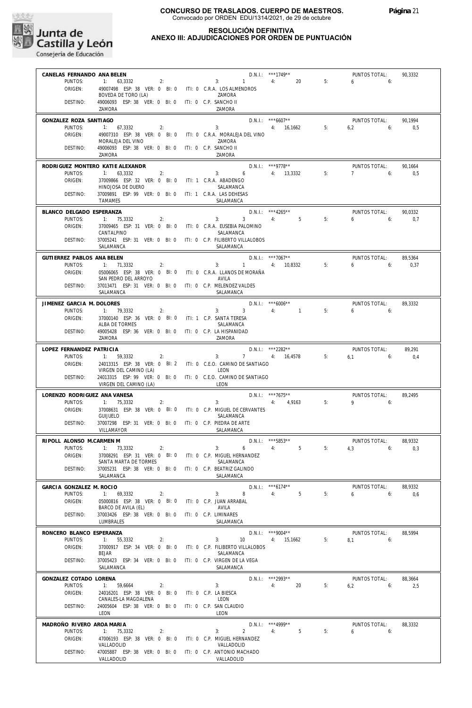

#### **RESOLUCIÓN DEFINITIVA ANEXO III: ADJUDICACIONES POR ORDEN DE PUNTUACIÓN**

| CANELAS FERNANDO ANA BELEN            |                                                                                          |                                                      | $D.N.I.:$ ***1749**                  |    | PUNTOS TOTAL:               | 90,3332         |
|---------------------------------------|------------------------------------------------------------------------------------------|------------------------------------------------------|--------------------------------------|----|-----------------------------|-----------------|
| PUNTOS:<br>ORIGEN:                    | 1: 63,3332<br>49007498 ESP: 38 VER: 0 BI: 0 ITI: 0 C.R.A. LOS ALMENDROS                  | 2: 3: 1 4:                                           | 20                                   | 5: | $6\qquad 6:$                |                 |
|                                       | BOVEDA DE TORO (LA)                                                                      | ZAMORA                                               |                                      |    |                             |                 |
| DESTINO:                              | 49006093 ESP: 38 VER: 0 BI: 0 ITI: 0 C.P. SANCHO II<br>ZAMORA                            | ZAMORA                                               |                                      |    |                             |                 |
| GONZALEZ ROZA SANTIAGO                |                                                                                          |                                                      | $D.N.1.:$ ***6607**                  |    | PUNTOS TOTAL:               | 90.1994         |
| PUNTOS:                               | 1: 67,3332<br>2:                                                                         | 3:                                                   | 4: 16.1662                           | 5: | $6,2$ 6:                    | 0,5             |
| ORIGEN:                               | 49007310 ESP: 38 VER: 0 BI: 0 ITI: 0 C.R.A. MORALEJA DEL VINO<br>MORALEJA DEL VINO       | ZAMORA                                               |                                      |    |                             |                 |
| DESTINO:                              | 49006093 ESP: 38 VER: 0 BI: 0 ITI: 0 C.P. SANCHO II                                      |                                                      |                                      |    |                             |                 |
|                                       | ZAMORA                                                                                   | 7AMORA                                               |                                      |    |                             |                 |
| PUNTOS:                               | RODRIGUEZ MONTERO KATIE ALEXANDR<br>$1: 63,3332$ 2:                                      | $3: 6 \t 4: 13,3332$                                 | $D.N.1.:$ ***9778**                  | 5: | PUNTOS TOTAL:<br>$7$ 6:     | 90,1664<br>0,5  |
| ORIGEN:                               | 37009866 ESP: 32 VER: 0 BI: 0 ITI: 1 C.R.A. ABADENGO                                     |                                                      |                                      |    |                             |                 |
|                                       | HINOJOSA DE DUERO                                                                        | SALAMANCA                                            |                                      |    |                             |                 |
| DESTINO:                              | 37009891 ESP: 99 VER: 0 BI: 0 ITI: 1 C.R.A. LAS DEHESAS<br><b>TAMAMES</b>                | SALAMANCA                                            |                                      |    |                             |                 |
| BLANCO DELGADO ESPERANZA              |                                                                                          |                                                      | $D.N.1.:$ ***4265**                  |    | PUNTOS TOTAL:               | 90.0332         |
| PUNTOS:                               | 1: 75,3332<br>2:                                                                         | $3 \qquad \qquad 4: \qquad \qquad 5$<br>3:           |                                      | 5: | $6\qquad 6$                 | 0,7             |
| ORIGEN:                               | 37009465 ESP: 31 VER: 0 BI: 0 ITI: 0 C.R.A. EUSEBIA PALOMINO<br>CANTALPINO               | SALAMANCA                                            |                                      |    |                             |                 |
| DESTINO:                              | 37005241 ESP: 31 VER: 0 BI: 0 ITI: 0 C.P. FILIBERTO VILLALOBOS                           |                                                      |                                      |    |                             |                 |
|                                       | SALAMANCA                                                                                | SALAMANCA                                            |                                      |    |                             |                 |
| GUTIERREZ PABLOS ANA BELEN<br>PUNTOS: | 1: 71,3332<br>2:                                                                         | $\sim$ $\sim$ $\sim$ $\sim$ $\sim$ $\sim$<br>3:      | $D.N.1::$ ***7067**<br>4: 10,8332    | 5: | PUNTOS TOTAL:<br>$6 - 6$    | 89,5364<br>0,37 |
| ORIGEN:                               | 05006065 ESP: 38 VER: 0 BI: 0 ITI: 0 C.R.A. LLANOS DE MORAÑA                             |                                                      |                                      |    |                             |                 |
| DESTINO:                              | SAN PEDRO DEL ARROYO                                                                     | AVILA                                                |                                      |    |                             |                 |
|                                       | 37013471 ESP: 31 VER: 0 BI: 0 ITI: 0 C.P. MELENDEZ VALDES<br>SALAMANCA                   | SALAMANCA                                            |                                      |    |                             |                 |
| JIMENEZ GARCIA M. DOLORES             |                                                                                          |                                                      | $D.N.1.:$ ***6006**                  |    | PUNTOS TOTAL:               | 89,3332         |
| PUNTOS:                               | 1: 79,3332<br>2:                                                                         | $3: 3 \t 4: 1$                                       |                                      | 5: | $6\qquad 6$                 |                 |
| ORIGEN:                               | 37000140 ESP: 36 VER: 0 BI: 0 ITI: 1 C.P. SANTA TERESA<br>ALBA DE TORMES                 | SALAMANCA                                            |                                      |    |                             |                 |
| DESTINO:                              | 49005428 ESP: 36 VER: 0 BI: 0 ITI: 0 C.P. LA HISPANIDAD                                  |                                                      |                                      |    |                             |                 |
|                                       | ZAMORA                                                                                   | ZAMORA                                               |                                      |    |                             |                 |
| LOPEZ FERNANDEZ PATRICIA<br>PUNTOS:   | 2:<br>1: 59,3332                                                                         | 3: $7$ 4: 16,4578 5:                                 | D.N.I.: ***2282**                    |    | PUNTOS TOTAL:<br>$6.1$ $6:$ | 89,291<br>0,4   |
| ORIGEN:                               | 24013315 ESP: 38 VER: 0 BI: 2 ITI: 0 C.E.O. CAMINO DE SANTIAGO                           |                                                      |                                      |    |                             |                 |
| DESTINO:                              | VIRGEN DEL CAMINO (LA)<br>24013315 ESP: 99 VER: 0 BI: 0 ITI: 0 C.E.O. CAMINO DE SANTIAGO | LEON                                                 |                                      |    |                             |                 |
|                                       | VIRGEN DEL CAMINO (LA)                                                                   | LEON                                                 |                                      |    |                             |                 |
| LORENZO RODRIGUEZ ANA VANESA          |                                                                                          |                                                      | $D.N.1.:$ ***7675**                  |    | PUNTOS TOTAL:               | 89,2495         |
| PUNTOS:<br>ORIGEN:                    | 1: 75,3332<br>2:<br>37008631 ESP: 38 VER: 0 BI: 0 ITI: 0 C.P. MIGUEL DE CERVANTES        | 3:                                                   | 4: 4.9163                            | 5: | $9 \t\t 6$                  |                 |
|                                       | GUIJUELO                                                                                 | SALAMANCA                                            |                                      |    |                             |                 |
| DESTINO:                              | 37007298 ESP: 31 VER: 0 BI: 0 ITI: 0 C.P. PIEDRA DE ARTE<br>VILLAMAYOR                   | SALAMANCA                                            |                                      |    |                             |                 |
| RIPOLL ALONSO M.CARMEN M              |                                                                                          |                                                      | $D.N.1.:$ ***5853**                  |    | PUNTOS TOTAL:               | 88.9332         |
| PUNTOS:                               | 1: 73,3332<br>2:                                                                         | 3:                                                   | $6 \qquad \qquad 4$ :<br>$5^{\circ}$ | 5: | 4,3<br>6:                   | 0,3             |
| ORIGEN:                               | 37008291 ESP: 31 VER: 0 BI: 0<br>SANTA MARTA DE TORMES                                   | ITI: 0 C.P. MIGUEL HERNANDEZ<br>SALAMANCA            |                                      |    |                             |                 |
| DESTINO:                              | 37005231 ESP: 38 VER: 0 BI: 0                                                            | ITI: 0 C.P. BEATRIZ GALINDO                          |                                      |    |                             |                 |
|                                       | SALAMANCA                                                                                | SALAMANCA                                            |                                      |    |                             |                 |
| GARCIA GONZALEZ M. ROCIO<br>PUNTOS:   |                                                                                          |                                                      | $D.N.1::$ *** 6174**                 |    | PUNTOS TOTAL:               | 88,9332         |
| ORIGEN:                               | 1: 69,3332<br>2:<br>05000816 ESP: 38 VER: 0 BI: 0                                        | 8<br>3:<br>ITI: 0 C.P. JUAN ARRABAL                  | 5<br>4:                              | 5: | 6<br>6:                     | 0,6             |
|                                       | BARCO DE AVILA (EL)                                                                      | AVILA                                                |                                      |    |                             |                 |
| DESTINO:                              | 37003426 ESP: 38 VER: 0 BI: 0<br>LUMBRALES                                               | ITI: 0 C.P. LIMINARES<br>SALAMANCA                   |                                      |    |                             |                 |
| RONCERO BLANCO ESPERANZA              |                                                                                          |                                                      | $D.N.1::$ ***9004**                  |    | PUNTOS TOTAL:               | 88,5994         |
| PUNTOS:                               | 1: 55,3332<br>2:                                                                         | 3:<br>10                                             | 4: 15,1662                           | 5: | 8,1<br>6:                   |                 |
| ORIGEN:                               | 37000917 ESP: 34 VER: 0 BI: 0<br><b>BEJAR</b>                                            | ITI: 0 C.P. FILIBERTO VILLALOBOS<br>SALAMANCA        |                                      |    |                             |                 |
| DESTINO:                              | 37005423 ESP: 34 VER: 0 BI: 0                                                            | ITI: 0 C.P. VIRGEN DE LA VEGA                        |                                      |    |                             |                 |
|                                       | SALAMANCA                                                                                | SALAMANCA                                            |                                      |    |                             |                 |
| GONZALEZ COTADO LORENA<br>PUNTOS:     | 1:<br>59,6664<br>2:                                                                      | 3:                                                   | D.N.I.: *** 2993**<br>4:<br>20       | 5: | PUNTOS TOTAL:<br>6,2<br>6:  | 88,3664<br>2,5  |
| ORIGEN:                               | 24016201 ESP: 38 VER: 0 BI: 0                                                            | ITI: 0 C.P. LA BIESCA                                |                                      |    |                             |                 |
| DESTINO:                              | CANALES-LA MAGDALENA<br>24005604 ESP: 38 VER: 0 BI: 0                                    | LEON<br>ITI: 0 C.P. SAN CLAUDIO                      |                                      |    |                             |                 |
|                                       | LEON                                                                                     | LEON                                                 |                                      |    |                             |                 |
| MADROÑO RIVERO AROA MARIA             |                                                                                          |                                                      | D.N.I.: *** 4999**                   |    | PUNTOS TOTAL:               | 88,3332         |
| PUNTOS:<br>ORIGEN:                    | 1:<br>75,3332<br>2:<br>47006193 ESP: 38 VER: 0 BI: 0                                     | $\overline{2}$<br>3:<br>ITI: 0 C.P. MIGUEL HERNANDEZ | 5<br>4:                              | 5: | 6<br>6:                     |                 |
|                                       | VALLADOLID                                                                               | VALLADOLID                                           |                                      |    |                             |                 |
| DESTINO:                              | 47005887 ESP: 38 VER: 0 BI: 0<br>VALLADOLID                                              | ITI: 0 C.P. ANTONIO MACHADO<br>VALLADOLID            |                                      |    |                             |                 |
|                                       |                                                                                          |                                                      |                                      |    |                             |                 |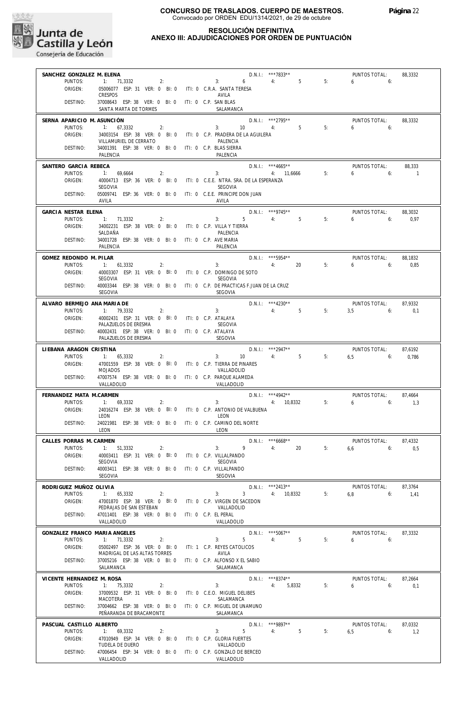

#### **RESOLUCIÓN DEFINITIVA ANEXO III: ADJUDICACIONES POR ORDEN DE PUNTUACIÓN**

| SANCHEZ GONZALEZ M. ELENA             |                                                                                   |                       |                                                                                                                                                                                                                                                                                                                                          | D.N.I.: ***7833**          |    | PUNTOS TOTAL:            | 88,3332        |
|---------------------------------------|-----------------------------------------------------------------------------------|-----------------------|------------------------------------------------------------------------------------------------------------------------------------------------------------------------------------------------------------------------------------------------------------------------------------------------------------------------------------------|----------------------------|----|--------------------------|----------------|
| PUNTOS:                               | 1: 71,3332<br>2:                                                                  |                       | $6\quad$<br>3:                                                                                                                                                                                                                                                                                                                           | 4:<br>5                    | 5: | 6<br>6:                  |                |
| ORIGEN:                               | 05006077 ESP: 31 VER: 0 BI: 0 ITI: 0 C.R.A. SANTA TERESA                          |                       |                                                                                                                                                                                                                                                                                                                                          |                            |    |                          |                |
| DESTINO:                              | <b>CRESPOS</b><br>37008643 ESP: 38 VER: 0 BI: 0 ITI: 0 C.P. SAN BLAS              |                       | AVILA                                                                                                                                                                                                                                                                                                                                    |                            |    |                          |                |
|                                       | SANTA MARTA DE TORMES                                                             |                       | SALAMANCA                                                                                                                                                                                                                                                                                                                                |                            |    |                          |                |
|                                       |                                                                                   |                       |                                                                                                                                                                                                                                                                                                                                          |                            |    |                          |                |
| SERNA APARICIO M. ASUNCIÓN<br>PUNTOS: | 1: 67,3332<br>2:                                                                  |                       | 3:<br>10                                                                                                                                                                                                                                                                                                                                 | $D.N.1.:$ ***2795**<br>4:5 | 5: | PUNTOS TOTAL:<br>6<br>6: | 88.3332        |
| ORIGEN:                               | 34003154 ESP: 38 VER: 0 BI: 0                                                     |                       | ITI: 0 C.P. PRADERA DE LA AGUILERA                                                                                                                                                                                                                                                                                                       |                            |    |                          |                |
|                                       | VILLAMURIEL DE CERRATO                                                            |                       | PALENCIA                                                                                                                                                                                                                                                                                                                                 |                            |    |                          |                |
| DESTINO:                              | 34001391 ESP: 38 VER: 0 BI: 0 ITI: 0 C.P. BLAS SIERRA                             |                       |                                                                                                                                                                                                                                                                                                                                          |                            |    |                          |                |
|                                       | PALENCIA                                                                          |                       | PALENCIA                                                                                                                                                                                                                                                                                                                                 |                            |    |                          |                |
| SANTERO GARCIA REBECA                 |                                                                                   |                       |                                                                                                                                                                                                                                                                                                                                          | $D.N.1.:$ ***4665**        |    | PUNTOS TOTAL:            | 88,333         |
| PUNTOS:                               | 1: 69,6664<br>2:                                                                  |                       | 3:                                                                                                                                                                                                                                                                                                                                       | 4: 11,6666                 | 5: | 6<br>6:                  | $\overline{1}$ |
| ORIGEN:                               | 40004713 ESP: 36 VER: 0 BI: 0<br>SEGOVIA                                          |                       | ITI: 0 C.E.E. NTRA. SRA. DE LA ESPERANZA<br>SEGOVIA                                                                                                                                                                                                                                                                                      |                            |    |                          |                |
| DESTINO:                              | 05009741 ESP: 36 VER: 0 BI: 0                                                     |                       | ITI: 0 C.E.E. PRINCIPE DON JUAN                                                                                                                                                                                                                                                                                                          |                            |    |                          |                |
|                                       | AVILA                                                                             |                       | AVILA                                                                                                                                                                                                                                                                                                                                    |                            |    |                          |                |
| GARCIA NESTAR ELENA                   |                                                                                   |                       |                                                                                                                                                                                                                                                                                                                                          | D.N.I.: ***9745**          |    | PUNTOS TOTAL:            | 88,3032        |
| PUNTOS:                               | 1: 71,3332<br>2:                                                                  |                       | $5 -$<br>3:                                                                                                                                                                                                                                                                                                                              | 4:<br>5                    | 5: | 6<br>6:                  | 0,97           |
| ORIGEN:                               | 34002231 ESP: 38 VER: 0 BI: 0                                                     |                       | ITI: 0 C.P. VILLA Y TIERRA                                                                                                                                                                                                                                                                                                               |                            |    |                          |                |
|                                       | SALDAÑA                                                                           |                       | PALENCIA                                                                                                                                                                                                                                                                                                                                 |                            |    |                          |                |
| DESTINO:                              | 34001728 ESP: 38 VER: 0 BI: 0<br>PALENCIA                                         | ITI: 0 C.P. AVE MARIA | PALENCIA                                                                                                                                                                                                                                                                                                                                 |                            |    |                          |                |
|                                       |                                                                                   |                       |                                                                                                                                                                                                                                                                                                                                          |                            |    |                          |                |
| GOMEZ REDONDO M. PILAR                |                                                                                   |                       |                                                                                                                                                                                                                                                                                                                                          | D.N.I.: *** 5954**         |    | PUNTOS TOTAL:            | 88,1832        |
| PUNTOS:<br>ORIGEN:                    | 1: 61.3332<br>2:<br>40003307 ESP: 31 VER: 0 BI: 0                                 |                       | 3:<br>ITI: 0 C.P. DOMINGO DE SOTO                                                                                                                                                                                                                                                                                                        | 4:<br>20                   | 5: | 6<br>6:                  | 0,85           |
|                                       | SEGOVIA                                                                           |                       | SEGOVIA                                                                                                                                                                                                                                                                                                                                  |                            |    |                          |                |
| DESTINO:                              | 40003344 ESP: 38 VER: 0 BI: 0                                                     |                       | ITI: 0 C.P. DE PRACTICAS F.JUAN DE LA CRUZ                                                                                                                                                                                                                                                                                               |                            |    |                          |                |
|                                       | SEGOVIA                                                                           |                       | SEGOVIA                                                                                                                                                                                                                                                                                                                                  |                            |    |                          |                |
| ALVARO BERMEJO ANA MARIA DE           |                                                                                   |                       |                                                                                                                                                                                                                                                                                                                                          | D.N.I.: *** 4230**         |    | PUNTOS TOTAL:            | 87,9332        |
| PUNTOS:                               | 1: 79.3332<br>2:                                                                  |                       | 3:                                                                                                                                                                                                                                                                                                                                       | 4:<br>5                    | 5: | 3,5<br>6:                | 0,1            |
| ORIGEN:                               | 40002431 ESP: 31 VER: 0 BI: 0 ITI: 0 C.P. ATALAYA                                 |                       |                                                                                                                                                                                                                                                                                                                                          |                            |    |                          |                |
| DESTINO:                              | PALAZUELOS DE ERESMA<br>40002431 ESP: 38 VER: 0 BI: 0 ITI: 0 C.P. ATALAYA         |                       | <b>SEGOVIA</b>                                                                                                                                                                                                                                                                                                                           |                            |    |                          |                |
|                                       | PALAZUELOS DE ERESMA                                                              |                       | <b>SEGOVIA</b>                                                                                                                                                                                                                                                                                                                           |                            |    |                          |                |
| LIEBANA ARAGON CRISTINA               |                                                                                   |                       |                                                                                                                                                                                                                                                                                                                                          | D.N.I.: ***2947**          |    | PUNTOS TOTAL:            | 87,6192        |
| PUNTOS:                               | 1: 65,3332<br>2:                                                                  |                       | 3:<br>10 <sup>°</sup>                                                                                                                                                                                                                                                                                                                    | 5<br>4:                    | 5: | 6,5<br>6:                | 0,786          |
| ORIGEN:                               | 47001559 ESP: 38 VER: 0 BI: 0 ITI: 0 C.P. TIERRA DE PINARES                       |                       |                                                                                                                                                                                                                                                                                                                                          |                            |    |                          |                |
|                                       | <b>MOJADOS</b>                                                                    |                       | VALLADOLID                                                                                                                                                                                                                                                                                                                               |                            |    |                          |                |
| DESTINO:                              | 47007574 ESP: 38 VER: 0 BI: 0<br>VALLADOLID                                       |                       | ITI: 0 C.P. PARQUE ALAMEDA<br>VALLADOLID                                                                                                                                                                                                                                                                                                 |                            |    |                          |                |
|                                       |                                                                                   |                       |                                                                                                                                                                                                                                                                                                                                          |                            |    |                          |                |
| FERNANDEZ MATA M.CARMEN               |                                                                                   |                       |                                                                                                                                                                                                                                                                                                                                          | $D.N.1.:$ ***4942**        |    | PUNTOS TOTAL:            | 87,4664        |
| PUNTOS:<br>ORIGEN:                    | 1: 69,3332<br>2:<br>24016274 ESP: 38 VER: 0 BI: 0 ITI: 0 C.P. ANTONIO DE VALBUENA |                       | 3:                                                                                                                                                                                                                                                                                                                                       | 4: 10,8332                 | 5: | 6.6                      | 1,3            |
|                                       | LEON                                                                              |                       | LEON                                                                                                                                                                                                                                                                                                                                     |                            |    |                          |                |
| DESTINO:                              | 24021981 ESP: 38 VER: 0 BI: 0                                                     |                       | ITI: 0 C.P. CAMINO DEL NORTE                                                                                                                                                                                                                                                                                                             |                            |    |                          |                |
|                                       | LEON                                                                              |                       | <b>LEON</b>                                                                                                                                                                                                                                                                                                                              |                            |    |                          |                |
| CALLES PORRAS M. CARMEN               |                                                                                   |                       |                                                                                                                                                                                                                                                                                                                                          | $D.N.1::$ *** 6668**       |    | PUNTOS TOTAL:            | 87,4332        |
| PUNTOS:                               | 1: 51,3332<br>2:                                                                  |                       | $\overline{q}$ and $\overline{q}$ and $\overline{q}$ and $\overline{q}$ and $\overline{q}$ and $\overline{q}$ and $\overline{q}$ and $\overline{q}$ and $\overline{q}$ and $\overline{q}$ and $\overline{q}$ and $\overline{q}$ and $\overline{q}$ and $\overline{q}$ and $\overline{q}$ and $\overline{q}$ and $\overline{q}$ and<br>3: | 4:<br>20                   | 5: | $6,6$ 6:                 | 0.5            |
| ORIGEN:                               | 40003411 ESP: 31 VER: 0 BI: 0                                                     |                       | ITI: 0 C.P. VILLALPANDO                                                                                                                                                                                                                                                                                                                  |                            |    |                          |                |
| DESTINO:                              | SEGOVIA<br>40003411 ESP: 38 VER: 0 BI: 0                                          |                       | SEGOVIA<br>ITI: 0 C.P. VILLALPANDO                                                                                                                                                                                                                                                                                                       |                            |    |                          |                |
|                                       | SEGOVIA                                                                           |                       | SEGOVIA                                                                                                                                                                                                                                                                                                                                  |                            |    |                          |                |
| RODRIGUEZ MUÑOZ OLIVIA                |                                                                                   |                       |                                                                                                                                                                                                                                                                                                                                          | D.N.I.: ***2413**          |    | PUNTOS TOTAL:            | 87,3764        |
| PUNTOS:                               | 1:<br>65,3332<br>2:                                                               |                       | 3:<br>3                                                                                                                                                                                                                                                                                                                                  | 4: 10,8332                 | 5: | 6,8<br>6:                | 1,41           |
| ORIGEN:                               | 47001870 ESP: 38 VER: 0 BI: 0                                                     |                       | ITI: 0 C.P. VIRGEN DE SACEDON                                                                                                                                                                                                                                                                                                            |                            |    |                          |                |
|                                       | PEDRAJAS DE SAN ESTEBAN                                                           |                       | VALLADOLID                                                                                                                                                                                                                                                                                                                               |                            |    |                          |                |
| DESTINO:                              | 47011401 ESP: 38 VER: 0 BI: 0                                                     | ITI: 0 C.P. EL PERAL  |                                                                                                                                                                                                                                                                                                                                          |                            |    |                          |                |
|                                       | VALLADOLID                                                                        |                       | VALLADOLID                                                                                                                                                                                                                                                                                                                               |                            |    |                          |                |
| GONZALEZ FRANCO MARIA ANGELES         |                                                                                   |                       |                                                                                                                                                                                                                                                                                                                                          | $D.N.1::$ ***5067**        |    | PUNTOS TOTAL:            | 87,3332        |
| PUNTOS:                               | 1: 71,3332<br>2:                                                                  |                       | 5<br>3:                                                                                                                                                                                                                                                                                                                                  | 4:<br>5 <sub>5</sub>       | 5: | 6<br>6:                  |                |
| ORIGEN:                               | 05002497 ESP: 36 VER: 0 BI: 0<br>MADRIGAL DE LAS ALTAS TORRES                     |                       | ITI: 1 C.P. REYES CATOLICOS<br>AVILA                                                                                                                                                                                                                                                                                                     |                            |    |                          |                |
| DESTINO:                              | 37005216 ESP: 38 VER: 0 BI: 0                                                     |                       | ITI: 0 C.P. ALFONSO X EL SABIO                                                                                                                                                                                                                                                                                                           |                            |    |                          |                |
|                                       | SALAMANCA                                                                         |                       | SALAMANCA                                                                                                                                                                                                                                                                                                                                |                            |    |                          |                |
| VICENTE HERNANDEZ M. ROSA             |                                                                                   |                       |                                                                                                                                                                                                                                                                                                                                          | $D.N.1::$ ***8374**        |    | PUNTOS TOTAL:            | 87,2664        |
| PUNTOS:                               | 1: 75,3332<br>2:                                                                  |                       | 3:                                                                                                                                                                                                                                                                                                                                       | 4:<br>5,8332               | 5: | 6<br>6:                  | 0.1            |
| ORIGEN:                               | 37009532 ESP: 31 VER: 0 BI: 0                                                     |                       | ITI: 0 C.E.O. MIGUEL DELIBES                                                                                                                                                                                                                                                                                                             |                            |    |                          |                |
|                                       | MACOTERA                                                                          |                       | SALAMANCA                                                                                                                                                                                                                                                                                                                                |                            |    |                          |                |
| DESTINO:                              | 37004662 ESP: 38 VER: 0 BI: 0<br>PEÑARANDA DE BRACAMONTE                          |                       | ITI: 0 C.P. MIGUEL DE UNAMUNO<br>SALAMANCA                                                                                                                                                                                                                                                                                               |                            |    |                          |                |
|                                       |                                                                                   |                       |                                                                                                                                                                                                                                                                                                                                          |                            |    |                          |                |
| PASCUAL CASTILLO ALBERTO              |                                                                                   |                       | 5                                                                                                                                                                                                                                                                                                                                        | D.N.I.: *** 9897**         |    | PUNTOS TOTAL:            | 87,0332        |
| PUNTOS:<br>ORIGEN:                    | 1: 69,3332<br>2:<br>47010949 ESP: 34 VER: 0 BI: 0                                 |                       | 3:<br>ITI: 0 C.P. GLORIA FUERTES                                                                                                                                                                                                                                                                                                         | 4:<br>5                    | 5: | 6,5<br>6:                | 1,2            |
|                                       | TUDELA DE DUERO                                                                   |                       | VALLADOLID                                                                                                                                                                                                                                                                                                                               |                            |    |                          |                |
| DESTINO:                              | 47006454 ESP: 34 VER: 0 BI: 0                                                     |                       | ITI: 0 C.P. GONZALO DE BERCEO                                                                                                                                                                                                                                                                                                            |                            |    |                          |                |
|                                       |                                                                                   |                       |                                                                                                                                                                                                                                                                                                                                          |                            |    |                          |                |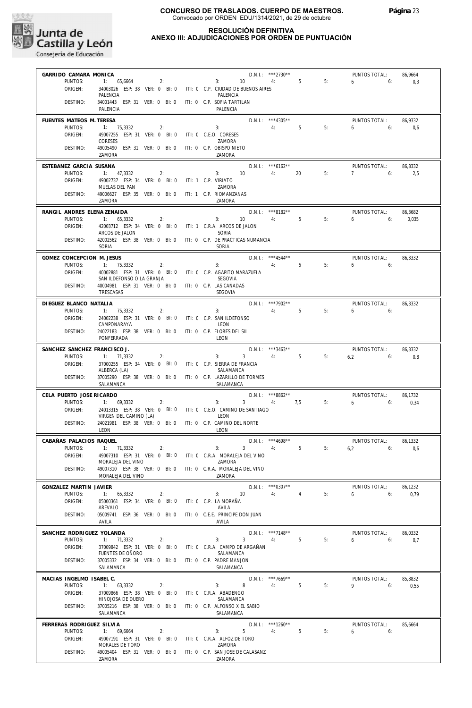

#### **RESOLUCIÓN DEFINITIVA**

#### **ANEXO III: ADJUDICACIONES POR ORDEN DE PUNTUACIÓN**

| GARRIDO CAMARA MONICA        |                                                                |                     | D.N.I.: ***2730**                          |                |    | PUNTOS TOTAL: | 86,9664 |
|------------------------------|----------------------------------------------------------------|---------------------|--------------------------------------------|----------------|----|---------------|---------|
| PUNTOS:                      | 1: 65,6664<br>2:                                               |                     | 10<br>3:                                   | 4:5            | 5: | 6<br>6:       | 0,3     |
| ORIGEN:                      | 34003026 ESP: 38 VER: 0 BI: 0                                  |                     | ITI: 0 C.P. CIUDAD DE BUENOS AIRES         |                |    |               |         |
|                              | PALENCIA                                                       |                     | PALENCIA                                   |                |    |               |         |
|                              |                                                                |                     |                                            |                |    |               |         |
| DESTINO:                     | 34001443 ESP: 31 VER: 0 BI: 0 ITI: 0 C.P. SOFIA TARTILAN       |                     |                                            |                |    |               |         |
|                              | PALENCIA                                                       |                     | PALENCIA                                   |                |    |               |         |
| FUENTES MATEOS M. TERESA     |                                                                |                     | $D.N.1.:$ ***4305**                        |                |    | PUNTOS TOTAL: | 86,9332 |
|                              |                                                                |                     |                                            |                |    |               |         |
| PUNTOS:                      | 1: 75,3332<br>2:                                               |                     | 3:                                         | 4:5            | 5: | 6:<br>6       | 0.6     |
| ORIGEN:                      | 49007255 ESP: 31 VER: 0 BI: 0                                  |                     | ITI: 0 C.E.O. CORESES                      |                |    |               |         |
|                              | CORESES                                                        |                     | ZAMORA                                     |                |    |               |         |
| DESTINO:                     | 49005490 ESP: 31 VER: 0 BI: 0                                  |                     | ITI: 0 C.P. OBISPO NIETO                   |                |    |               |         |
|                              | ZAMORA                                                         |                     | ZAMORA                                     |                |    |               |         |
|                              |                                                                |                     |                                            |                |    |               |         |
| ESTEBANEZ GARCIA SUSANA      |                                                                |                     | $D.N.1::$ *** 6162**                       |                |    | PUNTOS TOTAL: | 86.8332 |
| PUNTOS:                      | 1: 47,3332<br>2:                                               |                     | 3: 10<br>4:                                | 20             | 5: | 7<br>6:       | 2,5     |
| ORIGEN:                      | 49002737 ESP: 34 VER: 0 BI: 0                                  | ITI: 1 C.P. VIRIATO |                                            |                |    |               |         |
|                              | MUELAS DEL PAN                                                 |                     | 7AMORA                                     |                |    |               |         |
| DESTINO:                     | 49006627 ESP: 35 VER: 0 BI: 0 ITI: 1 C.P. RIOMANZANAS          |                     |                                            |                |    |               |         |
|                              | ZAMORA                                                         |                     | ZAMORA                                     |                |    |               |         |
|                              |                                                                |                     |                                            |                |    |               |         |
| RANGIL ANDRES ELENA ZENAIDA  |                                                                |                     | D.N.I.: ***8182**                          |                |    | PUNTOS TOTAL: | 86,3682 |
| PUNTOS:                      | 1: 65,3332<br>2:                                               |                     | 4:<br>3:<br>10 <sup>°</sup>                | 5              | 5: | 6<br>6:       | 0,035   |
| ORIGEN:                      | 42003712 ESP: 34 VER: 0 BI: 0                                  |                     | ITI: 1 C.R.A. ARCOS DE JALON               |                |    |               |         |
|                              | ARCOS DE JALON                                                 |                     | SORIA                                      |                |    |               |         |
| DESTINO:                     | 42002562 ESP: 38 VER: 0 BI: 0                                  |                     | ITI: 0 C.P. DE PRACTICAS NUMANCIA          |                |    |               |         |
|                              | SORIA                                                          |                     | SORIA                                      |                |    |               |         |
|                              |                                                                |                     |                                            |                |    |               |         |
| GOMEZ CONCEPCION M. JESUS    |                                                                |                     | $D.N.1::$ ***4544**                        |                |    | PUNTOS TOTAL: | 86,3332 |
| PUNTOS:                      | 1: 75,3332<br>2:                                               |                     | 4:<br>3:                                   | 5              | 5: | 6<br>6:       |         |
| ORIGEN:                      | 40002881 ESP: 31 VER: 0 BI: 0 ITI: 0 C.P. AGAPITO MARAZUELA    |                     |                                            |                |    |               |         |
|                              | SAN ILDEFONSO O LA GRANJA                                      |                     | <b>SEGOVIA</b>                             |                |    |               |         |
| DESTINO:                     | 40004981 ESP: 31 VER: 0 BI: 0 ITI: 0 C.P. LAS CAÑADAS          |                     |                                            |                |    |               |         |
|                              | TRESCASAS                                                      |                     | SEGOVIA                                    |                |    |               |         |
|                              |                                                                |                     |                                            |                |    |               |         |
| DIEGUEZ BLANCO NATALIA       |                                                                |                     | D.N.I.: ***7902**                          |                |    | PUNTOS TOTAL: | 86,3332 |
| PUNTOS:                      | 1: 75,3332<br>2:                                               |                     | 4:<br>3:                                   | 5              | 5: | $6 \t\t 6$    |         |
| ORIGEN:                      | 24002238 ESP: 31 VER: 0 BI: 0                                  |                     | ITI: 0 C.P. SAN ILDEFONSO                  |                |    |               |         |
|                              | CAMPONARAYA                                                    |                     | LEON                                       |                |    |               |         |
| DESTINO:                     | 24022183 ESP: 38 VER: 0 BI: 0                                  |                     | ITI: 0 C.P. FLORES DEL SIL                 |                |    |               |         |
|                              | PONFERRADA                                                     |                     | LEON                                       |                |    |               |         |
|                              |                                                                |                     |                                            |                |    |               |         |
| SANCHEZ SANCHEZ FRANCISCO J. |                                                                |                     | $D.N.1::$ ***3463**                        |                |    | PUNTOS TOTAL: | 86,3332 |
| PUNTOS:                      | 1: 71,3332<br>2:                                               |                     | $3^{\circ}$<br>4:<br>3:                    | $5^{\circ}$    | 5: | 6.2<br>6:     | 0.8     |
| ORIGEN:                      | 37000255 ESP: 34 VER: 0 BI: 0 ITI: 0 C.P. SIERRA DE FRANCIA    |                     |                                            |                |    |               |         |
|                              | ALBERCA (LA)                                                   |                     | SALAMANCA                                  |                |    |               |         |
|                              |                                                                |                     |                                            |                |    |               |         |
| DESTINO:                     | 37005290 ESP: 38 VER: 0 BI: 0 ITI: 0 C.P. LAZARILLO DE TORMES  |                     |                                            |                |    |               |         |
|                              | SALAMANCA                                                      |                     | SALAMANCA                                  |                |    |               |         |
|                              |                                                                |                     |                                            |                |    |               |         |
| CELA PUERTO JOSE RICARDO     |                                                                |                     | $D.N.1.:$ ***8862**                        |                |    | PUNTOS TOTAL: | 86,1732 |
| PUNTOS:                      | 1: 69,3332<br>2:                                               |                     | 3:<br>$3 \t 4: \t 7.5$                     |                | 5: | 6<br>6:       | 0,34    |
| ORIGEN:                      | 24013315 ESP: 38 VER: 0 BI: 0 ITI: 0 C.E.O. CAMINO DE SANTIAGO |                     |                                            |                |    |               |         |
|                              | VIRGEN DEL CAMINO (LA)                                         |                     | LEON                                       |                |    |               |         |
| DESTINO:                     | 24021981 ESP: 38 VER: 0 BI: 0 ITI: 0 C.P. CAMINO DEL NORTE     |                     |                                            |                |    |               |         |
|                              | LEON                                                           |                     | LEON                                       |                |    |               |         |
|                              |                                                                |                     |                                            |                |    |               |         |
| CABAÑAS PALACIOS RAQUEL      |                                                                |                     | D.N.I.: *** 4698**                         |                |    | PUNTOS TOTAL: | 86,1332 |
| PUNTOS:                      | 1: 71.3332<br>2:                                               |                     | 3:<br>$3 \sim$<br>4:                       | 5              | 5: | 6,2<br>6:     | 0.6     |
| ORIGEN:                      | 49007310 ESP: 31 VER: 0 BI: 0                                  |                     | ITI: 0 C.R.A. MORALEJA DEL VINO            |                |    |               |         |
|                              | MORALEJA DEL VINO                                              |                     | ZAMORA                                     |                |    |               |         |
| DESTINO:                     | 49007310 ESP: 38 VER: 0 BI: 0                                  |                     | ITI: 0 C.R.A. MORALEJA DEL VINO            |                |    |               |         |
|                              | MORALEJA DEL VINO                                              |                     | ZAMORA                                     |                |    |               |         |
|                              |                                                                |                     |                                            |                |    |               |         |
| GONZALEZ MARTIN JAVIER       |                                                                |                     | $D.N.1::$ *** 0307**                       |                |    | PUNTOS TOTAL: | 86,1232 |
| PUNTOS:                      | 1: 65,3332<br>2:                                               |                     | 10 <sup>°</sup><br>4:<br>3:                | $\overline{4}$ | 5: | 6<br>6:       | 0,79    |
| ORIGEN:                      | 05000361 ESP: 34 VER: 0 BI: 0                                  |                     | ITI: 0 C.P. LA MORAÑA                      |                |    |               |         |
|                              | AREVALO                                                        |                     | AVILA                                      |                |    |               |         |
| DESTINO:                     | 05009741 ESP: 36 VER: 0 BI: 0                                  |                     | ITI: 0 C.E.E. PRINCIPE DON JUAN            |                |    |               |         |
|                              | AVILA                                                          |                     | AVILA                                      |                |    |               |         |
|                              |                                                                |                     |                                            |                |    |               |         |
| SANCHEZ RODRIGUEZ YOLANDA    |                                                                |                     | D.N.I.: ***7148**                          |                |    | PUNTOS TOTAL: | 86,0332 |
| PUNTOS:                      | 1: 71.3332<br>2:                                               |                     | $\overline{3}$<br>3:<br>4:                 | 5              | 5: | 6<br>6:       | 0,7     |
| ORIGEN:                      | 37009842 ESP: 31 VER: 0 BI: 0                                  |                     | ITI: 0 C.R.A. CAMPO DE ARGAÑAN             |                |    |               |         |
|                              | FUENTES DE OÑORO                                               |                     | SALAMANCA                                  |                |    |               |         |
| DESTINO:                     | 37005332 ESP: 34 VER: 0 BI: 0                                  |                     | ITI: 0 C.P. PADRE MANJON                   |                |    |               |         |
|                              | SALAMANCA                                                      |                     | SALAMANCA                                  |                |    |               |         |
|                              |                                                                |                     |                                            |                |    |               |         |
| MACIAS INGELMO ISABEL C.     |                                                                |                     | D.N.I.: ***7669**                          |                |    | PUNTOS TOTAL: | 85,8832 |
| PUNTOS:                      | 1: 63,3332<br>2:                                               |                     | 3:<br>8<br>4:                              | $5^{\circ}$    | 5: | 9<br>6:       | 0,55    |
| ORIGEN:                      | 37009866 ESP: 38 VER: 0 BI: 0                                  |                     | ITI: 0 C.R.A. ABADENGO                     |                |    |               |         |
|                              | HINOJOSA DE DUERO                                              |                     | SALAMANCA                                  |                |    |               |         |
| DESTINO:                     | 37005216 ESP: 38 VER: 0 BI: 0                                  |                     | ITI: 0 C.P. ALFONSO X EL SABIO             |                |    |               |         |
|                              | SALAMANCA                                                      |                     | SALAMANCA                                  |                |    |               |         |
| FERRERAS RODRIGUEZ SILVIA    |                                                                |                     | D.N.I.: ***1260**                          |                |    | PUNTOS TOTAL: | 85,6664 |
| PUNTOS:                      | 1: 69,6664<br>2:                                               |                     | 5<br>4:<br>3:                              | 5              | 5: | 6<br>6:       |         |
|                              |                                                                |                     |                                            |                |    |               |         |
| ORIGEN:                      | 49007191 ESP: 31 VER: 0 BI: 0                                  |                     | ITI: 0 C.R.A. ALFOZ DE TORO<br>ZAMORA      |                |    |               |         |
|                              | MORALES DE TORO                                                |                     |                                            |                |    |               |         |
| DESTINO:                     | 49005404 ESP: 31 VER: 0 BI: 0<br>ZAMORA                        |                     | ITI: 0 C.P. SAN JOSE DE CALASANZ<br>ZAMORA |                |    |               |         |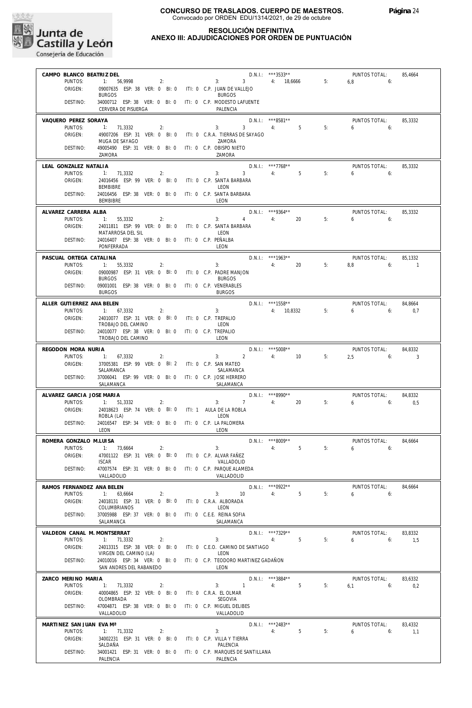

#### **RESOLUCIÓN DEFINITIVA ANEXO III: ADJUDICACIONES POR ORDEN DE PUNTUACIÓN**

| CAMPO BLANCO BEATRIZ DEL             |                                                                                               |                                                           | $D.N.1::$ ***3533**               |    | PUNTOS TOTAL:                | 85,4664     |
|--------------------------------------|-----------------------------------------------------------------------------------------------|-----------------------------------------------------------|-----------------------------------|----|------------------------------|-------------|
| PUNTOS:                              | $1: 56,9998$ 2:                                                                               | 3: 3: 4: 18,6666                                          |                                   | 5: | $6.8$ 6:                     |             |
| ORIGEN:                              | 09007635 ESP: 38 VER: 0 BI: 0 ITI: 0 C.P. JUAN DE VALLEJO                                     |                                                           |                                   |    |                              |             |
| DESTINO:                             | <b>BURGOS</b><br>34000712 ESP: 38 VER: 0 BI: 0 ITI: 0 C.P. MODESTO LAFUENTE                   | <b>BURGOS</b>                                             |                                   |    |                              |             |
|                                      | CERVERA DE PISUERGA                                                                           | PALENCIA                                                  |                                   |    |                              |             |
|                                      |                                                                                               |                                                           |                                   |    |                              |             |
| VAQUERO PEREZ SORAYA<br>PUNTOS:      | $1: 71,3332$ 2:                                                                               | 3: 3: 4: 5                                                | $D.N.1.:$ ***8581**               | 5: | PUNTOS TOTAL:<br>655         | 85,3332     |
| ORIGEN:                              | 49007206 ESP: 31 VER: 0 BI: 0 ITI: 0 C.R.A. TIERRAS DE SAYAGO                                 |                                                           |                                   |    |                              |             |
|                                      | MUGA DE SAYAGO                                                                                | ZAMORA                                                    |                                   |    |                              |             |
| DESTINO:                             | 49005490 ESP: 31 VER: 0 BI: 0 ITI: 0 C.P. OBISPO NIETO                                        |                                                           |                                   |    |                              |             |
|                                      | ZAMORA                                                                                        | ZAMORA                                                    |                                   |    |                              |             |
| LEAL GONZALEZ NATALIA                |                                                                                               |                                                           | D.N.I.: ***7768**                 |    | PUNTOS TOTAL:                | 85,3332     |
| PUNTOS:                              | 1: 71,3332<br>2:                                                                              | $3: 3 \t 4: 5$                                            |                                   | 5: | $6\qquad 6$                  |             |
| ORIGEN:                              | 24016456 ESP: 99 VER: 0 BI: 0 ITI: 0 C.P. SANTA BARBARA                                       |                                                           |                                   |    |                              |             |
| DESTINO:                             | BEMBIBRE<br>24016456 ESP: 38 VER: 0 BI: 0 ITI: 0 C.P. SANTA BARBARA                           | LEON                                                      |                                   |    |                              |             |
|                                      | BEMBIBRE                                                                                      | LEON                                                      |                                   |    |                              |             |
|                                      |                                                                                               |                                                           |                                   |    |                              |             |
| ALVAREZ CARRERA ALBA<br>PUNTOS:      | $1: 55,3332$ 2:                                                                               | 3: $4 \t 4$ : 20                                          | $D.N.1.:$ ***9364**               | 5: | PUNTOS TOTAL:<br>$6\qquad 6$ | 85,3332     |
| ORIGEN:                              | 24011811 ESP: 99 VER: 0 BI: 0 ITI: 0 C.P. SANTA BARBARA                                       |                                                           |                                   |    |                              |             |
|                                      | MATARROSA DEL SIL                                                                             | LEON                                                      |                                   |    |                              |             |
| DESTINO:                             | 24016407 ESP: 38 VER: 0 BI: 0 ITI: 0 C.P. PEÑALBA                                             |                                                           |                                   |    |                              |             |
|                                      | PONFERRADA                                                                                    | LEON                                                      |                                   |    |                              |             |
| PASCUAL ORTEGA CATALINA              |                                                                                               |                                                           |                                   |    | PUNTOS TOTAL:                | 85,1332     |
| PUNTOS:                              | 1: 55,3332<br>2:                                                                              | $D.N.L.:$ $\frac{1}{2}$ $\frac{1}{4}$ $\frac{1}{4}$<br>3: | 20                                | 5: | $8,8$ 6:                     | $\sim$ $-1$ |
| ORIGEN:                              | 09000987 ESP: 31 VER: 0 BI: 0 ITI: 0 C.P. PADRE MANJON                                        |                                                           |                                   |    |                              |             |
|                                      | <b>BURGOS</b>                                                                                 | <b>BURGOS</b>                                             |                                   |    |                              |             |
| DESTINO:                             | 09001001 ESP: 38 VER: 0 BI: 0 ITI: 0 C.P. VENERABLES<br><b>BURGOS</b>                         | <b>BURGOS</b>                                             |                                   |    |                              |             |
|                                      |                                                                                               |                                                           |                                   |    |                              |             |
| ALLER GUTIERREZ ANA BELEN<br>PUNTOS: | $1: 67,3332$ 2:                                                                               | $\frac{3}{2}$                                             | $D.N.1.:$ ***1558**<br>4: 10,8332 | 5: | PUNTOS TOTAL:<br>$6\qquad 6$ | 84,8664     |
| ORIGEN:                              | 24010077 ESP: 31 VER: 0 BI: 0 ITI: 0 C.P. TREPALIO                                            |                                                           |                                   |    |                              | 0,7         |
|                                      | TROBAJO DEL CAMINO                                                                            | LEON                                                      |                                   |    |                              |             |
| DESTINO:                             | 24010077 ESP: 38 VER: 0 BI: 0 ITI: 0 C.P. TREPALIO                                            |                                                           |                                   |    |                              |             |
|                                      | TROBAJO DEL CAMINO                                                                            | LEON                                                      |                                   |    |                              |             |
| REGODON MORA NURIA                   |                                                                                               |                                                           | $D.N.1.:$ ***5008**               |    | PUNTOS TOTAL:                | 84,8332     |
| PUNTOS:                              | 1: 67,3332<br>2:                                                                              | $3: 2 \t 4: 10$                                           |                                   | 5: | $2.5$ 6: 3                   |             |
| ORIGEN:                              | 37005381 ESP: 99 VER: 0 BI: 2 ITI: 0 C.P. SAN MATEO                                           |                                                           |                                   |    |                              |             |
|                                      |                                                                                               |                                                           |                                   |    |                              |             |
|                                      | SALAMANCA                                                                                     | SALAMANCA                                                 |                                   |    |                              |             |
| DESTINO:                             | 37006041 ESP: 99 VER: 0 BI: 0 ITI: 0 C.P. JOSE HERRERO                                        |                                                           |                                   |    |                              |             |
|                                      | SALAMANCA                                                                                     | SALAMANCA                                                 |                                   |    |                              |             |
| ALVAREZ GARCIA JOSE MARIA            |                                                                                               |                                                           | $D.N.1.:$ ***8990**               |    | PUNTOS TOTAL:                | 84.8332     |
| PUNTOS:                              | 2:<br>1: 51,3332                                                                              | $3: 7$ 4: 20                                              |                                   | 5: | $6 \t\t\t 6$                 | 0,5         |
| ORIGEN:                              | 24018623 ESP: 74 VER: 0 BI: 0 ITI: 1 AULA DE LA ROBLA<br>ROBLA (LA)                           | LEON                                                      |                                   |    |                              |             |
| DESTINO:                             | 24016547 ESP: 34 VER: 0 BI: 0 ITI: 0 C.P. LA PALOMERA                                         |                                                           |                                   |    |                              |             |
|                                      | LEON                                                                                          | LEON                                                      |                                   |    |                              |             |
| ROMERA GONZALO M.LUISA               |                                                                                               |                                                           |                                   |    | PUNTOS TOTAL:                | 84,6664     |
|                                      | PUNTOS: 1: 73.6664<br>2:                                                                      | 3:                                                        | D.N.I.: ***8009**<br>4:5          | 5: | $6\qquad 6$                  |             |
| ORIGEN:                              | 47001122 ESP: 31 VER: 0 BI: 0                                                                 | ITI: 0 C.P. ALVAR FAÑEZ                                   |                                   |    |                              |             |
|                                      | <b>ISCAR</b>                                                                                  | VALLADOLID                                                |                                   |    |                              |             |
| DESTINO:                             | 47007574 ESP: 31 VER: 0 BI: 0                                                                 | ITI: 0 C.P. PARQUE ALAMEDA                                |                                   |    |                              |             |
|                                      | VALLADOLID                                                                                    | VALLADOLID                                                |                                   |    |                              |             |
| RAMOS FERNANDEZ ANA BELEN            |                                                                                               |                                                           | D.N.I.: *** 0922**                |    | PUNTOS TOTAL:                | 84,6664     |
| PUNTOS:                              | 1:<br>63,6664<br>2:                                                                           | 10<br>3:                                                  | 4:<br>5                           | 5: | 6<br>6:                      |             |
| ORIGEN:                              | 24018131 ESP: 31 VER: 0 BI: 0<br>COLUMBRIANOS                                                 | ITI: 0 C.R.A. ALBORADA<br>LEON                            |                                   |    |                              |             |
| DESTINO:                             | 37005988 ESP: 37 VER: 0 BI: 0                                                                 | ITI: 0 C.E.E. REINA SOFIA                                 |                                   |    |                              |             |
|                                      | SALAMANCA                                                                                     | SALAMANCA                                                 |                                   |    |                              |             |
| VALDEON CANAL M. MONTSERRAT          |                                                                                               |                                                           | D.N.I.: ***7329**                 |    | PUNTOS TOTAL:                | 83,8332     |
| PUNTOS:                              | 1: 71,3332<br>2:                                                                              | 3:                                                        | 5<br>4:                           | 5: | 6:<br>6                      | 1,5         |
| ORIGEN:                              | 24013315 ESP: 38 VER: 0 BI: 0                                                                 | ITI: 0 C.E.O. CAMINO DE SANTIAGO                          |                                   |    |                              |             |
|                                      | VIRGEN DEL CAMINO (LA)                                                                        | LEON                                                      |                                   |    |                              |             |
| DESTINO:                             | 24010016 ESP: 34 VER: 0 BI: 0 ITI: 0 C.P. TEODORO MARTINEZ GADAÑON<br>SAN ANDRES DEL RABANEDO | LEON                                                      |                                   |    |                              |             |
|                                      |                                                                                               |                                                           |                                   |    |                              |             |
| ZARCO MERINO MARIA                   |                                                                                               |                                                           | D.N.I.: ***3884**                 |    | PUNTOS TOTAL:                | 83,6332     |
| PUNTOS:                              | 1: 71,3332<br>2:                                                                              | $\mathbf{1}$<br>3:                                        | 4:<br>$5^{\circ}$                 | 5: | 6.1<br>6:                    | 0,2         |
| ORIGEN:                              | 40004865 ESP: 32 VER: 0 BI: 0<br>OLOMBRADA                                                    | ITI: 0 C.R.A. EL OLMAR<br>SEGOVIA                         |                                   |    |                              |             |
| DESTINO:                             | 47004871 ESP: 38 VER: 0 BI: 0                                                                 | ITI: 0 C.P. MIGUEL DELIBES                                |                                   |    |                              |             |
|                                      | VALLADOLID                                                                                    | VALLADOLID                                                |                                   |    |                              |             |
| MARTINEZ SAN JUAN EVA Mª             |                                                                                               |                                                           | D.N.I.: ***2483**                 |    | PUNTOS TOTAL:                | 83,4332     |
| PUNTOS:                              | 1: 71,3332<br>2:                                                                              | 3:                                                        | 5<br>4:                           | 5: | 6<br>6:                      | 1,1         |
| ORIGEN:                              | 34002231 ESP: 31 VER: 0 BI: 0                                                                 | ITI: 0 C.P. VILLA Y TIERRA                                |                                   |    |                              |             |
| DESTINO:                             | SALDAÑA<br>34001421 ESP: 31 VER: 0 BI: 0                                                      | PALENCIA<br>ITI: 0 C.P. MARQUES DE SANTILLANA             |                                   |    |                              |             |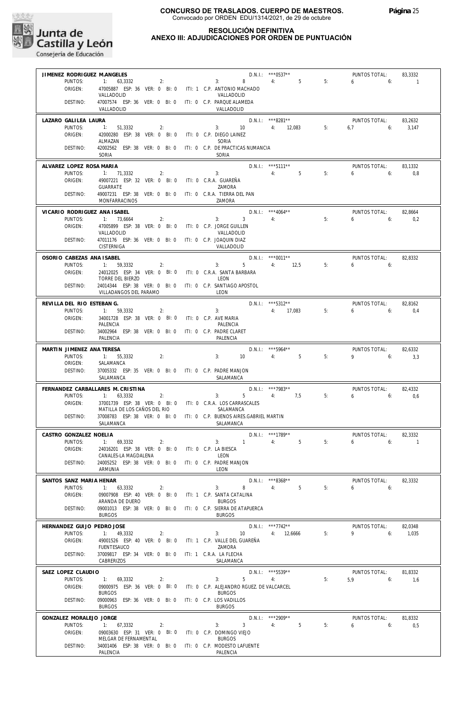

#### **RESOLUCIÓN DEFINITIVA ANEXO III: ADJUDICACIONES POR ORDEN DE PUNTUACIÓN**

| JIMENEZ RODRIGUEZ M.ANGELES           |                                                                                     |                                                                                                                   | $D.N.1::$ *** 0537**                      |    | PUNTOS TOTAL:               | 83,3332          |
|---------------------------------------|-------------------------------------------------------------------------------------|-------------------------------------------------------------------------------------------------------------------|-------------------------------------------|----|-----------------------------|------------------|
| PUNTOS:                               | 1: 63,3332<br>2:                                                                    | $3: 8 \t 4: 5$                                                                                                    |                                           | 5: | $6\qquad 6:$                | $\sim$ 1         |
| ORIGEN:                               | 47005887 ESP: 36 VER: 0 BI: 0 ITI: 1 C.P. ANTONIO MACHADO                           |                                                                                                                   |                                           |    |                             |                  |
| DESTINO:                              | VALLADOLID<br>47007574 ESP: 36 VER: 0 BI: 0 ITI: 0 C.P. PARQUE ALAMEDA              | VALLADOLID                                                                                                        |                                           |    |                             |                  |
|                                       | VALLADOLID                                                                          | VALLADOLID                                                                                                        |                                           |    |                             |                  |
|                                       |                                                                                     |                                                                                                                   |                                           |    |                             |                  |
| LAZARO GALILEA LAURA<br>PUNTOS:       | 1: 51.3332<br>2:                                                                    | $3: 10 \t 4: 12,083$                                                                                              | $D.N.1.:$ ***8281**                       | 5: | PUNTOS TOTAL:<br>$6.7$ 6:   | 83,2632<br>3,147 |
| ORIGEN:                               | 42000280 ESP: 38 VER: 0 BI: 0 ITI: 0 C.P. DIEGO LAINEZ                              |                                                                                                                   |                                           |    |                             |                  |
|                                       | ALMAZAN                                                                             | SORIA                                                                                                             |                                           |    |                             |                  |
| DESTINO:                              | 42002562 ESP: 38 VER: 0 BI: 0 ITI: 0 C.P. DE PRACTICAS NUMANCIA                     |                                                                                                                   |                                           |    |                             |                  |
|                                       | SORIA                                                                               | SORIA                                                                                                             |                                           |    |                             |                  |
| ALVAREZ LOPEZ ROSA MARIA              |                                                                                     |                                                                                                                   | D.N.I.: *** 5111**                        |    | PUNTOS TOTAL:               | 83,1332          |
| PUNTOS:                               | 1: 71,3332<br>2:                                                                    | 3:                                                                                                                | 4: 5                                      | 5: | $6\qquad 6$                 | 0,8              |
| ORIGEN:                               | 49007221 ESP: 32 VER: 0 BI: 0 ITI: 0 C.R.A. GUAREÑA<br>GUARRATE                     | ZAMORA                                                                                                            |                                           |    |                             |                  |
| DESTINO:                              | 49007231 ESP: 38 VER: 0 BI: 0 ITI: 0 C.R.A. TIERRA DEL PAN                          |                                                                                                                   |                                           |    |                             |                  |
|                                       | MONFARRACINOS                                                                       | ZAMORA                                                                                                            |                                           |    |                             |                  |
| VICARIO RODRIGUEZ ANA ISABEL          |                                                                                     |                                                                                                                   | $D.N.1.:$ ***4064**                       |    | PUNTOS TOTAL:               | 82,8664          |
| PUNTOS:                               | 1: 73,6664<br>2:                                                                    | 3: 3: 4:                                                                                                          |                                           | 5: | $6\qquad 6$                 | 0,2              |
| ORIGEN:                               | 47005899 ESP: 38 VER: 0 BI: 0 ITI: 0 C.P. JORGE GUILLEN                             |                                                                                                                   |                                           |    |                             |                  |
|                                       | VALLADOLID                                                                          | VALLADOLID                                                                                                        |                                           |    |                             |                  |
| DESTINO:                              | 47011176 ESP: 36 VER: 0 BI: 0 ITI: 0 C.P. JOAQUIN DIAZ                              |                                                                                                                   |                                           |    |                             |                  |
|                                       | CISTERNIGA                                                                          | VALLADOLID                                                                                                        |                                           |    |                             |                  |
| OSORIO CABEZAS ANA ISABEL             |                                                                                     |                                                                                                                   | D.N.I.: ***0011**                         |    | PUNTOS TOTAL:               | 82,8332          |
| PUNTOS:                               | 1: 59,3332<br>2:                                                                    | $5 \t 4: \t 12.5$<br>3:                                                                                           |                                           | 5: | $6\qquad 6$                 |                  |
| ORIGEN:                               | 24012025 ESP: 34 VER: 0 BI: 0 ITI: 0 C.R.A. SANTA BARBARA<br>TORRE DEL BIERZO       | LEON                                                                                                              |                                           |    |                             |                  |
| DESTINO:                              | 24014344 ESP: 38 VER: 0 BI: 0 ITI: 0 C.P. SANTIAGO APOSTOL                          |                                                                                                                   |                                           |    |                             |                  |
|                                       | VILLADANGOS DEL PARAMO                                                              | LEON                                                                                                              |                                           |    |                             |                  |
| REVILLA DEL RIO ESTEBAN G.            |                                                                                     |                                                                                                                   |                                           |    | PUNTOS TOTAL:               | 82,8162          |
| PUNTOS:                               | 1: 59,3332<br>2:                                                                    | $\begin{array}{rr} \text{D.N.I.:} & \begin{array}{r} * * * * 5312^{**} \\ 4: & 17,083 \end{array} \end{array}$ 3: |                                           | 5: | $6\qquad 6:$                | 0,4              |
| ORIGEN:                               | 34001728 ESP: 38 VER: 0 BI: 0 ITI: 0 C.P. AVE MARIA                                 |                                                                                                                   |                                           |    |                             |                  |
| DESTINO:                              | PALENCIA<br>34002964 ESP: 38 VER: 0 BI: 0 ITI: 0 C.P. PADRE CLARET                  | PALENCIA                                                                                                          |                                           |    |                             |                  |
|                                       | PALENCIA                                                                            | PALENCIA                                                                                                          |                                           |    |                             |                  |
|                                       |                                                                                     |                                                                                                                   |                                           |    |                             |                  |
| MARTIN JIMENEZ ANA TERESA<br>PUNTOS:  | 1: 55,3332<br>2:                                                                    | 3:                                                                                                                | D.N.I.: *** 5964**<br>$10 \t\t 4: \t\t 5$ | 5: | PUNTOS TOTAL:<br>$9 \t\t 6$ | 82,6332<br>3,3   |
| ORIGEN:                               | SALAMANCA                                                                           |                                                                                                                   |                                           |    |                             |                  |
|                                       |                                                                                     |                                                                                                                   |                                           |    |                             |                  |
| DESTINO:                              | 37005332 ESP: 35 VER: 0 BI: 0 ITI: 0 C.P. PADRE MANJON                              |                                                                                                                   |                                           |    |                             |                  |
|                                       | SALAMANCA                                                                           | SALAMANCA                                                                                                         |                                           |    |                             |                  |
|                                       | FERNANDEZ CARBALLARES M. CRISTINA                                                   | $D.N.1.:$ ***7983**                                                                                               |                                           |    | PUNTOS TOTAL:               | 82,4332          |
| PUNTOS:                               | $1: 63,3332$ 2:                                                                     | $3: 5 \t 4: 7.5$                                                                                                  |                                           | 5: | $6\qquad 6$                 | 0.6              |
| ORIGEN:                               | 37001739 ESP: 38 VER: 0 BI: 0 ITI: 0 C.R.A. LOS CARRASCALES                         |                                                                                                                   |                                           |    |                             |                  |
|                                       | MATILLA DE LOS CAÑOS DEL RIO                                                        | SALAMANCA                                                                                                         |                                           |    |                             |                  |
| DESTINO:                              | 37008783 ESP: 38 VER: 0 BI: 0 ITI: 0 C.P. BUENOS AIRES.GABRIEL MARTIN<br>SALAMANCA  | SALAMANCA                                                                                                         |                                           |    |                             |                  |
|                                       |                                                                                     |                                                                                                                   |                                           |    |                             |                  |
| CASTRO GONZALEZ NOELIA                |                                                                                     |                                                                                                                   | $D.N.I.:$ ***1789**                       |    | PUNTOS TOTAL:               | 82,3332          |
| ORIGEN:                               | PUNTOS: 1: 69,3332<br>24016201 ESP: 38 VER: 0 BI: 0 ITI: 0 C.P. LA BIESCA           | $3: 1 \t 4:$                                                                                                      | 5                                         | 5: | 6:<br>6                     | $\sim$ 1         |
|                                       | CANALES-LA MAGDALENA                                                                | LEON                                                                                                              |                                           |    |                             |                  |
| DESTINO:                              | 24005252 ESP: 38 VER: 0 BI: 0 ITI: 0 C.P. PADRE MANJON                              |                                                                                                                   |                                           |    |                             |                  |
|                                       | ARMUNIA                                                                             | LEON                                                                                                              |                                           |    |                             |                  |
| SANTOS SANZ MARIA HENAR               |                                                                                     |                                                                                                                   | $D.N.I.:$ ***8368**                       |    | PUNTOS TOTAL:               | 82,3332          |
| PUNTOS:                               | 1: 63,3332<br>2:                                                                    | 3:<br>8                                                                                                           | 5<br>4:                                   | 5: | 6<br>6:                     |                  |
| ORIGEN:                               | 09007908 ESP: 40 VER: 0 BI: 0                                                       | ITI: 1 C.P. SANTA CATALINA                                                                                        |                                           |    |                             |                  |
| DESTINO:                              | ARANDA DE DUERO<br>09001013 ESP: 38 VER: 0 BI: 0 ITI: 0 C.P. SIERRA DE ATAPUERCA    | <b>BURGOS</b>                                                                                                     |                                           |    |                             |                  |
|                                       | <b>BURGOS</b>                                                                       | <b>BURGOS</b>                                                                                                     |                                           |    |                             |                  |
|                                       |                                                                                     |                                                                                                                   |                                           |    |                             |                  |
| HERNANDEZ GUIJO PEDRO JOSE<br>PUNTOS: | 1: 49,3332<br>2:                                                                    | 10<br>3:                                                                                                          | $D.N.1::$ ***7742**<br>4: 12.6666         | 5: | PUNTOS TOTAL:<br>$9 \t\t 6$ | 82,0348<br>1.035 |
| ORIGEN:                               | 49001526 ESP: 40 VER: 0 BI: 0 ITI: 1 C.P. VALLE DEL GUAREÑA                         |                                                                                                                   |                                           |    |                             |                  |
|                                       | <b>FUENTESAUCO</b>                                                                  | ZAMORA                                                                                                            |                                           |    |                             |                  |
| DESTINO:                              | 37009817 ESP: 34 VER: 0 BI: 0                                                       | ITI: 1 C.R.A. LA FLECHA                                                                                           |                                           |    |                             |                  |
|                                       | CABRERIZOS                                                                          | SALAMANCA                                                                                                         |                                           |    |                             |                  |
| SAEZ LOPEZ CLAUDIO                    |                                                                                     |                                                                                                                   | D.N.I.: *** 5539**                        |    | PUNTOS TOTAL:               | 81,8332          |
| PUNTOS:                               | 1: 69,3332<br>2:                                                                    | $5 - 5$<br>3:                                                                                                     | 4:                                        | 5: | 5,9<br>6:                   | 1,6              |
| ORIGEN:                               | 09000975 ESP: 36 VER: 0 BI: 0<br><b>BURGOS</b>                                      | ITI: 0 C.P. ALEJANDRO RGUEZ. DE VALCARCEL<br><b>BURGOS</b>                                                        |                                           |    |                             |                  |
| DESTINO:                              | 09000963 ESP: 36 VER: 0 BI: 0 ITI: 0 C.P. LOS VADILLOS                              |                                                                                                                   |                                           |    |                             |                  |
|                                       | <b>BURGOS</b>                                                                       | <b>BURGOS</b>                                                                                                     |                                           |    |                             |                  |
| GONZALEZ MORALEJO JORGE               |                                                                                     |                                                                                                                   | D.N.I.: ***2909**                         |    | PUNTOS TOTAL:               | 81,8332          |
| PUNTOS:                               | 1: 67,3332<br>2:                                                                    | $3^{\circ}$<br>3:                                                                                                 | 4:<br>5                                   | 5: | $6\qquad 6$                 | 0,5              |
| ORIGEN:                               | 09003630 ESP: 31 VER: 0 BI: 0 ITI: 0 C.P. DOMINGO VIEJO                             |                                                                                                                   |                                           |    |                             |                  |
| DESTINO:                              | MELGAR DE FERNAMENTAL<br>34001406 ESP: 38 VER: 0 BI: 0 ITI: 0 C.P. MODESTO LAFUENTE | <b>BURGOS</b>                                                                                                     |                                           |    |                             |                  |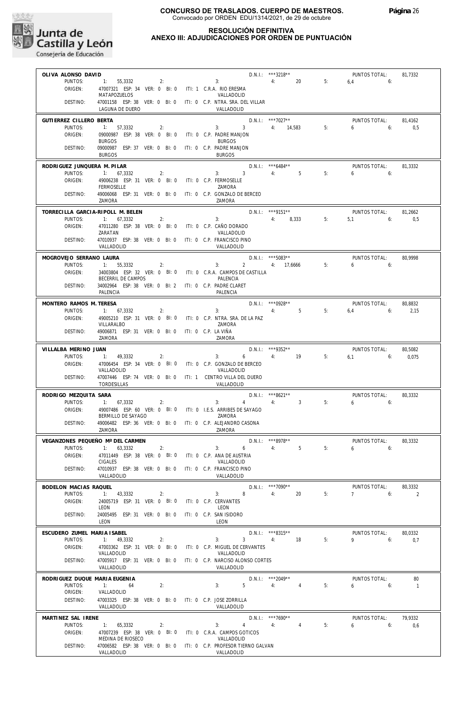

#### **RESOLUCIÓN DEFINITIVA ANEXO III: ADJUDICACIONES POR ORDEN DE PUNTUACIÓN**

| OLIVA ALONSO DAVID                       |                                                                                  |                                                                               | D.N.I.: ***3218**                               |    | PUNTOS TOTAL:                      | 81,7332              |
|------------------------------------------|----------------------------------------------------------------------------------|-------------------------------------------------------------------------------|-------------------------------------------------|----|------------------------------------|----------------------|
| PUNTOS:                                  | 1: 55,3332<br>2:                                                                 | 4:<br>3:                                                                      | 20                                              | 5: | $6.4$ $6:$                         |                      |
| ORIGEN:                                  | 47007321 ESP: 34 VER: 0 BI: 0 ITI: 1 C.R.A. RIO ERESMA                           |                                                                               |                                                 |    |                                    |                      |
| DESTINO:                                 | <b>MATAPOZUELOS</b>                                                              | VALLADOLID<br>47001158 ESP: 38 VER: 0 BI: 0 ITI: 0 C.P. NTRA. SRA. DEL VILLAR |                                                 |    |                                    |                      |
|                                          | LAGUNA DE DUERO                                                                  | VALLADOLID                                                                    |                                                 |    |                                    |                      |
| GUTIERREZ CILLERO BERTA                  |                                                                                  |                                                                               | $D.N.1.:$ ***7027**                             |    | PUNTOS TOTAL:                      | 81,4162              |
| PUNTOS:                                  | 1: 57,3332<br>2:                                                                 | $3 \t 4: \t 14.583$<br>3:                                                     |                                                 | 5: | 655                                | 0.5                  |
| ORIGEN:                                  | 09000987 ESP: 38 VER: 0 BI: 0 ITI: 0 C.P. PADRE MANJON                           |                                                                               |                                                 |    |                                    |                      |
| DESTINO:                                 | <b>BURGOS</b><br>09000987 ESP: 37 VER: 0 BI: 0 ITI: 0 C.P. PADRE MANJON          | <b>BURGOS</b>                                                                 |                                                 |    |                                    |                      |
|                                          | <b>BURGOS</b>                                                                    | <b>BURGOS</b>                                                                 |                                                 |    |                                    |                      |
| RODRIGUEZ JUNQUERA M. PILAR              |                                                                                  |                                                                               | $D.N.1::$ *** 6484**                            |    | PUNTOS TOTAL:                      | 81.3332              |
| PUNTOS:                                  | 1: 67,3332<br>2:                                                                 | 3: 3: 4: 5                                                                    |                                                 | 5: | $6\qquad 6$                        |                      |
| ORIGEN:                                  | 49006238 ESP: 31 VER: 0 BI: 0 ITI: 0 C.P. FERMOSELLE                             |                                                                               |                                                 |    |                                    |                      |
| DESTINO:                                 | <b>FERMOSELLE</b><br>49006068 ESP: 31 VER: 0 BI: 0 ITI: 0 C.P. GONZALO DE BERCEO | ZAMORA                                                                        |                                                 |    |                                    |                      |
|                                          | ZAMORA                                                                           | ZAMORA                                                                        |                                                 |    |                                    |                      |
|                                          | TORRECILLA GARCIA-RIPOLL M. BELEN                                                |                                                                               | D.N.I.: ***9151**                               |    | PUNTOS TOTAL:                      | 81,2662              |
| PUNTOS:                                  | 1: 67.3332<br>2:                                                                 | 3:                                                                            | 4: 8,333                                        | 5: | $5.1$ 6:                           | 0.5                  |
| ORIGEN:                                  | 47011280 ESP: 38 VER: 0 BI: 0 ITI: 0 C.P. CAÑO DORADO                            |                                                                               |                                                 |    |                                    |                      |
| DESTINO:                                 | ZARATAN<br>47010937 ESP: 38 VER: 0 BI: 0 ITI: 0 C.P. FRANCISCO PINO              | VALLADOLID                                                                    |                                                 |    |                                    |                      |
|                                          | VALLADOLID                                                                       | VALLADOLID                                                                    |                                                 |    |                                    |                      |
| MOGROVEJO SERRANO LAURA                  |                                                                                  |                                                                               | $D.N.1.:$ ***5083**                             |    | PUNTOS TOTAL:                      | 80.9998              |
| PUNTOS:                                  | 1: 55,3332<br>2:                                                                 | 2 4: 17,6666 5:<br>3:                                                         |                                                 |    | 6.6                                |                      |
| ORIGEN:                                  |                                                                                  | 34003804 ESP: 32 VER: 0 BI: 0 ITI: 0 C.R.A. CAMPOS DE CASTILLA                |                                                 |    |                                    |                      |
|                                          | BECERRIL DE CAMPOS                                                               | PALENCIA                                                                      |                                                 |    |                                    |                      |
| DESTINO:                                 | 34002964 ESP: 38 VER: 0 BI: 2 ITI: 0 C.P. PADRE CLARET<br>PALENCIA               | PAI FNCIA                                                                     |                                                 |    |                                    |                      |
|                                          |                                                                                  |                                                                               |                                                 |    |                                    |                      |
| MONTERO RAMOS M. TERESA<br>PUNTOS:       | 1: 67,3332<br>2:                                                                 | 3:                                                                            | D.N.I.: *** 0928**<br>4:5                       | 5: | PUNTOS TOTAL:<br>$6.4$ $6.3$       | 80,8832<br>2,15      |
| ORIGEN:                                  |                                                                                  | 49005210 ESP: 31 VER: 0 BI: 0 ITI: 0 C.P. NTRA. SRA. DE LA PAZ                |                                                 |    |                                    |                      |
|                                          | VILLARALBO                                                                       | ZAMORA                                                                        |                                                 |    |                                    |                      |
| DESTINO:                                 | 49006871 ESP: 31 VER: 0 BI: 0 ITI: 0 C.P. LA VIÑA<br>ZAMORA                      | ZAMORA                                                                        |                                                 |    |                                    |                      |
|                                          |                                                                                  |                                                                               |                                                 |    |                                    |                      |
| VILLALBA MERINO JUAN<br>PUNTOS:          | 1: 49,3332<br>2:                                                                 | $6 \qquad \qquad 4$<br>3:                                                     | D.N.I.: ***9352**<br>19                         | 5: | PUNTOS TOTAL:<br>6.1<br>6:         | 80,5082<br>0.075     |
| ORIGEN:                                  |                                                                                  | 47006454 ESP: 34 VER: 0 BI: 0 ITI: 0 C.P. GONZALO DE BERCEO                   |                                                 |    |                                    |                      |
|                                          | VALLADOLID                                                                       | VALLADOLID                                                                    |                                                 |    |                                    |                      |
| DESTINO:                                 | <b>TORDESILLAS</b>                                                               | 47007446 ESP: 74 VER: 0 BI: 0 ITI: 1 CENTRO VILLA DEL DUERO<br>VALLADOLID     |                                                 |    |                                    |                      |
|                                          |                                                                                  |                                                                               |                                                 |    |                                    |                      |
| RODRIGO MEZQUITA SARA<br>PUNTOS:         | 1: 67,3332<br>2:                                                                 | $4 \quad$<br>3:                                                               | $D.N.1.:$ ***8621**<br>4:3                      | 5: | PUNTOS TOTAL:<br>6<br>6:           | 80.3332              |
| ORIGEN:                                  |                                                                                  | 49007486 ESP: 60 VER: 0 BI: 0 ITI: 0 I.E.S. ARRIBES DE SAYAGO                 |                                                 |    |                                    |                      |
|                                          | BERMILLO DE SAYAGO                                                               | 7AMORA                                                                        |                                                 |    |                                    |                      |
| DESTINO:                                 | 49006482 ESP: 36 VER: 0 BI: 0 ITI: 0 C.P. ALEJANDRO CASONA<br>ZAMORA             | ZAMORA                                                                        |                                                 |    |                                    |                      |
|                                          |                                                                                  |                                                                               |                                                 |    |                                    |                      |
|                                          | VEGANZONES PEQUEÑO Mª DEL CARMEN<br>PUNTOS: 1: 63,3332<br>2:                     | 3:                                                                            | D.N.I.: ***8978**<br>$6 \qquad \qquad 4$ :<br>5 | 5: | PUNTOS TOTAL:<br>$6\qquad 6$       | 80,3332              |
| ORIGEN:                                  | 47011449 ESP: 38 VER: 0 BI: 0                                                    | ITI: 0 C.P. ANA DE AUSTRIA                                                    |                                                 |    |                                    |                      |
|                                          | <b>CIGALES</b>                                                                   | VALLADOLID                                                                    |                                                 |    |                                    |                      |
| DESTINO:                                 | 47010937 ESP: 38 VER: 0 BI: 0<br>VALLADOLID                                      | ITI: 0 C.P. FRANCISCO PINO<br>VALLADOLID                                      |                                                 |    |                                    |                      |
|                                          |                                                                                  |                                                                               |                                                 |    |                                    |                      |
| BODELON MACIAS RAQUEL<br>PUNTOS:         | 1: 43,3332<br>2:                                                                 | 8<br>3:                                                                       | D.N.I.: ***7090**<br>4:<br>20                   | 5: | PUNTOS TOTAL:<br>$7^{\circ}$<br>6: | 80,3332<br>2         |
| ORIGEN:                                  | 24005719 ESP: 31 VER: 0 BI: 0                                                    | ITI: 0 C.P. CERVANTES                                                         |                                                 |    |                                    |                      |
|                                          | LEON                                                                             | LEON                                                                          |                                                 |    |                                    |                      |
| DESTINO:                                 | 24005495 ESP: 31 VER: 0 BI: 0<br>LEON                                            | ITI: 0 C.P. SAN ISIDORO<br>LEON                                               |                                                 |    |                                    |                      |
|                                          |                                                                                  |                                                                               |                                                 |    |                                    |                      |
| ESCUDERO ZUMEL MARIA ISABEL<br>PUNTOS:   | 1: 49,3332<br>2:                                                                 | $\overline{3}$<br>3:                                                          | D.N.I.: ***8315**<br>4:<br>18                   | 5: | PUNTOS TOTAL:<br>9<br>6:           | 80,0332<br>0,7       |
| ORIGEN:                                  | 47003362 ESP: 31 VER: 0 BI: 0                                                    | ITI: 0 C.P. MIGUEL DE CERVANTES                                               |                                                 |    |                                    |                      |
|                                          | VALLADOLID                                                                       | VALLADOLID                                                                    |                                                 |    |                                    |                      |
| DESTINO:                                 | 47005917 ESP: 31 VER: 0 BI: 0<br>VALLADOLID                                      | ITI: 0 C.P. NARCISO ALONSO CORTES<br>VALLADOLID                               |                                                 |    |                                    |                      |
|                                          |                                                                                  |                                                                               |                                                 |    |                                    |                      |
| RODRIGUEZ DUQUE MARIA EUGENIA<br>PUNTOS: | 1:<br>2:<br>64                                                                   | 5<br>3:                                                                       | D.N.I.: ***2049**<br>4:<br>4                    | 5: | PUNTOS TOTAL:<br>6<br>6:           | 80<br>$\overline{1}$ |
| ORIGEN:                                  | VALLADOLID                                                                       |                                                                               |                                                 |    |                                    |                      |
| DESTINO:                                 | 47003325 ESP: 38 VER: 0 BI: 0                                                    | ITI: 0 C.P. JOSE ZORRILLA                                                     |                                                 |    |                                    |                      |
|                                          | VALLADOLID                                                                       | VALLADOLID                                                                    |                                                 |    |                                    |                      |
| MARTINEZ SAL IRENE                       |                                                                                  |                                                                               | D.N.I.: ***7690**                               |    | PUNTOS TOTAL:                      | 79,9332              |
| PUNTOS:                                  | 1: 65,3332<br>2:                                                                 | 3:<br>$\overline{4}$                                                          | 4:<br>4                                         | 5: | 6<br>6:                            | 0,6                  |
| ORIGEN:                                  | 47007239 ESP: 38 VER: 0 BI: 0<br>MEDINA DE RIOSECO                               | ITI: 0 C.R.A. CAMPOS GOTICOS<br>VALLADOLID                                    |                                                 |    |                                    |                      |
| DESTINO:                                 | 47006582 ESP: 38 VER: 0 BI: 0                                                    | ITI: 0 C.P. PROFESOR TIERNO GALVAN                                            |                                                 |    |                                    |                      |
|                                          | VALLADOLID                                                                       | VALLADOLID                                                                    |                                                 |    |                                    |                      |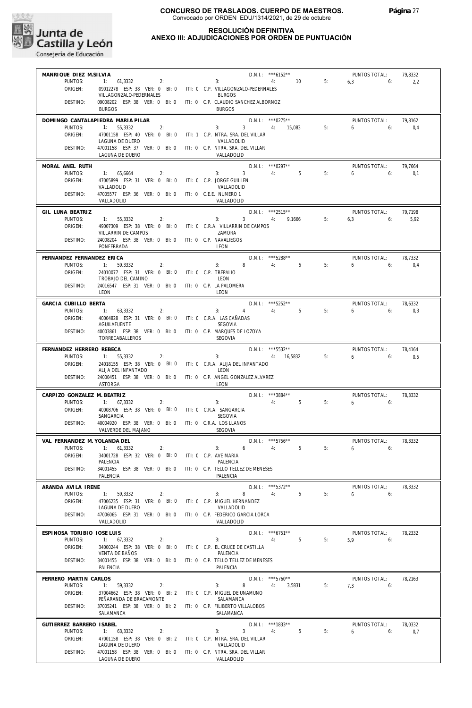

#### **RESOLUCIÓN DEFINITIVA ANEXO III: ADJUDICACIONES POR ORDEN DE PUNTUACIÓN**

|                                     |                                                                                        | $D.N.1::$ *** 6152**                                                     |                      | PUNTOS TOTAL:             | 79,8332         |
|-------------------------------------|----------------------------------------------------------------------------------------|--------------------------------------------------------------------------|----------------------|---------------------------|-----------------|
| MANRIQUE DIEZ M.SILVIA<br>PUNTOS:   |                                                                                        | 1: $61,3332$ 2: 3: 4: 10                                                 | 5:                   | $6,3$ 6:                  | 2,2             |
| ORIGEN:                             |                                                                                        | 09012278 ESP: 38 VER: 0 BI: 0 ITI: 0 C.P. VILLAGONZALO-PEDERNALES        |                      |                           |                 |
|                                     | VILLAGONZALO-PEDERNALES                                                                | <b>BURGOS</b>                                                            |                      |                           |                 |
| DESTINO:                            |                                                                                        | 09008202 ESP: 38 VER: 0 BI: 0 ITI: 0 C.P. CLAUDIO SANCHEZ ALBORNOZ       |                      |                           |                 |
|                                     | <b>BURGOS</b>                                                                          | <b>BURGOS</b>                                                            |                      |                           |                 |
|                                     | DOMINGO CANTALAPIEDRA MARIA PILAR                                                      | $D.N.1.:$ ***0275**                                                      |                      | PUNTOS TOTAL:             | 79,8162         |
| PUNTOS:                             | $1: 55,3332$ 2:                                                                        | 3: 3: 4: 15,083                                                          | 5:                   | $6\qquad 6:$              | 0,4             |
| ORIGEN:                             |                                                                                        | 47001158 ESP: 40 VER: 0 BI: 0 ITI: 1 C.P. NTRA. SRA. DEL VILLAR          |                      |                           |                 |
|                                     | LAGUNA DE DUERO                                                                        | VALLADOLID                                                               |                      |                           |                 |
| DESTINO:                            | 47001158 ESP: 37 VER: 0 BI: 0 ITI: 0 C.P. NTRA. SRA. DEL VILLAR<br>LAGUNA DE DUERO     | VALLADOLID                                                               |                      |                           |                 |
|                                     |                                                                                        |                                                                          |                      |                           |                 |
| MORAL ANEL RUTH                     |                                                                                        | $D.N.1::$ *** 0297**                                                     |                      | PUNTOS TOTAL:             | 79,7664         |
| PUNTOS:                             | 1: 65,6664<br>2:                                                                       | $3: 3 \t 4: 5$                                                           | 5:                   | $6\qquad 6$               | 0,1             |
| ORIGEN:                             | 47005899 ESP: 31 VER: 0 BI: 0 ITI: 0 C.P. JORGE GUILLEN<br>VALLADOLID                  | VALLADOLID                                                               |                      |                           |                 |
| DESTINO:                            | 47005577 ESP: 36 VER: 0 BI: 0 ITI: 0 C.E.E. NUMERO 1                                   |                                                                          |                      |                           |                 |
|                                     | VALLADOLID                                                                             | VALLADOLID                                                               |                      |                           |                 |
|                                     |                                                                                        |                                                                          |                      |                           |                 |
| GIL LUNA BEATRIZ<br>PUNTOS:         | 1: 55,3332                                                                             | $D.N.1.:$ ***2515**<br>3: D.N.I.: 2515<br>3: 3 4: 9,1666<br>2:           | 5:                   | PUNTOS TOTAL:<br>$6,3$ 6: | 79,7198<br>5,92 |
| ORIGEN:                             |                                                                                        | 49007309 ESP: 38 VER: 0 BI: 0 ITI: 0 C.R.A. VILLARRIN DE CAMPOS          |                      |                           |                 |
|                                     | VILLARRIN DE CAMPOS                                                                    | ZAMORA                                                                   |                      |                           |                 |
| DESTINO:                            | 24008204 ESP: 38 VER: 0 BI: 0 ITI: 0 C.P. NAVALIEGOS                                   |                                                                          |                      |                           |                 |
|                                     | PONFFRRADA                                                                             | LEON                                                                     |                      |                           |                 |
| FERNANDEZ FERNANDEZ ERICA           |                                                                                        | $D.N.1::$ ***5288**                                                      |                      | PUNTOS TOTAL:             | 78,7332         |
| PUNTOS:                             | 1: 59,3332<br>2:                                                                       | $3: 8 \t 4: 5$                                                           | 5:                   | 6.6                       | 0,4             |
| ORIGEN:                             | 24010077 ESP: 31 VER: 0 BI: 0 ITI: 0 C.P. TREPALIO                                     |                                                                          |                      |                           |                 |
|                                     | TROBAJO DEL CAMINO                                                                     | LEON                                                                     |                      |                           |                 |
| DESTINO:                            | 24016547 ESP: 31 VER: 0 BI: 0 ITI: 0 C.P. LA PALOMERA                                  |                                                                          |                      |                           |                 |
|                                     | LEON                                                                                   | LEON                                                                     |                      |                           |                 |
| GARCIA CUBILLO BERTA                |                                                                                        | D.N.I.: ***5252**                                                        |                      | PUNTOS TOTAL:             | 78,6332         |
| PUNTOS:                             | 1: 63,3332                                                                             | 2:<br>3: $4 \t 4$ : 5                                                    | 5:                   | $6\qquad 6$               | 0,3             |
| ORIGEN:                             | 40004828 ESP: 31 VER: 0 BI: 0 ITI: 0 C.R.A. LAS CAÑADAS                                |                                                                          |                      |                           |                 |
|                                     | AGUILAFUENTE                                                                           | SEGOVIA                                                                  |                      |                           |                 |
| DESTINO:                            | 40003861 ESP: 38 VER: 0 BI: 0 ITI: 0 C.P. MARQUES DE LOZOYA                            |                                                                          |                      |                           |                 |
|                                     | TORRECABALLEROS                                                                        | SEGOVIA                                                                  |                      |                           |                 |
| FERNANDEZ HERRERO REBECA            |                                                                                        | D.N.I.: ***5532**                                                        |                      | PUNTOS TOTAL:             | 78,4164         |
| PUNTOS:                             | $1: 55,3332$ 2:                                                                        | 3: 4: 16,5832 5:                                                         |                      | $6 \t\t 6$                | 0.5             |
| ORIGEN:                             |                                                                                        | 24018155 ESP: 38 VER: 0 BI: 0 ITI: 0 C.R.A. ALIJA DEL INFANTADO          |                      |                           |                 |
| DESTINO:                            | ALIJA DEL INFANTADO                                                                    | LEON<br>24000451 ESP: 38 VER: 0 BI: 0 ITI: 0 C.P. ANGEL GONZALEZ ALVAREZ |                      |                           |                 |
|                                     | ASTORGA                                                                                | LEON                                                                     |                      |                           |                 |
|                                     |                                                                                        |                                                                          |                      |                           |                 |
| CARPIZO GONZALEZ M. BEATRIZ         |                                                                                        | 3 <sup>2</sup><br>D.N.I.: ***3884**                                      |                      | PUNTOS TOTAL:             | 78,3332         |
|                                     |                                                                                        |                                                                          | 5:                   | $6\qquad 6$               |                 |
| PUNTOS:                             | $1: 67,3332$ 2:                                                                        | 4:5                                                                      |                      |                           |                 |
| ORIGEN:                             | 40008706 ESP: 38 VER: 0 BI: 0 ITI: 0 C.R.A. SANGARCIA                                  |                                                                          |                      |                           |                 |
|                                     | SANGARCIA                                                                              | <b>SEGOVIA</b>                                                           |                      |                           |                 |
| DESTINO:                            | 40004920 ESP: 38 VER: 0 BI: 0 ITI: 0 C.R.A. LOS LLANOS<br>VALVERDE DEL MAJANO          | <b>SEGOVIA</b>                                                           |                      |                           |                 |
|                                     |                                                                                        |                                                                          |                      |                           |                 |
| VAL FERNANDEZ M. YOLANDA DEL        |                                                                                        | $D.N.1.:$ ***5756**                                                      |                      | PUNTOS TOTAL:             | 78,3332         |
|                                     | PUNTOS: 1: 61,3332<br>2:                                                               | $6 \qquad \qquad 4: \qquad \qquad 5$<br>3:                               | 5:                   | $6\qquad 6$               |                 |
| ORIGEN:                             | 34001728 ESP: 32 VER: 0 BI: 0<br>PALENCIA                                              | ITI: 0 C.P. AVE MARIA<br>PALENCIA                                        |                      |                           |                 |
| DESTINO:                            | 34001455 ESP: 38 VER: 0 BI: 0                                                          | ITI: 0 C.P. TELLO TELLEZ DE MENESES                                      |                      |                           |                 |
|                                     | PALENCIA                                                                               | PALENCIA                                                                 |                      |                           |                 |
| ARANDA AVILA IRENE                  |                                                                                        | D.N.I.: *** 5372**                                                       |                      | PUNTOS TOTAL:             | 78,3332         |
| PUNTOS:                             | 1: 59,3332<br>2:                                                                       | 8<br>3:<br>4:                                                            | 5 <sup>5</sup><br>5: | 6<br>6:                   |                 |
| ORIGEN:                             | 47006235 ESP: 31 VER: 0 BI: 0                                                          | ITI: 0 C.P. MIGUEL HERNANDEZ                                             |                      |                           |                 |
|                                     | LAGUNA DE DUERO                                                                        | VALLADOLID                                                               |                      |                           |                 |
| DESTINO:                            | 47006065 ESP: 31 VER: 0 BI: 0                                                          | ITI: 0 C.P. FEDERICO GARCIA LORCA                                        |                      |                           |                 |
|                                     | VALLADOLID                                                                             | VALLADOLID                                                               |                      |                           |                 |
| <b>FSPINOSA TORIBIO JOSE LUIS</b>   |                                                                                        | D.N.I.: ***6751**                                                        |                      | PUNTOS TOTAL:             | 78,2332         |
| PUNTOS:                             | 1: 67,3332<br>2:                                                                       | 3:<br>4:                                                                 | 5 <sup>5</sup><br>5: | 5.9<br>6:                 |                 |
| ORIGEN:                             | 34000244 ESP: 38 VER: 0 BI: 0                                                          | ITI: 0 C.P. EL CRUCE DE CASTILLA                                         |                      |                           |                 |
|                                     | VENTA DE BAÑOS                                                                         | PAI FNCIA                                                                |                      |                           |                 |
| DESTINO:                            | 34001455 ESP: 38 VER: 0 BI: 0<br>PALENCIA                                              | ITI: 0 C.P. TELLO TELLEZ DE MENESES<br>PALENCIA                          |                      |                           |                 |
|                                     |                                                                                        |                                                                          |                      |                           |                 |
| FERRERO MARTIN CARLOS               |                                                                                        | D.N.I.: ***5760**                                                        |                      | PUNTOS TOTAL:             | 78,2163         |
| PUNTOS:                             | 1: 59,3332<br>2:                                                                       | 3:<br>8<br>4:                                                            | 3,5831<br>5:         | 7.3<br>6:                 |                 |
| ORIGEN:                             | 37004662 ESP: 38 VER: 0 BI: 2 ITI: 0 C.P. MIGUEL DE UNAMUNO<br>PEÑARANDA DE BRACAMONTE | SALAMANCA                                                                |                      |                           |                 |
| DESTINO:                            | 37005241 ESP: 38 VER: 0 BI: 2 ITI: 0 C.P. FILIBERTO VILLALOBOS                         |                                                                          |                      |                           |                 |
|                                     | SALAMANCA                                                                              | SALAMANCA                                                                |                      |                           |                 |
|                                     |                                                                                        |                                                                          |                      |                           |                 |
| GUTIERREZ BARRERO ISABEL<br>PUNTOS: | 1: 63,3332<br>2:                                                                       | D.N.I.: ***1833**<br>$\overline{3}$<br>4:<br>3:                          | 5<br>5:              | PUNTOS TOTAL:<br>6<br>6:  | 78,0332<br>0,7  |
| ORIGEN:                             |                                                                                        | 47001158 ESP: 38 VER: 0 BI: 2 ITI: 0 C.P. NTRA. SRA. DEL VILLAR          |                      |                           |                 |
|                                     | LAGUNA DE DUERO                                                                        | VALLADOLID                                                               |                      |                           |                 |
| DESTINO:                            | 47001158 ESP: 38 VER: 0 BI: 0 ITI: 0 C.P. NTRA. SRA. DEL VILLAR<br>LAGUNA DE DUERO     | VALLADOLID                                                               |                      |                           |                 |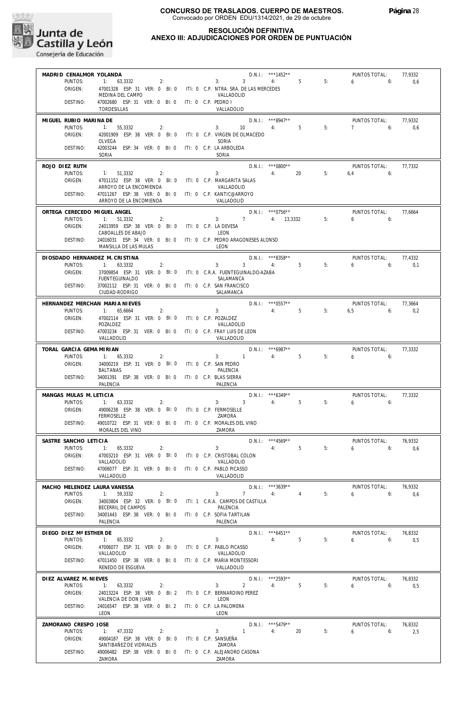

#### **RESOLUCIÓN DEFINITIVA ANEXO III: ADJUDICACIONES POR ORDEN DE PUNTUACIÓN**

| MADRID CENALMOR YOLANDA            |                                                                                    |                                                                               | D.N.I.: ***1452**              |    | PUNTOS TOTAL:                | 77,9332        |
|------------------------------------|------------------------------------------------------------------------------------|-------------------------------------------------------------------------------|--------------------------------|----|------------------------------|----------------|
| PUNTOS:                            |                                                                                    | 1: $63,3332$ 2: 3: 3 4: 5                                                     |                                | 5: | $6\qquad 6:$                 | 0,6            |
| ORIGEN:                            | MEDINA DEL CAMPO                                                                   | 47001328 ESP: 31 VER: 0 BI: 0 ITI: 0 C.P. NTRA. SRA. DE LAS MERCEDES          |                                |    |                              |                |
| DESTINO:                           | 47002680 ESP: 31 VER: 0 BI: 0 ITI: 0 C.P. PEDRO I                                  | VALLADOLID                                                                    |                                |    |                              |                |
|                                    | TORDESILLAS                                                                        | VALLADOLID                                                                    |                                |    |                              |                |
| MIGUEL RUBIO MARINA DE             |                                                                                    |                                                                               | $D.N.1.:$ ***8947**            |    | PUNTOS TOTAL:                | 77.9332        |
| PUNTOS:                            | 1: 55,3332<br>2:                                                                   | $3: 10 \t 4: 5$                                                               |                                | 5: | $7 \t\t\t 6:$                | 0,6            |
| ORIGEN:                            |                                                                                    | 42001909 ESP: 38 VER: 0 BI: 0 ITI: 0 C.P. VIRGEN DE OLMACEDO                  |                                |    |                              |                |
|                                    | OLVEGA                                                                             | SORIA                                                                         |                                |    |                              |                |
| DESTINO:                           | 42003244 ESP: 34 VER: 0 BI: 0 ITI: 0 C.P. LA ARBOLEDA<br>SORIA                     | SORIA                                                                         |                                |    |                              |                |
|                                    |                                                                                    |                                                                               |                                |    |                              |                |
| ROJO DIEZ RUTH<br>PUNTOS:          | 1: 51,3332<br>2:                                                                   | D.N.I.: $***0800***$<br>4:<br>3:                                              | $D.N.1::$ *** 0800**<br>20     | 5: | PUNTOS TOTAL:<br>$6.4$ $6:$  | 77,7332        |
| ORIGEN:                            | 47011152 ESP: 38 VER: 0 BI: 0 ITI: 0 C.P. MARGARITA SALAS                          |                                                                               |                                |    |                              |                |
|                                    | ARROYO DE LA ENCOMIENDA                                                            | VALLADOLID                                                                    |                                |    |                              |                |
| DESTINO:                           | 47011267 ESP: 38 VER: 0 BI: 0 ITI: 0 C.P. KANTIC@ARROYO<br>ARROYO DE LA ENCOMIENDA | VALLADOLID                                                                    |                                |    |                              |                |
|                                    |                                                                                    |                                                                               |                                |    |                              |                |
| ORTEGA CERECEDO MIGUEL ANGEL       |                                                                                    | $D.N.I.:$ ***0756**<br>3: 7 4: 13,3332                                        |                                |    | PUNTOS TOTAL:<br>650         | 77,6664        |
| PUNTOS:<br>ORIGEN:                 | 1: 51,3332<br>$\sim$ 2:<br>24013959 ESP: 38 VER: 0 BI: 0 ITI: 0 C.P. LA DEVESA     |                                                                               |                                | 5: |                              |                |
|                                    | CABOALLES DE ABAJO                                                                 | LEON                                                                          |                                |    |                              |                |
| DESTINO:                           |                                                                                    | 24016031 ESP: 34 VER: 0 BI: 0 ITI: 0 C.P. PEDRO ARAGONESES ALONSO             |                                |    |                              |                |
|                                    | MANSILLA DE LAS MULAS                                                              | LEON                                                                          |                                |    |                              |                |
| DIOSDADO HERNANDEZ M. CRISTINA     |                                                                                    |                                                                               | $D.N.1::$ ***8358**            |    | PUNTOS TOTAL:                | 77,4332        |
| PUNTOS:                            | 1: 63.3332<br>2:                                                                   | 3 4: 5<br>3:                                                                  |                                | 5: | $6\qquad 6$                  | 0,1            |
| ORIGEN:                            | <b>FUENTEGUINALDO</b>                                                              | 37009854 ESP: 31 VER: 0 BI: 0 ITI: 0 C.R.A. FUENTEGUINALDO-AZABA<br>SALAMANCA |                                |    |                              |                |
| DESTINO:                           | 37002112 ESP: 31 VER: 0 BI: 0 ITI: 0 C.P. SAN FRANCISCO                            |                                                                               |                                |    |                              |                |
|                                    | CIUDAD-RODRIGO                                                                     | SALAMANCA                                                                     |                                |    |                              |                |
| HERNANDEZ MERCHAN MARIA NIEVES     |                                                                                    | D.N.I.: ***0557**<br>4: 5                                                     |                                |    | PUNTOS TOTAL:                | 77,3664        |
| PUNTOS:                            | 1: 65,6664<br>2:                                                                   | 3:                                                                            |                                | 5: | $6.5$ 6:                     | 0.2            |
| ORIGEN:                            | 47002114 ESP: 31 VER: 0 BI: 0 ITI: 0 C.P. POZALDEZ                                 |                                                                               |                                |    |                              |                |
| DESTINO:                           | POZALDEZ<br>47003234 ESP: 31 VER: 0 BI: 0 ITI: 0 C.P. FRAY LUIS DE LEON            | VALLADOLID                                                                    |                                |    |                              |                |
|                                    | VALLADOLID                                                                         | VALLADOLID                                                                    |                                |    |                              |                |
| TORAL GARCIA GEMA MIRIAN           |                                                                                    |                                                                               | D.N.I.: *** 6987**             |    | PUNTOS TOTAL:                | 77.3332        |
| PUNTOS:                            | 1: 65,3332<br>2:                                                                   | $3: 1 \t 4: 5$                                                                |                                | 5: | 6.6                          |                |
| ORIGEN:                            | 34000219 ESP: 31 VER: 0 BI: 0 ITI: 0 C.P. SAN PEDRO                                |                                                                               |                                |    |                              |                |
|                                    | <b>BALTANAS</b>                                                                    | PALENCIA                                                                      |                                |    |                              |                |
| DESTINO:                           | 34001391 ESP: 38 VER: 0 BI: 0 ITI: 0 C.P. BLAS SIERRA<br>PALENCIA                  | PALENCIA                                                                      |                                |    |                              |                |
|                                    |                                                                                    |                                                                               |                                |    |                              |                |
| MANGAS MULAS M. LETICIA<br>PUNTOS: | 1: 63.3332                                                                         | $3: 3 \t 4: 5$<br>2:                                                          | $D.N.1.:$ ***6349**            | 5: | PUNTOS TOTAL:<br>$6\qquad 6$ | 77,3332        |
| ORIGEN:                            | 49006238 ESP: 38 VER: 0 BI: 0 ITI: 0 C.P. FERMOSELLE                               |                                                                               |                                |    |                              |                |
|                                    | <b>FERMOSELLE</b>                                                                  | ZAMORA                                                                        |                                |    |                              |                |
| DESTINO:                           | 49010722 ESP: 31 VER: 0 BI: 0 ITI: 0 C.P. MORALES DEL VINO                         |                                                                               |                                |    |                              |                |
|                                    | MORALES DEL VINO                                                                   | ZAMORA                                                                        |                                |    |                              |                |
| SASTRE SANCHO LETICIA              |                                                                                    |                                                                               | $D.N.1.:$ ***4569**            |    | PUNTOS TOTAL:                | 76,9332        |
| PUNTOS:<br>ORIGEN:                 | 1: 65,3332<br>2:<br>47003210 ESP: 31 VER: 0 BI: 0                                  | 3:<br>ITI: 0 C.P. CRISTOBAL COLON                                             | 5<br>4:                        | 5: | $6\qquad 6$                  | 0.6            |
|                                    | VALLADOLID                                                                         | VALLADOLID                                                                    |                                |    |                              |                |
| DESTINO:                           | 47006077 ESP: 31 VER: 0 BI: 0                                                      | ITI: 0 C.P. PABLO PICASSO                                                     |                                |    |                              |                |
|                                    | VALLADOLID                                                                         | VALLADOLID                                                                    |                                |    |                              |                |
| MACHO MELENDEZ LAURA VANESSA       |                                                                                    | D.N.I.: ***3639**                                                             |                                |    |                              |                |
|                                    |                                                                                    |                                                                               |                                |    | PUNTOS TOTAL:                | 76,9332        |
| PUNTOS:                            | 1: 59,3332<br>2:                                                                   | $\overline{7}$<br>3:                                                          | $\overline{4}$<br>4:           | 5: | 6<br>6:                      | 0,6            |
| ORIGEN:                            | 34003804 ESP: 32 VER: 0 BI: 0                                                      | ITI: 1 C.R.A. CAMPOS DE CASTILLA                                              |                                |    |                              |                |
| DESTINO:                           | BECERRIL DE CAMPOS<br>34001443 ESP: 38 VER: 0 BI: 0                                | PALENCIA<br>ITI: 0 C.P. SOFIA TARTILAN                                        |                                |    |                              |                |
|                                    | PALENCIA                                                                           | PALENCIA                                                                      |                                |    |                              |                |
| DIEGO DIEZ Mª ESTHER DE            |                                                                                    |                                                                               | $D.N.1::$ *** 6451**           |    | PUNTOS TOTAL:                | 76.8332        |
| PUNTOS:                            | 1: 65,3332<br>2:                                                                   | 3:                                                                            | 5<br>4:                        | 5: | 6<br>6:                      | 0,5            |
| ORIGEN:                            | 47006077 ESP: 31 VER: 0 BI: 0                                                      | ITI: 0 C.P. PABLO PICASSO                                                     |                                |    |                              |                |
| DESTINO:                           | VALLADOLID<br>47011450 ESP: 38 VER: 0 BI: 0                                        | VALLADOLID<br>ITI: 0 C.P. MARIA MONTESSORI                                    |                                |    |                              |                |
|                                    | RENEDO DE ESGUEVA                                                                  | VALLADOLID                                                                    |                                |    |                              |                |
| DIEZ ALVAREZ M. NIEVES             |                                                                                    |                                                                               | D.N.I.: ***2593**              |    | PUNTOS TOTAL:                | 76,8332        |
| PUNTOS:                            | 1:<br>63,3332<br>2:                                                                | 3:<br>$\overline{2}$                                                          | 4:<br>5                        | 5: | 6<br>6:                      | 0,5            |
| ORIGEN:                            | 24013224 ESP: 38 VER: 0 Bl: 2                                                      | ITI: 0 C.P. BERNARDINO PEREZ                                                  |                                |    |                              |                |
|                                    | VALENCIA DE DON JUAN                                                               | LEON                                                                          |                                |    |                              |                |
| DESTINO:                           | 24016547 ESP: 38 VER: 0 BI: 2<br>LEON                                              | ITI: 0 C.P. LA PALOMERA<br>LEON                                               |                                |    |                              |                |
|                                    |                                                                                    |                                                                               |                                |    |                              |                |
| ZAMORANO CRESPO JOSE<br>PUNTOS:    | 1: 47,3332<br>2:                                                                   | 3:<br>$\overline{1}$                                                          | D.N.I.: *** 5479**<br>20<br>4: | 5: | PUNTOS TOTAL:<br>6<br>6:     | 76,8332<br>2,5 |
| ORIGEN:                            | 49004187 ESP: 38 VER: 0 BI: 0                                                      | ITI: 0 C.P. SANSUEÑA                                                          |                                |    |                              |                |
| DESTINO:                           | SANTIBAÑEZ DE VIDRIALES<br>49006482 ESP: 38 VER: 0 BI: 0                           | ZAMORA<br>ITI: 0 C.P. ALEJANDRO CASONA                                        |                                |    |                              |                |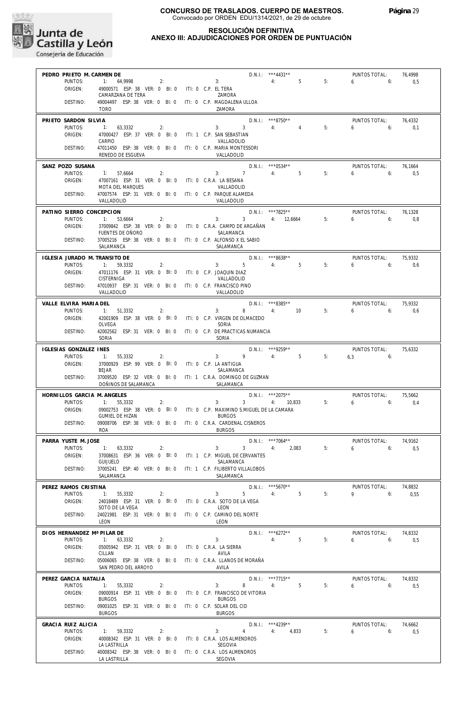

#### **RESOLUCIÓN DEFINITIVA ANEXO III: ADJUDICACIONES POR ORDEN DE PUNTUACIÓN**

| PEDRO PRIETO M. CARMEN DE            |                                                                           |                                                                                           | D.N.I.: ***4431**    |    | PUNTOS TOTAL: | 76,4998 |
|--------------------------------------|---------------------------------------------------------------------------|-------------------------------------------------------------------------------------------|----------------------|----|---------------|---------|
| PUNTOS:                              | 1: 64.9998<br>2:                                                          | 3:                                                                                        | 4:<br>$5 -$          | 5: | $6\qquad 6:$  | 0,5     |
| ORIGEN:                              | 49000571 ESP: 38 VER: 0 BI: 0 ITI: 0 C.P. EL TERA<br>CAMARZANA DE TERA    | ZAMORA                                                                                    |                      |    |               |         |
| DESTINO:                             | 49004497 ESP: 38 VER: 0 BI: 0 ITI: 0 C.P. MAGDALENA ULLOA                 |                                                                                           |                      |    |               |         |
|                                      | <b>TORO</b>                                                               | ZAMORA                                                                                    |                      |    |               |         |
| PRIETO SARDON SILVIA                 |                                                                           |                                                                                           | $D.N.1.:$ ***8750**  |    | PUNTOS TOTAL: | 76.4332 |
| PUNTOS:                              | 1: 63,3332<br>2:                                                          | 3: 3: 4:                                                                                  | $\overline{4}$       | 5: | $6\qquad 6$   | 0,1     |
| ORIGEN:                              | 47000427 ESP: 37 VER: 0 BI: 0 ITI: 1 C.P. SAN SEBASTIAN<br>CARPIO         | VALLADOLID                                                                                |                      |    |               |         |
| DESTINO:                             | 47011450 ESP: 38 VER: 0 BI: 0 ITI: 0 C.P. MARIA MONTESSORI                |                                                                                           |                      |    |               |         |
|                                      | RENEDO DE ESGUEVA                                                         | VALLADOLID                                                                                |                      |    |               |         |
| SANZ POZO SUSANA                     |                                                                           |                                                                                           | $D.N.1::$ *** 0534** |    | PUNTOS TOTAL: | 76,1664 |
| PUNTOS:                              | 1: 57,6664<br>2:                                                          | 3: $7$ 4: 5                                                                               |                      | 5: | $6\qquad 6$   | 0,5     |
| ORIGEN:                              | 47007161 ESP: 31 VER: 0 BI: 0 ITI: 0 C.R.A. LA BESANA<br>MOTA DEL MARQUES | VALLADOLID                                                                                |                      |    |               |         |
| DESTINO:                             | 47007574 ESP: 31 VER: 0 BI: 0 ITI: 0 C.P. PARQUE ALAMEDA                  |                                                                                           |                      |    |               |         |
|                                      | VALLADOLID                                                                | VALLADOLID                                                                                |                      |    |               |         |
| PATINO SIERRO CONCEPCION             |                                                                           |                                                                                           | $D.N.1.:$ ***7825**  |    | PUNTOS TOTAL: | 76,1328 |
| PUNTOS:                              | 1: 53,6664                                                                | 2:<br>3: $3 \t 3 \t 4$ : 12,6664                                                          |                      | 5: | $6\qquad 6:$  | 0.8     |
| ORIGEN:                              | FUENTES DE OÑORO                                                          | 37009842 ESP: 38 VER: 0 BI: 0 ITI: 0 C.R.A. CAMPO DE ARGAÑAN<br>SALAMANCA                 |                      |    |               |         |
| DESTINO:                             | 37005216 ESP: 38 VER: 0 BI: 0 ITI: 0 C.P. ALFONSO X EL SABIO              |                                                                                           |                      |    |               |         |
|                                      | SALAMANCA                                                                 | SALAMANCA                                                                                 |                      |    |               |         |
| <b>IGLESIA JURADO M. TRANSITO DE</b> |                                                                           |                                                                                           | $D.N.1.:$ ***8638**  |    | PUNTOS TOTAL: | 75.9332 |
| PUNTOS:                              | 1: 59,3332<br>2:                                                          | $3: 5 \t 4: 5$                                                                            |                      | 5: | $6\qquad 6$   | 0,6     |
| ORIGEN:                              | 47011176 ESP: 31 VER: 0 BI: 0 ITI: 0 C.P. JOAQUIN DIAZ<br>CISTERNIGA      | VALLADOLID                                                                                |                      |    |               |         |
| DESTINO:                             | 47010937 ESP: 31 VER: 0 BI: 0 ITI: 0 C.P. FRANCISCO PINO                  |                                                                                           |                      |    |               |         |
|                                      | VALLADOLID                                                                | VALLADOLID                                                                                |                      |    |               |         |
| VALLE ELVIRA MARIA DEL               |                                                                           |                                                                                           | D.N.I.: ***8385**    |    | PUNTOS TOTAL: | 75,9332 |
| PUNTOS:                              | 1: 51,3332<br>2:                                                          | $3: 8 \t 4: 10$                                                                           |                      | 5: | $6 = 6$       | 0,6     |
| ORIGEN:                              | OLVEGA                                                                    | 42001909 ESP: 38 VER: 0 BI: 0 ITI: 0 C.P. VIRGEN DE OLMACEDO<br>SORIA                     |                      |    |               |         |
| DESTINO:                             |                                                                           | 42002562 ESP: 31 VER: 0 BI: 0 ITI: 0 C.P. DE PRACTICAS NUMANCIA                           |                      |    |               |         |
|                                      | SORIA                                                                     | SORIA                                                                                     |                      |    |               |         |
| IGLESIAS GONZALEZ INES               |                                                                           |                                                                                           | D.N.I.: ***9259**    |    | PUNTOS TOTAL: | 75,6332 |
| PUNTOS:                              | 1: 55,3332<br>2:                                                          | $3: 9 \t 4: 5$                                                                            |                      | 5: | $6.3$ $6:$    |         |
| ORIGEN:                              | 37000929 ESP: 99 VER: 0 BI: 0 ITI: 0 C.P. LA ANTIGUA<br><b>BEJAR</b>      | SALAMANCA                                                                                 |                      |    |               |         |
| DESTINO:                             |                                                                           | 37009520 ESP: 32 VER: 0 BI: 0 ITI: 1 C.R.A. DOMINGO DE GUZMAN                             |                      |    |               |         |
|                                      | DOÑINOS DE SALAMANCA                                                      | SALAMANCA                                                                                 |                      |    |               |         |
| HORNILLOS GARCIA M. ANGELES          |                                                                           |                                                                                           | D.N.I.: ***2075**    |    | PUNTOS TOTAL: | 75,5662 |
| PUNTOS:                              | 1: 55,3332                                                                | 3: 3: 4: 10.833 5:<br>2:                                                                  |                      |    | $6\qquad 6$   | 0,4     |
| ORIGEN:                              | <b>GUMIEL DE HIZAN</b>                                                    | 09002753 ESP: 38 VER: 0 BI: 0 ITI: 0 C.P. MAXIMINO S.MIGUEL DE LA CAMARA<br><b>BURGOS</b> |                      |    |               |         |
| DESTINO:                             |                                                                           | 09008706 ESP: 38 VER: 0 BI: 0 ITI: 0 C.R.A. CARDENAL CISNEROS                             |                      |    |               |         |
|                                      | <b>ROA</b>                                                                | <b>BURGOS</b>                                                                             |                      |    |               |         |
| PARRA YUSTE M. JOSE                  |                                                                           |                                                                                           | D.N.I.: ***7064**    |    | PUNTOS TOTAL: | 74,9162 |
|                                      | PUNTOS: 1: 63,3332<br>2:                                                  | 3:                                                                                        | $3 \t 4: \t 2.083$   | 5: | $6\qquad 6$   | 0.5     |
| ORIGEN:                              | 37008631 ESP: 36 VER: 0 BI: 0<br><b>GUIJUELO</b>                          | ITI: 1 C.P. MIGUEL DE CERVANTES<br>SALAMANCA                                              |                      |    |               |         |
| DESTINO:                             | 37005241 ESP: 40 VER: 0 BI: 0                                             | ITI: 1 C.P. FILIBERTO VILLALOBOS                                                          |                      |    |               |         |
|                                      | SALAMANCA                                                                 | SALAMANCA                                                                                 |                      |    |               |         |
| PEREZ RAMOS CRISTINA                 |                                                                           |                                                                                           | $D.N.1::$ ***5670**  |    | PUNTOS TOTAL: | 74,8832 |
| PUNTOS:                              | 2:<br>1:<br>55,3332                                                       | 3:<br>5                                                                                   | 4:<br>5              | 5: | 9<br>6:       | 0,55    |
| ORIGEN:                              | 24018489 ESP: 31 VER: 0 BI: 0<br>SOTO DE LA VEGA                          | ITI: 0 C.R.A. SOTO DE LA VEGA<br>LEON                                                     |                      |    |               |         |
| DESTINO:                             | 24021981 ESP: 31 VER: 0 BI: 0                                             | ITI: 0 C.P. CAMINO DEL NORTE                                                              |                      |    |               |         |
|                                      | LEON                                                                      | LEON                                                                                      |                      |    |               |         |
| DIOS HERNANDEZ Mª PILAR DE           |                                                                           |                                                                                           | D.N.I.: *** 6272**   |    | PUNTOS TOTAL: | 74,8332 |
| PUNTOS:<br>ORIGEN:                   | 1:<br>63,3332<br>2:                                                       | 3:<br>ITI: 0 C.R.A. LA SIERRA                                                             | 5<br>4:              | 5: | 6:<br>6       | 0,5     |
|                                      |                                                                           |                                                                                           |                      |    |               |         |
|                                      | 05005942 ESP: 31 VER: 0 BI: 0<br>CILLAN                                   | AVILA                                                                                     |                      |    |               |         |
| DESTINO:                             | 05006065 ESP: 38 VER: 0 BI: 0                                             | ITI: 0 C.R.A. LLANOS DE MORAÑA                                                            |                      |    |               |         |
|                                      | SAN PEDRO DEL ARROYO                                                      | AVILA                                                                                     |                      |    |               |         |
| PEREZ GARCIA NATALIA                 |                                                                           |                                                                                           | D.N.I.: ***7715**    |    | PUNTOS TOTAL: | 74,8332 |
| PUNTOS:                              | 1:<br>55,3332<br>2:                                                       | 8<br>3:                                                                                   | 4:<br>5              | 5: | 6<br>6:       | 0,5     |
| ORIGEN:                              | 09000914 ESP: 31 VER: 0 BI: 0<br><b>BURGOS</b>                            | ITI: 0 C.P. FRANCISCO DE VITORIA<br><b>BURGOS</b>                                         |                      |    |               |         |
| DESTINO:                             | 09001025 ESP: 31 VER: 0 BI: 0                                             | ITI: 0 C.P. SOLAR DEL CID                                                                 |                      |    |               |         |
|                                      | <b>BURGOS</b>                                                             | <b>BURGOS</b>                                                                             |                      |    |               |         |
| GRACIA RUIZ ALICIA                   |                                                                           |                                                                                           | D.N.I.: *** 4239**   |    | PUNTOS TOTAL: | 74,6662 |
| PUNTOS:                              | 1: 59,3332<br>2:                                                          | 3:<br>4                                                                                   | 4:<br>4,833          | 5: | 6<br>6:       | 0,5     |
| ORIGEN:                              | 40008342 ESP: 31 VER: 0 BI: 0<br>LA LASTRILLA                             | ITI: 0 C.R.A. LOS ALMENDROS<br><b>SEGOVIA</b>                                             |                      |    |               |         |
| DESTINO:                             | 40008342 ESP: 38 VER: 0 BI: 0<br>LA LASTRILLA                             | ITI: 0 C.R.A. LOS ALMENDROS<br>SEGOVIA                                                    |                      |    |               |         |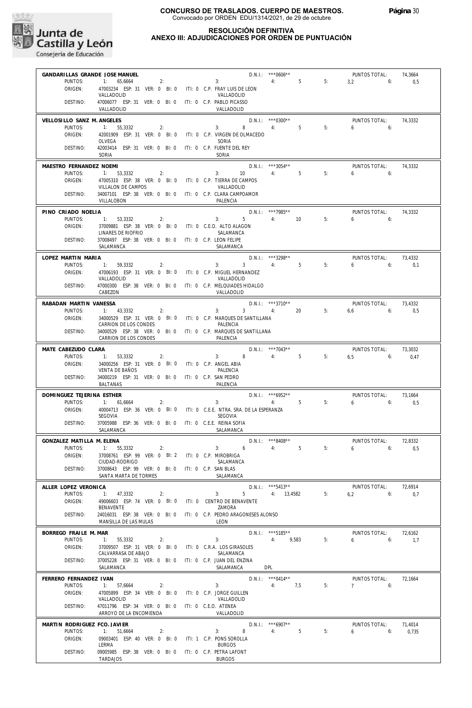

#### **RESOLUCIÓN DEFINITIVA ANEXO III: ADJUDICACIONES POR ORDEN DE PUNTUACIÓN**

| GANDARILLAS GRANDE JOSE MANUEL    |                                                                                 |                                                                              | $D.N.1::$ *** 0606**                  |    | PUNTOS TOTAL:                      | 74,3664        |
|-----------------------------------|---------------------------------------------------------------------------------|------------------------------------------------------------------------------|---------------------------------------|----|------------------------------------|----------------|
| PUNTOS:<br>ORIGEN:                | 1: 65.6664<br>2:<br>47003234 ESP: 31 VER: 0 BI: 0 ITI: 0 C.P. FRAY LUIS DE LEON | 3:                                                                           | $5 -$<br>4:                           | 5: | $3.2$ 6:                           | 0,5            |
|                                   | VALLADOLID                                                                      | VALLADOLID                                                                   |                                       |    |                                    |                |
| DESTINO:                          | 47006077 ESP: 31 VER: 0 BI: 0 ITI: 0 C.P. PABLO PICASSO<br>VALLADOLID           | VALLADOLID                                                                   |                                       |    |                                    |                |
| VELLOSILLO SANZ M. ANGELES        |                                                                                 |                                                                              | $D.N.I.:$ ***0300**                   |    | PUNTOS TOTAL:                      | 74.3332        |
| PUNTOS:<br>ORIGEN:                | 1: 55,3332<br>2:<br>42001909 ESP: 31 VER: 0 BI: 0                               | 8<br>3:<br>ITI: 0 C.P. VIRGEN DE OLMACEDO                                    | 4:<br>$5^{\circ}$                     | 5: | 6<br>6:                            |                |
|                                   | OLVEGA                                                                          | SORIA                                                                        |                                       |    |                                    |                |
| DESTINO:                          | 42003414 ESP: 31 VER: 0 BI: 0<br>SORIA                                          | ITI: 0 C.P. FUENTE DEL REY<br>SORIA                                          |                                       |    |                                    |                |
| MAESTRO FERNANDEZ NOEMI           |                                                                                 |                                                                              | $D.N.1::$ ***3054**                   |    | PUNTOS TOTAL:                      | 74.3332        |
| PUNTOS:<br>ORIGEN:                | 1: 53,3332<br>2:<br>47005310 ESP: 38 VER: 0 BI: 0 ITI: 0 C.P. TIERRA DE CAMPOS  | 3:<br>10                                                                     | $5^{\circ}$<br>4:                     | 5: | 6<br>6:                            |                |
|                                   | VILLALON DE CAMPOS                                                              | VALLADOLID                                                                   |                                       |    |                                    |                |
| DESTINO:                          | 34007101 ESP: 38 VER: 0 BI: 0 ITI: 0 C.P. CLARA CAMPOAMOR<br>VILLALOBON         | PALENCIA                                                                     |                                       |    |                                    |                |
| PINO CRIADO NOELIA                |                                                                                 |                                                                              | $D.N.1.:$ ***7985**                   |    | PUNTOS TOTAL:                      | 74,3332        |
| PUNTOS:<br>ORIGEN:                | 1: 53,3332<br>2:<br>37009881 ESP: 38 VER: 0 BI: 0 ITI: 0 C.E.O. ALTO ALAGON     | 3:                                                                           | $5 \t 4: \t 10$                       | 5: | 6:<br>6                            |                |
|                                   | LINARES DE RIOFRIO                                                              | SALAMANCA                                                                    |                                       |    |                                    |                |
| DESTINO:                          | 37008497 ESP: 38 VER: 0 BI: 0 ITI: 0 C.P. LEON FELIPE<br>SALAMANCA              | SALAMANCA                                                                    |                                       |    |                                    |                |
| LOPEZ MARTIN MARIA                |                                                                                 |                                                                              | D.N.I.: ***3298**                     |    | PUNTOS TOTAL:                      | 73,4332        |
| PUNTOS:                           | 1: 59,3332<br>2:                                                                | 3: 3: 4:                                                                     | 5 <sup>5</sup>                        | 5: | 6<br>6:                            | 0,1            |
| ORIGEN:                           | 47006193 ESP: 31 VER: 0 BI: 0<br>VALLADOLID                                     | ITI: 0 C.P. MIGUEL HERNANDEZ<br>VALLADOLID                                   |                                       |    |                                    |                |
| DESTINO:                          |                                                                                 | 47000300 ESP: 38 VER: 0 BI: 0 ITI: 0 C.P. MELQUIADES HIDALGO                 |                                       |    |                                    |                |
|                                   | CABEZON                                                                         | VALLADOLID                                                                   |                                       |    |                                    |                |
| RABADAN MARTIN VANESSA<br>PUNTOS: | 1: 43,3332<br>2:                                                                | 3:<br>$3^{\circ}$                                                            | D.N.I.: ***3710**<br>$4:$ $-4:$<br>20 | 5: | PUNTOS TOTAL:<br>6:<br>6.6         | 73.4332<br>0,5 |
| ORIGEN:                           |                                                                                 | 34000529 ESP: 31 VER: 0 BI: 0 ITI: 0 C.P. MARQUES DE SANTILLANA              |                                       |    |                                    |                |
| DESTINO:                          | CARRION DE LOS CONDES                                                           | PALENCIA<br>34000529 ESP: 38 VER: 0 BI: 0 ITI: 0 C.P. MARQUES DE SANTILLANA  |                                       |    |                                    |                |
|                                   | CARRION DE LOS CONDES                                                           | PALENCIA                                                                     |                                       |    |                                    |                |
| MATE CABEZUDO CLARA               |                                                                                 |                                                                              | $D.N.1::$ ***7043**                   |    | PUNTOS TOTAL:                      | 73,3032        |
| PUNTOS:<br>ORIGEN:                | 1: 53,3332<br>2:<br>34000256 ESP: 31 VER: 0 BI: 0 ITI: 0 C.P. ANGEL ABIA        | 8<br>3:                                                                      | 5 <sup>1</sup><br>4:                  | 5: | 6,5<br>6:                          | 0,47           |
|                                   | VENTA DE BAÑOS                                                                  | PALENCIA                                                                     |                                       |    |                                    |                |
| DESTINO:                          | 34000219 ESP: 31 VER: 0 BI: 0 ITI: 0 C.P. SAN PEDRO<br><b>BALTANAS</b>          | PALENCIA                                                                     |                                       |    |                                    |                |
| DOMINGUEZ TEJERINA ESTHER         |                                                                                 |                                                                              | $D.N.1::$ *** 6952**                  |    | PUNTOS TOTAL:                      | 73,1664        |
| PUNTOS:<br>ORIGEN:                | 1: 61,6664<br>2:                                                                | 3:<br>40004713 ESP: 36 VER: 0 BI: 0 ITI: 0 C.E.E. NTRA. SRA. DE LA ESPERANZA | 5<br>4:                               | 5: | $6\qquad 6$                        | 0,5            |
|                                   | SEGOVIA                                                                         | <b>SEGOVIA</b>                                                               |                                       |    |                                    |                |
| DESTINO:                          | 37005988 ESP: 36 VER: 0 BI: 0 ITI: 0 C.E.E. REINA SOFIA<br>SALAMANCA            | SALAMANCA                                                                    |                                       |    |                                    |                |
| GONZALEZ MATILLA M. ELENA         |                                                                                 |                                                                              | D.N.I.: ***8408**                     |    | PUNTOS TOTAL:                      | 72,8332        |
| PUNTOS:<br>ORIGEN:                | 1: 55.3332<br>2:<br>37008761 ESP: 99 VER: 0 BI: 2                               | 3:<br>6<br>ITI: 0 C.P. MIROBRIGA                                             | 5<br>4:                               | 5: |                                    | 0,5            |
|                                   | CIUDAD-RODRIGO                                                                  | SALAMANCA                                                                    |                                       |    |                                    |                |
| DESTINO:                          | 37008643 ESP: 99 VER: 0 BI: 0<br>SANTA MARTA DE TORMES                          | ITI: 0 C.P. SAN BLAS<br>SALAMANCA                                            |                                       |    |                                    |                |
| ALLER LOPEZ VERONICA              |                                                                                 |                                                                              | D.N.I.: *** 5413**                    |    | PUNTOS TOTAL:                      | 72,6914        |
| PUNTOS:                           | 1:<br>47,3332<br>2:                                                             | 3:<br>5                                                                      | 4: 13,4582                            | 5: | 6,2<br>6:                          | 0,7            |
| ORIGEN:                           | 49006603 ESP: 74 VER: 0 BI: 0<br>BENAVENTE                                      | ITI: 0 CENTRO DE BENAVENTE<br>ZAMORA                                         |                                       |    |                                    |                |
| DESTINO:                          | 24016031 ESP: 38 VER: 0 BI: 0<br>MANSILLA DE LAS MULAS                          | ITI: 0 C.P. PEDRO ARAGONESES ALONSO<br>LEON                                  |                                       |    |                                    |                |
|                                   |                                                                                 |                                                                              | D.N.I.: *** 5185**                    |    |                                    |                |
| BORREGO FRAILE M. MAR<br>PUNTOS:  | 2:<br>1:<br>55.3332                                                             | 3:                                                                           | 9,583<br>4:                           | 5: | PUNTOS TOTAL:<br>6<br>6:           | 72,6162<br>1,7 |
| ORIGEN:                           | 37009507 ESP: 31 VER: 0 BI: 0<br>CALVARRASA DE ABAJO                            | ITI: 0 C.R.A. LOS GIRASOLES<br>SALAMANCA                                     |                                       |    |                                    |                |
| DESTINO:                          | 37005228 ESP: 31 VER: 0 BI: 0                                                   | ITI: 0 C.P. JUAN DEL ENZINA                                                  |                                       |    |                                    |                |
|                                   | SALAMANCA                                                                       | SALAMANCA<br>DPL                                                             |                                       |    |                                    |                |
| FERRERO FERNANDEZ IVAN<br>PUNTOS: | 1:<br>57,6664<br>2:                                                             | 3:                                                                           | $D.N.1::$ *** 0414**<br>7,5<br>4:     | 5: | PUNTOS TOTAL:<br>$7^{\circ}$<br>6: | 72,1664        |
| ORIGEN:                           | 47005899 ESP: 34 VER: 0 BI: 0                                                   | ITI: 0 C.P. JORGE GUILLEN                                                    |                                       |    |                                    |                |
| DESTINO:                          | VALLADOLID<br>47011796 ESP: 34 VER: 0 BI: 0                                     | VALLADOLID<br>ITI: 0 C.E.O. ATENEA                                           |                                       |    |                                    |                |
|                                   | ARROYO DE LA ENCOMIENDA                                                         | VALLADOLID                                                                   |                                       |    |                                    |                |
| MARTIN RODRIGUEZ FCO. JAVIER      |                                                                                 |                                                                              | $D.N.1::$ *** 6907**                  |    | PUNTOS TOTAL:                      | 71,4014        |
| PUNTOS:<br>ORIGEN:                | 1:<br>51,6664<br>2:<br>09003401 ESP: 40 VER: 0 BI: 0                            | 8<br>3:<br>ITI: 1 C.P. PONS SOROLLA                                          | 4:<br>5                               | 5: | 6:<br>6                            | 0,735          |
|                                   | LERMA                                                                           | <b>BURGOS</b>                                                                |                                       |    |                                    |                |
| DESTINO:                          | 09005985 ESP: 38 VER: 0 BI: 0<br><b>TARDAJOS</b>                                | ITI: 0 C.P. PETRA LAFONT<br><b>BURGOS</b>                                    |                                       |    |                                    |                |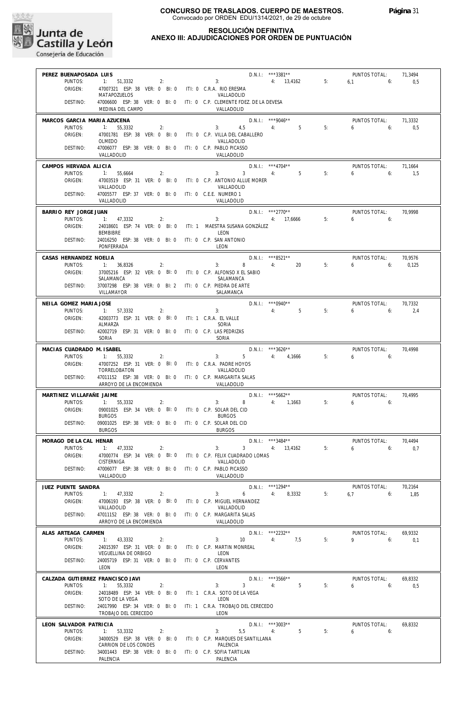

#### **RESOLUCIÓN DEFINITIVA ANEXO III: ADJUDICACIONES POR ORDEN DE PUNTUACIÓN**

| PEREZ BUENAPOSADA LUIS            |                                                                                 |                                           | D.N.I.: ***3381**                    |    | PUNTOS TOTAL:                | 71,3494        |
|-----------------------------------|---------------------------------------------------------------------------------|-------------------------------------------|--------------------------------------|----|------------------------------|----------------|
| PUNTOS:                           | $1: 51,3332$ 2:                                                                 |                                           | 3: 4: 13,4162                        | 5: | $6.1$ $6:$                   | 0,5            |
| ORIGEN:                           | 47007321 ESP: 38 VER: 0 BI: 0 ITI: 0 C.R.A. RIO ERESMA                          |                                           |                                      |    |                              |                |
|                                   | MATAPOZUELOS                                                                    | VALLADOLID                                |                                      |    |                              |                |
| DESTINO:                          | 47006600 ESP: 38 VER: 0 BI: 0 ITI: 0 C.P. CLEMENTE FDEZ. DE LA DEVESA           |                                           |                                      |    |                              |                |
|                                   | MEDINA DEL CAMPO                                                                | VALLADOLID                                |                                      |    |                              |                |
| MARCOS GARCIA MARIA AZUCENA       |                                                                                 |                                           | $D.N.1::$ ***9046**                  |    | PUNTOS TOTAL:                | 71,3332        |
| PUNTOS:                           | 1: 55,3332<br>2:                                                                |                                           | 3: 4.5 4:<br>5 <sub>5</sub>          | 5: | 6<br>6:                      | 0,5            |
| ORIGEN:                           | 47001781 ESP: 38 VER: 0 BI: 0 ITI: 0 C.P. VILLA DEL CABALLERO                   |                                           |                                      |    |                              |                |
|                                   | OLMEDO                                                                          | VALLADOLID                                |                                      |    |                              |                |
| DESTINO:                          | 47006077 ESP: 38 VER: 0 BI: 0 ITI: 0 C.P. PABLO PICASSO                         |                                           |                                      |    |                              |                |
|                                   | VALLADOLID                                                                      | VALLADOLID                                |                                      |    |                              |                |
| CAMPOS HERVADA ALICIA             |                                                                                 |                                           | $D.N.1::$ ***4704**                  |    | PUNTOS TOTAL:                | 71,1664        |
| PUNTOS:                           | 1: 55,6664<br>2:                                                                | 3:                                        | $3 \qquad \qquad 4: \qquad \qquad 5$ | 5: | 6<br>6:                      | 1,5            |
| ORIGEN:                           | 47003519 ESP: 31 VER: 0 BI: 0 ITI: 0 C.P. ANTONIO ALLUE MORER                   |                                           |                                      |    |                              |                |
| DESTINO:                          | VALLADOLID<br>47005577 ESP: 37 VER: 0 BI: 0 ITI: 0 C.E.E. NUMERO 1              | VALLADOLID                                |                                      |    |                              |                |
|                                   | VALLADOLID                                                                      | VALLADOLID                                |                                      |    |                              |                |
|                                   |                                                                                 |                                           |                                      |    |                              |                |
| BARRIO REY JORGE JUAN             |                                                                                 |                                           | $D.N.1.:$ ***2770**                  |    | PUNTOS TOTAL:                | 70,9998        |
| PUNTOS:                           | 1: 47,3332<br>2:                                                                |                                           | 3: 4: 17,6666                        | 5: | 6<br>6:                      |                |
| ORIGEN:                           | 24018601 ESP: 74 VER: 0 BI: 0 ITI: 1 MAESTRA SUSANA GONZÁLEZ<br><b>BEMBIBRE</b> | LEON                                      |                                      |    |                              |                |
| DESTINO:                          | 24016250 ESP: 38 VER: 0 BI: 0 ITI: 0 C.P. SAN ANTONIO                           |                                           |                                      |    |                              |                |
|                                   | PONFERRADA                                                                      | LEON                                      |                                      |    |                              |                |
|                                   |                                                                                 |                                           |                                      |    |                              |                |
| CASAS HERNANDEZ NOELIA<br>PUNTOS: | 1: 36,8326<br>2:                                                                | 3:                                        | $D.N.I.:$ ***8521**<br>8 4:<br>20    | 5: | PUNTOS TOTAL:<br>6.6         | 70,9576        |
| ORIGEN:                           | 37005216 ESP: 32 VER: 0 BI: 0 ITI: 0 C.P. ALFONSO X EL SABIO                    |                                           |                                      |    |                              | 0,125          |
|                                   | SALAMANCA                                                                       | SALAMANCA                                 |                                      |    |                              |                |
| DESTINO:                          | 37007298 ESP: 38 VER: 0 BI: 2 ITI: 0 C.P. PIEDRA DE ARTE                        |                                           |                                      |    |                              |                |
|                                   | VILLAMAYOR                                                                      | SALAMANCA                                 |                                      |    |                              |                |
|                                   |                                                                                 |                                           | $D.N.I.:$ ***0940**                  |    |                              |                |
| NEILA GOMEZ MARIA JOSE<br>PUNTOS: | 1: 57,3332<br>2:                                                                | 3:                                        | 4:<br>5                              | 5: | PUNTOS TOTAL:<br>$6\qquad 6$ | 70,7332<br>2,4 |
| ORIGEN:                           | 42003773 ESP: 31 VER: 0 BI: 0 ITI: 1 C.R.A. EL VALLE                            |                                           |                                      |    |                              |                |
|                                   | ALMARZA                                                                         | SORIA                                     |                                      |    |                              |                |
| DESTINO:                          | 42002719 ESP: 31 VER: 0 BI: 0                                                   | ITI: 0 C.P. LAS PEDRIZAS                  |                                      |    |                              |                |
|                                   | SORIA                                                                           | SORIA                                     |                                      |    |                              |                |
| MACIAS CUADRADO M. ISABEL         |                                                                                 |                                           | $D.N.1::$ ***3626**                  |    | PUNTOS TOTAL:                | 70.4998        |
| PUNTOS:                           | 1: 55,3332<br>2:                                                                | 3:                                        | $5 - 1$<br>4: 4,1666                 | 5: | 6.6                          |                |
| ORIGEN:                           | 47007252 ESP: 31 VER: 0 BI: 0 ITI: 0 C.R.A. PADRE HOYOS                         |                                           |                                      |    |                              |                |
|                                   | TORRELOBATON                                                                    | VALLADOLID                                |                                      |    |                              |                |
| DESTINO:                          | 47011152 ESP: 38 VER: 0 BI: 0 ITI: 0 C.P. MARGARITA SALAS                       |                                           |                                      |    |                              |                |
|                                   | ARROYO DE LA ENCOMIENDA                                                         | VALLADOLID                                |                                      |    |                              |                |
| MARTINEZ VILLAFAÑE JAIME          |                                                                                 |                                           | $D.N.1.:$ ***5662**                  |    | PUNTOS TOTAL:                | 70,4995        |
| PUNTOS:                           | 1: 55,3332<br>2:                                                                | 3:                                        | 8 4: 1.1663                          | 5: | $6\qquad 6$                  |                |
| ORIGEN:                           | 09001025 ESP: 34 VER: 0 BI: 0 ITI: 0 C.P. SOLAR DEL CID                         |                                           |                                      |    |                              |                |
|                                   | <b>BURGOS</b>                                                                   | <b>BURGOS</b>                             |                                      |    |                              |                |
| DESTINO:                          | 09001025 ESP: 38 VER: 0 BI: 0 ITI: 0 C.P. SOLAR DEL CID                         |                                           |                                      |    |                              |                |
|                                   | <b>BURGOS</b>                                                                   | <b>BURGOS</b>                             |                                      |    |                              |                |
| MORAGO DE LA CAL HENAR            |                                                                                 |                                           | $D.N.1.:$ ***3484**                  |    | PUNTOS TOTAL:                | 70,4494        |
| PUNTOS:                           | 1: 47,3332<br>2:                                                                | 3:                                        | $3 \sim 3$<br>4: 13,4162             | 5: | $6 \t\t 6$                   | 0.7            |
| ORIGEN:                           | 47000774 ESP: 34 VER: 0 BI: 0                                                   | ITI: 0 C.P. FELIX CUADRADO LOMAS          |                                      |    |                              |                |
|                                   | CISTERNIGA                                                                      | VALLADOLID                                |                                      |    |                              |                |
| DESTINO:                          | 47006077 ESP: 38 VER: 0 BI: 0<br>VALLADOLID                                     | ITI: 0 C.P. PABLO PICASSO<br>VALLADOLID   |                                      |    |                              |                |
|                                   |                                                                                 |                                           |                                      |    |                              |                |
| JUEZ PUENTE SANDRA                |                                                                                 |                                           | D.N.I.: ***1294**                    |    | PUNTOS TOTAL:                | 70,2164        |
| PUNTOS:                           | 1: 47.3332<br>2:                                                                | 3:                                        | 6<br>4:<br>8,3332                    | 5: | 6,7<br>6:                    | 1,85           |
| ORIGEN:                           | 47006193 ESP: 38 VER: 0 BI: 0                                                   | ITI: 0 C.P. MIGUEL HERNANDEZ              |                                      |    |                              |                |
| DESTINO:                          | VALLADOLID<br>47011152 ESP: 38 VER: 0 BI: 0                                     | VALLADOLID<br>ITI: 0 C.P. MARGARITA SALAS |                                      |    |                              |                |
|                                   | ARROYO DE LA ENCOMIENDA                                                         | VALLADOLID                                |                                      |    |                              |                |
|                                   |                                                                                 |                                           |                                      |    |                              |                |
| ALAS ARTEAGA CARMEN               |                                                                                 |                                           | D.N.I.: ***2232**                    |    | PUNTOS TOTAL:                | 69,9332        |
| PUNTOS:                           | 1: 43,3332<br>2:                                                                | 3:                                        | 4:<br>10<br>7,5                      | 5: | $\mathsf{Q}$<br>6:           | 0,1            |
| ORIGEN:                           | 24015397 ESP: 31 VER: 0 BI: 0<br>VEGUELLINA DE ORBIGO                           | ITI: 0 C.P. MARTIN MONREAL<br>LEON        |                                      |    |                              |                |
| DESTINO:                          | 24005719 ESP: 31 VER: 0 BI: 0                                                   | ITI: 0 C.P. CERVANTES                     |                                      |    |                              |                |
|                                   | LEON                                                                            | LEON                                      |                                      |    |                              |                |
|                                   |                                                                                 |                                           |                                      |    |                              |                |
| PUNTOS:                           | CALZADA GUTIERREZ FRANCISCO JAVI<br>1:<br>55,3332<br>2:                         | 3:                                        | D.N.I.: ***3566**<br>3<br>5<br>4:    | 5: | PUNTOS TOTAL:<br>6<br>6:     | 69,8332<br>0,5 |
| ORIGEN:                           | 24018489 ESP: 34 VER: 0 BI: 0                                                   | ITI: 1 C.R.A. SOTO DE LA VEGA             |                                      |    |                              |                |
|                                   | SOTO DE LA VEGA                                                                 | LEON                                      |                                      |    |                              |                |
| DESTINO:                          | 24017990 ESP: 34 VER: 0 BI: 0                                                   | ITI: 1 C.R.A. TROBAJO DEL CERECEDO        |                                      |    |                              |                |
|                                   | TROBAJO DEL CERECEDO                                                            | LEON                                      |                                      |    |                              |                |
| LEON SALVADOR PATRICIA            |                                                                                 |                                           | D.N.I.: ***3003**                    |    | PUNTOS TOTAL:                | 69,8332        |
| PUNTOS:                           | 1: 53,3332<br>2:                                                                | 3:                                        | 5,5<br>5<br>4:                       | 5: | 6<br>6:                      |                |
| ORIGEN:                           | 34000529 ESP: 38 VER: 0 BI: 0                                                   | ITI: 0 C.P. MARQUES DE SANTILLANA         |                                      |    |                              |                |
|                                   | CARRION DE LOS CONDES                                                           | PALENCIA                                  |                                      |    |                              |                |
| DESTINO:                          | 34001443 ESP: 38 VER: 0 BI: 0                                                   | ITI: 0 C.P. SOFIA TARTILAN                |                                      |    |                              |                |
|                                   | PALENCIA                                                                        | PALENCIA                                  |                                      |    |                              |                |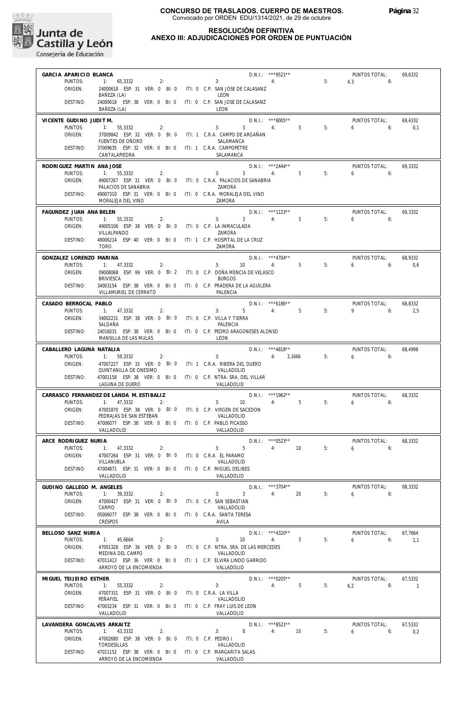

#### **RESOLUCIÓN DEFINITIVA ANEXO III: ADJUDICACIONES POR ORDEN DE PUNTUACIÓN**

| GARCIA APARICIO BLANCA                 |                                                                                          |                                         | D.N.I.: ***9521**             |         | PUNTOS TOTAL:            | 69,6332        |
|----------------------------------------|------------------------------------------------------------------------------------------|-----------------------------------------|-------------------------------|---------|--------------------------|----------------|
| PUNTOS:                                | 1: 65,3332<br>2:                                                                         | $\overline{4}$ :<br>3:                  |                               | 5:      | 4.3 6:                   |                |
| ORIGEN:                                | 24000618 ESP: 31 VER: 0 BI: 0 ITI: 0 C.P. SAN JOSE DE CALASANZ                           |                                         |                               |         |                          |                |
|                                        | BAÑEZA (LA)                                                                              | LEON                                    |                               |         |                          |                |
| DESTINO:                               | 24000618 ESP: 38 VER: 0 BI: 0 ITI: 0 C.P. SAN JOSE DE CALASANZ                           | LEON                                    |                               |         |                          |                |
|                                        | BAÑEZA (LA)                                                                              |                                         |                               |         |                          |                |
| VICENTE GUDINO JUDIT M.                |                                                                                          |                                         | $D.N.1.:$ ***8005**           |         | PUNTOS TOTAL:            | 69,4332        |
| PUNTOS:                                | 1: 55.3332<br>2:                                                                         | 3:                                      | $3 \qquad 4: \qquad 5$        | 5:      | 655                      | 0,1            |
| ORIGEN:                                | 37009842 ESP: 32 VER: 0 BI: 0 ITI: 1 C.R.A. CAMPO DE ARGAÑAN                             |                                         |                               |         |                          |                |
|                                        | FUENTES DE OÑORO                                                                         | SALAMANCA                               |                               |         |                          |                |
| DESTINO:                               | 37009635 ESP: 32 VER: 0 BI: 0 ITI: 1 C.R.A. CAMPOPETRE                                   |                                         |                               |         |                          |                |
|                                        | CANTALAPIEDRA                                                                            | SALAMANCA                               |                               |         |                          |                |
|                                        |                                                                                          |                                         | $D.N.1::$ ***2444**           |         | PUNTOS TOTAL:            |                |
| RODRIGUEZ MARTIN ANA JOSE<br>PUNTOS:   |                                                                                          | $3: 3 \t 4: 5$                          |                               | 5:      | $6\qquad 6$              | 69,3332        |
|                                        | 1: 55,3332<br>2:                                                                         |                                         |                               |         |                          |                |
| ORIGEN:                                | 49007267 ESP: 31 VER: 0 BI: 0 ITI: 0 C.R.A. PALACIOS DE SANABRIA<br>PALACIOS DE SANABRIA | ZAMORA                                  |                               |         |                          |                |
| DESTINO:                               | 49007310 ESP: 31 VER: 0 BI: 0 ITI: 0 C.R.A. MORALEJA DEL VINO                            |                                         |                               |         |                          |                |
|                                        | MORALEJA DEL VINO                                                                        | ZAMORA                                  |                               |         |                          |                |
|                                        |                                                                                          |                                         |                               |         |                          |                |
| FAGUNDEZ JUAN ANA BELEN                |                                                                                          |                                         | D.N.I.: ***1123**             |         | PUNTOS TOTAL:            | 69,3332        |
| PUNTOS:                                | 1: 55,3332<br>2:                                                                         | 3:                                      | $3 \qquad 4: \qquad 5$        | 5:      | $6\qquad 6$              |                |
| ORIGEN:                                | 49005106 ESP: 38 VER: 0 BI: 0 ITI: 0 C.P. LA INMACULADA                                  |                                         |                               |         |                          |                |
|                                        | VILLALPANDO                                                                              | ZAMORA                                  |                               |         |                          |                |
| DESTINO:                               | 49006214 ESP: 40 VER: 0 BI: 0 ITI: 1 C.P. HOSPITAL DE LA CRUZ                            |                                         |                               |         |                          |                |
|                                        | <b>TORO</b>                                                                              | ZAMORA                                  |                               |         |                          |                |
| GONZALEZ LORENZO MARINA                |                                                                                          |                                         | $D.N.1::$ ***4704**           |         | <b>PUNTOS TOTAL:</b>     | 68,9332        |
| PUNTOS:                                | 1: 47,3332<br>2:                                                                         | $10 \t 4:$<br>3:                        | 5 <sub>5</sub>                | 5:      | 6.6                      | 0,6            |
| ORIGEN:                                | 09008068 ESP: 99 VER: 0 BI: 2 ITI: 0 C.P. DOÑA MENCIA DE VELASCO                         |                                         |                               |         |                          |                |
|                                        | BRIVIESCA                                                                                | <b>BURGOS</b>                           |                               |         |                          |                |
| DESTINO:                               | 34003154 ESP: 38 VER: 0 BI: 0 ITI: 0 C.P. PRADERA DE LA AGUILERA                         |                                         |                               |         |                          |                |
|                                        | VILLAMURIEL DE CERRATO                                                                   | PALENCIA                                |                               |         |                          |                |
|                                        |                                                                                          |                                         |                               |         |                          |                |
| CASADO BERROCAL PABLO                  |                                                                                          |                                         | $D.N.1.:$ ***6186**           |         | PUNTOS TOTAL:            | 68,8332        |
| PUNTOS:                                | 1: 47,3332<br>2:                                                                         | $3: 5 \t 4: 5$                          |                               | 5:      | $9 \t\t 6$               | 2,5            |
| ORIGEN:                                | 34002231 ESP: 38 VER: 0 BI: 0 ITI: 0 C.P. VILLA Y TIERRA                                 |                                         |                               |         |                          |                |
|                                        | SALDAÑA                                                                                  | PALENCIA                                |                               |         |                          |                |
| DESTINO:                               | 24016031 ESP: 38 VER: 0 BI: 0 ITI: 0 C.P. PEDRO ARAGONESES ALONSO                        |                                         |                               |         |                          |                |
|                                        | MANSILLA DE LAS MULAS                                                                    | LEON                                    |                               |         |                          |                |
| CABALLERO LAGUNA NATALIA               |                                                                                          |                                         | $D.N.I.:$ ***4818**           |         | PUNTOS TOTAL:            | 68,4998        |
| PUNTOS:                                | 1: 59,3332<br>2:                                                                         | 4: 3,1666<br>3:                         |                               | 5:      | $6\qquad 6$              |                |
| ORIGEN:                                | 47007227 ESP: 32 VER: 0 BI: 0 ITI: 1 C.R.A. RIBERA DEL DUERO                             |                                         |                               |         |                          |                |
|                                        | QUINTANILLA DE ONESIMO                                                                   | VALLADOLID                              |                               |         |                          |                |
| DESTINO:                               | 47001158 ESP: 38 VER: 0 BI: 0 ITI: 0 C.P. NTRA. SRA. DEL VILLAR                          |                                         |                               |         |                          |                |
|                                        | LAGUNA DE DUERO                                                                          | VALLADOLID                              |                               |         |                          |                |
|                                        |                                                                                          |                                         |                               |         |                          |                |
|                                        |                                                                                          |                                         |                               |         |                          |                |
|                                        | CARRASCO FERNANDEZ DE LANDA M. ESTIBALIZ                                                 |                                         | $D.N.1.:$ ***1962**           |         | PUNTOS TOTAL:            | 68,3332        |
| PUNTOS:                                | 1: 47,3332<br>2:                                                                         | 3: 10                                   | 4: 5                          | 5:      | $6\qquad 6$              |                |
| ORIGEN:                                | 47001870 ESP: 38 VER: 0 BI: 0 ITI: 0 C.P. VIRGEN DE SACEDON                              |                                         |                               |         |                          |                |
|                                        | PEDRAJAS DE SAN ESTEBAN                                                                  | VALLADOLID                              |                               |         |                          |                |
| DESTINO:                               | 47006077 ESP: 38 VER: 0 BI: 0 ITI: 0 C.P. PABLO PICASSO                                  |                                         |                               |         |                          |                |
|                                        | VALLADOLID                                                                               | VALLADOLID                              |                               |         |                          |                |
| ARCE RODRIGUEZ NURIA                   |                                                                                          |                                         | $D.N.1.:$ ***0523**           |         | PUNTOS TOTAL:            | 68,3332        |
| PUNTOS:                                | 1: 47,3332<br>2:                                                                         | 3:                                      | 5 4: 10                       | 5:      | 650                      |                |
| ORIGEN:                                | 47007264 ESP: 31 VER: 0 BI: 0                                                            | ITI: 0 C.R.A. EL PARAMO                 |                               |         |                          |                |
|                                        | VILLANUBLA                                                                               | VALLADOLID                              |                               |         |                          |                |
| DESTINO:                               | 47004871 ESP: 31 VER: 0 BI: 0                                                            | ITI: 0 C.P. MIGUEL DELIBES              |                               |         |                          |                |
|                                        | VALLADOLID                                                                               | VALLADOLID                              |                               |         |                          |                |
| GUDINO GALLEGO M. ANGELES              |                                                                                          |                                         |                               |         |                          |                |
|                                        | 39.3332                                                                                  | $\overline{3}$<br>3:                    | $D.N.1.:$ ***3704**           |         | PUNTOS TOTAL:            | 68,3332        |
| PUNTOS:                                | 1:<br>2:                                                                                 |                                         | 4:<br>20                      | 5:      | 6<br>6:                  |                |
| ORIGEN:                                | 47000427 ESP: 31 VER: 0 BI: 0<br>CARPIO                                                  | ITI: 0 C.P. SAN SEBASTIAN<br>VALLADOLID |                               |         |                          |                |
| DESTINO:                               | 05006077 ESP: 38 VER: 0 BI: 0                                                            | ITI: 0 C.R.A. SANTA TERESA              |                               |         |                          |                |
|                                        | <b>CRESPOS</b>                                                                           | AVILA                                   |                               |         |                          |                |
|                                        |                                                                                          |                                         |                               |         |                          |                |
| BELLOSO SANZ NURIA                     |                                                                                          |                                         | $D.N.1::$ ***4320**           |         | PUNTOS TOTAL:            | 67.7664        |
| PUNTOS:                                | 1: 45,6664<br>2:                                                                         | 3:<br>10                                | 4:                            | 5<br>5: | 6<br>6:                  | 1,1            |
| ORIGEN:                                | 47001328 ESP: 36 VER: 0 BI: 0                                                            | ITI: 0 C.P. NTRA. SRA. DE LAS MERCEDES  |                               |         |                          |                |
|                                        | MEDINA DEL CAMPO                                                                         | VALLADOLID                              |                               |         |                          |                |
| DESTINO:                               | 47011413 ESP: 36 VER: 0 BI: 0 ITI: 1 C.P. ELVIRA LINDO GARRIDO                           |                                         |                               |         |                          |                |
|                                        | ARROYO DE LA ENCOMIENDA                                                                  | VALLADOLID                              |                               |         |                          |                |
| MIGUEL TEIJEIRO ESTHER                 |                                                                                          |                                         | D.N.I.: *** 0205**            |         | PUNTOS TOTAL:            | 67,5332        |
| PUNTOS:                                | 1:<br>55,3332<br>2:                                                                      | 3:                                      | 4:                            | 5<br>5: | 6,2<br>6:                | $\sim$ 1       |
| ORIGEN:                                | 47007331 ESP: 31 VER: 0 BI: 0                                                            | ITI: 0 C.R.A. LA VILLA                  |                               |         |                          |                |
|                                        | PEÑAFIEL                                                                                 | VALLADOLID                              |                               |         |                          |                |
| DESTINO:                               | 47003234 ESP: 31 VER: 0 BI: 0                                                            | ITI: 0 C.P. FRAY LUIS DE LEON           |                               |         |                          |                |
|                                        | VALLADOLID                                                                               | VALLADOLID                              |                               |         |                          |                |
|                                        |                                                                                          |                                         |                               |         |                          |                |
| LAVANDERA GONCALVES ARKAITZ<br>PUNTOS: | 1: 43,3332<br>2:                                                                         | 8<br>3:                                 | D.N.I.: ***8521**<br>4:<br>10 | 5:      | PUNTOS TOTAL:<br>6<br>6: | 67,5332<br>0,2 |
| ORIGEN:                                | 47002680 ESP: 38 VER: 0 BI: 0                                                            | ITI: 0 C.P. PEDRO I                     |                               |         |                          |                |
|                                        | TORDESILLAS                                                                              | VALLADOLID                              |                               |         |                          |                |
| DESTINO:                               | 47011152 ESP: 38 VER: 0 BI: 0                                                            | ITI: 0 C.P. MARGARITA SALAS             |                               |         |                          |                |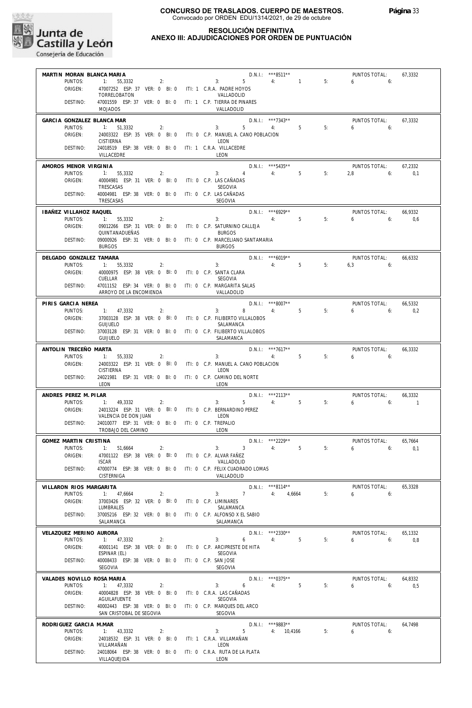

#### **RESOLUCIÓN DEFINITIVA ANEXO III: ADJUDICACIONES POR ORDEN DE PUNTUACIÓN**

| MARTIN MORAN BLANCA MARIA        |                                                                             |    |    |                                                                              | D.N.I.: ***8511**       |                             |    | PUNTOS TOTAL:                 |    | 67.3332                   |
|----------------------------------|-----------------------------------------------------------------------------|----|----|------------------------------------------------------------------------------|-------------------------|-----------------------------|----|-------------------------------|----|---------------------------|
| PUNTOS:                          | 1:<br>55,3332                                                               |    | 2: | $5 \qquad \qquad 4$<br>3:                                                    |                         | $\sim$ $\sim$ $\sim$ $\sim$ | 5: | 6                             | 6: |                           |
| ORIGEN:                          | 47007252 ESP: 37 VER: 0 BI: 0 ITI: 1 C.R.A. PADRE HOYOS                     |    |    |                                                                              |                         |                             |    |                               |    |                           |
| DESTINO:                         | TORRELOBATON<br>47001559 ESP: 37 VER: 0 BI: 0 ITI: 1 C.P. TIERRA DE PINARES |    |    | VALLADOLID                                                                   |                         |                             |    |                               |    |                           |
|                                  | <b>MOJADOS</b>                                                              |    |    | VALLADOLID                                                                   |                         |                             |    |                               |    |                           |
| GARCIA GONZALEZ BLANCA MAR       |                                                                             |    |    |                                                                              | $D.N.I.:$ ***7343**     |                             |    | PUNTOS TOTAL:                 |    | 67,3332                   |
| PUNTOS:                          | 1: 51.3332                                                                  | 2: |    | $5-1$<br>3:                                                                  | 4:                      | 5 <sup>5</sup>              | 5: | 6                             | 6: |                           |
| ORIGEN:                          | 24003322 ESP: 35 VER: 0 Bl: 0                                               |    |    | ITI: 0 C.P. MANUEL A. CANO POBLACION                                         |                         |                             |    |                               |    |                           |
|                                  | <b>CISTIERNA</b>                                                            |    |    | LEON                                                                         |                         |                             |    |                               |    |                           |
| DESTINO:                         | 24018519 ESP: 38 VER: 0 BI: 0<br>VILLACEDRE                                 |    |    | ITI: 1 C.R.A. VILLACEDRE<br>LEON                                             |                         |                             |    |                               |    |                           |
|                                  |                                                                             |    |    |                                                                              |                         |                             |    |                               |    |                           |
| AMOROS MENOR VIRGINIA<br>PUNTOS: |                                                                             |    |    |                                                                              | D.N.I.: *** 5435**      |                             |    | PUNTOS TOTAL:                 |    | 67,2332                   |
| ORIGEN:                          | 1: 55,3332<br>40004981 ESP: 31 VER: 0 BI: 0                                 | 2: |    | 3:<br>4<br>ITI: 0 C.P. LAS CAÑADAS                                           | 4:                      | $5 - 1$                     | 5: | 2.8                           | 6: | 0,1                       |
|                                  | TRESCASAS                                                                   |    |    | SEGOVIA                                                                      |                         |                             |    |                               |    |                           |
| DESTINO:                         | 40004981 ESP: 38 VER: 0 BI: 0 ITI: 0 C.P. LAS CAÑADAS                       |    |    |                                                                              |                         |                             |    |                               |    |                           |
|                                  | TRESCASAS                                                                   |    |    | SEGOVIA                                                                      |                         |                             |    |                               |    |                           |
| IBAÑEZ VILLAHOZ RAQUEL           |                                                                             |    |    |                                                                              | D.N.I.: *** 6929**      |                             |    | PUNTOS TOTAL:                 |    | 66,9332                   |
| PUNTOS:                          | 1: 55,3332                                                                  | 2: |    | 3:                                                                           | 4:                      | 5                           | 5: | 6                             | 6: | 0.6                       |
| ORIGEN:                          | QUINTANADUEÑAS                                                              |    |    | 09012266 ESP: 31 VER: 0 BI: 0 ITI: 0 C.P. SATURNINO CALLEJA<br><b>BURGOS</b> |                         |                             |    |                               |    |                           |
| DESTINO:                         |                                                                             |    |    | 09000926 ESP: 31 VER: 0 BI: 0 ITI: 0 C.P. MARCELIANO SANTAMARIA              |                         |                             |    |                               |    |                           |
|                                  | <b>BURGOS</b>                                                               |    |    | <b>BURGOS</b>                                                                |                         |                             |    |                               |    |                           |
| DELGADO GONZALEZ TAMARA          |                                                                             |    |    |                                                                              | $D.N.1::$ *** 6019**    |                             |    | PUNTOS TOTAL:                 |    | 66,6332                   |
| PUNTOS:                          | 1: 55.3332                                                                  | 2: |    | 3:                                                                           | 4:                      | 5 <sub>5</sub>              | 5: | 6,3<br>6:                     |    |                           |
| ORIGEN:                          | 40000975 ESP: 38 VER: 0 BI: 0                                               |    |    | ITI: 0 C.P. SANTA CLARA<br><b>SEGOVIA</b>                                    |                         |                             |    |                               |    |                           |
| DESTINO:                         | CUELLAR<br>47011152 ESP: 34 VER: 0 BI: 0 ITI: 0 C.P. MARGARITA SALAS        |    |    |                                                                              |                         |                             |    |                               |    |                           |
|                                  | ARROYO DE LA ENCOMIENDA                                                     |    |    | VALLADOLID                                                                   |                         |                             |    |                               |    |                           |
| PIRIS GARCIA NEREA               |                                                                             |    |    |                                                                              | $D.N.1::$ ***8007**     |                             |    | PUNTOS TOTAL:                 |    | 66.5332                   |
| PUNTOS:                          | 1: 47,3332                                                                  | 2: |    | 3:<br>8                                                                      | 4:                      | 5                           | 5: | 6<br>6:                       |    | 0,2                       |
| ORIGEN:                          | 37003128 ESP: 38 VER: 0 BI: 0                                               |    |    | ITI: 0 C.P. FILIBERTO VILLALOBOS                                             |                         |                             |    |                               |    |                           |
| DESTINO:                         | <b>GUIJUELO</b><br>37003128 ESP: 31 VER: 0 BI: 0                            |    |    | SALAMANCA<br>ITI: 0 C.P. FILIBERTO VILLALOBOS                                |                         |                             |    |                               |    |                           |
|                                  | <b>GUIJUELO</b>                                                             |    |    | SALAMANCA                                                                    |                         |                             |    |                               |    |                           |
| ANTOLIN TRECEÑO MARTA            |                                                                             |    |    |                                                                              | $D.N.1::$ ***7617**     |                             |    | PUNTOS TOTAL:                 |    | 66,3332                   |
| PUNTOS:                          | 1: 55,3332                                                                  | 2: |    | 3:                                                                           | 4:                      | 5                           | 5: | 6                             | 6: |                           |
| ORIGEN:                          | 24003322 ESP: 31 VER: 0 BI: 0                                               |    |    | ITI: 0 C.P. MANUEL A. CANO POBLACION                                         |                         |                             |    |                               |    |                           |
|                                  | <b>CISTIERNA</b>                                                            |    |    | LEON                                                                         |                         |                             |    |                               |    |                           |
| DESTINO:                         | 24021981 ESP: 31 VER: 0 BI: 0<br>LEON                                       |    |    | ITI: 0 C.P. CAMINO DEL NORTE<br>LEON                                         |                         |                             |    |                               |    |                           |
|                                  |                                                                             |    |    |                                                                              |                         |                             |    |                               |    |                           |
| ANDRES PEREZ M. PILAR<br>PUNTOS: | 1:<br>49,3332                                                               | 2: |    | $5 -$<br>3:                                                                  | D.N.I.: ***2113**<br>4: | 5                           | 5: | PUNTOS TOTAL:<br>$6 \t\t\t 6$ |    | 66,3332<br>$\blacksquare$ |
| ORIGEN:                          | 24013224 ESP: 31 VER: 0 BI: 0 ITI: 0 C.P. BERNARDINO PEREZ                  |    |    |                                                                              |                         |                             |    |                               |    |                           |
|                                  | VALENCIA DE DON JUAN                                                        |    |    | LEON                                                                         |                         |                             |    |                               |    |                           |
| DESTINO:                         | 24010077 ESP: 31 VER: 0 BI: 0 ITI: 0 C.P. TREPALIO<br>TROBAJO DEL CAMINO    |    |    | LEON                                                                         |                         |                             |    |                               |    |                           |
|                                  |                                                                             |    |    |                                                                              |                         |                             |    |                               |    |                           |
| GOMEZ MARTIN CRISTINA<br>PUNTOS: | 1:                                                                          |    |    | $\overline{3}$                                                               | $D.N.1.:$ ***2229**     |                             |    | PUNTOS TOTAL:                 |    | 65,7664                   |
| ORIGEN:                          | 51,6664<br>47001122 ESP: 38 VER: 0 BI: 0                                    | 2: |    | 3:<br>ITI: 0 C.P. ALVAR FAÑEZ                                                | 4:                      | 5                           | 5: | $6\quad$                      | 6: | 0,1                       |
|                                  | <b>ISCAR</b>                                                                |    |    | VALLADOLID                                                                   |                         |                             |    |                               |    |                           |
| DESTINO:                         | 47000774 ESP: 38 VER: 0 BI: 0                                               |    |    | ITI: 0 C.P. FELIX CUADRADO LOMAS                                             |                         |                             |    |                               |    |                           |
|                                  | <b>CISTERNIGA</b>                                                           |    |    | VALLADOLID                                                                   |                         |                             |    |                               |    |                           |
| VILLARON RIOS MARGARITA          |                                                                             |    |    |                                                                              | $D.N.1::$ ***8114**     |                             |    | PUNTOS TOTAL:                 |    | 65,3328                   |
| PUNTOS:<br>ORIGEN:               | 1: 47,6664<br>37003426 ESP: 32 VER: 0 Bl: 0                                 | 2: |    | $\overline{7}$<br>3:<br>ITI: 0 C.P. LIMINARES                                | 4: 4.6664               |                             | 5: | 6                             | 6: |                           |
|                                  | <b>LUMBRALES</b>                                                            |    |    | SALAMANCA                                                                    |                         |                             |    |                               |    |                           |
| DESTINO:                         | 37005216 ESP: 32 VER: 0 BI: 0                                               |    |    | ITI: 0 C.P. ALFONSO X EL SABIO                                               |                         |                             |    |                               |    |                           |
|                                  | SALAMANCA                                                                   |    |    | SALAMANCA                                                                    |                         |                             |    |                               |    |                           |
| VELAZQUEZ MERINO AURORA          |                                                                             |    |    |                                                                              | D.N.I.: ***2330**       |                             |    | PUNTOS TOTAL:                 |    | 65,1332                   |
| PUNTOS:                          | 1: 47.3332                                                                  | 2: |    | 3:<br>6                                                                      | 4:                      | 5                           | 5: | 6                             | 6: | 0,8                       |
| ORIGEN:                          | 40001141 ESP: 38 VER: 0 BI: 0<br>ESPINAR (EL)                               |    |    | ITI: 0 C.P. ARCIPRESTE DE HITA<br>SEGOVIA                                    |                         |                             |    |                               |    |                           |
| DESTINO:                         | 40008433 ESP: 38 VER: 0 BI: 0                                               |    |    | ITI: 0 C.P. SAN JOSE                                                         |                         |                             |    |                               |    |                           |
|                                  | SEGOVIA                                                                     |    |    | SEGOVIA                                                                      |                         |                             |    |                               |    |                           |
| VALADES NOVILLO ROSA MARIA       |                                                                             |    |    |                                                                              | $D.N.1::$ *** 0375**    |                             |    | PUNTOS TOTAL:                 |    | 64,8332                   |
| PUNTOS:                          | 1: 47,3332                                                                  | 2: |    | 3:<br>6                                                                      | 4:                      | 5                           | 5: | 6                             | 6: | 0,5                       |
| ORIGEN:                          | 40004828 ESP: 38 VER: 0 BI: 0                                               |    |    | ITI: 0 C.R.A. LAS CAÑADAS<br><b>SEGOVIA</b>                                  |                         |                             |    |                               |    |                           |
|                                  |                                                                             |    |    |                                                                              |                         |                             |    |                               |    |                           |
| DESTINO:                         | AGUILAFUENTE<br>40002443 ESP: 38 VER: 0 BI: 0                               |    |    | ITI: 0 C.P. MARQUES DEL ARCO                                                 |                         |                             |    |                               |    |                           |
|                                  | SAN CRISTOBAL DE SEGOVIA                                                    |    |    | SEGOVIA                                                                      |                         |                             |    |                               |    |                           |
| RODRIGUEZ GARCIA M.MAR           |                                                                             |    |    |                                                                              | D.N.I.: ***9883**       |                             |    | PUNTOS TOTAL:                 |    | 64,7498                   |
| PUNTOS:                          | 1: 43,3332                                                                  | 2: |    | $5 -$<br>3:                                                                  | 4: 10,4166              |                             | 5: | 6                             | 6: |                           |
| ORIGEN:                          | 24018532 ESP: 31 VER: 0 BI: 0                                               |    |    | ITI: 1 C.R.A. VILLAMAÑAN                                                     |                         |                             |    |                               |    |                           |
| DESTINO:                         | VILLAMAÑAN<br>24018064 ESP: 38 VER: 0 BI: 0                                 |    |    | LEON<br>ITI: 0 C.R.A. RUTA DE LA PLATA                                       |                         |                             |    |                               |    |                           |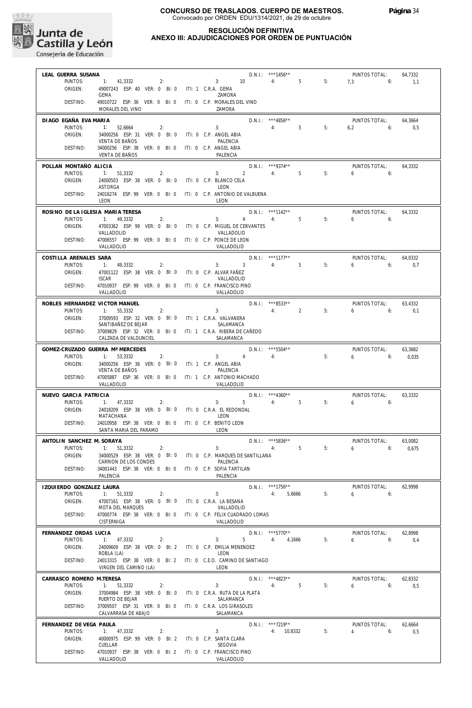

#### **RESOLUCIÓN DEFINITIVA ANEXO III: ADJUDICACIONES POR ORDEN DE PUNTUACIÓN**

| LEAL GUERRA SUSANA                |                                                                              |                                                | D.N.I.: ***1456**                        |    | PUNTOS TOTAL:                | 64,7332        |
|-----------------------------------|------------------------------------------------------------------------------|------------------------------------------------|------------------------------------------|----|------------------------------|----------------|
| PUNTOS:                           | 1: 41,3332<br>2:                                                             | 3: 10                                          | 4: 5                                     | 5: | 7,3<br>6:                    | 1,1            |
| ORIGEN:                           | 49007243 ESP: 40 VER: 0 BI: 0 ITI: 1 C.R.A. GEMA                             |                                                |                                          |    |                              |                |
| DESTINO:                          | <b>GEMA</b><br>49010722 ESP: 36 VER: 0 BI: 0 ITI: 0 C.P. MORALES DEL VINO    | ZAMORA                                         |                                          |    |                              |                |
|                                   | MORALES DEL VINO                                                             | ZAMORA                                         |                                          |    |                              |                |
|                                   |                                                                              |                                                |                                          |    |                              |                |
| DIAGO EGAÑA EVA MARIA<br>PUNTOS:  | 1: 52.6664<br>2:                                                             | 3:                                             | $D.N.1::$ ***4856**<br>$5^{\circ}$<br>4: | 5: | PUNTOS TOTAL:<br>6,2<br>6:   | 64,3664<br>0,5 |
| ORIGEN:                           | 34000256 ESP: 31 VER: 0 BI: 0 ITI: 0 C.P. ANGEL ABIA                         |                                                |                                          |    |                              |                |
|                                   | <b>VENTA DE BAÑOS</b>                                                        | PALENCIA                                       |                                          |    |                              |                |
| DESTINO:                          | 34000256 ESP: 38 VER: 0 BI: 0 ITI: 0 C.P. ANGEL ABIA                         |                                                |                                          |    |                              |                |
|                                   | VENTA DE BAÑOS                                                               | PALENCIA                                       |                                          |    |                              |                |
| POLLAN MONTAÑO ALICIA             |                                                                              |                                                | D.N.I.: ***9374**                        |    | PUNTOS TOTAL:                | 64,3332        |
| PUNTOS:                           | 1: 51,3332<br>2:                                                             | $3: 2 \t 4:$                                   | 5                                        | 5: | 6:<br>6                      |                |
| ORIGEN:                           | 24000503 ESP: 38 VER: 0 BI: 0 ITI: 0 C.P. BLANCO CELA<br>ASTORGA             | LEON                                           |                                          |    |                              |                |
| DESTINO:                          | 24016274 ESP: 99 VER: 0 BI: 0 ITI: 0 C.P. ANTONIO DE VALBUENA                |                                                |                                          |    |                              |                |
|                                   | LEON                                                                         | LEON                                           |                                          |    |                              |                |
|                                   | ROSINO DE LA IGLESIA MARIA TERESA                                            |                                                | $D.N.1.:$ ***1142**                      |    | PUNTOS TOTAL:                | 64,3332        |
| PUNTOS:                           | 1: 49,3332<br>2:                                                             | 3:                                             | 4 4 5                                    | 5: | 6<br>6:                      |                |
| ORIGEN:                           | 47003362 ESP: 99 VER: 0 BI: 0 ITI: 0 C.P. MIGUEL DE CERVANTES                |                                                |                                          |    |                              |                |
| DESTINO:                          | VALLADOLID<br>47006557 ESP: 99 VER: 0 BI: 0 ITI: 0 C.P. PONCE DE LEON        | VALLADOLID                                     |                                          |    |                              |                |
|                                   | VALLADOLID                                                                   | VALLADOLID                                     |                                          |    |                              |                |
|                                   |                                                                              |                                                |                                          |    |                              |                |
| COSTILLA ARENALES SARA<br>PUNTOS: | 1: 49.3332<br>2:                                                             | 3: 3                                           | D.N.I.: ***1177**<br>4:<br>5             | 5: | PUNTOS TOTAL:<br>6<br>6:     | 64,0332<br>0,7 |
| ORIGEN:                           | 47001122 ESP: 38 VER: 0 BI: 0 ITI: 0 C.P. ALVAR FAÑEZ                        |                                                |                                          |    |                              |                |
|                                   | <b>ISCAR</b>                                                                 | VALLADOLID                                     |                                          |    |                              |                |
| DESTINO:                          | 47010937 ESP: 99 VER: 0 BI: 0 ITI: 0 C.P. FRANCISCO PINO                     |                                                |                                          |    |                              |                |
|                                   | VALLADOLID                                                                   | VALLADOLID                                     |                                          |    |                              |                |
|                                   | ROBLES HERNANDEZ VICTOR MANUEL                                               |                                                | D.N.I.: ***8533**                        |    | PUNTOS TOTAL:                | 63,4332        |
| PUNTOS:                           | 1: 55,3332<br>2:                                                             | 3:                                             | 4:2                                      | 5: | $6\qquad 6$                  | 0,1            |
| ORIGEN:                           | 37009593 ESP: 32 VER: 0 BI: 0 ITI: 1 C.R.A. VALVANERA<br>SANTIBAÑEZ DE BEJAR | SALAMANCA                                      |                                          |    |                              |                |
| DESTINO:                          | 37009829 ESP: 32 VER: 0 BI: 0 ITI: 1 C.R.A. RIBERA DE CAÑEDO                 |                                                |                                          |    |                              |                |
|                                   | CALZADA DE VALDUNCIEL                                                        | SALAMANCA                                      |                                          |    |                              |                |
|                                   | GOMEZ-CRUZADO GUERRA Mª MERCEDES                                             |                                                | D.N.I.: *** 5504**                       |    | PUNTOS TOTAL:                | 63,3682        |
| PUNTOS:                           | 1: 53,3332<br>2:                                                             | 3:<br>4                                        | 4:                                       | 5: | $6 \qquad \qquad$<br>6:      | 0,035          |
| ORIGEN:                           | 34000256 ESP: 36 VER: 0 BI: 0 ITI: 1 C.P. ANGEL ABIA                         |                                                |                                          |    |                              |                |
|                                   | VENTA DE BAÑOS                                                               | PALENCIA                                       |                                          |    |                              |                |
| DESTINO:                          | 47005887 ESP: 36 VER: 0 BI: 0 ITI: 1 C.P. ANTONIO MACHADO<br>VALLADOLID      | VALLADOLID                                     |                                          |    |                              |                |
|                                   |                                                                              |                                                |                                          |    |                              |                |
| NUEVO GARCIA PATRICIA<br>PUNTOS:  | 1: 47,3332<br>2:                                                             | $5 -$<br>3:                                    | $D.N.1::$ ***4360**<br>4:5               | 5: | PUNTOS TOTAL:<br>$6\qquad 6$ | 63,3332        |
| ORIGEN:                           | 24018209 ESP: 38 VER: 0 BI: 0 ITI: 0 C.R.A. EL REDONDAL                      |                                                |                                          |    |                              |                |
|                                   | MATACHANA                                                                    | LEON                                           |                                          |    |                              |                |
| DESTINO:                          | 24010958 ESP: 38 VER: 0 BI: 0 ITI: 0 C.P. BENITO LEON                        |                                                |                                          |    |                              |                |
|                                   | SANTA MARIA DEL PARAMO                                                       | LEON                                           |                                          |    |                              |                |
| ANTOLIN SANCHEZ M. SORAYA         |                                                                              |                                                | D.N.I.: *** 5836**                       |    | PUNTOS TOTAL:                | 63,0082        |
| PUNTOS:                           | 1: 51.3332<br>2:                                                             | 3:<br>ITI: 0 C.P. MARQUES DE SANTILLANA        | 4:<br>5                                  | 5: | $6\qquad$<br>6:              | 0,675          |
| ORIGEN:                           | 34000529 ESP: 38 VER: 0 BI: 0<br>CARRION DE LOS CONDES                       | PALENCIA                                       |                                          |    |                              |                |
| DESTINO:                          | 34001443 ESP: 38 VER: 0 BI: 0                                                | ITI: 0 C.P. SOFIA TARTILAN                     |                                          |    |                              |                |
|                                   | PALENCIA                                                                     | PALENCIA                                       |                                          |    |                              |                |
| IZQUIERDO GONZALEZ LAURA          |                                                                              |                                                | D.N.I.: ***1756**                        |    | PUNTOS TOTAL:                | 62,9998        |
| PUNTOS:                           | 1:<br>51,3332<br>2:                                                          | 3:                                             | 4:<br>5,6666                             | 5: | 6<br>6:                      |                |
| ORIGEN:                           | 47007161 ESP: 38 VER: 0 BI: 0                                                | ITI: 0 C.R.A. LA BESANA                        |                                          |    |                              |                |
| DESTINO:                          | MOTA DEL MARQUES<br>47000774 ESP: 38 VER: 0 BI: 0                            | VALLADOLID<br>ITI: 0 C.P. FELIX CUADRADO LOMAS |                                          |    |                              |                |
|                                   | CISTERNIGA                                                                   | VALLADOLID                                     |                                          |    |                              |                |
| FERNANDEZ ORDAS LUCIA             |                                                                              |                                                | $D.N.1::$ ***5770**                      |    |                              |                |
| PUNTOS:                           | 1: 47,3332<br>2:                                                             | 5<br>3:                                        | 4:<br>4,1666                             | 5: | PUNTOS TOTAL:<br>6<br>6:     | 62,8998<br>0,4 |
| ORIGEN:                           | 24009609 ESP: 38 VER: 0 BI: 2                                                | ITI: 0 C.P. EMILIA MENENDEZ                    |                                          |    |                              |                |
|                                   | ROBLA (LA)                                                                   | LEON                                           |                                          |    |                              |                |
| DESTINO:                          | 24013315 ESP: 38 VER: 0 BI: 2 ITI: 0 C.E.O. CAMINO DE SANTIAGO               |                                                |                                          |    |                              |                |
|                                   | VIRGEN DEL CAMINO (LA)                                                       | LEON                                           |                                          |    |                              |                |
| CARRASCO ROMERO M.TERESA          |                                                                              |                                                | D.N.I.: ***4823**                        |    | PUNTOS TOTAL:                | 62,8332        |
| PUNTOS:<br>ORIGEN:                | 1: 51,3332<br>2:<br>37004984 ESP: 38 VER: 0 BI: 0                            | 3:<br>ITI: 0 C.R.A. RUTA DE LA PLATA           | 5<br>4:                                  | 5: | 6<br>6:                      | 0.5            |
|                                   | PUERTO DE BEJAR                                                              | SALAMANCA                                      |                                          |    |                              |                |
| DESTINO:                          | 37009507 ESP: 31 VER: 0 BI: 0                                                | ITI: 0 C.R.A. LOS GIRASOLES                    |                                          |    |                              |                |
|                                   | CALVARRASA DE ABAJO                                                          | SALAMANCA                                      |                                          |    |                              |                |
| FERNANDEZ DE VEGA PAULA           |                                                                              |                                                | D.N.I.: ***7219**                        |    | PUNTOS TOTAL:                | 62,6664        |
| PUNTOS:                           | 1: 47,3332<br>2:                                                             | 3:                                             | 4: 10,8332                               | 5: | $\overline{4}$<br>6:         | 0,5            |
| ORIGEN:                           | 40000975 ESP: 99 VER: 0 BI: 2                                                | ITI: 0 C.P. SANTA CLARA                        |                                          |    |                              |                |
| DESTINO:                          | CUELLAR<br>47010937 ESP: 38 VER: 0 BI: 2                                     | SEGOVIA<br>ITI: 0 C.P. FRANCISCO PINO          |                                          |    |                              |                |
|                                   | VALLADOLID                                                                   | VALLADOLID                                     |                                          |    |                              |                |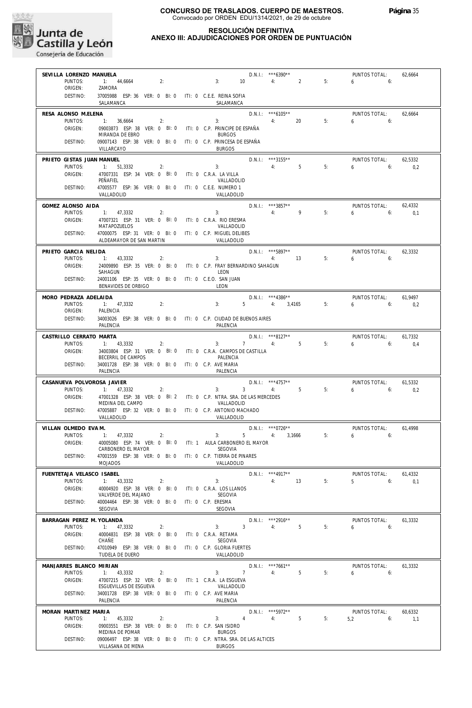

**RESOLUCIÓN DEFINITIVA**

### **ANEXO III: ADJUDICACIONES POR ORDEN DE PUNTUACIÓN**

| SEVILLA LORENZO MANUELA               |                                                                                                                         |                               |                                   | $D.N.1::$ *** 6390**            |    | PUNTOS TOTAL:                         | 62.6664        |
|---------------------------------------|-------------------------------------------------------------------------------------------------------------------------|-------------------------------|-----------------------------------|---------------------------------|----|---------------------------------------|----------------|
| PUNTOS:                               | 1: 44,6664<br>2:                                                                                                        | 3:                            | 10                                | $\overline{2}$<br>4:            | 5: | 6<br>6:                               |                |
| ORIGEN:<br>DESTINO:                   | ZAMORA<br>37005988 ESP: 36 VER: 0 BI: 0 ITI: 0 C.E.E. REINA SOFIA<br>SALAMANCA                                          |                               | SALAMANCA                         |                                 |    |                                       |                |
|                                       |                                                                                                                         |                               |                                   | $D.N.1::$ *** 6105**            |    | PUNTOS TOTAL:                         |                |
| RESA ALONSO M.ELENA<br>PUNTOS:        | 1: 36,6664<br>2:                                                                                                        | 3:                            |                                   | 20<br>4:                        | 5: | 6<br>6:                               | 62,6664        |
| ORIGEN:                               | 09003873 ESP: 38 VER: 0 BI: 0                                                                                           |                               | iti: 0   C.P.  Principe de España |                                 |    |                                       |                |
| DESTINO:                              | MIRANDA DE EBRO<br>09007143 ESP: 38 VER: 0 BI: 0 ITI: 0 C.P. PRINCESA DE ESPAÑA                                         |                               | <b>BURGOS</b>                     |                                 |    |                                       |                |
|                                       | VILLARCAYO                                                                                                              |                               | <b>BURGOS</b>                     |                                 |    |                                       |                |
| PRIFTO GISTAS JUAN MANUFI             |                                                                                                                         |                               |                                   | D.N.I.: ***3155**               |    | PUNTOS TOTAL:                         | 62.5332        |
| PUNTOS:<br>ORIGEN:                    | 1: 51,3332<br>2:                                                                                                        | 3:                            |                                   | 4:<br>$5 -$                     | 5: | 6.6                                   | 0,2            |
|                                       | 47007331 ESP: 34 VER: 0 BI: 0 ITI: 0 C.R.A. LA VILLA<br>PEÑAFIEL                                                        |                               | VALLADOLID                        |                                 |    |                                       |                |
| DESTINO:                              | 47005577 ESP: 36 VER: 0 BI: 0 ITI: 0 C.E.E. NUMERO 1<br>VALLADOLID                                                      |                               | VALLADOLID                        |                                 |    |                                       |                |
|                                       |                                                                                                                         |                               |                                   |                                 |    |                                       |                |
| GOMEZ ALONSO AIDA<br>PUNTOS:          | 1: 47,3332<br>2:                                                                                                        | 3:                            |                                   | D.N.I.: ***3857**<br>9<br>4:    | 5: | PUNTOS TOTAL:<br>6<br>6:              | 62,4332<br>0,1 |
| ORIGEN:                               | 47007321 ESP: 31 VER: 0 BI: 0 ITI: 0 C.R.A. RIO ERESMA                                                                  |                               |                                   |                                 |    |                                       |                |
| DESTINO:                              | MATAPOZUELOS<br>47000075 ESP: 31 VER: 0 BI: 0 ITI: 0 C.P. MIGUEL DELIBES                                                |                               | VALLADOLID                        |                                 |    |                                       |                |
|                                       | ALDEAMAYOR DE SAN MARTIN                                                                                                |                               | VALLADOLID                        |                                 |    |                                       |                |
| PRIETO GARCIA NELIDA                  |                                                                                                                         |                               |                                   | $D.N.1::$ ***5897**             |    | PUNTOS TOTAL:                         | 62,3332        |
| PUNTOS:<br>ORIGEN:                    | 1: 43,3332<br>2:<br>24009890 ESP: 35 VER: 0 BI: 0 ITI: 0 C.P. FRAY BERNARDINO SAHAGUN                                   | 3:                            |                                   | 4:<br>13                        | 5: | 6<br>6:                               |                |
|                                       | SAHAGUN                                                                                                                 |                               | <b>I FON</b>                      |                                 |    |                                       |                |
| DESTINO:                              | 24001106 ESP: 35 VER: 0 BI: 0 ITI: 0 C.E.O. SAN JUAN<br>BENAVIDES DE ORBIGO                                             |                               | LEON                              |                                 |    |                                       |                |
| MORO PEDRAZA ADELAIDA                 |                                                                                                                         |                               |                                   | $D.N.1::$ ***4386**             |    |                                       |                |
| PUNTOS:                               | 1: 47,3332<br>2:                                                                                                        | 3:                            | 5 <sup>1</sup>                    | 3,4165<br>4:                    | 5: | PUNTOS TOTAL:<br>6<br>6:              | 61,9497<br>0,2 |
| ORIGEN:                               | PALENCIA                                                                                                                |                               |                                   |                                 |    |                                       |                |
| DESTINO:                              | 34003026 ESP: 38 VER: 0 BI: 0 ITI: 0 C.P. CIUDAD DE BUENOS AIRES<br>PALENCIA                                            |                               | PALENCIA                          |                                 |    |                                       |                |
| CASTRILLO CERRATO MARTA               |                                                                                                                         |                               |                                   | D.N.I.: ***8127**               |    | PUNTOS TOTAL:                         | 61,7332        |
| PUNTOS:                               | 2:<br>1: 43,3332                                                                                                        | 3:                            | 7                                 | 5<br>4:                         | 5: | 6<br>6:                               | 0.4            |
| ORIGEN:                               | 34003804 ESP: 31 VER: 0 BI: 0 ITI: 0 C.R.A. CAMPOS DE CASTILLA<br>BECERRIL DE CAMPOS                                    |                               | PALENCIA                          |                                 |    |                                       |                |
| DESTINO:                              | 34001728 ESP: 38 VER: 0 BI: 0 ITI: 0 C.P. AVE MARIA                                                                     |                               |                                   |                                 |    |                                       |                |
|                                       | PALENCIA                                                                                                                |                               | PALENCIA                          |                                 |    |                                       |                |
| CASANUEVA POLVOROSA JAVIER<br>PUNTOS: | 1: 47,3332<br>2:                                                                                                        | 3:                            | $\overline{3}$                    | $D.N.1.:$ ***4757**<br>4:<br>5  | 5: | PUNTOS TOTAL:<br>6<br>6:              | 61,5332<br>0,2 |
| ORIGEN:                               | 47001328 ESP: 38 VER: 0 BI: 2 ITI: 0 C.P. NTRA. SRA. DE LAS MERCEDES                                                    |                               |                                   |                                 |    |                                       |                |
| DESTINO:                              | MEDINA DEL CAMPO<br>47005887 ESP: 32 VER: 0 BI: 0 ITI: 0 C.P. ANTONIO MACHADO                                           |                               | VALLADOLID                        |                                 |    |                                       |                |
|                                       | VALLADOLID                                                                                                              |                               | VALLADOLID                        |                                 |    |                                       |                |
| VILLAN OLMEDO EVA M.                  |                                                                                                                         |                               |                                   | $D.N.1::$ ***0726**             |    | PUNTOS TOTAL:                         | 61,4998        |
| PUNTOS:                               | 1:<br>47,3332<br>2:                                                                                                     | 3:                            | 5                                 | 4:<br>3.1666                    | 5: | 6<br>6:                               |                |
| ORIGEN:                               | 40005080 ESP: 74 VER: 0 BI: 0 ITI: 1 AULA CARBONERO EL MAYOR<br>CARBONERO EL MAYOR                                      |                               | <b>SEGOVIA</b>                    |                                 |    |                                       |                |
| DESTINO:                              | 47001559 ESP: 38 VER: 0 BI: 0                                                                                           | ITI: 0 C.P. TIERRA DE PINARES |                                   |                                 |    |                                       |                |
|                                       | <b>MOJADOS</b>                                                                                                          |                               | VALLADOLID                        |                                 |    |                                       |                |
| FUENTETAJA VELASCO ISABEL<br>PUNTOS:  | 43,3332<br>1:<br>2:                                                                                                     | 3:                            |                                   | $D.N.1::$ ***4917**<br>4:<br>13 | 5: | PUNTOS TOTAL:<br>5 <sup>5</sup><br>6: | 61,4332<br>0,1 |
| ORIGEN:                               | 40004920 ESP: 38 VER: 0 BI: 0                                                                                           | ITI: 0 C.R.A. LOS LLANOS      |                                   |                                 |    |                                       |                |
| DESTINO:                              | VALVERDE DEL MAJANO<br>40004464 ESP: 38 VER: 0 BI: 0                                                                    | ITI: 0 C.P. ERESMA            | SEGOVIA                           |                                 |    |                                       |                |
|                                       | SEGOVIA                                                                                                                 |                               | SEGOVIA                           |                                 |    |                                       |                |
| BARRAGAN PEREZ M. YOLANDA             |                                                                                                                         |                               |                                   | D.N.I.: *** 2916**              |    | PUNTOS TOTAL:                         | 61,3332        |
| PUNTOS:<br>ORIGEN:                    | 1: 47.3332<br>2:<br>40004831 ESP: 38 VER: 0 BI: 0                                                                       | 3:                            | $\overline{3}$                    | 5<br>4:                         | 5: | 6<br>6:                               |                |
|                                       | CHAÑE                                                                                                                   | ITI: 0 C.R.A. RETAMA          | SEGOVIA                           |                                 |    |                                       |                |
| DESTINO:                              | 47010949 ESP: 38 VER: 0 BI: 0<br>TUDELA DE DUERO                                                                        | ITI: 0 C.P. GLORIA FUERTES    | VALLADOLID                        |                                 |    |                                       |                |
|                                       |                                                                                                                         |                               |                                   |                                 |    |                                       |                |
| MANJARRES BLANCO MIRIAN<br>PUNTOS:    | 1:<br>43,3332<br>2:                                                                                                     | 3:                            | $\overline{7}$                    | D.N.I.: ***7661**<br>5<br>4:    | 5: | PUNTOS TOTAL:<br>6<br>6:              | 61,3332        |
| ORIGEN:                               | 47007215 ESP: 32 VER: 0 BI: 0                                                                                           | ITI: 1 C.R.A. LA ESGUEVA      |                                   |                                 |    |                                       |                |
| DESTINO:                              | ESGUEVILLAS DE ESGUEVA<br>34001728 ESP: 38 VER: 0 BI: 0                                                                 | ITI: 0 C.P. AVE MARIA         | VALLADOLID                        |                                 |    |                                       |                |
|                                       |                                                                                                                         |                               | PALENCIA                          |                                 |    |                                       |                |
|                                       | PALENCIA                                                                                                                |                               |                                   |                                 |    |                                       |                |
| MORAN MARTINEZ MARIA                  |                                                                                                                         |                               |                                   | D.N.I.: *** 5972**              |    | PUNTOS TOTAL:                         | 60,6332        |
| PUNTOS:                               | 1: 45,3332<br>2:                                                                                                        | 3:                            | $\overline{4}$                    | 4:<br>5                         | 5: | 5,2<br>6:                             | 1,1            |
| ORIGEN:<br>DESTINO:                   | 09003551 ESP: 38 VER: 0 BI: 0<br>MEDINA DE POMAR<br>09006497 ESP: 38 VER: 0 BI: 0 ITI: 0 C.P. NTRA. SRA. DE LAS ALTICES | ITI: 0 C.P. SAN ISIDRO        | <b>BURGOS</b>                     |                                 |    |                                       |                |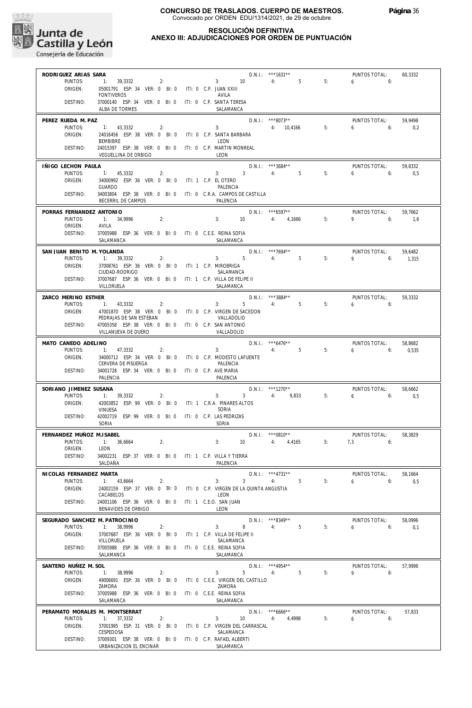

#### **RESOLUCIÓN DEFINITIVA ANEXO III: ADJUDICACIONES POR ORDEN DE PUNTUACIÓN**

| RODRIGUEZ ARIAS SARA           |                                                                 |                                                            | D.N.I.: ***1631**    |       | PUNTOS TOTAL: | 60,3332 |
|--------------------------------|-----------------------------------------------------------------|------------------------------------------------------------|----------------------|-------|---------------|---------|
| PUNTOS:                        | 1: 39,3332<br>2:                                                | 3: 10                                                      | $5 - 1$<br>4:        | 5:    | $6\qquad 6$   |         |
| ORIGEN:                        | 05001791 ESP: 34 VER: 0 BI: 0 ITI: 0 C.P. JUAN XXIII            |                                                            |                      |       |               |         |
|                                | <b>FONTIVEROS</b>                                               | AVILA                                                      |                      |       |               |         |
| DESTINO:                       | 37000140 ESP: 34 VER: 0 BI: 0 ITI: 0 C.P. SANTA TERESA          |                                                            |                      |       |               |         |
|                                | ALBA DE TORMES                                                  | SALAMANCA                                                  |                      |       |               |         |
| PEREZ RUEDA M. PAZ             |                                                                 |                                                            | $D.N.1.:$ ***8073**  |       | PUNTOS TOTAL: | 59.9498 |
| PUNTOS:                        | 1: 43.3332<br>2:                                                | 3:                                                         | 4: 10,4166           | 5:    | $6 \qquad 6$  | 0,2     |
| ORIGEN:                        | 24016456 ESP: 38 VER: 0 BI: 0 ITI: 0 C.P. SANTA BARBARA         |                                                            |                      |       |               |         |
|                                | BEMBIBRE                                                        | LEON                                                       |                      |       |               |         |
| DESTINO:                       | 24015397 ESP: 38 VER: 0 BI: 0 ITI: 0 C.P. MARTIN MONREAL        |                                                            |                      |       |               |         |
|                                | VEGUELLINA DE ORBIGO                                            | LEON                                                       |                      |       |               |         |
| IÑIGO LECHON PAULA             |                                                                 |                                                            | $D.N.1::$ *** 3684** |       | PUNTOS TOTAL: | 59,8332 |
| PUNTOS:                        | 1: 45.3332<br>2:                                                | $3: 3 \t 4:$                                               | 5 <sub>5</sub>       | 5:    | $6\qquad 6$   | 0,5     |
| ORIGEN:                        | 34000992 ESP: 36 VER: 0 BI: 0 ITI: 1 C.P. EL OTERO              |                                                            |                      |       |               |         |
|                                | <b>GUARDO</b>                                                   | PALENCIA                                                   |                      |       |               |         |
| DESTINO:                       | 34003804 ESP: 38 VER: 0 BI: 0 ITI: 0 C.R.A. CAMPOS DE CASTILLA  |                                                            |                      |       |               |         |
|                                | BECERRIL DE CAMPOS                                              | PALENCIA                                                   |                      |       |               |         |
|                                |                                                                 |                                                            |                      |       |               |         |
| PORRAS FERNANDEZ ANTONIO       |                                                                 |                                                            | $D.N.1.:$ ***6597**  |       | PUNTOS TOTAL: | 59,7662 |
| PUNTOS:                        | 1: 34,9996<br>2:                                                | 3:                                                         | 10 4: 4,1666         | 5:    | $9 \t\t 6$    | 1.6     |
| ORIGEN:                        | AVILA                                                           |                                                            |                      |       |               |         |
| DESTINO:                       | 37005988 ESP: 36 VER: 0 BI: 0 ITI: 0 C.E.E. REINA SOFIA         |                                                            |                      |       |               |         |
|                                | SALAMANCA                                                       | SALAMANCA                                                  |                      |       |               |         |
| SAN JUAN BENITO M. YOLANDA     |                                                                 |                                                            | $D.N.1.:$ ***7694**  |       | PUNTOS TOTAL: | 59.6482 |
| PUNTOS:                        | 1: 39,3332<br>2:                                                | $3: 5$ 4:                                                  | 5 <sub>5</sub>       | 5:    | $9 \t\t 6$    | 1,315   |
| ORIGEN:                        | 37008761 ESP: 36 VER: 0 BI: 0 ITI: 1 C.P. MIROBRIGA             |                                                            |                      |       |               |         |
|                                | CIUDAD-RODRIGO                                                  | SALAMANCA                                                  |                      |       |               |         |
| DESTINO:                       | 37007687 ESP: 36 VER: 0 BI: 0 ITI: 1 C.P. VILLA DE FELIPE II    |                                                            |                      |       |               |         |
|                                | VILLORUELA                                                      | SALAMANCA                                                  |                      |       |               |         |
| ZARCO MERINO ESTHER            |                                                                 |                                                            | D.N.I.: ***3884**    |       | PUNTOS TOTAL: | 59,3332 |
| PUNTOS:                        | 1: 43,3332<br>2:                                                | $3: 5 \t 4: 5$                                             |                      | $-5:$ | $6\qquad 6$   |         |
| ORIGEN:                        | 47001870 ESP: 38 VER: 0 BI: 0 ITI: 0 C.P. VIRGEN DE SACEDON     |                                                            |                      |       |               |         |
|                                | PEDRAJAS DE SAN ESTEBAN                                         | VALLADOLID                                                 |                      |       |               |         |
| DESTINO:                       | 47005358 ESP: 38 VER: 0 BI: 0 ITI: 0 C.P. SAN ANTONIO           |                                                            |                      |       |               |         |
|                                | VILLANUEVA DE DUERO                                             | VALLADOLID                                                 |                      |       |               |         |
| MATO CANEDO ADELINO            |                                                                 |                                                            | $D.N.1::$ ***6476**  |       | PUNTOS TOTAL: | 58,8682 |
| PUNTOS:                        | 1: 47,3332<br>2:                                                | 3:                                                         | 4:5                  | 5:    | 6.6           | 0,535   |
|                                |                                                                 |                                                            |                      |       |               |         |
|                                |                                                                 |                                                            |                      |       |               |         |
| ORIGEN:                        |                                                                 | 34000712 ESP: 34 VER: 0 BI: 0 ITI: 0 C.P. MODESTO LAFUENTE |                      |       |               |         |
|                                | CERVERA DE PISUERGA                                             | PALENCIA                                                   |                      |       |               |         |
| DESTINO:                       | 34001728 ESP: 34 VER: 0 BI: 0 ITI: 0 C.P. AVE MARIA<br>PALENCIA | PALENCIA                                                   |                      |       |               |         |
|                                |                                                                 |                                                            |                      |       |               |         |
| SORIANO JIMENEZ SUSANA         |                                                                 |                                                            | D.N.I.: ***1270**    |       | PUNTOS TOTAL: | 58,6662 |
| PUNTOS:                        | 1: 39,3332<br>2:                                                | 3: 3: 4: 9,833 5:                                          |                      |       | 6.6           | 0,5     |
| ORIGEN:                        | 42003852 ESP: 99 VER: 0 BI: 0                                   | ITI: 1 C.R.A. PINARES ALTOS                                |                      |       |               |         |
|                                | VINUESA                                                         | SORIA                                                      |                      |       |               |         |
| DESTINO:                       | 42002719 ESP: 99 VER: 0 BI: 0 ITI: 0 C.P. LAS PEDRIZAS<br>SORIA | SORIA                                                      |                      |       |               |         |
|                                |                                                                 |                                                            |                      |       |               |         |
| FERNANDEZ MUÑOZ M.ISABEL       |                                                                 |                                                            | $D.N.I.:$ ***0810**  |       | PUNTOS TOTAL: | 58,3829 |
| PUNTOS:                        | 1: 36,6664<br>2:                                                | 3:<br>10 <sup>10</sup>                                     | 4: 4,4165            | 5:    | $7.3$ 6:      |         |
| ORIGEN:                        | LEON                                                            |                                                            |                      |       |               |         |
| DESTINO:                       | 34002231 ESP: 37 VER: 0 BI: 0                                   | ITI: 1 C.P. VILLA Y TIERRA                                 |                      |       |               |         |
|                                | SALDAÑA                                                         | PALENCIA                                                   |                      |       |               |         |
| NICOLAS FERNANDEZ MARTA        |                                                                 |                                                            | $D.N.1.:$ ***4731**  |       | PUNTOS TOTAL: | 58,1664 |
| PUNTOS:                        | 1:<br>43,6664<br>2:                                             | $\overline{3}$<br>3:                                       | 4:<br>5              | 5:    | 6<br>6:       | 0,5     |
| ORIGEN:                        | 24002159 ESP: 37 VER: 0 BI: 0                                   | ITI: 0 C.P. VIRGEN DE LA QUINTA ANGUSTIA                   |                      |       |               |         |
|                                | CACABELOS                                                       | LEON                                                       |                      |       |               |         |
| DESTINO:                       | 24001106 ESP: 36 VER: 0 BI: 0                                   | ITI: 1 C.E.O. SAN JUAN                                     |                      |       |               |         |
|                                | BENAVIDES DE ORBIGO                                             | LEON                                                       |                      |       |               |         |
| SEGURADO SANCHEZ M. PATROCINIO |                                                                 |                                                            | D.N.I.: ***8349**    |       | PUNTOS TOTAL: | 58,0996 |
| PUNTOS:                        | 1:<br>38,9996<br>2:                                             | 8<br>3:                                                    | 5<br>4:              | 5:    | 6<br>6:       | 0,1     |
| ORIGEN:                        | 37007687 ESP: 36 VER: 0 BI: 0                                   | ITI: 1 C.P. VILLA DE FELIPE II                             |                      |       |               |         |
|                                | VILLORUELA                                                      | SALAMANCA                                                  |                      |       |               |         |
| DESTINO:                       | 37005988 ESP: 36 VER: 0 BI: 0                                   | ITI: 0 C.E.E. REINA SOFIA                                  |                      |       |               |         |
|                                | SALAMANCA                                                       | SALAMANCA                                                  |                      |       |               |         |
| SANTERO NUÑEZ M. SOL           |                                                                 |                                                            | D.N.I.: *** 4954**   |       | PUNTOS TOTAL: | 57,9996 |
| PUNTOS:                        | 38,9996<br>1:<br>2:                                             | 5<br>3:                                                    | 5<br>4:              | 5:    | 9<br>6:       |         |
| ORIGEN:                        | 49006691 ESP: 36 VER: 0 BI: 0                                   | ITI: 0 C.E.E. VIRGEN DEL CASTILLO                          |                      |       |               |         |
|                                | ZAMORA                                                          | ZAMORA                                                     |                      |       |               |         |
| DESTINO:                       | 37005988 ESP: 36 VER: 0 BI: 0                                   | ITI: 0 C.E.E. REINA SOFIA                                  |                      |       |               |         |
|                                | SALAMANCA                                                       | SALAMANCA                                                  |                      |       |               |         |
| PERAMATO MORALES M. MONTSERRAT |                                                                 |                                                            | $D.N.1::$ *** 6666** |       | PUNTOS TOTAL: | 57,833  |
| PUNTOS:                        | 1: 37,3332<br>2:                                                | 3:<br>10                                                   | 4:<br>4,4998         | 5:    | 6<br>6:       |         |
| ORIGEN:                        | 37001995 ESP: 31 VER: 0 BI: 0                                   | ITI: 0 C.P. VIRGEN DEL CARRASCAL                           |                      |       |               |         |
|                                | CESPEDOSA                                                       | SALAMANCA                                                  |                      |       |               |         |
| DESTINO:                       | 37009301 ESP: 38 VER: 0 BI: 0<br>URBANIZACION EL ENCINAR        | ITI: 0 C.P. RAFAEL ALBERTI<br>SALAMANCA                    |                      |       |               |         |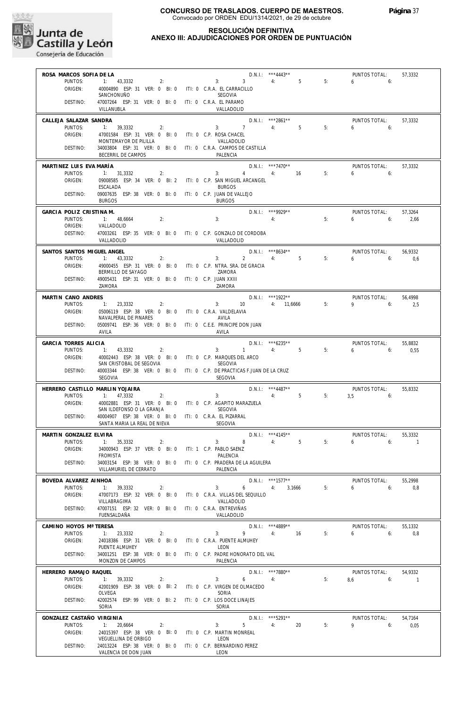

#### **RESOLUCIÓN DEFINITIVA ANEXO III: ADJUDICACIONES POR ORDEN DE PUNTUACIÓN**

| ROSA MARCOS SOFIA DE LA           |                                                                                            |                |                            | $D.N.1::$ *** 4443**               |    | PUNTOS TOTAL:                | 57,3332        |
|-----------------------------------|--------------------------------------------------------------------------------------------|----------------|----------------------------|------------------------------------|----|------------------------------|----------------|
| PUNTOS:<br>ORIGEN:                | 1: 43,3332<br>2:<br>40004890 ESP: 31 VER: 0 BI: 0 ITI: 0 C.R.A. EL CARRACILLO              |                | $3^{\circ}$<br>3:          | $5 -$<br>4:                        | 5: | $6 \t\t\t 6$                 |                |
|                                   | SANCHONUÑO                                                                                 |                | SEGOVIA                    |                                    |    |                              |                |
| DESTINO:                          | 47007264 ESP: 31 VER: 0 BI: 0 ITI: 0 C.R.A. EL PARAMO<br>VILLANUBLA                        |                | VALLADOLID                 |                                    |    |                              |                |
| CALLEJA SALAZAR SANDRA            |                                                                                            |                | $D.N.1.:$ ***2861**        |                                    |    | PUNTOS TOTAL:                | 57,3332        |
| PUNTOS:<br>ORIGEN:                | 1: 39,3332<br>2:<br>47001584 ESP: 31 VER: 0 BI: 0 ITI: 0 C.P. ROSA CHACEL                  |                | $3: 7 \t 4: 5$             |                                    | 5: | 655                          |                |
|                                   | MONTEMAYOR DE PILILLA                                                                      |                | VALLADOLID                 |                                    |    |                              |                |
| DESTINO:                          | 34003804 ESP: 31 VER: 0 BI: 0 ITI: 0 C.R.A. CAMPOS DE CASTILLA<br>BECERRIL DE CAMPOS       |                | PALENCIA                   |                                    |    |                              |                |
| MARTINEZ LUIS EVA MARÍA           |                                                                                            |                |                            | $D.N.1.:$ ***7470**                |    | PUNTOS TOTAL:                | 57,3332        |
| PUNTOS:                           | 1: 31,3332<br>2:                                                                           |                | 4 4: 16<br>3:              |                                    | 5: | $6 \t\t 6$                   |                |
| ORIGEN:                           | 09008585 ESP: 34 VER: 0 BI: 2 ITI: 0 C.P. SAN MIGUEL ARCANGEL<br>ESCALADA                  |                | <b>BURGOS</b>              |                                    |    |                              |                |
| DESTINO:                          | 09007635 ESP: 38 VER: 0 BI: 0 ITI: 0 C.P. JUAN DE VALLEJO<br><b>BURGOS</b>                 |                | <b>BURGOS</b>              |                                    |    |                              |                |
| GARCIA POLIZ CRISTINA M.          |                                                                                            |                |                            | D.N.I.: ***9929**                  |    | PUNTOS TOTAL:                | 57,3264        |
| PUNTOS:                           | 1: 48,6664<br>2:                                                                           |                | 3:<br>4:                   |                                    | 5: | 6.6                          | 2,66           |
| ORIGEN:<br>DESTINO:               | VALLADOLID<br>47003261 ESP: 35 VER: 0 BI: 0 ITI: 0 C.P. GONZALO DE CORDOBA                 |                |                            |                                    |    |                              |                |
|                                   | VALLADOLID                                                                                 |                | VALLADOLID                 |                                    |    |                              |                |
| SANTOS SANTOS MIGUEL ANGEL        |                                                                                            |                |                            | $D.N.I.:$ ***8634**                |    | PUNTOS TOTAL:                | 56,9332        |
| PUNTOS:<br>ORIGEN:                | 1: 43,3332<br>2:<br>49000455 ESP: 31 VER: 0 BI: 0 ITI: 0 C.P. NTRA. SRA. DE GRACIA         |                | $3: 2 \t 4: 5$             |                                    | 5: | 6.6                          | 0,6            |
| DESTINO:                          | BERMILLO DE SAYAGO<br>49005431 ESP: 31 VER: 0 BI: 0 ITI: 0 C.P. JUAN XXIII                 |                | 7AMORA                     |                                    |    |                              |                |
|                                   | 7AMORA                                                                                     |                | ZAMORA                     |                                    |    |                              |                |
| MARTIN CANO ANDRES                |                                                                                            |                |                            | $D.N.1.:$ ***1922**                |    | PUNTOS TOTAL:                | 56,4998        |
| PUNTOS:<br>ORIGEN:                | 1: 23,3332<br>2:<br>05006119 ESP: 38 VER: 0 BI: 0 ITI: 0 C.R.A. VALDELAVIA                 |                | 3: 10 4: 11,6666           |                                    | 5: | $9 \t\t 6$                   | 2,5            |
|                                   | NAVALPERAL DE PINARES                                                                      |                | AVILA                      |                                    |    |                              |                |
| DESTINO:                          | 05009741 ESP: 36 VER: 0 BI: 0 ITI: 0 C.E.E. PRINCIPE DON JUAN<br>AVILA                     |                | AVILA                      |                                    |    |                              |                |
| GARCIA TORRES ALICIA              |                                                                                            |                |                            | D.N.I.: ***6235**                  |    | PUNTOS TOTAL:                | 55,8832        |
| PUNTOS:<br>ORIGEN:                | 1: 43,3332<br>2:<br>40002443 ESP: 38 VER: 0 BI: 0 ITI: 0 C.P. MARQUES DEL ARCO             |                | $3: 1 \t 4:$               | 5 <sup>5</sup>                     | 5: | 655                          | 0,55           |
|                                   | SAN CRISTOBAL DE SEGOVIA                                                                   |                | SEGOVIA                    |                                    |    |                              |                |
| DESTINO:                          | 40003344 ESP: 38 VER: 0 BI: 0 ITI: 0 C.P. DE PRACTICAS F.JUAN DE LA CRUZ<br>SEGOVIA        |                | SEGOVIA                    |                                    |    |                              |                |
|                                   | HERRERO CASTILLO MARLIN YOJAIRA                                                            |                |                            | $D.N.1.:$ ***4487**                |    | PUNTOS TOTAL:                | 55,8332        |
| PUNTOS:<br>ORIGEN:                | 1: 47,3332<br>$\sim$ 2:<br>40002881 ESP: 31 VER: 0 BI: 0 ITI: 0 C.P. AGAPITO MARAZUELA     |                | 3:                         | 4: 5                               | 5: | $3,5$ 6:                     |                |
|                                   | SAN ILDEFONSO O LA GRANJA                                                                  | <b>SEGOVIA</b> |                            |                                    |    |                              |                |
| DESTINO:                          | 40004907 ESP: 38 VER: 0 BI: 0 ITI: 0 C.R.A. EL PIZARRAL<br>SANTA MARIA LA REAL DE NIEVA    |                | SEGOVIA                    |                                    |    |                              |                |
| MARTIN GONZALEZ ELVIRA            |                                                                                            |                |                            | $D.N.1::$ ***4145**                |    | PUNTOS TOTAL:                | 55,3332        |
| PUNTOS:                           | 1: 35.3332<br>2:                                                                           |                | 3:                         | $8 \t 4$<br>5                      | 5: | 6<br>6:                      | $\sim$ 1       |
| ORIGEN:                           | 34000943 ESP: 37 VER: 0 BI: 0 ITI: 1 C.P. PABLO SAENZ<br>FROMISTA                          |                | PALENCIA                   |                                    |    |                              |                |
| DESTINO:                          | 34003154 ESP: 38 VER: 0 BI: 0 ITI: 0 C.P. PRADERA DE LA AGUILERA<br>VILLAMURIEL DE CERRATO |                |                            |                                    |    |                              |                |
| BOVEDA ALVAREZ AINHOA             |                                                                                            |                | PALENCIA                   |                                    |    |                              |                |
| PUNTOS:                           | 1: 39,3332<br>2:                                                                           |                | 3:                         | $D.N.1.:$ ***1577**<br>6 4: 3,1666 | 5: | PUNTOS TOTAL:<br>$6\qquad 6$ | 55,2998<br>0,8 |
| ORIGEN:                           | 47007173 ESP: 32 VER: 0 BI: 0 ITI: 0 C.R.A. VILLAS DEL SEQUILLO<br>VILLABRAGIMA            |                | VALLADOLID                 |                                    |    |                              |                |
| DESTINO:                          | 47007151 ESP: 32 VER: 0 BI: 0 ITI: 0 C.R.A. ENTREVIÑAS                                     |                |                            |                                    |    |                              |                |
|                                   | FUENSALDAÑA                                                                                |                | VALLADOLID                 |                                    |    |                              |                |
| CAMINO HOYOS Mª TERESA<br>PUNTOS: | 1: 23.3332<br>2:                                                                           |                | 3:                         | D.N.I.: *** 4889**<br>9 4: 16      | 5: | PUNTOS TOTAL:<br>6.6         | 55,1332<br>0,8 |
| ORIGEN:                           | 24018386 ESP: 31 VER: 0 BI: 0 ITI: 0 C.R.A. PUENTE ALMUHEY                                 |                |                            |                                    |    |                              |                |
| DESTINO:                          | PUENTE ALMUHEY<br>34001251 ESP: 38 VER: 0 BI: 0 ITI: 0 C.P. PADRE HONORATO DEL VAL         |                | LEON                       |                                    |    |                              |                |
|                                   | MONZON DE CAMPOS                                                                           |                | PALENCIA                   |                                    |    |                              |                |
| HERRERO RAMAJO RAQUEL             |                                                                                            |                |                            | D.N.I.: ***7880**                  |    | PUNTOS TOTAL:                | 54,9332        |
| PUNTOS:<br>ORIGEN:                | 1: 39,3332<br>2:<br>42001909 ESP: 38 VER: 0 BI: 2 ITI: 0 C.P. VIRGEN DE OLMACEDO           |                | 3:<br>$6 \qquad \qquad 4:$ |                                    | 5: | 8,6<br>6:                    | $\sim$ 1       |
| DESTINO:                          | OLVEGA<br>42002574 ESP: 99 VER: 0 BI: 2 ITI: 0 C.P. LOS DOCE LINAJES                       |                | SORIA                      |                                    |    |                              |                |
|                                   | SORIA                                                                                      |                | SORIA                      |                                    |    |                              |                |
| GONZALEZ CASTAÑO VIRGINIA         |                                                                                            |                |                            | D.N.I.: ***5291**                  |    | PUNTOS TOTAL:                | 54,7164        |
| PUNTOS:<br>ORIGEN:                | 1: 20,6664<br>2:<br>24015397 ESP: 38 VER: 0 BI: 0 ITI: 0 C.P. MARTIN MONREAL               |                | 3:                         | $5 \qquad \qquad 4:$<br>20         | 5: | 9<br>6:                      | 0,05           |
|                                   | VEGUELLINA DE ORBIGO                                                                       |                | LEON                       |                                    |    |                              |                |
| DESTINO:                          | 24013224 ESP: 38 VER: 0 BI: 0 ITI: 0 C.P. BERNARDINO PEREZ<br>VALENCIA DE DON JUAN         |                | LEON                       |                                    |    |                              |                |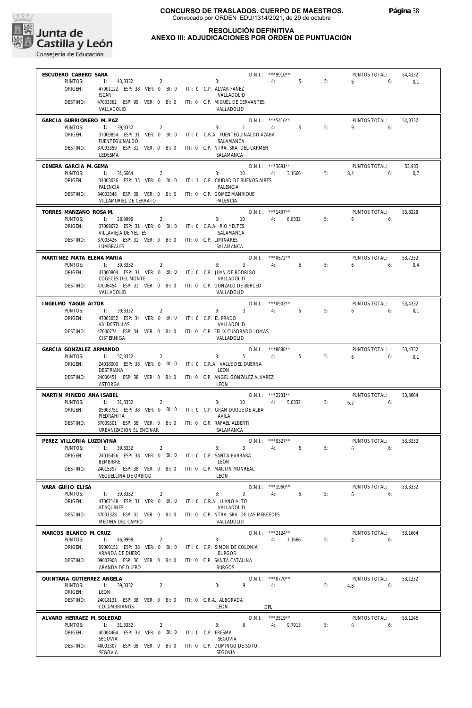

#### **RESOLUCIÓN DEFINITIVA ANEXO III: ADJUDICACIONES POR ORDEN DE PUNTUACIÓN**

| ESCUDERO CABERO SARA                 |                                                                              | D.N.I.: ***9910**<br>PUNTOS TOTAL:                                           | 54.4332       |
|--------------------------------------|------------------------------------------------------------------------------|------------------------------------------------------------------------------|---------------|
| PUNTOS:                              | 1: 43,3332<br>2:                                                             | 3: 4: 5<br>$6\qquad 6:$<br>5:                                                | 0,1           |
| ORIGEN:                              | 47001122 ESP: 38 VER: 0 BI: 0 ITI: 0 C.P. ALVAR FAÑEZ                        |                                                                              |               |
|                                      | <b>ISCAR</b>                                                                 | VALLADOLID                                                                   |               |
| DESTINO:                             | 47003362 ESP: 99 VER: 0 BI: 0 ITI: 0 C.P. MIGUEL DE CERVANTES<br>VALLADOLID  | VALLADOLID                                                                   |               |
|                                      |                                                                              |                                                                              |               |
| GARCIA GURRIONERO M. PAZ             |                                                                              | D.N.I.: ***5416**<br>PUNTOS TOTAL:                                           | 54,3332       |
| PUNTOS:                              | 1: 39,3332<br>2:                                                             | $9 \t\t 6$<br>$3: 1 \t 4: 5$<br>5:                                           |               |
| ORIGEN:                              |                                                                              | 37009854 ESP: 31 VER: 0 BI: 0 ITI: 0 C.R.A. FUENTEGUINALDO-AZABA             |               |
|                                      | <b>FUENTEGUINALDO</b>                                                        | SALAMANCA                                                                    |               |
| DESTINO:                             | 37003359 ESP: 31 VER: 0 BI: 0 ITI: 0 C.P. NTRA. SRA. DEL CARMEN<br>LEDESMA   | SALAMANCA                                                                    |               |
|                                      |                                                                              |                                                                              |               |
| CENERA GARCIA M. GEMA                |                                                                              | D.N.I.: ***3891**<br>PUNTOS TOTAL:                                           | 53,933        |
| PUNTOS:                              | $1: 31,6664$ 2:                                                              | 3: $10$ 4: 3,1666<br>$8,4$ 6:<br>5:                                          | 0,7           |
| ORIGEN:                              | PALENCIA                                                                     | 34003026 ESP: 35 VER: 0 BI: 0 ITI: 1 C.P. CIUDAD DE BUENOS AIRES<br>PALENCIA |               |
| DESTINO:                             | 34003348 ESP: 38 VER: 0 BI: 0 ITI: 0 C.P. GOMEZ MANRIQUE                     |                                                                              |               |
|                                      | VILLAMURIEL DE CERRATO                                                       | PALENCIA                                                                     |               |
|                                      |                                                                              | $D.N.1.:$ ***1437**                                                          |               |
| TORRES MANZANO ROSA M.<br>PUNTOS:    | $1: 28,9996$ 2:                                                              | PUNTOS TOTAL:<br>3: $10$ 4: 8,8332<br>$6\qquad 6$<br>5:                      | 53,8328       |
| ORIGEN:                              | 37009672 ESP: 31 VER: 0 BI: 0 ITI: 0 C.R.A. RIO YELTES                       |                                                                              |               |
|                                      | VILLAVIEJA DE YELTES                                                         | SALAMANCA                                                                    |               |
| DESTINO:                             | 37003426 ESP: 31 VER: 0 BI: 0 ITI: 0 C.P. LIMINARES                          |                                                                              |               |
|                                      | LUMBRALES                                                                    | SALAMANCA                                                                    |               |
| MARTINEZ MATA ELENA MARIA            |                                                                              | $D.N.1::$ ***0672**<br>PUNTOS TOTAL:                                         | 53,7332       |
| PUNTOS:                              | 1: 39.3332 2:                                                                | $3 \qquad \qquad 4: \qquad \qquad 5$<br>5:<br>$6\qquad 6$<br>3:              | 0,4           |
| ORIGEN:                              | 47000804 ESP: 31 VER: 0 BI: 0 ITI: 0 C.P. JUAN DE RODRIGO                    |                                                                              |               |
|                                      | COGECES DEL MONTE                                                            | VALLADOLID                                                                   |               |
| DESTINO:                             | 47006454 ESP: 31 VER: 0 BI: 0 ITI: 0 C.P. GONZALO DE BERCEO                  |                                                                              |               |
|                                      | VALLADOLID                                                                   | VALLADOLID                                                                   |               |
| INGELMO YAGÜE AITOR                  |                                                                              | $D.N.1::$ ***0903**<br>PUNTOS TOTAL:                                         | 53,4332       |
| PUNTOS:                              | $2:$ $2:$<br>1: 39,3332                                                      | 3: $3 \t 3 \t 4$ : $5 \t 5$<br>$6\qquad 6$<br>5:                             | 0,1           |
| ORIGEN:                              | 47003052 ESP: 34 VER: 0 BI: 0 ITI: 0 C.P. EL PRADO                           |                                                                              |               |
|                                      | VALDESTILLAS                                                                 | VALLADOLID                                                                   |               |
| DESTINO:                             | 47000774 ESP: 34 VER: 0 BI: 0 ITI: 0 C.P. FELIX CUADRADO LOMAS<br>CISTERNIGA | VALLADOLID                                                                   |               |
|                                      |                                                                              |                                                                              |               |
| GARCIA GONZALEZ ARMANDO              |                                                                              | $D.N.1.:$ ***8888**<br>PUNTOS TOTAL:                                         | 53,4332       |
| PUNTOS:                              | 1: 37,3332<br>2:                                                             | $3: 5 \t 4: 5$<br>5:<br>6.6                                                  | 0,1           |
| ORIGEN:                              | 24018003 ESP: 38 VER: 0 BI: 0 ITI: 0 C.R.A. VALLE DEL DUERNA                 |                                                                              |               |
| DESTINO:                             | DESTRIANA                                                                    | LEON<br>24000451 ESP: 38 VER: 0 BI: 0 ITI: 0 C.P. ANGEL GONZALEZ ALVAREZ     |               |
|                                      | ASTORGA                                                                      | LEON                                                                         |               |
|                                      |                                                                              |                                                                              |               |
| MARTIN PINEDO ANA ISABEL             | $1: 31,3332$ 2:                                                              | D.N.I.: ***2231**<br>PUNTOS TOTAL:<br>3: $10$ 4: 5,8332                      | 53,3664       |
| PUNTOS:<br>ORIGEN:                   | 05003751 ESP: 38 VER: 0 BI: 0 ITI: 0 C.P. GRAN DUQUE DE ALBA                 | 5:<br>$6.2$ $6.2$                                                            |               |
|                                      | PIEDRAHITA                                                                   | AVILA                                                                        |               |
| DESTINO:                             | 37009301 ESP: 38 VER: 0 BI: 0 ITI: 0 C.P. RAFAEL ALBERTI                     |                                                                              |               |
|                                      | URBANIZACION EL ENCINAR                                                      | SALAMANCA                                                                    |               |
| PEREZ VILLORIA LUZDIVINA             |                                                                              | D.N.I.: ***9327**<br>PUNTOS TOTAL:                                           | 53.3332       |
|                                      | PUNTOS: 1: 39,3332<br>2:                                                     | $3 \qquad 4: \qquad 5$<br>$6\overline{6}$<br>3:<br>5:                        | 6:            |
| ORIGEN:                              | 24016456 ESP: 38 VER: 0 BI: 0                                                | ITI: 0 C.P. SANTA BARBARA                                                    |               |
|                                      | BEMBIBRE                                                                     | LEON                                                                         |               |
| DESTINO:                             | 24015397 ESP: 38 VER: 0 BI: 0                                                | ITI: 0 C.P. MARTIN MONREAL                                                   |               |
|                                      | VEGUELLINA DE ORBIGO                                                         | LEON                                                                         |               |
| VARA GUIJO ELISA                     |                                                                              | D.N.I.: ***1960**<br>PUNTOS TOTAL:                                           | 53,3332       |
| PUNTOS:                              | 39,3332<br>1:<br>2:                                                          | 3<br>5<br>5:<br>3:<br>4:<br>6                                                | 6:            |
| ORIGEN:                              | 47007148 ESP: 31 VER: 0 BI: 0                                                | ITI: 0 C.R.A. LLANO ALTO                                                     |               |
|                                      | <b>ATAQUINES</b>                                                             | VALLADOLID                                                                   |               |
| DESTINO:                             | 47001328 ESP: 31 VER: 0 BI: 0                                                | ITI: 0 C.P. NTRA. SRA. DE LAS MERCEDES                                       |               |
|                                      | MEDINA DEL CAMPO                                                             | VALLADOLID                                                                   |               |
| MARCOS BLANCO M. CRUZ                |                                                                              | D.N.I.: ***2124**<br>PUNTOS TOTAL:                                           | 53,1664       |
| PUNTOS:                              | 1: 46,9998<br>2:                                                             | 5:<br>3:<br>4: 1,1666<br>5                                                   | 6:            |
| ORIGEN:                              | 09000151 ESP: 38 VER: 0 BI: 0                                                | ITI: 0 C.P. SIMON DE COLONIA<br><b>BURGOS</b>                                |               |
| DESTINO:                             | ARANDA DE DUERO<br>09007908 ESP: 36 VER: 0 BI: 0                             | ITI: 0 C.P. SANTA CATALINA                                                   |               |
|                                      | ARANDA DE DUERO                                                              | <b>BURGOS</b>                                                                |               |
|                                      |                                                                              |                                                                              |               |
| QUINTANA GUTIERREZ ANGELA<br>PUNTOS: | 2:                                                                           | D.N.I.: *** 0770**<br>PUNTOS TOTAL:<br>9<br>5:                               | 53,1332       |
| ORIGEN:                              | 1:<br>39,3332<br>LEON                                                        | 3:<br>4:<br>4,8                                                              | 6:            |
| DESTINO:                             | 24018131 ESP: 38 VER: 0 BI: 0                                                | ITI: 0 C.R.A. ALBORADA                                                       |               |
|                                      | COLUMBRIANOS                                                                 | LEON<br>DPL                                                                  |               |
|                                      |                                                                              |                                                                              |               |
| ALVARO HERRAEZ M. SOLEDAD<br>PUNTOS: | 1: 31,3332<br>2:                                                             | D.N.I.: ***3519**<br>PUNTOS TOTAL:<br>6<br>9,7913<br>5:<br>3:<br>4:<br>6     | 53,1245<br>6: |
| ORIGEN:                              | 40004464 ESP: 33 VER: 0 BI: 0                                                | ITI: 0 C.P. ERESMA                                                           |               |
|                                      | SEGOVIA                                                                      | SEGOVIA                                                                      |               |
| DESTINO:                             | 40003307 ESP: 38 VER: 0 BI: 0                                                | ITI: 0 C.P. DOMINGO DE SOTO                                                  |               |
|                                      | SEGOVIA                                                                      | SEGOVIA                                                                      |               |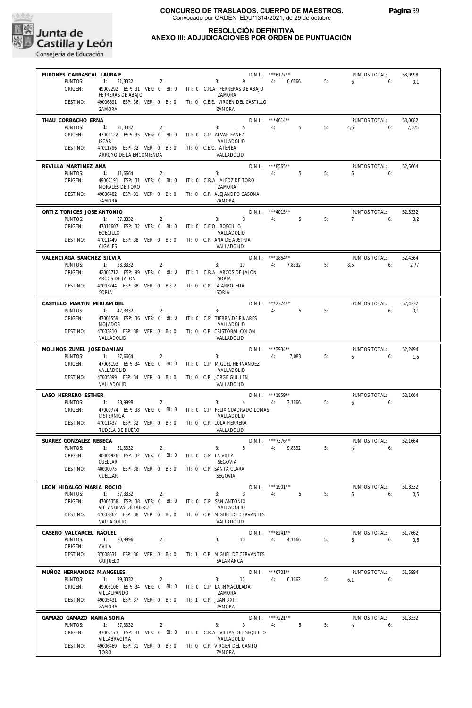

#### **RESOLUCIÓN DEFINITIVA**

### **ANEXO III: ADJUDICACIONES POR ORDEN DE PUNTUACIÓN**

| FURONES CARRASCAL LAURA F.           |                                                                                 |                                                                                     | D.N.I.: *** 6177**                  |    | PUNTOS TOTAL:              | 53,0998 |
|--------------------------------------|---------------------------------------------------------------------------------|-------------------------------------------------------------------------------------|-------------------------------------|----|----------------------------|---------|
| PUNTOS:<br>ORIGEN:                   | $1: 31,3332$ 2:                                                                 | $9 \t\t 4$ :<br>3:<br>49007292 ESP: 31 VER: 0 BI: 0 ITI: 0 C.R.A. FERRERAS DE ABAJO | 6.6666                              | 5: | 6<br>6:                    | 0,1     |
|                                      | FERRERAS DE ABAJO                                                               | 7AMORA                                                                              |                                     |    |                            |         |
| DESTINO:                             | ZAMORA                                                                          | 49006691 ESP: 36 VER: 0 BI: 0 ITI: 0 C.E.E. VIRGEN DEL CASTILLO<br>ZAMORA           |                                     |    |                            |         |
| THAU CORBACHO ERNA                   |                                                                                 |                                                                                     | $D.N.I.:$ ***4614**                 |    | PUNTOS TOTAL:              | 53,0082 |
| PUNTOS:<br>ORIGEN:                   | 1: 31,3332<br>2:<br>47001122 ESP: 35 VER: 0 BI: 0                               | 5 <sub>1</sub><br>3:<br>ITI: 0 C.P. ALVAR FAÑEZ                                     | 4:<br>$5^{\circ}$                   | 5: | 4.6<br>6:                  | 7,075   |
|                                      | <b>ISCAR</b>                                                                    | VALLADOLID                                                                          |                                     |    |                            |         |
| DESTINO:                             | 47011796 ESP: 32 VER: 0 BI: 0 ITI: 0 C.E.O. ATENEA<br>ARROYO DE LA ENCOMIENDA   | VALLADOLID                                                                          |                                     |    |                            |         |
| REVILLA MARTINEZ ANA                 |                                                                                 |                                                                                     | $D.N.1.:$ ***8565**                 |    | PUNTOS TOTAL:              | 52,6664 |
| PUNTOS:<br>ORIGEN:                   | 1: 41,6664<br>2:<br>49007191 ESP: 31 VER: 0 BI: 0 ITI: 0 C.R.A. ALFOZ DE TORO   | 3:                                                                                  | $5^{\circ}$<br>4:                   | 5: | 6:<br>6                    |         |
| DESTINO:                             | MORALES DE TORO                                                                 | ZAMORA<br>49006482 ESP: 31 VER: 0 BI: 0 ITI: 0 C.P. ALEJANDRO CASONA                |                                     |    |                            |         |
|                                      | ZAMORA                                                                          | ZAMORA                                                                              |                                     |    |                            |         |
| ORTIZ TORICES JOSE ANTONIO           |                                                                                 |                                                                                     | $D.N.1.:$ ***4015**                 |    | PUNTOS TOTAL:              | 52,5332 |
| PUNTOS:<br>ORIGEN:                   | 1: 37,3332<br>2:<br>47011607 ESP: 32 VER: 0 BI: 0 ITI: 0 C.E.O. BOECILLO        | $3^{\circ}$<br>3:                                                                   | 4: 5                                | 5: | $7 \t\t 6:$                | 0.2     |
| DESTINO:                             | <b>BOECILLO</b><br>47011449 ESP: 38 VER: 0 BI: 0                                | VALLADOLID<br>ITI: 0 C.P. ANA DE AUSTRIA                                            |                                     |    |                            |         |
|                                      | CIGALES                                                                         | VALLADOLID                                                                          |                                     |    |                            |         |
| VALENCIAGA SANCHEZ SILVIA            |                                                                                 |                                                                                     | $D.N.1::$ ***1864**                 |    | PUNTOS TOTAL:              | 52,4364 |
| PUNTOS:<br>ORIGEN:                   | 1: 23,3332<br>2:<br>42003712 ESP: 99 VER: 0 BI: 0 ITI: 1 C.R.A. ARCOS DE JALON  | 3: 10                                                                               | 4: 7,8332                           | 5: | 8,5<br>6:                  | 2,77    |
| DESTINO:                             | ARCOS DE JALON<br>42003244 ESP: 38 VER: 0 BI: 2 ITI: 0 C.P. LA ARBOLEDA         | SORIA                                                                               |                                     |    |                            |         |
|                                      | SORIA                                                                           | <b>SORIA</b>                                                                        |                                     |    |                            |         |
| CASTILLO MARTIN MIRIAM DEL           |                                                                                 |                                                                                     | D.N.I.: ***2374**                   |    | PUNTOS TOTAL:              | 52,4332 |
| PUNTOS:<br>ORIGEN:                   | 1: 47,3332<br>2:<br>47001559 ESP: 36 VER: 0 BI: 0 ITI: 0 C.P. TIERRA DE PINARES | 3:                                                                                  | $5^{\circ}$<br>4:                   | 5: | 6:                         | 0.1     |
| DESTINO:                             | <b>MOJADOS</b><br>47003210 ESP: 38 VER: 0 BI: 0                                 | VALLADOLID<br>ITI: 0 C.P. CRISTOBAL COLON                                           |                                     |    |                            |         |
|                                      | VALLADOLID                                                                      | VALLADOLID                                                                          |                                     |    |                            |         |
| MOLINOS ZUMEL JOSE DAMIAN            |                                                                                 |                                                                                     | $D.N.1::$ ***3934**                 |    | PUNTOS TOTAL:              | 52,2494 |
| PUNTOS:<br>ORIGEN:                   | 1: 37,6664<br>2:                                                                | 3:<br>47006193 ESP: 34 VER: 0 BI: 0 ITI: 0 C.P. MIGUEL HERNANDEZ                    | 4: 7,083                            | 5: | 6<br>6:                    | 1,5     |
|                                      | VALLADOLID                                                                      | VALLADOLID                                                                          |                                     |    |                            |         |
| DESTINO:                             | 47005899 ESP: 34 VER: 0 BI: 0 ITI: 0 C.P. JORGE GUILLEN<br>VALLADOLID           | VALLADOLID                                                                          |                                     |    |                            |         |
| LASO HERRERO ESTHER                  |                                                                                 |                                                                                     | $D.N.1.:$ ***1859**                 |    | PUNTOS TOTAL:              | 52,1664 |
| PUNTOS:<br>ORIGEN:                   | 1:<br>38.9998<br>2:                                                             | 3:<br>4<br>47000774 ESP: 38 VER: 0 BI: 0 ITI: 0 C.P. FELIX CUADRADO LOMAS           | 4: 3,1666                           | 5: | $6\qquad 6$                |         |
|                                      | CISTERNIGA                                                                      | VALLADOLID                                                                          |                                     |    |                            |         |
| DESTINO:                             | 47011437 ESP: 32 VER: 0 BI: 0 ITI: 0 C.P. LOLA HERRERA<br>TUDELA DE DUERO       | VALLADOLID                                                                          |                                     |    |                            |         |
| SUAREZ GONZALEZ REBECA               |                                                                                 |                                                                                     | D.N.I.: ***7376**                   |    | PUNTOS TOTAL:              | 52,1664 |
| PUNTOS:<br>ORIGEN:                   | 1:<br>31,3332<br>2:<br>40000926 ESP: 32 VER: 0 BI: 0                            | 5<br>3:<br>ITI: 0 C.P. LA VILLA                                                     | 4: 9,8332                           | 5: | $6\qquad \qquad 6:$        |         |
|                                      | CUELLAR                                                                         | SEGOVIA                                                                             |                                     |    |                            |         |
| DESTINO:                             | 40000975 ESP: 38 VER: 0 BI: 0<br>CUFLLAR                                        | ITI: 0 C.P. SANTA CLARA<br><b>SEGOVIA</b>                                           |                                     |    |                            |         |
| LEON HIDALGO MARIA ROCIO             |                                                                                 |                                                                                     | $D.N.1.:$ ***1901**                 |    | PUNTOS TOTAL:              | 51,8332 |
| PUNTOS:<br>ORIGEN:                   | 1: 37,3332<br>2:<br>47005358 ESP: 38 VER: 0 BI: 0                               | 3:<br>3<br>ITI: 0 C.P. SAN ANTONIO                                                  | $5^{\circ}$<br>4:                   | 5: | 6<br>6:                    | 0,5     |
|                                      | VILLANUEVA DE DUERO                                                             | VALLADOLID                                                                          |                                     |    |                            |         |
| DESTINO:                             | VALLADOLID                                                                      | 47003362 ESP: 38 VER: 0 BI: 0 ITI: 0 C.P. MIGUEL DE CERVANTES<br>VALLADOLID         |                                     |    |                            |         |
| CASERO VALCARCEL RAQUEL              |                                                                                 |                                                                                     | D.N.I.: ***8241**                   |    | PUNTOS TOTAL:              | 51,7662 |
| PUNTOS:<br>ORIGEN:                   | 1: 30,9996<br>2:<br>AVILA                                                       | 3:<br>10                                                                            | 4:<br>4,1666                        | 5: | 6<br>6:                    | 0,6     |
| DESTINO:                             |                                                                                 | 37008631 ESP: 36 VER: 0 BI: 0 ITI: 1 C.P. MIGUEL DE CERVANTES                       |                                     |    |                            |         |
|                                      | <b>GUIJUELO</b>                                                                 | SALAMANCA                                                                           |                                     |    |                            |         |
| MUÑOZ HERNANDEZ M.ANGELES<br>PUNTOS: | 1: 29,3332<br>2:                                                                | 10 <sup>10</sup><br>3:                                                              | $D.N.I.:$ ***6701**<br>4:<br>6,1662 | 5: | PUNTOS TOTAL:<br>6:<br>6,1 | 51.5994 |
| ORIGEN:                              | 49005106 ESP: 34 VER: 0 BI: 0                                                   | ITI: 0 C.P. LA INMACULADA                                                           |                                     |    |                            |         |
| DESTINO:                             | VILLALPANDO<br>49005431 ESP: 37 VER: 0 BI: 0                                    | ZAMORA<br>ITI: 1 C.P. JUAN XXIII                                                    |                                     |    |                            |         |
|                                      | ZAMORA                                                                          | ZAMORA                                                                              |                                     |    |                            |         |
| GAMAZO GAMAZO MARIA SOFIA<br>PUNTOS: | 1: 37,3332<br>2:                                                                | 3:<br>3                                                                             | D.N.I.: ***7221**<br>4:<br>5        | 5: | PUNTOS TOTAL:<br>6<br>6:   | 51,3332 |
| ORIGEN:                              | 47007173 ESP: 31 VER: 0 BI: 0<br>VILLABRAGIMA                                   | ITI: 0 C.R.A. VILLAS DEL SEQUILLO<br>VALLADOLID                                     |                                     |    |                            |         |
| DESTINO:                             | 49006469 ESP: 31 VER: 0 BI: 0 ITI: 0 C.P. VIRGEN DEL CANTO                      |                                                                                     |                                     |    |                            |         |
|                                      | TORO                                                                            | ZAMORA                                                                              |                                     |    |                            |         |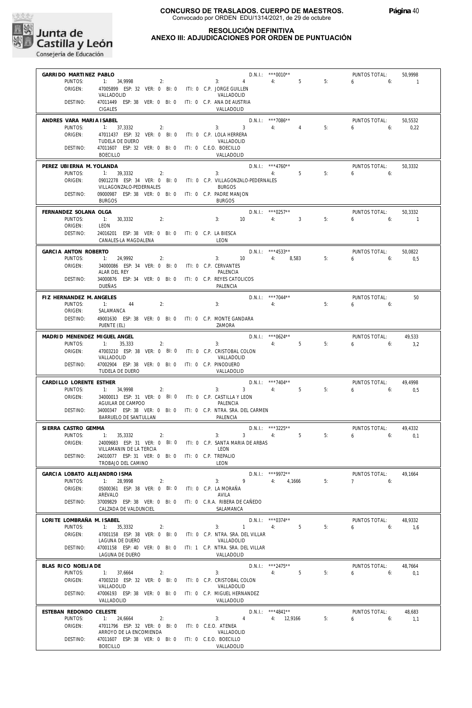

#### **RESOLUCIÓN DEFINITIVA ANEXO III: ADJUDICACIONES POR ORDEN DE PUNTUACIÓN**

| GARRIDO MARTINEZ PABLO       |                                                                                    | $D.N.1.:$ *** 0010**                                                        |                                      |    | PUNTOS TOTAL:               | 50,9998  |
|------------------------------|------------------------------------------------------------------------------------|-----------------------------------------------------------------------------|--------------------------------------|----|-----------------------------|----------|
| PUNTOS:<br>ORIGEN:           | 2:<br>1: 34,9998<br>47005899 ESP: 32 VER: 0 BI: 0 ITI: 0 C.P. JORGE GUILLEN        | 3:<br>4                                                                     | 4:<br>5 <sup>5</sup>                 | 5: | $6\qquad 6:$                | $\sim$ 1 |
|                              | VALLADOLID                                                                         | VALLADOLID                                                                  |                                      |    |                             |          |
| DESTINO:                     | 47011449 ESP: 38 VER: 0 BI: 0 ITI: 0 C.P. ANA DE AUSTRIA<br><b>CIGALES</b>         | VALLADOLID                                                                  |                                      |    |                             |          |
| ANDRES VARA MARIA ISABEL     |                                                                                    | D.N.I.: ***7086**                                                           |                                      |    | PUNTOS TOTAL:               | 50,5532  |
| PUNTOS:<br>ORIGEN:           | 1: 37,3332<br>2:<br>47011437 ESP: 32 VER: 0 BI: 0 ITI: 0 C.P. LOLA HERRERA         | $\overline{\mathbf{3}}$<br>3:                                               | 4:<br>$\overline{4}$                 | 5: | 650                         | 0,22     |
|                              | TUDELA DE DUERO                                                                    | VALLADOLID                                                                  |                                      |    |                             |          |
| DESTINO:                     | 47011607 ESP: 32 VER: 0 BI: 0 ITI: 0 C.E.O. BOECILLO<br>BOECILLO                   | VALLADOLID                                                                  |                                      |    |                             |          |
| PEREZ UBIERNA M. YOLANDA     |                                                                                    |                                                                             | $D.N.1::$ ***4760**                  |    | PUNTOS TOTAL:               | 50,3332  |
| PUNTOS:<br>ORIGEN:           | 1: 39,3332<br>2:                                                                   | 3:<br>09012278 ESP: 34 VER: 0 BI: 0 ITI: 0 C.P. VILLAGONZALO-PEDERNALES     | 5 <sup>5</sup><br>4:                 | 5: | $6 \t\t\t 6$                |          |
| DESTINO:                     | VILLAGONZALO-PEDERNALES<br>09000987 ESP: 38 VER: 0 BI: 0 ITI: 0 C.P. PADRE MANJON  | <b>BURGOS</b>                                                               |                                      |    |                             |          |
|                              | <b>BURGOS</b>                                                                      | <b>BURGOS</b>                                                               |                                      |    |                             |          |
| FERNANDEZ SOLANA OLGA        |                                                                                    |                                                                             | D.N.I.: *** 0257**                   |    | PUNTOS TOTAL:               | 50,3332  |
| PUNTOS:<br>ORIGEN:           | 1: 30,3332<br>2:<br>LEON                                                           | $10-10$<br>3:                                                               | 4:<br>$\overline{3}$                 | 5: | $6 \t\t 6$                  | $\sim$ 1 |
| DESTINO:                     | 24016201 ESP: 38 VER: 0 BI: 0 ITI: 0 C.P. LA BIESCA                                | LEON                                                                        |                                      |    |                             |          |
| GARCIA ANTON ROBERTO         | CANALES-LA MAGDALENA                                                               |                                                                             | $D.N.1::$ ***4533**                  |    | PUNTOS TOTAL:               | 50.0822  |
| PUNTOS:                      | 1: 24,9992<br>2:                                                                   | $3: 10 \t 4: 8.583$                                                         |                                      | 5: | $6\qquad 6$                 | 0,5      |
| ORIGEN:                      | 34000086 ESP: 34 VER: 0 BI: 0 ITI: 0 C.P. CERVANTES<br>ALAR DEL REY                | PALENCIA                                                                    |                                      |    |                             |          |
| DESTINO:                     | 34000876 ESP: 34 VER: 0 BI: 0 ITI: 0 C.P. REYES CATOLICOS                          |                                                                             |                                      |    |                             |          |
| FIZ HERNANDEZ M. ANGELES     | <b>DUEÑAS</b>                                                                      | PALENCIA                                                                    |                                      |    |                             |          |
| PUNTOS:                      | 1: 44<br>2:                                                                        | 3:                                                                          | $D.N.1::$ ***7044**<br>4:            | 5: | PUNTOS TOTAL:<br>$6 \t\t 6$ | 50       |
| ORIGEN:<br>DESTINO:          | SALAMANCA<br>49001630 ESP: 38 VER: 0 BI: 0 ITI: 0 C.P. MONTE GANDARA               |                                                                             |                                      |    |                             |          |
|                              | PUENTE (EL)                                                                        | ZAMORA                                                                      |                                      |    |                             |          |
| MADRID MENENDEZ MIGUEL ANGEL |                                                                                    | D.N.I.: *** 0624**                                                          |                                      |    | PUNTOS TOTAL:               | 49,533   |
| PUNTOS:<br>ORIGEN:           | $-11$<br>2:<br>35,333<br>47003210 ESP: 38 VER: 0 BI: 0 ITI: 0 C.P. CRISTOBAL COLON | 3:                                                                          | $\overline{4}$ :<br>5                | 5: | $6\qquad 6$                 | 3,2      |
| DESTINO:                     | VALLADOLID<br>47002904 ESP: 38 VER: 0 BI: 0 ITI: 0 C.P. PINODUERO                  | VALLADOLID                                                                  |                                      |    |                             |          |
|                              | TUDELA DE DUERO                                                                    | VALLADOLID                                                                  |                                      |    |                             |          |
| CARDILLO LORENTE ESTHER      |                                                                                    |                                                                             | D.N.I.: ***7404**                    |    | PUNTOS TOTAL:               | 49,4998  |
| PUNTOS:<br>ORIGEN:           | 1: 34,9998<br>2:<br>34000013 ESP: 31 VER: 0 BI: 0 ITI: 0 C.P. CASTILLA Y LEON      | $3 \qquad \qquad$<br>3:                                                     | 5<br>$4:$ $\blacksquare$             | 5: | 6:6:                        | 0,5      |
| DESTINO:                     | AGUILAR DE CAMPOO                                                                  | PALENCIA<br>34000347 ESP: 38 VER: 0 BI: 0 ITI: 0 C.P. NTRA. SRA. DEL CARMEN |                                      |    |                             |          |
|                              | BARRUELO DE SANTULLAN                                                              | PALENCIA                                                                    |                                      |    |                             |          |
| SIERRA CASTRO GEMMA          |                                                                                    |                                                                             | D.N.I.: ***3225**                    |    | PUNTOS TOTAL:               | 49.4332  |
| PUNTOS:<br>ORIGEN:           | 1:<br>35,3332<br>2:                                                                | 3:<br>24009683 ESP: 31 VER: 0 BI: 0 ITI: 0 C.P. SANTA MARIA DE ARBAS        | $3 \qquad \qquad 4: \qquad \qquad 5$ | 5: | 6<br>6:                     | 0.1      |
|                              | VILLAMANIN DE LA TERCIA                                                            | LEON<br>ITI: 0 C.P. TREPALIO                                                |                                      |    |                             |          |
| DESTINO:                     | 24010077 ESP: 31 VER: 0 BI: 0<br>TROBAJO DEL CAMINO                                | LEON                                                                        |                                      |    |                             |          |
| GARCIA LOBATO ALEJANDRO ISMA |                                                                                    |                                                                             | D.N.I.: ***9972**                    |    | PUNTOS TOTAL:               | 49,1664  |
| PUNTOS:<br>ORIGEN:           | 1:<br>28,9998<br>2:<br>05000361 ESP: 38 VER: 0 BI: 0                               | 3:<br>9<br>ITI: 0 C.P. LA MORAÑA                                            | 4: 4,1666                            | 5: | 7 <sup>7</sup><br>6:        |          |
|                              | AREVALO                                                                            | AVILA                                                                       |                                      |    |                             |          |
| DESTINO:                     | 37009829 ESP: 38 VER: 0 BI: 0<br>CALZADA DE VALDUNCIEL                             | ITI: 0 C.R.A. RIBERA DE CAÑEDO<br>SALAMANCA                                 |                                      |    |                             |          |
| LORITE LOMBRAÑA M. ISABEL    |                                                                                    |                                                                             | $D.N.1::$ *** 0374**                 |    | PUNTOS TOTAL:               | 48.9332  |
| PUNTOS:<br>ORIGEN:           | 1:<br>35.3332<br>2:<br>47001158 ESP: 38 VER: 0 BI: 0                               | 3:<br>$\mathbf{1}$<br>ITI: 0 C.P. NTRA. SRA. DEL VILLAR                     | 4:<br>5                              | 5: | 6<br>6:                     | 1,6      |
|                              | LAGUNA DE DUERO                                                                    | VALLADOLID                                                                  |                                      |    |                             |          |
| DESTINO:                     | 47001158 ESP: 40 VER: 0 BI: 0<br>LAGUNA DE DUERO                                   | ITI: 1 C.P. NTRA. SRA. DEL VILLAR<br>VALLADOLID                             |                                      |    |                             |          |
| BLAS RICO NOELIA DE          |                                                                                    |                                                                             | D.N.I.: ***2475**                    |    | PUNTOS TOTAL:               | 48,7664  |
| PUNTOS:<br>ORIGEN:           | 1: 37,6664<br>2:<br>47003210 ESP: 32 VER: 0 BI: 0                                  | 3:<br>ITI: 0 C.P. CRISTOBAL COLON                                           | 5<br>4:                              | 5: | 6<br>6:                     | 0,1      |
|                              | VALLADOLID                                                                         | VALLADOLID                                                                  |                                      |    |                             |          |
| DESTINO:                     | 47006193 ESP: 38 VER: 0 BI: 0<br>VALLADOLID                                        | ITI: 0 C.P. MIGUEL HERNANDEZ<br>VALLADOLID                                  |                                      |    |                             |          |
| ESTEBAN REDONDO CELESTE      |                                                                                    |                                                                             | D.N.I.: ***4841**                    |    | PUNTOS TOTAL:               | 48,683   |
| PUNTOS:<br>ORIGEN:           | 1: 24,6664<br>2:<br>47011796 ESP: 32 VER: 0 BI: 0                                  | 3:<br>$\overline{4}$<br>ITI: 0 C.E.O. ATENEA                                | 4: 12,9166                           | 5: | 6<br>6:                     | 1,1      |
| DESTINO:                     | ARROYO DE LA ENCOMIENDA<br>47011607 ESP: 38 VER: 0 BI: 0                           | VALLADOLID<br>ITI: 0 C.E.O. BOECILLO                                        |                                      |    |                             |          |
|                              | <b>BOECILLO</b>                                                                    | VALLADOLID                                                                  |                                      |    |                             |          |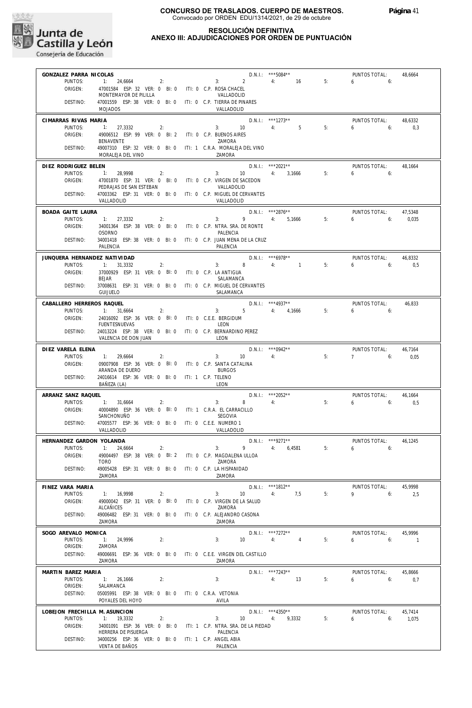

#### **RESOLUCIÓN DEFINITIVA ANEXO III: ADJUDICACIONES POR ORDEN DE PUNTUACIÓN**

| GONZALEZ PARRA NICOLAS                   |                                                                                 |                                              |                      | $D.N.1::$ ***5084**              |    | PUNTOS TOTAL:                | 48,6664          |
|------------------------------------------|---------------------------------------------------------------------------------|----------------------------------------------|----------------------|----------------------------------|----|------------------------------|------------------|
| PUNTOS:                                  | 1: 24,6664<br>2:                                                                |                                              | 3: 2                 | 4: 16                            | 5: | $6\qquad 6$                  |                  |
| ORIGEN:                                  | 47001584 ESP: 32 VER: 0 BI: 0 ITI: 0 C.P. ROSA CHACEL<br>MONTEMAYOR DE PILILLA  |                                              | VALLADOLID           |                                  |    |                              |                  |
| DESTINO:                                 | 47001559 ESP: 38 VER: 0 BI: 0 ITI: 0 C.P. TIERRA DE PINARES                     |                                              |                      |                                  |    |                              |                  |
|                                          | <b>MOJADOS</b>                                                                  | VALLADOLID                                   |                      |                                  |    |                              |                  |
| CIMARRAS RIVAS MARIA                     |                                                                                 |                                              |                      | D.N.I.: ***1273**                |    | PUNTOS TOTAL:                | 48.6332          |
| PUNTOS:                                  | 1: 27.3332<br>2:                                                                |                                              | 3: 10                | 4:<br>5                          | 5: | $6\qquad 6$                  | 0,3              |
| ORIGEN:                                  | 49006512 ESP: 99 VER: 0 BI: 2 ITI: 0 C.P. BUENOS AIRES<br>BENAVENTE             | ZAMORA                                       |                      |                                  |    |                              |                  |
| DESTINO:                                 | 49007310 ESP: 32 VER: 0 BI: 0 ITI: 1 C.R.A. MORALEJA DEL VINO                   |                                              |                      |                                  |    |                              |                  |
|                                          | MORALEJA DEL VINO                                                               | 7AMORA                                       |                      |                                  |    |                              |                  |
| DIEZ RODRIGUEZ BELEN                     |                                                                                 |                                              |                      | D.N.I.: ***2021**                |    | PUNTOS TOTAL:                | 48,1664          |
| PUNTOS:<br>ORIGEN:                       | 1: 28.9998<br>2:<br>47001870 ESP: 31 VER: 0 BI: 0 ITI: 0 C.P. VIRGEN DE SACEDON |                                              | $3: 10 \t 4: 3,1666$ |                                  | 5: | $6\qquad 6$                  |                  |
|                                          | PEDRAJAS DE SAN ESTEBAN                                                         |                                              | VALLADOLID           |                                  |    |                              |                  |
| DESTINO:                                 | 47003362 ESP: 31 VER: 0 BI: 0 ITI: 0 C.P. MIGUEL DE CERVANTES                   |                                              |                      |                                  |    |                              |                  |
|                                          | VALLADOLID                                                                      | VALLADOLID                                   |                      |                                  |    |                              |                  |
| BOADA GAITE LAURA<br>PUNTOS:             | 1: 27,3332<br>2:                                                                | 3:                                           |                      | D.N.I.: ***2876**<br>9 4: 5,1666 | 5: | PUNTOS TOTAL:<br>6.6         | 47,5348<br>0,035 |
| ORIGEN:                                  | 34001364 ESP: 38 VER: 0 BI: 0 ITI: 0 C.P. NTRA. SRA. DE RONTE                   |                                              |                      |                                  |    |                              |                  |
|                                          | <b>OSORNO</b>                                                                   | PALENCIA                                     |                      |                                  |    |                              |                  |
| DESTINO:                                 | 34001418 ESP: 38 VER: 0 BI: 0<br>PALENCIA                                       | ITI: 0 C.P. JUAN MENA DE LA CRUZ<br>PALENCIA |                      |                                  |    |                              |                  |
|                                          |                                                                                 |                                              |                      | D.N.I.: *** 6978**               |    |                              |                  |
| JUNQUERA HERNANDEZ NATIVIDAD<br>PUNTOS:  | 1: 31,3332<br>2:                                                                | 3:                                           |                      | 8 4: 1                           | 5: | PUNTOS TOTAL:<br>$6\qquad 6$ | 46,8332<br>0,5   |
| ORIGEN:                                  | 37000929 ESP: 31 VER: 0 BI: 0 ITI: 0 C.P. LA ANTIGUA                            |                                              |                      |                                  |    |                              |                  |
| DESTINO:                                 | <b>BEJAR</b><br>37008631 ESP: 31 VER: 0 BI: 0 ITI: 0 C.P. MIGUEL DE CERVANTES   |                                              | SALAMANCA            |                                  |    |                              |                  |
|                                          | <b>GUIJUELO</b>                                                                 | SALAMANCA                                    |                      |                                  |    |                              |                  |
| CABALLERO HERREROS RAQUEL                |                                                                                 |                                              |                      | $D.N.1.:$ ***4937**              |    | PUNTOS TOTAL:                | 46,833           |
| PUNTOS:                                  | 1: 31.6664<br>2:                                                                | 3:                                           | 5 4: 4,1666          |                                  | 5: | $6 - 6$                      |                  |
| ORIGEN:                                  | 24016092 ESP: 36 VER: 0 BI: 0 ITI: 0 C.E.E. BERGIDUM<br>FUENTESNUEVAS           | LEON                                         |                      |                                  |    |                              |                  |
| DESTINO:                                 | 24013224 ESP: 38 VER: 0 BI: 0 ITI: 0 C.P. BERNARDINO PEREZ                      |                                              |                      |                                  |    |                              |                  |
|                                          | VALENCIA DE DON JUAN                                                            | LEON                                         |                      |                                  |    |                              |                  |
| DIEZ VARELA ELENA                        |                                                                                 |                                              |                      | $D.N.1::$ *** 0942**             |    | PUNTOS TOTAL:                | 46,7164          |
| PUNTOS:                                  | 1: 29,6664<br>2:                                                                | 3:                                           | 10                   | 4:                               | 5: | $7 \t\t 6:$                  | 0,05             |
| ORIGEN:                                  | 09007908 ESP: 36 VER: 0 BI: 0 ITI: 0 C.P. SANTA CATALINA<br>ARANDA DE DUERO     | <b>BURGOS</b>                                |                      |                                  |    |                              |                  |
| DESTINO:                                 | 24016614 ESP: 36 VER: 0 BI: 0 ITI: 1 C.P. TELENO                                |                                              |                      |                                  |    |                              |                  |
|                                          | BAÑEZA (LA)                                                                     | LEON                                         |                      |                                  |    |                              |                  |
| ARRANZ SANZ RAQUEL                       |                                                                                 |                                              |                      | D.N.I.: ***2052**                |    | PUNTOS TOTAL:                | 46,1664          |
| PUNTOS:<br>ORIGEN:                       | 1: 31.6664<br>2:<br>40004890 ESP: 36 VER: 0 BI: 0 ITI: 1 C.R.A. EL CARRACILLO   | 3:                                           | $8 \t\t 4$           |                                  | 5: | $6\qquad 6$                  | 0,5              |
|                                          | SANCHONUÑO                                                                      | SEGOVIA                                      |                      |                                  |    |                              |                  |
| DESTINO:                                 | 47005577 ESP: 36 VER: 0 BI: 0 ITI: 0 C.E.E. NUMERO 1                            |                                              |                      |                                  |    |                              |                  |
|                                          | VALLADOLID                                                                      | VALLADOLID                                   |                      |                                  |    |                              |                  |
| HERNANDEZ GARDON YOLANDA<br>PUNTOS:      | 1: 24,6664<br>2:                                                                | 3:                                           | 9                    | D.N.I.: ***9271**<br>4: 6.4581   | 5: | PUNTOS TOTAL:<br>6<br>6:     | 46,1245          |
| ORIGEN:                                  | 49004497 ESP: 38 VER: 0 BI: 2                                                   | ITI: 0 C.P. MAGDALENA ULLOA                  |                      |                                  |    |                              |                  |
|                                          | <b>TORO</b>                                                                     | ZAMORA                                       |                      |                                  |    |                              |                  |
| DESTINO:                                 | 49005428 ESP: 31 VER: 0 BI: 0<br>7AMORA                                         | ITI: 0 C.P. LA HISPANIDAD<br>7AMORA          |                      |                                  |    |                              |                  |
| FINEZ VARA MARIA                         |                                                                                 |                                              |                      | $D.N.I.:$ ***1812**              |    | PUNTOS TOTAL:                | 45,9998          |
| PUNTOS:                                  | 1: 16,9998<br>2:                                                                | 3:                                           | 10                   | 4:<br>7,5                        | 5: | 9<br>6:                      | 2,5              |
| ORIGEN:                                  | 49000042 ESP: 31 VER: 0 BI: 0                                                   | ITI: 0 C.P. VIRGEN DE LA SALUD               |                      |                                  |    |                              |                  |
| DESTINO:                                 | ALCAÑICES<br>49006482 ESP: 31 VER: 0 BI: 0                                      | ZAMORA<br>ITI: 0 C.P. ALEJANDRO CASONA       |                      |                                  |    |                              |                  |
|                                          | ZAMORA                                                                          | 7AMORA                                       |                      |                                  |    |                              |                  |
| SOGO AREVALO MONICA                      |                                                                                 |                                              |                      | D.N.I.: ***7272**                |    | PUNTOS TOTAL:                | 45,9996          |
| PUNTOS:                                  | 1: 24.9996<br>2:                                                                | 3:                                           | 10                   | 4:<br>$\overline{4}$             | 5: | 6<br>6:                      | $\blacksquare$   |
| ORIGEN:<br>DESTINO:                      | ZAMORA                                                                          |                                              |                      |                                  |    |                              |                  |
|                                          | 49006691 ESP: 36 VER: 0 BI: 0 ITI: 0 C.E.E. VIRGEN DEL CASTILLO<br>ZAMORA       | ZAMORA                                       |                      |                                  |    |                              |                  |
| MARTIN BAREZ MARIA                       |                                                                                 |                                              |                      | D.N.I.: ***7243**                |    | PUNTOS TOTAL:                | 45,8666          |
| PUNTOS:                                  | 1: 26,1666<br>2:                                                                | 3:                                           |                      | 4:<br>13                         | 5: | 6<br>6:                      | 0,7              |
| ORIGEN:                                  | SALAMANCA                                                                       |                                              |                      |                                  |    |                              |                  |
| DESTINO:                                 | 05005991 ESP: 38 VER: 0 BI: 0 ITI: 0 C.R.A. VETONIA<br>POYALES DEL HOYO         | AVILA                                        |                      |                                  |    |                              |                  |
|                                          |                                                                                 |                                              |                      | D.N.I.: ***4350**                |    |                              |                  |
| LOBEJON FRECHILLA M. ASUNCION<br>PUNTOS: | 1: 19,3332<br>2:                                                                | 3:                                           | 10                   | 9,3332<br>4:                     | 5: | PUNTOS TOTAL:<br>6<br>6:     | 45,7414<br>1,075 |
| ORIGEN:                                  | 34001091 ESP: 36 VER: 0 BI: 0                                                   | iti: 1 C.P. NTRA. SRA. DE LA PIEDAD          |                      |                                  |    |                              |                  |
| DESTINO:                                 | HERRERA DE PISUERGA<br>34000256 ESP: 36 VER: 0 BI: 0 ITI: 1 C.P. ANGEL ABIA     | PALENCIA                                     |                      |                                  |    |                              |                  |
|                                          | VENTA DE BAÑOS                                                                  | PALENCIA                                     |                      |                                  |    |                              |                  |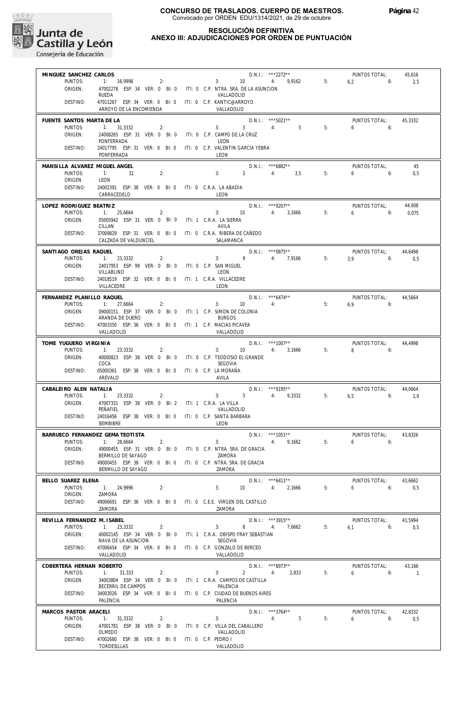

#### **RESOLUCIÓN DEFINITIVA ANEXO III: ADJUDICACIONES POR ORDEN DE PUNTUACIÓN**

| MINGUEZ SANCHEZ CARLOS            |                                                                                       | $D.N.1.:$ ***2272**<br>PUNTOS TOTAL:<br>45,616                                                        |
|-----------------------------------|---------------------------------------------------------------------------------------|-------------------------------------------------------------------------------------------------------|
| PUNTOS:                           | 1: 16,9998<br>2:                                                                      | $3: 10 \t 4: 9.9162$<br>5:<br>$6,2$ $6:$<br>2,5                                                       |
| ORIGEN:                           | 47002278 ESP: 34 VER: 0 BI: 0 ITI: 0 C.P. NTRA. SRA. DE LA ASUNCION<br>RUEDA          | VALLADOLID                                                                                            |
| DESTINO:                          | 47011267 ESP: 34 VER: 0 BI: 0 ITI: 0 C.P. KANTIC@ARROYO<br>ARROYO DE LA ENCOMIENDA    | VALLADOLID                                                                                            |
| FUENTE SANTOS MARTA DE LA         |                                                                                       | $D.N.1::$ ***5021**<br>PUNTOS TOTAL:<br>45,3332                                                       |
| PUNTOS:<br>ORIGEN:                | 1: 31.3332<br>2:<br>24008265 ESP: 31 VER: 0 BI: 0                                     | $3 \qquad \qquad 4$<br>5 <sub>5</sub><br>5:<br>3:<br>6<br>6:<br>ITI: 0 C.P. CAMPO DE LA CRUZ          |
|                                   | PONFERRADA                                                                            | LEON                                                                                                  |
| DESTINO:                          | 24017795 ESP: 31 VER: 0 BI: 0 ITI: 0 C.P. VALENTIN GARCIA YEBRA<br>PONFERRADA         | LEON                                                                                                  |
| MANSILLA ALVAREZ MIGUEL ANGEL     |                                                                                       | D.N.I.: *** 6882**<br>PUNTOS TOTAL:<br>45                                                             |
| PUNTOS:<br>ORIGEN:                | 1:<br>32<br>2:<br>LEON                                                                | $3 \sim 3$<br>4:<br>3,5<br>5:<br>3:<br>6.6<br>0,5                                                     |
| DESTINO:                          | 24002391 ESP: 38 VER: 0 BI: 0 ITI: 0 C.R.A. LA ABADIA<br>CARRACEDELO                  | LEON                                                                                                  |
| LOPEZ RODRIGUEZ BEATRIZ           |                                                                                       | $D.N.1.:$ ***9207**<br>PUNTOS TOTAL:<br>44,908                                                        |
| PUNTOS:<br>ORIGEN:                | 1: 25,6664<br>2:<br>05005942 ESP: 31 VER: 0 BI: 0 ITI: 1 C.R.A. LA SIERRA             | 10 4: 3,1666<br>5:<br>$6\qquad 6$<br>0,075<br>3:                                                      |
|                                   | CILLAN                                                                                | AVILA                                                                                                 |
| DESTINO:                          | 37009829 ESP: 31 VER: 0 BI: 0 ITI: 0 C.R.A. RIBERA DE CAÑEDO<br>CALZADA DE VALDUNCIEL | SAI AMANCA                                                                                            |
| SANTIAGO OREJAS RAQUEL            |                                                                                       | D.N.I.: ***0875**<br>PUNTOS TOTAL:<br>44,6498                                                         |
| PUNTOS:<br>ORIGEN:                | 1: 23.3332<br>2:<br>24017953 ESP: 99 VER: 0 BI: 0 ITI: 0 C.P. SAN MIGUEL              | 3: $9 \t 4: 7,9166$<br>5:<br>$3.9$ 6:<br>0,5                                                          |
|                                   | VILLABLINO                                                                            | LEON                                                                                                  |
| DESTINO:                          | 24018519 ESP: 32 VER: 0 BI: 0 ITI: 1 C.R.A. VILLACEDRE<br>VILLACEDRE                  | LEON                                                                                                  |
| FERNANDEZ PLANILLO RAQUEL         |                                                                                       | $D.N.1.:$ ***6474**<br>PUNTOS TOTAL:<br>44,5664                                                       |
| PUNTOS:<br>ORIGEN:                | 1: 27,6664<br>2:<br>09000151 ESP: 37 VER: 0 BI: 0 ITI: 1 C.P. SIMON DE COLONIA        | 4:<br>5:<br>3:<br>10<br>6.9<br>6:                                                                     |
|                                   | ARANDA DE DUERO                                                                       | <b>BURGOS</b>                                                                                         |
| DESTINO:                          | 47003350 ESP: 36 VER: 0 BI: 0<br>VALLADOLID                                           | ITI: 1 C.P. MACIAS PICAVEA<br>VALLADOLID                                                              |
| TOME YUGUERO VIRGINIA             |                                                                                       | $D.N.1.:$ ***1007**<br>PUNTOS TOTAL:<br>44,4998                                                       |
| PUNTOS:<br>ORIGEN:                | 1:<br>23,3332<br>2:<br>40000823 ESP: 38 VER: 0 BI: 0                                  | 4: 3,1666<br>5:<br>$3:$ $\qquad \qquad$<br>10<br>$\mathsf{R}$<br>6:<br>ITI: 0 C.P. TEODOSIO EL GRANDE |
| DESTINO:                          | COCA<br>05000361 ESP: 38 VER: 0 BI: 0                                                 | SEGOVIA<br>ITI: 0 C.P. LA MORAÑA                                                                      |
|                                   | AREVALO                                                                               | AVILA                                                                                                 |
| CABALEIRO ALEN NATALIA<br>PUNTOS: | 1: 23,3332<br>2:                                                                      | D.N.I.: ***9195**<br>PUNTOS TOTAL:<br>44,0664<br>3: 3: 4: 9,3332<br>5:<br>$6.5$ 6:<br>1.9             |
| ORIGEN:                           | 47007331 ESP: 38 VER: 0 BI: 2<br>PEÑAFIEL                                             | ITI: 1 C.R.A. LA VILLA<br>VALLADOLID                                                                  |
| DESTINO:                          | 24016456 ESP: 38 VER: 0 BI: 0 ITI: 0 C.P. SANTA BARBARA<br><b>BEMBIBRE</b>            | LEON                                                                                                  |
|                                   | BARRUECO FERNANDEZ GEMA TEOTISTA                                                      | $D.N.1::$ ***1051**<br>PUNTOS TOTAL:<br>43.8326                                                       |
| PUNTOS:                           | 1:<br>28,6664<br>2:                                                                   | 3:<br>4: 9,1662<br>5:<br>6<br>6:                                                                      |
| ORIGEN:                           | 49000455 ESP: 31 VER: 0 BI: 0 ITI: 0 C.P. NTRA. SRA. DE GRACIA<br>BERMILLO DE SAYAGO  | ZAMORA                                                                                                |
| DESTINO:                          | 49000455 ESP: 38 VER: 0 BI: 0 ITI: 0 C.P. NTRA. SRA. DE GRACIA<br>BERMILLO DE SAYAGO  | ZAMORA                                                                                                |
| BELLO SUAREZ ELENA                |                                                                                       | $D.N.1::$ ***6411**<br>PUNTOS TOTAL:<br>43,6662                                                       |
| PUNTOS:<br>ORIGEN:                | 1: 24,9996<br>2:<br>ZAMORA                                                            | 3:<br>10<br>4:<br>2.1666<br>5:<br>6<br>6:<br>0,5                                                      |
| DESTINO:                          | 49006691 ESP: 36 VER: 0 BI: 0 ITI: 0 C.E.E. VIRGEN DEL CASTILLO<br>ZAMORA             | ZAMORA                                                                                                |
| REVILLA FERNANDEZ M. ISABEL       |                                                                                       | D.N.I.: ***3915**<br>PUNTOS TOTAL:<br>43,5994                                                         |
| PUNTOS:<br>ORIGEN:                | 1: 23,3332<br>2:<br>40002145 ESP: 34 VER: 0 BI: 0                                     | 8<br>5:<br>3:<br>7,6662<br>0,5<br>4:<br>4.1<br>6:<br>ITI: 1 C.R.A. OBISPO FRAY SEBASTIAN              |
|                                   | NAVA DE LA ASUNCION                                                                   | SEGOVIA                                                                                               |
| DESTINO:                          | 47006454 ESP: 34 VER: 0 BI: 0<br>VALLADOLID                                           | ITI: 0 C.P. GONZALO DE BERCEO<br>VALLADOLID                                                           |
| COBERTERA HERNAN ROBERTO          |                                                                                       | D.N.I.: ***8973**<br>PUNTOS TOTAL:<br>43,166                                                          |
| PUNTOS:<br>ORIGEN:                | 1:<br>31,333<br>2:<br>34003804 ESP: 34 VER: 0 BI: 0                                   | 3:<br>$\overline{2}$<br>4:<br>2,833<br>5:<br>6<br>6:<br>$\sim$ 1<br>ITI: 1 C.R.A. CAMPOS DE CASTILLA  |
|                                   | BECERRIL DE CAMPOS                                                                    | PALENCIA                                                                                              |
| DESTINO:                          | 34003026 ESP: 34 VER: 0 BI: 0<br>PALENCIA                                             | ITI: 0 C.P. CIUDAD DE BUENOS AIRES<br>PALENCIA                                                        |
| MARCOS PASTOR ARACELI             |                                                                                       | D.N.I.: ***3764**<br>PUNTOS TOTAL:<br>42,8332                                                         |
| PUNTOS:<br>ORIGEN:                | 1: 31,3332<br>2:<br>47001781 ESP: 38 VER: 0 BI: 0                                     | 5<br>5:<br>3:<br>4:<br>6<br>6:<br>0,5<br>ITI: 0 C.P. VILLA DEL CABALLERO                              |
|                                   | OLMEDO                                                                                | VALLADOLID                                                                                            |
| DESTINO:                          | 47002680 ESP: 38 VER: 0 BI: 0<br>TORDESILLAS                                          | ITI: 0 C.P. PEDRO I<br>VALLADOLID                                                                     |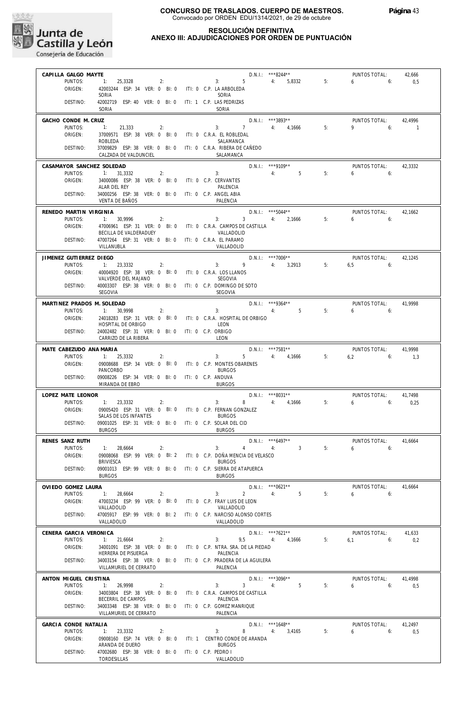

#### **RESOLUCIÓN DEFINITIVA ANEXO III: ADJUDICACIONES POR ORDEN DE PUNTUACIÓN**

| CAPILLA GALGO MAYTE          |                                                                               |                                                                              | D.N.I.: ***8244**                |    | PUNTOS TOTAL:                          | 42,666          |
|------------------------------|-------------------------------------------------------------------------------|------------------------------------------------------------------------------|----------------------------------|----|----------------------------------------|-----------------|
| PUNTOS:                      | 1: 25,3328<br>2:                                                              | $3: 5$ 4: $5,8332$ 5:                                                        |                                  |    | $6\qquad 6:$                           | 0,5             |
| ORIGEN:                      | 42003244 ESP: 34 VER: 0 BI: 0 ITI: 0 C.P. LA ARBOLEDA<br>SORIA                | SORIA                                                                        |                                  |    |                                        |                 |
| DESTINO:                     | 42002719 ESP: 40 VER: 0 BI: 0 ITI: 1 C.P. LAS PEDRIZAS                        |                                                                              |                                  |    |                                        |                 |
|                              | SORIA                                                                         | SORIA                                                                        |                                  |    |                                        |                 |
| GACHO CONDE M. CRUZ          |                                                                               |                                                                              | D.N.I.: ***3893**                |    | PUNTOS TOTAL:                          | 42,4996         |
| PUNTOS:                      | 1: 21,333<br>2:                                                               | $3: 7$ $4: 4.1666$                                                           |                                  | 5: | $9 \t\t 6$                             | $\sim$ 1        |
| ORIGEN:                      | 37009571 ESP: 38 VER: 0 BI: 0 ITI: 0 C.R.A. EL ROBLEDAL<br>ROBLEDA            | SALAMANCA                                                                    |                                  |    |                                        |                 |
| DESTINO:                     | 37009829 ESP: 38 VER: 0 BI: 0 ITI: 0 C.R.A. RIBERA DE CAÑEDO                  |                                                                              |                                  |    |                                        |                 |
|                              | CALZADA DE VALDUNCIEL                                                         | SALAMANCA                                                                    |                                  |    |                                        |                 |
| CASAMAYOR SANCHEZ SOLEDAD    |                                                                               |                                                                              | D.N.I.: *** 9109**               |    | PUNTOS TOTAL:                          | 42,3332         |
| PUNTOS:                      | $1: 31,3332$ 2:                                                               | 3:                                                                           | 4:5                              | 5: | $6\qquad 6:$                           |                 |
| ORIGEN:                      | 34000086 ESP: 38 VER: 0 BI: 0 ITI: 0 C.P. CERVANTES<br>ALAR DEL REY           | PALENCIA                                                                     |                                  |    |                                        |                 |
| DESTINO:                     | 34000256 ESP: 38 VER: 0 BI: 0 ITI: 0 C.P. ANGEL ABIA                          |                                                                              |                                  |    |                                        |                 |
|                              | VENTA DE BAÑOS                                                                | PALENCIA                                                                     |                                  |    |                                        |                 |
| RENEDO MARTIN VIRGINIA       |                                                                               |                                                                              | $D.N.1.:$ ***5044**              |    | PUNTOS TOTAL:                          | 42.1662         |
| PUNTOS:                      | $1: 30,9996$ 2:                                                               | $3: 3 \t 4: 2,1666$                                                          |                                  | 5: | $6\qquad 6$                            |                 |
| ORIGEN:                      | BECILLA DE VALDERADUEY                                                        | 47006961 ESP: 31 VER: 0 BI: 0 ITI: 0 C.R.A. CAMPOS DE CASTILLA<br>VALLADOLID |                                  |    |                                        |                 |
| DESTINO:                     | 47007264 ESP: 31 VER: 0 BI: 0 ITI: 0 C.R.A. EL PARAMO                         |                                                                              |                                  |    |                                        |                 |
|                              | VILLANUBLA                                                                    | VALLADOLID                                                                   |                                  |    |                                        |                 |
| JIMENEZ GUTIERREZ DIEGO      |                                                                               |                                                                              | $D.N.1.:$ ***7006**              |    | PUNTOS TOTAL:                          | 42,1245         |
| PUNTOS:                      | 1: 23,3332<br>2:                                                              | 3: 9 4: 3,2913 5:                                                            |                                  |    | $6.5$ 6:                               |                 |
| ORIGEN:                      | 40004920 ESP: 38 VER: 0 BI: 0 ITI: 0 C.R.A. LOS LLANOS<br>VALVERDE DEL MAJANO | SEGOVIA                                                                      |                                  |    |                                        |                 |
| DESTINO:                     | 40003307 ESP: 38 VER: 0 BI: 0 ITI: 0 C.P. DOMINGO DE SOTO                     |                                                                              |                                  |    |                                        |                 |
|                              | SEGOVIA                                                                       | SEGOVIA                                                                      |                                  |    |                                        |                 |
| MARTINEZ PRADOS M. SOLEDAD   |                                                                               | $D.N.1.:$ ***9364**<br>3: 4: 5                                               | D.N.I.: ***9364**                |    | PUNTOS TOTAL:                          | 41,9998         |
| PUNTOS:                      | 2:<br>1: 30,9998                                                              |                                                                              |                                  | 5: | $6\qquad 6$                            |                 |
| ORIGEN:                      | HOSPITAL DE ORBIGO                                                            | 24018283 ESP: 31 VER: 0 BI: 0 ITI: 0 C.R.A. HOSPITAL DE ORBIGO<br>LEON       |                                  |    |                                        |                 |
| DESTINO:                     | 24002482 ESP: 31 VER: 0 BI: 0 ITI: 0 C.P. ORBIGO                              |                                                                              |                                  |    |                                        |                 |
|                              | CARRIZO DE LA RIBERA                                                          | LEON                                                                         |                                  |    |                                        |                 |
| MATE CABEZUDO ANA MARIA      |                                                                               |                                                                              | D.N.I.: ***7581**                |    | PUNTOS TOTAL:                          | 41.9998         |
| PUNTOS:<br>ORIGEN:           | 1: 25,3332<br>2:<br>09008688 ESP: 34 VER: 0 BI: 0 ITI: 0 C.P. MONTES OBARENES | 3:                                                                           | 5 4: 4,1666 5:                   |    | $6,2$ $6:$                             | 1,3             |
|                              | PANCORBO                                                                      | <b>BURGOS</b>                                                                |                                  |    |                                        |                 |
| DESTINO:                     | 09008226 ESP: 34 VER: 0 BI: 0 ITI: 0 C.P. ANDUVA                              |                                                                              |                                  |    |                                        |                 |
|                              | MIRANDA DE EBRO                                                               | <b>BURGOS</b>                                                                |                                  |    |                                        |                 |
| LOPEZ MATE LEONOR<br>PUNTOS: | 1: 23,3332<br>2:                                                              | 3:                                                                           | D.N.I.: ***8031**<br>8 4: 4.1666 | 5: | PUNTOS TOTAL:<br>6.6                   | 41,7498<br>0,25 |
| ORIGEN:                      | 09005420 ESP: 31 VER: 0 BI: 0 ITI: 0 C.P. FERNAN GONZALEZ                     |                                                                              |                                  |    |                                        |                 |
|                              | SALAS DE LOS INFANTES                                                         | <b>BURGOS</b>                                                                |                                  |    |                                        |                 |
| DESTINO:                     | 09001025 ESP: 31 VER: 0 BI: 0 ITI: 0 C.P. SOLAR DEL CID<br><b>BURGOS</b>      | <b>BURGOS</b>                                                                |                                  |    |                                        |                 |
|                              |                                                                               |                                                                              | $D.N.1.:$ ***6497**              |    |                                        |                 |
| RENES SANZ RUTH<br>PUNTOS:   | 1: 28.6664<br>2:                                                              | 3:                                                                           | $4 \t 4$ : 3                     | 5: | PUNTOS TOTAL:<br>$6\overline{6}$<br>6: | 41,6664         |
| ORIGEN:                      | 09008068 ESP: 99 VER: 0 BI: 2                                                 | ITI: 0 C.P. DOÑA MENCIA DE VELASCO                                           |                                  |    |                                        |                 |
|                              | BRIVIESCA                                                                     | <b>BURGOS</b>                                                                |                                  |    |                                        |                 |
| DESTINO:                     | 09001013 ESP: 99 VER: 0 BI: 0<br><b>BURGOS</b>                                | ITI: 0 C.P. SIERRA DE ATAPUERCA<br><b>BURGOS</b>                             |                                  |    |                                        |                 |
| OVIEDO GOMEZ LAURA           |                                                                               |                                                                              | $D.N.1::$ *** 0621**             |    | PUNTOS TOTAL:                          | 41,6664         |
| PUNTOS:                      | 1:<br>28,6664<br>2:                                                           | $\overline{2}$<br>3:                                                         | 5<br>4:                          | 5: | 6<br>6:                                |                 |
| ORIGEN:                      | 47003234 ESP: 99 VER: 0 BI: 0                                                 | ITI: 0 C.P. FRAY LUIS DE LEON                                                |                                  |    |                                        |                 |
| DESTINO:                     | VALLADOLID<br>47005917 ESP: 99 VER: 0 BI: 2                                   | VALLADOLID<br>ITI: 0 C.P. NARCISO ALONSO CORTES                              |                                  |    |                                        |                 |
|                              | VALLADOLID                                                                    | VALLADOLID                                                                   |                                  |    |                                        |                 |
| CENERA GARCIA VERONICA       |                                                                               |                                                                              | D.N.I.: ***7621**                |    | PUNTOS TOTAL:                          | 41,633          |
| PUNTOS:                      | 1: 21,6664<br>2:                                                              | 9,5<br>3:                                                                    | 4:<br>4,1666                     | 5: | 6,1<br>6:                              | 0,2             |
| ORIGEN:                      | 34001091 ESP: 38 VER: 0 BI: 0                                                 | ITI: 0 C.P. NTRA. SRA. DE LA PIEDAD                                          |                                  |    |                                        |                 |
| DESTINO:                     | HERRERA DE PISUERGA<br>34003154 ESP: 38 VER: 0 BI: 0                          | PAI FNCIA<br>ITI: 0 C.P. PRADERA DE LA AGUILERA                              |                                  |    |                                        |                 |
|                              | VILLAMURIEL DE CERRATO                                                        | PALENCIA                                                                     |                                  |    |                                        |                 |
| ANTON MIGUEL CRISTINA        |                                                                               |                                                                              | D.N.I.: ***3096**                |    | PUNTOS TOTAL:                          | 41,4998         |
| PUNTOS:                      | 2:<br>1:<br>26,9998                                                           | 3<br>3:                                                                      | 5<br>4:                          | 5: | 6<br>6:                                | 0,5             |
| ORIGEN:                      | 34003804 ESP: 38 VER: 0 BI: 0                                                 | ITI: 0 C.R.A. CAMPOS DE CASTILLA                                             |                                  |    |                                        |                 |
| DESTINO:                     | BECERRIL DE CAMPOS<br>34003348 ESP: 38 VER: 0 BI: 0                           | PALENCIA<br>ITI: 0 C.P. GOMEZ MANRIQUE                                       |                                  |    |                                        |                 |
|                              | VILLAMURIEL DE CERRATO                                                        | PALENCIA                                                                     |                                  |    |                                        |                 |
| GARCIA CONDE NATALIA         |                                                                               |                                                                              | D.N.I.: ***1648**                |    | PUNTOS TOTAL:                          | 41,2497         |
| PUNTOS:                      | 1: 23,3332<br>2:                                                              | 8<br>3:                                                                      | 3,4165<br>4:                     | 5: | 6<br>6:                                | 0,5             |
| ORIGEN:                      | 09008160 ESP: 74 VER: 0 BI: 0                                                 | ITI: 1 CENTRO CONDE DE ARANDA                                                |                                  |    |                                        |                 |
| DESTINO:                     | ARANDA DE DUERO<br>47002680 ESP: 38 VER: 0 BI: 0 ITI: 0 C.P. PEDRO I          | <b>BURGOS</b>                                                                |                                  |    |                                        |                 |
|                              | TORDESILLAS                                                                   | VALLADOLID                                                                   |                                  |    |                                        |                 |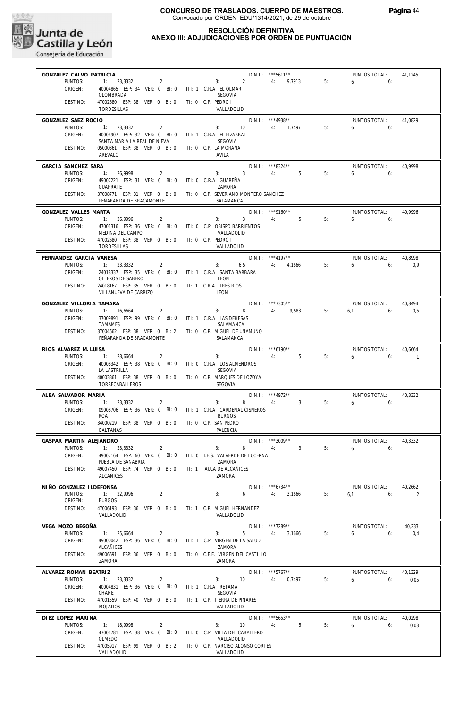

#### **RESOLUCIÓN DEFINITIVA ANEXO III: ADJUDICACIONES POR ORDEN DE PUNTUACIÓN**

| GONZALEZ CALVO PATRICIA            |                                                                                         |                                          | D.N.I.: *** 5611**                    |    | PUNTOS TOTAL:                | 41,1245                   |
|------------------------------------|-----------------------------------------------------------------------------------------|------------------------------------------|---------------------------------------|----|------------------------------|---------------------------|
| PUNTOS:                            | $1: 23,3332$ 2:                                                                         |                                          | $3: 2 \t 4: 9.7913$                   | 5: | 6 -<br>6:                    |                           |
| ORIGEN:                            | 40004865 ESP: 34 VER: 0 BI: 0 ITI: 1 C.R.A. EL OLMAR<br>OLOMBRADA                       | SEGOVIA                                  |                                       |    |                              |                           |
| DESTINO:                           | 47002680 ESP: 38 VER: 0 BI: 0                                                           | ITI: 0 C.P. PEDRO I                      |                                       |    |                              |                           |
|                                    | <b>TORDESILLAS</b>                                                                      | VALLADOLID                               |                                       |    |                              |                           |
| GONZALEZ SAEZ ROCIO                |                                                                                         |                                          | $D.N.1.:$ ***4938**                   |    | PUNTOS TOTAL:                | 41.0829                   |
| PUNTOS:                            | 1: 23.3332<br>2:                                                                        | 3:                                       | 10<br>4: 1,7497                       | 5: | 6<br>6:                      |                           |
| ORIGEN:                            | 40004907 ESP: 32 VER: 0 BI: 0 ITI: 1 C.R.A. EL PIZARRAL<br>SANTA MARIA LA REAL DE NIEVA | SEGOVIA                                  |                                       |    |                              |                           |
| DESTINO:                           | 05000361 ESP: 38 VER: 0 BI: 0 ITI: 0 C.P. LA MORAÑA                                     |                                          |                                       |    |                              |                           |
|                                    | AREVALO                                                                                 | AVILA                                    |                                       |    |                              |                           |
| GARCIA SANCHEZ SARA                |                                                                                         |                                          | D.N.I.: ***8324**                     |    | PUNTOS TOTAL:                | 40,9998                   |
| PUNTOS:                            | 1: 26,9998<br>2:                                                                        | 3:                                       | 3 <sup>1</sup><br>4:5                 | 5: | 6<br>6:                      |                           |
| ORIGEN:                            | 49007221 ESP: 31 VER: 0 BI: 0 ITI: 0 C.R.A. GUAREÑA<br><b>GUARRATE</b>                  |                                          |                                       |    |                              |                           |
| DESTINO:                           | 37008771 ESP: 31 VER: 0 BI: 0 ITI: 0 C.P. SEVERIANO MONTERO SANCHEZ                     | ZAMORA                                   |                                       |    |                              |                           |
|                                    | PEÑARANDA DE BRACAMONTE                                                                 | SALAMANCA                                |                                       |    |                              |                           |
| GONZALEZ VALLES MARTA              |                                                                                         |                                          | D.N.I.: ***9160**                     |    | PUNTOS TOTAL:                | 40,9996                   |
| PUNTOS:                            | 1: 26,9996<br>2:                                                                        | 3:                                       | 3 <sup>7</sup><br>4:5                 | 5: | 6:<br>6                      |                           |
| ORIGEN:                            | 47001316 ESP: 36 VER: 0 BI: 0 ITI: 0 C.P. OBISPO BARRIENTOS                             |                                          |                                       |    |                              |                           |
| DESTINO:                           | MEDINA DEL CAMPO<br>47002680 ESP: 38 VER: 0 BI: 0 ITI: 0 C.P. PEDRO I                   | VALLADOLID                               |                                       |    |                              |                           |
|                                    | TORDESILLAS                                                                             | VALLADOLID                               |                                       |    |                              |                           |
| FERNANDEZ GARCIA VANESA            |                                                                                         |                                          | $D.N.1.:$ ***4197**                   |    | PUNTOS TOTAL:                | 40,8998                   |
| PUNTOS:                            | 1: 23,3332<br>2:                                                                        | 3:                                       | 6,5 4: 4,1666                         | 5: | 6<br>6:                      | 0,9                       |
| ORIGEN:                            | 24018337 ESP: 35 VER: 0 BI: 0 ITI: 1 C.R.A. SANTA BARBARA                               |                                          |                                       |    |                              |                           |
| DESTINO:                           | OLLEROS DE SABERO<br>24018167 ESP: 35 VER: 0 BI: 0 ITI: 1 C.R.A. TRES RIOS              | LEON                                     |                                       |    |                              |                           |
|                                    | VILLANUEVA DE CARRIZO                                                                   | LEON                                     |                                       |    |                              |                           |
| GONZALEZ VILLORIA TAMARA           |                                                                                         |                                          | D.N.I.: ***7305**                     |    | PUNTOS TOTAL:                | 40,8494                   |
| PUNTOS:                            | 1: 16,6664<br>2:                                                                        | 3:                                       | 8 4: 9,583                            | 5: | $6.1$ $6:$                   | 0,5                       |
| ORIGEN:                            | 37009891 ESP: 99 VER: 0 BI: 0 ITI: 1 C.R.A. LAS DEHESAS                                 |                                          |                                       |    |                              |                           |
| DESTINO:                           | <b>TAMAMES</b>                                                                          | SALAMANCA                                |                                       |    |                              |                           |
|                                    | 37004662 ESP: 38 VER: 0 BI: 2 ITI: 0 C.P. MIGUEL DE UNAMUNO<br>PEÑARANDA DE BRACAMONTE  | SALAMANCA                                |                                       |    |                              |                           |
| RIOS ALVAREZ M. LUISA              |                                                                                         |                                          | $D.N.I.:$ ***6190**                   |    | PUNTOS TOTAL:                | 40,6664                   |
| PUNTOS:                            | 1: 28,6664<br>2:                                                                        | 3:                                       | 4:<br>5                               | 5: | 6<br>6:                      | $\blacksquare$            |
| ORIGEN:                            | 40008342 ESP: 38 VER: 0 BI: 0 ITI: 0 C.R.A. LOS ALMENDROS                               |                                          |                                       |    |                              |                           |
|                                    | LA LASTRILLA                                                                            | <b>SEGOVIA</b>                           |                                       |    |                              |                           |
| DESTINO:                           | 40003861 ESP: 38 VER: 0 BI: 0 ITI: 0 C.P. MARQUES DE LOZOYA<br><b>TORRECABALLEROS</b>   | SEGOVIA                                  |                                       |    |                              |                           |
|                                    |                                                                                         |                                          |                                       |    |                              |                           |
| ALBA SALVADOR MARIA<br>PUNTOS:     | 23.3332<br>2:<br>1:                                                                     | 3:                                       | $D.N.1::$ ***4972**<br>8<br>4: 3      | 5: | PUNTOS TOTAL:<br>$6\qquad 6$ | 40,3332                   |
| ORIGEN:                            | 09008706 ESP: 36 VER: 0 BI: 0                                                           | ITI: 1 C.R.A. CARDENAL CISNEROS          |                                       |    |                              |                           |
|                                    | <b>ROA</b>                                                                              | <b>BURGOS</b>                            |                                       |    |                              |                           |
| DESTINO:                           | 34000219 ESP: 38 VER: 0 BI: 0 ITI: 0 C.P. SAN PEDRO<br><b>BALTANAS</b>                  | PALENCIA                                 |                                       |    |                              |                           |
|                                    |                                                                                         |                                          |                                       |    |                              |                           |
| GASPAR MARTIN ALEJANDRO<br>PUNTOS: | 1: 23,3332<br>2:                                                                        | 3:                                       | $D.N.1.:$ ***3009**<br>8<br>3<br>4:   | 5: | PUNTOS TOTAL:<br>$6$ $6$     | 40,3332                   |
| ORIGEN:                            | 49007164 ESP: 60 VER: 0 BI: 0                                                           | ITI: 0 I.E.S. VALVERDE DE LUCERNA        |                                       |    |                              |                           |
|                                    | PUEBLA DE SANABRIA                                                                      | ZAMORA                                   |                                       |    |                              |                           |
| DESTINO:                           | 49007450 ESP: 74 VER: 0 BI: 0<br><b>ALCAÑICES</b>                                       | ITI: 1 AULA DE ALCAÑICES<br>ZAMORA       |                                       |    |                              |                           |
|                                    |                                                                                         |                                          |                                       |    |                              |                           |
| NIÑO GONZALEZ ILDEFONSA<br>PUNTOS: | 1: 22,9996<br>2:                                                                        | 3:                                       | $D.N.1::$ ***6734**<br>6<br>4: 3.1666 | 5: | PUNTOS TOTAL:<br>6,1<br>6:   | 40,2662<br>$\overline{2}$ |
| ORIGEN:                            | <b>BURGOS</b>                                                                           |                                          |                                       |    |                              |                           |
| DESTINO:                           | 47006193 ESP: 36 VER: 0 BI: 0 ITI: 1 C.P. MIGUEL HERNANDEZ                              |                                          |                                       |    |                              |                           |
|                                    | VALLADOLID                                                                              | VALLADOLID                               |                                       |    |                              |                           |
| VEGA MOZO BEGOÑA                   |                                                                                         |                                          | D.N.I.: ***7289**                     |    | PUNTOS TOTAL:                | 40,233                    |
| PUNTOS:                            | 1: 25,6664<br>2:                                                                        | 3:                                       | 5<br>4:<br>3,1666                     | 5: | 6<br>6:                      | 0,4                       |
| ORIGEN:                            | 49000042 ESP: 36 VER: 0 BI: 0<br>ALCAÑICES                                              | ITI: 1 C.P. VIRGEN DE LA SALUD<br>ZAMORA |                                       |    |                              |                           |
| DESTINO:                           | 49006691 ESP: 36 VER: 0 BI: 0                                                           | ITI: 0 C.E.E. VIRGEN DEL CASTILLO        |                                       |    |                              |                           |
|                                    | ZAMORA                                                                                  | ZAMORA                                   |                                       |    |                              |                           |
| ALVAREZ ROMAN BEATRIZ              |                                                                                         |                                          | $D.N.1.:$ ***5767**                   |    | PUNTOS TOTAL:                | 40,1329                   |
| PUNTOS:                            | 1: 23,3332<br>2:                                                                        | 3:                                       | 10<br>4:<br>0,7497                    | 5: | 6<br>6:                      | 0,05                      |
| ORIGEN:                            | 40004831 ESP: 36 VER: 0 BI: 0<br>CHAÑE                                                  | ITI: 1 C.R.A. RETAMA<br>SEGOVIA          |                                       |    |                              |                           |
| DESTINO:                           | 47001559 ESP: 40 VER: 0 BI: 0                                                           | ITI: 1 C.P. TIERRA DE PINARES            |                                       |    |                              |                           |
|                                    | <b>MOJADOS</b>                                                                          | VALLADOLID                               |                                       |    |                              |                           |
| DIEZ LOPEZ MARINA                  |                                                                                         |                                          | D.N.I.: *** 5653**                    |    | PUNTOS TOTAL:                | 40,0298                   |
| PUNTOS:                            | 1: 18,9998<br>2:                                                                        | 3:                                       | 10<br>4:<br>5                         | 5: | 6<br>6:                      | 0,03                      |
| ORIGEN:                            | 47001781 ESP: 38 VER: 0 BI: 0                                                           | ITI: 0 C.P. VILLA DEL CABALLERO          |                                       |    |                              |                           |
| DESTINO:                           | OLMEDO<br>47005917 ESP: 99 VER: 0 BI: 2 ITI: 0 C.P. NARCISO ALONSO CORTES               | VALLADOLID                               |                                       |    |                              |                           |
|                                    | VALLADOLID                                                                              | VALLADOLID                               |                                       |    |                              |                           |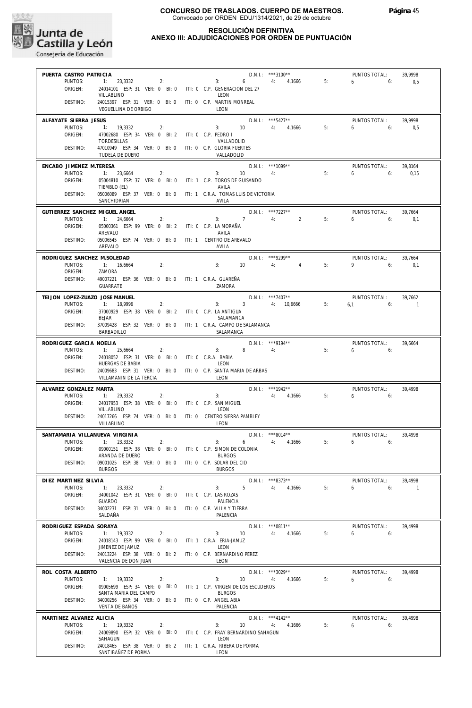

#### **RESOLUCIÓN DEFINITIVA ANEXO III: ADJUDICACIONES POR ORDEN DE PUNTUACIÓN**

| PUERTA CASTRO PATRICIA                 |                                                                                    |                                                      | $D.N.1.:$ ***3100**                 |    | PUNTOS TOTAL:               | 39,9998                   |
|----------------------------------------|------------------------------------------------------------------------------------|------------------------------------------------------|-------------------------------------|----|-----------------------------|---------------------------|
| PUNTOS:                                | $1: 23,3332$ 2:                                                                    | $3: 6 \t 4: 4,1666$                                  |                                     | 5: | $6 \t\t 6$                  | 0,5                       |
| ORIGEN:                                | 24014101 ESP: 31 VER: 0 BI: 0 ITI: 0 C.P. GENERACION DEL 27<br>VILLABLINO          | LEON                                                 |                                     |    |                             |                           |
| DESTINO:                               | 24015397 ESP: 31 VER: 0 BI: 0 ITI: 0 C.P. MARTIN MONREAL<br>VEGUELLINA DE ORBIGO   | LEON                                                 |                                     |    |                             |                           |
| ALFAYATE SIERRA JESUS                  |                                                                                    |                                                      | $D.N.1.:$ ***5427**                 |    | PUNTOS TOTAL:               | 39.9998                   |
| PUNTOS:                                | 1: 19,3332<br>2:                                                                   | $3: 10 \t 4: 4.1666$                                 |                                     | 5: | 6.6                         | 0,5                       |
| ORIGEN:                                | 47002680 ESP: 34 VER: 0 BI: 2 ITI: 0 C.P. PEDRO I                                  |                                                      |                                     |    |                             |                           |
| DESTINO:                               | TORDESILLAS<br>47010949 ESP: 34 VER: 0 BI: 0 ITI: 0 C.P. GLORIA FUERTES            | VALLADOLID                                           |                                     |    |                             |                           |
|                                        | TUDELA DE DUERO                                                                    | VALLADOLID                                           |                                     |    |                             |                           |
| ENCABO JIMENEZ M.TERESA                |                                                                                    |                                                      | $D.N.1.:$ ***1099**                 |    | PUNTOS TOTAL:               | 39,8164                   |
| PUNTOS:                                | 1: 23,6664<br>2:                                                                   | $3: 10 \t 4:$                                        |                                     | 5: | 6.625                       | 0,15                      |
| ORIGEN:                                | 05004810 ESP: 37 VER: 0 BI: 0 ITI: 1 C.P. TOROS DE GUISANDO<br>TIEMBLO (EL)        | AVILA                                                |                                     |    |                             |                           |
| DESTINO:                               | 05006089 ESP: 37 VER: 0 BI: 0 ITI: 1 C.R.A. TOMAS LUIS DE VICTORIA                 |                                                      |                                     |    |                             |                           |
|                                        | SANCHIDRIAN                                                                        | AVILA                                                |                                     |    |                             |                           |
| GUTIERREZ SANCHEZ MIGUEL ANGEL         |                                                                                    |                                                      | D.N.I.: ***7227**                   |    | PUNTOS TOTAL:               | 39.7664                   |
| PUNTOS:<br>ORIGEN:                     | 1: 24,6664<br>2:<br>05000361 ESP: 99 VER: 0 BI: 2 ITI: 0 C.P. LA MORAÑA            | $3: 7 \t 4: 2$                                       |                                     | 5: | 6.6                         | 0.1                       |
|                                        | AREVALO                                                                            | AVILA                                                |                                     |    |                             |                           |
| DESTINO:                               | 05006545 ESP: 74 VER: 0 BI: 0 ITI: 1 CENTRO DE AREVALO                             |                                                      |                                     |    |                             |                           |
|                                        | AREVALO                                                                            | AVILA                                                |                                     |    |                             |                           |
| RODRIGUEZ SANCHEZ M.SOLEDAD<br>PUNTOS: | 1: 16,6664<br>2:                                                                   | $10 \qquad \qquad 4$<br>3:                           | D.N.I.: ***9299**<br>4              | 5: | PUNTOS TOTAL:<br>$9 \t\t 6$ | 39,7664                   |
| ORIGEN:                                | ZAMORA                                                                             |                                                      |                                     |    |                             | 0,1                       |
| DESTINO:                               | 49007221 ESP: 36 VER: 0 BI: 0 ITI: 1 C.R.A. GUAREÑA                                |                                                      |                                     |    |                             |                           |
|                                        | GUARRATE                                                                           | ZAMORA                                               |                                     |    |                             |                           |
| TEIJON LOPEZ-ZUAZO JOSE MANUEL         |                                                                                    |                                                      | $D.N.1.:$ ***7407**                 |    | <b>PUNTOS TOTAL:</b>        | 39,7662                   |
| PUNTOS:<br>ORIGEN:                     | 1: 18,9996<br>2:<br>37000929 ESP: 38 VER: 0 BI: 2 ITI: 0 C.P. LA ANTIGUA           | 3:                                                   | 3 4: 10,6666                        | 5: | $6.1$ $6:$                  | $\sim$ 1                  |
|                                        | <b>BEJAR</b>                                                                       | SALAMANCA                                            |                                     |    |                             |                           |
| DESTINO:                               | 37009428 ESP: 32 VER: 0 BI: 0 ITI: 1 C.R.A. CAMPO DE SALAMANCA<br>BARBADILLO       | SALAMANCA                                            |                                     |    |                             |                           |
| RODRIGUEZ GARCIA NOELIA                |                                                                                    |                                                      | $D.N.1.:$ ***9194**                 |    | PUNTOS TOTAL:               | 39.6664                   |
| PUNTOS:                                | 1: 25,6664<br>2:                                                                   | $8 \t 4$<br>3:                                       |                                     | 5: | $6\qquad 6$                 |                           |
| ORIGEN:                                | 24018052 ESP: 31 VER: 0 BI: 0 ITI: 0 C.R.A. BABIA                                  |                                                      |                                     |    |                             |                           |
| DESTINO:                               | HUERGAS DE BABIA<br>24009683 ESP: 31 VER: 0 BI: 0 ITI: 0 C.P. SANTA MARIA DE ARBAS | LEON                                                 |                                     |    |                             |                           |
|                                        | VILLAMANIN DE LA TERCIA                                                            | LEON                                                 |                                     |    |                             |                           |
| ALVAREZ GONZALEZ MARTA                 |                                                                                    |                                                      | $D.N.1::$ ***1942**                 |    | PUNTOS TOTAL:               | 39.4998                   |
| PUNTOS:                                | 1: 29,3332<br>2:                                                                   | 3: 4: 4,1666                                         |                                     | 5: | $6\qquad 6$                 |                           |
| ORIGEN:                                | 24017953 ESP: 38 VER: 0 BI: 0 ITI: 0 C.P. SAN MIGUEL<br>VILLABLINO                 | LEON                                                 |                                     |    |                             |                           |
| DESTINO:                               | 24017266 ESP: 74 VER: 0 BI: 0 ITI: 0 CENTRO SIERRA PAMBLEY                         |                                                      |                                     |    |                             |                           |
|                                        | VILLABLINO                                                                         | LEON                                                 |                                     |    |                             |                           |
| SANTAMARIA VILLANUEVA VIRGINIA         |                                                                                    |                                                      | $D.N.1.:$ ***8014**                 |    | PUNTOS TOTAL:               | 39,4998                   |
| PUNTOS:<br>ORIGEN:                     | 1: 23,3332<br>2:<br>09000151 ESP: 38 VER: 0 BI: 0 ITI: 0 C.P. SIMON DE COLONIA     | $3:$ $3:$                                            | 6 4: 4,1666                         | 5: | 6.6                         |                           |
|                                        | ARANDA DE DUERO                                                                    | <b>BURGOS</b>                                        |                                     |    |                             |                           |
| DESTINO:                               | 09001025 ESP: 38 VER: 0 BI: 0 ITI: 0 C.P. SOLAR DEL CID                            |                                                      |                                     |    |                             |                           |
|                                        | <b>BURGOS</b>                                                                      | <b>BURGOS</b>                                        |                                     |    |                             |                           |
| DIEZ MARTINEZ SILVIA<br>PUNTOS:        | 1: 23,3332<br>2:                                                                   | $5 -$<br>3:                                          | $D.N.I.:$ ***8373**<br>4:<br>4,1666 | 5: | PUNTOS TOTAL:<br>6<br>6:    | 39.4998<br>$\overline{1}$ |
| ORIGEN:                                | 34001042 ESP: 31 VER: 0 BI: 0                                                      | ITI: 0 C.P. LAS ROZAS                                |                                     |    |                             |                           |
|                                        | <b>GUARDO</b>                                                                      | PALENCIA                                             |                                     |    |                             |                           |
| DESTINO:                               | 34002231 ESP: 31 VER: 0 BI: 0<br>SALDAÑA                                           | ITI: 0 C.P. VILLA Y TIERRA<br>PALENCIA               |                                     |    |                             |                           |
| RODRIGUEZ ESPADA SORAYA                |                                                                                    |                                                      | D.N.I.: *** 0811**                  |    | PUNTOS TOTAL:               | 39,4998                   |
| PUNTOS:                                | 1: 19,3332<br>2:                                                                   | 10<br>3:                                             | 4:<br>4,1666                        | 5: | 6<br>6:                     |                           |
| ORIGEN:                                | 24018143 ESP: 99 VER: 0 BI: 0                                                      | ITI: 1 C.R.A. ERIA-JAMUZ                             |                                     |    |                             |                           |
| DESTINO:                               | JIMENEZ DE JAMUZ<br>24013224 ESP: 38 VER: 0 BI: 2 ITI: 0 C.P. BERNARDINO PEREZ     | LEON                                                 |                                     |    |                             |                           |
|                                        | VALENCIA DE DON JUAN                                                               | LEON                                                 |                                     |    |                             |                           |
| ROL COSTA ALBERTO                      |                                                                                    |                                                      | D.N.I.: ***3029**                   |    | PUNTOS TOTAL:               | 39,4998                   |
| PUNTOS:                                | 1: 19,3332<br>2:                                                                   | 3:<br>10                                             | 4,1666<br>4:                        | 5: | 6<br>6:                     |                           |
| ORIGEN:                                | 09005699 ESP: 34 VER: 0 BI: 0                                                      | ITI: 1 C.P. VIRGEN DE LOS ESCUDEROS<br><b>BURGOS</b> |                                     |    |                             |                           |
| DESTINO:                               | SANTA MARIA DEL CAMPO<br>34000256 ESP: 34 VER: 0 BI: 0 ITI: 0 C.P. ANGEL ABIA      |                                                      |                                     |    |                             |                           |
|                                        | VENTA DE BAÑOS                                                                     | PALENCIA                                             |                                     |    |                             |                           |
| MARTINEZ ALVAREZ ALICIA                |                                                                                    |                                                      | D.N.I.: ***4142**                   |    | PUNTOS TOTAL:               | 39,4998                   |
| PUNTOS:                                | 1: 19,3332<br>2:                                                                   | 3:<br>10                                             | 4:<br>4,1666                        | 5: | 6<br>6:                     |                           |
| ORIGEN:                                | 24009890 ESP: 32 VER: 0 BI: 0<br>SAHAGUN                                           | ITI: 0 C.P. FRAY BERNARDINO SAHAGUN<br>LEON          |                                     |    |                             |                           |
| DESTINO:                               | 24018465 ESP: 38 VER: 0 BI: 2 ITI: 1 C.R.A. RIBERA DE PORMA                        |                                                      |                                     |    |                             |                           |
|                                        | SANTIBAÑEZ DE PORMA                                                                | LEON                                                 |                                     |    |                             |                           |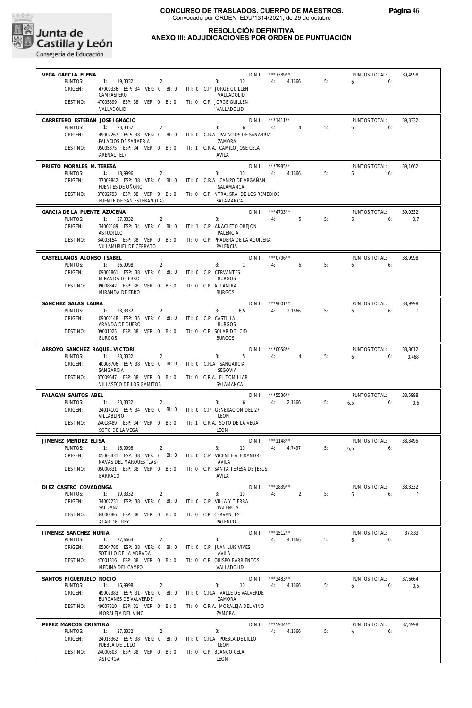

#### **RESOLUCIÓN DEFINITIVA ANEXO III: ADJUDICACIONES POR ORDEN DE PUNTUACIÓN**

| D.N.I.: ***7389**<br>VEGA GARCIA ELENA<br>PUNTOS TOTAL:<br>2:<br>$3: 10 \t 4: 4.1666$<br>5:<br>PUNTOS:<br>1: 19,3332<br>$6 \qquad \qquad$<br>ORIGEN:<br>47000336 ESP: 34 VER: 0 BI: 0 ITI: 0 C.P. JORGE GUILLEN<br>CAMPASPERO<br>VALLADOLID<br>DESTINO:<br>47005899 ESP: 38 VER: 0 BI: 0 ITI: 0 C.P. JORGE GUILLEN<br>VALLADOLID<br>VALLADOLID | 39.4998                         |
|------------------------------------------------------------------------------------------------------------------------------------------------------------------------------------------------------------------------------------------------------------------------------------------------------------------------------------------------|---------------------------------|
|                                                                                                                                                                                                                                                                                                                                                |                                 |
|                                                                                                                                                                                                                                                                                                                                                | 6:                              |
|                                                                                                                                                                                                                                                                                                                                                |                                 |
|                                                                                                                                                                                                                                                                                                                                                |                                 |
|                                                                                                                                                                                                                                                                                                                                                |                                 |
| $D.N.I.:$ ***1411**<br>CARRETERO ESTEBAN JOSE IGNACIO                                                                                                                                                                                                                                                                                          | PUNTOS TOTAL:<br>39.3332        |
| PUNTOS:<br>$\overline{4}$<br>5:<br>$6\qquad \qquad$<br>1: 23,3332<br>2:<br>3:<br>$6\quad$<br>4:<br>ORIGEN:<br>49007267 ESP: 38 VER: 0 BI: 0 ITI: 0 C.R.A. PALACIOS DE SANABRIA                                                                                                                                                                 | 6:                              |
| PALACIOS DE SANABRIA<br>ZAMORA                                                                                                                                                                                                                                                                                                                 |                                 |
| 05005875 ESP: 34 VER: 0 BI: 0<br>ITI: 1 C.R.A. CAMILO JOSE CELA<br>DESTINO:                                                                                                                                                                                                                                                                    |                                 |
| AVILA<br>ARENAL (EL)                                                                                                                                                                                                                                                                                                                           |                                 |
| $D.N.1.:$ ***7985**<br>PRIETO MORALES M. TERESA<br>PUNTOS:<br>1: 18.9996<br>2:<br>3:<br>10 4: 4,1666<br>5:<br>6                                                                                                                                                                                                                                | PUNTOS TOTAL:<br>39,1662<br>6:  |
| ORIGEN:<br>37009842 ESP: 38 VER: 0 BI: 0 ITI: 0 C.R.A. CAMPO DE ARGAÑAN                                                                                                                                                                                                                                                                        |                                 |
| FUENTES DE OÑORO<br>SALAMANCA                                                                                                                                                                                                                                                                                                                  |                                 |
| 37002793 ESP: 38 VER: 0 BI: 0 ITI: 0 C.P. NTRA. SRA. DE LOS REMEDIOS<br>DESTINO:<br>FUENTE DE SAN ESTEBAN (LA)<br>SALAMANCA                                                                                                                                                                                                                    |                                 |
| $D.N.1::$ ***4703**<br>GARCIA DE LA PUENTE AZUCENA                                                                                                                                                                                                                                                                                             | PUNTOS TOTAL:<br>39,0332        |
| PUNTOS:<br>1: 27,3332<br>5 <sub>5</sub><br>5:<br>2:<br>3:<br>4:<br>6                                                                                                                                                                                                                                                                           | 6:<br>0.7                       |
| 34000189 ESP: 34 VER: 0 BI: 0 ITI: 1 C.P. ANACLETO OREJON<br>ORIGEN:<br>ASTUDILLO<br>PAI FNCIA                                                                                                                                                                                                                                                 |                                 |
| 34003154 ESP: 38 VER: 0 BI: 0 ITI: 0 C.P. PRADERA DE LA AGUILERA<br>DESTINO:                                                                                                                                                                                                                                                                   |                                 |
| VILLAMURIEL DE CERRATO<br>PALENCIA                                                                                                                                                                                                                                                                                                             |                                 |
| $D.N.1::$ *** 0706**<br>CASTELLANOS ALONSO ISABEL                                                                                                                                                                                                                                                                                              | PUNTOS TOTAL:<br>38,9998        |
| $3: 1 \t 4:$<br>PUNTOS:<br>5 <sup>5</sup><br>5:<br>1: 26,9998<br>2:<br>6                                                                                                                                                                                                                                                                       | 6:                              |
| ORIGEN:<br>09003861 ESP: 38 VER: 0 BI: 0 ITI: 0 C.P. CERVANTES<br>MIRANDA DE EBRO<br><b>BURGOS</b>                                                                                                                                                                                                                                             |                                 |
| DESTINO:<br>09008342 ESP: 38 VER: 0 BI: 0 ITI: 0 C.P. ALTAMIRA                                                                                                                                                                                                                                                                                 |                                 |
| MIRANDA DE EBRO<br><b>BURGOS</b>                                                                                                                                                                                                                                                                                                               |                                 |
| D.N.I.: ***9001**<br>SANCHEZ SALAS LAURA<br>3:<br>6,5 4: 2,1666<br>5:                                                                                                                                                                                                                                                                          | PUNTOS TOTAL:<br>38,9998<br>6.6 |
| PUNTOS:<br>1: 23,3332<br>2:<br>ORIGEN:<br>09000148 ESP: 35 VER: 0 BI: 0 ITI: 0 C.P. CASTILLA                                                                                                                                                                                                                                                   | $\sim$ 1                        |
| ARANDA DE DUERO<br><b>BURGOS</b>                                                                                                                                                                                                                                                                                                               |                                 |
| 09001025 ESP: 38 VER: 0 BI: 0<br>DESTINO:<br>ITI: 0 C.P. SOLAR DEL CID<br><b>BURGOS</b><br><b>BURGOS</b>                                                                                                                                                                                                                                       |                                 |
| $D.N.1::$ *** 0058**<br>ARROYO SANCHEZ RAQUEL VICTORI                                                                                                                                                                                                                                                                                          | PUNTOS TOTAL:                   |
| PUNTOS:<br>5 <sub>1</sub><br>4:<br>$\overline{4}$<br>5:<br>$6\qquad \qquad$<br>1: 23,3332<br>3:<br>2:                                                                                                                                                                                                                                          | 38,8012<br>6:<br>0,468          |
| ORIGEN:<br>40008706 ESP: 38 VER: 0 BI: 0 ITI: 0 C.R.A. SANGARCIA                                                                                                                                                                                                                                                                               |                                 |
| SANGARCIA<br><b>SEGOVIA</b><br>37009647 ESP: 38 VER: 0 BI: 0<br>ITI: 0 C.R.A. EL TOMILLAR<br>DESTINO:                                                                                                                                                                                                                                          |                                 |
| VILLASECO DE LOS GAMITOS<br>SALAMANCA                                                                                                                                                                                                                                                                                                          |                                 |
| $D.N.1.:$ ***5536**<br>PUNTOS TOTAL:<br>FALAGAN SANTOS ABEL                                                                                                                                                                                                                                                                                    | 38,5998                         |
|                                                                                                                                                                                                                                                                                                                                                |                                 |
| 5:<br>PUNTOS:<br>1: 23,3332<br>2:<br>3:<br>6<br>4: 2,1666                                                                                                                                                                                                                                                                                      | $6.5$ 6:<br>0,6                 |
| ORIGEN:<br>24014101 ESP: 34 VER: 0 BI: 0 ITI: 0 C.P. GENERACION DEL 27<br>VILLABLINO<br>LEON                                                                                                                                                                                                                                                   |                                 |
| 24018489 ESP: 34 VER: 0 BI: 0 ITI: 1 C.R.A. SOTO DE LA VEGA<br>DESTINO:                                                                                                                                                                                                                                                                        |                                 |
| SOTO DE LA VEGA<br>LEON                                                                                                                                                                                                                                                                                                                        |                                 |
| JIMENEZ MENDEZ ELISA<br>D.N.I.: ***1148**                                                                                                                                                                                                                                                                                                      | PUNTOS TOTAL:<br>38,3495        |
| PUNTOS:<br>$-11 -$<br>16,9998<br>2:<br>10<br>4: 4,7497<br>5:<br>3:                                                                                                                                                                                                                                                                             | $6.6 \qquad \qquad 6:$          |
| 05003431 ESP: 38 VER: 0 BI: 0<br>ITI: 0 C.P. VICENTE ALEIXANDRE<br>ORIGEN:<br>NAVAS DEL MARQUES (LAS)<br>AVILA                                                                                                                                                                                                                                 |                                 |
| 05000831 ESP: 38 VER: 0 BI: 0<br>ITI: 0 C.P. SANTA TERESA DE JESUS<br>DESTINO:                                                                                                                                                                                                                                                                 |                                 |
| <b>BARRACO</b><br>AVILA                                                                                                                                                                                                                                                                                                                        |                                 |
| D.N.I.: *** 2839**<br>DIEZ CASTRO COVADONGA                                                                                                                                                                                                                                                                                                    | PUNTOS TOTAL:<br>38,3332        |
| PUNTOS:<br>1: 19,3332<br>4:<br>$\overline{2}$<br>5:<br>2:<br>3:<br>10<br>6<br>ORIGEN:<br>34002231 ESP: 38 VER: 0 BI: 0<br>ITI: 0 C.P. VILLA Y TIERRA                                                                                                                                                                                           | 6:<br>$\sim$ 1                  |
| SALDAÑA<br>PALENCIA                                                                                                                                                                                                                                                                                                                            |                                 |
| DESTINO:<br>34000086 ESP: 38 VER: 0 BI: 0<br>ITI: 0 C.P. CERVANTES<br>ALAR DEL REY<br>PALENCIA                                                                                                                                                                                                                                                 |                                 |
|                                                                                                                                                                                                                                                                                                                                                |                                 |
| D.N.I.: ***1512**<br>JIMENEZ SANCHEZ NURIA<br>5:<br>PUNTOS:<br>1: 27,6664<br>3:<br>4: 4,1666<br>6<br>2:                                                                                                                                                                                                                                        | PUNTOS TOTAL:<br>37,833<br>6:   |
| ORIGEN:<br>05004780 ESP: 38 VER: 0 BI: 0<br>ITI: 0 C.P. JUAN LUIS VIVES                                                                                                                                                                                                                                                                        |                                 |
| SOTILLO DE LA ADRADA<br>AVILA<br>DESTINO:<br>47001316 ESP: 38 VER: 0 BI: 0<br>ITI: 0 C.P. OBISPO BARRIENTOS                                                                                                                                                                                                                                    |                                 |
| MEDINA DEL CAMPO<br>VALLADOLID                                                                                                                                                                                                                                                                                                                 |                                 |
| SANTOS FIGUERUELO ROCIO<br>D.N.I.: ***2483**                                                                                                                                                                                                                                                                                                   | 37,6664<br>PUNTOS TOTAL:        |
| PUNTOS:<br>1: 16,9998<br>5:<br>2:<br>3:<br>10<br>4:<br>4,1666<br>6                                                                                                                                                                                                                                                                             | 0,5<br>6:                       |
| ORIGEN:<br>49007383 ESP: 31 VER: 0 BI: 0<br>ITI: 0 C.R.A. VALLE DE VALVERDE<br>BURGANES DE VALVERDE<br>ZAMORA                                                                                                                                                                                                                                  |                                 |
| 49007310 ESP: 31 VER: 0 BI: 0<br>ITI: 0 C.R.A. MORALEJA DEL VINO<br>DESTINO:                                                                                                                                                                                                                                                                   |                                 |
| MORALEJA DEL VINO<br>ZAMORA                                                                                                                                                                                                                                                                                                                    |                                 |
| $D.N.1::$ ***5944**<br>PEREZ MARCOS CRISTINA                                                                                                                                                                                                                                                                                                   | 37,4998<br>PUNTOS TOTAL:        |
| PUNTOS:<br>1: 27,3332<br>2:<br>3:<br>4:<br>4,1666<br>5:<br>6<br>ORIGEN:<br>24018362 ESP: 38 VER: 0 BI: 0<br>ITI: 0 C.R.A. PUEBLA DE LILLO                                                                                                                                                                                                      | 6:                              |
| PUEBLA DE LILLO<br>LEON<br>24000503 ESP: 38 VER: 0 BI: 0<br>ITI: 0 C.P. BLANCO CELA<br>DESTINO:                                                                                                                                                                                                                                                |                                 |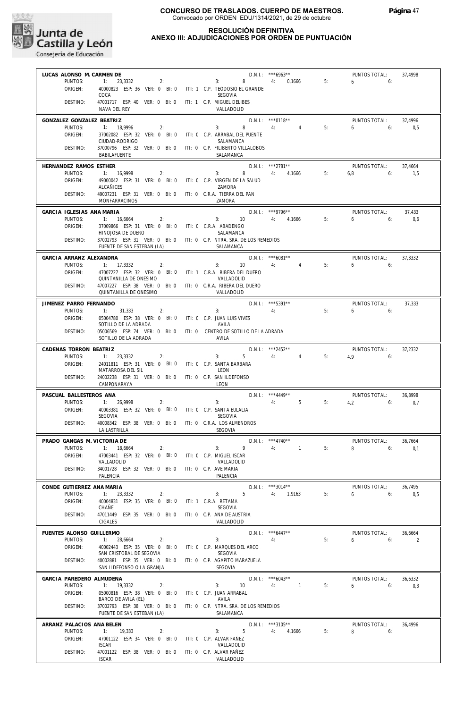

#### **RESOLUCIÓN DEFINITIVA ANEXO III: ADJUDICACIONES POR ORDEN DE PUNTUACIÓN**

| LUCAS ALONSO M. CARMEN DE          |                                                                                             |                                        | $D.N.1::$ ***6963**         |    | PUNTOS TOTAL:               | 37,4998        |
|------------------------------------|---------------------------------------------------------------------------------------------|----------------------------------------|-----------------------------|----|-----------------------------|----------------|
| PUNTOS:                            | 1: 23,3332<br>2:                                                                            | 3: 8: 4: 0,1666                        |                             | 5: | $6\qquad 6:$                |                |
| ORIGEN:                            | 40000823 ESP: 36 VER: 0 BI: 0 ITI: 1 C.P. TEODOSIO EL GRANDE                                |                                        |                             |    |                             |                |
|                                    | COCA                                                                                        | SEGOVIA                                |                             |    |                             |                |
| DESTINO:                           | 47001717 ESP: 40 VER: 0 BI: 0 ITI: 1 C.P. MIGUEL DELIBES                                    |                                        |                             |    |                             |                |
|                                    | NAVA DEL REY                                                                                | VALLADOLID                             |                             |    |                             |                |
| GONZALEZ GONZALEZ BEATRIZ          |                                                                                             |                                        | D.N.I.: *** 0118**          |    | PUNTOS TOTAL:               | 37.4996        |
| PUNTOS:                            | 1: 18,9996<br>2:                                                                            | 3: 8 4: 4                              |                             | 5: | 6 <sub>6</sub>              | 0,5            |
| ORIGEN:                            | 37002082 ESP: 32 VER: 0 BI: 0 ITI: 0 C.P. ARRABAL DEL PUENTE                                |                                        |                             |    |                             |                |
|                                    | CIUDAD-RODRIGO                                                                              | SALAMANCA                              |                             |    |                             |                |
| DESTINO:                           | 37000796 ESP: 32 VER: 0 BI: 0 ITI: 0 C.P. FILIBERTO VILLALOBOS                              |                                        |                             |    |                             |                |
|                                    | BABILAFUENTE                                                                                | SALAMANCA                              |                             |    |                             |                |
|                                    |                                                                                             |                                        |                             |    |                             |                |
| HERNANDEZ RAMOS ESTHER             |                                                                                             | 3: 8 4: 4.1666                         | D.N.I.: ***2781**           |    | PUNTOS TOTAL:<br>$6.8$ $6:$ | 37,4664        |
| PUNTOS:                            | 1: 16.9998<br>2:                                                                            |                                        |                             | 5: |                             | 1,5            |
| ORIGEN:                            | 49000042 ESP: 31 VER: 0 BI: 0 ITI: 0 C.P. VIRGEN DE LA SALUD<br>ALCAÑICES                   | 7AMORA                                 |                             |    |                             |                |
| DESTINO:                           | 49007231 ESP: 31 VER: 0 BI: 0 ITI: 0 C.R.A. TIERRA DEL PAN                                  |                                        |                             |    |                             |                |
|                                    | <b>MONFARRACINOS</b>                                                                        | ZAMORA                                 |                             |    |                             |                |
|                                    |                                                                                             |                                        |                             |    |                             |                |
| GARCIA IGLESIAS ANA MARIA          |                                                                                             |                                        | $D.N.1.:$ ***9796**         |    | PUNTOS TOTAL:               | 37.433         |
| PUNTOS:                            | $1: 16,6664$ 2:                                                                             | 3: $10$ 4: $4.1666$                    |                             | 5: | 655                         | 0,6            |
| ORIGEN:                            | 37009866 ESP: 31 VER: 0 BI: 0 ITI: 0 C.R.A. ABADENGO                                        |                                        |                             |    |                             |                |
|                                    | hinojosa de duero                                                                           | SALAMANCA                              |                             |    |                             |                |
| DESTINO:                           | 37002793 ESP: 31 VER: 0 BI: 0 ITI: 0 C.P. NTRA. SRA. DE LOS REMEDIOS                        |                                        |                             |    |                             |                |
|                                    | FUENTE DE SAN ESTEBAN (LA)                                                                  | SALAMANCA                              |                             |    |                             |                |
| GARCIA ARRANZ ALEXANDRA            |                                                                                             |                                        | $D.N.1::$ *** 6081**        |    | PUNTOS TOTAL:               | 37,3332        |
| PUNTOS:                            | $1: 17,3332$ 2:                                                                             | 10<br>3:                               | 4:<br>$\overline{4}$        | 5: | $6\qquad 6$                 |                |
| ORIGEN:                            | 47007227 ESP: 32 VER: 0 BI: 0 ITI: 1 C.R.A. RIBERA DEL DUERO                                |                                        |                             |    |                             |                |
|                                    | QUINTANILLA DE ONESIMO                                                                      | VALLADOLID                             |                             |    |                             |                |
| DESTINO:                           | 47007227 ESP: 38 VER: 0 BI: 0 ITI: 0 C.R.A. RIBERA DEL DUERO                                |                                        |                             |    |                             |                |
|                                    | QUINTANILLA DE ONESIMO                                                                      | VALLADOLID                             |                             |    |                             |                |
|                                    |                                                                                             |                                        |                             |    |                             |                |
| JIMENEZ PARRO FERNANDO             |                                                                                             |                                        | $D.N.1.:$ ***5391**         |    | PUNTOS TOTAL:               | 37,333         |
| PUNTOS:                            | $1: 31,333$ 2:                                                                              | 4:<br>3:                               |                             | 5: | $6\qquad 6$                 |                |
| ORIGEN:                            | 05004780 ESP: 38 VER: 0 BI: 0 ITI: 0 C.P. JUAN LUIS VIVES                                   |                                        |                             |    |                             |                |
| DESTINO:                           | SOTILLO DE LA ADRADA<br>05006569 ESP: 74 VER: 0 BI: 0 ITI: 0 CENTRO DE SOTILLO DE LA ADRADA | AVILA                                  |                             |    |                             |                |
|                                    | SOTILLO DE LA ADRADA                                                                        | AVILA                                  |                             |    |                             |                |
|                                    |                                                                                             |                                        |                             |    |                             |                |
| CADENAS TORRON BEATRIZ             |                                                                                             |                                        | D.N.I.: ***2452**           |    | PUNTOS TOTAL:               | 37,2332        |
| PUNTOS:                            | 1: 23,3332<br>2:                                                                            | $3: 5 \t 4: 4$                         |                             | 5: | $4.9$ 6:                    |                |
|                                    |                                                                                             |                                        |                             |    |                             |                |
| ORIGEN:                            | 24011811 ESP: 31 VER: 0 BI: 0 ITI: 0 C.P. SANTA BARBARA                                     |                                        |                             |    |                             |                |
|                                    | MATARROSA DEL SIL                                                                           | LEON                                   |                             |    |                             |                |
| DESTINO:                           | 24002238 ESP: 31 VER: 0 BI: 0 ITI: 0 C.P. SAN ILDEFONSO                                     |                                        |                             |    |                             |                |
|                                    | CAMPONARAYA                                                                                 | LEON                                   |                             |    |                             |                |
|                                    |                                                                                             |                                        |                             |    |                             |                |
| PASCUAL BALLESTEROS ANA<br>PUNTOS: | 1: 26,9998<br>2:                                                                            | 3:                                     | $D.N.1.:$ ***4449**<br>4: 5 | 5: | PUNTOS TOTAL:<br>$4.2$ 6:   | 36,8998        |
|                                    |                                                                                             |                                        |                             |    |                             | 0,7            |
| ORIGEN:                            | 40003381 ESP: 32 VER: 0 BI: 0 ITI: 0 C.P. SANTA EULALIA<br>SEGOVIA                          | <b>SEGOVIA</b>                         |                             |    |                             |                |
| DESTINO:                           | 40008342 ESP: 38 VER: 0 BI: 0 ITI: 0 C.R.A. LOS ALMENDROS                                   |                                        |                             |    |                             |                |
|                                    | LA LASTRILLA                                                                                | SEGOVIA                                |                             |    |                             |                |
|                                    |                                                                                             |                                        |                             |    |                             |                |
| PRADO GANGAS M. VICTORIA DE        |                                                                                             |                                        | $D.N.1.:$ ***4740**         |    | PUNTOS TOTAL:               | 36,7664        |
|                                    | PUNTOS: 1: 18,6664<br>2:                                                                    | $9 \t\t 4$ :<br>3:                     | $\sim$ 1                    | 5: | $8$ 6:                      | 0,1            |
| ORIGEN:                            | 47003441 ESP: 32 VER: 0 BI: 0                                                               | ITI: 0 C.P. MIGUEL ISCAR               |                             |    |                             |                |
|                                    | VALLADOLID<br>34001728 ESP: 32 VER: 0 BI: 0                                                 | VALLADOLID<br>ITI: 0 C.P. AVE MARIA    |                             |    |                             |                |
| DESTINO:                           | PALENCIA                                                                                    | PALENCIA                               |                             |    |                             |                |
|                                    |                                                                                             |                                        |                             |    |                             |                |
| CONDE GUTIERREZ ANA MARIA          |                                                                                             |                                        | $D.N.1.:$ ***3014**         |    | PUNTOS TOTAL:               | 36,7495        |
| PUNTOS:                            | 1:<br>23,3332<br>2:                                                                         | $5 -$<br>3:                            | 4: 1,9163                   | 5: | 6<br>6:                     | 0,5            |
| ORIGEN:                            | 40004831 ESP: 35 VER: 0 BI: 0                                                               | ITI: 1 C.R.A. RETAMA                   |                             |    |                             |                |
|                                    | CHAÑE                                                                                       | SEGOVIA                                |                             |    |                             |                |
| DESTINO:                           | 47011449 ESP: 35 VER: 0 BI: 0                                                               | ITI: 0 C.P. ANA DE AUSTRIA             |                             |    |                             |                |
|                                    | CIGALES                                                                                     | VALLADOLID                             |                             |    |                             |                |
| FUENTES ALONSO GUILLERMO           |                                                                                             |                                        | $D.N.1::$ *** 6447**        |    | PUNTOS TOTAL:               | 36,6664        |
| PUNTOS:                            | 1: 28,6664<br>2:                                                                            | 3:                                     | 4:                          | 5: | 6<br>6:                     | $\overline{2}$ |
| ORIGEN:                            | 40002443 ESP: 35 VER: 0 BI: 0                                                               | ITI: 0 C.P. MARQUES DEL ARCO           |                             |    |                             |                |
|                                    | SAN CRISTOBAL DE SEGOVIA                                                                    | SEGOVIA                                |                             |    |                             |                |
| DESTINO:                           | 40002881 ESP: 35 VER: 0 BI: 0                                                               | ITI: 0 C.P. AGAPITO MARAZUELA          |                             |    |                             |                |
|                                    | SAN ILDEFONSO O LA GRANJA                                                                   | SEGOVIA                                |                             |    |                             |                |
| GARCIA PAREDERO ALMUDENA           |                                                                                             |                                        | $D.N.1::$ *** 6043**        |    | PUNTOS TOTAL:               | 36,6332        |
| PUNTOS:                            | 1: 19,3332<br>2:                                                                            | 3:<br>10                               | 4:<br>$\sim$ 1              | 5: | 6                           | 0,3            |
| ORIGEN:                            | 05000816 ESP: 38 VER: 0 BI: 0                                                               | ITI: 0 C.P. JUAN ARRABAL               |                             |    | 6:                          |                |
|                                    | BARCO DE AVILA (EL)                                                                         | AVILA                                  |                             |    |                             |                |
| DESTINO:                           | 37002793 ESP: 38 VER: 0 BI: 0                                                               | ITI: 0 C.P. NTRA. SRA. DE LOS REMEDIOS |                             |    |                             |                |
|                                    | FUENTE DE SAN ESTEBAN (LA)                                                                  | SALAMANCA                              |                             |    |                             |                |
|                                    |                                                                                             |                                        |                             |    |                             |                |
| ARRANZ PALACIOS ANA BELEN          |                                                                                             |                                        | D.N.I.: ***3105**           |    | PUNTOS TOTAL:               | 36,4996        |
| PUNTOS:                            | 1:<br>19,333<br>2:                                                                          | 5<br>3:                                | 4:<br>4,1666                | 5: | 8<br>6:                     |                |
| ORIGEN:                            | 47001122 ESP: 34 VER: 0 BI: 0                                                               | ITI: 0 C.P. ALVAR FAÑEZ                |                             |    |                             |                |
| DESTINO:                           | <b>ISCAR</b><br>47001122 ESP: 38 VER: 0 BI: 0                                               | VALLADOLID<br>ITI: 0 C.P. ALVAR FAÑEZ  |                             |    |                             |                |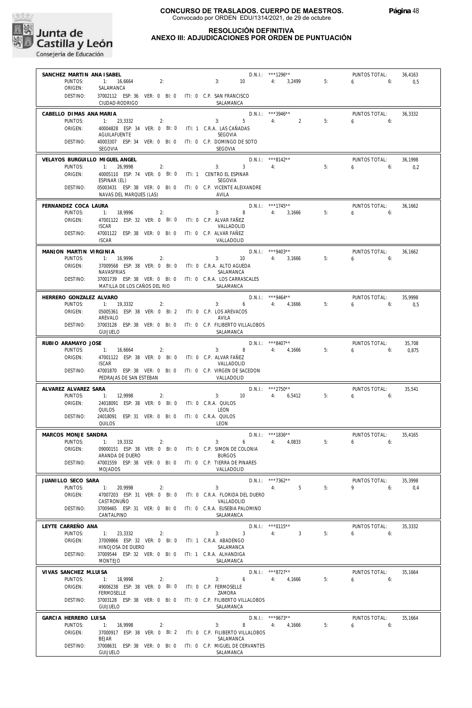

**RESOLUCIÓN DEFINITIVA**

### **ANEXO III: ADJUDICACIONES POR ORDEN DE PUNTUACIÓN**

| SANCHEZ MARTIN ANA ISABEL<br>PUNTOS: | $1: 16,6664$ 2:                                                                     |                              | D.N.I.: ***1296**<br>3: 10 4: 3,2499 5:       |                                    |    | PUNTOS TOTAL:<br>$6\qquad 6$  | 36,4163<br>0,5 |
|--------------------------------------|-------------------------------------------------------------------------------------|------------------------------|-----------------------------------------------|------------------------------------|----|-------------------------------|----------------|
| ORIGEN:                              | SALAMANCA                                                                           |                              |                                               |                                    |    |                               |                |
| DESTINO:                             | 37002112 ESP: 36 VER: 0 BI: 0 ITI: 0 C.P. SAN FRANCISCO<br>CIUDAD-RODRIGO           |                              | SALAMANCA                                     |                                    |    |                               |                |
| CABELLO DIMAS ANA MARIA              |                                                                                     |                              |                                               |                                    |    | PUNTOS TOTAL:                 | 36,3332        |
| PUNTOS:<br>ORIGEN:                   | 1: 23,3332<br>2:<br>40004828 ESP: 34 VER: 0 BI: 0 ITI: 1 C.R.A. LAS CAÑADAS         |                              | $D.N.I.:$ ***3946**<br>3: 5 4: 2 5:           |                                    | 5: | $6\qquad 6:$                  |                |
|                                      | AGUILAFUENTE                                                                        |                              | <b>SEGOVIA</b>                                |                                    |    |                               |                |
| DESTINO:                             | 40003307 ESP: 34 VER: 0 BI: 0 ITI: 0 C.P. DOMINGO DE SOTO<br>SEGOVIA                |                              | SEGOVIA                                       |                                    |    |                               |                |
| VELAYOS BURGUILLO MIGUEL ANGEL       | $\overline{2}$ :                                                                    |                              | $2.19.11.$ $8142.7$<br>3: 3 4:                | $D.N.I.:$ ***8142**                |    | PUNTOS TOTAL:                 | 36,1998        |
| PUNTOS:<br>ORIGEN:                   | 1: 26,9998<br>40005110 ESP: 74 VER: 0 BI: 0 ITI: 1 CENTRO EL ESPINAR                |                              |                                               |                                    | 5: | 6. 6. 0,2                     |                |
| DESTINO:                             | ESPINAR (EL)<br>05003431 ESP: 38 VER: 0 BI: 0 ITI: 0 C.P. VICENTE ALEIXANDRE        |                              | SEGOVIA                                       |                                    |    |                               |                |
|                                      | NAVAS DEL MARQUES (LAS)                                                             |                              | AVILA                                         |                                    |    |                               |                |
| FERNANDEZ COCA LAURA<br>PUNTOS:      | 1: 18,9996<br>2:                                                                    |                              | 3: 8 $4: 3,1666$ 5:                           | $D.N.1.:$ ***1745**                |    | PUNTOS TOTAL:<br>$6\qquad 6$  | 36,1662        |
| ORIGEN:                              | 47001122 ESP: 32 VER: 0 BI: 0 ITI: 0 C.P. ALVAR FAÑEZ                               |                              |                                               |                                    |    |                               |                |
| DESTINO:                             | <b>ISCAR</b><br>47001122 ESP: 38 VER: 0 BI: 0 ITI: 0 C.P. ALVAR FAÑEZ               |                              | VALLADOLID                                    |                                    |    |                               |                |
|                                      | <b>ISCAR</b>                                                                        |                              | VALLADOLID                                    |                                    |    |                               |                |
| MANJON MARTIN VIRGINIA<br>PUNTOS:    | $1: 16,9996$ 2:                                                                     |                              | 3: $10$ 4: 3,1666                             | $D.N.1.:$ ***9403**                | 5: | PUNTOS TOTAL:<br>$6\qquad 6$  | 36.1662        |
| ORIGEN:                              | 37009568 ESP: 38 VER: 0 BI: 0 ITI: 0 C.R.A. ALTO AGUEDA<br>NAVASFRIAS               |                              | SAI AMANCA                                    |                                    |    |                               |                |
| DESTINO:                             | 37001739 ESP: 38 VER: 0 BI: 0 ITI: 0 C.R.A. LOS CARRASCALES                         |                              |                                               |                                    |    |                               |                |
|                                      | MATILLA DE LOS CAÑOS DEL RIO                                                        |                              | SALAMANCA                                     |                                    |    |                               |                |
| HERRERO GONZALEZ ALVARO<br>PUNTOS:   | 1: 19,3332<br>2:                                                                    |                              | 3: 6 $4: 4.1666$ 5:                           | $D.N.1.:$ ***9464**                |    | PUNTOS TOTAL:<br>$6 \t\t 6$   | 35.9998<br>0.5 |
| ORIGEN:                              | 05005361 ESP: 38 VER: 0 BI: 2 ITI: 0 C.P. LOS AREVACOS<br>AREVALO                   |                              | AVILA                                         |                                    |    |                               |                |
| DESTINO:                             | 37003128 ESP: 38 VER: 0 BI: 0 ITI: 0 C.P. FILIBERTO VILLALOBOS<br>GUIJUELO          |                              | SALAMANCA                                     |                                    |    |                               |                |
| RUBIO ARAMAYO JOSE                   |                                                                                     |                              |                                               | $D.N.1.:$ ***8407**                |    | PUNTOS TOTAL:                 | 35,708         |
| PUNTOS:<br>ORIGEN:                   | 1: 16,6664<br>2:<br>47001122 ESP: 38 VER: 0 BI: 0 ITI: 0 C.P. ALVAR FAÑEZ           |                              | $3: 8 \t 4: 4,1666$                           |                                    | 5: | $6\qquad 6$                   | 0,875          |
| DESTINO:                             | <b>ISCAR</b><br>47001870 ESP: 38 VER: 0 BI: 0 ITI: 0 C.P. VIRGEN DE SACEDON         |                              | VALLADOLID                                    |                                    |    |                               |                |
|                                      | PEDRAJAS DE SAN ESTEBAN                                                             |                              | VALLADOLID                                    |                                    |    |                               |                |
| ALVAREZ ALVAREZ SARA<br>PUNTOS:      | 1: 12,9998<br>2:                                                                    |                              | 3: 10 4: $6,5412$ 5:                          | D.N.I.: ***2750**                  |    | PUNTOS TOTAL:<br>$6$ 6:       | 35,541         |
| ORIGEN:                              | 24018091 ESP: 38 VER: 0 BI: 0 ITI: 0 C.R.A. QUILOS                                  |                              |                                               |                                    |    |                               |                |
| DESTINO:                             | QUILOS<br>24018091 ESP: 31 VER: 0 BI: 0 ITI: 0 C.R.A. QUILOS                        |                              | LEON                                          |                                    |    |                               |                |
|                                      | QUILOS                                                                              |                              | LEON                                          |                                    |    |                               |                |
| MARCOS MONJE SANDRA                  | PUNTOS: 1: 19.3332<br>2:                                                            |                              | 3:                                            | $D.N.1.:$ ***1836**<br>6 4: 4,0833 | 5: | PUNTOS TOTAL:<br>6.6          | 35,4165        |
| ORIGEN:                              | 09000151 ESP: 38 VER: 0 BI: 0 ITI: 0 C.P. SIMON DE COLONIA<br>ARANDA DE DUERO       |                              | <b>BURGOS</b>                                 |                                    |    |                               |                |
| DESTINO:                             | 47001559 ESP: 38 VER: 0 BI: 0 ITI: 0 C.P. TIERRA DE PINARES                         |                              |                                               |                                    |    |                               |                |
| JUANILLO SECO SARA                   | MOJADOS                                                                             |                              | VALLADOLID                                    | D.N.I.: ***7362**                  |    | PUNTOS TOTAL:                 | 35,3998        |
| PUNTOS:                              | 1: 20,9998<br>2:                                                                    | 3:                           |                                               | 5 <sub>5</sub><br>4:               | 5: | 9<br>6:                       | 0,4            |
| ORIGEN:                              | 47007203 ESP: 31 VER: 0 BI: 0 ITI: 0 C.R.A. FLORIDA DEL DUERO<br>CASTRONUÑO         |                              | VALLADOLID                                    |                                    |    |                               |                |
| DESTINO:                             | 37009465 ESP: 31 VER: 0 BI: 0 ITI: 0 C.R.A. EUSEBIA PALOMINO<br>CANTALPINO          |                              | SALAMANCA                                     |                                    |    |                               |                |
| LEYTE CARREÑO ANA                    |                                                                                     |                              |                                               | $D.N.1::***0115***$                |    | PUNTOS TOTAL:                 | 35,3332        |
| PUNTOS:<br>ORIGEN:                   | 1: 23,3332<br>2:<br>37009866 ESP: 32 VER: 0 BI: 0                                   | 3:<br>ITI: 1 C.R.A. ABADENGO | 3                                             | 4:<br>$\overline{3}$               | 5: | 6<br>6:                       |                |
|                                      | HINOJOSA DE DUERO                                                                   |                              | SALAMANCA                                     |                                    |    |                               |                |
| DESTINO:                             | 37009544 ESP: 32 VER: 0 BI: 0<br><b>MONTEJO</b>                                     | ITI: 1 C.R.A. ALHANDIGA      | SALAMANCA                                     |                                    |    |                               |                |
| VIVAS SANCHEZ M.LUISA                |                                                                                     |                              |                                               | D.N.I.: ***8727**                  |    | PUNTOS TOTAL:                 | 35,1664        |
| PUNTOS:<br>ORIGEN:                   | 1: 18,9998<br>2:<br>49006238 ESP: 38 VER: 0 BI: 0                                   | 3:<br>ITI: 0 C.P. FERMOSELLE | 6                                             | 4: 4,1666                          | 5: | $6 \qquad$<br>6:              |                |
| DESTINO:                             | <b>FERMOSELLE</b><br>37003128 ESP: 38 VER: 0 BI: 0 ITI: 0 C.P. FILIBERTO VILLALOBOS |                              | ZAMORA                                        |                                    |    |                               |                |
|                                      | <b>GUIJUELO</b>                                                                     |                              | SALAMANCA                                     |                                    |    |                               |                |
| GARCIA HERRERO LUISA<br>PUNTOS:      | 1: 16,9998<br>2:                                                                    | 3:                           | 8                                             | $D.N.1::$ ***9673**<br>4: 4,1666   | 5: | PUNTOS TOTAL:<br>$6 \t\t\t 6$ | 35,1664        |
| ORIGEN:                              | 37000917 ESP: 38 VER: 0 BI: 2<br>BEJAR                                              |                              | ITI: 0 C.P. FILIBERTO VILLALOBOS<br>SALAMANCA |                                    |    |                               |                |
| DESTINO:                             | 37008631 ESP: 38 VER: 0 BI: 0                                                       |                              | ITI: 0 C.P. MIGUEL DE CERVANTES               |                                    |    |                               |                |
|                                      | <b>GUIJUELO</b>                                                                     |                              | SALAMANCA                                     |                                    |    |                               |                |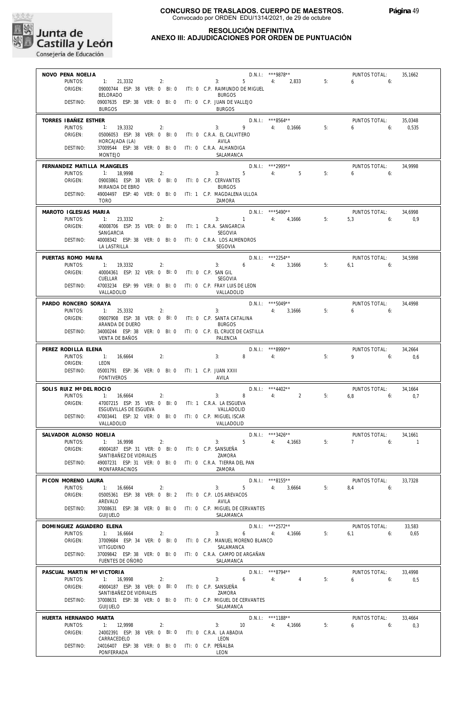

**RESOLUCIÓN DEFINITIVA**

### **ANEXO III: ADJUDICACIONES POR ORDEN DE PUNTUACIÓN**

| NOVO PENA NOELIA            |                                                                              |                                                                             | D.N.I.: ***9878**    |    | PUNTOS TOTAL: | 35,1662        |
|-----------------------------|------------------------------------------------------------------------------|-----------------------------------------------------------------------------|----------------------|----|---------------|----------------|
| PUNTOS:                     | $1: 21,3332$ 2:                                                              | $3: 5 \t 4: 2,833 \t 5:$                                                    |                      |    | $6\qquad 6$   |                |
| ORIGEN:                     |                                                                              | 09000744 ESP: 38 VER: 0 BI: 0 ITI: 0 C.P. RAIMUNDO DE MIGUEL                |                      |    |               |                |
|                             | <b>BELORADO</b>                                                              | <b>BURGOS</b>                                                               |                      |    |               |                |
| DESTINO:                    | 09007635 ESP: 38 VER: 0 BI: 0 ITI: 0 C.P. JUAN DE VALLEJO                    |                                                                             |                      |    |               |                |
|                             | <b>BURGOS</b>                                                                | <b>BURGOS</b>                                                               |                      |    |               |                |
| TORRES IBAÑEZ ESTHER        |                                                                              |                                                                             | D.N.I.: ***8564**    |    | PUNTOS TOTAL: | 35,0348        |
| PUNTOS:                     | 1: 19,3332<br>2:                                                             | 3: $9$ 4: 0,1666 5:                                                         |                      |    | 6.61          | 0.535          |
| ORIGEN:                     | 05006053 ESP: 38 VER: 0 BI: 0 ITI: 0 C.R.A. EL CALVITERO                     |                                                                             |                      |    |               |                |
|                             | HORCAJADA (LA)                                                               | AVILA                                                                       |                      |    |               |                |
| DESTINO:                    | 37009544 ESP: 38 VER: 0 BI: 0 ITI: 0 C.R.A. ALHANDIGA<br><b>MONTEJO</b>      |                                                                             |                      |    |               |                |
|                             |                                                                              | SALAMANCA                                                                   |                      |    |               |                |
| FERNANDEZ MATILLA M.ANGELES |                                                                              | $D.N.I.:$ ***2995**                                                         |                      |    | PUNTOS TOTAL: | 34.9998        |
| PUNTOS:                     | 1: 18,9998<br>2:                                                             | $3: 5$ 4: $5$ 5:                                                            |                      |    | $6\qquad 6$   |                |
| ORIGEN:                     | 09003861 ESP: 38 VER: 0 BI: 0 ITI: 0 C.P. CERVANTES                          |                                                                             |                      |    |               |                |
| DESTINO:                    | MIRANDA DE EBRO<br>49004497 ESP: 40 VER: 0 BI: 0 ITI: 1 C.P. MAGDALENA ULLOA | <b>BURGOS</b>                                                               |                      |    |               |                |
|                             | <b>TORO</b>                                                                  | ZAMORA                                                                      |                      |    |               |                |
|                             |                                                                              |                                                                             |                      |    |               |                |
| MAROTO IGLESIAS MARIA       |                                                                              |                                                                             | $D.N.1.:$ ***5490**  |    | PUNTOS TOTAL: | 34,6998        |
| PUNTOS:                     | 1: 23,3332<br>2:                                                             | $3: 1 \t 4: 4.1666 \t 5:$                                                   |                      |    | $5,3$ 6:      | 0,9            |
| ORIGEN:                     | 40008706 ESP: 35 VER: 0 BI: 0 ITI: 1 C.R.A. SANGARCIA<br>SANGARCIA           | <b>SEGOVIA</b>                                                              |                      |    |               |                |
| DESTINO:                    | 40008342 ESP: 38 VER: 0 BI: 0 ITI: 0 C.R.A. LOS ALMENDROS                    |                                                                             |                      |    |               |                |
|                             | LA LASTRILLA                                                                 | SEGOVIA                                                                     |                      |    |               |                |
|                             |                                                                              |                                                                             |                      |    |               |                |
| PUERTAS ROMO MAIRA          | 1: 19.3332                                                                   | $3: 6 \t 4: 3,1666$                                                         | $D.N.1.:$ ***2254**  | 5: | PUNTOS TOTAL: | 34,5998        |
| PUNTOS:<br>ORIGEN:          | 2:<br>40004361 ESP: 32 VER: 0 BI: 0 ITI: 0 C.P. SAN GIL                      |                                                                             |                      |    | $6.1$ $6:$    |                |
|                             | CUELLAR                                                                      | <b>SEGOVIA</b>                                                              |                      |    |               |                |
| DESTINO:                    | 47003234 ESP: 99 VER: 0 BI: 0 ITI: 0 C.P. FRAY LUIS DE LEON                  |                                                                             |                      |    |               |                |
|                             | VALLADOLID                                                                   | VALLADOLID                                                                  |                      |    |               |                |
| PARDO RONCERO SORAYA        |                                                                              |                                                                             | $D.N.1.:$ ***5049**  |    | PUNTOS TOTAL: | 34.4998        |
| PUNTOS:                     | 1: 25,3332<br>2:                                                             | 3:                                                                          | 4: 3,1666            | 5: | $6\qquad 6$   |                |
| ORIGEN:                     | 09007908 ESP: 38 VER: 0 BI: 0 ITI: 0 C.P. SANTA CATALINA                     |                                                                             |                      |    |               |                |
|                             | ARANDA DE DUERO                                                              | <b>BURGOS</b>                                                               |                      |    |               |                |
| DESTINO:                    |                                                                              | 34000244 ESP: 38 VER: 0 BI: 0 ITI: 0 C.P. EL CRUCE DE CASTILLA              |                      |    |               |                |
|                             | VENTA DE BAÑOS                                                               | PALENCIA                                                                    |                      |    |               |                |
| PEREZ RODILLA ELENA         |                                                                              |                                                                             | D.N.I.: ***8990**    |    | PUNTOS TOTAL: | 34,2664        |
| PUNTOS:                     | 1: 16,6664<br>2:                                                             | 3:                                                                          | 8 4:                 | 5: | $9 \t\t 6$    | 0.6            |
| ORIGEN:                     | LEON                                                                         |                                                                             |                      |    |               |                |
| DESTINO:                    | 05001791 ESP: 36 VER: 0 BI: 0 ITI: 1 C.P. JUAN XXIII                         |                                                                             |                      |    |               |                |
|                             | <b>FONTIVEROS</b>                                                            | AVILA                                                                       |                      |    |               |                |
| SOLIS RUIZ Mª DEL ROCIO     |                                                                              |                                                                             | $D.N.1.:$ ***4402**  |    | PUNTOS TOTAL: | 34,1664        |
| PUNTOS:                     | 2:<br>1: 16,6664                                                             | 3: 8                                                                        | 4:<br>$\overline{2}$ | 5: | $6,8$ 6:      | 0,7            |
| ORIGEN:                     | 47007215 ESP: 35 VER: 0 BI: 0 ITI: 1 C.R.A. LA ESGUEVA                       |                                                                             |                      |    |               |                |
|                             | ESGUEVILLAS DE ESGUEVA                                                       | VALLADOLID                                                                  |                      |    |               |                |
| DESTINO:                    | 47003441 ESP: 32 VER: 0 BI: 0 ITI: 0 C.P. MIGUEL ISCAR                       |                                                                             |                      |    |               |                |
|                             | VALLADOLID                                                                   | VALLADOLID                                                                  |                      |    |               |                |
| SALVADOR ALONSO NOELIA      |                                                                              |                                                                             | D.N.I.: ***3426**    |    | PUNTOS TOTAL: | 34,1661        |
| PUNTOS:                     | 1: 16,9998<br>2:                                                             | $3: 5 \t 4: 4.1663$                                                         |                      | 5: | 7<br>6:       | $\overline{1}$ |
| ORIGEN:                     | 49004187 ESP: 31 VER: 0 BI: 0 ITI: 0 C.P. SANSUEÑA                           |                                                                             |                      |    |               |                |
|                             | SANTIBAÑEZ DE VIDRIALES                                                      | ZAMORA                                                                      |                      |    |               |                |
| DESTINO:                    | 49007231 ESP: 31 VER: 0 BI: 0 ITI: 0 C.R.A. TIERRA DEL PAN                   | ZAMORA                                                                      |                      |    |               |                |
|                             | MONFARRACINOS                                                                |                                                                             |                      |    |               |                |
| PICON MORENO LAURA          |                                                                              |                                                                             | $D.N.1.:$ ***8155**  |    | PUNTOS TOTAL: | 33,7328        |
| PUNTOS:                     | 1: 16,6664<br>2:                                                             | $5 -$<br>3:                                                                 | 4: 3,6664            | 5: | $8.4$ 6:      |                |
| ORIGEN:                     | 05005361 ESP: 38 VER: 0 BI: 2                                                | ITI: 0 C.P. LOS AREVACOS                                                    |                      |    |               |                |
| DESTINO:                    | AREVALO                                                                      | AVILA<br>37008631 ESP: 38 VER: 0 BI: 0 ITI: 0 C.P. MIGUEL DE CERVANTES      |                      |    |               |                |
|                             | <b>GUIJUELO</b>                                                              | SALAMANCA                                                                   |                      |    |               |                |
|                             |                                                                              |                                                                             |                      |    |               |                |
| DOMINGUEZ AGUADERO ELENA    |                                                                              |                                                                             | D.N.I.: ***2572**    |    | PUNTOS TOTAL: | 33,583         |
| PUNTOS:                     | 1: 16,6664<br>2:                                                             | 3:<br>$6\quad$                                                              | 4: 4,1666            | 5: | $6,1$ 6:      | 0,65           |
| ORIGEN:                     | VITIGUDINO                                                                   | 37009684 ESP: 34 VER: 0 BI: 0 ITI: 0 C.P. MANUEL MORENO BLANCO<br>SALAMANCA |                      |    |               |                |
| DESTINO:                    |                                                                              | 37009842 ESP: 38 VER: 0 BI: 0 ITI: 0 C.R.A. CAMPO DE ARGAÑAN                |                      |    |               |                |
|                             | FUENTES DE OÑORO                                                             | SALAMANCA                                                                   |                      |    |               |                |
| PASCUAL MARTIN Mª VICTORIA  |                                                                              |                                                                             | D.N.I.: ***8794**    |    | PUNTOS TOTAL: | 33,4998        |
| PUNTOS:                     | $1: 16,9998$ 2:                                                              | 3: 6                                                                        | 4:<br>$\overline{4}$ | 5: | $6\qquad 6$   | 0.5            |
| ORIGEN:                     | 49004187 ESP: 38 VER: 0 BI: 0 ITI: 0 C.P. SANSUEÑA                           |                                                                             |                      |    |               |                |
|                             | SANTIBAÑEZ DE VIDRIALES                                                      | ZAMORA                                                                      |                      |    |               |                |
| DESTINO:                    |                                                                              | 37008631 ESP: 38 VER: 0 BI: 0 ITI: 0 C.P. MIGUEL DE CERVANTES               |                      |    |               |                |
|                             | GUIJUELO                                                                     | SALAMANCA                                                                   |                      |    |               |                |
| HUERTA HERNANDO MARTA       |                                                                              |                                                                             | D.N.I.: ***1188**    |    | PUNTOS TOTAL: | 33,4664        |
|                             |                                                                              |                                                                             |                      |    |               |                |
|                             |                                                                              | 10                                                                          |                      |    |               |                |
| PUNTOS:<br>ORIGEN:          | 1: 12,9998<br>2:<br>24002391 ESP: 38 VER: 0 BI: 0 ITI: 0 C.R.A. LA ABADIA    | 3:                                                                          | 4: 4,1666            | 5: | $6 \t\t 6$    | 0,3            |
|                             | CARRACEDELO                                                                  | LEON                                                                        |                      |    |               |                |
| DESTINO:                    | 24016407 ESP: 38 VER: 0 BI: 0 ITI: 0 C.P. PEÑALBA<br>PONFERRADA              | LEON                                                                        |                      |    |               |                |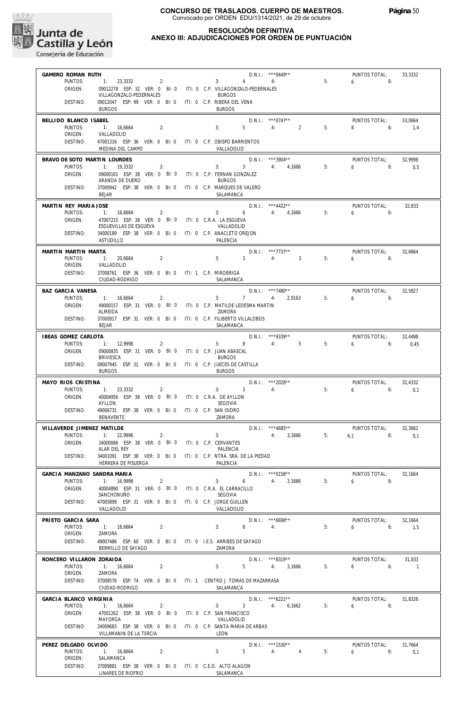

**RESOLUCIÓN DEFINITIVA**

### **ANEXO III: ADJUDICACIONES POR ORDEN DE PUNTUACIÓN**

|                                 |                                                                   |                                  | $D.N.1::$ ***9449**                  |    |                             |                |
|---------------------------------|-------------------------------------------------------------------|----------------------------------|--------------------------------------|----|-----------------------------|----------------|
| GAMERO ROMAN RUTH<br>PUNTOS:    | 1: 23,3332<br>2:                                                  | 4 <sup>1</sup><br>3:             | 4:                                   | 5: | PUNTOS TOTAL:<br>$6 \t\t 6$ | 33,3332        |
| ORIGEN:                         | 09012278 ESP: 32 VER: 0 BI: 0 ITI: 0 C.P. VILLAGONZALO-PEDERNALES |                                  |                                      |    |                             |                |
|                                 | VILLAGONZALO-PEDERNALES                                           | <b>BURGOS</b>                    |                                      |    |                             |                |
| DESTINO:                        | 09012047 ESP: 99 VER: 0 BI: 0 ITI: 0 C.P. RIBERA DEL VENA         |                                  |                                      |    |                             |                |
|                                 | <b>BURGOS</b>                                                     | <b>BURGOS</b>                    |                                      |    |                             |                |
| BELLIDO BLANCO ISABEL           |                                                                   |                                  | $D.N.1::$ *** 0747**                 |    | PUNTOS TOTAL:               | 33.0664        |
| PUNTOS:                         | 1: 16.6664<br>2:                                                  | 3:                               | $5 \qquad \qquad 4: \qquad \qquad 2$ | 5: | $8 \t\t 6$                  | 1,4            |
| ORIGEN:                         | VALLADOLID                                                        |                                  |                                      |    |                             |                |
| DESTINO:                        | 47001316 ESP: 36 VER: 0 BI: 0 ITI: 0 C.P. OBISPO BARRIENTOS       |                                  |                                      |    |                             |                |
|                                 | MEDINA DEL CAMPO                                                  | VALLADOLID                       |                                      |    |                             |                |
| BRAVO DE SOTO MARTIN LOURDES    |                                                                   |                                  | D.N.I.: ***3904**                    |    | PUNTOS TOTAL:               | 32.9998        |
| PUNTOS:                         | 1: 19,3332<br>2:                                                  | 3:                               | $3 \t 4: 4,1666$                     | 5: | $6\qquad 6$                 | 0.5            |
| ORIGEN:                         | 09000161 ESP: 38 VER: 0 BI: 0 ITI: 0 C.P. FERNAN GONZALEZ         |                                  |                                      |    |                             |                |
|                                 | ARANDA DE DUERO                                                   | <b>BURGOS</b>                    |                                      |    |                             |                |
| DESTINO:                        | 37000942 ESP: 38 VER: 0 BI: 0 ITI: 0 C.P. MARQUES DE VALERO       |                                  |                                      |    |                             |                |
|                                 | <b>BEJAR</b>                                                      | SALAMANCA                        |                                      |    |                             |                |
| MARTIN REY MARIA JOSE           |                                                                   |                                  | D.N.I.: ***4422**                    |    | PUNTOS TOTAL:               | 32,833         |
| PUNTOS:                         | 1: 16,6664<br>2:                                                  | $6 \t 4: \t 4.1666$<br>3:        |                                      | 5: | 6.6                         |                |
| ORIGEN:                         | 47007215 ESP: 38 VER: 0 BI: 0 ITI: 0 C.R.A. LA ESGUEVA            |                                  |                                      |    |                             |                |
|                                 | ESGUEVILLAS DE ESGUEVA                                            | VALLADOLID                       |                                      |    |                             |                |
| DESTINO:                        | 34000189 ESP: 38 VER: 0 BI: 0 ITI: 0 C.P. ANACLETO OREJON         |                                  |                                      |    |                             |                |
|                                 | ASTUDILLO                                                         | PALENCIA                         |                                      |    |                             |                |
| MARTIN MARTIN MARTA             |                                                                   |                                  | $D.N.1::$ ***7737**                  |    | PUNTOS TOTAL:               | 32.6664        |
| PUNTOS:                         | 1: 20,6664<br>2:                                                  | 3:<br>$\mathbf{3}$               | 4:3                                  | 5: | $6\qquad 6$                 |                |
| ORIGEN:                         | VALLADOLID                                                        |                                  |                                      |    |                             |                |
| DESTINO:                        | 37008761 ESP: 36 VER: 0 BI: 0 ITI: 1 C.P. MIROBRIGA               |                                  |                                      |    |                             |                |
|                                 | CIUDAD-RODRIGO                                                    | SAI AMANCA                       |                                      |    |                             |                |
| BAZ GARCIA VANESA               |                                                                   |                                  | D.N.I.: ***7480**                    |    | PUNTOS TOTAL:               | 32,5827        |
| PUNTOS:                         | 1: 16,6664<br>2:                                                  | 3:                               | 7 4: 2,9163                          | 5: | $6\qquad 6$                 |                |
| ORIGEN:                         | 49000157 ESP: 31 VER: 0 BI: 0 ITI: 0 C.P. MATILDE LEDESMA MARTIN  |                                  |                                      |    |                             |                |
|                                 | ALMEIDA                                                           | ZAMORA                           |                                      |    |                             |                |
| DESTINO:                        | 37000917 ESP: 31 VER: 0 BI: 0 ITI: 0 C.P. FILIBERTO VILLALOBOS    |                                  |                                      |    |                             |                |
|                                 | <b>BEJAR</b>                                                      | SALAMANCA                        |                                      |    |                             |                |
| IBEAS GOMEZ CARLOTA             |                                                                   |                                  | D.N.I.: ***9339**                    |    | PUNTOS TOTAL:               | 32,4498        |
| PUNTOS:                         | 1: 12,9998<br>2:                                                  | 3: 8                             | 4: 5                                 | 5: | $6\qquad 6$                 | 0,45           |
| ORIGEN:                         | 09000835 ESP: 31 VER: 0 BI: 0 ITI: 0 C.P. JUAN ABASCAL            |                                  |                                      |    |                             |                |
|                                 | <b>BRIVIESCA</b>                                                  | <b>BURGOS</b>                    |                                      |    |                             |                |
| DESTINO:                        | 09007945 ESP: 31 VER: 0 BI: 0 ITI: 0 C.P. JUECES DE CASTILLA      |                                  |                                      |    |                             |                |
|                                 | <b>BURGOS</b>                                                     | <b>BURGOS</b>                    |                                      |    |                             |                |
| MAYO RIOS CRISTINA              |                                                                   |                                  | D.N.I.: *** 2028**                   |    | PUNTOS TOTAL:               | 32,4332        |
| PUNTOS:                         | 1: 23,3332<br>2:                                                  | 3: 3: 4:                         |                                      | 5: | $6\qquad 6$                 | 0,1            |
| ORIGEN:                         | 40004956 ESP: 38 VER: 0 BI: 0 ITI: 0 C.R.A. DE AYLLON             |                                  |                                      |    |                             |                |
|                                 | AYLLON                                                            | SEGOVIA                          |                                      |    |                             |                |
|                                 |                                                                   |                                  |                                      |    |                             |                |
| DESTINO:                        | 49006731 ESP: 38 VER: 0 BI: 0 ITI: 0 C.P. SAN ISIDRO              |                                  |                                      |    |                             |                |
|                                 | BENAVENTE                                                         | ZAMORA                           |                                      |    |                             |                |
| VILLAVERDE JIMENEZ MATILDE      |                                                                   |                                  | $D.N.1::$ ***4685**                  |    | PUNTOS TOTAL:               | 32,3662        |
| PUNTOS:                         | 1: 22,9996<br>2:                                                  | 3:                               | 4: 3,1666                            | 5: | $6.1$ $6:$                  | 0,1            |
| ORIGEN:                         | 34000086 ESP: 38 VER: 0 BI: 0 ITI: 0 C.P. CERVANTES               |                                  |                                      |    |                             |                |
|                                 | ALAR DEL REY                                                      | PALENCIA                         |                                      |    |                             |                |
| DESTINO:                        | 34001091 ESP: 38 VER: 0 BI: 0 ITI: 0 C.P. NTRA. SRA. DE LA PIEDAD |                                  |                                      |    |                             |                |
|                                 | HERRERA DE PISUERGA                                               | PALENCIA                         |                                      |    |                             |                |
| GARCIA MANZANO SANDRA MARIA     |                                                                   |                                  | $D.N.1.:$ *** 0158**                 |    | PUNTOS TOTAL:               | 32,1664        |
| PUNTOS:                         | 1: 16,9998<br>2:                                                  | 6<br>3:                          | 4:<br>3,1666                         | 5: | 6<br>6:                     |                |
| ORIGEN:                         | 40004890 ESP: 31 VER: 0 BI: 0                                     | ITI: 0 C.R.A. EL CARRACILLO      |                                      |    |                             |                |
|                                 | SANCHONUÑO                                                        | SEGOVIA                          |                                      |    |                             |                |
| DESTINO:                        | 47005899 ESP: 31 VER: 0 BI: 0                                     | ITI: 0 C.P. JORGE GUILLEN        |                                      |    |                             |                |
|                                 | VALLADOLID                                                        | VALLADOLID                       |                                      |    |                             |                |
| PRIETO GARCIA SARA              |                                                                   |                                  | $D.N.1::$ ***6698**                  |    | PUNTOS TOTAL:               | 32,1664        |
| PUNTOS:                         | 1: 16,6664<br>2:                                                  | 8<br>3:                          | 4:                                   | 5: | 6<br>6:                     | 1,5            |
| ORIGEN:                         | ZAMORA                                                            |                                  |                                      |    |                             |                |
| DESTINO:                        | 49007486 ESP: 60 VER: 0 BI: 0 ITI: 0 I.E.S. ARRIBES DE SAYAGO     |                                  |                                      |    |                             |                |
|                                 | BERMILLO DE SAYAGO                                                | ZAMORA                           |                                      |    |                             |                |
| RONCERO VILLARON ZORAIDA        |                                                                   |                                  | $D.N.1::$ ***8319**                  |    | PUNTOS TOTAL:               | 31,833         |
| PUNTOS:                         | 2:<br>1: 16,6664                                                  | 3:<br>$5 -$                      | 4:<br>3,1666                         | 5: | 6<br>6:                     | $\overline{1}$ |
| ORIGEN:                         | ZAMORA                                                            |                                  |                                      |    |                             |                |
| DESTINO:                        | 37008576 ESP: 74 VER: 0 BI: 0 ITI: 1 CENTRO J. TOMAS DE MAZARRASA |                                  |                                      |    |                             |                |
|                                 | CIUDAD-RODRIGO                                                    | SALAMANCA                        |                                      |    |                             |                |
| GARCIA BLANCO VIRGINIA          |                                                                   |                                  | D.N.I.: *** 6221**                   |    | PUNTOS TOTAL:               | 31,8326        |
| PUNTOS:                         | 2:<br>1: 16,6664                                                  | $\overline{3}$<br>3:             | 4:<br>6,1662                         | 5: | 6<br>6:                     |                |
| ORIGEN:                         | 47001262 ESP: 38 VER: 0 BI: 0                                     | ITI: 0 C.P. SAN FRANCISCO        |                                      |    |                             |                |
|                                 | MAYORGA                                                           | VALLADOLID                       |                                      |    |                             |                |
| DESTINO:                        | 24009683 ESP: 38 VER: 0 BI: 0                                     | ITI: 0 C.P. SANTA MARIA DE ARBAS |                                      |    |                             |                |
|                                 | VILLAMANIN DE LA TERCIA                                           | LEON                             |                                      |    |                             |                |
|                                 |                                                                   |                                  |                                      |    |                             |                |
| PEREZ DELGADO OLVIDO<br>PUNTOS: | 2:<br>1:<br>16,6664                                               | 5<br>3:                          | D.N.I.: ***1530**<br>4:<br>4         | 5: | PUNTOS TOTAL:<br>6:<br>6    | 31,7664        |
| ORIGEN:                         | SALAMANCA                                                         |                                  |                                      |    |                             | 0,1            |
| DESTINO:                        | 37009881 ESP: 38 VER: 0 BI: 0 ITI: 0 C.E.O. ALTO ALAGON           |                                  |                                      |    |                             |                |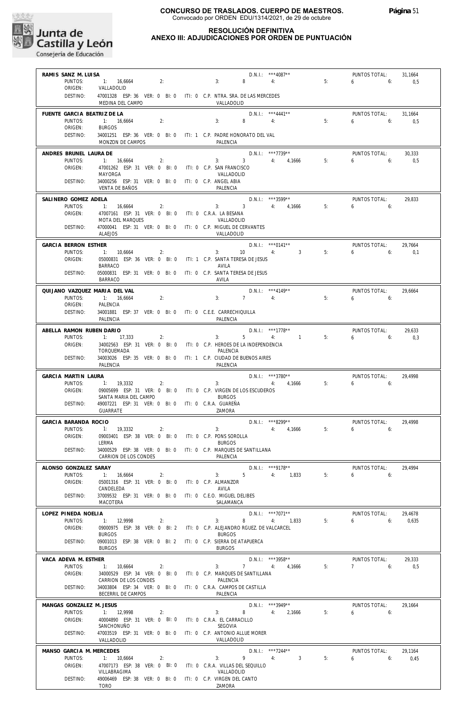

### **RESOLUCIÓN DEFINITIVA**

### **ANEXO III: ADJUDICACIONES POR ORDEN DE PUNTUACIÓN**

| $D.N.1::$ ***4087**<br>RAMIS SANZ M. LUISA                                                                                              | PUNTOS TOTAL:<br>31,1664                       |
|-----------------------------------------------------------------------------------------------------------------------------------------|------------------------------------------------|
| PUNTOS:<br>1: 16,6664<br>2:<br>$8 \t\t 4$ :<br>5:<br>3:<br>ORIGEN:<br>VALLADOLID                                                        | $6\qquad 6:$<br>0,5                            |
| DESTINO:<br>47001328 ESP: 36 VER: 0 BI: 0 ITI: 0 C.P. NTRA. SRA. DE LAS MERCEDES                                                        |                                                |
| MEDINA DEL CAMPO<br>VALLADOLID                                                                                                          |                                                |
| $D.N.I.:$ ***4441**<br>FUENTE GARCIA BEATRIZ DE LA<br>PUNTOS:<br>1: 16,6664<br>$8 \t\t 4$ :<br>5:<br>2:<br>3:                           | PUNTOS TOTAL:<br>31,1664<br>6.6<br>0.5         |
| ORIGEN:<br><b>BURGOS</b>                                                                                                                |                                                |
| DESTINO:<br>34001251 ESP: 36 VER: 0 BI: 0 ITI: 1 C.P. PADRE HONORATO DEL VAL<br>MONZON DE CAMPOS<br>PALENCIA                            |                                                |
| D.N.I.: ***7739**<br>ANDRES BRUNEL LAURA DE                                                                                             | PUNTOS TOTAL:<br>30,333                        |
| 3: 3: 4: 4,1666<br>PUNTOS:<br>1: 16,6664<br>2:<br>5:<br>ORIGEN:<br>47001262 ESP: 31 VER: 0 BI: 0 ITI: 0 C.P. SAN FRANCISCO              | 655<br>0,5                                     |
| MAYORGA<br>VALLADOLID                                                                                                                   |                                                |
| 34000256 ESP: 31 VER: 0 BI: 0 ITI: 0 C.P. ANGEL ABIA<br>DESTINO:<br>VENTA DE BAÑOS<br>PAI FNCIA                                         |                                                |
| $D.N.I.:$ ***3599**<br>SALINERO GOMEZ ADELA                                                                                             | PUNTOS TOTAL:<br>29,833                        |
| 3: 3: 4: 4,1666<br>PUNTOS:<br>1: 16,6664<br>2:<br>5:                                                                                    | $6\qquad 6$                                    |
| ORIGEN:<br>47007161 ESP: 31 VER: 0 BI: 0 ITI: 0 C.R.A. LA BESANA<br>MOTA DEL MARQUES<br>VALLADOLID                                      |                                                |
| DESTINO:<br>47000041 ESP: 31 VER: 0 BI: 0 ITI: 0 C.P. MIGUEL DE CERVANTES                                                               |                                                |
| <b>ALAEJOS</b><br>VALLADOLID<br>$D.N.1::$ ***0141**                                                                                     |                                                |
| GARCIA BERRON ESTHER<br>$3: 10$ 4: $3$<br>PUNTOS:<br>1: 10,6664<br>5:<br>2:                                                             | PUNTOS TOTAL:<br>29,7664<br>$6\qquad 6$<br>0,1 |
| 05000831 ESP: 36 VER: 0 BI: 0 ITI: 1 C.P. SANTA TERESA DE JESUS<br>ORIGEN:<br><b>BARRACO</b><br>AVILA                                   |                                                |
| DESTINO:<br>05000831 ESP: 31 VER: 0 BI: 0 ITI: 0 C.P. SANTA TERESA DE JESUS                                                             |                                                |
| BARRACO<br>AVILA                                                                                                                        |                                                |
| $D.N.1::$ *** 4149**<br>QUIJANO VAZQUEZ MARIA DEL VAL<br>PUNTOS:<br>1: 16,6664<br>2:<br>3:<br>$7 \t\t 4$<br>5:                          | PUNTOS TOTAL:<br>29,6664<br>$6\qquad 6$        |
| ORIGEN:<br>PALENCIA                                                                                                                     |                                                |
| DESTINO:<br>34001881 ESP: 37 VER: 0 BI: 0 ITI: 0 C.E.E. CARRECHIQUILLA<br>PALENCIA<br>PALENCIA                                          |                                                |
| $D.N.1.:$ ***1778**<br>ABELLA RAMON RUBEN DARIO                                                                                         | PUNTOS TOTAL:<br>29,633                        |
| $3: 5 \t 4: 1$<br>PUNTOS:<br>$1: 17,333$ 2:<br>5:                                                                                       | $6\qquad 6$<br>0,3                             |
| 34002563 ESP: 31 VER: 0 BI: 0 ITI: 0 C.P. HEROES DE LA INDEPENDENCIA<br>ORIGEN:<br>TORQUEMADA<br>PALENCIA                               |                                                |
| 34003026 ESP: 35 VER: 0 BI: 0 ITI: 1 C.P. CIUDAD DE BUENOS AIRES<br>DESTINO:<br>PALENCIA<br>PALENCIA                                    |                                                |
| D.N.I.: ***3780**<br>GARCIA MARTIN LAURA                                                                                                | PUNTOS TOTAL:<br>29.4998                       |
| 4: 4.1666<br>PUNTOS:<br>2:<br>5:<br>1: 19,3332<br>3:                                                                                    | $6\qquad 6$                                    |
| ORIGEN:<br>09005699 ESP: 31 VER: 0 BI: 0 ITI: 0 C.P. VIRGEN DE LOS ESCUDEROS<br>SANTA MARIA DEL CAMPO<br>BURGOS                         |                                                |
| DESTINO:<br>49007221 ESP: 31 VER: 0 BI: 0 ITI: 0 C.R.A. GUAREÑA                                                                         |                                                |
| GUARRATE<br>ZAMORA                                                                                                                      |                                                |
| D.N.I.: ***8299**<br>GARCIA BARANDA ROCIO<br>3: $\frac{621}{4}$ 4: $\frac{1666}{4}$<br>PUNTOS: 1: 19,3332<br>5:<br>2:                   | PUNTOS TOTAL:<br>29,4998<br>6.6                |
| ORIGEN:<br>09003401 ESP: 38 VER: 0 BI: 0 ITI: 0 C.P. PONS SOROLLA<br>LERMA<br><b>BURGOS</b>                                             |                                                |
| DESTINO:<br>34000529 ESP: 38 VER: 0 BI: 0 ITI: 0 C.P. MARQUES DE SANTILLANA                                                             |                                                |
| CARRION DE LOS CONDES<br>PALENCIA                                                                                                       |                                                |
| ALONSO GONZALEZ SARAY<br>D.N.I.: ***9178**<br>5 4: 1,833<br>PUNTOS:<br>1: 16,6664<br>2:<br>5:<br>3:                                     | PUNTOS TOTAL:<br>29,4994<br>6:<br>6            |
| 05001316 ESP: 31 VER: 0 BI: 0 ITI: 0 C.P. ALMANZOR<br>ORIGEN:                                                                           |                                                |
| CANDELEDA<br>AVILA<br>37009532 ESP: 31 VER: 0 BI: 0<br>ITI: 0 C.E.O. MIGUEL DELIBES<br>DESTINO:                                         |                                                |
| MACOTERA<br>SALAMANCA                                                                                                                   |                                                |
| $D.N.1::$ ***7071**<br>LOPEZ PINEDA NOELIA<br>PUNTOS:                                                                                   | 29,4678<br>PUNTOS TOTAL:                       |
| 1: 12,9998<br>8 4: 1,833<br>5:<br>2:<br>3:<br>ORIGEN:<br>09000975 ESP: 38 VER: 0 BI: 2 ITI: 0 C.P. ALEJANDRO RGUEZ. DE VALCARCEL        | $6\qquad 6$<br>0,635                           |
| <b>BURGOS</b><br><b>BURGOS</b><br>09001013 ESP: 38 VER: 0 BI: 2 ITI: 0 C.P. SIERRA DE ATAPUERCA<br>DESTINO:                             |                                                |
| <b>BURGOS</b><br><b>BURGOS</b>                                                                                                          |                                                |
| D.N.I.: ***3958**<br>VACA ADEVA M. ESTHER                                                                                               | PUNTOS TOTAL:<br>29,333                        |
| 7<br>5:<br>PUNTOS:<br>1: 10,6664<br>2:<br>3:<br>4: 4,1666<br>ORIGEN:<br>34000529 ESP: 34 VER: 0 BI: 0 ITI: 0 C.P. MARQUES DE SANTILLANA | $7 \t\t\t 6.$<br>0,5                           |
| CARRION DE LOS CONDES<br>PALENCIA                                                                                                       |                                                |
| 34003804 ESP: 34 VER: 0 BI: 0 ITI: 0 C.R.A. CAMPOS DE CASTILLA<br>DESTINO:<br>BECERRIL DE CAMPOS<br>PALENCIA                            |                                                |
| $D.N.1::$ ***3949**<br>MANGAS GONZALEZ M. JESUS                                                                                         | PUNTOS TOTAL:<br>29.1664                       |
| PUNTOS:<br>1: 12,9998<br>8 4: 2,1666<br>5:<br>2:<br>3:                                                                                  | $6 \qquad 6$                                   |
| ORIGEN:<br>40004890 ESP: 31 VER: 0 BI: 0 ITI: 0 C.R.A. EL CARRACILLO<br>SANCHONUÑO<br>SEGOVIA                                           |                                                |
| DESTINO:<br>47003519 ESP: 31 VER: 0 BI: 0 ITI: 0 C.P. ANTONIO ALLUE MORER<br>VALLADOLID<br>VALLADOLID                                   |                                                |
| $D.N.1::$ ***7244**<br>MANSO GARCIA M. MERCEDES                                                                                         | PUNTOS TOTAL:<br>29,1164                       |
| $9 \left( \frac{1}{2} \right)$<br>4:3<br>5:<br>PUNTOS:<br>1: 10,6664<br>2:<br>3:                                                        | $6\qquad 6$<br>0,45                            |
| 47007173 ESP: 38 VER: 0 BI: 0 ITI: 0 C.R.A. VILLAS DEL SEQUILLO<br>ORIGEN:<br>VILLABRAGIMA<br>VALLADOLID                                |                                                |
| 49006469 ESP: 38 VER: 0 BI: 0 ITI: 0 C.P. VIRGEN DEL CANTO<br>DESTINO:                                                                  |                                                |
| <b>TORO</b><br>ZAMORA                                                                                                                   |                                                |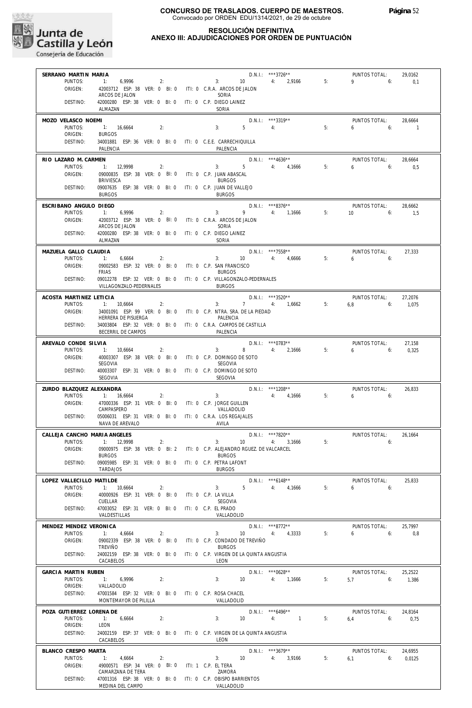

#### **RESOLUCIÓN DEFINITIVA ANEXO III: ADJUDICACIONES POR ORDEN DE PUNTUACIÓN**

| SERRANO MARTIN MARIA                    |                                                                                                | D.N.I.: ***3726**                                                                              | PUNTOS TOTAL:<br>29,0162                                 |
|-----------------------------------------|------------------------------------------------------------------------------------------------|------------------------------------------------------------------------------------------------|----------------------------------------------------------|
| PUNTOS:<br>ORIGEN:                      | 1:<br>6,9996<br>2:<br>42003712 ESP: 38 VER: 0 BI: 0 ITI: 0 C.R.A. ARCOS DE JALON               | 4: 2,9166<br>10<br>3:                                                                          | $9^{\circ}$<br>5:<br>6:<br>0,1                           |
| DESTINO:                                | ARCOS DE JALON<br>42000280 ESP: 38 VER: 0 BI: 0<br>ALMAZAN                                     | SORIA<br>ITI: 0 C.P. DIEGO LAINEZ<br>SORIA                                                     |                                                          |
|                                         |                                                                                                |                                                                                                |                                                          |
| MOZO VELASCO NOEMI<br>PUNTOS:           | 1: 16,6664<br>2:                                                                               | D.N.I.: ***3319**<br>$5 -$<br>3:<br>4:                                                         | PUNTOS TOTAL:<br>28,6664<br>5:<br>$6 \t\t 6$<br>$\sim$ 1 |
| ORIGEN:<br>DESTINO:                     | <b>BURGOS</b><br>34001881 ESP: 36 VER: 0 BI: 0 ITI: 0 C.E.E. CARRECHIQUILLA<br>PALENCIA        | PALENCIA                                                                                       |                                                          |
| RIO LAZARO M. CARMEN                    |                                                                                                | $D.N.1::$ ***4636**                                                                            | PUNTOS TOTAL:<br>28,6664                                 |
| PUNTOS:<br>ORIGEN:                      | 1: 12,9998<br>2:<br>09000835 ESP: 38 VER: 0 BI: 0 ITI: 0 C.P. JUAN ABASCAL                     | $3: 5 \t 4: 4.1666$                                                                            | 5:<br>6.6<br>0,5                                         |
| DESTINO:                                | <b>BRIVIESCA</b><br>09007635 ESP: 38 VER: 0 BI: 0 ITI: 0 C.P. JUAN DE VALLEJO<br><b>BURGOS</b> | <b>BURGOS</b><br><b>BURGOS</b>                                                                 |                                                          |
| ESCRIBANO ANGULO DIEGO                  |                                                                                                | $D.N.1.:$ ***8376**                                                                            | PUNTOS TOTAL:<br>28,6662                                 |
| PUNTOS:                                 | 6,9996<br>2:                                                                                   | 9 4: 1,1666<br>3:                                                                              | 5:<br>$10 \t\t\t 6$<br>1,5                               |
| ORIGEN:                                 | 42003712 ESP: 38 VER: 0 BI: 0 ITI: 0 C.R.A. ARCOS DE JALON<br>ARCOS DE JALON                   | SORIA                                                                                          |                                                          |
| DESTINO:                                | 42000280 ESP: 38 VER: 0 BI: 0<br>ALMAZAN                                                       | ITI: 0 C.P. DIEGO LAINEZ<br>SORIA                                                              |                                                          |
| MAZUELA GALLO CLAUDIA                   |                                                                                                | D.N.I.: ***7558**                                                                              | PUNTOS TOTAL:<br>27,333                                  |
| PUNTOS:<br>ORIGEN:                      | 1:<br>6,6664<br>2:<br>09002583 ESP: 32 VER: 0 BI: 0 ITI: 0 C.P. SAN FRANCISCO                  | $3: 10$ $4: 4,6666$                                                                            | 5:<br>$6\qquad 6$                                        |
|                                         | <b>FRIAS</b>                                                                                   | <b>BURGOS</b>                                                                                  |                                                          |
| DESTINO:                                | VILLAGONZALO-PEDERNALES                                                                        | 09012278 ESP: 32 VER: 0 BI: 0 ITI: 0 C.P. VILLAGONZALO-PEDERNALES<br><b>BURGOS</b>             |                                                          |
| ACOSTA MARTINEZ LETICIA                 |                                                                                                | D.N.I.: ***3520**                                                                              | PUNTOS TOTAL:<br>27,2076                                 |
| PUNTOS:<br>ORIGEN:                      | 1: 10,6664<br>2:                                                                               | $3: 7 \t 4: 1,6662 \t 5:$<br>34001091 ESP: 99 VER: 0 BI: 0 ITI: 0 C.P. NTRA. SRA. DE LA PIEDAD | 6.8<br>6:<br>1.075                                       |
| DESTINO:                                | HERRERA DE PISUERGA                                                                            | PALENCIA                                                                                       |                                                          |
|                                         | 34003804 ESP: 32 VER: 0 BI: 0 ITI: 0 C.R.A. CAMPOS DE CASTILLA<br>BECERRIL DE CAMPOS           | PALENCIA                                                                                       |                                                          |
| AREVALO CONDE SILVIA                    |                                                                                                | $D.N.1::$ ***0783**                                                                            | PUNTOS TOTAL:<br>27,158                                  |
| PUNTOS:<br>ORIGEN:                      | 1: 10,6664<br>2:<br>40003307 ESP: 38 VER: 0 BI: 0                                              | 8 4: 2,1666<br>3:<br>ITI: 0 C.P. DOMINGO DE SOTO                                               | 5:<br>$6\qquad 6$<br>0,325                               |
|                                         | SEGOVIA                                                                                        | SEGOVIA                                                                                        |                                                          |
| DESTINO:                                | 40003307 ESP: 31 VER: 0 BI: 0<br>SEGOVIA                                                       | ITI: 0 C.P. DOMINGO DE SOTO<br>SEGOVIA                                                         |                                                          |
| ZURDO BLAZQUEZ ALEXANDRA                |                                                                                                | D.N.I.: ***1208**                                                                              | PUNTOS TOTAL:<br>26,833                                  |
| PUNTOS:<br>ORIGEN:                      | 1: 16,6664<br>2:<br>47000336 ESP: 31 VER: 0 BI: 0 ITI: 0 C.P. JORGE GUILLEN                    | 3:<br>4: 4,1666                                                                                | $6\qquad 6$<br>5:                                        |
| DESTINO:                                | CAMPASPERO<br>05006031 ESP: 31 VER: 0 BI: 0 ITI: 0 C.R.A. LOS REGAJALES                        | VALLADOLID                                                                                     |                                                          |
|                                         | NAVA DE AREVALO                                                                                | AVILA                                                                                          |                                                          |
| CALLEJA CANCHO MARIA ANGELES<br>PUNTOS: |                                                                                                | D.N.I.: ***7820**<br>10<br>4: 3,1666                                                           | PUNTOS TOTAL:<br>26,1664<br>5:                           |
| ORIGEN:                                 | 1: 12,9998<br>2:                                                                               | 3:<br>09000975 ESP: 38 VER: 0 BI: 2 ITI: 0 C.P. ALEJANDRO RGUEZ. DE VALCARCEL                  | 6:                                                       |
| DESTINO:                                | <b>BURGOS</b><br>09005985 ESP: 31 VER: 0 BI: 0 ITI: 0 C.P. PETRA LAFONT                        | <b>BURGOS</b>                                                                                  |                                                          |
|                                         | <b>TARDAJOS</b>                                                                                | <b>BURGOS</b>                                                                                  |                                                          |
| LOPEZ VALLECILLO MATILDE                |                                                                                                | $D.N.1.:$ ***6148**                                                                            | PUNTOS TOTAL:<br>25,833                                  |
| PUNTOS:<br>ORIGEN:                      | 1: 10,6664<br>2:<br>40000926 ESP: 31 VER: 0 BI: 0                                              | 5 4: 4,1666<br>3:<br>ITI: 0 C.P. LA VILLA                                                      | 5:<br>$6 \t\t\t 6$                                       |
|                                         | CUELLAR                                                                                        | SEGOVIA                                                                                        |                                                          |
| DESTINO:                                | 47003052 ESP: 31 VER: 0 BI: 0 ITI: 0 C.P. EL PRADO<br>VALDESTILLAS                             | VALLADOLID                                                                                     |                                                          |
| MENDEZ MENDEZ VERONICA                  |                                                                                                | D.N.I.: ***8772**                                                                              | PUNTOS TOTAL:<br>25,7997                                 |
| PUNTOS:<br>ORIGEN:                      | 1: 4.6664<br>2:<br>09002339 ESP: 38 VER: 0 BI: 0 ITI: 0 C.P. CONDADO DE TREVIÑO                | $10 \t\t 4: \t\t 4.3333$<br>3:                                                                 | 5:<br>6.6<br>0.8                                         |
|                                         | <b>TREVIÑO</b>                                                                                 | <b>BURGOS</b>                                                                                  |                                                          |
| DESTINO:                                | 24002159 ESP: 38 VER: 0 BI: 0<br>CACABELOS                                                     | ITI: 0 C.P. VIRGEN DE LA QUINTA ANGUSTIA<br>LEON                                               |                                                          |
| GARCIA MARTIN RUBEN                     |                                                                                                | $D.N.1.:$ ***0628**                                                                            | PUNTOS TOTAL:<br>25,2522                                 |
| PUNTOS:<br>ORIGEN:                      | 1: 6,9996<br>2:<br>VALLADOLID                                                                  | 10 4: 1,1666<br>3:                                                                             | 5:<br>$5.7$ 6:<br>1,386                                  |
| DESTINO:                                | 47001584 ESP: 32 VER: 0 BI: 0 ITI: 0 C.P. ROSA CHACEL<br>MONTEMAYOR DE PILILLA                 | VALLADOLID                                                                                     |                                                          |
| POZA GUTIERREZ LORENA DE                |                                                                                                | D.N.I.: *** 6496**                                                                             | PUNTOS TOTAL:<br>24,8164                                 |
| PUNTOS:                                 | 1: 6,6664<br>2:                                                                                | 3:<br>10<br>4:                                                                                 | $\sim$ 1 $\sim$ $\sim$<br>0,75<br>5:<br>$6.4$ 6:         |
| ORIGEN:<br>DESTINO:                     | LEON                                                                                           | 24002159 ESP: 37 VER: 0 BI: 0 ITI: 0 C.P. VIRGEN DE LA QUINTA ANGUSTIA                         |                                                          |
|                                         | CACABELOS                                                                                      | LEON                                                                                           |                                                          |
| BLANCO CRESPO MARTA<br>PUNTOS:          | 1: 4,6664<br>2:                                                                                | $D.N.1.:$ ***3679**<br>3:<br>10 4: 3,9166                                                      | PUNTOS TOTAL:<br>24,6955<br>5:<br>$6,1$ $6:$<br>0,0125   |
| ORIGEN:                                 | 49000571 ESP: 34 VER: 0 BI: 0 ITI: 1 C.P. EL TERA                                              |                                                                                                |                                                          |
| DESTINO:                                | CAMARZANA DE TERA<br>47001316 ESP: 38 VER: 0 BI: 0 ITI: 0 C.P. OBISPO BARRIENTOS               | ZAMORA                                                                                         |                                                          |
|                                         | MEDINA DEL CAMPO                                                                               | VALLADOLID                                                                                     |                                                          |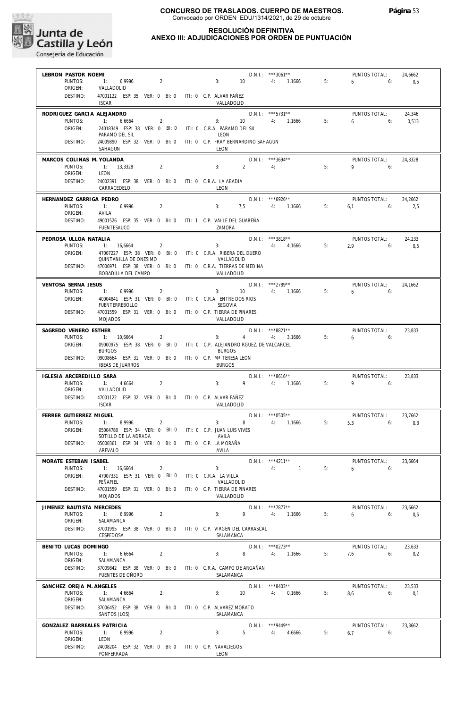

#### **RESOLUCIÓN DEFINITIVA ANEXO III: ADJUDICACIONES POR ORDEN DE PUNTUACIÓN**

|                                     | LEBRON PASTOR NOEMI                                                                     |    |                                |                                           | D.N.I.: ***3061**    |    | PUNTOS TOTAL:             | 24,6662       |
|-------------------------------------|-----------------------------------------------------------------------------------------|----|--------------------------------|-------------------------------------------|----------------------|----|---------------------------|---------------|
| PUNTOS:<br>ORIGEN:                  | 1:<br>6,9996<br>VALLADOLID                                                              | 2: | 3:                             | 10                                        | 4: 1,1666            | 5: | 6<br>6:                   | 0,5           |
| DESTINO:                            | 47001122 ESP: 35 VER: 0 BI: 0 ITI: 0 C.P. ALVAR FAÑEZ<br><b>ISCAR</b>                   |    |                                | VALLADOLID                                |                      |    |                           |               |
| RODRIGUEZ GARCIA ALEJANDRO          |                                                                                         |    |                                |                                           | D.N.I.: ***5731**    |    | PUNTOS TOTAL:             | 24,346        |
| PUNTOS:                             | 1:<br>6,6664                                                                            | 2: | 3:                             | 10                                        | 4: 1,1666            | 5: | $6 -$<br>6:               | 0,513         |
| ORIGEN:                             | 24018349 ESP: 38 VER: 0 BI: 0                                                           |    |                                | ITI: 0 C.R.A. PARAMO DEL SIL              |                      |    |                           |               |
| DESTINO:                            | PARAMO DEL SIL<br>24009890 ESP: 32 VER: 0 BI: 0                                         |    | LEON                           | ITI: 0 C.P. FRAY BERNARDINO SAHAGUN       |                      |    |                           |               |
|                                     | SAHAGUN                                                                                 |    | LEON                           |                                           |                      |    |                           |               |
| MARCOS COLINAS M. YOLANDA           |                                                                                         |    |                                |                                           | $D.N.1::$ ***3694**  |    | PUNTOS TOTAL:             | 24,3328       |
| PUNTOS:                             | 1: 13,3328                                                                              | 2: | 3:                             | $\overline{2}$                            | 4:                   | 5: | $9 \t\t 6$                |               |
| ORIGEN:<br>DESTINO:                 | LEON                                                                                    |    |                                |                                           |                      |    |                           |               |
|                                     | 24002391 ESP: 38 VER: 0 BI: 0 ITI: 0 C.R.A. LA ABADIA<br>CARRACEDELO                    |    | LEON                           |                                           |                      |    |                           |               |
| HERNANDEZ GARRIGA PEDRO             |                                                                                         |    |                                |                                           | D.N.I.: ***6926**    |    | PUNTOS TOTAL:             | 24,2662       |
| PUNTOS:                             | 1: 6,9996                                                                               | 2: | 3:                             | 7,5                                       | 4: 1,1666            | 5: | 6.1<br>6:                 | 2,5           |
| ORIGEN:                             | AVILA                                                                                   |    |                                |                                           |                      |    |                           |               |
| DESTINO:                            | 49001526 ESP: 35 VER: 0 BI: 0 ITI: 1 C.P. VALLE DEL GUAREÑA<br><b>FUENTESAUCO</b>       |    | ZAMORA                         |                                           |                      |    |                           |               |
| PEDROSA ULLOA NATALIA               |                                                                                         |    |                                |                                           | D.N.I.: ***3818**    |    | PUNTOS TOTAL:             | 24,233        |
| PUNTOS:                             | 1: 16,6664                                                                              | 2: | 3:                             |                                           | 4: 4,1666            | 5: | 2,9<br>6:                 | 0,5           |
| ORIGEN:                             | 47007227 ESP: 38 VER: 0 BI: 0 ITI: 0 C.R.A. RIBERA DEL DUERO                            |    |                                |                                           |                      |    |                           |               |
| DESTINO:                            | QUINTANILLA DE ONESIMO<br>47006971 ESP: 38 VER: 0 BI: 0 ITI: 0 C.R.A. TIERRAS DE MEDINA |    |                                | VALLADOLID                                |                      |    |                           |               |
|                                     | BOBADILLA DEL CAMPO                                                                     |    |                                | VALLADOLID                                |                      |    |                           |               |
| VENTOSA SERNA JESUS                 |                                                                                         |    |                                |                                           | D.N.I.: ***2789**    |    | PUNTOS TOTAL:             | 24,1662       |
| PUNTOS:                             | $-11$<br>6,9996                                                                         | 2: | 3:                             | 10                                        | 4: 1.1666            | 5: | 6<br>6:                   |               |
| ORIGEN:                             | 40004841 ESP: 31 VER: 0 BI: 0 ITI: 0 C.R.A. ENTRE DOS RIOS<br><b>FUENTERREBOLLO</b>     |    | SEGOVIA                        |                                           |                      |    |                           |               |
| DESTINO:                            | 47001559 ESP: 31 VER: 0 BI: 0                                                           |    |                                | ITI: 0 C.P. TIERRA DE PINARES             |                      |    |                           |               |
|                                     | MOJADOS                                                                                 |    |                                | VALLADOLID                                |                      |    |                           |               |
| SAGREDO VENERO ESTHER               |                                                                                         |    |                                |                                           | D.N.I.: ***8821**    |    | PUNTOS TOTAL:             | 23,833        |
| PUNTOS:                             | 1: 10,6664                                                                              | 2: | 3:                             | $4\overline{ }$                           | 4: 3,1666            | 5: | 6<br>6:                   |               |
| ORIGEN:                             | 09000975 ESP: 38 VER: 0 BI: 0<br><b>BURGOS</b>                                          |    | <b>BURGOS</b>                  | ITI: 0 C.P. ALEJANDRO RGUEZ. DE VALCARCEL |                      |    |                           |               |
| DESTINO:                            | 09008664 ESP: 31 VER: 0 BI: 0                                                           |    | ITI: 0 C.P. Mª TERESA LEON     |                                           |                      |    |                           |               |
|                                     | <b>IBEAS DE JUARROS</b>                                                                 |    | <b>BURGOS</b>                  |                                           |                      |    |                           |               |
| IGLESIA ARCEREDILLO SARA            |                                                                                         |    |                                |                                           | $D.N.1::$ ***8616**  |    | PUNTOS TOTAL:             | 23,833        |
| PUNTOS:<br>ORIGEN:                  | 1:<br>4,6664<br>VALLADOLID                                                              | 2: | 3:                             | 9                                         | 4: 1,1666            | 5: | 9<br>6:                   |               |
| DESTINO:                            | 47001122 ESP: 32 VER: 0 BI: 0 ITI: 0 C.P. ALVAR FAÑEZ                                   |    |                                |                                           |                      |    |                           |               |
|                                     | <b>ISCAR</b>                                                                            |    |                                | VALLADOLID                                |                      |    |                           |               |
|                                     |                                                                                         |    |                                |                                           |                      |    |                           |               |
| FERRER GUTIERREZ MIGUEL             |                                                                                         |    |                                |                                           | $D.N.1::$ *** 0505** |    | PUNTOS TOTAL:             | 23,7662       |
| PUNTOS:                             | 1:<br>8.9996                                                                            | 2: | 3:                             | 8                                         | 4: 1,1666            | 5: | 5.3<br>6:                 | 0,3           |
| ORIGEN:                             | 05004780 ESP: 34 VER: 0 BI: 0 ITI: 0 C.P. JUAN LUIS VIVES                               |    |                                |                                           |                      |    |                           |               |
| DESTINO:                            | SOTILLO DE LA ADRADA<br>05000361 ESP: 34 VER: 0 BI: 0                                   |    | AVILA<br>ITI: 0 C.P. LA MORAÑA |                                           |                      |    |                           |               |
|                                     | AREVALO                                                                                 |    | AVILA                          |                                           |                      |    |                           |               |
| MORATE ESTEBAN ISABEL               |                                                                                         |    |                                |                                           | D.N.I.: *** 4211**   |    | PUNTOS TOTAL:             | 23,6664       |
| PUNTOS:                             | 1: 16,6664                                                                              | 2: | 3:                             |                                           | 4: 1                 | 5: | $6\qquad 6$               |               |
| ORIGEN:                             | 47007331 ESP: 31 VER: 0 BI: 0 ITI: 0 C.R.A. LA VILLA                                    |    |                                |                                           |                      |    |                           |               |
| DESTINO:                            | PEÑAFIEL<br>47001559 ESP: 31 VER: 0 BI: 0 ITI: 0 C.P. TIERRA DE PINARES                 |    |                                | VALLADOLID                                |                      |    |                           |               |
|                                     | <b>MOJADOS</b>                                                                          |    |                                | VALLADOLID                                |                      |    |                           |               |
| JIMENEZ BAUTISTA MERCEDES           |                                                                                         |    |                                |                                           | D.N.I.: ***7877**    |    | PUNTOS TOTAL:             | 23,6662       |
| PUNTOS:                             | 1: 6,9996                                                                               | 2: | 3:                             |                                           | 9 4: 1,1666          | 5: | 6. 6: 0.5                 |               |
| ORIGEN:                             | SALAMANCA                                                                               |    |                                |                                           |                      |    |                           |               |
| DESTINO:                            | 37001995 ESP: 38 VER: 0 BI: 0 ITI: 0 C.P. VIRGEN DEL CARRASCAL<br>CESPEDOSA             |    |                                | SALAMANCA                                 |                      |    |                           |               |
|                                     |                                                                                         |    |                                |                                           |                      |    | PUNTOS TOTAL:             | 23,633        |
| BENITO LUCAS DOMINGO<br>PUNTOS:     | 1: 6,6664                                                                               | 2: |                                | 3: 8 4: 1,1666                            | D.N.I.: *** 0273**   | 5: | $7.6$ 6:                  | 0,2           |
| ORIGEN:                             | SALAMANCA                                                                               |    |                                |                                           |                      |    |                           |               |
| DESTINO:                            | 37009842 ESP: 38 VER: 0 BI: 0 ITI: 0 C.R.A. CAMPO DE ARGAÑAN<br>FUENTES DE OÑORO        |    |                                | SALAMANCA                                 |                      |    |                           |               |
|                                     |                                                                                         |    |                                |                                           |                      |    |                           |               |
| SANCHEZ OREJA M. ANGELES<br>PUNTOS: | 1: 4,6664                                                                               | 2: |                                | 3: 10 4: 0,1666                           | $D.N.1.:$ ***8403**  | 5: | PUNTOS TOTAL:<br>$8,6$ 6: | 23,533<br>0,1 |
| ORIGEN:                             | SALAMANCA                                                                               |    |                                |                                           |                      |    |                           |               |
| DESTINO:                            | 37006452 ESP: 38 VER: 0 BI: 0 ITI: 0 C.P. ALVAREZ MORATO                                |    |                                |                                           |                      |    |                           |               |
|                                     | SANTOS (LOS)                                                                            |    |                                | SALAMANCA                                 |                      |    |                           |               |
| GONZALEZ BARREALES PATRICIA         |                                                                                         |    |                                |                                           | D.N.I.: ***9449**    |    | PUNTOS TOTAL:             | 23,3662       |
| PUNTOS:<br>ORIGEN:                  | 1:<br>6,9996<br>LEON                                                                    | 2: |                                |                                           | $3: 5 \t 4: 4,6666$  | 5: | $6.7$ $6:$                |               |
| DESTINO:                            | 24008204 ESP: 32 VER: 0 BI: 0 ITI: 0 C.P. NAVALIEGOS                                    |    |                                |                                           |                      |    |                           |               |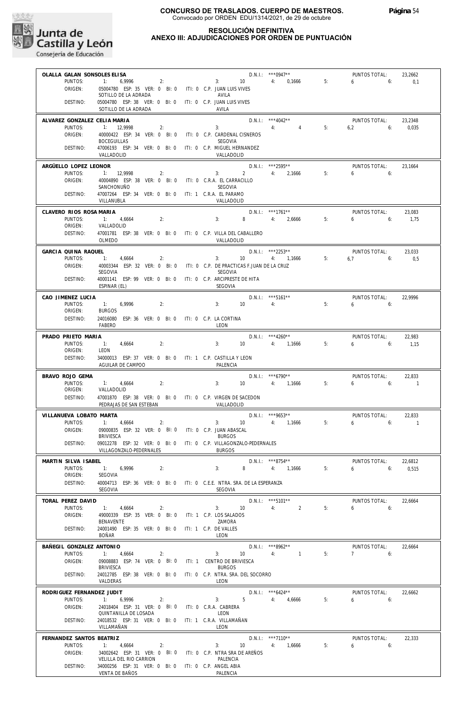

## **RESOLUCIÓN DEFINITIVA**

## **ANEXO III: ADJUDICACIONES POR ORDEN DE PUNTUACIÓN**

**CONSEGUIDA DE CONSEGUIDA DE CONSEGUIDA DE CONSEGUIDA DE CONSEGUIDA DE CONSEGUIDA DE CONSEGUIDA DE CONSEGUIDA DE CONSEGUIDA DE CONSEGUIDA DE CONSEGUIDA DE CONSEGUIDA DE CONSEGUIDA DE CONSEGUIDA DE CONSEGUIDA DE CONSEGUIDA** 

| OLALLA GALAN SONSOLES ELISA<br>PUNTOS: |                                                                                        |                                                                                    | $D.N.1::$ *** 0947**                |    | PUNTOS TOTAL:<br>$6\qquad 6:$    | 23,2662            |
|----------------------------------------|----------------------------------------------------------------------------------------|------------------------------------------------------------------------------------|-------------------------------------|----|----------------------------------|--------------------|
| ORIGEN:                                | 6,9996<br>2:<br>05004780 ESP: 35 VER: 0 BI: 0 ITI: 0 C.P. JUAN LUIS VIVES              | 3: 10 4: 0,1666 5:                                                                 |                                     |    |                                  | 0,1                |
| DESTINO:                               | SOTILLO DE LA ADRADA<br>05004780 ESP: 38 VER: 0 BI: 0 ITI: 0 C.P. JUAN LUIS VIVES      | AVILA                                                                              |                                     |    |                                  |                    |
|                                        | SOTILLO DE LA ADRADA                                                                   | AVILA                                                                              |                                     |    |                                  |                    |
| ALVAREZ GONZALEZ CELIA MARIA           |                                                                                        |                                                                                    | $D.N.1.:$ ***4042**                 |    | PUNTOS TOTAL:                    | 23,2348            |
| PUNTOS:<br>ORIGEN:                     | 1: 12,9998<br>2:<br>40000422 ESP: 34 VER: 0 BI: 0 ITI: 0 C.P. CARDENAL CISNEROS        | 3:                                                                                 | $\overline{4}$<br>4:                | 5: | 6,2<br>6:                        | 0,035              |
| DESTINO:                               | <b>BOCEGUILLAS</b><br>47006193 ESP: 34 VER: 0 BI: 0 ITI: 0 C.P. MIGUEL HERNANDEZ       | SEGOVIA                                                                            |                                     |    |                                  |                    |
|                                        | VALLADOLID                                                                             | VALLADOLID                                                                         |                                     |    |                                  |                    |
| ARGÜELLO LOPEZ LEONOR                  |                                                                                        |                                                                                    | D.N.I.: ***2595**                   |    | PUNTOS TOTAL:                    | 23,1664            |
| PUNTOS:<br>ORIGEN:                     | 1: 12,9998<br>2:<br>40004890 ESP: 38 VER: 0 BI: 0 ITI: 0 C.R.A. EL CARRACILLO          | $3: 2 \t 4: 2,1666 \t 5:$                                                          |                                     |    | $6 \t\t\t 6$                     |                    |
|                                        | SANCHONUÑO                                                                             | SEGOVIA                                                                            |                                     |    |                                  |                    |
| DESTINO:                               | 47007264 ESP: 34 VER: 0 BI: 0 ITI: 1 C.R.A. EL PARAMO<br>VILLANUBLA                    | VALLADOLID                                                                         |                                     |    |                                  |                    |
| CLAVERO RIOS ROSA MARIA                |                                                                                        |                                                                                    | D.N.I.: ***1761**                   |    | PUNTOS TOTAL:                    | 23,083             |
| PUNTOS:<br>ORIGEN:                     | 1: 4,6664<br>2:<br>VALLADOLID                                                          | 3:<br>$8 - 1$                                                                      | 4: 2,6666                           | 5: | $6\qquad 6$                      | 1,75               |
| DESTINO:                               | 47001781 ESP: 38 VER: 0 BI: 0 ITI: 0 C.P. VILLA DEL CABALLERO                          |                                                                                    |                                     |    |                                  |                    |
|                                        | OLMEDO                                                                                 | VALLADOLID                                                                         |                                     |    |                                  |                    |
| GARCIA QUINA RAQUEL<br>PUNTOS:         | $-11$<br>4,6664<br>2:                                                                  | 3: 10                                                                              | D.N.I.: ***2253**<br>$4: 1,1666$ 5: |    | PUNTOS TOTAL:<br>$6.7$ 6:        | 23.033<br>0,5      |
| ORIGEN:                                |                                                                                        | 40003344 ESP: 32 VER: 0 BI: 0 ITI: 0 C.P. DE PRACTICAS F.JUAN DE LA CRUZ           |                                     |    |                                  |                    |
| DESTINO:                               | SEGOVIA<br>40001141 ESP: 99 VER: 0 BI: 0 ITI: 0 C.P. ARCIPRESTE DE HITA                | SEGOVIA                                                                            |                                     |    |                                  |                    |
|                                        | ESPINAR (EL)                                                                           | SEGOVIA                                                                            |                                     |    |                                  |                    |
| CAO JIMENEZ LUCIA<br>PUNTOS:           | 1: 6,9996<br>2:                                                                        | 3:<br>$10 \qquad \qquad 4$                                                         | $D.N.I.:$ ***5161**                 | 5: | PUNTOS TOTAL:<br>$6\qquad$<br>6: | 22.9996            |
| ORIGEN:                                | <b>BURGOS</b>                                                                          |                                                                                    |                                     |    |                                  |                    |
| DESTINO:                               | 24016080 ESP: 36 VER: 0 BI: 0 ITI: 0 C.P. LA CORTINA<br>FABERO                         | LEON                                                                               |                                     |    |                                  |                    |
| PRADO PRIETO MARIA                     |                                                                                        |                                                                                    | $D.N.1.:$ ***4260**                 |    | PUNTOS TOTAL:                    | 22,983             |
| PUNTOS:                                | 1: 4,6664<br>2:                                                                        | 10<br>3:                                                                           | 4: 1,1666                           | 5: | $6\qquad 6$                      | 1,15               |
| ORIGEN:<br>DESTINO:                    | LEON<br>34000013 ESP: 37 VER: 0 BI: 0 ITI: 1 C.P. CASTILLA Y LEON                      |                                                                                    |                                     |    |                                  |                    |
|                                        | AGUILAR DE CAMPOO                                                                      | PALENCIA                                                                           |                                     |    |                                  |                    |
| BRAVO ROJO GEMA<br>PUNTOS:             | 2:<br>1:<br>4,6664                                                                     | 3:<br>$10$ and $\sim$                                                              | $D.N.1.:$ ***6790**<br>4: 1,1666    | 5: | PUNTOS TOTAL:<br>$6 \t\t\t 6$    | 22,833<br>$\sim$ 1 |
| ORIGEN:                                | VALLADOLID                                                                             |                                                                                    |                                     |    |                                  |                    |
| DESTINO:                               | 47001870 ESP: 38 VER: 0 BI: 0 ITI: 0 C.P. VIRGEN DE SACEDON<br>PEDRAJAS DE SAN ESTEBAN | VALLADOLID                                                                         |                                     |    |                                  |                    |
| VILLANUEVA LOBATO MARTA                |                                                                                        |                                                                                    | $D.N.1.:$ ***9653**                 |    | PUNTOS TOTAL:                    | 22,833             |
| PUNTOS:<br>ORIGEN:                     | 1: 4,6664<br>2:<br>09000835 ESP: 32 VER: 0 BI: 0 ITI: 0 C.P. JUAN ABASCAL              | $3: 10$ $4: 1.1666$                                                                |                                     | 5: | 6<br>6:                          | $\overline{1}$     |
|                                        | BRIVIESCA                                                                              | <b>BURGOS</b>                                                                      |                                     |    |                                  |                    |
| DESTINO:                               | VILLAGONZALO-PEDERNALES                                                                | 09012278 ESP: 32 VER: 0 BI: 0 ITI: 0 C.P. VILLAGONZALO-PEDERNALES<br><b>BURGOS</b> |                                     |    |                                  |                    |
| MARTIN SILVA ISABEL                    |                                                                                        |                                                                                    | $D.N.1::$ ***8754**                 |    | PUNTOS TOTAL:                    | 22,6812            |
| PUNTOS:<br>ORIGEN:                     | 1: 6,9996<br>2:<br>SEGOVIA                                                             | 3:                                                                                 | 8 4: 1,1666                         | 5: | $6 \t\t 6: \t\t 0.515$           |                    |
| DESTINO:                               |                                                                                        | 40004713 ESP: 36 VER: 0 BI: 0 ITI: 0 C.E.E. NTRA. SRA. DE LA ESPERANZA             |                                     |    |                                  |                    |
|                                        | SEGOVIA                                                                                | <b>SEGOVIA</b>                                                                     |                                     |    |                                  |                    |
| TORAL PEREZ DAVID<br>PUNTOS:           | 1: 4,6664<br>2:                                                                        | $3: 10 \t 4: 2$                                                                    | D.N.I.: *** 5101**                  | 5: | PUNTOS TOTAL:<br>$6\qquad 6$     | 22,6664            |
| ORIGEN:                                | 49000339 ESP: 35 VER: 0 BI: 0 ITI: 1 C.P. LOS SALADOS                                  |                                                                                    |                                     |    |                                  |                    |
| DESTINO:                               | BENAVENTE<br>24001490 ESP: 35 VER: 0 BI: 0 ITI: 1 C.P. DE VALLES                       | ZAMORA                                                                             |                                     |    |                                  |                    |
|                                        | BOÑAR                                                                                  | LEON                                                                               |                                     |    |                                  |                    |
| BAÑEGIL GONZALEZ ANTONIO<br>PUNTOS:    | 1: 4,6664<br>2:                                                                        | 3:                                                                                 | D.N.I.: ***8962**<br>$10 \t 4$ 1    | 5: | PUNTOS TOTAL:<br>$7 \t\t\t 6:$   | 22,6664            |
| ORIGEN:                                | 09008883 ESP: 74 VER: 0 BI: 0 ITI: 1 CENTRO DE BRIVIESCA                               |                                                                                    |                                     |    |                                  |                    |
| DESTINO:                               | BRIVIESCA                                                                              | <b>BURGOS</b><br>24012785 ESP: 38 VER: 0 BI: 0 ITI: 0 C.P. NTRA. SRA. DEL SOCORRO  |                                     |    |                                  |                    |
|                                        | VALDERAS                                                                               | LEON                                                                               |                                     |    |                                  |                    |
| RODRIGUEZ FERNANDEZ JUDIT<br>PUNTOS:   | $1: 6,9996$ 2:                                                                         | $3: 5$ 4: 4,6666                                                                   | $D.N.1::$ ***6424**                 | 5: | PUNTOS TOTAL:<br>$6\qquad 6:$    | 22.6662            |
| ORIGEN:                                | 24018404 ESP: 31 VER: 0 BI: 0 ITI: 0 C.R.A. CABRERA                                    |                                                                                    |                                     |    |                                  |                    |
| DESTINO:                               | QUINTANILLA DE LOSADA<br>24018532 ESP: 31 VER: 0 BI: 0 ITI: 1 C.R.A. VILLAMAÑAN        | LEON                                                                               |                                     |    |                                  |                    |
|                                        | VILLAMAÑAN                                                                             | LEON                                                                               |                                     |    |                                  |                    |
| FERNANDEZ SANTOS BEATRIZ<br>PUNTOS:    | 1: 4,6664<br>2:                                                                        | 3:                                                                                 | $D.N.1.:$ ***7110**                 | 5: | PUNTOS TOTAL:                    | 22,333             |
| ORIGEN:                                |                                                                                        | 34002642 ESP: 31 VER: 0 BI: 0 ITI: 0 C.P. NTRA SRA DE AREÑOS                       | 10 4: 1,6666                        |    | $6\qquad 6$                      |                    |
| DESTINO:                               | VELILLA DEL RIO CARRION<br>34000256 ESP: 31 VER: 0 BI: 0 ITI: 0 C.P. ANGEL ABIA        | PALENCIA                                                                           |                                     |    |                                  |                    |
|                                        | VENTA DE BAÑOS                                                                         | PALENCIA                                                                           |                                     |    |                                  |                    |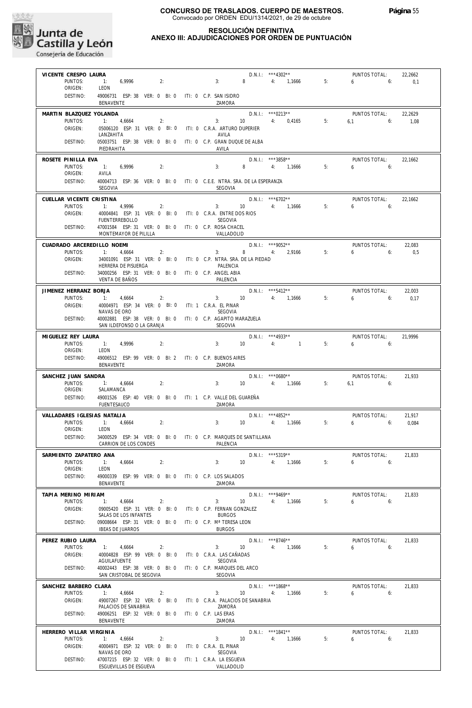

#### **RESOLUCIÓN DEFINITIVA ANEXO III: ADJUDICACIONES POR ORDEN DE PUNTUACIÓN**

| VICENTE CRESPO LAURA                   |                                                                                          |    | D.N.I.: ***4302**                             |           |    | PUNTOS TOTAL:             | 22.2662 |
|----------------------------------------|------------------------------------------------------------------------------------------|----|-----------------------------------------------|-----------|----|---------------------------|---------|
| PUNTOS:                                | 1: 6,9996<br>2:                                                                          | 3: | 8 4: 1,1666                                   |           | 5: | 6 <sub>6</sub>            | 0,1     |
| ORIGEN:<br>DESTINO:                    | LEON<br>49006731 ESP: 38 VER: 0 BI: 0 ITI: 0 C.P. SAN ISIDRO                             |    |                                               |           |    |                           |         |
|                                        | <b>BENAVENTE</b>                                                                         |    | ZAMORA                                        |           |    |                           |         |
| MARTIN BLAZQUEZ YOLANDA                |                                                                                          |    | $D.N.1::$ ***0213**                           |           |    | PUNTOS TOTAL:             | 22,2629 |
| PUNTOS:<br>ORIGEN:                     | 1: 4,6664<br>2:<br>05006120 ESP: 31 VER: 0 BI: 0 ITI: 0 C.R.A. ARTURO DUPERIER           | 3: | 10 4: 0,4165                                  |           | 5: | $6.1$ $6:$                | 1,08    |
|                                        | LANZAHITA                                                                                |    | AVILA                                         |           |    |                           |         |
| DESTINO:                               | 05003751 ESP: 38 VER: 0 BI: 0 ITI: 0 C.P. GRAN DUQUE DE ALBA<br>PIEDRAHITA               |    | AVILA                                         |           |    |                           |         |
| ROSETE PINILLA EVA                     |                                                                                          |    | D.N.I.: ***3858**                             |           |    | PUNTOS TOTAL:             | 22,1662 |
| PUNTOS:                                | $-11 - 1$<br>6,9996<br>2:                                                                |    | 3:<br>8 4: 1,1666                             |           | 5: | $6 \t\t 6$                |         |
| ORIGEN:<br>DESTINO:                    | AVILA<br>40004713 ESP: 36 VER: 0 BI: 0 ITI: 0 C.E.E. NTRA. SRA. DE LA ESPERANZA          |    |                                               |           |    |                           |         |
|                                        | SEGOVIA                                                                                  |    | <b>SEGOVIA</b>                                |           |    |                           |         |
| CUELLAR VICENTE CRISTINA               |                                                                                          |    | D.N.I.: *** 6702**                            |           |    | PUNTOS TOTAL:             | 22,1662 |
| PUNTOS:                                | 1: 4,9996<br>2:                                                                          |    | 3: $10$ 4: $1,1666$ 5:                        |           |    | $6\qquad 6$               |         |
| ORIGEN:                                | 40004841 ESP: 31 VER: 0 BI: 0 ITI: 0 C.R.A. ENTRE DOS RIOS<br><b>FUENTERREBOLLO</b>      |    | SEGOVIA                                       |           |    |                           |         |
| DESTINO:                               | 47001584 ESP: 31 VER: 0 BI: 0 ITI: 0 C.P. ROSA CHACEL                                    |    |                                               |           |    |                           |         |
|                                        | MONTEMAYOR DE PILILLA                                                                    |    | VALLADOLID                                    |           |    |                           |         |
| CUADRADO ARCEREDILLO NOEMI             |                                                                                          |    | D.N.I.: *** 9052**                            |           |    | PUNTOS TOTAL:             | 22.083  |
| PUNTOS:                                | 1: 4,6664<br>2:                                                                          |    | 3: 8 $4: 2,9166$                              |           | 5: | $6\qquad 6$               | 0,5     |
| ORIGEN:                                | 34001091 ESP: 31 VER: 0 BI: 0 ITI: 0 C.P. NTRA. SRA. DE LA PIEDAD<br>HERRERA DE PISUERGA |    | PALENCIA                                      |           |    |                           |         |
| DESTINO:                               | 34000256 ESP: 31 VER: 0 BI: 0 ITI: 0 C.P. ANGEL ABIA                                     |    |                                               |           |    |                           |         |
|                                        | VENTA DE BAÑOS                                                                           |    | PALENCIA                                      |           |    |                           |         |
| JIMENEZ HERRANZ BORJA                  | 1: 4,6664                                                                                |    | $D.N.1.:$ ***5412**<br>$3: 10$ 4: 1,1666      |           |    | PUNTOS TOTAL:<br>6.6      | 22,003  |
| PUNTOS:<br>ORIGEN:                     | 2:<br>40004971 ESP: 34 VER: 0 BI: 0 ITI: 1 C.R.A. EL PINAR                               |    |                                               |           | 5: |                           | 0,17    |
|                                        | NAVAS DE ORO                                                                             |    | SEGOVIA                                       |           |    |                           |         |
| DESTINO:                               | 40002881 ESP: 38 VER: 0 BI: 0 ITI: 0 C.P. AGAPITO MARAZUELA<br>SAN ILDEFONSO O LA GRANJA |    | SEGOVIA                                       |           |    |                           |         |
|                                        |                                                                                          |    |                                               |           |    |                           |         |
| MIGUELEZ REY LAURA<br>PUNTOS:          | 1: 4,9996<br>2:                                                                          |    | $D.N.I.:$ ***4933**<br>3:<br>10 <sup>10</sup> | 4: 1      | 5: | PUNTOS TOTAL:<br>650      | 21,9996 |
| ORIGEN:                                | LEON                                                                                     |    |                                               |           |    |                           |         |
| DESTINO:                               | 49006512 ESP: 99 VER: 0 BI: 2 ITI: 0 C.P. BUENOS AIRES<br>BENAVENTE                      |    | ZAMORA                                        |           |    |                           |         |
|                                        |                                                                                          |    |                                               |           |    |                           |         |
| SANCHEZ JUAN SANDRA<br>PUNTOS:         | 1: 4,6664<br>2:                                                                          |    | $D.N.1.:$ ***0680**<br>3:<br>10 4: 1,1666     |           | 5: | PUNTOS TOTAL:<br>$6,1$ 6: | 21,933  |
| ORIGEN:                                | SALAMANCA                                                                                |    |                                               |           |    |                           |         |
| DESTINO:                               | 49001526 ESP: 40 VER: 0 BI: 0 ITI: 1 C.P. VALLE DEL GUAREÑA<br><b>FUENTESAUCO</b>        |    | ZAMORA                                        |           |    |                           |         |
|                                        |                                                                                          |    |                                               |           |    |                           |         |
| VALLADARES IGLESIAS NATALIA<br>PUNTOS: |                                                                                          |    | $D.N.1.:$ ***4852**                           |           |    | PUNTOS TOTAL:             |         |
| ORIGEN:                                |                                                                                          |    |                                               |           |    |                           | 21,917  |
|                                        | 1: 4,6664<br>2:<br>LEON                                                                  |    | $3: 10$ $4: 1,1666$                           |           | 5: | $6 \t\t\t 6$              | 0,084   |
| DESTINO:                               | 34000529 ESP: 34 VER: 0 BI: 0 ITI: 0 C.P. MARQUES DE SANTILLANA                          |    |                                               |           |    |                           |         |
|                                        | CARRION DE LOS CONDES                                                                    |    | PALENCIA                                      |           |    |                           |         |
| SARMIENTO ZAPATERO ANA                 |                                                                                          |    | D.N.I.: ***5319**                             |           |    | PUNTOS TOTAL:             | 21,833  |
| PUNTOS:<br>ORIGEN:                     | 1: 4,6664<br>2:<br>LEON                                                                  | 3: | 10                                            | 4: 1,1666 | 5: | 6 <sub>6</sub>            |         |
| DESTINO:                               | 49000339 ESP: 99 VER: 0 BI: 0 ITI: 0 C.P. LOS SALADOS                                    |    |                                               |           |    |                           |         |
|                                        | BENAVENTE                                                                                |    | ZAMORA                                        |           |    |                           |         |
| TAPIA MERINO MIRIAM                    |                                                                                          |    | $D.N.1.:$ ***9469**                           |           |    | PUNTOS TOTAL:             | 21,833  |
| PUNTOS:<br>ORIGEN:                     | 1:<br>4,6664<br>2:<br>09005420 ESP: 31 VER: 0 BI: 0 ITI: 0 C.P. FERNAN GONZALEZ          | 3: | 10 <sup>10</sup>                              | 4: 1,1666 | 5: | 6.6                       |         |
|                                        | SALAS DE LOS INFANTES                                                                    |    | <b>BURGOS</b>                                 |           |    |                           |         |
| DESTINO:                               | 09008664 ESP: 31 VER: 0 BI: 0 ITI: 0 C.P. Mª TERESA LEON<br><b>IBEAS DE JUARROS</b>      |    | <b>BURGOS</b>                                 |           |    |                           |         |
|                                        |                                                                                          |    |                                               |           |    |                           |         |
| PEREZ RUBIO LAURA<br>PUNTOS:           | 1:<br>4,6664<br>2:                                                                       | 3: | $D.N.1.:$ ***8746**<br>10                     | 4: 1.1666 | 5: | PUNTOS TOTAL:<br>6<br>6:  | 21,833  |
| ORIGEN:                                | 40004828 ESP: 99 VER: 0 BI: 0 ITI: 0 C.R.A. LAS CAÑADAS                                  |    |                                               |           |    |                           |         |
|                                        | AGUILAFUENTE                                                                             |    | SEGOVIA                                       |           |    |                           |         |
| DESTINO:                               | 40002443 ESP: 38 VER: 0 BI: 0 ITI: 0 C.P. MARQUES DEL ARCO<br>SAN CRISTOBAL DE SEGOVIA   |    | SEGOVIA                                       |           |    |                           |         |
| SANCHEZ BARBERO CLARA                  |                                                                                          |    | $D.N.1::$ ***1868**                           |           |    | PUNTOS TOTAL:             | 21,833  |
| PUNTOS:                                | 1: $4,6664$ 2:                                                                           |    | 10 <sup>10</sup><br>3:                        | 4: 1,1666 | 5: | $6 \qquad$<br>6:          |         |
| ORIGEN:                                | 49007267 ESP: 32 VER: 0 BI: 0 ITI: 0 C.R.A. PALACIOS DE SANABRIA<br>PALACIOS DE SANABRIA |    | ZAMORA                                        |           |    |                           |         |
| DESTINO:                               | 49006251 ESP: 32 VER: 0 BI: 0 ITI: 0 C.P. LAS ERAS                                       |    |                                               |           |    |                           |         |
|                                        | BENAVENTE                                                                                |    | ZAMORA                                        |           |    |                           |         |
| HERRERO VILLAR VIRGINIA                |                                                                                          |    | $D.N.1::$ ***1841**                           |           |    | PUNTOS TOTAL:             | 21,833  |
| PUNTOS:<br>ORIGEN:                     | 1: 4,6664<br>2:<br>40004971 ESP: 32 VER: 0 BI: 0 ITI: 0 C.R.A. EL PINAR                  |    | 3: 10                                         | 4: 1,1666 | 5: | 6<br>6:                   |         |
| DESTINO:                               | NAVAS DE ORO<br>47007215 ESP: 32 VER: 0 BI: 0 ITI: 1 C.R.A. LA ESGUEVA                   |    | SEGOVIA                                       |           |    |                           |         |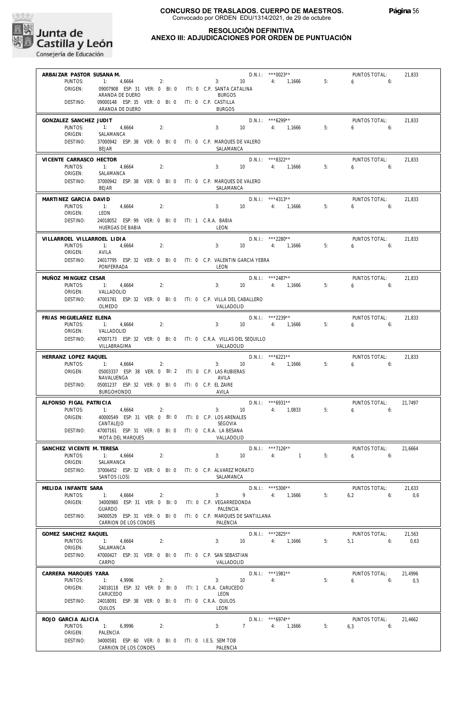

#### **RESOLUCIÓN DEFINITIVA ANEXO III: ADJUDICACIONES POR ORDEN DE PUNTUACIÓN**

**CONSEJERIA DE CONSEJERIA DE EDUCACIÓN**<br>Consejería de Educación

| ARBAIZAR PASTOR SUSANA M.            |                                                                             |                  |  |                               | $D.N.1::$ *** 0023**             |    | PUNTOS TOTAL:             | 21,833         |
|--------------------------------------|-----------------------------------------------------------------------------|------------------|--|-------------------------------|----------------------------------|----|---------------------------|----------------|
| PUNTOS:<br>ORIGEN:                   | 1:<br>4,6664<br>09007908 ESP: 31 VER: 0 BI: 0 ITI: 0 C.P. SANTA CATALINA    | 2:               |  | 3:<br>10                      | 4: 1.1666                        | 5: | $6 \t\t\t 6$              |                |
|                                      | ARANDA DE DUERO                                                             |                  |  | <b>BURGOS</b>                 |                                  |    |                           |                |
| DESTINO:                             | 09000148 ESP: 35 VER: 0 BI: 0 ITI: 0 C.P. CASTILLA<br>ARANDA DE DUERO       |                  |  | <b>BURGOS</b>                 |                                  |    |                           |                |
| GONZALEZ SANCHEZ JUDIT               |                                                                             |                  |  |                               | D.N.I.: ***6299**                |    | PUNTOS TOTAL:             | 21,833         |
| PUNTOS:                              | 1: 4,6664                                                                   | 2:               |  | 3:<br>10 <sup>°</sup>         | 4: 1,1666                        | 5: | $6 \t\t 6$                |                |
| ORIGEN:                              | SALAMANCA                                                                   |                  |  |                               |                                  |    |                           |                |
| DESTINO:                             | 37000942 ESP: 38 VER: 0 BI: 0 ITI: 0 C.P. MARQUES DE VALERO<br><b>BEJAR</b> |                  |  | SALAMANCA                     |                                  |    |                           |                |
| VICENTE CARRASCO HECTOR              |                                                                             |                  |  |                               | $D.N.I.:$ ***8322**              |    | PUNTOS TOTAL:             | 21,833         |
| PUNTOS:                              | 1: 4,6664                                                                   | 2:               |  | 3:<br>10                      | 4: 1,1666                        | 5: | $6\qquad 6$               |                |
| ORIGEN:                              | SALAMANCA                                                                   |                  |  |                               |                                  |    |                           |                |
| DESTINO:                             | 37000942 ESP: 38 VER: 0 BI: 0 ITI: 0 C.P. MARQUES DE VALERO<br><b>BEJAR</b> |                  |  | SALAMANCA                     |                                  |    |                           |                |
| MARTINEZ GARCIA DAVID                |                                                                             |                  |  |                               | $D.N.I.:$ ***4313**              |    | PUNTOS TOTAL:             | 21,833         |
| PUNTOS:                              | $-1:$<br>4,6664                                                             | 2:               |  | 10<br>3:                      | 4: 1,1666                        | 5: | $6 \t\t\t 6$              |                |
| ORIGEN:<br>DESTINO:                  | LEON<br>24018052 ESP: 99 VER: 0 BI: 0 ITI: 1 C.R.A. BABIA                   |                  |  |                               |                                  |    |                           |                |
|                                      | HUERGAS DE BABIA                                                            |                  |  | LEON                          |                                  |    |                           |                |
| VILLARROEL VILLARROEL LIDIA          |                                                                             |                  |  |                               | D.N.I.: ***2280**                |    | PUNTOS TOTAL:             | 21,833         |
| PUNTOS:<br>ORIGEN:                   | 1:<br>4,6664<br>AVILA                                                       | 2:               |  | 3:<br>10                      | 4: 1,1666                        | 5: | $6 \t\t\t 6$              |                |
| DESTINO:                             | 24017795 ESP: 32 VER: 0 BI: 0 ITI: 0 C.P. VALENTIN GARCIA YEBRA             |                  |  |                               |                                  |    |                           |                |
|                                      | PONFERRADA                                                                  |                  |  | LEON                          |                                  |    |                           |                |
| MUÑOZ MINGUEZ CESAR                  |                                                                             |                  |  |                               | D.N.I.: ***2487**                |    | PUNTOS TOTAL:             | 21.833         |
| PUNTOS:<br>ORIGEN:                   | 4,6664<br>VALLADOLID                                                        | 2:               |  | 10<br>3:                      | 4: 1,1666                        | 5: | 6<br>6:                   |                |
| DESTINO:                             | 47001781 ESP: 32 VER: 0 BI: 0 ITI: 0 C.P. VILLA DEL CABALLERO               |                  |  |                               |                                  |    |                           |                |
|                                      | OLMEDO                                                                      |                  |  | VALLADOLID                    |                                  |    |                           |                |
| FRIAS MIGUELAÑEZ ELENA<br>PUNTOS:    |                                                                             | 2:               |  | 3:                            | D.N.I.: ***2239**                | 5: | PUNTOS TOTAL:<br>6:<br>6  | 21,833         |
| ORIGEN:                              | 1: 4,6664<br>VALLADOLID                                                     |                  |  |                               | 10 4: 1,1666                     |    |                           |                |
| DESTINO:                             | 47007173 ESP: 32 VER: 0 BI: 0 ITI: 0 C.R.A. VILLAS DEL SEQUILLO             |                  |  |                               |                                  |    |                           |                |
|                                      | VILLABRAGIMA                                                                |                  |  | VALLADOLID                    |                                  |    |                           |                |
| HERRANZ LOPEZ RAQUEL<br>PUNTOS:      | $\overline{1}$ :<br>4,6664                                                  | 2:               |  | 10<br>3:                      | $D.N.1.:$ ***6221**<br>4: 1,1666 | 5: | PUNTOS TOTAL:<br>6.6      | 21,833         |
| ORIGEN:                              | 05003337 ESP: 38 VER: 0 BI: 2 ITI: 0 C.P. LAS RUBIERAS                      |                  |  |                               |                                  |    |                           |                |
| DESTINO:                             | NAVALUENGA<br>05001237 ESP: 32 VER: 0 BI: 0                                 |                  |  | AVILA<br>ITI: 0 C.P. EL ZAIRE |                                  |    |                           |                |
|                                      | <b>BURGOHONDO</b>                                                           |                  |  | AVILA                         |                                  |    |                           |                |
| ALFONSO FIGAL PATRICIA               |                                                                             |                  |  |                               | $D.N.1::$ *** 6931**             |    | PUNTOS TOTAL:             | 21,7497        |
| PUNTOS:<br>ORIGEN:                   | 4,6664<br>1:                                                                | 2:               |  | 10<br>3:                      | 4: 1,0833                        | 5: | $6\qquad 6$               |                |
|                                      | 40000549 ESP: 31 VER: 0 BI: 0 ITI: 0 C.P. LOS ARENALES<br>CANTALEJO         |                  |  | SEGOVIA                       |                                  |    |                           |                |
| DESTINO:                             | 47007161 ESP: 31 VER: 0 BI: 0 ITI: 0 C.R.A. LA BESANA<br>MOTA DEL MARQUES   |                  |  | VALLADOLID                    |                                  |    |                           |                |
|                                      |                                                                             |                  |  |                               |                                  |    |                           |                |
| SANCHEZ VICENTE M. TERESA<br>PUNTOS: | 1: 4,6664                                                                   | 2:               |  | 10                            | D.N.I.: ***7126**                |    | PUNTOS TOTAL:<br>6:       | 21,6664        |
| ORIGEN:                              | SALAMANCA                                                                   |                  |  |                               |                                  |    |                           |                |
| DESTINO:                             | 37006452 ESP: 32 VER: 0 BI: 0 ITI: 0 C.P. ALVAREZ MORATO<br>SANTOS (LOS)    |                  |  | SALAMANCA                     |                                  |    |                           |                |
| MELIDA INFANTE SARA                  |                                                                             |                  |  |                               | D.N.I.: ***5306**                |    | PUNTOS TOTAL:             | 21,633         |
| PUNTOS:                              | 1:<br>4,6664                                                                | 2:               |  | 9<br>3:                       | 4: 1,1666                        | 5: | 6,2<br>6:                 | 0,6            |
| ORIGEN:                              | 34000980 ESP: 31 VER: 0 BI: 0 ITI: 0 C.P. VEGARREDONDA<br>GUARDO            |                  |  | PALENCIA                      |                                  |    |                           |                |
| DESTINO:                             | 34000529 ESP: 31 VER: 0 BI: 0 ITI: 0 C.P. MARQUES DE SANTILLANA             |                  |  |                               |                                  |    |                           |                |
|                                      | CARRION DE LOS CONDES                                                       |                  |  | PALENCIA                      |                                  |    |                           |                |
| GOMEZ SANCHEZ RAQUEL<br>PUNTOS:      | 1: 4.6664                                                                   | $\overline{2}$ : |  | 3: 10                         | D.N.I.: ***2825**<br>4: 1,1666   | 5: | PUNTOS TOTAL:<br>$5,1$ 6: | 21,563<br>0,63 |
| ORIGEN:                              | SALAMANCA                                                                   |                  |  |                               |                                  |    |                           |                |
| DESTINO:                             | 47000427 ESP: 31 VER: 0 BI: 0 ITI: 0 C.P. SAN SEBASTIAN<br>CARPIO           |                  |  | VALLADOLID                    |                                  |    |                           |                |
| CARRERA MARQUES YARA                 |                                                                             |                  |  |                               | D.N.I.: ***1981**                |    | PUNTOS TOTAL:             | 21,4996        |
| PUNTOS:                              | 1:<br>4,9996                                                                | 2:               |  | 3:<br>10                      | 4:                               | 5: | 6<br>6:                   | 0,5            |
| ORIGEN:                              | 24018118 ESP: 32 VER: 0 BI: 0 ITI: 1 C.R.A. CARUCEDO                        |                  |  |                               |                                  |    |                           |                |
| DESTINO:                             | CARUCEDO<br>24018091 ESP: 38 VER: 0 BI: 0                                   |                  |  | LEON<br>ITI: 0 C.R.A. QUILOS  |                                  |    |                           |                |
|                                      | QUILOS                                                                      |                  |  | LEON                          |                                  |    |                           |                |
| ROJO GARCIA ALICIA                   |                                                                             |                  |  |                               | $D.N.1::$ *** 6974**             |    | PUNTOS TOTAL:             | 21,4662        |
| PUNTOS:<br>ORIGEN:                   | 1: 6,9996<br>PALENCIA                                                       | 2:               |  | 3:                            | 7 4: 1,1666                      | 5: | $6,3$ 6:                  |                |
| DESTINO:                             | 34000581 ESP: 60 VER: 0 BI: 0 ITI: 0 I.E.S. SEM TOB                         |                  |  |                               |                                  |    |                           |                |
|                                      | CARRION DE LOS CONDES                                                       |                  |  | PALENCIA                      |                                  |    |                           |                |

**Página** 56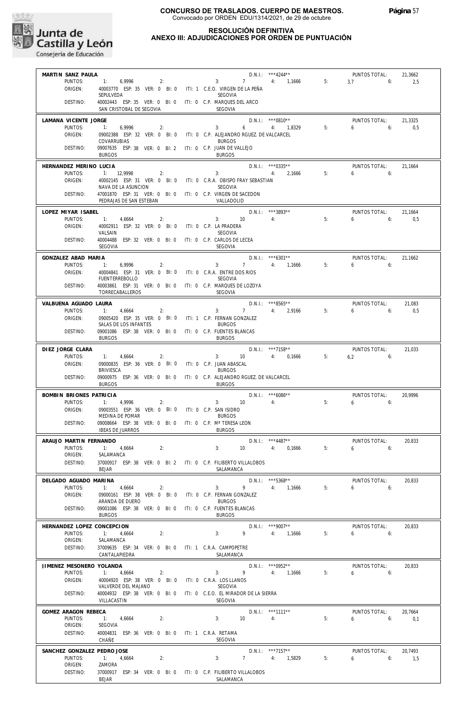

#### **RESOLUCIÓN DEFINITIVA ANEXO III: ADJUDICACIONES POR ORDEN DE PUNTUACIÓN**

| MARTIN SANZ PAULA<br>PUNTOS:                                                                       |                                                                         |         |
|----------------------------------------------------------------------------------------------------|-------------------------------------------------------------------------|---------|
|                                                                                                    | $D.N.1.:$ ***4244**<br>PUNTOS TOTAL:                                    | 21,3662 |
|                                                                                                    | 1: $6,9996$ 2: 3: 7 4: 1,1666<br>5:<br>$3.7$ 6:                         | 2,5     |
| ORIGEN:                                                                                            | 40003770 ESP: 35 VER: 0 BI: 0 ITI: 1 C.E.O. VIRGEN DE LA PEÑA           |         |
| SEPULVEDA                                                                                          | SEGOVIA                                                                 |         |
| DESTINO:<br>40002443 ESP: 35 VER: 0 BI: 0 ITI: 0 C.P. MARQUES DEL ARCO<br>SAN CRISTOBAL DE SEGOVIA | SEGOVIA                                                                 |         |
|                                                                                                    |                                                                         |         |
| LAMANA VICENTE JORGE                                                                               | $D.N.1.:$ *** 0810**<br>PUNTOS TOTAL:                                   | 21,3325 |
| 1: 6,9996<br>PUNTOS:<br>2:                                                                         | 3: 6 4: 1,8329 5:<br>6 <sub>1</sub>                                     | 0.5     |
| ORIGEN:                                                                                            | 09002388 ESP: 32 VER: 0 BI: 0 ITI: 0 C.P. ALEJANDRO RGUEZ. DE VALCARCEL |         |
| COVARRUBIAS                                                                                        | <b>BURGOS</b>                                                           |         |
| DESTINO:<br>09007635 ESP: 38 VER: 0 BI: 2 ITI: 0 C.P. JUAN DE VALLEJO                              |                                                                         |         |
| <b>BURGOS</b>                                                                                      | <b>BURGOS</b>                                                           |         |
| HERNANDEZ MERINO LUCIA                                                                             | $D.N.1.:$ ***0335**<br>PUNTOS TOTAL:                                    | 21.1664 |
| PUNTOS:<br>$1: 12,9998$ 2:                                                                         | $D.N.1.:$ $***0335**$<br>3: $4:$ 2,1666<br>655<br>5:                    |         |
| ORIGEN:                                                                                            | 40002145 ESP: 31 VER: 0 BI: 0 ITI: 0 C.R.A. OBISPO FRAY SEBASTIAN       |         |
| NAVA DE LA ASUNCION                                                                                | SEGOVIA                                                                 |         |
| DESTINO:<br>47001870 ESP: 31 VER: 0 BI: 0 ITI: 0 C.P. VIRGEN DE SACEDON                            |                                                                         |         |
| PEDRAJAS DE SAN ESTEBAN                                                                            | VALLADOLID                                                              |         |
| LOPEZ MIYAR ISABEL                                                                                 | $D.N.1::$ ***3893**<br>PUNTOS TOTAL:                                    | 21,1664 |
| PUNTOS:<br>1: 4,6664<br>2:                                                                         | $3: 10$ 4:<br>650<br>5:                                                 | 0,5     |
| ORIGEN:<br>40002911 ESP: 32 VER: 0 BI: 0 ITI: 0 C.P. LA PRADERA                                    |                                                                         |         |
| VALSAIN                                                                                            | SEGOVIA                                                                 |         |
| 40004488 ESP: 32 VER: 0 BI: 0 ITI: 0 C.P. CARLOS DE LECEA<br>DESTINO:                              |                                                                         |         |
| SEGOVIA                                                                                            | SEGOVIA                                                                 |         |
| GONZALEZ ABAD MARIA                                                                                | $D.N.1.:$ ***6301**<br>PUNTOS TOTAL:                                    | 21.1662 |
| PUNTOS:<br>1: 6,9996<br>2:                                                                         | 3: $7$ 4: 1,1666<br>650<br>5:                                           |         |
| ORIGEN:<br>40004841 ESP: 31 VER: 0 BI: 0 ITI: 0 C.R.A. ENTRE DOS RIOS                              |                                                                         |         |
| <b>FUENTERREBOLLO</b>                                                                              | <b>SEGOVIA</b>                                                          |         |
| DESTINO:<br>40003861 ESP: 31 VER: 0 BI: 0 ITI: 0 C.P. MARQUES DE LOZOYA                            |                                                                         |         |
| TORRECABALLEROS                                                                                    | SEGOVIA                                                                 |         |
| VALBUENA AGUADO LAURA                                                                              | $D.N.1::$ ***8565**<br>PUNTOS TOTAL:                                    | 21,083  |
| PUNTOS:<br>1: 4,6664<br>2:                                                                         | $7$ 4: 2,9166<br>5:<br>$6\qquad 6:$<br>3:                               | 0,5     |
| ORIGEN:<br>09005420 ESP: 35 VER: 0 BI: 0 ITI: 1 C.P. FERNAN GONZALEZ                               |                                                                         |         |
| SALAS DE LOS INFANTES                                                                              | <b>BURGOS</b>                                                           |         |
| DESTINO:<br>09001086 ESP: 38 VER: 0 BI: 0 ITI: 0 C.P. FUENTES BLANCAS                              |                                                                         |         |
| <b>BURGOS</b>                                                                                      | <b>BURGOS</b>                                                           |         |
| DIEZ JORGE CLARA                                                                                   | D.N.I.: ***7158**<br>PUNTOS TOTAL:                                      | 21.033  |
| PUNTOS:<br>4,6664<br>2:                                                                            | 3: 10 4: 0,1666 5:<br>$6.2$ $6:$                                        |         |
| 09000835 ESP: 36 VER: 0 BI: 0 ITI: 0 C.P. JUAN ABASCAL<br>ORIGEN:                                  |                                                                         |         |
| BRIVIESCA                                                                                          | <b>BURGOS</b>                                                           |         |
| DESTINO:                                                                                           | 09000975 ESP: 36 VER: 0 BI: 0 ITI: 0 C.P. ALEJANDRO RGUEZ. DE VALCARCEL |         |
| <b>BURGOS</b>                                                                                      | <b>BURGOS</b>                                                           |         |
| BOMBIN BRIONES PATRICIA                                                                            | $D.N.1.:$ ***6086**<br>PUNTOS TOTAL:                                    | 20.9996 |
| PUNTOS:<br>1: 4,9996                                                                               | $3: 10$ 4:<br>2:<br>5:<br>$6\qquad 6$                                   |         |
| ORIGEN:<br>09003551 ESP: 36 VER: 0 BI: 0 ITI: 0 C.P. SAN ISIDRO                                    |                                                                         |         |
| MEDINA DE POMAR                                                                                    | <b>BURGOS</b>                                                           |         |
| DESTINO:<br>09008664 ESP: 38 VER: 0 BI: 0 ITI: 0 C.P. Mª TERESA LEON                               |                                                                         |         |
| <b>IBEAS DE JUARROS</b>                                                                            | <b>BURGOS</b>                                                           |         |
| ARAUJO MARTIN FERNANDO                                                                             | D.N.I.: *** 4487**<br>PUNTOS TOTAL:                                     | 20,833  |
| PUNTOS: 1: 4,6664<br>2:                                                                            | 10 4: 0,1666<br>$6\qquad 6$<br>3:<br>5:                                 |         |
| ORIGEN:<br>SALAMANCA                                                                               |                                                                         |         |
| DESTINO:                                                                                           | 37000917 ESP: 38 VER: 0 BI: 2 ITI: 0 C.P. FILIBERTO VILLALOBOS          |         |
|                                                                                                    | SALAMANCA                                                               |         |
| BEJAR                                                                                              |                                                                         |         |
|                                                                                                    |                                                                         |         |
| DELGADO AGUADO MARINA                                                                              | $D.N.1.:$ ***5368**<br>PUNTOS TOTAL:                                    | 20,833  |
| PUNTOS:<br>1: 4,6664<br>2:                                                                         | 9 4: 1,1666<br>5:<br>3:<br>$6 \t\t\t 6$                                 |         |
| ORIGEN:<br>09000161 ESP: 38 VER: 0 BI: 0<br>ARANDA DE DUERO                                        | ITI: 0 C.P. FERNAN GONZALEZ<br><b>BURGOS</b>                            |         |
| DESTINO:<br>09001086 ESP: 38 VER: 0 BI: 0 ITI: 0 C.P. FUENTES BLANCAS                              |                                                                         |         |
| <b>BURGOS</b>                                                                                      | <b>BURGOS</b>                                                           |         |
|                                                                                                    |                                                                         |         |
| HERNANDEZ LOPEZ CONCEPCION                                                                         | D.N.I.: ***9007**<br>PUNTOS TOTAL:                                      | 20,833  |
| PUNTOS:<br>1: 4,6664<br>2:                                                                         | 3:<br>9 4: 1,1666<br>5:<br>$6\qquad 6$                                  |         |
| ORIGEN:<br>SALAMANCA                                                                               |                                                                         |         |
| DESTINO:<br>37009635 ESP: 34 VER: 0 BI: 0 ITI: 1 C.R.A. CAMPOPETRE<br>CANTALAPIEDRA                | SALAMANCA                                                               |         |
|                                                                                                    |                                                                         |         |
| JIMENEZ MESONERO YOLANDA                                                                           | D.N.I.: *** 0952**<br>PUNTOS TOTAL:                                     | 20,833  |
| PUNTOS:<br>2:<br>1:<br>4,6664                                                                      | 9 4: 1,1666<br>5:<br>3:<br>$6\qquad 6$                                  |         |
| ORIGEN:<br>40004920 ESP: 38 VER: 0 BI: 0 ITI: 0 C.R.A. LOS LLANOS                                  |                                                                         |         |
| VALVERDE DEL MAJANO<br>40004932 ESP: 38 VER: 0 BI: 0<br>DESTINO:                                   | SEGOVIA<br>ITI: 0 C.E.O. EL MIRADOR DE LA SIERRA                        |         |
| VILLACASTIN                                                                                        | SEGOVIA                                                                 |         |
|                                                                                                    |                                                                         |         |
| GOMEZ ARAGON REBECA                                                                                | D.N.I.: ***1111**<br>PUNTOS TOTAL:                                      | 20.7664 |
| PUNTOS:<br>$-1:$<br>2:<br>4,6664                                                                   | $10 \qquad \qquad 4$<br>5:<br>3:<br>$6\qquad 6$                         | 0,1     |
| ORIGEN:<br>SEGOVIA                                                                                 |                                                                         |         |
| DESTINO:<br>40004831 ESP: 36 VER: 0 BI: 0 ITI: 1 C.R.A. RETAMA                                     |                                                                         |         |
| CHAÑE                                                                                              | SEGOVIA                                                                 |         |
| SANCHEZ GONZALEZ PEDRO JOSE                                                                        | $D.N.1::$ ***7157**<br>PUNTOS TOTAL:                                    | 20,7493 |
| PUNTOS:<br>$-1:$<br>4,6664<br>2:                                                                   | 3:<br>7 4: 1,5829<br>5:<br>$6\qquad 6:$                                 | 1,5     |
| ORIGEN:<br>ZAMORA<br>DESTINO:                                                                      | 37000917 ESP: 34 VER: 0 BI: 0 ITI: 0 C.P. FILIBERTO VILLALOBOS          |         |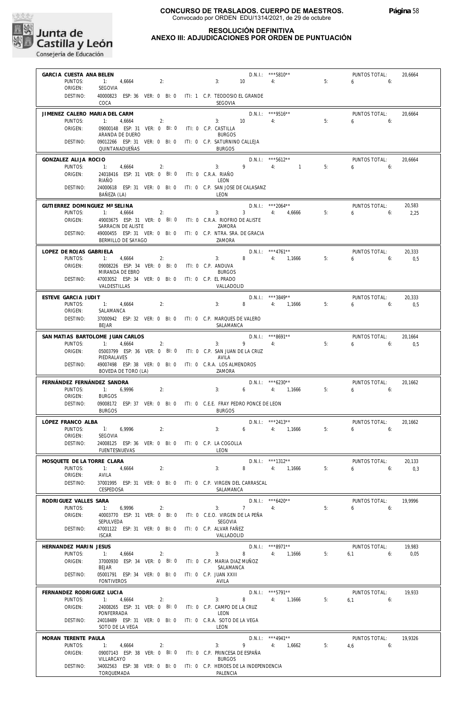

### **RESOLUCIÓN DEFINITIVA**

# **ANEXO III: ADJUDICACIONES POR ORDEN DE PUNTUACIÓN**

**CONSEGUIDA DE CONSEGUIDA DE CONSEGUIDA DE CONSEGUIDA DE CONSEGUIDA DE CONSEGUIDA DE LA CONSEGUIDA DE LA CONSEGUIDA DE LA CONSEGUIDA DE LA CONSEGUIDA DE LA CONSEGUIDA DE LA CONSEGUIDA DE LA CONSEGUIDA DE LA CONSEGUIDA DE L** 

| PUNTOS:                                  | GARCIA CUESTA ANA BELEN<br>1: 4,6664                                                             | 2: | 3:                                           | $10 \qquad \qquad 4:$ | D.N.I.: *** 5810**                         | 5: | PUNTOS TOTAL:<br>$6\qquad 6:$     | 20,6664        |
|------------------------------------------|--------------------------------------------------------------------------------------------------|----|----------------------------------------------|-----------------------|--------------------------------------------|----|-----------------------------------|----------------|
| ORIGEN:                                  | SEGOVIA                                                                                          |    |                                              |                       |                                            |    |                                   |                |
| DESTINO:                                 | 40000823 ESP: 36 VER: 0 BI: 0 ITI: 1 C.P. TEODOSIO EL GRANDE<br>COCA                             |    | SEGOVIA                                      |                       |                                            |    |                                   |                |
| JIMENEZ CALERO MARIA DEL CARM            |                                                                                                  |    |                                              |                       | D.N.I.: ***9516**                          |    | PUNTOS TOTAL:                     | 20,6664        |
| PUNTOS:<br>ORIGEN:                       | 1: 4,6664<br>09000148 ESP: 31 VER: 0 BI: 0 ITI: 0 C.P. CASTILLA                                  | 2: |                                              | $3: 10 \t 4:$         |                                            | 5: | $6\qquad 6$                       |                |
| DESTINO:                                 | ARANDA DE DUERO<br>09012266 ESP: 31 VER: 0 BI: 0 ITI: 0 C.P. SATURNINO CALLEJA                   |    | <b>BURGOS</b>                                |                       |                                            |    |                                   |                |
|                                          | QUINTANADUEÑAS                                                                                   |    | <b>BURGOS</b>                                |                       |                                            |    |                                   |                |
| GONZALEZ ALIJA ROCIO<br>PUNTOS:          | 1: 4,6664                                                                                        | 2: |                                              |                       | $D.N.1.:$ ***5612**<br>$3: 9 \t 4: 1$      | 5: | PUNTOS TOTAL:<br>6.6              | 20,6664        |
| ORIGEN:                                  | 24018416 ESP: 31 VER: 0 BI: 0 ITI: 0 C.R.A. RIAÑO                                                |    |                                              |                       |                                            |    |                                   |                |
| DESTINO:                                 | RIAÑO<br>24000618 ESP: 31 VER: 0 BI: 0 ITI: 0 C.P. SAN JOSE DE CALASANZ                          |    | LEON                                         |                       |                                            |    |                                   |                |
|                                          | BAÑEZA (LA)                                                                                      |    | LEON                                         |                       |                                            |    |                                   |                |
| GUTIERREZ DOMINGUEZ Mª SELINA<br>PUNTOS: | 1: 4,6664                                                                                        | 2: |                                              |                       | $D.N.1.:$ ***2064**<br>$3: 3 \t 4: 4,6666$ | 5: | PUNTOS TOTAL:<br>$6\qquad 6$      | 20,583<br>2,25 |
| ORIGEN:                                  | 49003675 ESP: 31 VER: 0 BI: 0 ITI: 0 C.R.A. RIOFRIO DE ALISTE<br>SARRACIN DE ALISTE              |    | ZAMORA                                       |                       |                                            |    |                                   |                |
| DESTINO:                                 | 49000455 ESP: 31 VER: 0 BI: 0 ITI: 0 C.P. NTRA. SRA. DE GRACIA<br>BERMILLO DE SAYAGO             |    | ZAMORA                                       |                       |                                            |    |                                   |                |
| LOPEZ DE ROJAS GABRIELA                  |                                                                                                  |    |                                              |                       | $D.N.1.:$ ***4761**                        |    | PUNTOS TOTAL:                     | 20,333         |
| PUNTOS:<br>ORIGEN:                       | 1: 4,6664<br>09008226 ESP: 34 VER: 0 BI: 0 ITI: 0 C.P. ANDUVA                                    | 2: |                                              |                       | 3: 8 $4: 1,1666$                           | 5: | $6\qquad 6$                       | 0,5            |
|                                          | MIRANDA DE EBRO                                                                                  |    | <b>BURGOS</b>                                |                       |                                            |    |                                   |                |
| DESTINO:                                 | 47003052 ESP: 34 VER: 0 BI: 0 ITI: 0 C.P. EL PRADO<br>VALDESTILLAS                               |    | VALLADOLID                                   |                       |                                            |    |                                   |                |
| ESTEVE GARCIA JUDIT                      |                                                                                                  |    |                                              |                       | $D.N.1::$ ***3849**                        |    | PUNTOS TOTAL:                     | 20,333         |
| PUNTOS:<br>ORIGEN:                       | 1: 4,6664<br>SALAMANCA                                                                           | 2: | 3:                                           |                       | 8 4: 1,1666                                | 5: | 655                               | 0,5            |
| DESTINO:                                 | 37000942 ESP: 32 VER: 0 BI: 0 ITI: 0 C.P. MARQUES DE VALERO<br>BEJAR                             |    | SALAMANCA                                    |                       |                                            |    |                                   |                |
|                                          | SAN MATIAS BARTOLOME JUAN CARLOS                                                                 |    |                                              |                       | D.N.I.: ***8691**                          |    | PUNTOS TOTAL:                     | 20,1664        |
| PUNTOS:<br>ORIGEN:                       | $-11$<br>4,6664                                                                                  | 2: | 3:                                           |                       | $9 \t 4$                                   | 5: | $6\qquad 6$                       | 0,5            |
|                                          | 05003799 ESP: 36 VER: 0 BI: 0 ITI: 0 C.P. SAN JUAN DE LA CRUZ<br>PIEDRALAVES                     |    | AVILA                                        |                       |                                            |    |                                   |                |
| DESTINO:                                 | 49007498 ESP: 38 VER: 0 BI: 0 ITI: 0 C.R.A. LOS ALMENDROS<br>BOVEDA DE TORO (LA)                 |    | ZAMORA                                       |                       |                                            |    |                                   |                |
|                                          |                                                                                                  |    |                                              |                       |                                            |    |                                   |                |
| FERNÁNDEZ FERNÁNDEZ SANDRA               |                                                                                                  |    |                                              |                       | $D.N.1.:$ ***6230**                        |    | PUNTOS TOTAL:                     | 20,1662        |
| PUNTOS:<br>ORIGEN:                       | 1: 6,9996<br><b>BURGOS</b>                                                                       | 2: | 3:                                           |                       | 6 4: 1,1666                                | 5: | 655                               |                |
| DESTINO:                                 | 09008172 ESP: 37 VER: 0 BI: 0 ITI: 0 C.E.E. FRAY PEDRO PONCE DE LEON<br><b>BURGOS</b>            |    | <b>BURGOS</b>                                |                       |                                            |    |                                   |                |
| LÓPEZ FRANCO ALBA                        |                                                                                                  |    |                                              |                       | $D.N.1::$ ***2413**                        |    | PUNTOS TOTAL:                     | 20,1662        |
| PUNTOS:<br>ORIGEN:                       | 1: 6,9996<br>SEGOVIA                                                                             | 2: | 3:                                           |                       | 6 4: 1,1666                                | 5: | 650                               |                |
| DESTINO:                                 | 24008125 ESP: 36 VER: 0 BI: 0 ITI: 0 C.P. LA COGOLLA                                             |    |                                              |                       |                                            |    |                                   |                |
|                                          | FUENTESNUEVAS                                                                                    |    | LEON                                         |                       |                                            |    |                                   |                |
| MOSQUETE DE LA TORRE CLARA<br>PUNTOS:    | 1:<br>4,6664                                                                                     | 2: | 3:                                           | 8                     | D.N.I.: ***1312**<br>4: 1,1666             | 5: | PUNTOS TOTAL:<br>$6 \qquad$<br>6: | 20,133<br>0,3  |
| ORIGEN:<br>DESTINO:                      | AVILA<br>37001995 ESP: 31 VER: 0 BI: 0 ITI: 0 C.P. VIRGEN DEL CARRASCAL                          |    |                                              |                       |                                            |    |                                   |                |
|                                          | CESPEDOSA                                                                                        |    | SALAMANCA                                    |                       |                                            |    |                                   |                |
| RODRIGUEZ VALLES SARA<br>PUNTOS:         | 1:<br>6,9996                                                                                     | 2: | 3:                                           | $7 \quad 4$           | D.N.I.: *** 6420**                         | 5: | PUNTOS TOTAL:<br>6<br>6:          | 19,9996        |
| ORIGEN:                                  | 40003770 ESP: 31 VER: 0 BI: 0<br>SEPULVEDA                                                       |    | iti: 0 C.E.O. Virgen de la peña<br>SEGOVIA   |                       |                                            |    |                                   |                |
| DESTINO:                                 | 47001122 ESP: 31 VER: 0 BI: 0                                                                    |    | ITI: 0 C.P. ALVAR FAÑEZ                      |                       |                                            |    |                                   |                |
| HERNANDEZ MARIN JESUS                    | <b>ISCAR</b>                                                                                     |    | VALLADOLID                                   |                       | $D.N.1.:$ ***8971**                        |    | PUNTOS TOTAL:                     | 19,983         |
| PUNTOS:                                  | 1:<br>4,6664                                                                                     | 2: | 3:                                           |                       | 8 4: 1,1666                                | 5: | $6.1$ $6:$                        | 0,05           |
| ORIGEN:                                  | 37000930 ESP: 34 VER: 0 BI: 0<br>BEJAR                                                           |    | ITI: 0   C.P.  MARIA DIAZ MUÑOZ<br>SALAMANCA |                       |                                            |    |                                   |                |
| DESTINO:                                 | 05001791 ESP: 34 VER: 0 BI: 0<br><b>FONTIVEROS</b>                                               |    | ITI: 0 C.P. JUAN XXIII<br>AVILA              |                       |                                            |    |                                   |                |
| FERNANDEZ RODRIGUEZ LUCIA                |                                                                                                  |    |                                              |                       | $D.N.1::$ ***5791**                        |    | PUNTOS TOTAL:                     | 19,933         |
| PUNTOS:<br>ORIGEN:                       | 1:<br>4,6664<br>24008265 ESP: 31 VER: 0 BI: 0                                                    | 2: | 3:<br>ITI: 0 C.P. CAMPO DE LA CRUZ           | 8                     | 4: 1,1666                                  | 5: | $6.1$ $6:$                        |                |
| DESTINO:                                 | PONFERRADA<br>24018489 ESP: 31 VER: 0 BI: 0 ITI: 0 C.R.A. SOTO DE LA VEGA                        |    | LEON                                         |                       |                                            |    |                                   |                |
|                                          | SOTO DE LA VEGA                                                                                  |    | LEON                                         |                       |                                            |    |                                   |                |
| MORAN TERENTE PAULA<br>PUNTOS:           |                                                                                                  | 2: | 3:                                           |                       | $D.N.1::$ ***4941**<br>9 4: 1,6662         | 5: | PUNTOS TOTAL:<br>$4.6$ 6:         | 19,9326        |
| ORIGEN:                                  | 1: 4,6664<br>09007143 ESP: 38 VER: 0 BI: 0                                                       |    | ITI: 0 C.P. PRINCESA DE ESPAÑA               |                       |                                            |    |                                   |                |
| DESTINO:                                 | VILLARCAYO<br>34002563 ESP: 38 VER: 0 BI: 0 ITI: 0 C.P. HEROES DE LA INDEPENDENCIA<br>TORQUEMADA |    | <b>BURGOS</b><br>PALENCIA                    |                       |                                            |    |                                   |                |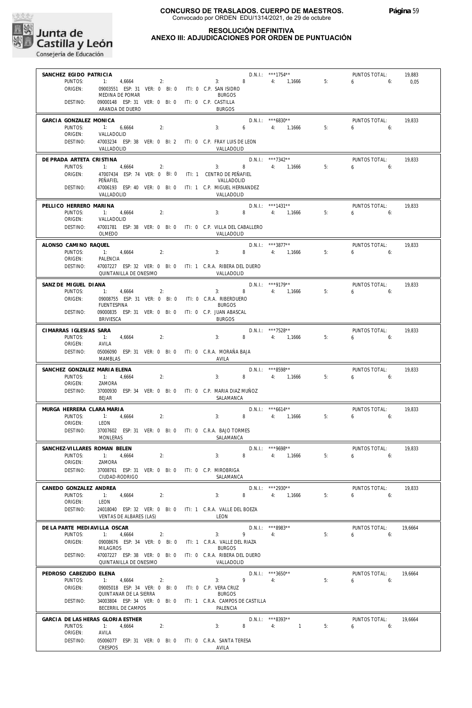

#### **RESOLUCIÓN DEFINITIVA ANEXO III: ADJUDICACIONES POR ORDEN DE PUNTUACIÓN**

| SANCHEZ EGIDO PATRICIA<br>1: 4,6664<br>PUNTOS:<br>2:                                                                  | $D.N.1.:$ ***1754**<br>PUNTOS TOTAL:<br>19,883<br>4: 1,1666 5:<br>3: 8<br>$6\qquad 6:$<br>0,05 |
|-----------------------------------------------------------------------------------------------------------------------|------------------------------------------------------------------------------------------------|
| ORIGEN:<br>09003551 ESP: 31 VER: 0 BI: 0 ITI: 0 C.P. SAN ISIDRO<br>MEDINA DE POMAR<br><b>BURGOS</b>                   |                                                                                                |
| 09000148 ESP: 31 VER: 0 BI: 0 ITI: 0 C.P. CASTILLA<br>DESTINO:<br>ARANDA DE DUERO<br><b>BURGOS</b>                    |                                                                                                |
| GARCIA GONZALEZ MONICA<br>PUNTOS:<br>1: 6,6664<br>2:<br>3:                                                            | $D.N.1.:$ ***6830**<br>PUNTOS TOTAL:<br>19,833<br>6 4: 1,1666<br>5:<br>$6\qquad 6$             |
| ORIGEN:<br>VALLADOLID<br>DESTINO:<br>47003234 ESP: 38 VER: 0 BI: 2 ITI: 0 C.P. FRAY LUIS DE LEON                      |                                                                                                |
| VALLADOLID                                                                                                            | VALLADOLID                                                                                     |
| DE PRADA ARTETA CRISTINA<br>PUNTOS:<br>$-1:$<br>4,6664<br>2:                                                          | $D.N.1.:$ ***7342**<br>PUNTOS TOTAL:<br>19,833<br>3: 8 4: 1,1666<br>5:<br>$6\qquad 6$          |
| ORIGEN:<br>47007434 ESP: 74 VER: 0 BI: 0 ITI: 1 CENTRO DE PEÑAFIEL<br>PEÑAFIEL                                        | VALLADOLID                                                                                     |
| DESTINO:<br>47006193 ESP: 40 VER: 0 BI: 0 ITI: 1 C.P. MIGUEL HERNANDEZ<br>VALLADOLID                                  | VALLADOLID                                                                                     |
| PELLICO HERRERO MARINA<br>PUNTOS:<br>1: 4,6664<br>2:<br>3:                                                            | $D.N.1::$ ***1431**<br>PUNTOS TOTAL:<br>19,833<br>8 4: 1,1666<br>5:<br>$6 \qquad 6$            |
| ORIGEN:<br>VALLADOLID<br>DESTINO:<br>47001781 ESP: 38 VER: 0 BI: 0 ITI: 0 C.P. VILLA DEL CABALLERO                    |                                                                                                |
| OLMEDO                                                                                                                | VALLADOLID                                                                                     |
| ALONSO CAMINO RAQUEL<br>1: 4,6664<br>PUNTOS:<br>2:<br>3:                                                              | D.N.I.: ***3877**<br>PUNTOS TOTAL:<br>19.833<br>8 4: 1,1666<br>5:<br>$6 \t\t\t 6$              |
| ORIGEN:<br>PALENCIA<br>DESTINO:<br>47007227 ESP: 32 VER: 0 BI: 0 ITI: 1 C.R.A. RIBERA DEL DUERO                       |                                                                                                |
| QUINTANILLA DE ONESIMO                                                                                                | VALLADOLID                                                                                     |
| SANZ DE MIGUEL DIANA<br>PUNTOS:<br>1: 4,6664<br>2:                                                                    | $D.N.1.:$ ***9179**<br>PUNTOS TOTAL:<br>19,833<br>$3: 8 \t 4: 1,1666$<br>6 <sub>6</sub><br>5:  |
| ORIGEN:<br>09008755 ESP: 31 VER: 0 BI: 0 ITI: 0 C.R.A. RIBERDUERO<br><b>FUENTESPINA</b><br><b>BURGOS</b>              |                                                                                                |
| DESTINO:<br>09000835 ESP: 31 VER: 0 BI: 0 ITI: 0 C.P. JUAN ABASCAL<br>BRIVIESCA<br><b>BURGOS</b>                      |                                                                                                |
| CIMARRAS IGLESIAS SARA<br>PUNTOS:<br>1: 4,6664<br>2:<br>3:                                                            | D.N.I.: ***7528**<br>PUNTOS TOTAL:<br>19,833<br>650<br>8 4: 1,1666<br>5:                       |
| ORIGEN:<br>AVILA<br>DESTINO:<br>05006090 ESP: 31 VER: 0 BI: 0 ITI: 0 C.R.A. MORAÑA BAJA                               |                                                                                                |
| MAMBLAS<br>AVILA                                                                                                      |                                                                                                |
| SANCHEZ GONZALEZ MARIA ELENA<br>PUNTOS:<br>1: 4,6664<br>2:<br>3:                                                      | $D.N.1.:$ ***8598**<br>PUNTOS TOTAL:<br>19,833<br>8 4: 1,1666<br>5:<br>6.6                     |
| ORIGEN:<br>ZAMORA<br>DESTINO:<br>37000930 ESP: 34 VER: 0 BI: 0 ITI: 0 C.P. MARIA DIAZ MUÑOZ                           |                                                                                                |
| <b>BEJAR</b>                                                                                                          | SALAMANCA                                                                                      |
| MURGA HERRERA CLARA MARIA<br>1: 4.6664<br>PUNTOS:<br>2:                                                               | $D.N.1.:$ ***6614**<br>PUNTOS TOTAL:<br>19,833<br>3: 8 4: 1,1666 5:<br>6.6                     |
| ORIGEN:<br>LEON<br>37007602 ESP: 31 VER: 0 BI: 0 ITI: 0 C.R.A. BAJO TORMES<br>DESTINO:                                |                                                                                                |
| MONLERAS<br>SANCHEZ-VILLARES ROMAN BELEN                                                                              | SALAMANCA<br>D.N.I.: *** 9698**<br>PUNTOS TOTAL:<br>19.833                                     |
| PUNTOS:<br>2:<br>1:<br>4,6664<br>3:<br>ZAMORA<br>ORIGEN:                                                              | 4: 1,1666<br>8 <sup>1</sup><br>5:<br>6:<br>6                                                   |
| DESTINO:<br>37008761 ESP: 31 VER: 0 BI: 0 ITI: 0 C.P. MIROBRIGA<br>CIUDAD-RODRIGO                                     | SALAMANCA                                                                                      |
| CANEDO GONZALEZ ANDREA                                                                                                | D.N.I.: ***2930**<br>PUNTOS TOTAL:<br>19,833                                                   |
| PUNTOS:<br>$-1:$<br>4,6664<br>2:<br>3:<br>ORIGEN:<br>LEON                                                             | 8 4: 1,1666<br>5:<br>$6\qquad 6$                                                               |
| DESTINO:<br>24018040 ESP: 32 VER: 0 BI: 0 ITI: 1 C.R.A. VALLE DEL BOEZA<br>VENTAS DE ALBARES (LAS)<br>LEON            |                                                                                                |
| DE LA PARTE MEDIAVILLA OSCAR<br>2:<br>3:<br>PUNTOS:<br>4,6664                                                         | D.N.I.: ***8983**<br>PUNTOS TOTAL:<br>19,6664<br>9<br>4:<br>5:<br>$6\qquad 6$                  |
| ORIGEN:<br>09008676 ESP: 34 VER: 0 BI: 0 ITI: 1 C.R.A. VALLE DEL RIAZA<br><b>MILAGROS</b><br><b>BURGOS</b>            |                                                                                                |
| 47007227 ESP: 38 VER: 0 BI: 0 ITI: 0 C.R.A. RIBERA DEL DUERO<br>DESTINO:<br>QUINTANILLA DE ONESIMO                    | VALLADOLID                                                                                     |
| PEDROSO CABEZUDO ELENA                                                                                                | D.N.I.: ***3650**<br>PUNTOS TOTAL:<br>19,6664                                                  |
| PUNTOS:<br>$1: 4,6664$ 2:<br>ORIGEN:<br>09005018 ESP: 34 VER: 0 BI: 0 ITI: 0 C.P. VERA CRUZ                           | $3: 9 \t 4:$<br>5:<br>$6\qquad 6$                                                              |
| QUINTANAR DE LA SIERRA<br><b>BURGOS</b><br>DESTINO:<br>34003804 ESP: 34 VER: 0 BI: 0 ITI: 1 C.R.A. CAMPOS DE CASTILLA |                                                                                                |
| BECERRIL DE CAMPOS<br>PALENCIA<br>GARCIA DE LAS HERAS GLORIA ESTHER                                                   | D.N.I.: ***8393**<br>PUNTOS TOTAL:<br>19,6664                                                  |
| 1: 4,6664<br>2:<br>3:<br>PUNTOS:<br>ORIGEN:<br>AVILA                                                                  | 8 4: 1<br>5:<br>$6 \t\t\t 6$                                                                   |
| DESTINO:<br>05006077 ESP: 31 VER: 0 BI: 0 ITI: 0 C.R.A. SANTA TERESA<br>CRESPOS<br>AVILA                              |                                                                                                |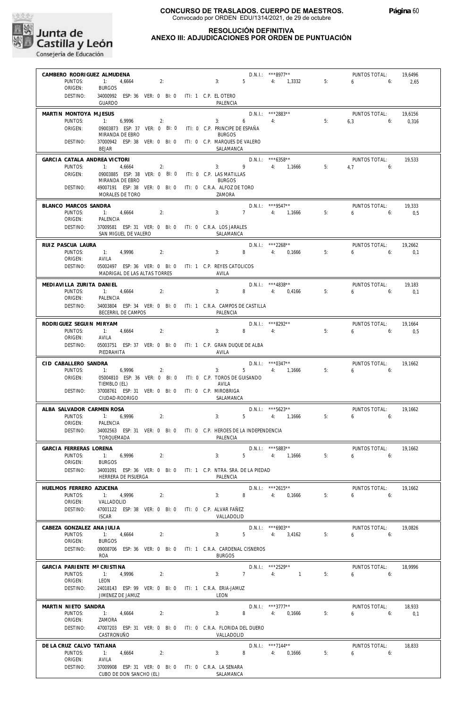

### **RESOLUCIÓN DEFINITIVA**

# **ANEXO III: ADJUDICACIONES POR ORDEN DE PUNTUACIÓN**

| CAMBERO RODRIGUEZ ALMUDENA                                                                                 | D.N.I.: ***8977**                                                                | PUNTOS TOTAL:<br>19,6496                            |
|------------------------------------------------------------------------------------------------------------|----------------------------------------------------------------------------------|-----------------------------------------------------|
| PUNTOS:<br>$-1:$<br>2:<br>4.6664<br>ORIGEN:<br><b>BURGOS</b>                                               | $5 -$<br>4: 1,3332<br>3:                                                         | 5:<br>2,65<br>$6\qquad \qquad$<br>6:                |
| DESTINO:<br>34000992 ESP: 36 VER: 0 BI: 0 ITI: 1 C.P. EL OTERO<br><b>GUARDO</b>                            | PALENCIA                                                                         |                                                     |
| MARTIN MONTOYA M.JESUS                                                                                     | D.N.I.: ***2883**                                                                | PUNTOS TOTAL:<br>19,6156                            |
| PUNTOS:<br>6,9996<br>2:<br>ORIGEN:<br>09003873 ESP: 37 VER: 0 BI: 0                                        | 4:<br>3:<br>6<br>iti: 0   C.P.  PRINCIPE DE ESPAÑA                               | 5:<br>6,3<br>6:<br>0,316                            |
| MIRANDA DE EBRO                                                                                            | <b>BURGOS</b>                                                                    |                                                     |
| DESTINO:<br>37000942 ESP: 38 VER: 0 BI: 0<br><b>BEJAR</b>                                                  | ITI: 0 C.P. MARQUES DE VALERO<br>SALAMANCA                                       |                                                     |
| GARCIA CATALA ANDREA VICTORI                                                                               | $D.N.1.:$ ***6358**                                                              | PUNTOS TOTAL:<br>19,533                             |
| PUNTOS:<br>$-1$ :<br>4,6664<br>2:<br>ORIGEN:<br>09003885 ESP: 38 VER: 0 BI: 0 ITI: 0 C.P. LAS MATILLAS     | 9 4: 1,1666<br>3:                                                                | 5:<br>$4.7$ 6:                                      |
| MIRANDA DE EBRO<br>DESTINO:                                                                                | <b>BURGOS</b>                                                                    |                                                     |
| 49007191 ESP: 38 VER: 0 BI: 0 ITI: 0 C.R.A. ALFOZ DE TORO<br>MORALES DE TORO                               | ZAMORA                                                                           |                                                     |
| BLANCO MARCOS SANDRA                                                                                       | $D.N.1::$ ***9547**                                                              | PUNTOS TOTAL:<br>19,333                             |
| PUNTOS:<br>$-11$<br>4,6664<br>2:<br>ORIGEN:<br>PALENCIA                                                    | 7 4: 1,1666<br>3:                                                                | 5:<br>$6\overline{)}$<br>6:<br>0.5                  |
| DESTINO:<br>37009581 ESP: 31 VER: 0 BI: 0 ITI: 0 C.R.A. LOS JARALES<br>SAN MIGUEL DE VALERO                | SALAMANCA                                                                        |                                                     |
| RUIZ PASCUA LAURA                                                                                          | D.N.I.: ***2268**                                                                | PUNTOS TOTAL:<br>19.2662                            |
| 4,9996<br>2:<br>PUNTOS:<br>ORIGEN:<br>AVILA                                                                | 3:<br>8<br>4: 0.1666                                                             | 5:<br>$6 \qquad$<br>6:<br>0,1                       |
| DESTINO:<br>05002497 ESP: 36 VER: 0 BI: 0 ITI: 1 C.P. REYES CATOLICOS                                      |                                                                                  |                                                     |
| MADRIGAL DE LAS ALTAS TORRES<br>MEDIAVILLA ZURITA DANIEL                                                   | AVILA<br>$D.N.1::$ ***4838**                                                     |                                                     |
| 2:<br>PUNTOS:<br>1: 4,6664                                                                                 | 3:<br>8 4: 0,4166                                                                | PUNTOS TOTAL:<br>19,183<br>5:<br>$6\qquad 6$<br>0,1 |
| ORIGEN:<br>PALENCIA<br>DESTINO:                                                                            | 34003804 ESP: 34 VER: 0 BI: 0 ITI: 1 C.R.A. CAMPOS DE CASTILLA                   |                                                     |
| BECERRIL DE CAMPOS                                                                                         | PALENCIA                                                                         |                                                     |
| RODRIGUEZ SEGUIN MIRYAM<br>PUNTOS:<br>1: 4,6664<br>2:                                                      | $D.N.1.:$ ***8292**<br>3:<br>8<br>4:                                             | PUNTOS TOTAL:<br>19,1664<br>5:<br>6<br>6:<br>0.5    |
| ORIGEN:<br>AVILA                                                                                           |                                                                                  |                                                     |
| DESTINO:<br>PIEDRAHITA                                                                                     | 05003751 ESP: 37 VER: 0 BI: 0 ITI: 1 C.P. GRAN DUQUE DE ALBA<br>AVILA            |                                                     |
| CID CABALLERO SANDRA                                                                                       | $D.N.1.:$ ***0347**                                                              | PUNTOS TOTAL:<br>19,1662                            |
| PUNTOS:<br>$-1:$<br>6,9996<br>2:<br>ORIGEN:<br>05004810 ESP: 36 VER: 0 BI: 0 ITI: 0 C.P. TOROS DE GUISANDO | $5 -$<br>4: 1,1666<br>3:                                                         | 5:<br>6<br>6:                                       |
| TIEMBLO (EL)<br>DESTINO:<br>37008761 ESP: 31 VER: 0 BI: 0 ITI: 0 C.P. MIROBRIGA                            | AVILA                                                                            |                                                     |
| CIUDAD-RODRIGO                                                                                             | SALAMANCA                                                                        |                                                     |
| ALBA SALVADOR CARMEN ROSA<br>1: 6.9996<br>PUNTOS:<br>2:                                                    | $D.N.1.:$ ***5623**<br>5 4: 1.1666                                               | PUNTOS TOTAL:<br>19,1662<br>5:<br>$6 \t\t 6$        |
| ORIGEN:<br>PALENCIA                                                                                        | 3:                                                                               |                                                     |
| DESTINO:<br>TORQUEMADA                                                                                     | 34002563 ESP: 31 VER: 0 BI: 0 ITI: 0 C.P. HEROES DE LA INDEPENDENCIA<br>PALENCIA |                                                     |
| GARCIA FERRERAS LORENA                                                                                     | D.N.I.: *** 5883**                                                               | PUNTOS TOTAL:<br>19.1662                            |
| PUNTOS:<br>1: 6,9996<br>2:<br>ORIGEN:<br><b>BURGOS</b>                                                     | 5<br>3:<br>4:                                                                    | 1,1666<br>5:<br>6:<br>6                             |
| DESTINO:                                                                                                   | 34001091 ESP: 36 VER: 0 BI: 0 ITI: 1 C.P. NTRA. SRA. DE LA PIEDAD                |                                                     |
| HERRERA DE PISUERGA<br>HUELMOS FERRERO AZUCENA                                                             | PALENCIA<br>D.N.I.: ***2615**                                                    | PUNTOS TOTAL:<br>19.1662                            |
| PUNTOS:<br>1: 4,9996<br>2:                                                                                 | 3:<br>8<br>4: 0.1666                                                             | 5:<br>6<br>6:                                       |
| ORIGEN:<br>VALLADOLID<br>DESTINO:<br>47001122 ESP: 38 VER: 0 BI: 0 ITI: 0 C.P. ALVAR FAÑEZ                 |                                                                                  |                                                     |
| <b>ISCAR</b>                                                                                               | VALLADOLID                                                                       |                                                     |
| CABEZA GONZALEZ ANA JULIA<br>PUNTOS:<br>1: 4,6664<br>2:                                                    | $D.N.1::$ ***6903**<br>5 4: 3,4162<br>3:                                         | PUNTOS TOTAL:<br>19,0826<br>5:<br>6:<br>6           |
| ORIGEN:<br><b>BURGOS</b>                                                                                   |                                                                                  |                                                     |
| DESTINO:<br><b>ROA</b>                                                                                     | 09008706 ESP: 36 VER: 0 BI: 0 ITI: 1 C.R.A. CARDENAL CISNEROS<br><b>BURGOS</b>   |                                                     |
| GARCIA PARIENTE Mª CRISTINA                                                                                | D.N.I.: ***2529**                                                                | PUNTOS TOTAL:<br>18,9996                            |
| PUNTOS:<br>$-1:$<br>4,9996<br>2:<br>ORIGEN:<br>LEON                                                        | 3:<br>7<br>4:                                                                    | 5:<br>$6\qquad 6$<br>$\sim$ 1                       |
| DESTINO:<br>24018143 ESP: 99 VER: 0 BI: 0 ITI: 1 C.R.A. ERIA-JAMUZ<br>JIMENEZ DE JAMUZ                     | LEON                                                                             |                                                     |
| MARTIN NIETO SANDRA                                                                                        | $D.N.I.:$ ***3777**                                                              | PUNTOS TOTAL:<br>18,933                             |
| PUNTOS:<br>1: 4,6664<br>2:<br>ORIGEN:<br>ZAMORA                                                            | 8<br>3:<br>4: 0,1666                                                             | 5:<br>6.6<br>0,1                                    |
| DESTINO:                                                                                                   | 47007203 ESP: 31 VER: 0 BI: 0 ITI: 0 C.R.A. FLORIDA DEL DUERO                    |                                                     |
| CASTRONUÑO                                                                                                 | VALLADOLID                                                                       |                                                     |
| DE LA CRUZ CALVO TATIANA<br>1: 4,6664<br>PUNTOS:<br>2:                                                     | $D.N.1::$ ***7144**<br>8<br>4: 0,1666<br>3:                                      | PUNTOS TOTAL:<br>18,833<br>6:<br>5:<br>6            |
| ORIGEN:<br>AVILA<br>DESTINO:<br>37009908 ESP: 31 VER: 0 BI: 0 ITI: 0 C.R.A. LA SENARA                      |                                                                                  |                                                     |
| CUBO DE DON SANCHO (EL)                                                                                    | SALAMANCA                                                                        |                                                     |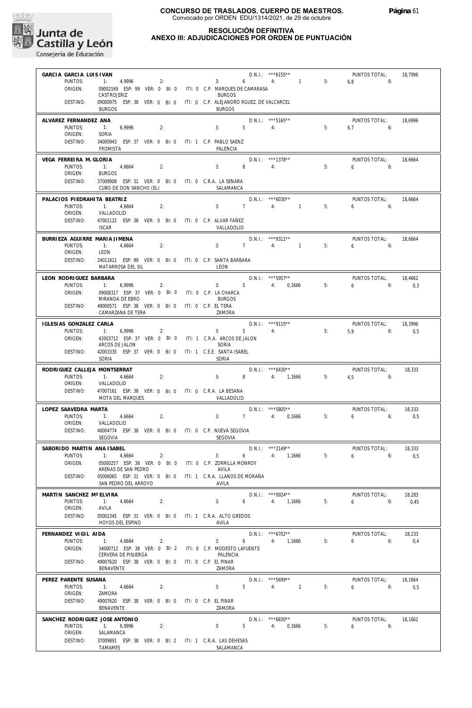

**RESOLUCIÓN DEFINITIVA**

### **ANEXO III: ADJUDICACIONES POR ORDEN DE PUNTUACIÓN**

| GARCIA GARCIA LUIS IVAN        |                                                                                          |               |                | D.N.I.: *** 6155**                |    | PUNTOS TOTAL: | 18,7996 |
|--------------------------------|------------------------------------------------------------------------------------------|---------------|----------------|-----------------------------------|----|---------------|---------|
| PUNTOS:                        | 4,9996<br>1:<br>2:                                                                       | 3:            | 6              | 4: 1                              | 5: | 6,8<br>6:     |         |
| ORIGEN:                        | 09002169 ESP: 99 VER: 0 BI: 0 ITI: 0 C.P. MARQUES DE CAMARASA<br>CASTROJERIZ             | <b>BURGOS</b> |                |                                   |    |               |         |
| DESTINO:                       | 09000975 ESP: 38 VER: 0 BI: 0 ITI: 0 C.P. ALEJANDRO RGUEZ. DE VALCARCEL<br><b>BURGOS</b> | <b>BURGOS</b> |                |                                   |    |               |         |
| ALVAREZ FERNANDEZ ANA          |                                                                                          |               |                | $D.N.1::$ *** 5165**              |    | PUNTOS TOTAL: | 18.6996 |
| PUNTOS:<br>ORIGEN:             | 1:<br>6,9996<br>2:<br>SORIA                                                              | 3:            | $5 -$          | 4:                                | 5: | $6.7$ 6:      |         |
| DESTINO:                       | 34000943 ESP: 37 VER: 0 BI: 0 ITI: 1 C.P. PABLO SAENZ                                    |               |                |                                   |    |               |         |
|                                | FROMISTA                                                                                 | PALENCIA      |                |                                   |    |               |         |
| VEGA FERREIRA M. GLORIA        |                                                                                          |               |                | $D.N.1::$ ***1378**               |    | PUNTOS TOTAL: | 18.6664 |
| PUNTOS:                        | 1: 4,6664<br>2:                                                                          | 3:            | 8              | 4:                                | 5: | $6\qquad 6$   |         |
| ORIGEN:<br>DESTINO:            | <b>BURGOS</b><br>37009908 ESP: 31 VER: 0 BI: 0 ITI: 0 C.R.A. LA SENARA                   |               |                |                                   |    |               |         |
|                                | CUBO DE DON SANCHO (EL)                                                                  | SALAMANCA     |                |                                   |    |               |         |
| PALACIOS PIEDRAHITA BEATRIZ    |                                                                                          |               |                | $D.N.1::$ *** 6030**              |    | PUNTOS TOTAL: | 18,6664 |
| PUNTOS:                        | 2:<br>1: 4,6664                                                                          | 3:            | 7 <sup>7</sup> | 4:<br>$\sim$ $\sim$ $\sim$ $\sim$ | 5: | $6 \t\t\t 6$  |         |
| ORIGEN:<br>DESTINO:            | VALLADOLID<br>47001122 ESP: 38 VER: 0 BI: 0 ITI: 0 C.P. ALVAR FAÑEZ                      |               |                |                                   |    |               |         |
|                                | <b>ISCAR</b>                                                                             | VALLADOLID    |                |                                   |    |               |         |
| BURRIEZA AGUIRRE MARIA JIMENA  |                                                                                          |               |                | D.N.I.: ***9311**                 |    | PUNTOS TOTAL: | 18,6664 |
| PUNTOS:                        | 1:<br>4,6664<br>2:                                                                       | 3:            | 7              | 4: 1                              | 5: | $6 \t\t\t 6$  |         |
| ORIGEN:<br>DESTINO:            | LEON<br>24011811 ESP: 99 VER: 0 BI: 0 ITI: 0 C.P. SANTA BARBARA                          |               |                |                                   |    |               |         |
|                                | MATARROSA DEL SIL                                                                        | LEON          |                |                                   |    |               |         |
| LEON RODRIGUEZ BARBARA         |                                                                                          |               |                | D.N.I.: *** 5957**                |    | PUNTOS TOTAL: | 18,4662 |
| PUNTOS:                        | 1: 6,9996<br>2:                                                                          |               |                | $3: 5$ 4: 0,1666                  | 5: | $6\qquad 6$   | 0,3     |
| ORIGEN:                        | 09008317 ESP: 37 VER: 0 BI: 0 ITI: 0 C.P. LA CHARCA<br>MIRANDA DE EBRO                   |               |                |                                   |    |               |         |
| DESTINO:                       | 49000571 ESP: 38 VER: 0 BI: 0 ITI: 0 C.P. EL TERA                                        | <b>BURGOS</b> |                |                                   |    |               |         |
|                                | CAMARZANA DE TERA                                                                        | ZAMORA        |                |                                   |    |               |         |
| IGLESIAS GONZALEZ CARLA        |                                                                                          |               |                | $D.N.1::***9115***$               |    | PUNTOS TOTAL: | 18,3996 |
| PUNTOS:                        | 1:<br>6,9996<br>2:                                                                       | 3:            | $5 -$          | 4:                                | 5: | 5,9<br>6:     | 0,5     |
| ORIGEN:                        | 42003712 ESP: 37 VER: 0 BI: 0 ITI: 1 C.R.A. ARCOS DE JALON<br>ARCOS DE JALON             | SORIA         |                |                                   |    |               |         |
| DESTINO:                       | 42003335 ESP: 37 VER: 0 BI: 0 ITI: 1 C.E.E. SANTA ISABEL                                 |               |                |                                   |    |               |         |
|                                | SORIA                                                                                    | SORIA         |                |                                   |    |               |         |
| RODRIGUEZ CALLEJA MONTSERRAT   |                                                                                          |               |                | $D.N.1.:$ *** 0430**              |    | PUNTOS TOTAL: | 18,333  |
|                                |                                                                                          |               |                |                                   |    |               |         |
| PUNTOS:                        | 1: 4,6664<br>2:                                                                          | 3:            | 8              | 4: 1,1666                         | 5: | 4,5<br>6:     |         |
| ORIGEN:<br>DESTINO:            | VALLADOLID<br>47007161 ESP: 38 VER: 0 BI: 0 ITI: 0 C.R.A. LA BESANA                      |               |                |                                   |    |               |         |
|                                | MOTA DEL MARQUES                                                                         | VALLADOLID    |                |                                   |    |               |         |
| LOPEZ SAAVEDRA MARTA           |                                                                                          |               |                | $D.N.1.:$ ***5805**               |    | PUNTOS TOTAL: | 18,333  |
| PUNTOS:                        | $-1:$<br>4,6664<br>2:                                                                    | 3:            | $\overline{7}$ | 4: 0,1666                         | 5: | $6\qquad 6$   | 0,5     |
| ORIGEN:<br>DESTINO:            | VALLADOLID<br>40004774 ESP: 38 VER: 0 BI: 0 ITI: 0 C.P. NUEVA SEGOVIA                    |               |                |                                   |    |               |         |
|                                | SEGOVIA                                                                                  | SEGOVIA       |                |                                   |    |               |         |
| SABORIDO MARTIN ANA ISABEL     |                                                                                          |               |                | D.N.I.: *** 2149**                |    | PUNTOS TOTAL: | 18,333  |
| PUNTOS:                        | 1: 4,6664<br>$\sim$ 2:                                                                   | 3:            |                | 4: 1,1666                         | 5: | 6:<br>6       | 0,5     |
| ORIGEN:                        | 05000257 ESP: 38 VER: 0 BI: 0 ITI: 0 C.P. ZORRILLA MONROY<br>ARENAS DE SAN PEDRO         | AVILA         |                |                                   |    |               |         |
| DESTINO:                       | 05006065 ESP: 31 VER: 0 BI: 0 ITI: 1 C.R.A. LLANOS DE MORAÑA                             |               |                |                                   |    |               |         |
|                                | SAN PEDRO DEL ARROYO                                                                     | AVILA         |                |                                   |    |               |         |
| MARTIN SANCHEZ Mª ELVIRA       |                                                                                          |               |                | $D.N.I.:$ *** 0924**              |    | PUNTOS TOTAL: | 18,283  |
| PUNTOS:<br>ORIGEN:             | 1:<br>4,6664<br>2:<br>AVILA                                                              | 3:            | 6              | 4: 1,1666                         | 5: | 6:<br>6       | 0,45    |
| DESTINO:                       | 05002345 ESP: 31 VER: 0 BI: 0 ITI: 1 C.R.A. ALTO GREDOS                                  |               |                |                                   |    |               |         |
|                                | HOYOS DEL ESPINO                                                                         | AVILA         |                |                                   |    |               |         |
| FERNANDEZ VIGIL AIDA           |                                                                                          |               |                | $D.N.1.:$ ***6702**               |    | PUNTOS TOTAL: | 18,233  |
| PUNTOS:<br>ORIGEN:             | 1: 4,6664<br>2:                                                                          | 3:            | 6              | 4: 1,1666                         | 5: | 6<br>6:       | 0,4     |
|                                | 34000712 ESP: 38 VER: 0 BI: 2 ITI: 0 C.P. MODESTO LAFUENTE<br>CERVERA DE PISUERGA        | PALENCIA      |                |                                   |    |               |         |
| DESTINO:                       | 49007620 ESP: 38 VER: 0 BI: 0 ITI: 0 C.P. EL PINAR                                       |               |                |                                   |    |               |         |
|                                | BENAVENTE                                                                                | ZAMORA        |                |                                   |    |               |         |
| PEREZ PARENTE SUSANA           |                                                                                          |               |                | D.N.I.: *** 5699**                |    | PUNTOS TOTAL: | 18,1664 |
| PUNTOS:<br>ORIGEN:             | 1: 4,6664<br>2:<br>ZAMORA                                                                | 3:            | 5              | 4:<br>$\overline{2}$              | 5: | 6.6           | 0,5     |
| DESTINO:                       | 49007620 ESP: 38 VER: 0 BI: 0 ITI: 0 C.P. EL PINAR                                       |               |                |                                   |    |               |         |
|                                | BENAVENTE                                                                                | ZAMORA        |                |                                   |    |               |         |
| SANCHEZ RODRIGUEZ JOSE ANTONIO |                                                                                          |               |                | $D.N.1::$ *** 6830**              |    | PUNTOS TOTAL: | 18,1662 |
| PUNTOS:<br>ORIGEN:             | 1:<br>6,9996<br>2:<br>SALAMANCA                                                          | 3:            | 5              | 4: 0,1666                         | 5: | 6<br>6:       |         |
| DESTINO:                       | 37009891 ESP: 38 VER: 0 BI: 2 ITI: 1 C.R.A. LAS DEHESAS<br>TAMAMES                       | SALAMANCA     |                |                                   |    |               |         |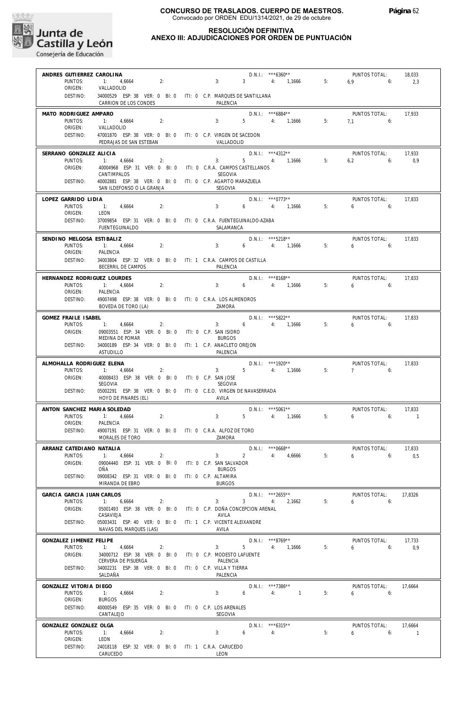

#### **RESOLUCIÓN DEFINITIVA ANEXO III: ADJUDICACIONES POR ORDEN DE PUNTUACIÓN**

D.N.I.: \*\*\*6360\*\*

**ANDRES GUTIERREZ CAROLINA**

| PUNTOS:<br>ORIGEN:                 | 1:<br>4,6664<br>2:<br>VALLADOLID                                                                 |                      | 3:<br>$\mathbf{3}$                                         | 4:<br>1,1666                   | 5: | 6,9<br>6:                  | 2,3           |
|------------------------------------|--------------------------------------------------------------------------------------------------|----------------------|------------------------------------------------------------|--------------------------------|----|----------------------------|---------------|
| DESTINO:                           | 34000529 ESP: 38 VER: 0 BI: 0 ITI: 0 C.P. MARQUES DE SANTILLANA<br>CARRION DE LOS CONDES         |                      | PALENCIA                                                   |                                |    |                            |               |
| MATO RODRIGUEZ AMPARO              |                                                                                                  |                      |                                                            | $D.N.1::$ ***6884**            |    | PUNTOS TOTAL:              | 17,933        |
| PUNTOS:<br>ORIGEN:                 | 1:<br>4,6664<br>2:<br>VALLADOLID                                                                 |                      | 3:<br>$5 -$                                                | 4: 1,1666                      | 5: | 7,1<br>6:                  |               |
| DESTINO:                           | 47001870 ESP: 38 VER: 0 BI: 0 ITI: 0 C.P. VIRGEN DE SACEDON                                      |                      |                                                            |                                |    |                            |               |
|                                    | PEDRAJAS DE SAN ESTEBAN                                                                          |                      | VALLADOLID                                                 |                                |    |                            |               |
| SERRANO GONZALEZ ALICIA<br>PUNTOS: | 1:<br>4,6664<br>2:                                                                               |                      | 3:<br>5 <sub>1</sub>                                       | D.N.I.: ***4312**<br>4: 1,1666 | 5: | PUNTOS TOTAL:<br>6,2<br>6: | 17,933<br>0,9 |
| ORIGEN:                            | 40004968 FSP: 31 VFR: 0 BI: 0                                                                    |                      | ITI: 0 C.R.A. CAMPOS CASTELLANOS                           |                                |    |                            |               |
| DESTINO:                           | CANTIMPALOS<br>40002881 ESP: 38 VER: 0 BI: 0 ITI: 0 C.P. AGAPITO MARAZUELA                       |                      | <b>SEGOVIA</b>                                             |                                |    |                            |               |
|                                    | SAN ILDEFONSO O LA GRANJA                                                                        |                      | SEGOVIA                                                    |                                |    |                            |               |
| LOPEZ GARRIDO LIDIA<br>PUNTOS:     |                                                                                                  |                      |                                                            | $D.N.1::$ *** 0773**           |    | PUNTOS TOTAL:              | 17,833        |
| ORIGEN:                            | 1:<br>4,6664<br>2:<br>LEON                                                                       |                      | 3:<br>6                                                    | 4:<br>1,1666                   | 5: | 6<br>6:                    |               |
| DESTINO:                           | 37009854 ESP: 31 VER: 0 BI: 0 ITI: 0 C.R.A. FUENTEGUINALDO-AZABA<br><b>FUENTEGUINALDO</b>        |                      | SALAMANCA                                                  |                                |    |                            |               |
| SENDINO MELGOSA ESTIBALIZ          |                                                                                                  |                      |                                                            | D.N.I.: *** 5218**             |    | PUNTOS TOTAL:              | 17,833        |
| PUNTOS:                            | 1: 4,6664<br>2:                                                                                  |                      | 3:<br>6                                                    | 4: 1,1666                      | 5: | 6<br>6:                    |               |
| ORIGEN:<br>DESTINO:                | PALENCIA<br>34003804 ESP: 32 VER: 0 BI: 0 ITI: 1 C.R.A. CAMPOS DE CASTILLA<br>BECERRIL DE CAMPOS |                      | PALENCIA                                                   |                                |    |                            |               |
| HERNANDEZ RODRIGUEZ LOURDES        |                                                                                                  |                      |                                                            | $D.N.1::$ ***8168**            |    | PUNTOS TOTAL:              | 17,833        |
| PUNTOS:                            | 4,6664<br>2:                                                                                     |                      | 3:<br>6                                                    | 4: 1,1666                      | 5: | 6<br>6:                    |               |
| ORIGEN:<br>DESTINO:                | PALENCIA<br>49007498 ESP: 38 VER: 0 BI: 0 ITI: 0 C.R.A. LOS ALMENDROS                            |                      |                                                            |                                |    |                            |               |
|                                    | BOVEDA DE TORO (LA)                                                                              |                      | ZAMORA                                                     |                                |    |                            |               |
| GOMEZ FRAILE ISABEL                |                                                                                                  |                      |                                                            | $D.N.1.:$ ***5822**            |    | PUNTOS TOTAL:              | 17,833        |
| PUNTOS:<br>ORIGEN:                 | 1:<br>4,6664<br>2:<br>09003551 ESP: 34 VER: 0 BI: 0                                              |                      | 3:<br>6<br>ITI: 0 C.P. SAN ISIDRO                          | 4: 1,1666                      | 5: | 6:<br>6                    |               |
|                                    | MEDINA DE POMAR                                                                                  |                      | <b>BURGOS</b>                                              |                                |    |                            |               |
| DESTINO:                           | 34000189 ESP: 34 VER: 0 BI: 0 ITI: 1 C.P. ANACLETO OREJON<br><b>ASTUDILLO</b>                    |                      | PALENCIA                                                   |                                |    |                            |               |
| ALMOHALLA RODRIGUEZ ELENA          |                                                                                                  |                      |                                                            | $D.N.1::$ ***1920**            |    | PUNTOS TOTAL:              | 17,833        |
| PUNTOS:<br>ORIGEN:                 | 1:<br>4,6664<br>2:                                                                               | ITI: 0 C.P. SAN JOSE | 5 <sup>5</sup><br>3:                                       | 4: 1,1666                      | 5: | 7<br>6:                    |               |
|                                    | 40008433 ESP: 38 VER: 0 BI: 0<br>SEGOVIA                                                         |                      | <b>SEGOVIA</b>                                             |                                |    |                            |               |
| DESTINO:                           | 05002291 ESP: 38 VER: 0 BI: 0 ITI: 0 C.E.O. VIRGEN DE NAVASERRADA<br>HOYO DE PINARES (EL)        |                      | AVILA                                                      |                                |    |                            |               |
| ANTON SANCHEZ MARIA SOLEDAD        |                                                                                                  |                      |                                                            | D.N.I.: *** 5061**             |    | PUNTOS TOTAL:              | 17,833        |
| PUNTOS:<br>ORIGEN:                 | $-1$ :<br>4,6664<br>2:<br>PALENCIA                                                               |                      | 3:<br>5                                                    | 4: 1,1666                      | 5: | $6\qquad 6$                | $\sqrt{1}$    |
| DESTINO:                           | 49007191 ESP: 31 VER: 0 BI: 0 ITI: 0 C.R.A. ALFOZ DE TORO                                        |                      |                                                            |                                |    |                            |               |
|                                    | MORALES DE TORO                                                                                  |                      | ZAMORA                                                     |                                |    |                            |               |
| ARRANZ CATEDIANO NATALIA           |                                                                                                  |                      |                                                            | $D.N.1::$ ***0668**            |    | PUNTOS TOTAL:              | 17,833        |
| PUNTOS:<br>ORIGEN:                 | 1: 4,6664<br>2:<br>09004440 ESP: 31 VER: 0 BI: 0 ITI: 0 C.P. SAN SALVADOR                        |                      | 3:<br>$2^{\circ}$                                          | 4: 4,6666                      | 5: | 6<br>6:                    | 0,5           |
|                                    | OÑA<br>09008342 ESP: 31 VER: 0 BI: 0 ITI: 0 C.P. ALTAMIRA                                        |                      | <b>BURGOS</b>                                              |                                |    |                            |               |
| DESTINO:                           | MIRANDA DE EBRO                                                                                  |                      | <b>BURGOS</b>                                              |                                |    |                            |               |
| GARCIA GARCIA JUAN CARLOS          |                                                                                                  |                      |                                                            | $D.N.1::$ ***2655**            |    | PUNTOS TOTAL:              | 17,8326       |
| PUNTOS:<br>ORIGEN:                 | 1: 6,6664<br>2:<br>05001493 FSP: 38 VFR: 0 BI: 0                                                 |                      | 3:<br>3 <sup>7</sup><br>ITI: 0 C.P. DOÑA CONCEPCION ARENAL | 4: 2,1662                      | 5: | 6:<br>6                    |               |
|                                    | CASAVIEJA                                                                                        |                      | AVILA                                                      |                                |    |                            |               |
| DESTINO:                           | 05003431 ESP: 40 VER: 0 BI: 0 ITI: 1 C.P. VICENTE ALEIXANDRE<br>NAVAS DEL MARQUES (LAS)          |                      | AVILA                                                      |                                |    |                            |               |
| GONZALEZ JIMENEZ FELIPE            |                                                                                                  |                      |                                                            | D.N.I.: ***8769**              |    | PUNTOS TOTAL:              | 17,733        |
| PUNTOS:                            | 1:<br>4,6664<br>2:                                                                               |                      | 5<br>3:                                                    | 4: 1,1666                      | 5: | 6:<br>6                    | 0.9           |
| ORIGEN:                            | 34000712 ESP: 38 VER: 0 BI: 0<br>CERVERA DE PISUERGA                                             |                      | ITI: 0 C.P. MODESTO LAFUENTE<br>PALENCIA                   |                                |    |                            |               |
| DESTINO:                           | 34002231 ESP: 38 VER: 0 BI: 0<br>SAI DAÑA                                                        |                      | ITI: 0 C.P. VILLA Y TIERRA<br>PALENCIA                     |                                |    |                            |               |
| GONZALEZ VITORIA DIEGO             |                                                                                                  |                      |                                                            | D.N.I.: ***7386**              |    | PUNTOS TOTAL:              | 17,6664       |
| PUNTOS:                            | 4,6664<br>2:                                                                                     |                      | 3:<br>6                                                    | 4: 1                           | 5: | $6\qquad 6$                |               |
| ORIGEN:<br>DESTINO:                | <b>BURGOS</b><br>40000549 ESP: 35 VER: 0 BI: 0 ITI: 0 C.P. LOS ARENALES                          |                      |                                                            |                                |    |                            |               |
|                                    | CANTALEJO                                                                                        |                      | SEGOVIA                                                    |                                |    |                            |               |
| GONZALEZ GONZALEZ OLGA             |                                                                                                  |                      |                                                            | D.N.I.: ***6315**              |    | PUNTOS TOTAL:              | 17,6664       |
| PUNTOS:<br>ORIGEN:                 | 1:<br>4,6664<br>2:<br>LEON                                                                       |                      | 3:<br>6                                                    | 4:                             | 5: | 6:<br>6                    | $\sim$ 1      |
| DESTINO:                           | 24018118 ESP: 32 VER: 0 BI: 0 ITI: 1 C.R.A. CARUCEDO                                             |                      |                                                            |                                |    |                            |               |
|                                    | CARUCEDO                                                                                         |                      | LEON                                                       |                                |    |                            |               |

18,033

PUNTOS TOTAL: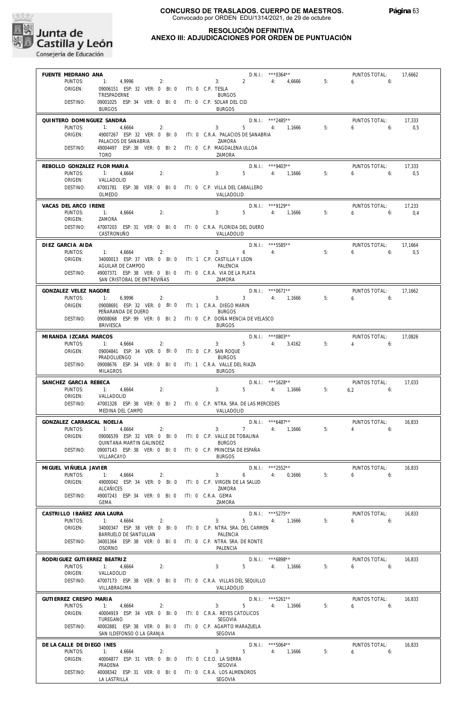

**RESOLUCIÓN DEFINITIVA**

### **ANEXO III: ADJUDICACIONES POR ORDEN DE PUNTUACIÓN**

| FUENTE MEDRANO ANA          | 1: 4,9996                                                                                | 3: 2                                     | $D.N.1::$ *** 0364**<br>4: 4,6666 |    | PUNTOS TOTAL:<br>$6 \t\t 6$ | 17,6662 |
|-----------------------------|------------------------------------------------------------------------------------------|------------------------------------------|-----------------------------------|----|-----------------------------|---------|
| PUNTOS:<br>ORIGEN:          | 2:<br>09006151 ESP: 32 VER: 0 BI: 0                                                      | ITI: 0 C.P. TESLA                        |                                   | 5: |                             |         |
|                             | TRESPADERNE                                                                              | <b>BURGOS</b>                            |                                   |    |                             |         |
| DESTINO:                    | 09001025 ESP: 34 VER: 0 BI: 0 ITI: 0 C.P. SOLAR DEL CID                                  |                                          |                                   |    |                             |         |
|                             | <b>BURGOS</b>                                                                            | <b>BURGOS</b>                            |                                   |    |                             |         |
| QUINTERO DOMINGUEZ SANDRA   |                                                                                          |                                          | $D.N.1.:$ ***2485**               |    | PUNTOS TOTAL:               | 17,333  |
| PUNTOS:                     | 1: 4,6664<br>2:                                                                          | 3:                                       | 5 4: 1,1666                       | 5: | 6.6                         | 0,5     |
| ORIGEN:                     | 49007267 ESP: 32 VER: 0 BI: 0 ITI: 0 C.R.A. PALACIOS DE SANABRIA                         |                                          |                                   |    |                             |         |
|                             | PALACIOS DE SANABRIA                                                                     | ZAMORA                                   |                                   |    |                             |         |
| DESTINO:                    | 49004497 ESP: 38 VER: 0 BI: 2 ITI: 0 C.P. MAGDALENA ULLOA                                |                                          |                                   |    |                             |         |
|                             | <b>TORO</b>                                                                              | ZAMORA                                   |                                   |    |                             |         |
| REBOLLO GONZALEZ FLOR MARIA |                                                                                          |                                          | $D.N.1.:$ ***9403**               |    | PUNTOS TOTAL:               | 17,333  |
| PUNTOS:                     | $-1:$<br>4,6664<br>2:                                                                    | 3:                                       | 5 4: 1,1666                       | 5: | $6 \t\t\t 6$                | 0,5     |
| ORIGEN:                     | VALLADOLID                                                                               |                                          |                                   |    |                             |         |
| DESTINO:                    | 47001781 ESP: 38 VER: 0 BI: 0 ITI: 0 C.P. VILLA DEL CABALLERO                            |                                          |                                   |    |                             |         |
|                             | OLMEDO                                                                                   | VALLADOLID                               |                                   |    |                             |         |
|                             |                                                                                          |                                          |                                   |    |                             |         |
| VACAS DEL ARCO IRENE        |                                                                                          |                                          | D.N.I.: ***9129**                 |    | PUNTOS TOTAL:               | 17,233  |
| PUNTOS:<br>ORIGEN:          | 1: 4,6664<br>2:<br>ZAMORA                                                                | 3:                                       | 5 4: 1,1666                       | 5: | $6\qquad 6$                 | 0.4     |
| DESTINO:                    | 47007203 ESP: 31 VER: 0 BI: 0 ITI: 0 C.R.A. FLORIDA DEL DUERO                            |                                          |                                   |    |                             |         |
|                             | CASTRONUÑO                                                                               | VALLADOLID                               |                                   |    |                             |         |
|                             |                                                                                          |                                          |                                   |    |                             |         |
| DIEZ GARCIA AIDA            |                                                                                          |                                          | $D.N.1.:$ ***5585**               |    | PUNTOS TOTAL:               | 17.1664 |
| PUNTOS:                     | 4,6664<br>2:                                                                             | $3:$ $\qquad \qquad$                     | $6 \qquad \qquad 4:$              | 5: | $6\qquad 6$                 | 0,5     |
| ORIGEN:                     | 34000013 ESP: 37 VER: 0 BI: 0 ITI: 1 C.P. CASTILLA Y LEON                                |                                          |                                   |    |                             |         |
| DESTINO:                    | AGUILAR DE CAMPOO<br>49007371 ESP: 38 VER: 0 BI: 0 ITI: 0 C.R.A. VIA DE LA PLATA         | PALENCIA                                 |                                   |    |                             |         |
|                             | SAN CRISTOBAL DE ENTREVIÑAS                                                              | ZAMORA                                   |                                   |    |                             |         |
|                             |                                                                                          |                                          |                                   |    |                             |         |
| GONZALEZ VELEZ NAGORE       |                                                                                          |                                          | $D.N.1.:$ ***0671**               |    | PUNTOS TOTAL:               | 17,1662 |
| PUNTOS:                     | 1:<br>6.9996<br>2:                                                                       | 3:                                       | 3 4: 1,1666                       | 5: | $6 \t\t 6$                  |         |
| ORIGEN:                     | 09008691 ESP: 32 VER: 0 BI: 0 ITI: 1 C.R.A. DIEGO MARIN<br>PEÑARANDA DE DUERO            | <b>BURGOS</b>                            |                                   |    |                             |         |
| DESTINO:                    | 09008068 ESP: 99 VER: 0 BI: 2 ITI: 0 C.P. DOÑA MENCIA DE VELASCO                         |                                          |                                   |    |                             |         |
|                             | BRIVIESCA                                                                                | <b>BURGOS</b>                            |                                   |    |                             |         |
|                             |                                                                                          |                                          |                                   |    |                             |         |
| MIRANDA IZCARA MARCOS       |                                                                                          |                                          | $D.N.1.:$ ***0803**               |    | PUNTOS TOTAL:               | 17,0826 |
| PUNTOS:                     | 1: 4,6664<br>2:                                                                          | $3:$ $3:$                                | 5 4: 3,4162                       | 5: | $4\qquad 6:$                |         |
| ORIGEN:                     | 09004841 ESP: 34 VER: 0 BI: 0 ITI: 0 C.P. SAN ROQUE                                      |                                          |                                   |    |                             |         |
| DESTINO:                    | PRADOLUENGO                                                                              | <b>BURGOS</b>                            |                                   |    |                             |         |
|                             | 09008676 ESP: 34 VER: 0 BI: 0 ITI: 1 C.R.A. VALLE DEL RIAZA<br><b>MILAGROS</b>           | <b>BURGOS</b>                            |                                   |    |                             |         |
|                             |                                                                                          |                                          |                                   |    |                             |         |
| SANCHEZ GARCIA REBECA       |                                                                                          |                                          | $D.N.1::$ ***1628**               |    | PUNTOS TOTAL:               | 17,033  |
| PUNTOS:                     | $-1:$<br>4,6664<br>2:                                                                    | 3:<br>$5 - 1$                            | 4: 1,1666                         | 5: | $6.2$ 6:                    |         |
| ORIGEN:                     | VALLADOLID                                                                               |                                          |                                   |    |                             |         |
| DESTINO:                    | 47001328 ESP: 38 VER: 0 BI: 2 ITI: 0 C.P. NTRA. SRA. DE LAS MERCEDES<br>MEDINA DEL CAMPO | VALLADOLID                               |                                   |    |                             |         |
|                             |                                                                                          |                                          |                                   |    |                             |         |
| GONZALEZ CARRASCAL NOELIA   |                                                                                          |                                          | $D.N.1::$ *** 6487**              |    | PUNTOS TOTAL:               | 16,833  |
| PUNTOS:                     | 1:<br>4.6664<br>2:                                                                       | $\overline{7}$<br>3:                     | 4: 1,1666                         | 5: | $4\overline{ }$<br>6:       |         |
| ORIGEN:                     | 09006539 ESP: 32 VER: 0 BI: 0 ITI: 0 C.P. VALLE DE TOBALINA                              |                                          |                                   |    |                             |         |
|                             | QUINTANA MARTIN GALINDEZ                                                                 | <b>BURGOS</b>                            |                                   |    |                             |         |
| DESTINO:                    | 09007143 ESP: 38 VER: 0 BI: 0 ITI: 0 C.P. PRINCESA DE ESPAÑA<br>VILLARCAYO               | <b>BURGOS</b>                            |                                   |    |                             |         |
|                             |                                                                                          |                                          |                                   |    |                             |         |
| MIGUEL VIÑUELA JAVIER       |                                                                                          |                                          | D.N.I.: ***2552**                 |    | PUNTOS TOTAL:               | 16,833  |
| PUNTOS:                     | 1:<br>4,6664<br>2:                                                                       | 3:<br>6                                  | 0.1666<br>4:                      | 5: | 6<br>6:                     |         |
| ORIGEN:                     | 49000042 ESP: 34 VER: 0 BI: 0                                                            | ITI: 0 C.P. VIRGEN DE LA SALUD           |                                   |    |                             |         |
|                             | <b>ALCAÑICES</b>                                                                         | ZAMORA                                   |                                   |    |                             |         |
| DESTINO:                    | 49007243 ESP: 34 VER: 0 BI: 0<br>GEMA                                                    | ITI: 0 C.R.A. GEMA<br>ZAMORA             |                                   |    |                             |         |
|                             |                                                                                          |                                          |                                   |    |                             |         |
| CASTRILLO IBAÑEZ ANA LAURA  |                                                                                          |                                          | $D.N.1::$ ***5275**               |    | PUNTOS TOTAL:               | 16,833  |
| PUNTOS:                     | $\ddot{ }$ 1:<br>4,6664<br>2:                                                            | 5<br>3:                                  | 4:<br>1,1666                      | 5: | 6<br>6:                     |         |
| ORIGEN:                     | 34000347 ESP: 38 VER: 0 BI: 0                                                            | ITI: 0 C.P. NTRA. SRA. DEL CARMEN        |                                   |    |                             |         |
|                             | BARRUELO DE SANTULLAN                                                                    | PALENCIA                                 |                                   |    |                             |         |
| DESTINO:                    | 34001364 ESP: 38 VER: 0 BI: 0                                                            | ITI: 0 C.P. NTRA. SRA. DE RONTE          |                                   |    |                             |         |
|                             | <b>OSORNO</b>                                                                            | PALENCIA                                 |                                   |    |                             |         |
| RODRIGUEZ GUTIERREZ BEATRIZ |                                                                                          |                                          | $D.N.1.:$ *** 6898**              |    | PUNTOS TOTAL:               | 16,833  |
| PUNTOS:                     | 1:<br>4,6664<br>2:                                                                       | 5 <sub>5</sub><br>3:                     | 4: 1,1666                         | 5: | 6<br>6:                     |         |
| ORIGEN:                     | VALLADOLID                                                                               |                                          |                                   |    |                             |         |
| DESTINO:                    | 47007173 ESP: 38 VER: 0 BI: 0 ITI: 0 C.R.A. VILLAS DEL SEQUILLO                          |                                          |                                   |    |                             |         |
|                             | VILLABRAGIMA                                                                             | VALLADOLID                               |                                   |    |                             |         |
| GUTIERREZ CRESPO MARIA      |                                                                                          |                                          | D.N.I.: *** 5261**                |    | PUNTOS TOTAL:               | 16,833  |
| PUNTOS:                     | 1:<br>4,6664<br>2:                                                                       | 5<br>3:                                  | 4: 1,1666                         | 5: | 6<br>6:                     |         |
| ORIGEN:                     | 40004919 ESP: 34 VER: 0 BI: 0                                                            | ITI: 0 C.R.A. REYES CATOLICOS            |                                   |    |                             |         |
|                             | TUREGANO                                                                                 | SEGOVIA<br>ITI: 0 C.P. AGAPITO MARAZUELA |                                   |    |                             |         |
|                             |                                                                                          |                                          |                                   |    |                             |         |
| DESTINO:                    | 40002881 ESP: 38 VER: 0 BI: 0                                                            |                                          |                                   |    |                             |         |
|                             | SAN ILDEFONSO O LA GRANJA                                                                | <b>SEGOVIA</b>                           |                                   |    |                             |         |
| DE LA CALLE DE DIEGO INES   |                                                                                          |                                          | D.N.I.: *** 5064**                |    | PUNTOS TOTAL:               | 16,833  |
| PUNTOS:                     | 1:<br>4,6664<br>2:                                                                       | 5<br>3:                                  | 4:<br>1,1666                      | 5: | 6<br>6:                     |         |
| ORIGEN:                     | 40004877 ESP: 31 VER: 0 BI: 0                                                            | ITI: 0 C.E.O. LA SIERRA                  |                                   |    |                             |         |
|                             | PRADENA                                                                                  | SEGOVIA                                  |                                   |    |                             |         |
| DESTINO:                    | 40008342 ESP: 31 VER: 0 BI: 0<br>LA LASTRILLA                                            | ITI: 0 C.R.A. LOS ALMENDROS<br>SEGOVIA   |                                   |    |                             |         |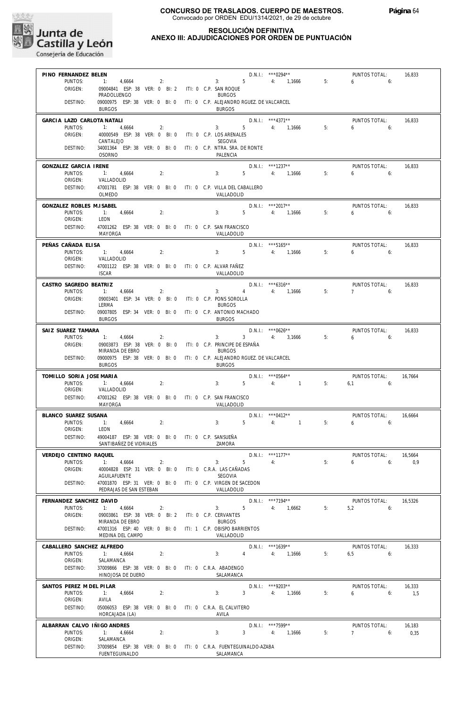

#### **RESOLUCIÓN DEFINITIVA ANEXO III: ADJUDICACIONES POR ORDEN DE PUNTUACIÓN**

| PINO FERNANDEZ BELEN             |                                                          |    |  |                                                                               | D.N.I.: *** 0294**               |    | PUNTOS TOTAL:               | 16,833  |
|----------------------------------|----------------------------------------------------------|----|--|-------------------------------------------------------------------------------|----------------------------------|----|-----------------------------|---------|
| PUNTOS:                          | 1: 4,6664                                                | 2: |  | 3: 5                                                                          | 4: 1,1666                        | 5: | $6 \t\t 6$                  |         |
| ORIGEN:                          | 09004841 ESP: 38 VER: 0 BI: 2                            |    |  | ITI: 0 C.P. SAN ROQUE                                                         |                                  |    |                             |         |
|                                  | PRADOLUENGO                                              |    |  | <b>BURGOS</b>                                                                 |                                  |    |                             |         |
| DESTINO:                         |                                                          |    |  | 09000975 ESP: 38 VER: 0 BI: 0 ITI: 0 C.P. ALEJANDRO RGUEZ. DE VALCARCEL       |                                  |    |                             |         |
|                                  | <b>BURGOS</b>                                            |    |  | <b>BURGOS</b>                                                                 |                                  |    |                             |         |
| GARCIA LAZO CARLOTA NATALI       |                                                          |    |  |                                                                               | $D.N.1::$ ***4371**              |    | PUNTOS TOTAL:               | 16,833  |
| PUNTOS:                          | $-1:$<br>4,6664                                          | 2: |  | $3: 5 \t 4: 1,1666$                                                           |                                  | 5: | 6<br>6:                     |         |
| ORIGEN:                          | 40000549 ESP: 38 VER: 0 BI: 0 ITI: 0 C.P. LOS ARENALES   |    |  |                                                                               |                                  |    |                             |         |
|                                  | CANTALEJO                                                |    |  | SEGOVIA                                                                       |                                  |    |                             |         |
| DESTINO:                         |                                                          |    |  | 34001364 ESP: 38 VER: 0 BI: 0 ITI: 0 C.P. NTRA. SRA. DE RONTE                 |                                  |    |                             |         |
|                                  | <b>OSORNO</b>                                            |    |  | PAI FNCIA                                                                     |                                  |    |                             |         |
|                                  |                                                          |    |  |                                                                               |                                  |    |                             |         |
| GONZALEZ GARCIA IRENE<br>PUNTOS: | 1: 4.6664                                                |    |  |                                                                               | D.N.I.: ***1237**<br>5 4: 1,1666 |    | PUNTOS TOTAL:               | 16,833  |
| ORIGEN:                          | VALLADOLID                                               | 2: |  | 3:                                                                            |                                  | 5: | $6 \t\t\t 6$                |         |
|                                  |                                                          |    |  |                                                                               |                                  |    |                             |         |
| DESTINO:                         | OLMEDO                                                   |    |  | 47001781 ESP: 38 VER: 0 BI: 0 ITI: 0 C.P. VILLA DEL CABALLERO<br>VALLADOLID   |                                  |    |                             |         |
|                                  |                                                          |    |  |                                                                               |                                  |    |                             |         |
| GONZALEZ ROBLES M.ISABEL         |                                                          |    |  |                                                                               | D.N.I.: ***2017**                |    | PUNTOS TOTAL:               | 16,833  |
| PUNTOS:                          | 1: 4,6664                                                | 2: |  | 3:                                                                            | 5 4: 1,1666                      | 5: | $6 \qquad 6$                |         |
| ORIGEN:                          | LEON                                                     |    |  |                                                                               |                                  |    |                             |         |
| DESTINO:                         | 47001262 ESP: 38 VER: 0 BI: 0 ITI: 0 C.P. SAN FRANCISCO  |    |  |                                                                               |                                  |    |                             |         |
|                                  | MAYORGA                                                  |    |  | VALLADOLID                                                                    |                                  |    |                             |         |
| PEÑAS CAÑADA ELISA               |                                                          |    |  |                                                                               | $D.N.1.:$ ***5165**              |    | PUNTOS TOTAL:               | 16.833  |
| PUNTOS:                          | 1: 4,6664                                                | 2: |  | 3:                                                                            | 5 4: 1,1666                      | 5: | $6\qquad 6$                 |         |
| ORIGEN:                          | VALLADOLID                                               |    |  |                                                                               |                                  |    |                             |         |
| DESTINO:                         | 47001122 ESP: 38 VER: 0 BI: 0 ITI: 0 C.P. ALVAR FAÑEZ    |    |  |                                                                               |                                  |    |                             |         |
|                                  | <b>ISCAR</b>                                             |    |  | VALLADOLID                                                                    |                                  |    |                             |         |
|                                  |                                                          |    |  |                                                                               |                                  |    |                             |         |
| CASTRO SAGREDO BEATRIZ           |                                                          |    |  | $3: 4 \t 1,1666$                                                              | $D.N.1.:$ ***6316**              | 5: | PUNTOS TOTAL:<br>$7 \t\t 6$ | 16,833  |
| PUNTOS:                          | 1:<br>4,6664                                             | 2: |  |                                                                               |                                  |    |                             |         |
| ORIGEN:                          | 09003401 ESP: 34 VER: 0 BI: 0<br>LERMA                   |    |  | ITI: 0 C.P. PONS SOROLLA<br><b>BURGOS</b>                                     |                                  |    |                             |         |
| DESTINO:                         | 09007805 ESP: 34 VER: 0 BI: 0                            |    |  | ITI: 0 C.P. ANTONIO MACHADO                                                   |                                  |    |                             |         |
|                                  | <b>BURGOS</b>                                            |    |  | <b>BURGOS</b>                                                                 |                                  |    |                             |         |
|                                  |                                                          |    |  |                                                                               |                                  |    |                             |         |
| SAIZ SUAREZ TAMARA               |                                                          |    |  |                                                                               | $D.N.1::$ *** 0626**             |    | PUNTOS TOTAL:               | 16,833  |
| PUNTOS:                          | 4,6664<br>$-1:$                                          | 2: |  | $3 \t 4: \t 3,1666$<br>3:                                                     |                                  | 5: | 6 <sub>6</sub>              |         |
| ORIGEN:                          | MIRANDA DE EBRO                                          |    |  | 09003873 ESP: 38 VER: 0 BI: 0 ITI: 0 C.P. PRINCIPE DE ESPAÑA<br><b>BURGOS</b> |                                  |    |                             |         |
| DESTINO:                         | 09000975 ESP: 38 VER: 0 BI: 0                            |    |  | ITI: 0 C.P. ALEJANDRO RGUEZ. DE VALCARCEL                                     |                                  |    |                             |         |
|                                  | <b>BURGOS</b>                                            |    |  | <b>BURGOS</b>                                                                 |                                  |    |                             |         |
|                                  |                                                          |    |  |                                                                               |                                  |    |                             |         |
| TOMILLO SORIA JOSE MARIA         |                                                          |    |  |                                                                               | $D.N.1::$ *** 0564**             |    | PUNTOS TOTAL:               | 16,7664 |
| PUNTOS:                          | 1: 4,6664                                                | 2: |  | $5 -$<br>3:                                                                   | 4: 1                             | 5: | $6,1$ 6:                    |         |
| ORIGEN:                          | VALLADOLID                                               |    |  |                                                                               |                                  |    |                             |         |
| DESTINO:                         | 47001262 ESP: 38 VER: 0 BI: 0 ITI: 0 C.P. SAN FRANCISCO  |    |  |                                                                               |                                  |    |                             |         |
|                                  | MAYORGA                                                  |    |  | VALLADOLID                                                                    |                                  |    |                             |         |
| BLANCO SUAREZ SUSANA             |                                                          |    |  |                                                                               | D.N.I.: ***0412**                |    | PUNTOS TOTAL:               | 16,6664 |
| PUNTOS:                          | $-1:$<br>4,6664                                          | 2: |  | $5 -$<br>3:                                                                   | 4:<br>$\sim$ 1                   | 5: | 6<br>6:                     |         |
| ORIGEN:                          | LEON                                                     |    |  |                                                                               |                                  |    |                             |         |
| DESTINO:                         | 49004187 ESP: 38 VER: 0 BI: 0 ITI: 0 C.P. SANSUEÑA       |    |  |                                                                               |                                  |    |                             |         |
|                                  | SANTIBAÑEZ DE VIDRIALES                                  |    |  | ZAMORA                                                                        |                                  |    |                             |         |
| VERDEJO CENTENO RAQUEL           |                                                          |    |  |                                                                               | D.N.I.: *** 1177**               |    | PUNTOS TOTAL:               | 16,5664 |
| PUNTOS:                          | 1: 4,6664                                                | 2: |  | $5 -$<br>3:                                                                   | 4:                               | 5: | 6<br>6:                     | 0,9     |
| ORIGEN:                          | 40004828 ESP: 31 VER: 0 BI: 0 ITI: 0 C.R.A. LAS CAÑADAS  |    |  |                                                                               |                                  |    |                             |         |
|                                  | AGUILAFUENTE                                             |    |  | SEGOVIA                                                                       |                                  |    |                             |         |
| DESTINO:                         |                                                          |    |  | 47001870 ESP: 31 VER: 0 BI: 0 ITI: 0 C.P. VIRGEN DE SACEDON                   |                                  |    |                             |         |
|                                  | PEDRAJAS DE SAN ESTEBAN                                  |    |  | VALLADOLID                                                                    |                                  |    |                             |         |
| FERNANDEZ SANCHEZ DAVID          |                                                          |    |  |                                                                               | $D.N.I.:$ ***7194**              |    | PUNTOS TOTAL:               | 16,5326 |
| PUNTOS:                          | 1: 4,6664                                                | 2: |  | 3:<br>5                                                                       | 4: 1.6662                        | 5: | 5,2<br>6:                   |         |
| ORIGEN:                          | 09003861 ESP: 38 VER: 0 BI: 2 ITI: 0 C.P. CERVANTES      |    |  |                                                                               |                                  |    |                             |         |
|                                  | MIRANDA DE EBRO                                          |    |  | <b>BURGOS</b>                                                                 |                                  |    |                             |         |
| DESTINO:                         |                                                          |    |  | 47001316 ESP: 40 VER: 0 BI: 0 ITI: 1 C.P. OBISPO BARRIENTOS                   |                                  |    |                             |         |
|                                  | MEDINA DEL CAMPO                                         |    |  | VALLADOLID                                                                    |                                  |    |                             |         |
| CABALLERO SANCHEZ ALFREDO        |                                                          |    |  |                                                                               | D.N.I.: ***1639**                |    | PUNTOS TOTAL:               | 16,333  |
| PUNTOS:                          | 1: 4,6664                                                | 2: |  | 3:<br>$\overline{4}$                                                          | 4: 1,1666                        | 5: | 6.5<br>6:                   |         |
| ORIGEN:                          | SALAMANCA                                                |    |  |                                                                               |                                  |    |                             |         |
| DESTINO:                         | 37009866 ESP: 38 VER: 0 BI: 0 ITI: 0 C.R.A. ABADENGO     |    |  |                                                                               |                                  |    |                             |         |
|                                  | HINOJOSA DE DUERO                                        |    |  | SALAMANCA                                                                     |                                  |    |                             |         |
|                                  |                                                          |    |  |                                                                               |                                  |    |                             |         |
| SANTOS PEREZ M DEL PILAR         |                                                          |    |  |                                                                               | D.N.I.: ***9203**                |    | PUNTOS TOTAL:               | 16,333  |
| PUNTOS:<br>ORIGEN:               | 1:<br>4,6664<br>AVILA                                    | 2: |  | 3:<br>3 <sup>1</sup>                                                          | 4: 1,1666                        | 5: | 6<br>6:                     | 1,5     |
| DESTINO:                         | 05006053 ESP: 38 VER: 0 BI: 0 ITI: 0 C.R.A. EL CALVITERO |    |  |                                                                               |                                  |    |                             |         |
|                                  | HORCAJADA (LA)                                           |    |  | AVILA                                                                         |                                  |    |                             |         |
|                                  |                                                          |    |  |                                                                               |                                  |    |                             |         |
| ALBARRAN CALVO IÑIGO ANDRES      |                                                          |    |  |                                                                               | $D.N.1::$ ***7599**              |    | PUNTOS TOTAL:               | 16,183  |
| PUNTOS:                          | 1: 4,6664                                                | 2: |  | 3 <sup>1</sup><br>3:                                                          | 4: 1,1666                        | 5: | 7<br>6:                     | 0,35    |
| ORIGEN:                          | SALAMANCA                                                |    |  |                                                                               |                                  |    |                             |         |
| DESTINO:                         |                                                          |    |  | 37009854 ESP: 38 VER: 0 BI: 0 ITI: 0 C.R.A. FUENTEGUINALDO-AZABA              |                                  |    |                             |         |
|                                  | FUENTEGUINALDO                                           |    |  | SALAMANCA                                                                     |                                  |    |                             |         |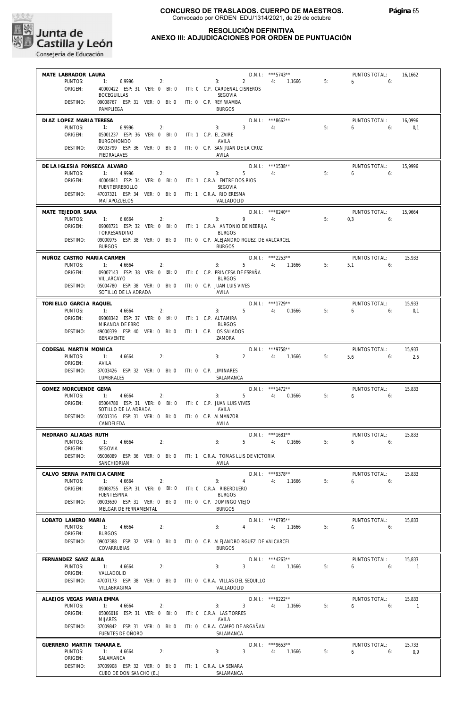

#### **RESOLUCIÓN DEFINITIVA ANEXO III: ADJUDICACIONES POR ORDEN DE PUNTUACIÓN**

| MATE LABRADOR LAURA                   |                                                                                              |                       |                                                   | D.N.I.: ***5743**                |    | PUNTOS TOTAL:              | 16,1662        |
|---------------------------------------|----------------------------------------------------------------------------------------------|-----------------------|---------------------------------------------------|----------------------------------|----|----------------------------|----------------|
| PUNTOS:<br>ORIGEN:                    | 1:<br>6,9996<br>2:<br>40000422 ESP: 31 VER: 0 BI: 0 ITI: 0 C.P. CARDENAL CISNEROS            |                       | 3:                                                | 2 4: 1,1666                      | 5: | 6<br>6:                    |                |
|                                       | <b>BOCEGUILLAS</b>                                                                           |                       | <b>SEGOVIA</b>                                    |                                  |    |                            |                |
| DESTINO:                              | 09008767 ESP: 31 VER: 0 BI: 0<br>PAMPI IFGA                                                  | ITI: 0 C.P. REY WAMBA | <b>BURGOS</b>                                     |                                  |    |                            |                |
| DIAZ LOPEZ MARIA TERESA               |                                                                                              |                       |                                                   | $D.N.1::$ ***8662**              |    | PUNTOS TOTAL:              | 16.0996        |
| PUNTOS:<br>ORIGEN:                    | 1:<br>6.9996<br>2:<br>05001237 ESP: 36 VER: 0 BI: 0                                          | ITI: 1 C.P. EL ZAIRE  | $3 \t 4$<br>3:                                    |                                  | 5: | 6<br>6:                    | 0.1            |
|                                       | <b>BURGOHONDO</b>                                                                            |                       | AVILA                                             |                                  |    |                            |                |
| DESTINO:                              | 05003799 ESP: 36 VER: 0 BI: 0<br>PIEDRALAVES                                                 |                       | ITI: 0 C.P. SAN JUAN DE LA CRUZ<br>AVILA          |                                  |    |                            |                |
| DE LA IGLESIA FONSECA ALVARO          |                                                                                              |                       |                                                   | $D.N.I.:$ ***1538**              |    | PUNTOS TOTAL:              | 15,9996        |
| PUNTOS:<br>ORIGEN:                    | 1:<br>4,9996<br>2:<br>40004841 ESP: 34 VER: 0 BI: 0                                          |                       | 5<br>3:<br>ITI: 1 C.R.A. ENTRE DOS RIOS           | 4:                               | 5: | 6<br>6:                    |                |
|                                       | <b>FUENTERREBOLLO</b>                                                                        |                       | SEGOVIA                                           |                                  |    |                            |                |
| DESTINO:                              | 47007321 ESP: 34 VER: 0 BI: 0<br>MATAPOZUELOS                                                |                       | ITI: 1 C.R.A. RIO ERESMA<br>VALLADOLID            |                                  |    |                            |                |
| MATE TEJEDOR SARA                     |                                                                                              |                       |                                                   | $D.N.1::$ *** 0240**             |    | PUNTOS TOTAL:              | 15,9664        |
| PUNTOS:                               | 1:<br>6,6664<br>2:                                                                           |                       | 9<br>3:                                           | 4:                               | 5: | 0,3<br>6:                  |                |
| ORIGEN:                               | 09008721 ESP: 32 VER: 0 BI: 0<br>TORRESANDINO                                                |                       | ITI: 1 C.R.A. ANTONIO DE NEBRIJA<br><b>BURGOS</b> |                                  |    |                            |                |
| DESTINO:                              | 09000975 ESP: 38 VER: 0 BI: 0 ITI: 0 C.P. ALEJANDRO RGUEZ. DE VALCARCEL<br><b>BURGOS</b>     |                       | <b>BURGOS</b>                                     |                                  |    |                            |                |
| MUÑOZ CASTRO MARIA CARMEN             |                                                                                              |                       |                                                   | D.N.I.: ***2253**                |    | PUNTOS TOTAL:              | 15,933         |
| PUNTOS:                               | 1:<br>4,6664<br>2:                                                                           |                       | $5 -$<br>3:                                       | 4: 1,1666                        | 5: | 5.1<br>6:                  |                |
| ORIGEN:                               | 09007143 ESP: 38 VER: 0 BI: 0<br>VILLARCAYO                                                  |                       | ITI: 0 C.P. PRINCESA DE ESPAÑA<br><b>BURGOS</b>   |                                  |    |                            |                |
| DESTINO:                              | 05004780 ESP: 38 VER: 0 BI: 0                                                                |                       | ITI: 0 C.P. JUAN LUIS VIVES                       |                                  |    |                            |                |
| TORIFLLO GARCIA RAQUEL                | SOTILLO DE LA ADRADA                                                                         |                       | AVILA                                             | $D.N.1.:$ ***1729**              |    |                            |                |
| PUNTOS:                               | $-1:$<br>4,6664<br>2:                                                                        |                       | 3:                                                | 5 4: 0,1666                      | 5: | PUNTOS TOTAL:<br>6<br>6:   | 15,933<br>0,1  |
| ORIGEN:                               | 09008342 ESP: 37 VER: 0 BI: 0                                                                | ITI: 1 C.P. ALTAMIRA  |                                                   |                                  |    |                            |                |
| DESTINO:                              | MIRANDA DE EBRO<br>49000339 ESP: 40 VER: 0 BI: 0 ITI: 1 C.P. LOS SALADOS<br><b>BENAVENTE</b> |                       | <b>BURGOS</b>                                     |                                  |    |                            |                |
|                                       |                                                                                              |                       | ZAMORA                                            | D.N.I.: ***9758**                |    |                            |                |
| CODESAL MARTIN MONICA<br>PUNTOS:      | 1:<br>4.6664<br>2:                                                                           |                       | 2<br>3:                                           | 4: 1,1666                        | 5: | PUNTOS TOTAL:<br>5.6<br>6: | 15,933<br>2,5  |
| ORIGEN:                               | AVILA                                                                                        |                       |                                                   |                                  |    |                            |                |
| DESTINO:                              | 37003426 ESP: 32 VER: 0 BI: 0 ITI: 0 C.P. LIMINARES<br><b>LUMBRALES</b>                      |                       | SALAMANCA                                         |                                  |    |                            |                |
| GOMEZ MORCUENDE GEMA                  |                                                                                              |                       |                                                   | D.N.I.: ***1472**                |    | PUNTOS TOTAL:              | 15,833         |
| PUNTOS:<br>ORIGEN:                    | 1:<br>4,6664<br>2:<br>05004780 ESP: 31 VER: 0 BI: 0                                          |                       | $5 - 1$<br>3:<br>ITI: 0 C.P. JUAN LUIS VIVES      | 4: 0,1666                        | 5: | 6<br>6:                    |                |
|                                       | SOTILLO DE LA ADRADA                                                                         |                       | AVILA                                             |                                  |    |                            |                |
| DESTINO:                              | 05001316 ESP: 31 VER: 0 BI: 0<br>CANDELEDA                                                   | ITI: 0 C.P. ALMANZOR  | AVILA                                             |                                  |    |                            |                |
| MEDRANO ALIAGAS RUTH                  |                                                                                              |                       |                                                   | $D.N.I.:$ ***1681**              |    | PUNTOS TOTAL:              | 15,833         |
| PUNTOS:<br>ORIGEN:                    | 2:<br>$-1$ :<br>4,6664<br>SEGOVIA                                                            |                       | 5<br>3:                                           | 4: 0,1666                        | 5: | 6<br>6:                    |                |
| DESTINO:                              | 05006089 ESP: 36 VER: 0 BI: 0 ITI: 1 C.R.A. TOMAS LUIS DE VICTORIA                           |                       |                                                   |                                  |    |                            |                |
|                                       | SANCHIDRIAN                                                                                  |                       | AVILA                                             |                                  |    |                            |                |
| CALVO SERNA PATRICIA CARME<br>PUNTOS: | 1:<br>4,6664<br>2:                                                                           |                       | 4<br>3:                                           | $D.N.1::$ ***9378**<br>4: 1,1666 | 5: | PUNTOS TOTAL:<br>6<br>6:   | 15,833         |
| ORIGEN:                               | 09008755 ESP: 31 VER: 0 BI: 0 ITI: 0 C.R.A. RIBERDUERO                                       |                       |                                                   |                                  |    |                            |                |
| DESTINO:                              | FUENTESPINA<br>09003630 ESP: 31 VER: 0 BI: 0 ITI: 0 C.P. DOMINGO VIEJO                       |                       | <b>BURGOS</b>                                     |                                  |    |                            |                |
|                                       | MELGAR DE FERNAMENTAL                                                                        |                       | <b>BURGOS</b>                                     |                                  |    |                            |                |
| LOBATO LANERO MARIA                   |                                                                                              |                       |                                                   | $D.N.1.:$ ***6795**              |    | PUNTOS TOTAL:              | 15,833         |
| PUNTOS:<br>ORIGEN:                    | 1: 4,6664<br>2:<br><b>BURGOS</b>                                                             |                       | 3:                                                | 4 4: 1,1666                      | 5: | 6.6                        |                |
| DESTINO:                              | 09002388 ESP: 32 VER: 0 BI: 0 ITI: 0 C.P. ALEJANDRO RGUEZ. DE VALCARCEL                      |                       |                                                   |                                  |    |                            |                |
| FERNANDEZ SANZ ALBA                   | COVARRUBIAS                                                                                  |                       | <b>BURGOS</b>                                     | $D.N.1.:$ ***4263**              |    | PUNTOS TOTAL:              | 15,833         |
| PUNTOS:                               | 1:<br>4,6664<br>2:                                                                           |                       | 3:                                                | 3 4: 1,1666                      | 5: | $6 \quad$<br>6:            | $\sim$ 1       |
| ORIGEN:                               | VALLADOLID                                                                                   |                       |                                                   |                                  |    |                            |                |
| DESTINO:                              | 47007173 ESP: 38 VER: 0 BI: 0 ITI: 0 C.R.A. VILLAS DEL SEQUILLO<br>VILLABRAGIMA              |                       | VALLADOLID                                        |                                  |    |                            |                |
| ALAEJOS VEGAS MARIA EMMA              |                                                                                              |                       |                                                   | D.N.I.: ***9222**                |    | PUNTOS TOTAL:              | 15,833         |
| PUNTOS:<br>ORIGEN:                    | 1: 4,6664<br>2:<br>05006016 ESP: 31 VER: 0 BI: 0                                             |                       | 3:<br>ITI: 0 C.R.A. LAS TORRES                    | 3 4: 1,1666                      | 5: | $6 \qquad$<br>6:           | $\overline{1}$ |
|                                       | <b>MIJARES</b>                                                                               |                       | AVILA                                             |                                  |    |                            |                |
| DESTINO:                              | 37009842 ESP: 31 VER: 0 BI: 0 ITI: 0 C.R.A. CAMPO DE ARGAÑAN<br>FUENTES DE OÑORO             |                       | SALAMANCA                                         |                                  |    |                            |                |
| GUERRERO MARTIN TAMARA E.             |                                                                                              |                       |                                                   | D.N.I.: ***9653**                |    | PUNTOS TOTAL:              | 15,733         |
| PUNTOS:                               | 1: 4,6664<br>2:                                                                              |                       | 3:<br>3 <sup>1</sup>                              | 4: 1,1666                        | 5: | 6<br>6:                    | 0,9            |
| ORIGEN:<br>DESTINO:                   | SALAMANCA<br>37009908 ESP: 32 VER: 0 BI: 0 ITI: 1 C.R.A. LA SENARA                           |                       |                                                   |                                  |    |                            |                |
|                                       | CUBO DE DON SANCHO (EL)                                                                      |                       | SALAMANCA                                         |                                  |    |                            |                |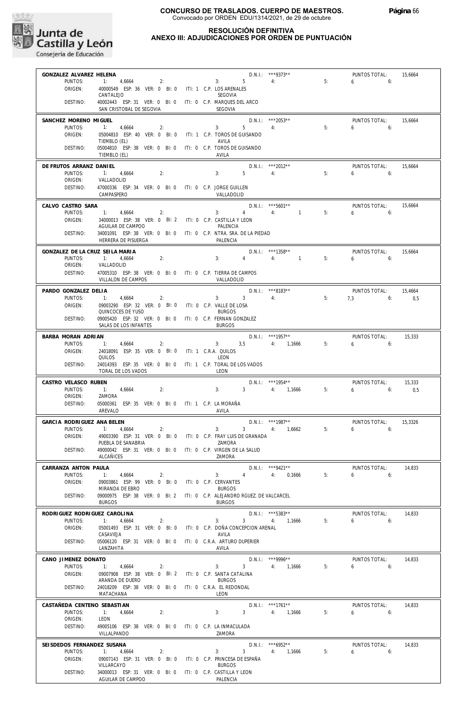

#### **RESOLUCIÓN DEFINITIVA ANEXO III: ADJUDICACIONES POR ORDEN DE PUNTUACIÓN**

|                                       | GONZALEZ ALVAREZ HELENA                                                                      |                                                            | D.N.I.: ***9373**                    |    | PUNTOS TOTAL:                | 15,6664       |
|---------------------------------------|----------------------------------------------------------------------------------------------|------------------------------------------------------------|--------------------------------------|----|------------------------------|---------------|
| PUNTOS:                               | 1: 4,6664<br>2:                                                                              | $3: 5 \t 4:$                                               |                                      | 5: | 6.6                          |               |
| ORIGEN:                               | 40000549 ESP: 36 VER: 0 BI: 0 ITI: 1 C.P. LOS ARENALES<br>CANTALEJO                          | <b>SEGOVIA</b>                                             |                                      |    |                              |               |
| DESTINO:                              | 40002443 ESP: 31 VER: 0 BI: 0 ITI: 0 C.P. MARQUES DEL ARCO<br>SAN CRISTOBAL DE SEGOVIA       | SEGOVIA                                                    |                                      |    |                              |               |
| SANCHEZ MORENO MIGUEL                 |                                                                                              |                                                            | D.N.I.: ***2053**                    |    | PUNTOS TOTAL:                | 15,6664       |
| PUNTOS:                               | 1: 4,6664<br>2:                                                                              | $5 - 1$<br>3:                                              | 4:                                   | 5: | 650                          |               |
| ORIGEN:                               | 05004810 ESP: 40 VER: 0 BI: 0 ITI: 1 C.P. TOROS DE GUISANDO<br>TIEMBLO (EL)                  | AVILA                                                      |                                      |    |                              |               |
| DESTINO:                              | 05004810 ESP: 38 VER: 0 BI: 0 ITI: 0 C.P. TOROS DE GUISANDO<br>TIEMBLO (EL)                  | AVILA                                                      |                                      |    |                              |               |
| DE FRUTOS ARRANZ DANIEL               |                                                                                              |                                                            | D.N.I.: *** 2012**                   |    | PUNTOS TOTAL:                | 15,6664       |
| PUNTOS:<br>ORIGEN:                    | 1: 4,6664<br>2:<br>VALLADOLID                                                                | 3:<br>$5 \qquad \qquad 4:$                                 |                                      | 5: | $6\qquad 6$                  |               |
| DESTINO:                              | 47000336 ESP: 34 VER: 0 BI: 0 ITI: 0 C.P. JORGE GUILLEN<br>CAMPASPERO                        | VALLADOLID                                                 |                                      |    |                              |               |
| CALVO CASTRO SARA                     |                                                                                              |                                                            | $D.N.1::$ ***5601**                  |    | PUNTOS TOTAL:                | 15,6664       |
| PUNTOS:<br>ORIGEN:                    | 4,6664<br>2:<br>34000013 ESP: 38 VER: 0 BI: 2 ITI: 0 C.P. CASTILLA Y LEON                    | 3: $4 \t 4$ : 1                                            |                                      | 5: | $6\qquad 6$                  |               |
|                                       | AGUILAR DE CAMPOO                                                                            | PALENCIA                                                   |                                      |    |                              |               |
| DESTINO:                              | 34001091 ESP: 38 VER: 0 BI: 0 ITI: 0 C.P. NTRA. SRA. DE LA PIEDAD<br>HERRERA DE PISUERGA     | PALENCIA                                                   |                                      |    |                              |               |
| GONZALEZ DE LA CRUZ SEILA MARIA       |                                                                                              |                                                            | D.N.I.: ***1358**                    |    | PUNTOS TOTAL:                | 15,6664       |
| PUNTOS:<br>ORIGEN:                    | 1: 4,6664<br>2:<br>VALLADOLID                                                                | 3: 4                                                       | 4: 1                                 | 5: | $6 \t\t\t 6$                 |               |
| DESTINO:                              | 47005310 ESP: 38 VER: 0 BI: 0 ITI: 0 C.P. TIERRA DE CAMPOS                                   |                                                            |                                      |    |                              |               |
| PARDO GONZALEZ DELIA                  | VILLALON DE CAMPOS                                                                           | VALLADOLID                                                 | $D.N.1.:$ ***8183**                  |    | PUNTOS TOTAL:                | 15,4664       |
| PUNTOS:                               | 1: 4,6664<br>2:                                                                              | $3: 3 \t 3: 4:$                                            |                                      | 5: | $7.3$ 6:                     | 0,5           |
| ORIGEN:                               | 09003290 ESP: 32 VER: 0 BI: 0 ITI: 0 C.P. VALLE DE LOSA<br>QUINCOCES DE YUSO                 | <b>BURGOS</b>                                              |                                      |    |                              |               |
| DESTINO:                              | 09005420 ESP: 32 VER: 0 BI: 0 ITI: 0 C.P. FERNAN GONZALEZ                                    |                                                            |                                      |    |                              |               |
|                                       | SALAS DE LOS INFANTES                                                                        | <b>BURGOS</b>                                              |                                      |    |                              |               |
| BARBA MORAN ADRIAN<br>PUNTOS:         | $-11 -$<br>4,6664<br>2:                                                                      | 3:                                                         | $D.N.1.:$ ***1957**<br>3,5 4: 1,1666 | 5: | PUNTOS TOTAL:<br>650         | 15,333        |
| ORIGEN:                               | 24018091 ESP: 35 VER: 0 BI: 0 ITI: 1 C.R.A. QUILOS                                           |                                                            |                                      |    |                              |               |
| DESTINO:                              | QUILOS<br>24014393 ESP: 35 VER: 0 BI: 0 ITI: 1 C.P. TORAL DE LOS VADOS                       | LEON                                                       |                                      |    |                              |               |
|                                       | TORAL DE LOS VADOS                                                                           | LEON                                                       |                                      |    |                              |               |
| CASTRO VELASCO RUBEN<br>PUNTOS:       | 1: 4,6664<br>2:                                                                              | $3 \qquad \qquad$<br>3:                                    | $D.N.1::$ ***1954**<br>4: 1,1666     | 5: | PUNTOS TOTAL:<br>$6\qquad 6$ | 15,333<br>0,5 |
|                                       |                                                                                              |                                                            |                                      |    |                              |               |
| ORIGEN:                               | ZAMORA                                                                                       |                                                            |                                      |    |                              |               |
| DESTINO:                              | 05000361 ESP: 35 VER: 0 BI: 0 ITI: 1 C.P. LA MORAÑA<br>ARFVALO                               | AVILA                                                      |                                      |    |                              |               |
| GARCIA RODRIGUEZ ANA BELEN            |                                                                                              |                                                            | D.N.I.: ***1987**                    |    | PUNTOS TOTAL:                | 15,3326       |
| PUNTOS:                               | $-11$<br>4,6664<br>2:                                                                        | $3: 3 \t 4: 1,6662$                                        |                                      | 5: | $6 - 6$                      |               |
| ORIGEN:                               | 49003390 ESP: 31 VER: 0 BI: 0 ITI: 0 C.P. FRAY LUIS DE GRANADA<br>PUEBLA DE SANABRIA         | ZAMORA                                                     |                                      |    |                              |               |
| DESTINO:                              | 49000042 ESP: 31 VER: 0 BI: 0 ITI: 0 C.P. VIRGEN DE LA SALUD<br>ALCAÑICES                    | ZAMORA                                                     |                                      |    |                              |               |
| CARRANZA ANTON PAULA                  |                                                                                              |                                                            | D.N.I.: ***9421**                    |    | PUNTOS TOTAL:                | 14,833        |
| PUNTOS:                               | 2:<br>1:<br>4,6664                                                                           | $\overline{4}$<br>3:                                       | 4: 0.1666                            | 5: | 6<br>6:                      |               |
| ORIGEN:                               | 09003861 ESP: 99 VER: 0 BI: 0<br>MIRANDA DE EBRO                                             | ITI: 0 C.P. CERVANTES<br><b>BURGOS</b>                     |                                      |    |                              |               |
| DESTINO:                              | 09000975 ESP: 38 VER: 0 BI: 2<br><b>BURGOS</b>                                               | ITI: 0 C.P. ALEJANDRO RGUEZ. DE VALCARCEL<br><b>BURGOS</b> |                                      |    |                              |               |
| RODRIGUEZ RODRIGUEZ CAROLINA          |                                                                                              |                                                            | D.N.I.: *** 5383**                   |    | PUNTOS TOTAL:                | 14,833        |
| PUNTOS:                               | 1:<br>4,6664<br>2:                                                                           | $\mathbf{3}$<br>3:                                         | 4:<br>1.1666                         | 5: | 6<br>6:                      |               |
| ORIGEN:                               | 05001493 ESP: 31 VER: 0 BI: 0<br>CASAVIEJA                                                   | ITI: 0 C.P. DOÑA CONCEPCION ARENAL<br>AVILA                |                                      |    |                              |               |
| DESTINO:                              | 05006120 ESP: 31 VER: 0 BI: 0<br>LANZAHITA                                                   | ITI: 0 C.R.A. ARTURO DUPERIER<br>AVILA                     |                                      |    |                              |               |
| CANO JIMENEZ DONATO                   |                                                                                              |                                                            | $D.N.1::$ *** 9996**                 |    | PUNTOS TOTAL:                | 14,833        |
| PUNTOS:                               | 1:<br>4,6664<br>2:                                                                           | $\overline{3}$<br>3:                                       | 4: 1,1666                            | 5: | 6<br>6:                      |               |
| ORIGEN:                               | 09007908 ESP: 38 VER: 0 BI: 2<br>ARANDA DE DUERO                                             | ITI: 0 C.P. SANTA CATALINA<br><b>BURGOS</b>                |                                      |    |                              |               |
| DESTINO:                              | 24018209 ESP: 38 VER: 0 BI: 0<br>MATACHANA                                                   | ITI: 0 C.R.A. EL REDONDAL<br>LEON                          |                                      |    |                              |               |
| CASTAÑEDA CENTENO SEBASTIAN           |                                                                                              |                                                            | D.N.I.: ***1761**                    |    | PUNTOS TOTAL:                | 14,833        |
| PUNTOS:                               | 1:<br>2:<br>4,6664                                                                           | 3:<br>$\overline{3}$                                       | 4: 1,1666                            | 5: | 6<br>6:                      |               |
| ORIGEN:<br>DESTINO:                   | LEON<br>49005106 ESP: 38 VER: 0 BI: 0                                                        | ITI: 0 C.P. LA INMACULADA                                  |                                      |    |                              |               |
|                                       | VILLALPANDO                                                                                  | ZAMORA                                                     |                                      |    |                              |               |
| SEISDEDOS FERNANDEZ SUSANA<br>PUNTOS: | 1:<br>4,6664<br>2:                                                                           | 3:<br>$\overline{3}$                                       | D.N.I.: *** 6952**<br>4: 1,1666      | 5: | PUNTOS TOTAL:<br>6<br>6:     | 14,833        |
| ORIGEN:                               | 09007143 ESP: 31 VER: 0 BI: 0                                                                | ITI: 0 C.P. PRINCESA DE ESPAÑA                             |                                      |    |                              |               |
| DESTINO:                              | VILLARCAYO<br>34000013 ESP: 31 VER: 0 BI: 0 ITI: 0 C.P. CASTILLA Y LEON<br>AGUILAR DE CAMPOO | <b>BURGOS</b><br>PALENCIA                                  |                                      |    |                              |               |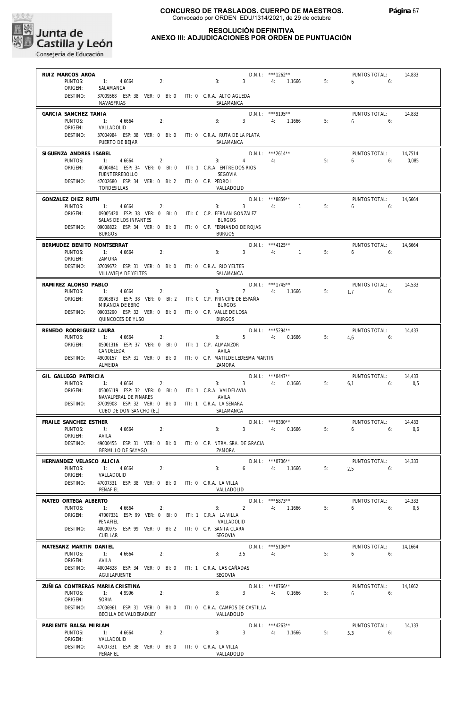

#### **RESOLUCIÓN DEFINITIVA ANEXO III: ADJUDICACIONES POR ORDEN DE PUNTUACIÓN**

| RUIZ MARCOS AROA                    |                                                                                      |                           | D.N.I.: ***1262**                    |    | PUNTOS TOTAL:                        | 14,833  |
|-------------------------------------|--------------------------------------------------------------------------------------|---------------------------|--------------------------------------|----|--------------------------------------|---------|
| PUNTOS:                             | 1: 4,6664<br>2:                                                                      | 3: 3                      | 4: 1,1666                            | 5: | $6\qquad 6$                          |         |
| ORIGEN:<br>DESTINO:                 | SALAMANCA<br>37009568 ESP: 38 VER: 0 BI: 0 ITI: 0 C.R.A. ALTO AGUEDA<br>NAVASFRIAS   | SALAMANCA                 |                                      |    |                                      |         |
|                                     |                                                                                      |                           |                                      |    |                                      |         |
| GARCIA SANCHEZ TANIA<br>PUNTOS:     | 2:<br>1: 4,6664                                                                      | 3: 3: 4: 1,1666           | $D.N.1.:$ ***9195**                  | 5: | PUNTOS TOTAL:<br>$6\qquad 6$         | 14,833  |
| ORIGEN:                             | VALLADOLID                                                                           |                           |                                      |    |                                      |         |
| DESTINO:                            | 37004984 ESP: 38 VER: 0 BI: 0 ITI: 0 C.R.A. RUTA DE LA PLATA<br>PUERTO DE BEJAR      | SALAMANCA                 |                                      |    |                                      |         |
| SIGUENZA ANDRES ISABEL              |                                                                                      |                           | $D.N.1::$ ***2614**                  |    | PUNTOS TOTAL:                        | 14,7514 |
| PUNTOS:                             | $-11$<br>4,6664<br>2:                                                                | $4 \t 4$<br>3:            | 5:2:2:2:2:3:5                        |    | $6\qquad 6$                          | 0.085   |
| ORIGEN:                             | 40004841 ESP: 34 VER: 0 BI: 0 ITI: 1 C.R.A. ENTRE DOS RIOS<br><b>FUENTERREBOLLO</b>  |                           |                                      |    |                                      |         |
| DESTINO:                            | 47002680 ESP: 34 VER: 0 BI: 2 ITI: 0 C.P. PEDRO I                                    | SEGOVIA                   |                                      |    |                                      |         |
|                                     | TORDESILLAS                                                                          | VALLADOLID                |                                      |    |                                      |         |
| GONZALEZ DIEZ RUTH                  |                                                                                      |                           | $D.N.1.:$ ***8859**                  |    | PUNTOS TOTAL:                        | 14,6664 |
| PUNTOS:                             | 1: 4,6664<br>2:                                                                      | 3: 3: 4: 1                |                                      | 5: | $6 \t\t 6$                           |         |
| ORIGEN:                             | 09005420 ESP: 38 VER: 0 BI: 0 ITI: 0 C.P. FERNAN GONZALEZ                            |                           |                                      |    |                                      |         |
| DESTINO:                            | SALAS DE LOS INFANTES<br>09008822 ESP: 34 VER: 0 BI: 0 ITI: 0 C.P. FERNANDO DE ROJAS | <b>BURGOS</b>             |                                      |    |                                      |         |
|                                     | <b>BURGOS</b>                                                                        | <b>BURGOS</b>             |                                      |    |                                      |         |
| BERMUDEZ BENITO MONTSERRAT          |                                                                                      |                           | $D.N.I.:$ ***4125**                  |    | PUNTOS TOTAL:                        | 14,6664 |
| PUNTOS:                             | 1: 4,6664<br>2:                                                                      | 3:                        | $3 \qquad \qquad 4: \qquad \qquad 1$ | 5: | $6\qquad 6$                          |         |
| ORIGEN:                             | ZAMORA                                                                               |                           |                                      |    |                                      |         |
| DESTINO:                            | 37009672 ESP: 31 VER: 0 BI: 0 ITI: 0 C.R.A. RIO YELTES                               |                           |                                      |    |                                      |         |
|                                     | VILLAVIEJA DE YELTES                                                                 | SALAMANCA                 |                                      |    |                                      |         |
| RAMIREZ ALONSO PABLO                |                                                                                      |                           | D.N.I.: ***1745**                    |    | PUNTOS TOTAL:                        | 14,533  |
| PUNTOS:                             | 1: 4,6664<br>2:                                                                      | $3: 7 \t 4: 1,1666 \t 5:$ |                                      |    | $1.7$ 6:                             |         |
| ORIGEN:                             | 09003873 ESP: 38 VER: 0 BI: 2 ITI: 0 C.P. PRINCIPE DE ESPAÑA<br>MIRANDA DE EBRO      | <b>BURGOS</b>             |                                      |    |                                      |         |
| DESTINO:                            | 09003290 ESP: 32 VER: 0 BI: 0 ITI: 0 C.P. VALLE DE LOSA                              |                           |                                      |    |                                      |         |
|                                     | QUINCOCES DE YUSO                                                                    | <b>BURGOS</b>             |                                      |    |                                      |         |
| RENEDO RODRIGUEZ LAURA              |                                                                                      |                           | $D.N.1.:$ ***5294**                  |    | PUNTOS TOTAL:                        | 14,433  |
| PUNTOS:                             | 1: 4,6664<br>2:                                                                      | $3: 5$ 4: 0,1666 5:       |                                      |    | $4.6$ 6:                             |         |
| ORIGEN:                             | 05001316 ESP: 37 VER: 0 BI: 0 ITI: 1 C.P. ALMANZOR<br>CANDELEDA                      | AVILA                     |                                      |    |                                      |         |
| DESTINO:                            | 49000157 ESP: 31 VER: 0 BI: 0 ITI: 0 C.P. MATILDE LEDESMA MARTIN                     |                           |                                      |    |                                      |         |
|                                     | ALMEIDA                                                                              | ZAMORA                    |                                      |    |                                      |         |
| GIL GALLEGO PATRICIA                |                                                                                      |                           | $D.N.1.:$ ***0447**                  |    | PUNTOS TOTAL:                        | 14,433  |
| PUNTOS:                             | $-11$<br>4,6664<br>2:                                                                | 3: 3: 4: 0.1666           |                                      | 5: | $6.1$ $6:$                           | 0.5     |
| ORIGEN:                             | 05006119 ESP: 32 VER: 0 BI: 0 ITI: 1 C.R.A. VALDELAVIA                               | AVILA                     |                                      |    |                                      |         |
| DESTINO:                            | NAVALPERAL DE PINARES<br>37009908 ESP: 32 VER: 0 BI: 0 ITI: 1 C.R.A. LA SENARA       |                           |                                      |    |                                      |         |
|                                     | CUBO DE DON SANCHO (EL)                                                              | SALAMANCA                 |                                      |    |                                      |         |
| <b>FRAILE SANCHEZ ESTHER</b>        |                                                                                      |                           | $D.N.1.:$ ***9330**                  |    | PUNTOS TOTAL:                        | 14,433  |
| PUNTOS:                             | 4,6664<br>2:<br>$-11 - 1$                                                            | 3:<br>$3 \qquad \qquad$   | 4: 0.1666                            | 5: | $6 \left( \frac{1}{2} \right)$<br>6: | 0,6     |
| ORIGEN:                             | AVILA                                                                                |                           |                                      |    |                                      |         |
| DESTINO:                            | 49000455 ESP: 31 VER: 0 BI: 0 ITI: 0 C.P. NTRA. SRA. DE GRACIA<br>BERMILLO DE SAYAGO | <b>Example 28 TAMORA</b>  |                                      |    |                                      |         |
|                                     |                                                                                      |                           |                                      |    |                                      |         |
| HERNANDEZ VELASCO ALICIA<br>PUNTOS: | 1: 4,6664<br>2:                                                                      | 3:                        | D.N.I.: ***0706**<br>6 4: 1,1666     | 5: | <b>PUNTOS TOTAL:</b><br>$2,5$ 6:     | 14,333  |
| ORIGEN:                             | VALLADOLID                                                                           |                           |                                      |    |                                      |         |
| DESTINO:                            | 47007331 ESP: 38 VER: 0 BI: 0 ITI: 0 C.R.A. LA VILLA                                 |                           |                                      |    |                                      |         |
|                                     | PEÑAFIFI                                                                             | VALLADOLID                |                                      |    |                                      |         |
| MATEO ORTEGA ALBERTO                |                                                                                      |                           | $D.N.1.:$ ***5873**                  |    | PUNTOS TOTAL:                        | 14,333  |
| PUNTOS:                             | 1: 4,6664<br>2:                                                                      | $3: 2 \t 4: 1,1666$       |                                      | 5: | $6 \t\t\t 6$                         | 0,5     |
| ORIGEN:                             | 47007331 ESP: 99 VER: 0 BI: 0 ITI: 1 C.R.A. LA VILLA<br>PEÑAFIEL                     | VALLADOLID                |                                      |    |                                      |         |
| DESTINO:                            | 40000975 ESP: 99 VER: 0 BI: 2 ITI: 0 C.P. SANTA CLARA                                |                           |                                      |    |                                      |         |
|                                     | CUFLI AR                                                                             | SEGOVIA                   |                                      |    |                                      |         |
| MATESANZ MARTIN DANIEL              |                                                                                      |                           | $D.N.I.:$ ***5106**                  |    | PUNTOS TOTAL:                        | 14,1664 |
| PUNTOS:                             | 1: 4,6664<br>2:                                                                      | 3: 3.5 4:                 |                                      | 5: | $6 \t\t 6$                           |         |
| ORIGEN:                             | AVILA                                                                                |                           |                                      |    |                                      |         |
| DESTINO:                            | 40004828 ESP: 34 VER: 0 BI: 0 ITI: 1 C.R.A. LAS CAÑADAS<br>AGUILAFUENTE              | SEGOVIA                   |                                      |    |                                      |         |
|                                     |                                                                                      |                           |                                      |    |                                      |         |
| PUNTOS:                             | ZUÑIGA CONTRERAS MARIA CRISTINA<br>2:<br>1: 4,9996                                   | 3: 3: 4: 0,1666           | $D.N.1::$ ***0766**                  | 5: | PUNTOS TOTAL:<br>$6\qquad 6:$        | 14,1662 |
| ORIGEN:                             | SORIA                                                                                |                           |                                      |    |                                      |         |
| DESTINO:                            | 47006961 ESP: 31 VER: 0 BI: 0 ITI: 0 C.R.A. CAMPOS DE CASTILLA                       |                           |                                      |    |                                      |         |
|                                     | BECILLA DE VALDERADUEY                                                               | VALLADOLID                |                                      |    |                                      |         |
| PARIENTE BALSA MIRIAM               |                                                                                      |                           | D.N.I.: ***4263**                    |    | PUNTOS TOTAL:                        | 14,133  |
| PUNTOS:                             | 1: 4,6664<br>$\overline{2}$ :                                                        | $3: 3 \t 4: 1,1666$       |                                      | 5: | $5,3$ 6:                             |         |
| ORIGEN:                             | VALLADOLID                                                                           |                           |                                      |    |                                      |         |
| DESTINO:                            | 47007331 ESP: 38 VER: 0 BI: 0 ITI: 0 C.R.A. LA VILLA<br>PEÑAFIEL                     | VALLADOLID                |                                      |    |                                      |         |
|                                     |                                                                                      |                           |                                      |    |                                      |         |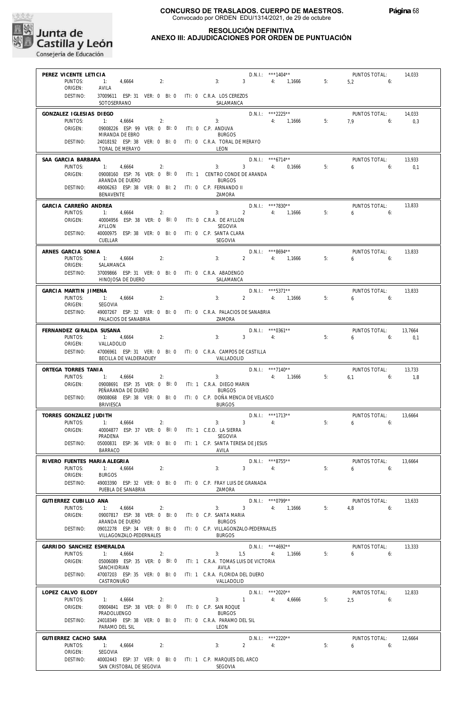

# **RESOLUCIÓN DEFINITIVA**

Cons

| lunta de<br>Castilla y León<br>onsejería de Educación          |                                                                                                                                | <b>RESOLUCION DEFINITIVA</b><br>ANEXO III: ADJUDICACIONES POR ORDEN DE PUNTUACIÓN                                                                                                                                             |
|----------------------------------------------------------------|--------------------------------------------------------------------------------------------------------------------------------|-------------------------------------------------------------------------------------------------------------------------------------------------------------------------------------------------------------------------------|
| PEREZ VICENTE LETICIA<br>PUNTOS:<br>ORIGEN:<br>DESTINO:        | 1:<br>4,6664<br>2:<br>AVILA<br>37009611 ESP: 31 VER: 0 BI: 0<br>SOTOSERRANO                                                    | $D.N.1::$ ***1404**<br>PUNTOS TOTAL:<br>14,033<br>3:<br>3<br>4:<br>1.1666<br>5:<br>5,2<br>6:<br>ITI: 0 C.R.A. LOS CEREZOS<br>SALAMANCA                                                                                        |
| GONZALEZ IGLESIAS DIEGO<br>PUNTOS:<br>ORIGEN:<br>DESTINO:      | 1:<br>4,6664<br>2:<br>09008226 ESP: 99 VER: 0 BI: 0<br>MIRANDA DE EBRO<br>24018192 ESP: 38 VER: 0 BI: 0<br>TORAL DE MERAYO     | D.N.I.: ***2225**<br>PUNTOS TOTAL:<br>14,033<br>3:<br>1,1666<br>5:<br>7,9<br>6:<br>4:<br>0,3<br>ITI: 0 C.P. ANDUVA<br><b>BURGOS</b><br>ITI: 0 C.R.A. TORAL DE MERAYO<br>LEON                                                  |
| SAA GARCIA BARBARA<br>PUNTOS:<br>ORIGEN:<br>DESTINO:           | 1:<br>4,6664<br>2:<br>09008160 ESP: 76 VER: 0 BI: 0<br>ARANDA DE DUERO<br>49006263 ESP: 38 VER: 0 BI: 2<br>BENAVENTE           | $D.N.1::$ *** 6714**<br>PUNTOS TOTAL:<br>13,933<br>3:<br>3<br>4:<br>0,1666<br>5:<br>6:<br>6<br>0,1<br>ITI: 1 CENTRO CONDE DE ARANDA<br><b>BURGOS</b><br>ITI: 0 C.P. FERNANDO II<br>ZAMORA                                     |
| GARCIA CARREÑO ANDREA<br>PUNTOS:<br>ORIGEN:<br>DESTINO:        | 1:<br>4,6664<br>2:<br>40004956 ESP: 38 VER: 0 BI: 0<br>AYLLON<br>40000975<br>ESP: 38 VER: 0 BI: 0<br>CUELLAR                   | D.N.I.: ***7830**<br>PUNTOS TOTAL:<br>13,833<br>$\overline{2}$<br>3:<br>1,1666<br>5:<br>4:<br>6<br>6:<br>ITI: 0 C.R.A. DE AYLLON<br>SEGOVIA<br>ITI: 0 C.P. SANTA CLARA<br>SEGOVIA                                             |
| ARNES GARCIA SONIA<br>PUNTOS:<br>ORIGEN:<br>DESTINO:           | 1:<br>4,6664<br>2:<br>SALAMANCA<br>37009866 ESP: 31 VER: 0 BI: 0<br>HINOJOSA DE DUERO                                          | D.N.I.: ***8694**<br>PUNTOS TOTAL:<br>13,833<br>$\overline{2}$<br>3:<br>1,1666<br>5:<br>6:<br>4:<br>6<br>ITI: 0 C.R.A. ABADENGO<br>SALAMANCA                                                                                  |
| GARCIA MARTIN JIMENA<br>PUNTOS:<br>ORIGEN:<br>DESTINO:         | 1:<br>4,6664<br>2:<br>SEGOVIA<br>49007267 ESP: 32 VER: 0 BI: 0<br>PALACIOS DE SANABRIA                                         | D.N.I.: ***5371**<br>PUNTOS TOTAL:<br>13,833<br>$\overline{2}$<br>3:<br>1,1666<br>5:<br>6:<br>4:<br>6<br>ITI: 0 C.R.A. PALACIOS DE SANABRIA<br>ZAMORA                                                                         |
| FERNANDEZ GIRALDA SUSANA<br>PUNTOS:<br>ORIGEN:<br>DESTINO:     | 1:<br>2:<br>4,6664<br>VALLADOLID<br>47006961 ESP: 31 VER: 0 BI: 0<br>BECILLA DE VALDERADUEY                                    | D.N.I.: *** 0361**<br>PUNTOS TOTAL:<br>13,7664<br>3<br>3:<br>4:<br>5:<br>6:<br>6<br>0,1<br>ITI: 0 C.R.A. CAMPOS DE CASTILLA<br>VALLADOLID                                                                                     |
| ORTEGA TORRES TANIA<br>PUNTOS:<br>ORIGEN:<br>DESTINO:          | 1:<br>4,6664<br>2:<br>09008691 ESP: 35 VER: 0 BI: 0<br>PEÑARANDA DE DUERO<br>09008068 ESP: 38 VER: 0 BI: 0<br><b>BRIVIESCA</b> | D.N.I.: ***7140**<br>PUNTOS TOTAL:<br>13,733<br>3:<br>4:<br>1,1666<br>5:<br>6,1<br>6:<br>1,8<br>ITI: 1 C.R.A. DIEGO MARIN<br><b>BURGOS</b><br>ITI: 0 C.P. DOÑA MENCIA DE VELASCO<br><b>BURGOS</b>                             |
| TORRES GONZALEZ JUDITH<br>PUNTOS:<br>ORIGEN:<br>DESTINO:       | 1:<br>2:<br>4,6664<br>40004877 ESP: 37 VER: 0 BI: 0<br>PRADENA<br>05000831 ESP: 36 VER: 0 BI: 0<br><b>BARRACO</b>              | D.N.I.: ***1713**<br>PUNTOS TOTAL:<br>13,6664<br>3<br>5:<br>3:<br>4:<br>6<br>6:<br>ITI: 1 C.E.O. LA SIERRA<br>SEGOVIA<br>ITI: 1 C.P. SANTA TERESA DE JESUS<br>AVILA                                                           |
| RIVERO FUENTES MARIA ALEGRIA<br>PUNTOS:<br>ORIGEN:<br>DESTINO: | 1:<br>2:<br>4,6664<br><b>BURGOS</b><br>PUEBLA DE SANABRIA                                                                      | D.N.I.: ***8755**<br>PUNTOS TOTAL:<br>13,6664<br>$\overline{3}$<br>3:<br>5:<br>4:<br>6:<br>6<br>49003390 ESP: 32 VER: 0 BI: 0 ITI: 0 C.P. FRAY LUIS DE GRANADA<br>7AMORA                                                      |
| GUTIERREZ CUBILLO ANA<br>PUNTOS:<br>ORIGEN:<br>DESTINO:        | 1:<br>4,6664<br>2:<br>09007817 ESP: 38 VER: 0 BI: 0<br>ARANDA DE DUERO<br>VILLAGONZALO-PEDERNALES                              | D.N.I.: *** 0799**<br>PUNTOS TOTAL:<br>13.633<br>3:<br>3<br>4:<br>1,1666<br>5:<br>4,8<br>6:<br>ITI: 0 C.P. SANTA MARIA<br><b>BURGOS</b><br>09012278 ESP: 34 VER: 0 BI: 0 ITI: 0 C.P. VILLAGONZALO-PEDERNALES<br><b>BURGOS</b> |

**Página** 68

2

D.N.I.:

1

3:

AVILA

VALLADOLID

C.R.A. FLORIDA DEL DUERO

BURGOS

LEON

ITI: 0 C.R.A. PARAMO DEL SIL

ITI: 0 C.P. SAN ROQUE

3:

1,1666

D.N.I.: \*\*\*4692\*\*

4:

\*\*\*2020\*\* D.N.I.:

6

5:

5:

5:

PUNTOS TOTAL:

6:

6:

6:

PUNTOS TOTAL:

PUNTOS TOTAL:

13,333

12,833

12,6664

2,5

6

4,6666 4:

\*\*\*2220\*\*

4:

4,6664 1,5 3:

0 BI: 0 ITI: 1

0 BI: 0 ITI: 1

05006089 ESP: 35 VER: 0 BI: 0 ITI: 1 C.R.A. TOMAS LUIS DE VICTORIA<br>SANCHIDRIAN

 $2:$ 

VER:

2:

VER: 0 BI: 0 ITI:

BI: 0

BI: 0

2:

4,6664

09004841 ESP: 38 VER: 0 BI: 0

35

ESP:

ESP:

35

24018349 38 ESP: VER: 0 BI: 0

CASTRONUÑO

47007203

1:

1:

PUNTOS:

ORIGEN:

DESTINO:

**GARRIDO SANCHEZ ESMERALDA**

PUNTOS:

ORIGEN:

**LOPEZ CALVO ELODY**

PUNTOS:

ORIGEN:

DESTINO:

**GUTIERREZ CACHO SARA**

DESTINO:

4,6664 1: SEGOVIA

SAN CRISTOBAL DE SEGOVIA

PARAMO DEL SIL

PRADOLUENGO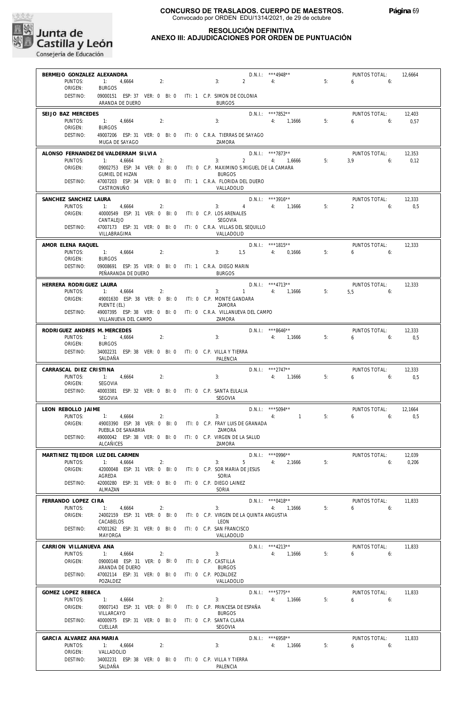

#### **RESOLUCIÓN DEFINITIVA ANEXO III: ADJUDICACIONES POR ORDEN DE PUNTUACIÓN**

| BERMEJO GONZALEZ ALEXANDRA        |                                                                                    |                                               |                                                           | D.N.I.: *** 4948**               |    | PUNTOS TOTAL:            | 12,6664 |
|-----------------------------------|------------------------------------------------------------------------------------|-----------------------------------------------|-----------------------------------------------------------|----------------------------------|----|--------------------------|---------|
| PUNTOS:<br>ORIGEN:                | 2:<br>1:<br>4,6664<br><b>BURGOS</b>                                                | 3:                                            | $\overline{2}$                                            | 4:                               | 5: | 6<br>6:                  |         |
| DESTINO:                          | 09000151 ESP: 37 VER: 0 BI: 0<br>ARANDA DE DUERO                                   | ITI: 1 C.P. SIMON DE COLONIA<br><b>BURGOS</b> |                                                           |                                  |    |                          |         |
| SEIJO BAZ MERCEDES                |                                                                                    |                                               |                                                           | D.N.I.: ***7852**                |    | PUNTOS TOTAL:            | 12,403  |
| PUNTOS:<br>ORIGEN:                | 1:<br>4,6664<br>2:<br><b>BURGOS</b>                                                | 3:                                            |                                                           | 4: 1,1666                        | 5: | 6<br>6:                  | 0,57    |
| DESTINO:                          | 49007206 ESP: 31 VER: 0 BI: 0 ITI: 0 C.R.A. TIERRAS DE SAYAGO<br>MUGA DE SAYAGO    | ZAMORA                                        |                                                           |                                  |    |                          |         |
|                                   | ALONSO FERNANDEZ DE VALDERRAM SILVIA                                               |                                               |                                                           | D.N.I.: ***7873**                |    | PUNTOS TOTAL:            | 12,353  |
| PUNTOS:<br>ORIGEN:                | 1:<br>4.6664<br>2:<br>09002753 ESP: 34 VER: 0 BI: 0                                | 3:                                            | $2^{\circ}$<br>ITI: 0 C.P. MAXIMINO S.MIGUEL DE LA CAMARA | 4: 1.6666                        | 5: | 3.9<br>6:                | 0,12    |
| DESTINO:                          | <b>GUMIEL DE HIZAN</b><br>47007203 ESP: 34 VER: 0 BI: 0                            | <b>BURGOS</b>                                 | ITI: 1 C.R.A. FLORIDA DEL DUERO                           |                                  |    |                          |         |
|                                   | CASTRONUÑO                                                                         | VALLADOLID                                    |                                                           |                                  |    |                          |         |
| SANCHEZ SANCHEZ LAURA             |                                                                                    |                                               |                                                           | $D.N.1::$ ***3916**              |    | PUNTOS TOTAL:            | 12,333  |
| PUNTOS:<br>ORIGEN:                | 1:<br>4,6664<br>2:<br>40000549 ESP: 31 VER: 0 BI: 0                                | 3:<br>ITI: 0 C.P. LOS ARENALES                | $\overline{4}$                                            | 4: 1,1666                        | 5: | $\overline{2}$<br>6:     | 0,5     |
| DESTINO:                          | CANTALEJO<br>47007173 ESP: 31 VER: 0 BI: 0                                         | SEGOVIA                                       | ITI: 0 C.R.A. VILLAS DEL SEQUILLO                         |                                  |    |                          |         |
|                                   | VILLABRAGIMA                                                                       | VALLADOLID                                    |                                                           |                                  |    |                          |         |
| AMOR ELENA RAQUEL                 |                                                                                    |                                               |                                                           | $D.N.1.:$ ***1815**              |    | PUNTOS TOTAL:            | 12,333  |
| PUNTOS:<br>ORIGEN:                | 1:<br>4,6664<br>2:<br><b>BURGOS</b>                                                | 3:                                            | 1.5                                                       | 4: 0,1666                        | 5: | $6 \t\t 6$               |         |
| DESTINO:                          | 09008691 ESP: 35 VER: 0 BI: 0 ITI: 1 C.R.A. DIEGO MARIN<br>PEÑARANDA DE DUERO      | <b>BURGOS</b>                                 |                                                           |                                  |    |                          |         |
| HERRERA RODRIGUEZ LAURA           |                                                                                    |                                               |                                                           | $D.N.1.:$ ***4713**              |    | PUNTOS TOTAL:            | 12,333  |
| PUNTOS:                           | 1:<br>4,6664<br>2:                                                                 | 3:                                            | 1                                                         | 4: 1,1666                        | 5: | 5.5<br>6:                |         |
| ORIGEN:                           | 49001630 ESP: 38 VER: 0 BI: 0 ITI: 0 C.P. MONTE GANDARA<br>PUENTE (EL)             | 7AMORA                                        |                                                           |                                  |    |                          |         |
| DESTINO:                          | 49007395 ESP: 38 VER: 0 BI: 0<br>VILLANUEVA DEL CAMPO                              | ZAMORA                                        | ITI: 0 C.R.A. VILLANUEVA DEL CAMPO                        |                                  |    |                          |         |
| RODRIGUEZ ANDRES M. MERCEDES      |                                                                                    |                                               |                                                           | D.N.I.: ***8646**                |    | PUNTOS TOTAL:            | 12,333  |
| PUNTOS:<br>ORIGEN:                | 1:<br>4,6664<br>2:<br><b>BURGOS</b>                                                | 3:                                            |                                                           | 4: 1,1666                        | 5: | 6<br>6:                  | 0,5     |
| DESTINO:                          | 34002231 ESP: 38 VER: 0 BI: 0 ITI: 0 C.P. VILLA Y TIERRA<br>SALDAÑA                | PALENCIA                                      |                                                           |                                  |    |                          |         |
| CARRASCAL DIEZ CRISTINA           |                                                                                    |                                               |                                                           | $D.N.1::$ ***2747**              |    | PUNTOS TOTAL:            | 12,333  |
| PUNTOS:<br>ORIGEN:                | 1:<br>4,6664<br>2:<br>SEGOVIA                                                      | 3:                                            |                                                           | 4: 1,1666                        | 5: | 6<br>6:                  | 0,5     |
| DESTINO:                          | 40003381 ESP: 32 VER: 0 BI: 0 ITI: 0 C.P. SANTA EULALIA<br>SEGOVIA                 | SEGOVIA                                       |                                                           |                                  |    |                          |         |
| LEON REBOLLO JAIME                |                                                                                    |                                               |                                                           | D.N.I.: *** 5094**               |    | PUNTOS TOTAL:            | 12,1664 |
| PUNTOS:                           | 1:<br>4,6664<br>2:<br>49003390 ESP: 38 VER: 0 BI: 0                                | 3:                                            | ITI: 0 C.P. FRAY LUIS DE GRANADA                          | $\sim$ 1<br>4:                   | 5: | 6<br>6:                  | 0,5     |
| ORIGEN:                           | PUEBLA DE SANABRIA                                                                 | ZAMORA                                        |                                                           |                                  |    |                          |         |
| DESTINO:                          | 49000042 ESP: 38 VER: 0 BI: 0<br><b>ALCAÑICES</b>                                  | ZAMORA                                        | ITI: 0 C.P. VIRGEN DE LA SALUD                            |                                  |    |                          |         |
| MARTINEZ TEJEDOR LUZ DEL CARMEN   |                                                                                    |                                               |                                                           | $D.N.1::$ *** 0996**             |    | PUNTOS TOTAL:            | 12,039  |
| PUNTOS:<br>ORIGEN:                | 1:<br>4,6664<br>2:<br>42000048 ESP: 31 VER: 0 BI: 0 ITI: 0 C.P. SOR MARIA DE JESUS | 3:                                            | 5                                                         | 4:<br>2,1666                     | 5: | 6:                       | 0,206   |
| DESTINO:                          | AGREDA<br>42000280 ESP: 31 VER: 0 BI: 0                                            | SORIA<br>ITI: 0 C.P. DIEGO LAINEZ             |                                                           |                                  |    |                          |         |
|                                   | ALMAZAN                                                                            | SORIA                                         |                                                           |                                  |    |                          |         |
| FERRANDO LOPEZ CIRA               |                                                                                    |                                               |                                                           | D.N.I.: ***0418**                |    | PUNTOS TOTAL:            | 11,833  |
| PUNTOS:<br>ORIGEN:                | 4,6664<br>2:<br>24002159 ESP: 31 VER: 0 BI: 0                                      | 3:                                            | ITI: 0 C.P. VIRGEN DE LA QUINTA ANGUSTIA                  | 4: 1,1666                        | 5: | $6 \quad$<br>6:          |         |
| DESTINO:                          | CACABELOS<br>47001262 ESP: 31 VER: 0 BI: 0                                         | LEON<br>ITI: 0 C.P. SAN FRANCISCO             |                                                           |                                  |    |                          |         |
|                                   | MAYORGA                                                                            | VALLADOLID                                    |                                                           |                                  |    |                          |         |
| CARRION VILLANUEVA ANA<br>PUNTOS: |                                                                                    |                                               |                                                           | $D.N.1::$ ***4213**              | 5: | PUNTOS TOTAL:            | 11,833  |
| ORIGEN:                           | 1:<br>4,6664<br>2:<br>09000148 ESP: 31 VER: 0 BI: 0                                | 3:<br>ITI: 0 C.P. CASTILLA                    |                                                           | 4: 1,1666                        |    | 6<br>6:                  |         |
| DESTINO:                          | ARANDA DE DUERO<br>47002114 ESP: 31 VER: 0 BI: 0                                   | <b>BURGOS</b><br>ITI: 0 C.P. POZALDEZ         |                                                           |                                  |    |                          |         |
|                                   | POZALDEZ                                                                           | VALLADOLID                                    |                                                           |                                  |    |                          |         |
| GOMEZ LOPEZ REBECA<br>PUNTOS:     | 1: 4,6664<br>2:                                                                    | 3:                                            |                                                           | $D.N.1::$ ***5775**<br>4: 1,1666 | 5: | PUNTOS TOTAL:<br>6<br>6: | 11,833  |
| ORIGEN:                           | 09007143 ESP: 31 VER: 0 BI: 0<br>VILLARCAYO                                        | <b>BURGOS</b>                                 | ITI: 0 C.P. PRINCESA DE ESPAÑA                            |                                  |    |                          |         |
| DESTINO:                          | 40000975 ESP: 31 VER: 0 BI: 0 ITI: 0 C.P. SANTA CLARA                              |                                               |                                                           |                                  |    |                          |         |
| GARCIA ALVAREZ ANA MARIA          | CUELLAR                                                                            | SEGOVIA                                       |                                                           | $D.N.I.:$ ***6958**              |    | PUNTOS TOTAL:            | 11,833  |
| PUNTOS:                           | 1: 4,6664<br>2:                                                                    | 3:                                            |                                                           | 4: 1,1666                        | 5: | 6:<br>6                  |         |
| ORIGEN:<br>DESTINO:               | VALLADOLID<br>34002231 ESP: 38 VER: 0 BI: 0 ITI: 0 C.P. VILLA Y TIERRA             |                                               |                                                           |                                  |    |                          |         |
|                                   | SALDAÑA                                                                            | PALENCIA                                      |                                                           |                                  |    |                          |         |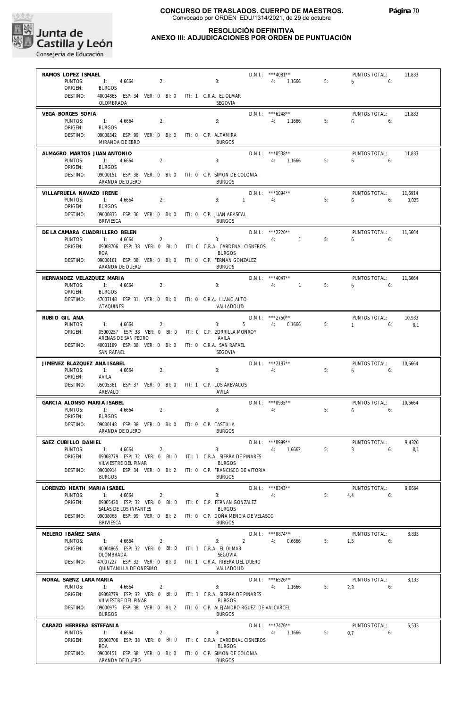

#### **RESOLUCIÓN DEFINITIVA ANEXO III: ADJUDICACIONES POR ORDEN DE PUNTUACIÓN**

**Página** 70

Consejería de Educación

**RAMOS LOPEZ ISMAEL** PUNTOS TOTAL: 11,833 D.N.I.: \*\*\*4081\*\* 1: PUNTOS: 4,6664  $2 \cdot$ 3: 5: 1,1666 4: 6 6: BURGOS ORIGEN: DESTINO: 40004865 ESP: 34 VER: 0 BI: 0 ITI: 1 C.R.A. EL OLMAR OLOMBRADA SEGOVIA PUNTOS TOTAL: **VEGA BORGES SOFIA** 11,833 D.N.I.: \*\*\*6248\*\* 1: PUNTOS: 5: 4,6664  $2.2$ 3: 1,1666 4: 6 6: ORIGEN: BURGOS DESTINO: 09008342 ESP: 99 VER: 0 BI: 0 ITI: 0 C.P. ALTAMIRA MIRANDA DE EBRO BURGOS **ALMAGRO MARTOS JUAN ANTONIO** PUNTOS TOTAL: 11,833 D.N.I.: \*\*\*0538\*\* PUNTOS: 3: 5:  $2:$  6 6: 4,6664 1: 1,1666 4: BURGOS ORIGEN: DESTINO: 09000151 ESP: 38 VER: 0 BI: 0 ITI: 0 C.P. SIMON DE COLONIA ARANDA DE DUERO BURGOS **VILLAFRUELA NAVAZO IRENE** PUNTOS TOTAL: 11,6914 \*\*\*1094\*\* D.N.I.: 1 PUNTOS: 4: 5: 0,025 1: 4,6664 2: 3: 6 6: BURGOS ORIGEN: **DESTINO:** 09000835 ESP: 36 VER: 0 BI: 0 ITI: 0 C.P. JUAN ABASCAL BURGOS BRIVIESCA **DE LA CAMARA CUADRILLERO BELEN** PUNTOS TOTAL: 11,6664 \*\*\*2220\*\* D.N.I.: PUNTOS:  $2 \cdot$ 3: 4: 1 5: 6 6: 4,6664 1: ORIGEN: 09008706 ESP: 38 VER: 0 BI: 0 ITI: 0 C.R.A. CARDENAL CISNEROS ROA BURGOS DESTINO: 09000161 ESP: 38 VER: 0 BI: 0 ITI: 0 C.P. FERNAN GONZALEZ BURGOS ARANDA DE DUERO **HERNANDEZ VELAZQUEZ MARIA** PUNTOS TOTAL: 11,6664 D.N.I.: \*\*\*4047\*\* PUNTOS: 4:  $2:$ 3: 1 5: 6 6: 4,6664 1: BURGOS ORIGEN: DESTINO: 47007148 ESP: 31 VER: 0 BI: 0 ITI: 0 C.R.A. LLANO ALTO ATAQUINES VALLADOLID **RUBIO GIL ANA** PUNTOS TOTAL: 10,933 \*\*\*2750\*\* D.N.I.: PUNTOS:  $2:2$  0,1666 5: 1 6:  $0<sub>1</sub>$  4,6664 1: 3: 4: 5 ORIGEN: 05000257 ESP: 38 VER: 0 BI: 0 ITI: 0 C.P. ZORRILLA MONROY ARENAS DE SAN PEDRO AVILA DESTINO: 40001189 ESP: 38 VER: 0 BI: 0 ITI: 0 C.R.A. SAN RAFAEL SAN RAFAEL SEGOVIA **JIMENEZ BLAZQUEZ ANA ISABEL** PUNTOS TOTAL: 10,6664 \*\*\*2187\*\* D.N.I.: PUNTOS:  $2:$ 3: 4: 5: 4,6664 1: AVILA 6 6: ORIGEN: DESTINO: 05005361 ESP: 37 VER: 0 BI: 0 ITI: 1 C.P. LOS AREVACOS AREVALO AVILA **GARCIA ALONSO MARIA ISABEL** PUNTOS TOTAL: 10,6664 D.N.I.: \*\*\*0935\*\* 2: 6 **PUNTOS:** 3: 4: 5: 6: 4,6664 1: BURGOS ORIGEN: **DESTINO:** 09000148 ESP: 38 VER: 0 BI: 0 ITI: 0 C.P. CASTILLA ARANDA DE DUERO BURGOS **SAEZ CUBILLO DANIEL** 2: PUNTOS TOTAL: 9,4326 D.N.I.: \*\*\*0999\*\* PUNTOS: 4,6664 3: 5: 6:  $1:1:$  3  $0.1$  1,6662 4: ORIGEN: 09008779 ESP: 32 VER: 0 BI: 0 ITI: 1 C.R.A. SIERRA DE PINARES VILVIESTRE DEL PINAR BURGOS DESTINO: 09000914 ESP: 34 VER: 0 BI: 2 ITI: 0 C.P. FRANCISCO DE VITORIA BURGOS BURGOS **LORENZO HEATH MARIA ISABEL** PUNTOS TOTAL:  $2:$  9,0664 D.N.I.: \*\*\*8343\*\* 4: PUNTOS: 3: 5: 4,4 6: 4,6664 1: ORIGEN: 09005420 ESP: 32 VER: 0 BI: 0 ITI: 0 C.P. FERNAN GONZALEZ SALAS DE LOS INFANTES BURGOS DESTINO: 09008068 ESP: 99 VER: 0 BI: 2 ITI: 0 C.P. DOÑA MENCIA DE VELASCO **BRIVIESCA BURGOS MELERO IBAÑEZ SARA** PUNTOS TOTAL: 8,833  $\overline{2}$ : \*\*\*8874\*\* D.N.I.: PUNTOS: 3: 5: 1,5 4,6664 1: 2 0,6666 4: 6: ORIGEN: 40004865 ESP: 32 VER: 0 BI: 0 ITI: 1 C.R.A. EL OLMAR OLOMBRADA SEGOVIA DESTINO: 47007227 ESP: 32 VER: 0 BI: 0 ITI: 1 C.R.A. RIBERA DEL DUERO QUINTANILLA DE ONESIMO VALLADOLID **MORAL SAENZ LARA MARIA** PUNTOS TOTAL: 8,133 D.N.I.: \*\*\*6526\*\* 2,3 PUNTOS: 1: 4,6664  $2:$ 3: 5: 6: 1,1666 4: ORIGEN: 09008779 ESP: 32 VER: 0 BI: 0 ITI: 1 C.R.A. SIERRA DE PINARES VILVIESTRE DEL PINAR BURGOS DESTINO: 09000975 ESP: 38 VER: 0 BI: 2 ITI: 0 C.P. ALEJANDRO RGUEZ. DE VALCARCEL **BURGOS** BURGOS  $\overline{\phantom{a}}$  2: **CARAZO HERRERA ESTEFANIA** PUNTOS TOTAL: 6,533 \*\*\*7476\*\* D.N.I.: PUNTOS: 1: 4,6664 3: 5: 0,7 6: 1,1666 4: ORIGEN: 09008706 ESP: 38 VER: 0 BI: 0 ITI: 0 C.R.A. CARDENAL CISNEROS ROA BURGOS DESTINO: 09000151 ESP: 38 VER: 0 BI: 0 ITI: 0 C.P. SIMON DE COLONIA BURGOS ARANDA DE DUERO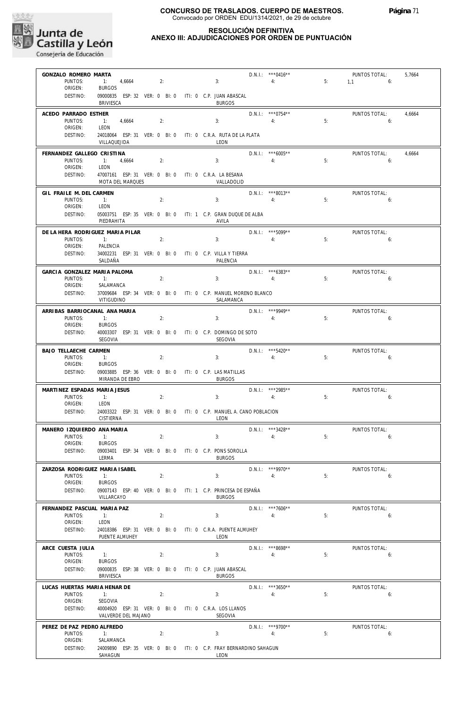

### **RESOLUCIÓN DEFINITIVA**

### **ANEXO III: ADJUDICACIONES POR ORDEN DE PUNTUACIÓN**

| GONZALO ROMERO MARTA             |                                                      |    |                                                                             |    | $D.N.1::$ *** 0416** |    | PUNTOS TOTAL: | 5,7664 |
|----------------------------------|------------------------------------------------------|----|-----------------------------------------------------------------------------|----|----------------------|----|---------------|--------|
| PUNTOS:<br>ORIGEN:               | 1: 4,6664<br><b>BURGOS</b>                           | 2: | 3:                                                                          |    | 4:                   | 5: | $1.1$ 6:      |        |
| DESTINO:                         | <b>BRIVIESCA</b>                                     |    | 09000835 ESP: 32 VER: 0 BI: 0 ITI: 0 C.P. JUAN ABASCAL<br><b>BURGOS</b>     |    |                      |    |               |        |
| ACEDO PARRADO ESTHER             |                                                      |    |                                                                             |    | D.N.I.: *** 0754**   |    | PUNTOS TOTAL: | 4,6664 |
| PUNTOS:<br>ORIGEN:               | 1:<br>4,6664<br>LEON                                 | 2: | 3:                                                                          |    | 4:                   | 5: | 6:            |        |
| DESTINO:                         | VILLAQUEJIDA                                         |    | 24018064 ESP: 31 VER: 0 BI: 0 ITI: 0 C.R.A. RUTA DE LA PLATA<br>LEON        |    |                      |    |               |        |
| FERNANDEZ GALLEGO CRISTINA       |                                                      |    |                                                                             |    | $D.N.1::$ *** 6005** |    | PUNTOS TOTAL: | 4.6664 |
| PUNTOS:<br>ORIGEN:               | $-1$ :<br>4,6664<br>LEON                             | 2: | 3:                                                                          |    | 4:                   | 5: | 6:            |        |
| DESTINO:                         | MOTA DEL MARQUES                                     |    | 47007161 ESP: 31 VER: 0 BI: 0 ITI: 0 C.R.A. LA BESANA<br>VALLADOLID         |    |                      |    |               |        |
| GIL FRAILE M. DEL CARMEN         |                                                      |    |                                                                             |    | D.N.I.: ***8013**    |    | PUNTOS TOTAL: |        |
| PUNTOS:<br>ORIGEN:               | $-1:$<br>LEON                                        | 2: | 3:                                                                          |    | 4:                   | 5: | 6:            |        |
| DESTINO:                         | PIEDRAHITA                                           |    | 05003751 ESP: 35 VER: 0 BI: 0 ITI: 1 C.P. GRAN DUQUE DE ALBA<br>AVILA       |    |                      |    |               |        |
| DE LA HERA RODRIGUEZ MARIA PILAR |                                                      |    |                                                                             |    | D.N.I.: ***5099**    |    | PUNTOS TOTAL: |        |
| PUNTOS:<br>ORIGEN:               | $-1:$<br>PALENCIA                                    | 2: | 3:                                                                          |    | 4:                   | 5: | 6:            |        |
| DESTINO:                         | SALDAÑA                                              |    | 34002231 ESP: 31 VER: 0 BI: 0 ITI: 0 C.P. VILLA Y TIERRA<br>PALENCIA        |    |                      |    |               |        |
| GARCIA GONZALEZ MARIA PALOMA     |                                                      |    |                                                                             |    | $D.N.1::$ ***6383**  |    | PUNTOS TOTAL: |        |
| PUNTOS:<br>ORIGEN:               | SALAMANCA                                            | 2: | 3:                                                                          |    | 4:                   | 5: | 6:            |        |
| DESTINO:                         | VITIGUDINO                                           |    | 37009684 ESP: 34 VER: 0 BI: 0 ITI: 0 C.P. MANUEL MORENO BLANCO<br>SALAMANCA |    |                      |    |               |        |
| ARRIBAS BARRIOCANAL ANA MARIA    |                                                      |    |                                                                             |    | D.N.I.: *** 9949**   |    | PUNTOS TOTAL: |        |
| PUNTOS:<br>ORIGEN:               | 1:<br><b>BURGOS</b>                                  | 2: | 3:                                                                          | 4: |                      | 5: | 6:            |        |
| DESTINO:                         | SEGOVIA                                              |    | 40003307 ESP: 31 VER: 0 BI: 0 ITI: 0 C.P. DOMINGO DE SOTO<br>SEGOVIA        |    |                      |    |               |        |
| BAJO TELLAECHE CARMEN            |                                                      |    |                                                                             |    | $D.N.1::$ ***5420**  |    | PUNTOS TOTAL: |        |
| PUNTOS:<br>ORIGEN:               | $-1:$<br><b>BURGOS</b>                               | 2: | 3:                                                                          | 4: |                      | 5: | 6:            |        |
| DESTINO:                         | MIRANDA DE EBRO                                      |    | 09003885 ESP: 36 VER: 0 BI: 0 ITI: 0 C.P. LAS MATILLAS<br><b>BURGOS</b>     |    |                      |    |               |        |
| MARTINEZ ESPADAS MARIA JESUS     |                                                      |    |                                                                             |    | D.N.I.: ***2985**    |    | PUNTOS TOTAL: |        |
| PUNTOS:<br>ORIGEN:               | 1:<br>LEON                                           | 2: | 3:                                                                          |    | 4:                   | 5: | 6:            |        |
| DESTINO:                         | CISTIERNA                                            |    | 24003322 ESP: 31 VER: 0 BI: 0 ITI: 0 C.P. MANUEL A. CANO POBLACION<br>LEON  |    |                      |    |               |        |
| MANERO IZQUIERDO ANA MARIA       |                                                      |    |                                                                             |    | D.N.I.: ***3428**    |    | PUNTOS TOTAL: |        |
| PUNTOS:<br>ORIGEN:               | $-1$ :<br><b>BURGOS</b>                              | 2: | 3:                                                                          |    | 4:                   | 5: | 6:            |        |
| DESTINO:                         | LERMA                                                |    | 09003401 ESP: 34 VER: 0 BI: 0 ITI: 0 C.P. PONS SOROLLA<br><b>BURGOS</b>     |    |                      |    |               |        |
| ZARZOSA RODRIGUEZ MARIA ISABEL   |                                                      |    |                                                                             |    | D.N.I.: *** 9970**   |    | PUNTOS TOTAL: |        |
| PUNTOS:<br>ORIGEN:               | 1:<br><b>BURGOS</b>                                  | 2: | 3:                                                                          |    | 4:                   | 5: | 6:            |        |
| DESTINO:                         | 09007143 ESP: 40 VER: 0 BI: 0<br>VILLARCAYO          |    | ITI: 1 C.P. PRINCESA DE ESPAÑA<br><b>BURGOS</b>                             |    |                      |    |               |        |
| FERNANDEZ PASCUAL MARIA PAZ      |                                                      |    |                                                                             |    | $D.N.1::$ ***7606**  |    | PUNTOS TOTAL: |        |
| PUNTOS:<br>ORIGEN:               | 1:<br>LEON                                           | 2: | 3:                                                                          |    | 4:                   | 5: | 6:            |        |
| DESTINO:                         | 24018386 ESP: 31 VER: 0 BI: 0<br>PUENTE ALMUHEY      |    | ITI: 0 C.R.A. PUENTE ALMUHEY<br>LEON                                        |    |                      |    |               |        |
| ARCE CUESTA JULIA                |                                                      |    |                                                                             |    | D.N.I.: ***8698**    |    | PUNTOS TOTAL: |        |
| PUNTOS:<br>ORIGEN:               | 1:<br><b>BURGOS</b>                                  | 2: | 3:                                                                          |    | 4:                   | 5: | 6:            |        |
| DESTINO:                         | 09000835 ESP: 38 VER: 0 BI: 0<br><b>BRIVIESCA</b>    |    | ITI: 0 C.P. JUAN ABASCAL<br><b>BURGOS</b>                                   |    |                      |    |               |        |
| LUCAS HUERTAS MARIA HENAR DE     |                                                      |    |                                                                             |    | $D.N.1::$ ***3650**  |    | PUNTOS TOTAL: |        |
| PUNTOS:<br>ORIGEN:               | 1:<br>SEGOVIA                                        | 2: | 3:                                                                          |    | 4:                   | 5: | 6:            |        |
| DESTINO:                         | 40004920 ESP: 31 VER: 0 BI: 0<br>VALVERDE DEL MAJANO |    | ITI: 0 C.R.A. LOS LLANOS<br>SEGOVIA                                         |    |                      |    |               |        |
| PEREZ DE PAZ PEDRO ALFREDO       |                                                      |    |                                                                             |    | $D.N.1.:$ ***9700**  |    | PUNTOS TOTAL: |        |
| PUNTOS:                          | 1:                                                   | 2: | 3:                                                                          |    | 4:                   | 5: | 6:            |        |
| ORIGEN:<br>DESTINO:              | SALAMANCA                                            |    | 24009890 ESP: 35 VER: 0 BI: 0 ITI: 0 C.P. FRAY BERNARDINO SAHAGUN           |    |                      |    |               |        |
|                                  | SAHAGUN                                              |    | LEON                                                                        |    |                      |    |               |        |